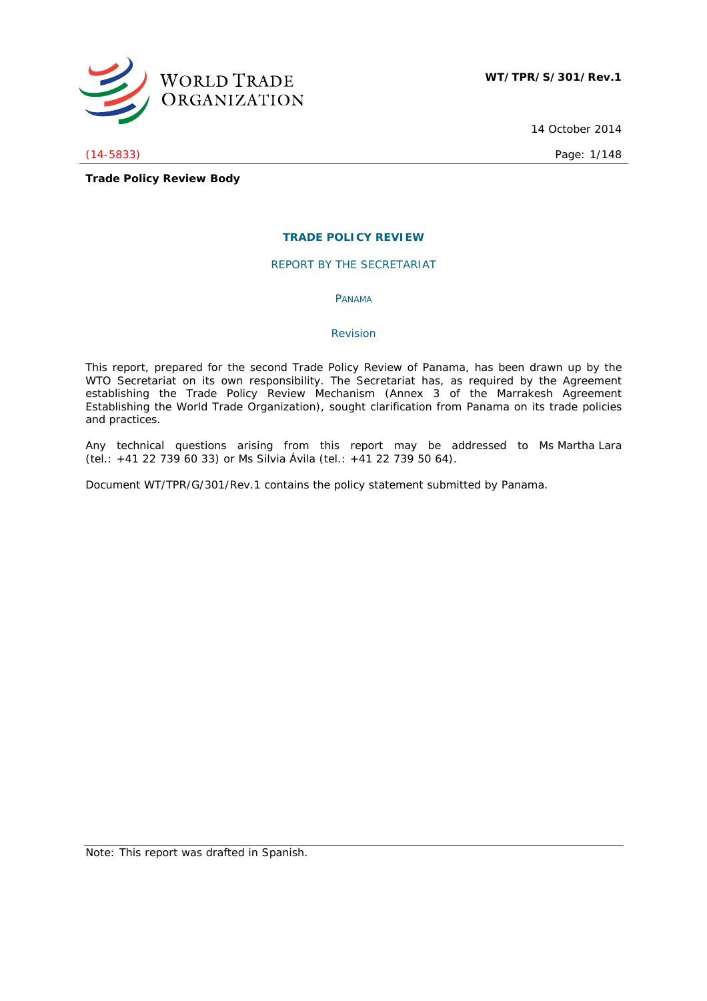

14 October 2014

(14-5833) Page: 1/148

**Trade Policy Review Body**

## **TRADE POLICY REVIEW**

REPORT BY THE SECRETARIAT

PANAMA

## *Revision*

This report, prepared for the second Trade Policy Review of Panama, has been drawn up by the WTO Secretariat on its own responsibility. The Secretariat has, as required by the Agreement establishing the Trade Policy Review Mechanism (Annex 3 of the Marrakesh Agreement Establishing the World Trade Organization), sought clarification from Panama on its trade policies and practices.

Any technical questions arising from this report may be addressed to Ms Martha Lara (tel.: +41 22 739 60 33) or Ms Silvia Ávila (tel.: +41 22 739 50 64).

Document WT/TPR/G/301/Rev.1 contains the policy statement submitted by Panama.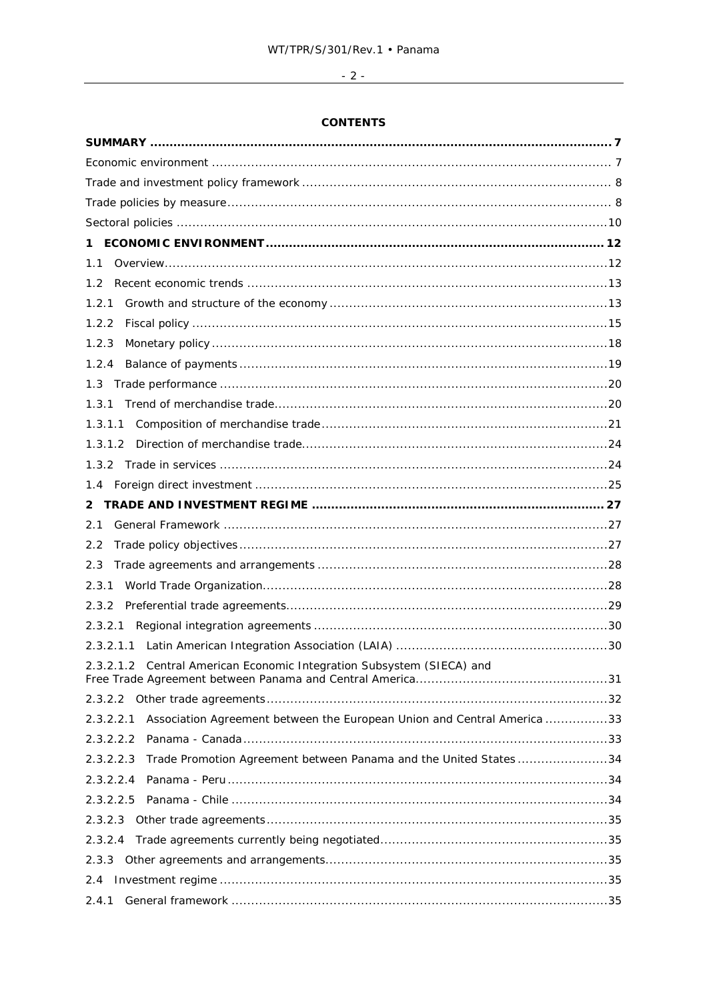# 

## **CONTENTS**

| 1                                                                                    |  |
|--------------------------------------------------------------------------------------|--|
| 1.1                                                                                  |  |
| 1.2                                                                                  |  |
| 1.2.1                                                                                |  |
| 1.2.2                                                                                |  |
| 1.2.3                                                                                |  |
| 1.2.4                                                                                |  |
|                                                                                      |  |
| 1.3.1                                                                                |  |
|                                                                                      |  |
|                                                                                      |  |
|                                                                                      |  |
|                                                                                      |  |
|                                                                                      |  |
| 2.1                                                                                  |  |
| 2.2                                                                                  |  |
| 2.3                                                                                  |  |
| 2.3.1                                                                                |  |
| 2.3.2                                                                                |  |
|                                                                                      |  |
| 2.3.2.1.1                                                                            |  |
| 2.3.2.1.2 Central American Economic Integration Subsystem (SIECA) and                |  |
|                                                                                      |  |
| Association Agreement between the European Union and Central America 33<br>2.3.2.2.1 |  |
|                                                                                      |  |
| Trade Promotion Agreement between Panama and the United States34<br>2.3.2.2.3        |  |
| 2.3.2.2.4                                                                            |  |
|                                                                                      |  |
|                                                                                      |  |
|                                                                                      |  |
|                                                                                      |  |
|                                                                                      |  |
|                                                                                      |  |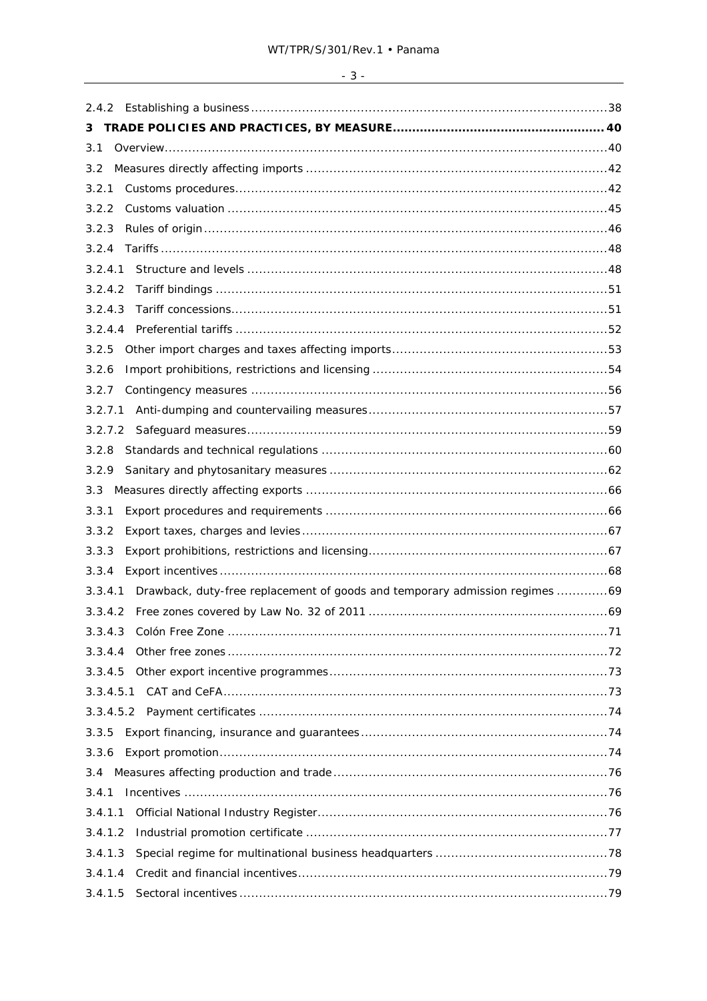| 3         |                                                                                     |  |
|-----------|-------------------------------------------------------------------------------------|--|
| 3.1       |                                                                                     |  |
| 3.2       |                                                                                     |  |
| 3.2.1     |                                                                                     |  |
| 3.2.2     |                                                                                     |  |
| 3.2.3     |                                                                                     |  |
| 3.2.4     |                                                                                     |  |
| 3.2.4.1   |                                                                                     |  |
| 3.2.4.2   |                                                                                     |  |
| 3.2.4.3   |                                                                                     |  |
|           |                                                                                     |  |
| 3.2.5     |                                                                                     |  |
| 3.2.6     |                                                                                     |  |
| 3.2.7     |                                                                                     |  |
|           |                                                                                     |  |
|           |                                                                                     |  |
| 3.2.8     |                                                                                     |  |
| 3.2.9     |                                                                                     |  |
| 3.3       |                                                                                     |  |
| 3.3.1     |                                                                                     |  |
| 3.3.2     |                                                                                     |  |
| 3.3.3     |                                                                                     |  |
| 3.3.4     |                                                                                     |  |
|           | 3.3.4.1 Drawback, duty-free replacement of goods and temporary admission regimes 69 |  |
|           |                                                                                     |  |
| 3.3.4.3   |                                                                                     |  |
| 3.3.4.4   |                                                                                     |  |
| 3.3.4.5   |                                                                                     |  |
| 3.3.4.5.1 |                                                                                     |  |
|           |                                                                                     |  |
| 3.3.5     |                                                                                     |  |
| 3.3.6     |                                                                                     |  |
|           |                                                                                     |  |
| 3.4.1     |                                                                                     |  |
| 3.4.1.1   |                                                                                     |  |
| 3.4.1.2   |                                                                                     |  |
| 3.4.1.3   |                                                                                     |  |
| 3.4.1.4   |                                                                                     |  |
|           |                                                                                     |  |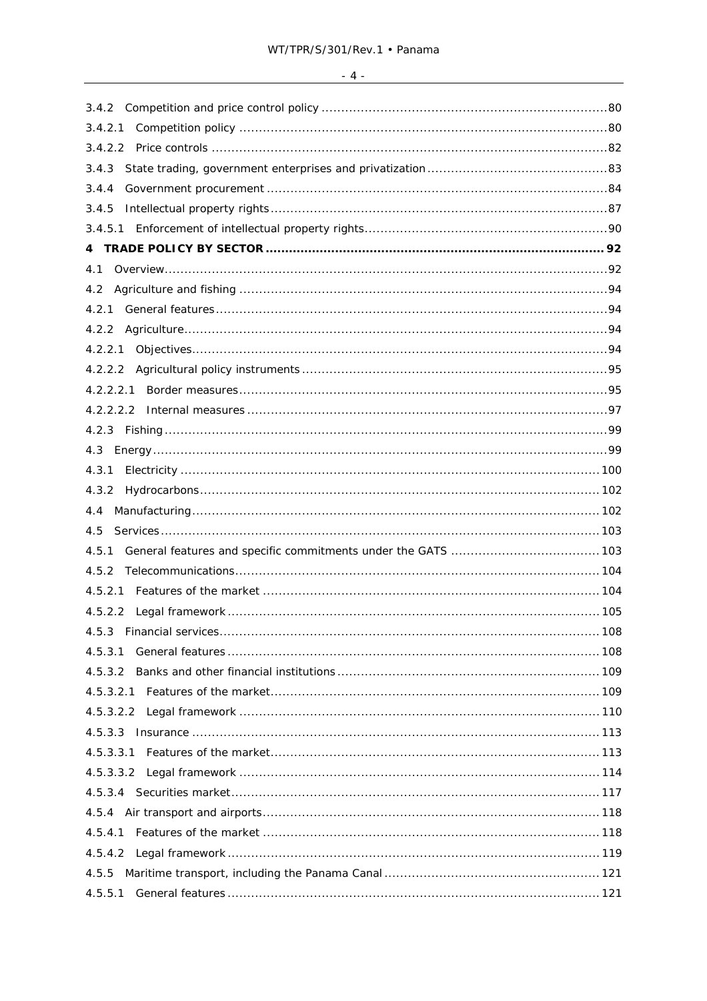| 3.4.2     |  |
|-----------|--|
|           |  |
|           |  |
| 3.4.3     |  |
| 3.4.4     |  |
| 3.4.5     |  |
|           |  |
|           |  |
| 4.1       |  |
| 4.2       |  |
| 4.2.1     |  |
|           |  |
|           |  |
|           |  |
|           |  |
|           |  |
|           |  |
|           |  |
| 4.3.1     |  |
|           |  |
| 4.4       |  |
| 4.5       |  |
| 4.5.1     |  |
| 4.5.2     |  |
|           |  |
|           |  |
|           |  |
| 4.5.3.1   |  |
| 4.5.3.2   |  |
|           |  |
|           |  |
|           |  |
| 4.5.3.3.1 |  |
|           |  |
|           |  |
|           |  |
|           |  |
|           |  |
| 4.5.5     |  |
|           |  |
|           |  |

 $-4$  -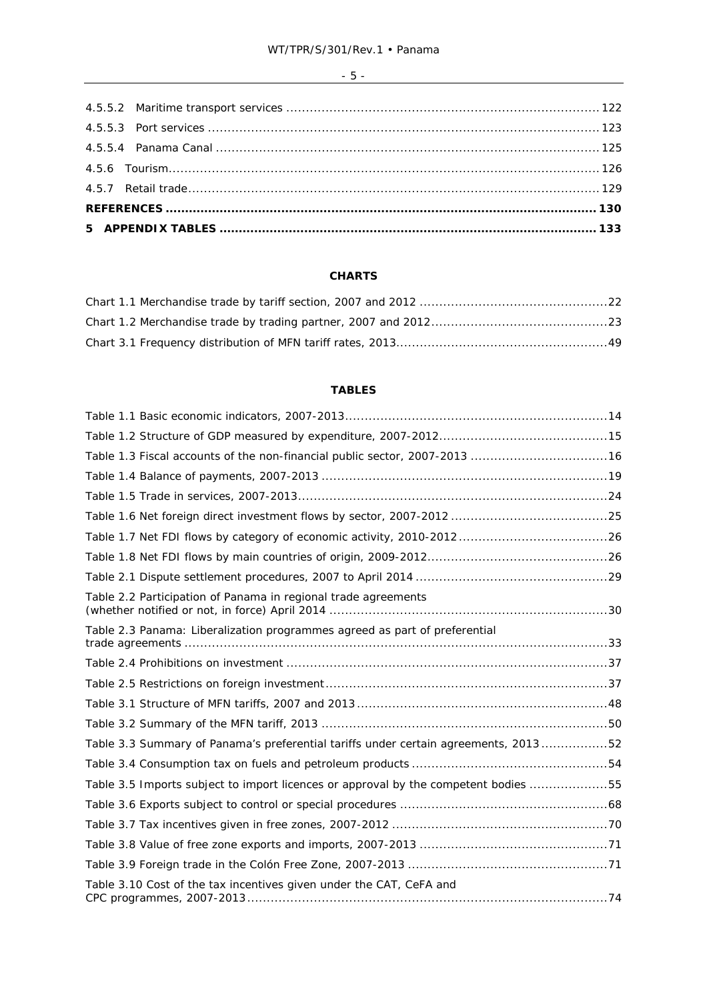## $-5 -$

## **CHARTS**

## **TABLES**

| Table 1.3 Fiscal accounts of the non-financial public sector, 2007-2013 16          |  |
|-------------------------------------------------------------------------------------|--|
|                                                                                     |  |
|                                                                                     |  |
|                                                                                     |  |
|                                                                                     |  |
|                                                                                     |  |
|                                                                                     |  |
| Table 2.2 Participation of Panama in regional trade agreements                      |  |
| Table 2.3 Panama: Liberalization programmes agreed as part of preferential          |  |
|                                                                                     |  |
|                                                                                     |  |
|                                                                                     |  |
|                                                                                     |  |
| Table 3.3 Summary of Panama's preferential tariffs under certain agreements, 201352 |  |
|                                                                                     |  |
| Table 3.5 Imports subject to import licences or approval by the competent bodies 55 |  |
|                                                                                     |  |
|                                                                                     |  |
|                                                                                     |  |
|                                                                                     |  |
| Table 3.10 Cost of the tax incentives given under the CAT, CeFA and                 |  |
|                                                                                     |  |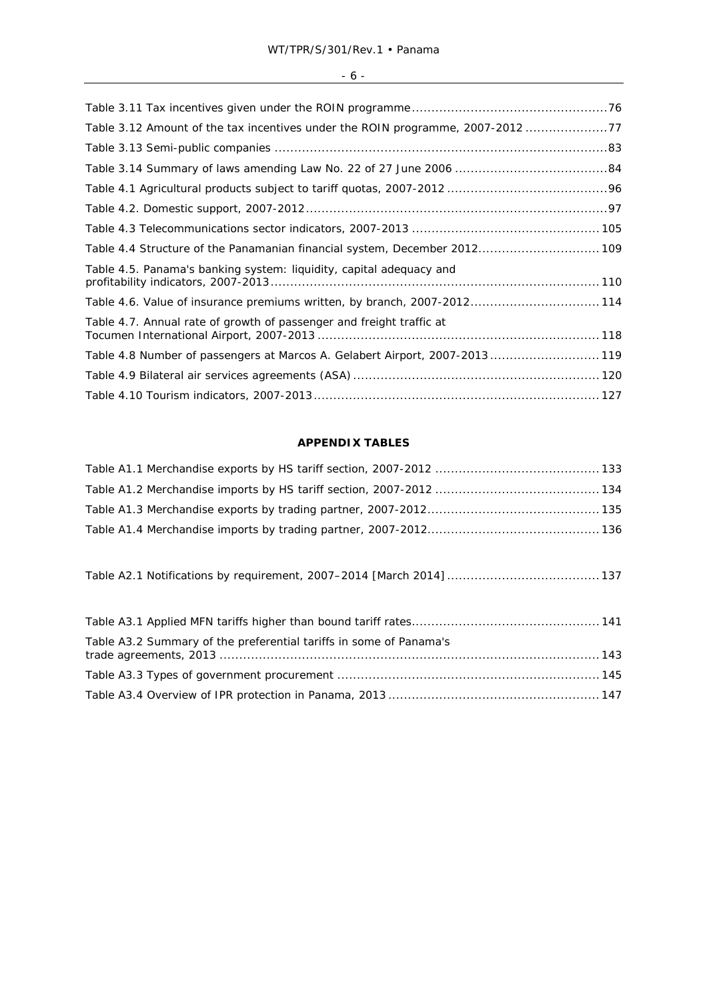## - 6 - <u>\_\_\_\_\_\_\_\_\_\_\_\_\_\_\_\_\_\_\_\_\_\_\_\_\_</u>

## **APPENDIX TABLES**

Table A2.1 Notifications by requirement, 2007–2014 [March 2014] ....................................... 137

| Table A3.2 Summary of the preferential tariffs in some of Panama's |  |
|--------------------------------------------------------------------|--|
|                                                                    |  |
|                                                                    |  |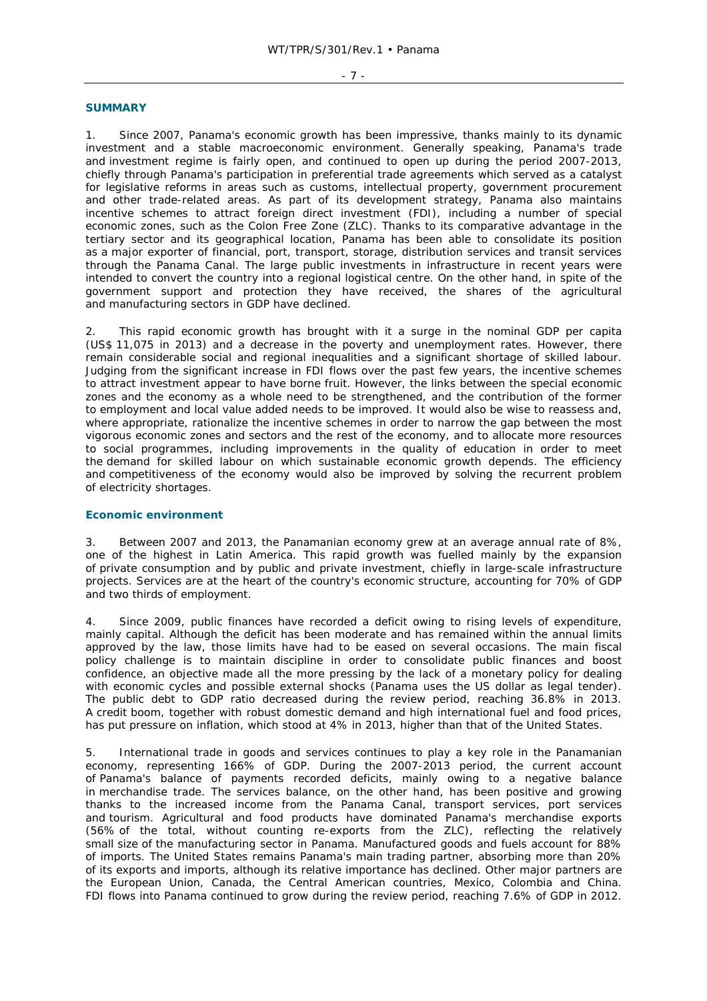#### - 7 -

#### **SUMMARY**

1. Since 2007, Panama's economic growth has been impressive, thanks mainly to its dynamic investment and a stable macroeconomic environment. Generally speaking, Panama's trade and investment regime is fairly open, and continued to open up during the period 2007-2013, chiefly through Panama's participation in preferential trade agreements which served as a catalyst for legislative reforms in areas such as customs, intellectual property, government procurement and other trade-related areas. As part of its development strategy, Panama also maintains incentive schemes to attract foreign direct investment (FDI), including a number of special economic zones, such as the Colon Free Zone (ZLC). Thanks to its comparative advantage in the tertiary sector and its geographical location, Panama has been able to consolidate its position as a major exporter of financial, port, transport, storage, distribution services and transit services through the Panama Canal. The large public investments in infrastructure in recent years were intended to convert the country into a regional logistical centre. On the other hand, in spite of the government support and protection they have received, the shares of the agricultural and manufacturing sectors in GDP have declined.

2. This rapid economic growth has brought with it a surge in the nominal GDP per capita (US\$ 11,075 in 2013) and a decrease in the poverty and unemployment rates. However, there remain considerable social and regional inequalities and a significant shortage of skilled labour. Judging from the significant increase in FDI flows over the past few years, the incentive schemes to attract investment appear to have borne fruit. However, the links between the special economic zones and the economy as a whole need to be strengthened, and the contribution of the former to employment and local value added needs to be improved. It would also be wise to reassess and, where appropriate, rationalize the incentive schemes in order to narrow the gap between the most vigorous economic zones and sectors and the rest of the economy, and to allocate more resources to social programmes, including improvements in the quality of education in order to meet the demand for skilled labour on which sustainable economic growth depends. The efficiency and competitiveness of the economy would also be improved by solving the recurrent problem of electricity shortages.

## **Economic environment**

3. Between 2007 and 2013, the Panamanian economy grew at an average annual rate of 8%, one of the highest in Latin America. This rapid growth was fuelled mainly by the expansion of private consumption and by public and private investment, chiefly in large-scale infrastructure projects. Services are at the heart of the country's economic structure, accounting for 70% of GDP and two thirds of employment.

4. Since 2009, public finances have recorded a deficit owing to rising levels of expenditure, mainly capital. Although the deficit has been moderate and has remained within the annual limits approved by the law, those limits have had to be eased on several occasions. The main fiscal policy challenge is to maintain discipline in order to consolidate public finances and boost confidence, an objective made all the more pressing by the lack of a monetary policy for dealing with economic cycles and possible external shocks (Panama uses the US dollar as legal tender). The public debt to GDP ratio decreased during the review period, reaching 36.8% in 2013. A credit boom, together with robust domestic demand and high international fuel and food prices, has put pressure on inflation, which stood at 4% in 2013, higher than that of the United States.

5. International trade in goods and services continues to play a key role in the Panamanian economy, representing 166% of GDP. During the 2007-2013 period, the current account of Panama's balance of payments recorded deficits, mainly owing to a negative balance in merchandise trade. The services balance, on the other hand, has been positive and growing thanks to the increased income from the Panama Canal, transport services, port services and tourism. Agricultural and food products have dominated Panama's merchandise exports (56% of the total, without counting re-exports from the ZLC), reflecting the relatively small size of the manufacturing sector in Panama. Manufactured goods and fuels account for 88% of imports. The United States remains Panama's main trading partner, absorbing more than 20% of its exports and imports, although its relative importance has declined. Other major partners are the European Union, Canada, the Central American countries, Mexico, Colombia and China. FDI flows into Panama continued to grow during the review period, reaching 7.6% of GDP in 2012.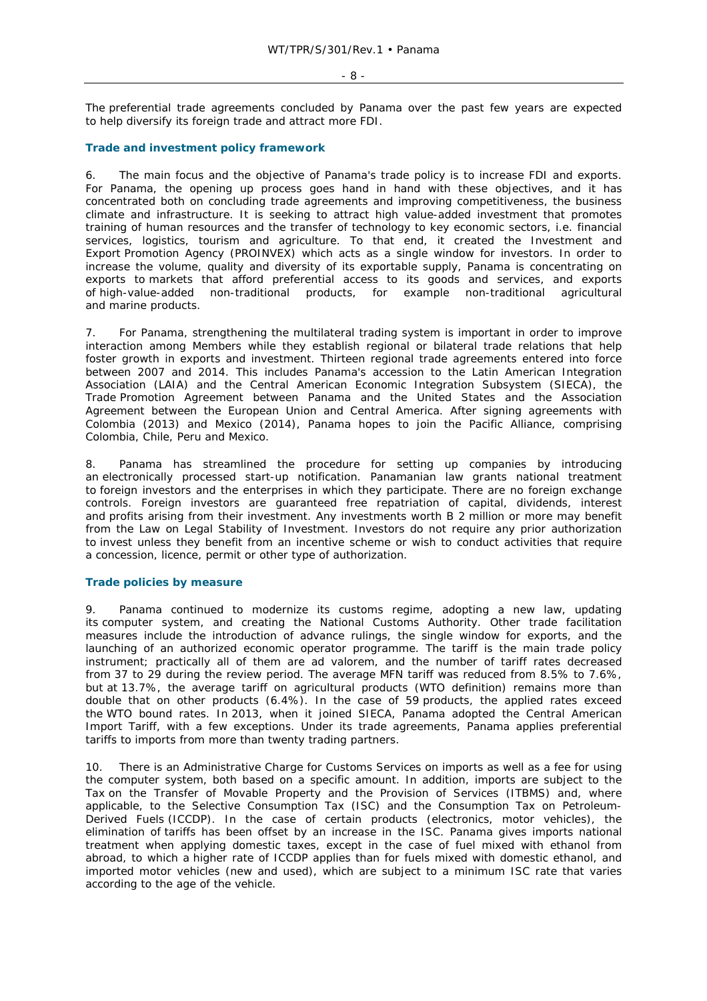#### $- 8 -$

The preferential trade agreements concluded by Panama over the past few years are expected to help diversify its foreign trade and attract more FDI.

## **Trade and investment policy framework**

6. The main focus and the objective of Panama's trade policy is to increase FDI and exports. For Panama, the opening up process goes hand in hand with these objectives, and it has concentrated both on concluding trade agreements and improving competitiveness, the business climate and infrastructure. It is seeking to attract high value-added investment that promotes training of human resources and the transfer of technology to key economic sectors, i.e. financial services, logistics, tourism and agriculture. To that end, it created the Investment and Export Promotion Agency (PROINVEX) which acts as a single window for investors. In order to increase the volume, quality and diversity of its exportable supply, Panama is concentrating on exports to markets that afford preferential access to its goods and services, and exports of high-value-added non-traditional products, for example non-traditional agricultural and marine products.

7. For Panama, strengthening the multilateral trading system is important in order to improve interaction among Members while they establish regional or bilateral trade relations that help foster growth in exports and investment. Thirteen regional trade agreements entered into force between 2007 and 2014. This includes Panama's accession to the Latin American Integration Association (LAIA) and the Central American Economic Integration Subsystem (SIECA), the Trade Promotion Agreement between Panama and the United States and the Association Agreement between the European Union and Central America. After signing agreements with Colombia (2013) and Mexico (2014), Panama hopes to join the Pacific Alliance, comprising Colombia, Chile, Peru and Mexico.

8. Panama has streamlined the procedure for setting up companies by introducing an electronically processed start-up notification. Panamanian law grants national treatment to foreign investors and the enterprises in which they participate. There are no foreign exchange controls. Foreign investors are guaranteed free repatriation of capital, dividends, interest and profits arising from their investment. Any investments worth B 2 million or more may benefit from the Law on Legal Stability of Investment. Investors do not require any prior authorization to invest unless they benefit from an incentive scheme or wish to conduct activities that require a concession, licence, permit or other type of authorization.

## **Trade policies by measure**

9. Panama continued to modernize its customs regime, adopting a new law, updating its computer system, and creating the National Customs Authority. Other trade facilitation measures include the introduction of advance rulings, the single window for exports, and the launching of an authorized economic operator programme. The tariff is the main trade policy instrument; practically all of them are *ad valorem*, and the number of tariff rates decreased from 37 to 29 during the review period. The average MFN tariff was reduced from 8.5% to 7.6%, but at 13.7%, the average tariff on agricultural products (WTO definition) remains more than double that on other products (6.4%). In the case of 59 products, the applied rates exceed the WTO bound rates. In 2013, when it joined SIECA, Panama adopted the Central American Import Tariff, with a few exceptions. Under its trade agreements, Panama applies preferential tariffs to imports from more than twenty trading partners.

10. There is an Administrative Charge for Customs Services on imports as well as a fee for using the computer system, both based on a specific amount. In addition, imports are subject to the Tax on the Transfer of Movable Property and the Provision of Services (ITBMS) and, where applicable, to the Selective Consumption Tax (ISC) and the Consumption Tax on Petroleum-Derived Fuels (ICCDP). In the case of certain products (electronics, motor vehicles), the elimination of tariffs has been offset by an increase in the ISC. Panama gives imports national treatment when applying domestic taxes, except in the case of fuel mixed with ethanol from abroad, to which a higher rate of ICCDP applies than for fuels mixed with domestic ethanol, and imported motor vehicles (new and used), which are subject to a minimum ISC rate that varies according to the age of the vehicle.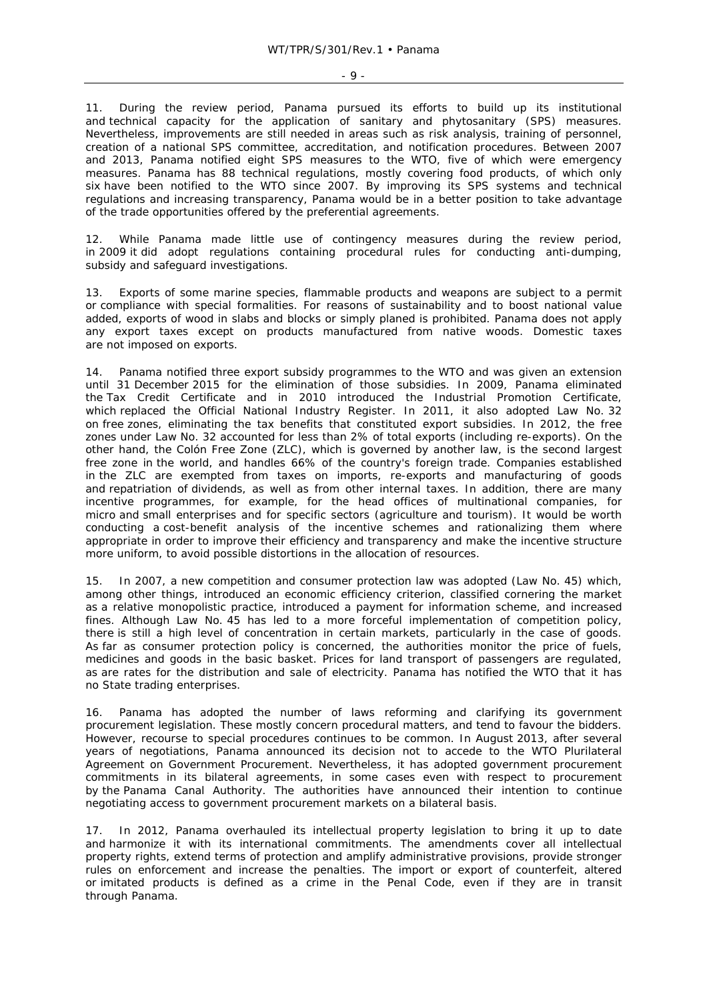- 9 -

11. During the review period, Panama pursued its efforts to build up its institutional and technical capacity for the application of sanitary and phytosanitary (SPS) measures. Nevertheless, improvements are still needed in areas such as risk analysis, training of personnel, creation of a national SPS committee, accreditation, and notification procedures. Between 2007 and 2013, Panama notified eight SPS measures to the WTO, five of which were emergency measures. Panama has 88 technical regulations, mostly covering food products, of which only six have been notified to the WTO since 2007. By improving its SPS systems and technical regulations and increasing transparency, Panama would be in a better position to take advantage of the trade opportunities offered by the preferential agreements.

12. While Panama made little use of contingency measures during the review period, in 2009 it did adopt regulations containing procedural rules for conducting anti-dumping, subsidy and safeguard investigations.

13. Exports of some marine species, flammable products and weapons are subject to a permit or compliance with special formalities. For reasons of sustainability and to boost national value added, exports of wood in slabs and blocks or simply planed is prohibited. Panama does not apply any export taxes except on products manufactured from native woods. Domestic taxes are not imposed on exports.

14. Panama notified three export subsidy programmes to the WTO and was given an extension until 31 December 2015 for the elimination of those subsidies. In 2009, Panama eliminated the Tax Credit Certificate and in 2010 introduced the Industrial Promotion Certificate, which replaced the Official National Industry Register. In 2011, it also adopted Law No. 32 on free zones, eliminating the tax benefits that constituted export subsidies. In 2012, the free zones under Law No. 32 accounted for less than 2% of total exports (including re-exports). On the other hand, the Colón Free Zone (ZLC), which is governed by another law, is the second largest free zone in the world, and handles 66% of the country's foreign trade. Companies established in the ZLC are exempted from taxes on imports, re-exports and manufacturing of goods and repatriation of dividends, as well as from other internal taxes. In addition, there are many incentive programmes, for example, for the head offices of multinational companies, for micro and small enterprises and for specific sectors (agriculture and tourism). It would be worth conducting a cost-benefit analysis of the incentive schemes and rationalizing them where appropriate in order to improve their efficiency and transparency and make the incentive structure more uniform, to avoid possible distortions in the allocation of resources.

15. In 2007, a new competition and consumer protection law was adopted (Law No. 45) which, among other things, introduced an economic efficiency criterion, classified cornering the market as a relative monopolistic practice, introduced a payment for information scheme, and increased fines. Although Law No. 45 has led to a more forceful implementation of competition policy, there is still a high level of concentration in certain markets, particularly in the case of goods. As far as consumer protection policy is concerned, the authorities monitor the price of fuels, medicines and goods in the basic basket. Prices for land transport of passengers are regulated, as are rates for the distribution and sale of electricity. Panama has notified the WTO that it has no State trading enterprises.

16. Panama has adopted the number of laws reforming and clarifying its government procurement legislation. These mostly concern procedural matters, and tend to favour the bidders. However, recourse to special procedures continues to be common. In August 2013, after several years of negotiations, Panama announced its decision not to accede to the WTO Plurilateral Agreement on Government Procurement. Nevertheless, it has adopted government procurement commitments in its bilateral agreements, in some cases even with respect to procurement by the Panama Canal Authority. The authorities have announced their intention to continue negotiating access to government procurement markets on a bilateral basis.

17. In 2012, Panama overhauled its intellectual property legislation to bring it up to date and harmonize it with its international commitments. The amendments cover all intellectual property rights, extend terms of protection and amplify administrative provisions, provide stronger rules on enforcement and increase the penalties. The import or export of counterfeit, altered or imitated products is defined as a crime in the Penal Code, even if they are in transit through Panama.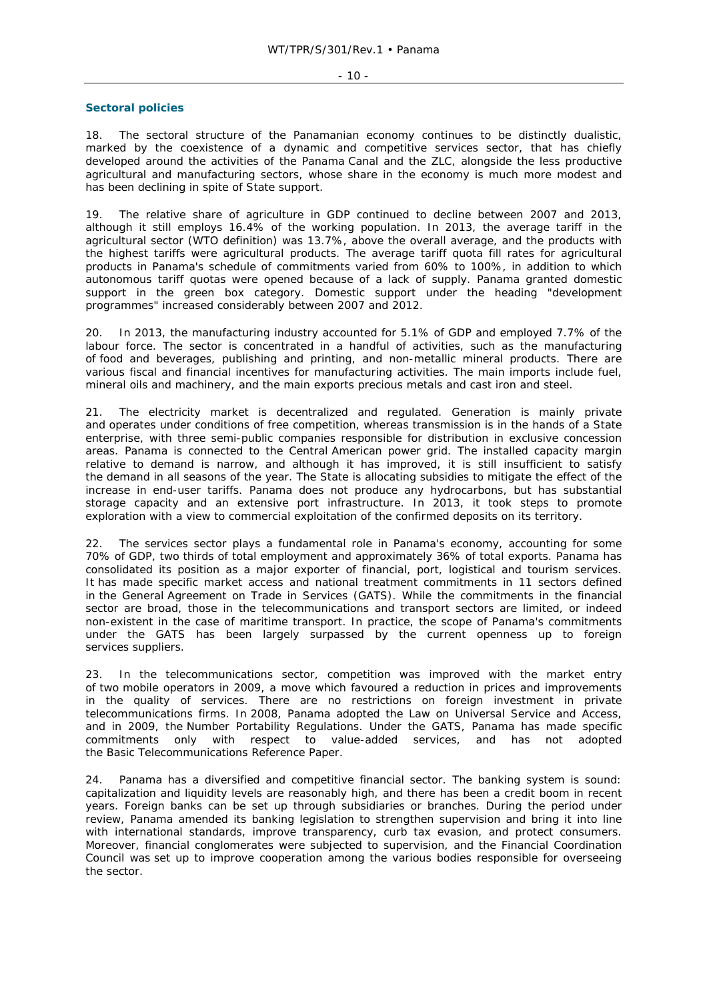#### - 10 -

#### **Sectoral policies**

18. The sectoral structure of the Panamanian economy continues to be distinctly dualistic, marked by the coexistence of a dynamic and competitive services sector, that has chiefly developed around the activities of the Panama Canal and the ZLC, alongside the less productive agricultural and manufacturing sectors, whose share in the economy is much more modest and has been declining in spite of State support.

19. The relative share of agriculture in GDP continued to decline between 2007 and 2013, although it still employs 16.4% of the working population. In 2013, the average tariff in the agricultural sector (WTO definition) was 13.7%, above the overall average, and the products with the highest tariffs were agricultural products. The average tariff quota fill rates for agricultural products in Panama's schedule of commitments varied from 60% to 100%, in addition to which autonomous tariff quotas were opened because of a lack of supply. Panama granted domestic support in the green box category. Domestic support under the heading "development programmes" increased considerably between 2007 and 2012.

20. In 2013, the manufacturing industry accounted for 5.1% of GDP and employed 7.7% of the labour force. The sector is concentrated in a handful of activities, such as the manufacturing of food and beverages, publishing and printing, and non-metallic mineral products. There are various fiscal and financial incentives for manufacturing activities. The main imports include fuel, mineral oils and machinery, and the main exports precious metals and cast iron and steel.

21. The electricity market is decentralized and regulated. Generation is mainly private and operates under conditions of free competition, whereas transmission is in the hands of a State enterprise, with three semi-public companies responsible for distribution in exclusive concession areas. Panama is connected to the Central American power grid. The installed capacity margin relative to demand is narrow, and although it has improved, it is still insufficient to satisfy the demand in all seasons of the year. The State is allocating subsidies to mitigate the effect of the increase in end-user tariffs. Panama does not produce any hydrocarbons, but has substantial storage capacity and an extensive port infrastructure. In 2013, it took steps to promote exploration with a view to commercial exploitation of the confirmed deposits on its territory.

22. The services sector plays a fundamental role in Panama's economy, accounting for some 70% of GDP, two thirds of total employment and approximately 36% of total exports. Panama has consolidated its position as a major exporter of financial, port, logistical and tourism services. It has made specific market access and national treatment commitments in 11 sectors defined in the General Agreement on Trade in Services (GATS). While the commitments in the financial sector are broad, those in the telecommunications and transport sectors are limited, or indeed non-existent in the case of maritime transport. In practice, the scope of Panama's commitments under the GATS has been largely surpassed by the current openness up to foreign services suppliers.

23. In the telecommunications sector, competition was improved with the market entry of two mobile operators in 2009, a move which favoured a reduction in prices and improvements in the quality of services. There are no restrictions on foreign investment in private telecommunications firms. In 2008, Panama adopted the Law on Universal Service and Access, and in 2009, the Number Portability Regulations. Under the GATS, Panama has made specific commitments only with respect to value-added services, and has not adopted the Basic Telecommunications Reference Paper.

24. Panama has a diversified and competitive financial sector. The banking system is sound: capitalization and liquidity levels are reasonably high, and there has been a credit boom in recent years. Foreign banks can be set up through subsidiaries or branches. During the period under review, Panama amended its banking legislation to strengthen supervision and bring it into line with international standards, improve transparency, curb tax evasion, and protect consumers. Moreover, financial conglomerates were subjected to supervision, and the Financial Coordination Council was set up to improve cooperation among the various bodies responsible for overseeing the sector.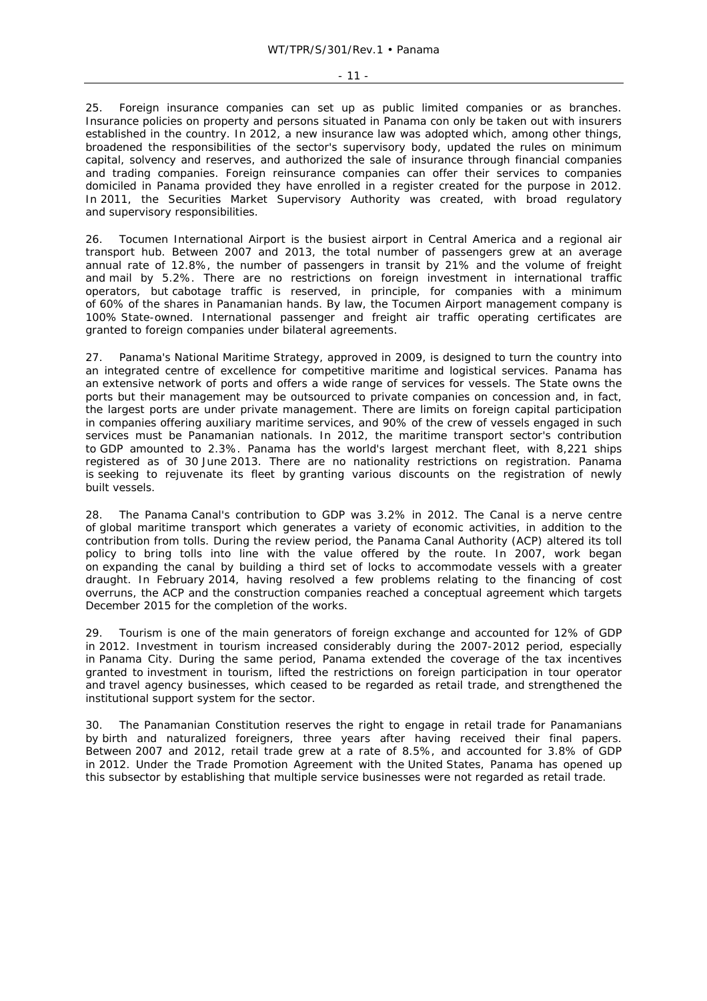#### - 11 -

25. Foreign insurance companies can set up as public limited companies or as branches. Insurance policies on property and persons situated in Panama con only be taken out with insurers established in the country. In 2012, a new insurance law was adopted which, among other things, broadened the responsibilities of the sector's supervisory body, updated the rules on minimum capital, solvency and reserves, and authorized the sale of insurance through financial companies and trading companies. Foreign reinsurance companies can offer their services to companies domiciled in Panama provided they have enrolled in a register created for the purpose in 2012. In 2011, the Securities Market Supervisory Authority was created, with broad regulatory and supervisory responsibilities.

26. Tocumen International Airport is the busiest airport in Central America and a regional air transport hub. Between 2007 and 2013, the total number of passengers grew at an average annual rate of 12.8%, the number of passengers in transit by 21% and the volume of freight and mail by 5.2%. There are no restrictions on foreign investment in international traffic operators, but cabotage traffic is reserved, in principle, for companies with a minimum of 60% of the shares in Panamanian hands. By law, the Tocumen Airport management company is 100% State-owned. International passenger and freight air traffic operating certificates are granted to foreign companies under bilateral agreements.

27. Panama's National Maritime Strategy, approved in 2009, is designed to turn the country into an integrated centre of excellence for competitive maritime and logistical services. Panama has an extensive network of ports and offers a wide range of services for vessels. The State owns the ports but their management may be outsourced to private companies on concession and, in fact, the largest ports are under private management. There are limits on foreign capital participation in companies offering auxiliary maritime services, and 90% of the crew of vessels engaged in such services must be Panamanian nationals. In 2012, the maritime transport sector's contribution to GDP amounted to 2.3%. Panama has the world's largest merchant fleet, with 8,221 ships registered as of 30 June 2013. There are no nationality restrictions on registration. Panama is seeking to rejuvenate its fleet by granting various discounts on the registration of newly built vessels.

28. The Panama Canal's contribution to GDP was 3.2% in 2012. The Canal is a nerve centre of global maritime transport which generates a variety of economic activities, in addition to the contribution from tolls. During the review period, the Panama Canal Authority (ACP) altered its toll policy to bring tolls into line with the value offered by the route. In 2007, work began on expanding the canal by building a third set of locks to accommodate vessels with a greater draught. In February 2014, having resolved a few problems relating to the financing of cost overruns, the ACP and the construction companies reached a conceptual agreement which targets December 2015 for the completion of the works.

29. Tourism is one of the main generators of foreign exchange and accounted for 12% of GDP in 2012. Investment in tourism increased considerably during the 2007-2012 period, especially in Panama City. During the same period, Panama extended the coverage of the tax incentives granted to investment in tourism, lifted the restrictions on foreign participation in tour operator and travel agency businesses, which ceased to be regarded as retail trade, and strengthened the institutional support system for the sector.

30. The Panamanian Constitution reserves the right to engage in retail trade for Panamanians by birth and naturalized foreigners, three years after having received their final papers. Between 2007 and 2012, retail trade grew at a rate of 8.5%, and accounted for 3.8% of GDP in 2012. Under the Trade Promotion Agreement with the United States, Panama has opened up this subsector by establishing that multiple service businesses were not regarded as retail trade.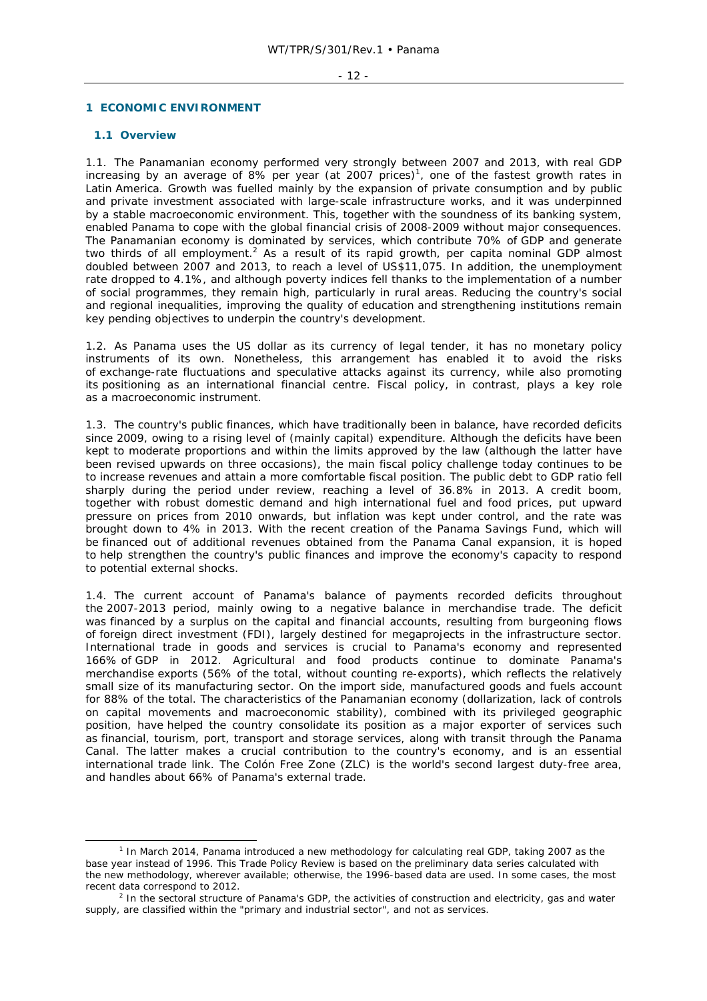#### - 12 -

#### **1 ECONOMIC ENVIRONMENT**

## **1.1 Overview**

1.1. The Panamanian economy performed very strongly between 2007 and 2013, with real GDP increasing by an average of 8% per year (at 2007 prices)<sup>1</sup>, one of the fastest growth rates in Latin America. Growth was fuelled mainly by the expansion of private consumption and by public and private investment associated with large-scale infrastructure works, and it was underpinned by a stable macroeconomic environment. This, together with the soundness of its banking system, enabled Panama to cope with the global financial crisis of 2008-2009 without major consequences. The Panamanian economy is dominated by services, which contribute 70% of GDP and generate two thirds of all employment.<sup>2</sup> As a result of its rapid growth, per capita nominal GDP almost doubled between 2007 and 2013, to reach a level of US\$11,075. In addition, the unemployment rate dropped to 4.1%, and although poverty indices fell thanks to the implementation of a number of social programmes, they remain high, particularly in rural areas. Reducing the country's social and regional inequalities, improving the quality of education and strengthening institutions remain key pending objectives to underpin the country's development.

1.2. As Panama uses the US dollar as its currency of legal tender, it has no monetary policy instruments of its own. Nonetheless, this arrangement has enabled it to avoid the risks of exchange-rate fluctuations and speculative attacks against its currency, while also promoting its positioning as an international financial centre. Fiscal policy, in contrast, plays a key role as a macroeconomic instrument.

1.3. The country's public finances, which have traditionally been in balance, have recorded deficits since 2009, owing to a rising level of (mainly capital) expenditure. Although the deficits have been kept to moderate proportions and within the limits approved by the law (although the latter have been revised upwards on three occasions), the main fiscal policy challenge today continues to be to increase revenues and attain a more comfortable fiscal position. The public debt to GDP ratio fell sharply during the period under review, reaching a level of 36.8% in 2013. A credit boom, together with robust domestic demand and high international fuel and food prices, put upward pressure on prices from 2010 onwards, but inflation was kept under control, and the rate was brought down to 4% in 2013. With the recent creation of the Panama Savings Fund, which will be financed out of additional revenues obtained from the Panama Canal expansion, it is hoped to help strengthen the country's public finances and improve the economy's capacity to respond to potential external shocks.

1.4. The current account of Panama's balance of payments recorded deficits throughout the 2007-2013 period, mainly owing to a negative balance in merchandise trade. The deficit was financed by a surplus on the capital and financial accounts, resulting from burgeoning flows of foreign direct investment (FDI), largely destined for megaprojects in the infrastructure sector. International trade in goods and services is crucial to Panama's economy and represented 166% of GDP in 2012. Agricultural and food products continue to dominate Panama's merchandise exports (56% of the total, without counting re-exports), which reflects the relatively small size of its manufacturing sector. On the import side, manufactured goods and fuels account for 88% of the total. The characteristics of the Panamanian economy (dollarization, lack of controls on capital movements and macroeconomic stability), combined with its privileged geographic position, have helped the country consolidate its position as a major exporter of services such as financial, tourism, port, transport and storage services, along with transit through the Panama Canal. The latter makes a crucial contribution to the country's economy, and is an essential international trade link. The Colón Free Zone (ZLC) is the world's second largest duty-free area, and handles about 66% of Panama's external trade.

 $\frac{1}{1}$ <sup>1</sup> In March 2014, Panama introduced a new methodology for calculating real GDP, taking 2007 as the base year instead of 1996. This Trade Policy Review is based on the preliminary data series calculated with the new methodology, wherever available; otherwise, the 1996-based data are used. In some cases, the most recent data correspond to 2012.

<sup>&</sup>lt;sup>2</sup> In the sectoral structure of Panama's GDP, the activities of construction and electricity, gas and water supply, are classified within the "primary and industrial sector", and not as services.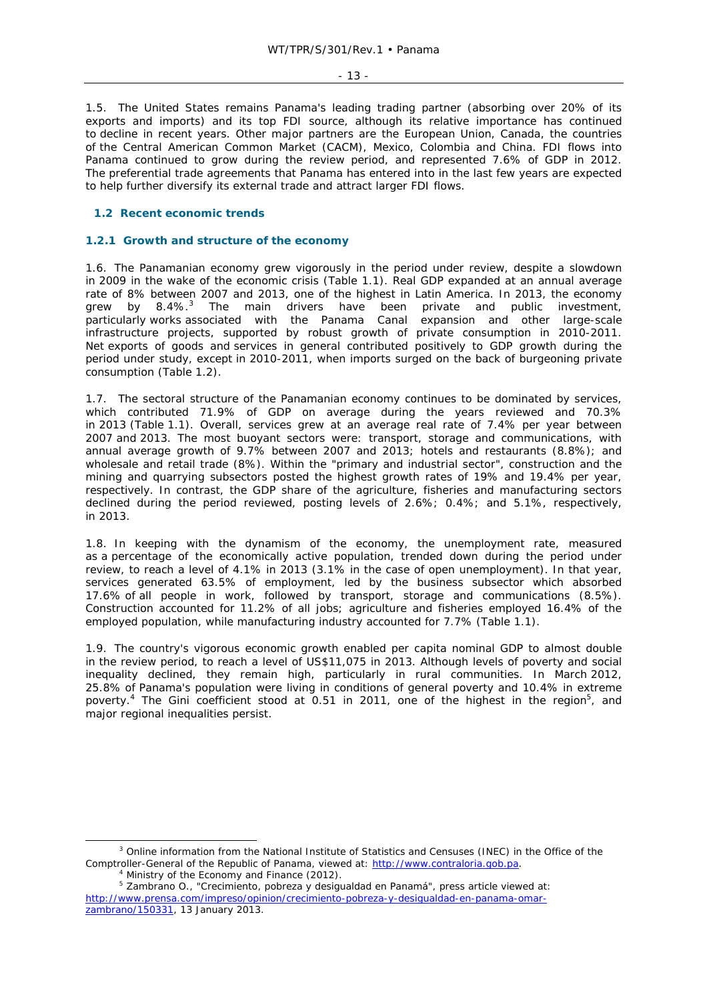- 13 -

1.5. The United States remains Panama's leading trading partner (absorbing over 20% of its exports and imports) and its top FDI source, although its relative importance has continued to decline in recent years. Other major partners are the European Union, Canada, the countries of the Central American Common Market (CACM), Mexico, Colombia and China. FDI flows into Panama continued to grow during the review period, and represented 7.6% of GDP in 2012. The preferential trade agreements that Panama has entered into in the last few years are expected to help further diversify its external trade and attract larger FDI flows.

## **1.2 Recent economic trends**

## **1.2.1 Growth and structure of the economy**

1.6. The Panamanian economy grew vigorously in the period under review, despite a slowdown in 2009 in the wake of the economic crisis (Table 1.1). Real GDP expanded at an annual average rate of 8% between 2007 and 2013, one of the highest in Latin America. In 2013, the economy grew by 8.4%.<sup>3</sup> The main drivers have been private and public investment, particularly works associated with the Panama Canal expansion and other large-scale infrastructure projects, supported by robust growth of private consumption in 2010-2011. Net exports of goods and services in general contributed positively to GDP growth during the period under study, except in 2010-2011, when imports surged on the back of burgeoning private consumption (Table 1.2).

1.7. The sectoral structure of the Panamanian economy continues to be dominated by services, which contributed 71.9% of GDP on average during the years reviewed and 70.3% in 2013 (Table 1.1). Overall, services grew at an average real rate of 7.4% per year between 2007 and 2013. The most buoyant sectors were: transport, storage and communications, with annual average growth of 9.7% between 2007 and 2013; hotels and restaurants (8.8%); and wholesale and retail trade (8%). Within the "primary and industrial sector", construction and the mining and quarrying subsectors posted the highest growth rates of 19% and 19.4% per year, respectively. In contrast, the GDP share of the agriculture, fisheries and manufacturing sectors declined during the period reviewed, posting levels of 2.6%; 0.4%; and 5.1%, respectively, in 2013.

1.8. In keeping with the dynamism of the economy, the unemployment rate, measured as a percentage of the economically active population, trended down during the period under review, to reach a level of 4.1% in 2013 (3.1% in the case of open unemployment). In that year, services generated 63.5% of employment, led by the business subsector which absorbed 17.6% of all people in work, followed by transport, storage and communications (8.5%). Construction accounted for 11.2% of all jobs; agriculture and fisheries employed 16.4% of the employed population, while manufacturing industry accounted for 7.7% (Table 1.1).

1.9. The country's vigorous economic growth enabled per capita nominal GDP to almost double in the review period, to reach a level of US\$11,075 in 2013. Although levels of poverty and social inequality declined, they remain high, particularly in rural communities. In March 2012, 25.8% of Panama's population were living in conditions of general poverty and 10.4% in extreme poverty.<sup>4</sup> The Gini coefficient stood at 0.51 in 2011, one of the highest in the region<sup>5</sup>, and major regional inequalities persist.

 $\frac{1}{3}$ <sup>3</sup> Online information from the National Institute of Statistics and Censuses (INEC) in the Office of the Comptroller-General of the Republic of Panama, viewed at: http://www.contraloria.gob.pa.

Ministry of the Economy and Finance (2012).

<sup>&</sup>lt;sup>5</sup> Zambrano O., "Crecimiento, pobreza y desigualdad en Panamá", press article viewed at: http://www.prensa.com/impreso/opinion/crecimiento-pobreza-y-desigualdad-en-panama-omarzambrano/150331, 13 January 2013.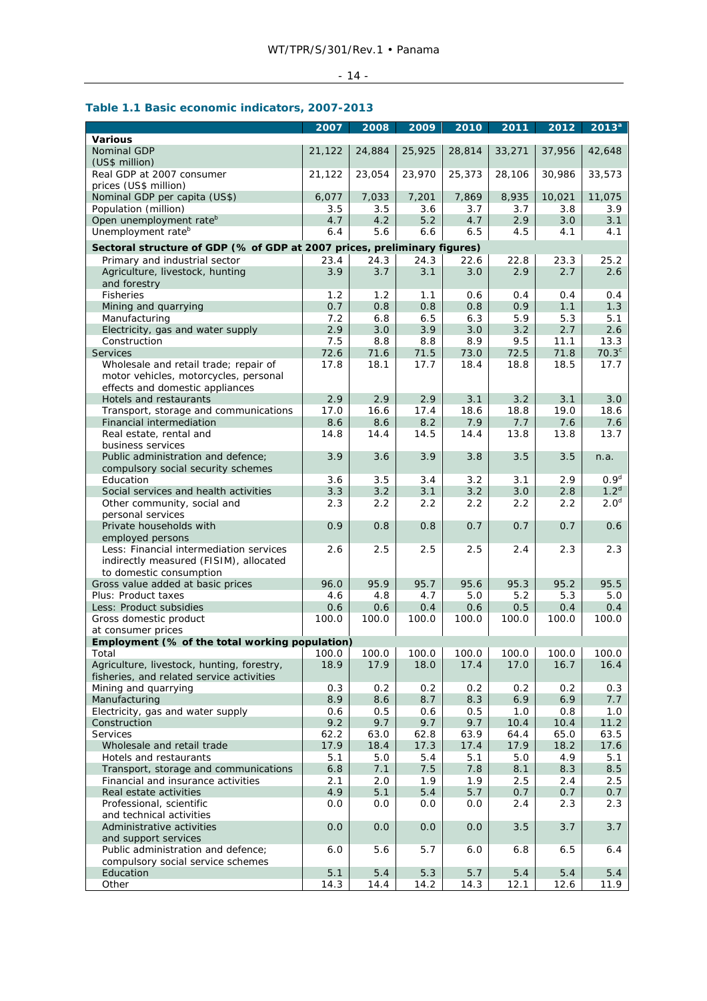## - 14 -

## **Table 1.1 Basic economic indicators, 2007-2013**

|                                                                                         | 2007        | 2008         | 2009         | 2010         | 2011        | 2012         | 2013 <sup>a</sup>         |
|-----------------------------------------------------------------------------------------|-------------|--------------|--------------|--------------|-------------|--------------|---------------------------|
| <b>Various</b>                                                                          |             |              |              |              |             |              |                           |
| Nominal GDP<br>(US\$ million)                                                           | 21,122      | 24,884       | 25,925       | 28,814       | 33,271      | 37,956       | 42,648                    |
| Real GDP at 2007 consumer<br>prices (US\$ million)                                      | 21,122      | 23,054       | 23,970       | 25,373       | 28,106      | 30,986       | 33,573                    |
| Nominal GDP per capita (US\$)                                                           | 6,077       | 7,033        | 7,201        | 7,869        | 8,935       | 10,021       | 11,075                    |
| Population (million)                                                                    | 3.5         | 3.5          | 3.6          | 3.7          | 3.7         | 3.8          | 3.9                       |
| Open unemployment rate <sup>b</sup>                                                     | 4.7         | 4.2          | 5.2          | 4.7          | 2.9         | 3.0          | 3.1                       |
| Unemployment rate <sup>b</sup>                                                          | 6.4         | 5.6          | 6.6          | 6.5          | 4.5         | 4.1          | 4.1                       |
| Sectoral structure of GDP (% of GDP at 2007 prices, preliminary figures)                |             |              |              |              |             |              |                           |
| Primary and industrial sector                                                           | 23.4        | 24.3         | 24.3         | 22.6         | 22.8        | 23.3         | 25.2                      |
| Agriculture, livestock, hunting<br>and forestry                                         | 3.9         | 3.7          | 3.1          | 3.0          | 2.9         | 2.7          | 2.6                       |
| <b>Fisheries</b>                                                                        | 1.2         | 1.2          | 1.1          | 0.6          | 0.4         | 0.4          | 0.4                       |
| Mining and quarrying                                                                    | 0.7         | 0.8          | 0.8          | 0.8          | 0.9         | 1.1          | 1.3                       |
| Manufacturing                                                                           | 7.2         | 6.8          | 6.5          | 6.3          | 5.9         | 5.3          | 5.1                       |
| Electricity, gas and water supply                                                       | 2.9         | 3.0          | 3.9          | 3.0          | 3.2         | 2.7          | 2.6                       |
| Construction<br><b>Services</b>                                                         | 7.5<br>72.6 | 8.8          | 8.8          | 8.9          | 9.5<br>72.5 | 11.1<br>71.8 | 13.3<br>70.3 <sup>c</sup> |
| Wholesale and retail trade; repair of                                                   | 17.8        | 71.6<br>18.1 | 71.5<br>17.7 | 73.0<br>18.4 | 18.8        | 18.5         | 17.7                      |
| motor vehicles, motorcycles, personal<br>effects and domestic appliances                |             |              |              |              |             |              |                           |
| Hotels and restaurants                                                                  | 2.9         | 2.9          | 2.9          | 3.1          | 3.2         | 3.1          | 3.0                       |
| Transport, storage and communications                                                   | 17.0        | 16.6         | 17.4         | 18.6         | 18.8        | 19.0         | 18.6                      |
| Financial intermediation                                                                | 8.6         | 8.6          | 8.2          | 7.9          | 7.7         | 7.6          | 7.6                       |
| Real estate, rental and<br>business services                                            | 14.8        | 14.4         | 14.5         | 14.4         | 13.8        | 13.8         | 13.7                      |
| Public administration and defence;<br>compulsory social security schemes                | 3.9         | 3.6          | 3.9          | 3.8          | 3.5         | 3.5          | n.a.                      |
| Education                                                                               | 3.6         | 3.5          | 3.4          | 3.2          | 3.1         | 2.9          | 0.9 <sup>d</sup>          |
| Social services and health activities                                                   | 3.3         | 3.2          | 3.1          | 3.2          | 3.0         | 2.8          | 1.2 <sup>d</sup>          |
| Other community, social and<br>personal services                                        | 2.3         | 2.2          | 2.2          | 2.2          | 2.2         | 2.2          | 2.0 <sup>d</sup>          |
| Private households with<br>employed persons                                             | 0.9         | 0.8          | 0.8          | 0.7          | 0.7         | 0.7          | 0.6                       |
| Less: Financial intermediation services<br>indirectly measured (FISIM), allocated       | 2.6         | 2.5          | 2.5          | 2.5          | 2.4         | 2.3          | 2.3                       |
| to domestic consumption                                                                 |             |              |              |              |             |              |                           |
| Gross value added at basic prices                                                       | 96.0        | 95.9         | 95.7         | 95.6         | 95.3        | 95.2         | 95.5                      |
| Plus: Product taxes                                                                     | 4.6         | 4.8          | 4.7          | 5.0          | 5.2         | 5.3          | 5.0                       |
| Less: Product subsidies                                                                 | 0.6         | 0.6          | 0.4          | 0.6          | 0.5         | 0.4          | 0.4                       |
| Gross domestic product<br>at consumer prices                                            | 100.0       | 100.0        | 100.0        | 100.0        | 100.0       | 100.0        | 100.0                     |
| Employment (% of the total working population)                                          |             |              |              |              |             |              |                           |
| Total                                                                                   | 100.0       | 100.0        | 100.0        | 100.0        | 100.0       | 100.0        | 100.0                     |
| Agriculture, livestock, hunting, forestry,<br>fisheries, and related service activities | 18.9        | 17.9         | 18.0         | 17.4         | 17.0        | 16.7         | 16.4                      |
| Mining and quarrying                                                                    | 0.3         | 0.2          | 0.2          | 0.2          | 0.2         | 0.2          | 0.3                       |
| Manufacturing                                                                           | 8.9         | 8.6          | 8.7          | 8.3          | 6.9         | 6.9          | 7.7                       |
| Electricity, gas and water supply                                                       | 0.6         | 0.5          | 0.6          | 0.5          | 1.0         | 0.8          | 1.0                       |
| Construction                                                                            | 9.2         | 9.7          | 9.7          | 9.7          | 10.4        | 10.4         | 11.2                      |
| Services                                                                                | 62.2        | 63.0         | 62.8         | 63.9         | 64.4        | 65.0         | 63.5                      |
| Wholesale and retail trade                                                              | 17.9        | 18.4         | 17.3         | 17.4         | 17.9        | 18.2         | 17.6                      |
| Hotels and restaurants                                                                  | 5.1         | 5.0          | 5.4          | 5.1          | 5.0         | 4.9          | 5.1                       |
| Transport, storage and communications                                                   | 6.8         | 7.1          | 7.5          | 7.8          | 8.1         | 8.3          | 8.5                       |
| Financial and insurance activities                                                      | 2.1         | 2.0          | 1.9          | 1.9          | 2.5         | 2.4          | 2.5                       |
| Real estate activities                                                                  | 4.9         | 5.1          | 5.4          | 5.7          | 0.7         | 0.7          | 0.7                       |
| Professional, scientific<br>and technical activities                                    | 0.0         | 0.0          | 0.0          | 0.0          | 2.4         | 2.3          | 2.3                       |
| Administrative activities<br>and support services                                       | 0.0         | 0.0          | 0.0          | 0.0          | 3.5         | 3.7          | 3.7                       |
| Public administration and defence;<br>compulsory social service schemes                 | 6.0         | 5.6          | 5.7          | 6.0          | 6.8         | 6.5          | 6.4                       |
| Education                                                                               | 5.1         | 5.4          | 5.3          | 5.7          | 5.4         | 5.4          | 5.4                       |
| Other                                                                                   | 14.3        | 14.4         | 14.2         | 14.3         | 12.1        | 12.6         | 11.9                      |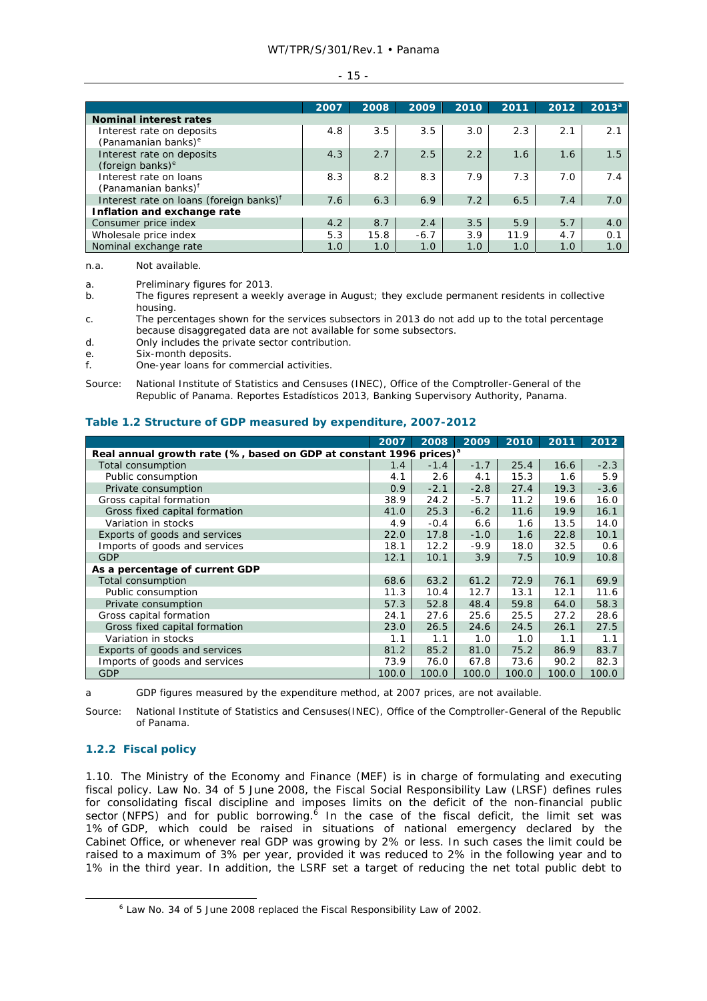#### - 15 -

|                                                              | 2007 | 2008 | 2009   | 2010 | 2011 | 2012 | $2013^{a}$ |
|--------------------------------------------------------------|------|------|--------|------|------|------|------------|
| <b>Nominal interest rates</b>                                |      |      |        |      |      |      |            |
| Interest rate on deposits<br>(Panamanian banks) <sup>e</sup> | 4.8  | 3.5  | 3.5    | 3.0  | 2.3  | 2.1  | 2.1        |
| Interest rate on deposits<br>(foreign banks) <sup>e</sup>    | 4.3  | 2.7  | 2.5    | 2.2  | 1.6  | 1.6  | 1.5        |
| Interest rate on loans<br>(Panamanian banks) <sup>f</sup>    | 8.3  | 8.2  | 8.3    | 7.9  | 7.3  | 7.0  | 7.4        |
| Interest rate on loans (foreign banks) <sup>f</sup>          | 7.6  | 6.3  | 6.9    | 7.2  | 6.5  | 7.4  | 7.0        |
| Inflation and exchange rate                                  |      |      |        |      |      |      |            |
| Consumer price index                                         | 4.2  | 8.7  | 2.4    | 3.5  | 5.9  | 5.7  | 4.0        |
| Wholesale price index                                        | 5.3  | 15.8 | $-6.7$ | 3.9  | 11.9 | 4.7  | 0.1        |
| Nominal exchange rate                                        | 1.0  | 1.0  | 1.0    | 1.0  | 1.0  | 1.0  | 1.0        |

n.a. Not available.

a. Preliminary figures for 2013.

b. The figures represent a weekly average in August; they exclude permanent residents in collective housing.

c. The percentages shown for the services subsectors in 2013 do not add up to the total percentage because disaggregated data are not available for some subsectors.

d. Only includes the private sector contribution.

e. Six-month deposits.

f. One-year loans for commercial activities.

Source: National Institute of Statistics and Censuses (INEC), Office of the Comptroller-General of the Republic of Panama. *Reportes Estadísticos 2013*, Banking Supervisory Authority, Panama.

## **Table 1.2 Structure of GDP measured by expenditure, 2007-2012**

|                                                                                | 2007  | 2008   | 2009   | 2010  | 2011  | 2012   |  |
|--------------------------------------------------------------------------------|-------|--------|--------|-------|-------|--------|--|
| Real annual growth rate (%, based on GDP at constant 1996 prices) <sup>a</sup> |       |        |        |       |       |        |  |
| Total consumption                                                              | 1.4   | $-1.4$ | $-1.7$ | 25.4  | 16.6  | $-2.3$ |  |
| Public consumption                                                             | 4.1   | 2.6    | 4.1    | 15.3  | 1.6   | 5.9    |  |
| Private consumption                                                            | 0.9   | $-2.1$ | $-2.8$ | 27.4  | 19.3  | $-3.6$ |  |
| Gross capital formation                                                        | 38.9  | 24.2   | $-5.7$ | 11.2  | 19.6  | 16.0   |  |
| Gross fixed capital formation                                                  | 41.0  | 25.3   | $-6.2$ | 11.6  | 19.9  | 16.1   |  |
| Variation in stocks                                                            | 4.9   | $-0.4$ | 6.6    | 1.6   | 13.5  | 14.0   |  |
| Exports of goods and services                                                  | 22.0  | 17.8   | $-1.0$ | 1.6   | 22.8  | 10.1   |  |
| Imports of goods and services                                                  | 18.1  | 12.2   | $-9.9$ | 18.0  | 32.5  | 0.6    |  |
| <b>GDP</b>                                                                     | 12.1  | 10.1   | 3.9    | 7.5   | 10.9  | 10.8   |  |
| As a percentage of current GDP                                                 |       |        |        |       |       |        |  |
| Total consumption                                                              | 68.6  | 63.2   | 61.2   | 72.9  | 76.1  | 69.9   |  |
| Public consumption                                                             | 11.3  | 10.4   | 12.7   | 13.1  | 12.1  | 11.6   |  |
| Private consumption                                                            | 57.3  | 52.8   | 48.4   | 59.8  | 64.0  | 58.3   |  |
| Gross capital formation                                                        | 24.1  | 27.6   | 25.6   | 25.5  | 27.2  | 28.6   |  |
| Gross fixed capital formation                                                  | 23.0  | 26.5   | 24.6   | 24.5  | 26.1  | 27.5   |  |
| Variation in stocks                                                            | 1.1   | 1.1    | 1.0    | 1.0   | 1.1   | 1.1    |  |
| Exports of goods and services                                                  | 81.2  | 85.2   | 81.0   | 75.2  | 86.9  | 83.7   |  |
| Imports of goods and services                                                  | 73.9  | 76.0   | 67.8   | 73.6  | 90.2  | 82.3   |  |
| <b>GDP</b>                                                                     | 100.0 | 100.0  | 100.0  | 100.0 | 100.0 | 100.0  |  |

a GDP figures measured by the expenditure method, at 2007 prices, are not available.

Source: National Institute of Statistics and Censuses(INEC), Office of the Comptroller-General of the Republic of Panama.

## **1.2.2 Fiscal policy**

1.10. The Ministry of the Economy and Finance (MEF) is in charge of formulating and executing fiscal policy. Law No. 34 of 5 June 2008, the Fiscal Social Responsibility Law (LRSF) defines rules for consolidating fiscal discipline and imposes limits on the deficit of the non-financial public sector (NFPS) and for public borrowing. In the case of the fiscal deficit, the limit set was 1% of GDP, which could be raised in situations of national emergency declared by the Cabinet Office, or whenever real GDP was growing by 2% or less. In such cases the limit could be raised to a maximum of 3% per year, provided it was reduced to 2% in the following year and to 1% in the third year. In addition, the LSRF set a target of reducing the net total public debt to

 <sup>6</sup> Law No. 34 of 5 June 2008 replaced the Fiscal Responsibility Law of 2002.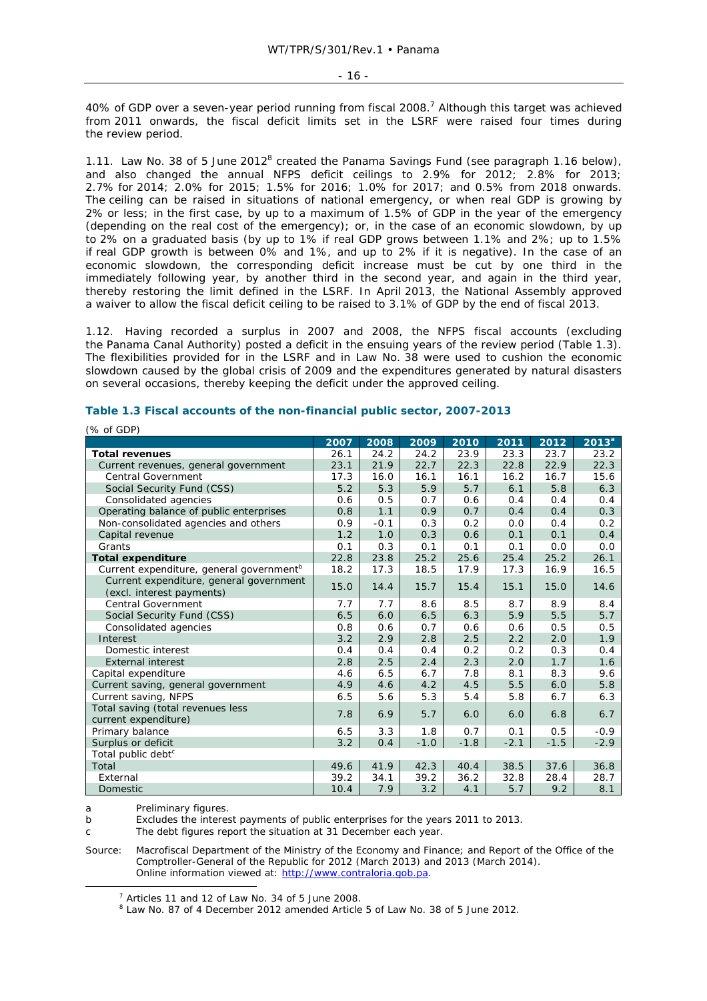40% of GDP over a seven-year period running from fiscal 2008.<sup>7</sup> Although this target was achieved from 2011 onwards, the fiscal deficit limits set in the LSRF were raised four times during the review period.

1.11. Law No. 38 of 5 June 2012<sup>8</sup> created the Panama Savings Fund (see paragraph 1.16 below), and also changed the annual NFPS deficit ceilings to 2.9% for 2012; 2.8% for 2013; 2.7% for 2014; 2.0% for 2015; 1.5% for 2016; 1.0% for 2017; and 0.5% from 2018 onwards. The ceiling can be raised in situations of national emergency, or when real GDP is growing by 2% or less; in the first case, by up to a maximum of 1.5% of GDP in the year of the emergency (depending on the real cost of the emergency); or, in the case of an economic slowdown, by up to 2% on a graduated basis (by up to 1% if real GDP grows between 1.1% and 2%; up to 1.5% if real GDP growth is between 0% and 1%, and up to 2% if it is negative). In the case of an economic slowdown, the corresponding deficit increase must be cut by one third in the immediately following year, by another third in the second year, and again in the third year, thereby restoring the limit defined in the LSRF. In April 2013, the National Assembly approved a waiver to allow the fiscal deficit ceiling to be raised to 3.1% of GDP by the end of fiscal 2013.

1.12. Having recorded a surplus in 2007 and 2008, the NFPS fiscal accounts (excluding the Panama Canal Authority) posted a deficit in the ensuing years of the review period (Table 1.3). The flexibilities provided for in the LSRF and in Law No. 38 were used to cushion the economic slowdown caused by the global crisis of 2009 and the expenditures generated by natural disasters on several occasions, thereby keeping the deficit under the approved ceiling.

| (70 UI GDP)                                                          |      |        |        |        |        |        |                   |
|----------------------------------------------------------------------|------|--------|--------|--------|--------|--------|-------------------|
|                                                                      | 2007 | 2008   | 2009   | 2010   | 2011   | 2012   | 2013 <sup>a</sup> |
| <b>Total revenues</b>                                                | 26.1 | 24.2   | 24.2   | 23.9   | 23.3   | 23.7   | 23.2              |
| Current revenues, general government                                 | 23.1 | 21.9   | 22.7   | 22.3   | 22.8   | 22.9   | 22.3              |
| <b>Central Government</b>                                            | 17.3 | 16.0   | 16.1   | 16.1   | 16.2   | 16.7   | 15.6              |
| Social Security Fund (CSS)                                           | 5.2  | 5.3    | 5.9    | 5.7    | 6.1    | 5.8    | 6.3               |
| Consolidated agencies                                                | 0.6  | 0.5    | 0.7    | 0.6    | 0.4    | 0.4    | 0.4               |
| Operating balance of public enterprises                              | 0.8  | 1.1    | 0.9    | 0.7    | 0.4    | 0.4    | 0.3               |
| Non-consolidated agencies and others                                 | 0.9  | $-0.1$ | 0.3    | 0.2    | 0.0    | 0.4    | 0.2               |
| Capital revenue                                                      | 1.2  | 1.0    | 0.3    | 0.6    | 0.1    | 0.1    | 0.4               |
| Grants                                                               | 0.1  | 0.3    | 0.1    | 0.1    | 0.1    | 0.0    | 0.0               |
| <b>Total expenditure</b>                                             | 22.8 | 23.8   | 25.2   | 25.6   | 25.4   | 25.2   | 26.1              |
| Current expenditure, general government <sup>b</sup>                 | 18.2 | 17.3   | 18.5   | 17.9   | 17.3   | 16.9   | 16.5              |
| Current expenditure, general government<br>(excl. interest payments) | 15.0 | 14.4   | 15.7   | 15.4   | 15.1   | 15.0   | 14.6              |
| <b>Central Government</b>                                            | 7.7  | 7.7    | 8.6    | 8.5    | 8.7    | 8.9    | 8.4               |
| Social Security Fund (CSS)                                           | 6.5  | 6.0    | 6.5    | 6.3    | 5.9    | 5.5    | 5.7               |
| Consolidated agencies                                                | 0.8  | 0.6    | 0.7    | 0.6    | 0.6    | 0.5    | 0.5               |
| Interest                                                             | 3.2  | 2.9    | 2.8    | 2.5    | 2.2    | 2.0    | 1.9               |
| Domestic interest                                                    | 0.4  | 0.4    | 0.4    | 0.2    | 0.2    | 0.3    | 0.4               |
| <b>External interest</b>                                             | 2.8  | 2.5    | 2.4    | 2.3    | 2.0    | 1.7    | 1.6               |
| Capital expenditure                                                  | 4.6  | 6.5    | 6.7    | 7.8    | 8.1    | 8.3    | 9.6               |
| Current saving, general government                                   | 4.9  | 4.6    | 4.2    | 4.5    | 5.5    | 6.0    | 5.8               |
| Current saving, NFPS                                                 | 6.5  | 5.6    | 5.3    | 5.4    | 5.8    | 6.7    | 6.3               |
| Total saving (total revenues less<br>current expenditure)            | 7.8  | 6.9    | 5.7    | 6.0    | 6.0    | 6.8    | 6.7               |
| Primary balance                                                      | 6.5  | 3.3    | 1.8    | 0.7    | 0.1    | 0.5    | $-0.9$            |
| Surplus or deficit                                                   | 3.2  | 0.4    | $-1.0$ | $-1.8$ | $-2.1$ | $-1.5$ | $-2.9$            |
| Total public debt <sup>c</sup>                                       |      |        |        |        |        |        |                   |
| Total                                                                | 49.6 | 41.9   | 42.3   | 40.4   | 38.5   | 37.6   | 36.8              |
| External                                                             | 39.2 | 34.1   | 39.2   | 36.2   | 32.8   | 28.4   | 28.7              |
| <b>Domestic</b>                                                      | 10.4 | 7.9    | 3.2    | 4.1    | 5.7    | 9.2    | 8.1               |

## **Table 1.3 Fiscal accounts of the non-financial public sector, 2007-2013**

a Preliminary figures.

 $(0)$  of  $CDD$ 

b Excludes the interest payments of public enterprises for the years 2011 to 2013.

c The debt figures report the situation at 31 December each year.

Source: Macrofiscal Department of the Ministry of the Economy and Finance; and Report of the Office of the Comptroller-General of the Republic for 2012 (March 2013) and 2013 (March 2014). Online information viewed at: http://www.contraloria.gob.pa.

 $\overline{7}$  $<sup>7</sup>$  Articles 11 and 12 of Law No. 34 of 5 June 2008.</sup>

<sup>&</sup>lt;sup>8</sup> Law No. 87 of 4 December 2012 amended Article 5 of Law No. 38 of 5 June 2012.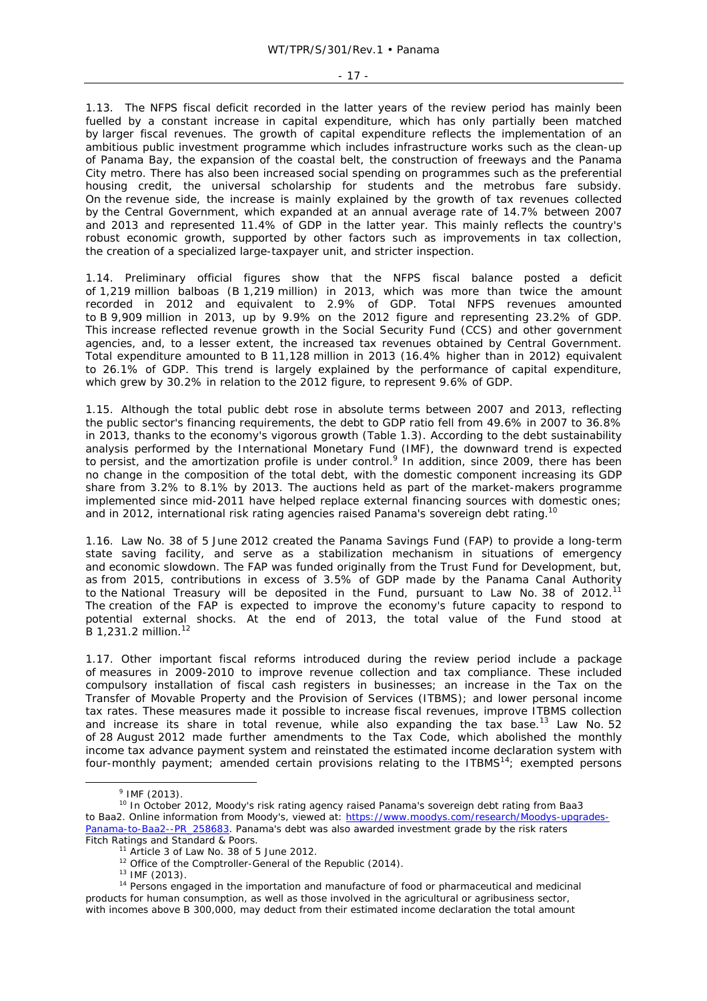- 17 -

1.13. The NFPS fiscal deficit recorded in the latter years of the review period has mainly been fuelled by a constant increase in capital expenditure, which has only partially been matched by larger fiscal revenues. The growth of capital expenditure reflects the implementation of an ambitious public investment programme which includes infrastructure works such as the clean-up of Panama Bay, the expansion of the coastal belt, the construction of freeways and the Panama City metro. There has also been increased social spending on programmes such as the preferential housing credit, the universal scholarship for students and the metrobus fare subsidy. On the revenue side, the increase is mainly explained by the growth of tax revenues collected by the Central Government, which expanded at an annual average rate of 14.7% between 2007 and 2013 and represented 11.4% of GDP in the latter year. This mainly reflects the country's robust economic growth, supported by other factors such as improvements in tax collection, the creation of a specialized large-taxpayer unit, and stricter inspection.

1.14. Preliminary official figures show that the NFPS fiscal balance posted a deficit of 1,219 million balboas (B 1,219 million) in 2013, which was more than twice the amount recorded in 2012 and equivalent to 2.9% of GDP. Total NFPS revenues amounted to B 9,909 million in 2013, up by 9.9% on the 2012 figure and representing 23.2% of GDP. This increase reflected revenue growth in the Social Security Fund (CCS) and other government agencies, and, to a lesser extent, the increased tax revenues obtained by Central Government. Total expenditure amounted to B 11,128 million in 2013 (16.4% higher than in 2012) equivalent to 26.1% of GDP. This trend is largely explained by the performance of capital expenditure, which grew by 30.2% in relation to the 2012 figure, to represent 9.6% of GDP.

1.15. Although the total public debt rose in absolute terms between 2007 and 2013, reflecting the public sector's financing requirements, the debt to GDP ratio fell from 49.6% in 2007 to 36.8% in 2013, thanks to the economy's vigorous growth (Table 1.3). According to the debt sustainability analysis performed by the International Monetary Fund (IMF), the downward trend is expected to persist, and the amortization profile is under control.<sup>9</sup> In addition, since 2009, there has been no change in the composition of the total debt, with the domestic component increasing its GDP share from 3.2% to 8.1% by 2013. The auctions held as part of the market-makers programme implemented since mid-2011 have helped replace external financing sources with domestic ones; and in 2012, international risk rating agencies raised Panama's sovereign debt rating.<sup>10</sup>

1.16. Law No. 38 of 5 June 2012 created the Panama Savings Fund (FAP) to provide a long-term state saving facility, and serve as a stabilization mechanism in situations of emergency and economic slowdown. The FAP was funded originally from the Trust Fund for Development, but, as from 2015, contributions in excess of 3.5% of GDP made by the Panama Canal Authority to the National Treasury will be deposited in the Fund, pursuant to Law No. 38 of 2012.<sup>11</sup> The creation of the FAP is expected to improve the economy's future capacity to respond to potential external shocks. At the end of 2013, the total value of the Fund stood at B 1,231.2 million.12

1.17. Other important fiscal reforms introduced during the review period include a package of measures in 2009-2010 to improve revenue collection and tax compliance. These included compulsory installation of fiscal cash registers in businesses; an increase in the Tax on the Transfer of Movable Property and the Provision of Services (ITBMS); and lower personal income tax rates. These measures made it possible to increase fiscal revenues, improve ITBMS collection and increase its share in total revenue, while also expanding the tax base.<sup>13</sup> Law No. 52 of 28 August 2012 made further amendments to the Tax Code, which abolished the monthly income tax advance payment system and reinstated the estimated income declaration system with four-monthly payment; amended certain provisions relating to the ITBMS<sup>14</sup>; exempted persons

 $\frac{1}{9}$  $9$  IMF (2013).

<sup>&</sup>lt;sup>10</sup> In October 2012, Moody's risk rating agency raised Panama's sovereign debt rating from Baa3 to Baa2. Online information from Moody's, viewed at: https://www.moodys.com/research/Moodys-upgrades-Panama-to-Baa2--PR\_258683. Panama's debt was also awarded investment grade by the risk raters

Fitch Ratings and Standard & Poors.<br>
<sup>11</sup> Article 3 of Law No. 38 of 5 June 2012.<br>
<sup>12</sup> Office of the Comptroller-General of the Republic (2014).<br>
<sup>13</sup> IMF (2013).<br>
<sup>14</sup> Persons engaged in the importation and manufacture o products for human consumption, as well as those involved in the agricultural or agribusiness sector, with incomes above B 300,000, may deduct from their estimated income declaration the total amount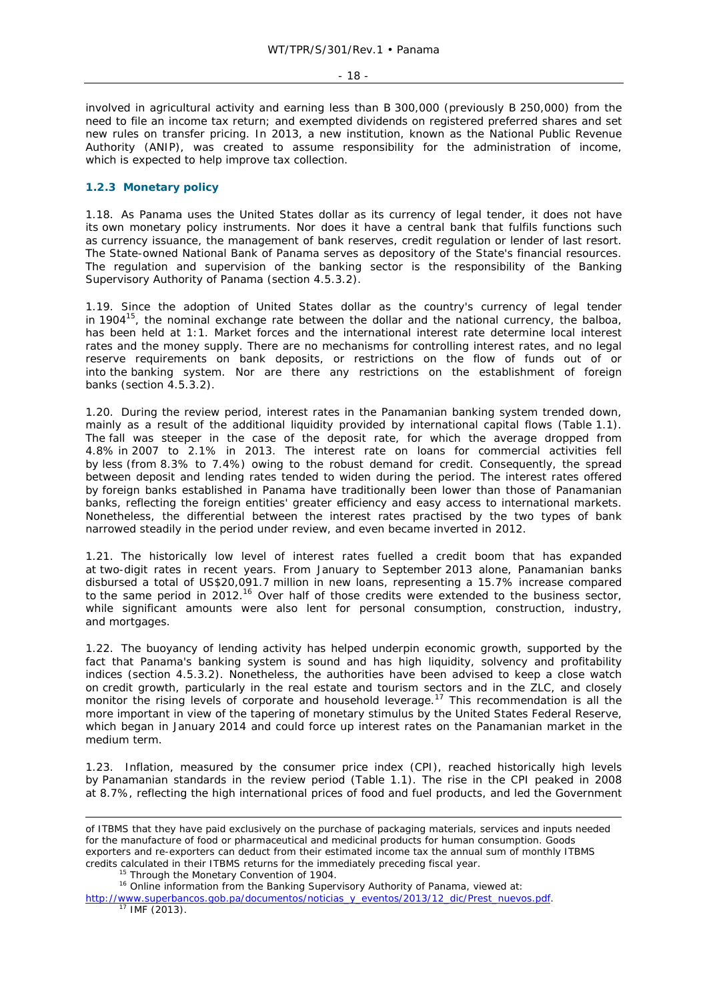involved in agricultural activity and earning less than B 300,000 (previously B 250,000) from the need to file an income tax return; and exempted dividends on registered preferred shares and set new rules on transfer pricing. In 2013, a new institution, known as the National Public Revenue Authority (ANIP), was created to assume responsibility for the administration of income, which is expected to help improve tax collection.

## **1.2.3 Monetary policy**

1.18. As Panama uses the United States dollar as its currency of legal tender, it does not have its own monetary policy instruments. Nor does it have a central bank that fulfils functions such as currency issuance, the management of bank reserves, credit regulation or lender of last resort. The State-owned National Bank of Panama serves as depository of the State's financial resources. The regulation and supervision of the banking sector is the responsibility of the Banking Supervisory Authority of Panama (section 4.5.3.2).

1.19. Since the adoption of United States dollar as the country's currency of legal tender in 1904 $15$ , the nominal exchange rate between the dollar and the national currency, the balboa, has been held at 1:1. Market forces and the international interest rate determine local interest rates and the money supply. There are no mechanisms for controlling interest rates, and no legal reserve requirements on bank deposits, or restrictions on the flow of funds out of or into the banking system. Nor are there any restrictions on the establishment of foreign banks (section 4.5.3.2).

1.20. During the review period, interest rates in the Panamanian banking system trended down, mainly as a result of the additional liquidity provided by international capital flows (Table 1.1). The fall was steeper in the case of the deposit rate, for which the average dropped from 4.8% in 2007 to 2.1% in 2013. The interest rate on loans for commercial activities fell by less (from 8.3% to 7.4%) owing to the robust demand for credit. Consequently, the spread between deposit and lending rates tended to widen during the period. The interest rates offered by foreign banks established in Panama have traditionally been lower than those of Panamanian banks, reflecting the foreign entities' greater efficiency and easy access to international markets. Nonetheless, the differential between the interest rates practised by the two types of bank narrowed steadily in the period under review, and even became inverted in 2012.

1.21. The historically low level of interest rates fuelled a credit boom that has expanded at two-digit rates in recent years. From January to September 2013 alone, Panamanian banks disbursed a total of US\$20,091.7 million in new loans, representing a 15.7% increase compared to the same period in 2012.<sup>16</sup> Over half of those credits were extended to the business sector, while significant amounts were also lent for personal consumption, construction, industry, and mortgages.

1.22. The buoyancy of lending activity has helped underpin economic growth, supported by the fact that Panama's banking system is sound and has high liquidity, solvency and profitability indices (section 4.5.3.2). Nonetheless, the authorities have been advised to keep a close watch on credit growth, particularly in the real estate and tourism sectors and in the ZLC, and closely monitor the rising levels of corporate and household leverage.<sup>17</sup> This recommendation is all the more important in view of the tapering of monetary stimulus by the United States Federal Reserve, which began in January 2014 and could force up interest rates on the Panamanian market in the medium term.

1.23. Inflation, measured by the consumer price index (CPI), reached historically high levels by Panamanian standards in the review period (Table 1.1). The rise in the CPI peaked in 2008 at 8.7%, reflecting the high international prices of food and fuel products, and led the Government

ł

of ITBMS that they have paid exclusively on the purchase of packaging materials, services and inputs needed for the manufacture of food or pharmaceutical and medicinal products for human consumption. Goods exporters and re-exporters can deduct from their estimated income tax the annual sum of monthly ITBMS credits calculated in their ITBMS returns for the immediately preceding fiscal year.<br><sup>15</sup> Through the Monetary Convention of 1904.<br><sup>16</sup> Online information from the Banking Supervisory Authority of Panama, viewed at:

http://www.superbancos.gob.pa/documentos/noticias\_y\_eventos/2013/12\_dic/Prest\_nuevos.pdf. <sup>17</sup> IMF (2013).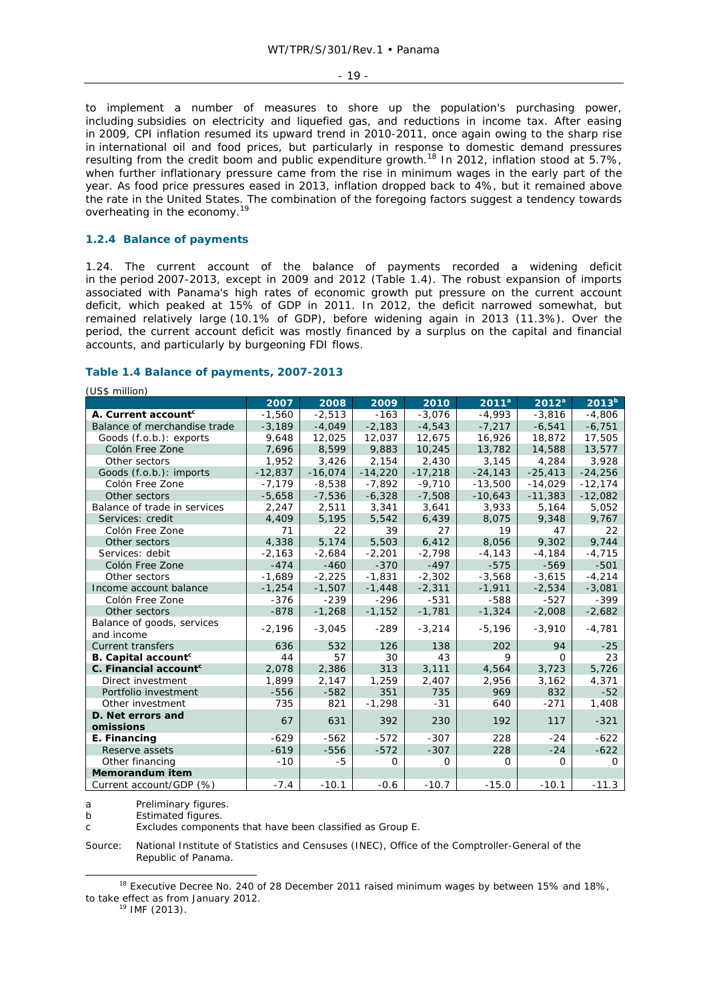- 19 -

to implement a number of measures to shore up the population's purchasing power, including subsidies on electricity and liquefied gas, and reductions in income tax. After easing in 2009, CPI inflation resumed its upward trend in 2010-2011, once again owing to the sharp rise in international oil and food prices, but particularly in response to domestic demand pressures resulting from the credit boom and public expenditure growth.18 In 2012, inflation stood at 5.7%, when further inflationary pressure came from the rise in minimum wages in the early part of the year. As food price pressures eased in 2013, inflation dropped back to 4%, but it remained above the rate in the United States. The combination of the foregoing factors suggest a tendency towards overheating in the economy.<sup>19</sup>

## **1.2.4 Balance of payments**

1.24. The current account of the balance of payments recorded a widening deficit in the period 2007-2013, except in 2009 and 2012 (Table 1.4). The robust expansion of imports associated with Panama's high rates of economic growth put pressure on the current account deficit, which peaked at 15% of GDP in 2011. In 2012, the deficit narrowed somewhat, but remained relatively large (10.1% of GDP), before widening again in 2013 (11.3%). Over the period, the current account deficit was mostly financed by a surplus on the capital and financial accounts, and particularly by burgeoning FDI flows.

## **Table 1.4 Balance of payments, 2007-2013**

(US\$ million)

|                                   | 2007      | 2008      | 2009      | 2010      | 2011 <sup>a</sup> | $2012^a$  | 2013 <sup>b</sup> |
|-----------------------------------|-----------|-----------|-----------|-----------|-------------------|-----------|-------------------|
| A. Current account <sup>c</sup>   | $-1,560$  | $-2,513$  | $-163$    | $-3,076$  | $-4,993$          | $-3,816$  | $-4,806$          |
| Balance of merchandise trade      | $-3,189$  | $-4,049$  | $-2,183$  | $-4,543$  | $-7,217$          | $-6,541$  | $-6,751$          |
| Goods (f.o.b.): exports           | 9,648     | 12,025    | 12,037    | 12,675    | 16,926            | 18,872    | 17,505            |
| Colón Free Zone                   | 7,696     | 8,599     | 9,883     | 10,245    | 13,782            | 14,588    | 13,577            |
| Other sectors                     | 1,952     | 3,426     | 2,154     | 2,430     | 3,145             | 4,284     | 3,928             |
| Goods (f.o.b.): imports           | $-12,837$ | $-16,074$ | $-14,220$ | $-17,218$ | $-24,143$         | $-25,413$ | $-24,256$         |
| Colón Free Zone                   | $-7,179$  | $-8,538$  | $-7,892$  | $-9,710$  | $-13,500$         | $-14,029$ | $-12,174$         |
| Other sectors                     | $-5,658$  | $-7,536$  | $-6,328$  | $-7,508$  | $-10,643$         | $-11,383$ | $-12,082$         |
| Balance of trade in services      | 2,247     | 2,511     | 3,341     | 3,641     | 3,933             | 5,164     | 5,052             |
| Services: credit                  | 4.409     | 5,195     | 5,542     | 6,439     | 8,075             | 9.348     | 9,767             |
| Colón Free Zone                   | 71        | 22        | 39        | 27        | 19                | 47        | 22                |
| Other sectors                     | 4,338     | 5,174     | 5,503     | 6,412     | 8,056             | 9,302     | 9,744             |
| Services: debit                   | $-2,163$  | $-2,684$  | $-2,201$  | $-2,798$  | $-4, 143$         | $-4,184$  | $-4,715$          |
| Colón Free Zone                   | $-474$    | $-460$    | $-370$    | $-497$    | $-575$            | $-569$    | $-501$            |
| Other sectors                     | $-1,689$  | $-2,225$  | $-1,831$  | $-2,302$  | $-3,568$          | $-3,615$  | $-4,214$          |
| Income account balance            | $-1,254$  | $-1,507$  | $-1,448$  | $-2,311$  | $-1,911$          | $-2,534$  | $-3,081$          |
| Colón Free Zone                   | $-376$    | $-239$    | $-296$    | $-531$    | $-588$            | $-527$    | $-399$            |
| Other sectors                     | $-878$    | $-1,268$  | $-1,152$  | $-1,781$  | $-1,324$          | $-2,008$  | $-2,682$          |
| Balance of goods, services        |           |           |           |           |                   |           |                   |
| and income                        | $-2,196$  | $-3,045$  | $-289$    | $-3,214$  | $-5,196$          | $-3,910$  | $-4,781$          |
| <b>Current transfers</b>          | 636       | 532       | 126       | 138       | 202               | 94        | $-25$             |
| B. Capital account <sup>c</sup>   | 44        | 57        | 30        | 43        | 9                 | $\Omega$  | 23                |
| C. Financial account <sup>c</sup> | 2,078     | 2,386     | 313       | 3,111     | 4,564             | 3,723     | 5,726             |
| Direct investment                 | 1,899     | 2,147     | 1,259     | 2,407     | 2,956             | 3,162     | 4,371             |
| Portfolio investment              | $-556$    | $-582$    | 351       | 735       | 969               | 832       | $-52$             |
| Other investment                  | 735       | 821       | $-1,298$  | $-31$     | 640               | $-271$    | 1,408             |
| D. Net errors and                 |           |           |           |           |                   |           |                   |
| omissions                         | 67        | 631       | 392       | 230       | 192               | 117       | $-321$            |
| E. Financing                      | $-629$    | $-562$    | $-572$    | $-307$    | 228               | $-24$     | $-622$            |
| Reserve assets                    | $-619$    | $-556$    | $-572$    | $-307$    | 228               | $-24$     | $-622$            |
| Other financing                   | $-10$     | -5        | $\Omega$  | 0         | $\Omega$          | $\Omega$  | $\Omega$          |
| Memorandum item                   |           |           |           |           |                   |           |                   |
| Current account/GDP (%)           | $-7.4$    | $-10.1$   | $-0.6$    | $-10.7$   | $-15.0$           | $-10.1$   | $-11.3$           |

a Preliminary figures.

b Estimated figures.

c Excludes components that have been classified as Group E.

Source: National Institute of Statistics and Censuses (INEC), Office of the Comptroller-General of the Republic of Panama.

<sup>&</sup>lt;sup>18</sup> Executive Decree No. 240 of 28 December 2011 raised minimum wages by between 15% and 18%, to take effect as from January 2012.<br><sup>19</sup> IMF (2013).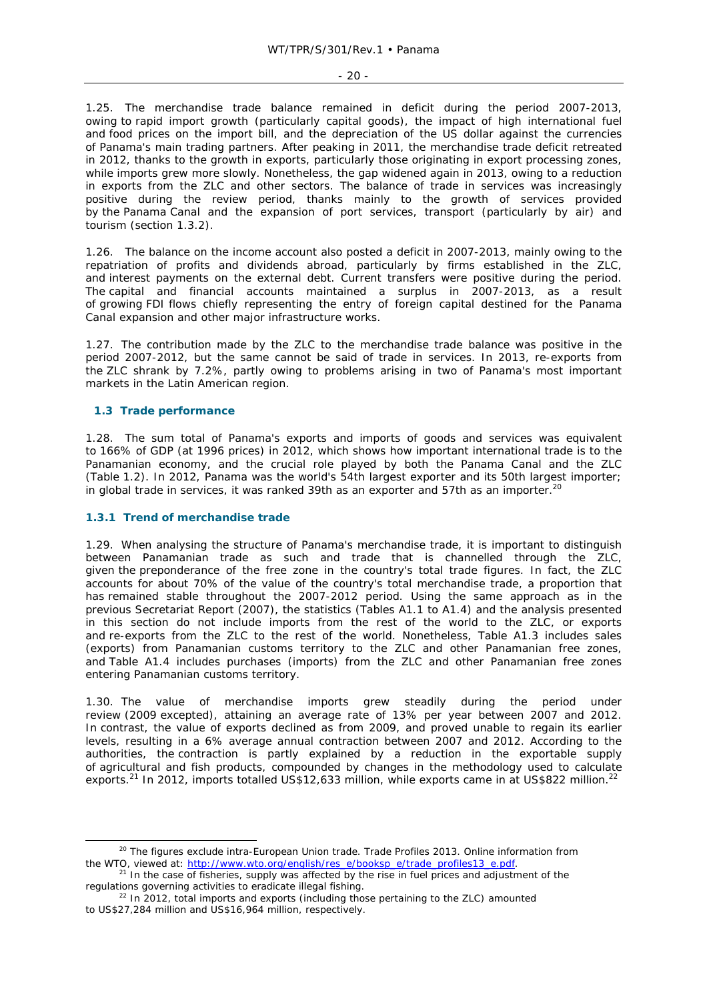1.25. The merchandise trade balance remained in deficit during the period 2007-2013, owing to rapid import growth (particularly capital goods), the impact of high international fuel and food prices on the import bill, and the depreciation of the US dollar against the currencies of Panama's main trading partners. After peaking in 2011, the merchandise trade deficit retreated in 2012, thanks to the growth in exports, particularly those originating in export processing zones, while imports grew more slowly. Nonetheless, the gap widened again in 2013, owing to a reduction in exports from the ZLC and other sectors. The balance of trade in services was increasingly positive during the review period, thanks mainly to the growth of services provided by the Panama Canal and the expansion of port services, transport (particularly by air) and tourism (section 1.3.2).

1.26. The balance on the income account also posted a deficit in 2007-2013, mainly owing to the repatriation of profits and dividends abroad, particularly by firms established in the ZLC, and interest payments on the external debt. Current transfers were positive during the period. The capital and financial accounts maintained a surplus in 2007-2013, as a result of growing FDI flows chiefly representing the entry of foreign capital destined for the Panama Canal expansion and other major infrastructure works.

1.27. The contribution made by the ZLC to the merchandise trade balance was positive in the period 2007-2012, but the same cannot be said of trade in services. In 2013, re-exports from the ZLC shrank by 7.2%, partly owing to problems arising in two of Panama's most important markets in the Latin American region.

## **1.3 Trade performance**

1.28. The sum total of Panama's exports and imports of goods and services was equivalent to 166% of GDP (at 1996 prices) in 2012, which shows how important international trade is to the Panamanian economy, and the crucial role played by both the Panama Canal and the ZLC (Table 1.2). In 2012, Panama was the world's 54th largest exporter and its 50th largest importer; in global trade in services, it was ranked 39th as an exporter and 57th as an importer.<sup>20</sup>

## **1.3.1 Trend of merchandise trade**

1.29. When analysing the structure of Panama's merchandise trade, it is important to distinguish between Panamanian trade as such and trade that is channelled through the ZLC, given the preponderance of the free zone in the country's total trade figures. In fact, the ZLC accounts for about 70% of the value of the country's total merchandise trade, a proportion that has remained stable throughout the 2007-2012 period. Using the same approach as in the previous Secretariat Report (2007), the statistics (Tables A1.1 to A1.4) and the analysis presented in this section do not include imports from the rest of the world to the ZLC, or exports and re-exports from the ZLC to the rest of the world. Nonetheless, Table A1.3 includes sales (exports) from Panamanian customs territory to the ZLC and other Panamanian free zones, and Table A1.4 includes purchases (imports) from the ZLC and other Panamanian free zones entering Panamanian customs territory.

1.30. The value of merchandise imports grew steadily during the period under review (2009 excepted), attaining an average rate of 13% per year between 2007 and 2012. In contrast, the value of exports declined as from 2009, and proved unable to regain its earlier levels, resulting in a 6% average annual contraction between 2007 and 2012. According to the authorities, the contraction is partly explained by a reduction in the exportable supply of agricultural and fish products, compounded by changes in the methodology used to calculate exports.<sup>21</sup> In 2012, imports totalled US\$12,633 million, while exports came in at US\$822 million.<sup>22</sup>

 <sup>20</sup> The figures exclude intra-European Union trade. *Trade Profiles 2013*. Online information from the WTO, viewed at: http://www.wto.org/english/res\_e/booksp\_e/trade\_profiles13\_e.pdf. <sup>21</sup> In the case of fisheries, supply was affected by the rise in fuel prices and adjustment of the

regulations governing activities to eradicate illegal fishing. 22 In 2012, total imports and exports (including those pertaining to the ZLC) amounted

to US\$27,284 million and US\$16,964 million, respectively.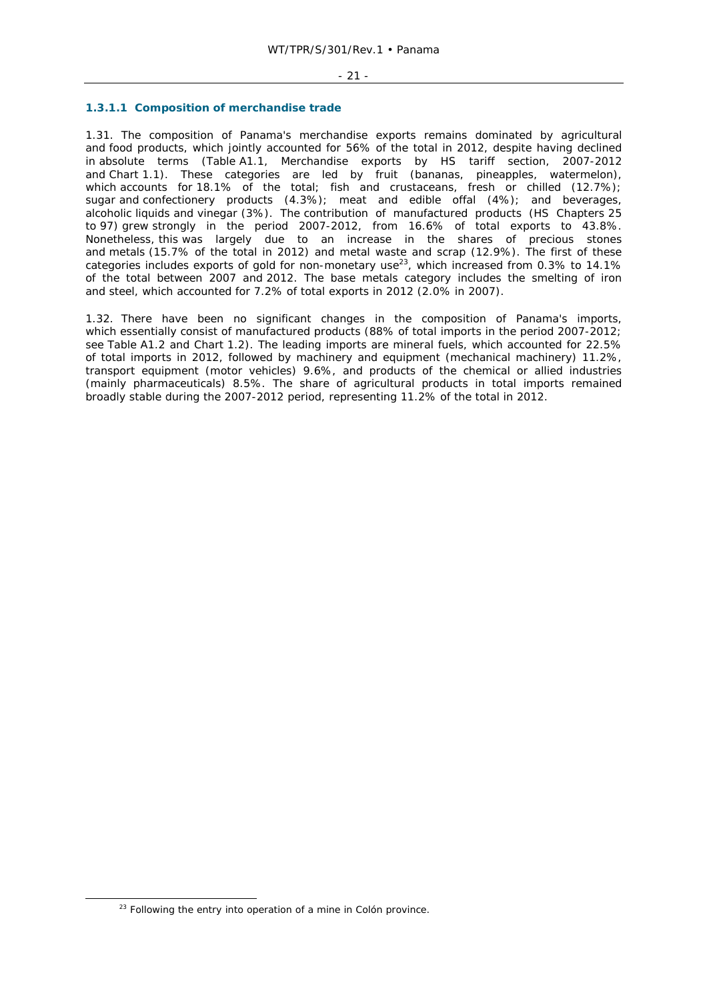#### - 21 -

## **1.3.1.1 Composition of merchandise trade**

1.31. The composition of Panama's merchandise exports remains dominated by agricultural and food products, which jointly accounted for 56% of the total in 2012, despite having declined in absolute terms (Table A1.1, Merchandise exports by HS tariff section, 2007-2012 and Chart 1.1). These categories are led by fruit (bananas, pineapples, watermelon), which accounts for 18.1% of the total; fish and crustaceans, fresh or chilled (12.7%); sugar and confectionery products (4.3%); meat and edible offal (4%); and beverages, alcoholic liquids and vinegar (3%). The contribution of manufactured products (HS Chapters 25 to 97) grew strongly in the period 2007-2012, from 16.6% of total exports to 43.8%. Nonetheless, this was largely due to an increase in the shares of precious stones and metals (15.7% of the total in 2012) and metal waste and scrap (12.9%). The first of these categories includes exports of gold for non-monetary use<sup>23</sup>, which increased from 0.3% to 14.1% of the total between 2007 and 2012. The base metals category includes the smelting of iron and steel, which accounted for 7.2% of total exports in 2012 (2.0% in 2007).

1.32. There have been no significant changes in the composition of Panama's imports, which essentially consist of manufactured products (88% of total imports in the period 2007-2012; see Table A1.2 and Chart 1.2). The leading imports are mineral fuels, which accounted for 22.5% of total imports in 2012, followed by machinery and equipment (mechanical machinery) 11.2%, transport equipment (motor vehicles) 9.6%, and products of the chemical or allied industries (mainly pharmaceuticals) 8.5%. The share of agricultural products in total imports remained broadly stable during the 2007-2012 period, representing 11.2% of the total in 2012.

 $23$  Following the entry into operation of a mine in Colón province.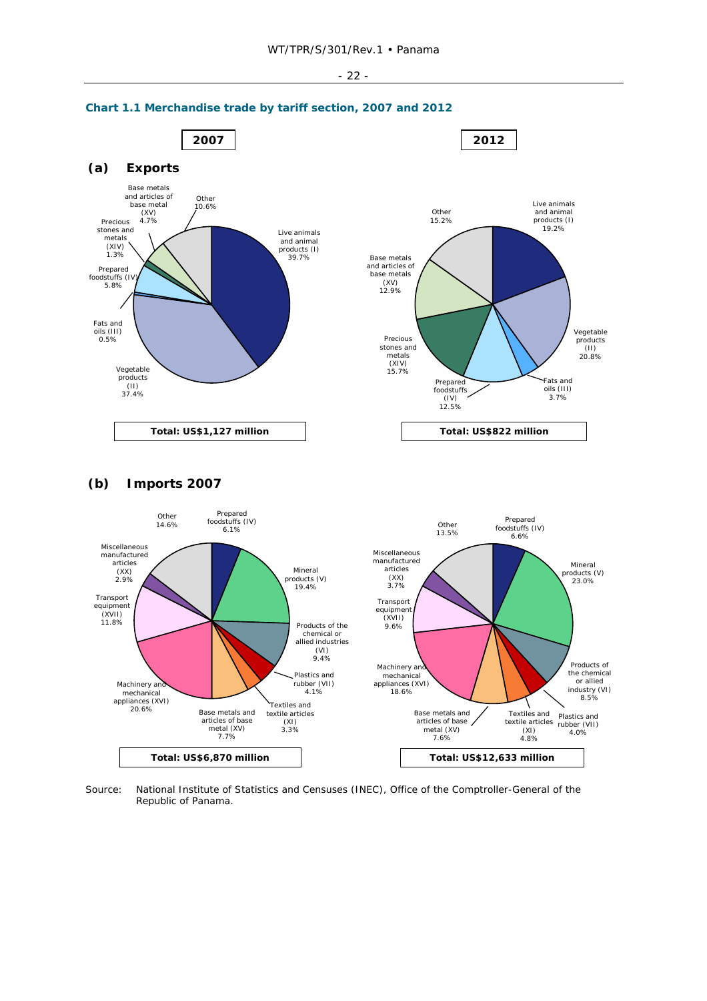



## **(b) Imports 2007**



Source: National Institute of Statistics and Censuses (INEC), Office of the Comptroller-General of the Republic of Panama.

## - 22 -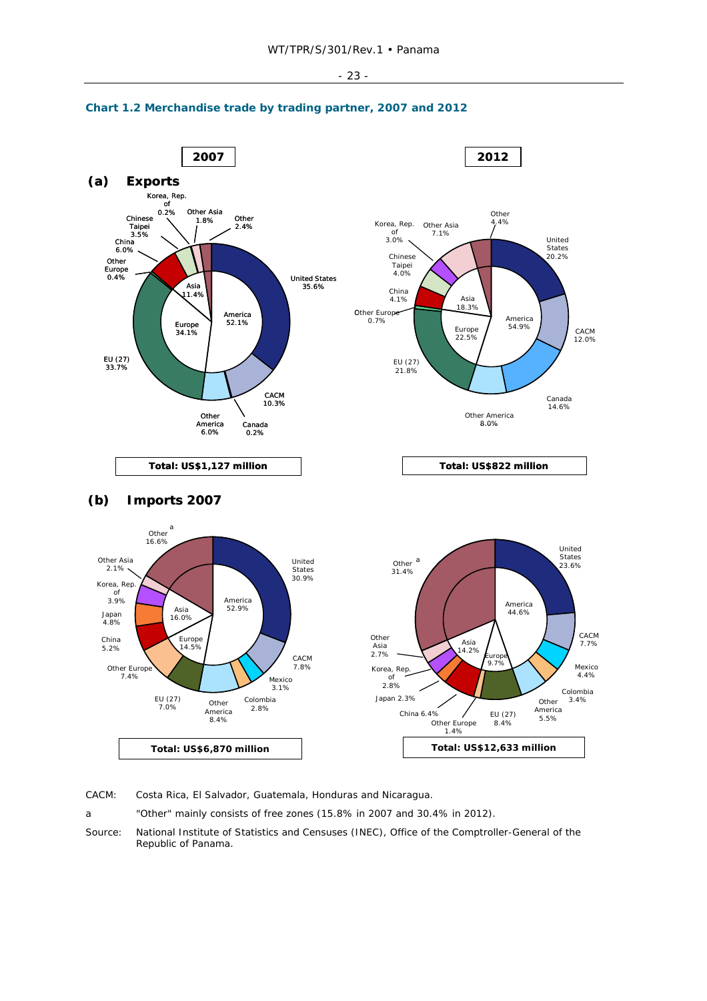



## **Chart 1.2 Merchandise trade by trading partner, 2007 and 2012**

CACM: Costa Rica, El Salvador, Guatemala, Honduras and Nicaragua.

a "Other" mainly consists of free zones (15.8% in 2007 and 30.4% in 2012).

Source: National Institute of Statistics and Censuses (INEC), Office of the Comptroller-General of the Republic of Panama.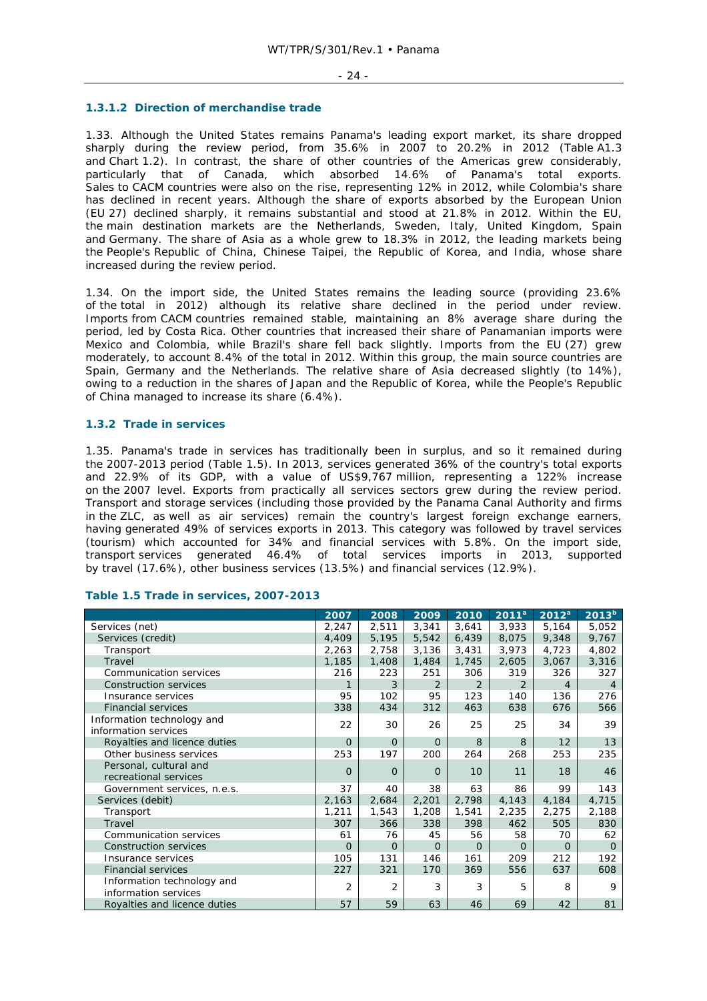#### - 24 -

### **1.3.1.2 Direction of merchandise trade**

1.33. Although the United States remains Panama's leading export market, its share dropped sharply during the review period, from 35.6% in 2007 to 20.2% in 2012 (Table A1.3 and Chart 1.2). In contrast, the share of other countries of the Americas grew considerably, particularly that of Canada, which absorbed 14.6% of Panama's total exports. Sales to CACM countries were also on the rise, representing 12% in 2012, while Colombia's share has declined in recent years. Although the share of exports absorbed by the European Union (EU 27) declined sharply, it remains substantial and stood at 21.8% in 2012. Within the EU, the main destination markets are the Netherlands, Sweden, Italy, United Kingdom, Spain and Germany. The share of Asia as a whole grew to 18.3% in 2012, the leading markets being the People's Republic of China, Chinese Taipei, the Republic of Korea, and India, whose share increased during the review period.

1.34. On the import side, the United States remains the leading source (providing 23.6% of the total in 2012) although its relative share declined in the period under review. Imports from CACM countries remained stable, maintaining an 8% average share during the period, led by Costa Rica. Other countries that increased their share of Panamanian imports were Mexico and Colombia, while Brazil's share fell back slightly. Imports from the EU (27) grew moderately, to account 8.4% of the total in 2012. Within this group, the main source countries are Spain, Germany and the Netherlands. The relative share of Asia decreased slightly (to 14%), owing to a reduction in the shares of Japan and the Republic of Korea, while the People's Republic of China managed to increase its share (6.4%).

## **1.3.2 Trade in services**

1.35. Panama's trade in services has traditionally been in surplus, and so it remained during the 2007-2013 period (Table 1.5). In 2013, services generated 36% of the country's total exports and 22.9% of its GDP, with a value of US\$9,767 million, representing a 122% increase on the 2007 level. Exports from practically all services sectors grew during the review period. Transport and storage services (including those provided by the Panama Canal Authority and firms in the ZLC, as well as air services) remain the country's largest foreign exchange earners, having generated 49% of services exports in 2013. This category was followed by travel services (tourism) which accounted for 34% and financial services with 5.8%. On the import side, transport services generated 46.4% of total services imports in 2013, supported by travel (17.6%), other business services (13.5%) and financial services (12.9%).

|                                                    | 2007           | 2008           | 2009     | 2010     | $2011^a$ | $2012^a$       | $2013^b$       |
|----------------------------------------------------|----------------|----------------|----------|----------|----------|----------------|----------------|
| Services (net)                                     | 2,247          | 2,511          | 3,341    | 3,641    | 3,933    | 5,164          | 5,052          |
| Services (credit)                                  | 4,409          | 5,195          | 5,542    | 6,439    | 8,075    | 9,348          | 9,767          |
| Transport                                          | 2,263          | 2,758          | 3,136    | 3,431    | 3,973    | 4,723          | 4,802          |
| Travel                                             | 1,185          | 1,408          | 1,484    | 1,745    | 2,605    | 3,067          | 3,316          |
| Communication services                             | 216            | 223            | 251      | 306      | 319      | 326            | 327            |
| <b>Construction services</b>                       | 1              | 3              | 2        | 2        | 2        | $\overline{4}$ | $\overline{4}$ |
| Insurance services                                 | 95             | 102            | 95       | 123      | 140      | 136            | 276            |
| <b>Financial services</b>                          | 338            | 434            | 312      | 463      | 638      | 676            | 566            |
| Information technology and<br>information services | 22             | 30             | 26       | 25       | 25       | 34             | 39             |
| Royalties and licence duties                       | $\Omega$       | $\Omega$       | $\Omega$ | 8        | 8        | 12             | 13             |
| Other business services                            | 253            | 197            | 200      | 264      | 268      | 253            | 235            |
| Personal, cultural and<br>recreational services    | $\Omega$       | $\Omega$       | $\Omega$ | 10       | 11       | 18             | 46             |
| Government services, n.e.s.                        | 37             | 40             | 38       | 63       | 86       | 99             | 143            |
| Services (debit)                                   | 2,163          | 2,684          | 2,201    | 2,798    | 4,143    | 4,184          | 4,715          |
| Transport                                          | 1,211          | 1,543          | 1,208    | 1,541    | 2,235    | 2,275          | 2,188          |
| Travel                                             | 307            | 366            | 338      | 398      | 462      | 505            | 830            |
| Communication services                             | 61             | 76             | 45       | 56       | 58       | 70             | 62             |
| <b>Construction services</b>                       | $\Omega$       | $\Omega$       | $\Omega$ | $\Omega$ | $\Omega$ | $\Omega$       | $\Omega$       |
| Insurance services                                 | 105            | 131            | 146      | 161      | 209      | 212            | 192            |
| <b>Financial services</b>                          | 227            | 321            | 170      | 369      | 556      | 637            | 608            |
| Information technology and<br>information services | $\overline{2}$ | $\overline{2}$ | 3        | 3        | 5        | 8              | 9              |
| Royalties and licence duties                       | 57             | 59             | 63       | 46       | 69       | 42             | 81             |

#### **Table 1.5 Trade in services, 2007-2013**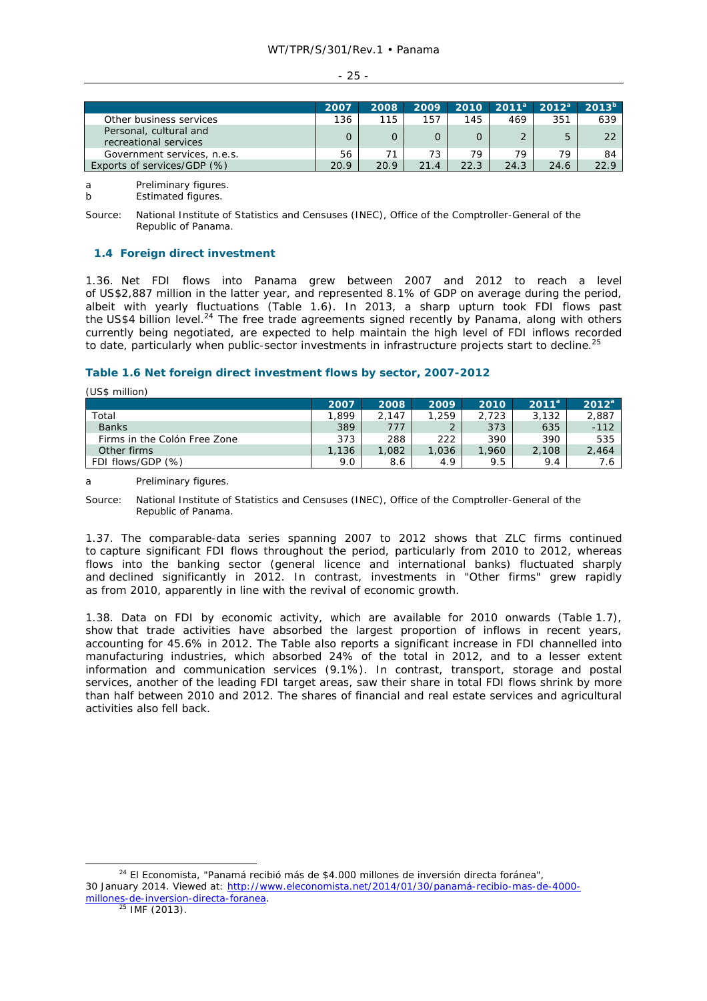| Other business services                         | 2007<br>136 | 2008<br>115 | 2009<br>157 | 2010<br>145 | 2011 <sup>a</sup><br>469 | $2012^a$<br>351 | $2013^{b}$<br>639 |
|-------------------------------------------------|-------------|-------------|-------------|-------------|--------------------------|-----------------|-------------------|
| Personal, cultural and<br>recreational services |             |             |             |             |                          |                 | 22                |
| Government services, n.e.s.                     | 56          | 71          | 73          | 79          | 79                       | 79              | 84                |
| Exports of services/GDP (%)                     | 20.9        | 20.9        | 21.4        | 22.3        | 24.3                     | 24.6            | 22.9              |

a Preliminary figures.

b Estimated figures.

Source: National Institute of Statistics and Censuses (INEC), Office of the Comptroller-General of the Republic of Panama.

## **1.4 Foreign direct investment**

1.36. Net FDI flows into Panama grew between 2007 and 2012 to reach a level of US\$2,887 million in the latter year, and represented 8.1% of GDP on average during the period, albeit with yearly fluctuations (Table 1.6). In 2013, a sharp upturn took FDI flows past the US\$4 billion level.<sup>24</sup> The free trade agreements signed recently by Panama, along with others currently being negotiated, are expected to help maintain the high level of FDI inflows recorded to date, particularly when public-sector investments in infrastructure projects start to decline.<sup>25</sup>

## **Table 1.6 Net foreign direct investment flows by sector, 2007-2012**

(US\$ million)

|                              | 2007  | 2008  | 2009  | 2010  | 2011 <sup>a</sup> | $2012^a$ |
|------------------------------|-------|-------|-------|-------|-------------------|----------|
| Total                        | 1.899 | 2.147 | .259  | 2.723 | 3.132             | 2.887    |
| <b>Banks</b>                 | 389   | 777   |       | 373   | 635               | $-112$   |
| Firms in the Colón Free Zone | 373   | 288   | 222   | 390   | 390               | 535      |
| Other firms                  | 1.136 | 1,082 | 1.036 | 1,960 | 2,108             | 2,464    |
| FDI flows/GDP (%)            | 9.0   | 8.6   | 4.9   | 9.5   | 9.4               | 7.6      |

a Preliminary figures.

Source: National Institute of Statistics and Censuses (INEC), Office of the Comptroller-General of the Republic of Panama.

1.37. The comparable-data series spanning 2007 to 2012 shows that ZLC firms continued to capture significant FDI flows throughout the period, particularly from 2010 to 2012, whereas flows into the banking sector (general licence and international banks) fluctuated sharply and declined significantly in 2012. In contrast, investments in "Other firms" grew rapidly as from 2010, apparently in line with the revival of economic growth.

1.38. Data on FDI by economic activity, which are available for 2010 onwards (Table 1.7), show that trade activities have absorbed the largest proportion of inflows in recent years, accounting for 45.6% in 2012. The Table also reports a significant increase in FDI channelled into manufacturing industries, which absorbed 24% of the total in 2012, and to a lesser extent information and communication services (9.1%). In contrast, transport, storage and postal services, another of the leading FDI target areas, saw their share in total FDI flows shrink by more than half between 2010 and 2012. The shares of financial and real estate services and agricultural activities also fell back.

 <sup>24</sup> *El Economista*, "Panamá recibió más de \$4.000 millones de inversión directa foránea", 30 January 2014. Viewed at: http://www.eleconomista.net/2014/01/30/panamá-recibio-mas-de-4000 millones-de-inversion-directa-foranea.<br><sup>25</sup> IMF (2013).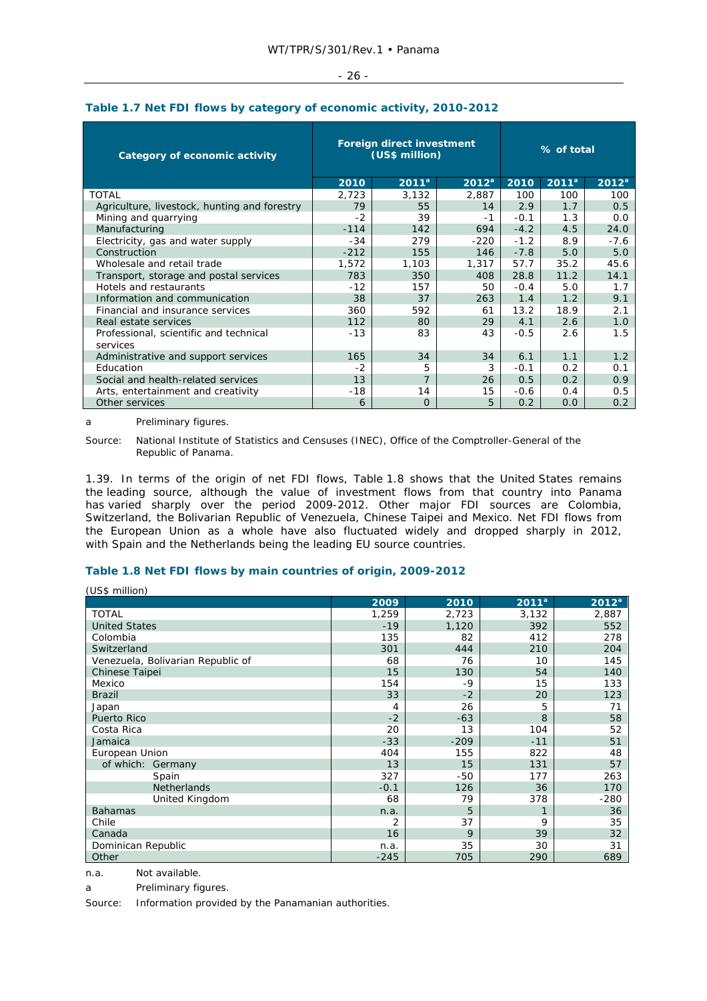| Category of economic activity                |        | Foreign direct investment<br>(US\$ million) | % of total |        |          |                   |
|----------------------------------------------|--------|---------------------------------------------|------------|--------|----------|-------------------|
|                                              | 2010   | $2011^a$                                    | $2012^a$   | 2010   | $2011^a$ | 2012 <sup>a</sup> |
| <b>TOTAL</b>                                 | 2,723  | 3,132                                       | 2,887      | 100    | 100      | 100               |
| Agriculture, livestock, hunting and forestry | 79     | 55                                          | 14         | 2.9    | 1.7      | 0.5               |
| Mining and quarrying                         | $-2$   | 39                                          | $-1$       | $-0.1$ | 1.3      | 0.0               |
| Manufacturing                                | $-114$ | 142                                         | 694        | $-4.2$ | 4.5      | 24.0              |
| Electricity, gas and water supply            | $-34$  | 279                                         | $-220$     | $-1.2$ | 8.9      | $-7.6$            |
| Construction                                 | $-212$ | 155                                         | 146        | $-7.8$ | 5.0      | 5.0               |
| Wholesale and retail trade                   | 1,572  | 1,103                                       | 1,317      | 57.7   | 35.2     | 45.6              |
| Transport, storage and postal services       | 783    | 350                                         | 408        | 28.8   | 11.2     | 14.1              |
| Hotels and restaurants                       | $-12$  | 157                                         | 50         | $-0.4$ | 5.0      | 1.7               |
| Information and communication                | 38     | 37                                          | 263        | 1.4    | 1.2      | 9.1               |
| Financial and insurance services             | 360    | 592                                         | 61         | 13.2   | 18.9     | 2.1               |
| Real estate services                         | 112    | 80                                          | 29         | 4.1    | 2.6      | 1.0               |
| Professional, scientific and technical       | $-13$  | 83                                          | 43         | $-0.5$ | 2.6      | 1.5               |
| services                                     |        |                                             |            |        |          |                   |
| Administrative and support services          | 165    | 34                                          | 34         | 6.1    | 1.1      | 1.2               |
| Education                                    | $-2$   | 5                                           | 3          | $-0.1$ | 0.2      | 0.1               |
| Social and health-related services           | 13     | $\overline{7}$                              | 26         | 0.5    | 0.2      | 0.9               |
| Arts, entertainment and creativity           | $-18$  | 14                                          | 15         | $-0.6$ | 0.4      | 0.5               |
| Other services                               | 6      | $\Omega$                                    | 5          | 0.2    | 0.0      | 0.2               |

## **Table 1.7 Net FDI flows by category of economic activity, 2010-2012**

a Preliminary figures.

 $(110<sup>o</sup> million)$ 

Source: National Institute of Statistics and Censuses (INEC), Office of the Comptroller-General of the Republic of Panama.

1.39. In terms of the origin of net FDI flows, Table 1.8 shows that the United States remains the leading source, although the value of investment flows from that country into Panama has varied sharply over the period 2009-2012. Other major FDI sources are Colombia, Switzerland, the Bolivarian Republic of Venezuela, Chinese Taipei and Mexico. Net FDI flows from the European Union as a whole have also fluctuated widely and dropped sharply in 2012, with Spain and the Netherlands being the leading EU source countries.

## **Table 1.8 Net FDI flows by main countries of origin, 2009-2012**

| , ווטווווווווווווווווווווווו      |        |        |          |                   |
|-----------------------------------|--------|--------|----------|-------------------|
|                                   | 2009   | 2010   | $2011^a$ | 2012 <sup>a</sup> |
| <b>TOTAL</b>                      | 1,259  | 2,723  | 3,132    | 2,887             |
| <b>United States</b>              | $-19$  | 1,120  | 392      | 552               |
| Colombia                          | 135    | 82     | 412      | 278               |
| Switzerland                       | 301    | 444    | 210      | 204               |
| Venezuela, Bolivarian Republic of | 68     | 76     | 10       | 145               |
| Chinese Taipei                    | 15     | 130    | 54       | 140               |
| Mexico                            | 154    | -9     | 15       | 133               |
| <b>Brazil</b>                     | 33     | $-2$   | 20       | 123               |
| Japan                             | 4      | 26     | 5        | 71                |
| <b>Puerto Rico</b>                | $-2$   | $-63$  | 8        | 58                |
| Costa Rica                        | 20     | 13     | 104      | 52                |
| Jamaica                           | $-33$  | $-209$ | $-11$    | 51                |
| European Union                    | 404    | 155    | 822      | 48                |
| of which: Germany                 | 13     | 15     | 131      | 57                |
| Spain                             | 327    | -50    | 177      | 263               |
| <b>Netherlands</b>                | $-0.1$ | 126    | 36       | 170               |
| United Kingdom                    | 68     | 79     | 378      | $-280$            |
| <b>Bahamas</b>                    | n.a.   | 5      |          | 36                |
| Chile                             | 2      | 37     | 9        | 35                |
| Canada                            | 16     | 9      | 39       | 32                |
| Dominican Republic                | n.a.   | 35     | 30       | 31                |
| Other                             | $-245$ | 705    | 290      | 689               |

n.a. Not available.

a Preliminary figures.

Source: Information provided by the Panamanian authorities.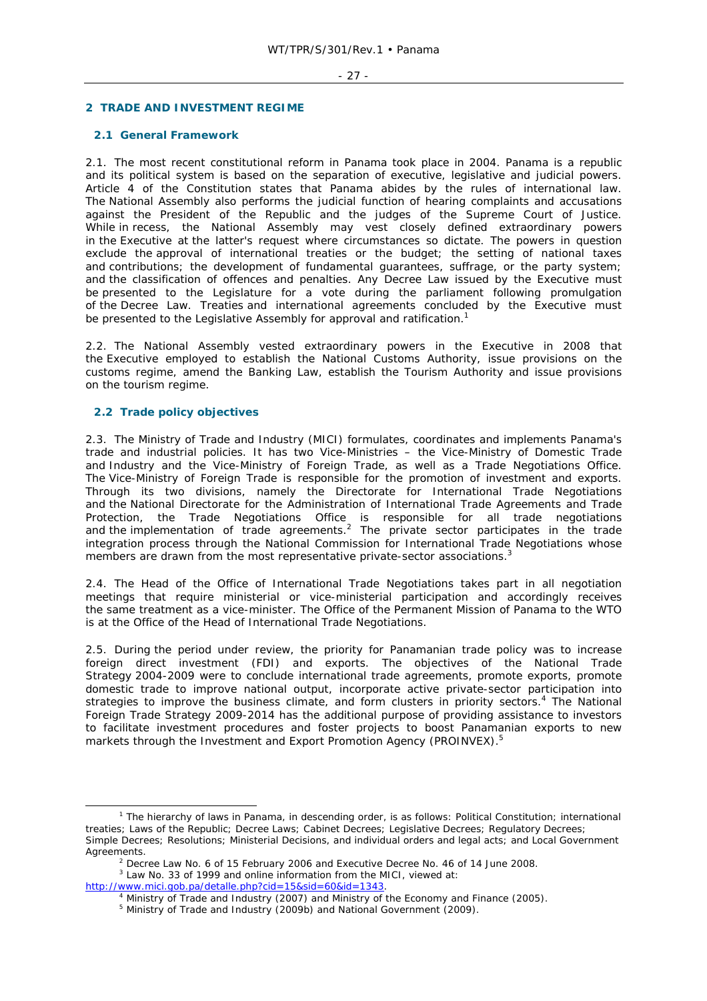## **2 TRADE AND INVESTMENT REGIME**

## **2.1 General Framework**

2.1. The most recent constitutional reform in Panama took place in 2004. Panama is a republic and its political system is based on the separation of executive, legislative and judicial powers. Article 4 of the Constitution states that Panama abides by the rules of international law. The National Assembly also performs the judicial function of hearing complaints and accusations against the President of the Republic and the judges of the Supreme Court of Justice. While in recess, the National Assembly may vest closely defined extraordinary powers in the Executive at the latter's request where circumstances so dictate. The powers in question exclude the approval of international treaties or the budget; the setting of national taxes and contributions; the development of fundamental guarantees, suffrage, or the party system; and the classification of offences and penalties. Any Decree Law issued by the Executive must be presented to the Legislature for a vote during the parliament following promulgation of the Decree Law. Treaties and international agreements concluded by the Executive must be presented to the Legislative Assembly for approval and ratification.<sup>1</sup>

2.2. The National Assembly vested extraordinary powers in the Executive in 2008 that the Executive employed to establish the National Customs Authority, issue provisions on the customs regime, amend the Banking Law, establish the Tourism Authority and issue provisions on the tourism regime.

## **2.2 Trade policy objectives**

2.3. The Ministry of Trade and Industry (MICI) formulates, coordinates and implements Panama's trade and industrial policies. It has two Vice-Ministries – the Vice-Ministry of Domestic Trade and Industry and the Vice-Ministry of Foreign Trade, as well as a Trade Negotiations Office. The Vice-Ministry of Foreign Trade is responsible for the promotion of investment and exports. Through its two divisions, namely the Directorate for International Trade Negotiations and the National Directorate for the Administration of International Trade Agreements and Trade Protection, the Trade Negotiations Office is responsible for all trade negotiations and the implementation of trade agreements.<sup>2</sup> The private sector participates in the trade integration process through the National Commission for International Trade Negotiations whose members are drawn from the most representative private-sector associations.<sup>3</sup>

2.4. The Head of the Office of International Trade Negotiations takes part in all negotiation meetings that require ministerial or vice-ministerial participation and accordingly receives the same treatment as a vice-minister. The Office of the Permanent Mission of Panama to the WTO is at the Office of the Head of International Trade Negotiations.

2.5. During the period under review, the priority for Panamanian trade policy was to increase foreign direct investment (FDI) and exports. The objectives of the National Trade Strategy 2004-2009 were to conclude international trade agreements, promote exports, promote domestic trade to improve national output, incorporate active private-sector participation into strategies to improve the business climate, and form clusters in priority sectors.<sup>4</sup> The National Foreign Trade Strategy 2009-2014 has the additional purpose of providing assistance to investors to facilitate investment procedures and foster projects to boost Panamanian exports to new markets through the Investment and Export Promotion Agency (PROINVEX).5

 $\frac{1}{1}$  $1$  The hierarchy of laws in Panama, in descending order, is as follows: Political Constitution; international treaties; Laws of the Republic; Decree Laws; Cabinet Decrees; Legislative Decrees; Regulatory Decrees; Simple Decrees; Resolutions; Ministerial Decisions, and individual orders and legal acts; and Local Government Agreements.

<sup>&</sup>lt;sup>2</sup> Decree Law No. 6 of 15 February 2006 and Executive Decree No. 46 of 14 June 2008.

<sup>&</sup>lt;sup>3</sup> Law No. 33 of 1999 and online information from the MICI, viewed at: http://www.mici.gob.pa/detalle.php?cid=15&sid=60&id=1343.

<sup>&</sup>lt;sup>4</sup> Ministry of Trade and Industry (2007) and Ministry of the Economy and Finance (2005).

<sup>&</sup>lt;sup>5</sup> Ministry of Trade and Industry (2009b) and National Government (2009).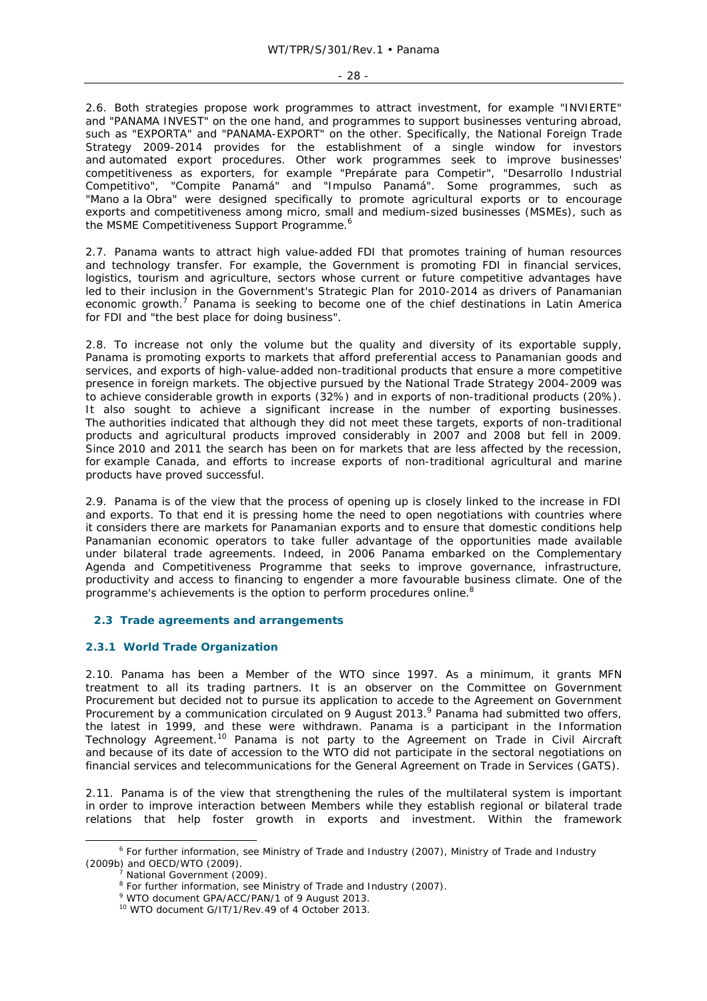2.6. Both strategies propose work programmes to attract investment, for example "INVIERTE" and "PANAMA INVEST" on the one hand, and programmes to support businesses venturing abroad, such as "EXPORTA" and "PANAMA-EXPORT" on the other. Specifically, the National Foreign Trade Strategy 2009-2014 provides for the establishment of a single window for investors and automated export procedures. Other work programmes seek to improve businesses' competitiveness as exporters, for example "Prepárate para Competir", "Desarrollo Industrial Competitivo", "Compite Panamá" and "Impulso Panamá". Some programmes, such as "Mano a la Obra" were designed specifically to promote agricultural exports or to encourage exports and competitiveness among micro, small and medium-sized businesses (MSMEs), such as the MSME Competitiveness Support Programme.<sup>6</sup>

2.7. Panama wants to attract high value-added FDI that promotes training of human resources and technology transfer. For example, the Government is promoting FDI in financial services, logistics, tourism and agriculture, sectors whose current or future competitive advantages have led to their inclusion in the Government's Strategic Plan for 2010-2014 as drivers of Panamanian economic growth.<sup>7</sup> Panama is seeking to become one of the chief destinations in Latin America for FDI and "the best place for doing business".

2.8. To increase not only the volume but the quality and diversity of its exportable supply, Panama is promoting exports to markets that afford preferential access to Panamanian goods and services, and exports of high-value-added non-traditional products that ensure a more competitive presence in foreign markets. The objective pursued by the National Trade Strategy 2004-2009 was to achieve considerable growth in exports (32%) and in exports of non-traditional products (20%). It also sought to achieve a significant increase in the number of exporting businesses. The authorities indicated that although they did not meet these targets, exports of non-traditional products and agricultural products improved considerably in 2007 and 2008 but fell in 2009. Since 2010 and 2011 the search has been on for markets that are less affected by the recession, for example Canada, and efforts to increase exports of non-traditional agricultural and marine products have proved successful.

2.9. Panama is of the view that the process of opening up is closely linked to the increase in FDI and exports. To that end it is pressing home the need to open negotiations with countries where it considers there are markets for Panamanian exports and to ensure that domestic conditions help Panamanian economic operators to take fuller advantage of the opportunities made available under bilateral trade agreements. Indeed, in 2006 Panama embarked on the Complementary Agenda and Competitiveness Programme that seeks to improve governance, infrastructure, productivity and access to financing to engender a more favourable business climate. One of the programme's achievements is the option to perform procedures online.<sup>8</sup>

## **2.3 Trade agreements and arrangements**

## **2.3.1 World Trade Organization**

2.10. Panama has been a Member of the WTO since 1997. As a minimum, it grants MFN treatment to all its trading partners. It is an observer on the Committee on Government Procurement but decided not to pursue its application to accede to the Agreement on Government Procurement by a communication circulated on 9 August 2013.<sup>9</sup> Panama had submitted two offers, the latest in 1999, and these were withdrawn. Panama is a participant in the Information Technology Agreement.<sup>10</sup> Panama is not party to the Agreement on Trade in Civil Aircraft and because of its date of accession to the WTO did not participate in the sectoral negotiations on financial services and telecommunications for the General Agreement on Trade in Services (GATS).

2.11. Panama is of the view that strengthening the rules of the multilateral system is important in order to improve interaction between Members while they establish regional or bilateral trade relations that help foster growth in exports and investment. Within the framework

 $\overline{\phantom{0}}$ <sup>6</sup> For further information, see Ministry of Trade and Industry (2007), Ministry of Trade and Industry (2009b) and OECD/WTO (2009).

National Government (2009).

<sup>&</sup>lt;sup>8</sup> For further information, see Ministry of Trade and Industry (2007).<br><sup>9</sup> WTO decument CBA/ACC/BAN/1 of 9 August 2012

<sup>&</sup>lt;sup>9</sup> WTO document GPA/ACC/PAN/1 of 9 August 2013.

<sup>10</sup> WTO document G/IT/1/Rev.49 of 4 October 2013.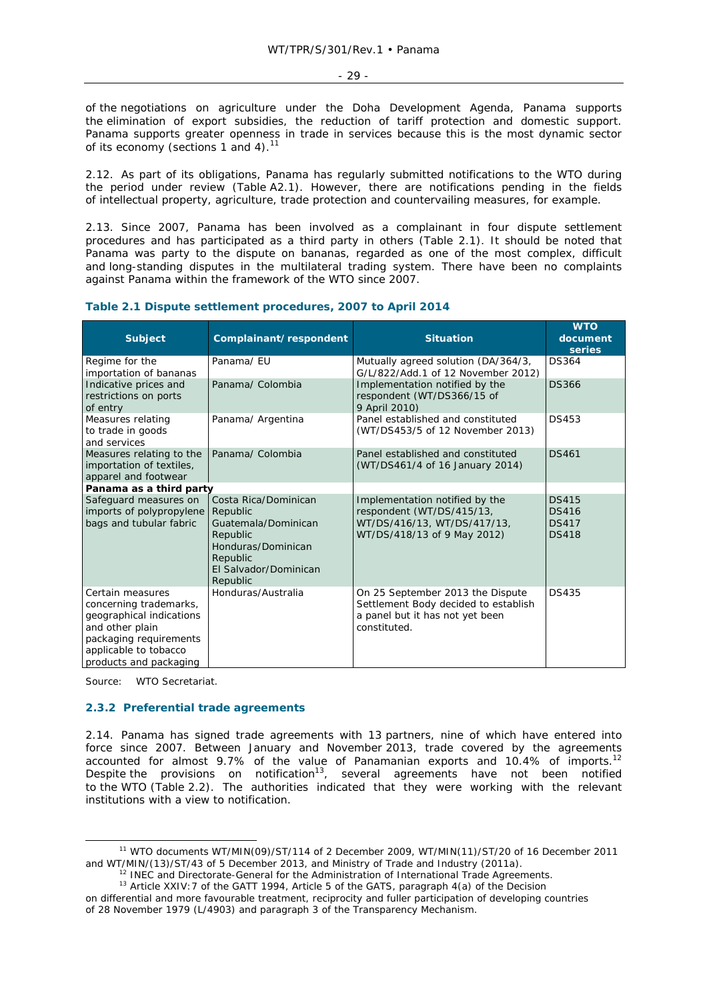- 29 -

of the negotiations on agriculture under the Doha Development Agenda, Panama supports the elimination of export subsidies, the reduction of tariff protection and domestic support. Panama supports greater openness in trade in services because this is the most dynamic sector of its economy (sections 1 and 4).<sup>1</sup>

2.12. As part of its obligations, Panama has regularly submitted notifications to the WTO during the period under review (Table A2.1). However, there are notifications pending in the fields of intellectual property, agriculture, trade protection and countervailing measures, for example.

2.13. Since 2007, Panama has been involved as a complainant in four dispute settlement procedures and has participated as a third party in others (Table 2.1). It should be noted that Panama was party to the dispute on bananas, regarded as one of the most complex, difficult and long-standing disputes in the multilateral trading system. There have been no complaints against Panama within the framework of the WTO since 2007.

| <b>Subject</b>                                                                                                                                                         | Complainant/respondent                                                                                                                     | <b>Situation</b>                                                                                                            | <b>WTO</b><br>document<br>series                             |
|------------------------------------------------------------------------------------------------------------------------------------------------------------------------|--------------------------------------------------------------------------------------------------------------------------------------------|-----------------------------------------------------------------------------------------------------------------------------|--------------------------------------------------------------|
| Regime for the<br>importation of bananas                                                                                                                               | Panama/EU                                                                                                                                  | Mutually agreed solution (DA/364/3,<br>G/L/822/Add.1 of 12 November 2012)                                                   | <b>DS364</b>                                                 |
| Indicative prices and<br>restrictions on ports<br>of entry                                                                                                             | Panama/ Colombia                                                                                                                           | Implementation notified by the<br>respondent (WT/DS366/15 of<br>9 April 2010)                                               | <b>DS366</b>                                                 |
| Measures relating<br>to trade in goods<br>and services                                                                                                                 | Panama/ Argentina                                                                                                                          | Panel established and constituted<br>(WT/DS453/5 of 12 November 2013)                                                       | <b>DS453</b>                                                 |
| Measures relating to the<br>importation of textiles,<br>apparel and footwear                                                                                           | Panama/ Colombia                                                                                                                           | Panel established and constituted<br>(WT/DS461/4 of 16 January 2014)                                                        | <b>DS461</b>                                                 |
| Panama as a third party                                                                                                                                                |                                                                                                                                            |                                                                                                                             |                                                              |
| Safeguard measures on<br>imports of polypropylene<br>bags and tubular fabric                                                                                           | Costa Rica/Dominican<br>Republic<br>Guatemala/Dominican<br>Republic<br>Honduras/Dominican<br>Republic<br>El Salvador/Dominican<br>Republic | Implementation notified by the<br>respondent (WT/DS/415/13,<br>WT/DS/416/13, WT/DS/417/13,<br>WT/DS/418/13 of 9 May 2012)   | <b>DS415</b><br><b>DS416</b><br><b>DS417</b><br><b>DS418</b> |
| Certain measures<br>concerning trademarks,<br>geographical indications<br>and other plain<br>packaging requirements<br>applicable to tobacco<br>products and packaging | Honduras/Australia                                                                                                                         | On 25 September 2013 the Dispute<br>Settlement Body decided to establish<br>a panel but it has not yet been<br>constituted. | <b>DS435</b>                                                 |

## **Table 2.1 Dispute settlement procedures, 2007 to April 2014**

Source: WTO Secretariat.

## **2.3.2 Preferential trade agreements**

2.14. Panama has signed trade agreements with 13 partners, nine of which have entered into force since 2007. Between January and November 2013, trade covered by the agreements accounted for almost 9.7% of the value of Panamanian exports and 10.4% of imports.<sup>12</sup> Despite the provisions on notification<sup>13</sup>, several agreements have not been notified to the WTO (Table 2.2). The authorities indicated that they were working with the relevant institutions with a view to notification.

 <sup>11</sup> WTO documents WT/MIN(09)/ST/114 of 2 December 2009, WT/MIN(11)/ST/20 of 16 December 2011 and WT/MIN/(13)/ST/43 of 5 December 2013, and Ministry of Trade and Industry (2011a).<br><sup>12</sup> INEC and Directorate-General for the Administration of International Trade Agreements.<br><sup>13</sup> Article XXIV:7 of the GATT 1994, Artic

on differential and more favourable treatment, reciprocity and fuller participation of developing countries of 28 November 1979 (L/4903) and paragraph 3 of the Transparency Mechanism.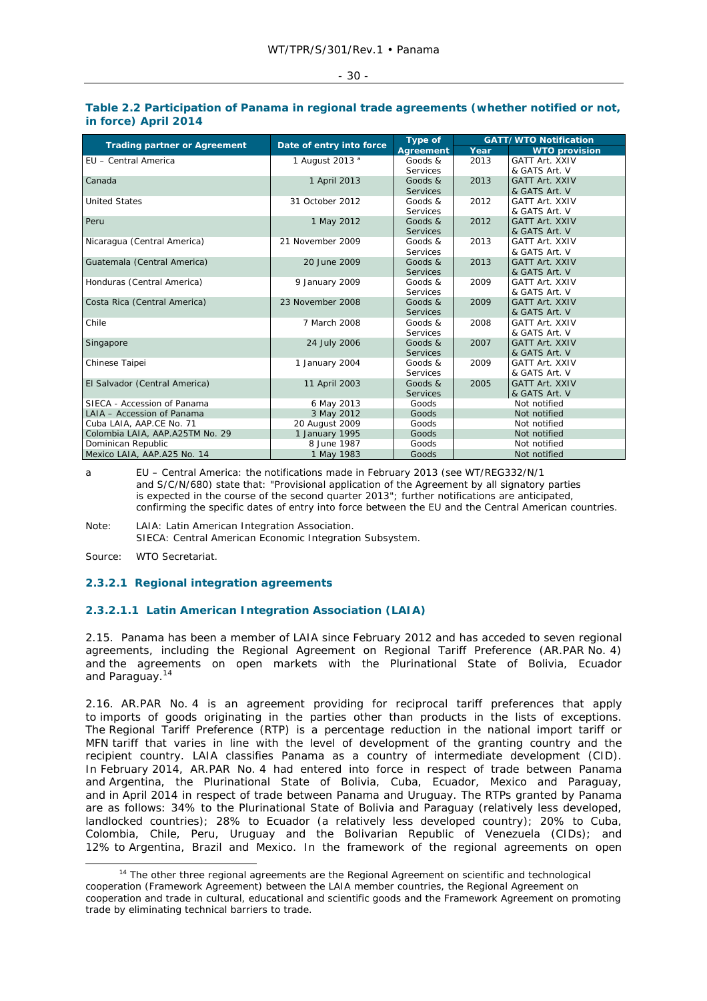| ٠<br>٠<br>$\sim$<br>$\sim$ |  |
|----------------------------|--|
|                            |  |

### **Table 2.2 Participation of Panama in regional trade agreements (whether notified or not, in force) April 2014**

| <b>Trading partner or Agreement</b> | Date of entry into force   | Type of         | <b>GATT/WTO Notification</b> |                       |  |
|-------------------------------------|----------------------------|-----------------|------------------------------|-----------------------|--|
|                                     |                            | Agreement       | Year                         | <b>WTO provision</b>  |  |
| EU - Central America                | 1 August 2013 <sup>a</sup> | Goods &         | 2013                         | <b>GATT Art. XXIV</b> |  |
|                                     |                            | Services        |                              | & GATS Art. V         |  |
| Canada                              | 1 April 2013               | Goods $\&$      | 2013                         | <b>GATT Art. XXIV</b> |  |
|                                     |                            | <b>Services</b> |                              | & GATS Art. V         |  |
| <b>United States</b>                | 31 October 2012            | Goods &         | 2012                         | <b>GATT Art. XXIV</b> |  |
|                                     |                            | Services        |                              | & GATS Art. V         |  |
| Peru                                | 1 May 2012                 | Goods $\&$      | 2012                         | <b>GATT Art. XXIV</b> |  |
|                                     |                            | <b>Services</b> |                              | & GATS Art. V         |  |
| Nicaragua (Central America)         | 21 November 2009           | Goods &         | 2013                         | <b>GATT Art. XXIV</b> |  |
|                                     |                            | Services        |                              | & GATS Art. V         |  |
| Guatemala (Central America)         | 20 June 2009               | Goods &         | 2013                         | <b>GATT Art. XXIV</b> |  |
|                                     |                            | <b>Services</b> |                              | & GATS Art. V         |  |
| Honduras (Central America)          | 9 January 2009             | Goods &         | 2009                         | <b>GATT Art. XXIV</b> |  |
|                                     |                            | Services        |                              | & GATS Art. V         |  |
| Costa Rica (Central America)        | 23 November 2008           | Goods $\&$      | 2009                         | <b>GATT Art. XXIV</b> |  |
|                                     |                            | <b>Services</b> |                              | & GATS Art. V         |  |
| Chile                               | 7 March 2008               | Goods &         | 2008                         | <b>GATT Art. XXIV</b> |  |
|                                     |                            | Services        |                              | & GATS Art. V         |  |
| Singapore                           | 24 July 2006               | Goods &         | 2007                         | <b>GATT Art. XXIV</b> |  |
|                                     |                            | <b>Services</b> |                              | & GATS Art. V         |  |
| Chinese Taipei                      | 1 January 2004             | Goods &         | 2009                         | <b>GATT Art. XXIV</b> |  |
|                                     |                            | Services        |                              | & GATS Art. V         |  |
| El Salvador (Central America)       | 11 April 2003              | Goods $\&$      | 2005                         | <b>GATT Art. XXIV</b> |  |
|                                     |                            | Services        |                              | & GATS Art. V         |  |
| SIECA - Accession of Panama         | 6 May 2013                 | Goods           |                              | Not notified          |  |
| LAIA - Accession of Panama          | 3 May 2012                 | Goods           | Not notified                 |                       |  |
| Cuba LAIA, AAP.CE No. 71            | 20 August 2009             | Goods           |                              | Not notified          |  |
| Colombia LAIA, AAP.A25TM No. 29     | 1 January 1995             | Goods           | Not notified                 |                       |  |
| Dominican Republic                  | 8 June 1987                | Goods           |                              | Not notified          |  |
| Mexico LAIA, AAP.A25 No. 14         | 1 May 1983                 | Goods           |                              | Not notified          |  |

a EU – Central America: the notifications made in February 2013 (see WT/REG332/N/1 and S/C/N/680) state that: "Provisional application of the Agreement by all signatory parties is expected in the course of the second quarter 2013"; further notifications are anticipated, confirming the specific dates of entry into force between the EU and the Central American countries.

Note: LAIA: Latin American Integration Association. SIECA: Central American Economic Integration Subsystem.

Source: WTO Secretariat.

## **2.3.2.1 Regional integration agreements**

## **2.3.2.1.1 Latin American Integration Association (LAIA)**

2.15. Panama has been a member of LAIA since February 2012 and has acceded to seven regional agreements, including the Regional Agreement on Regional Tariff Preference (AR.PAR No. 4) and the agreements on open markets with the Plurinational State of Bolivia, Ecuador and Paraguay.14

2.16. AR.PAR No. 4 is an agreement providing for reciprocal tariff preferences that apply to imports of goods originating in the parties other than products in the lists of exceptions. The Regional Tariff Preference (RTP) is a percentage reduction in the national import tariff or MFN tariff that varies in line with the level of development of the granting country and the recipient country. LAIA classifies Panama as a country of intermediate development (CID). In February 2014, AR.PAR No. 4 had entered into force in respect of trade between Panama and Argentina, the Plurinational State of Bolivia, Cuba, Ecuador, Mexico and Paraguay, and in April 2014 in respect of trade between Panama and Uruguay. The RTPs granted by Panama are as follows: 34% to the Plurinational State of Bolivia and Paraguay (relatively less developed, landlocked countries); 28% to Ecuador (a relatively less developed country); 20% to Cuba, Colombia, Chile, Peru, Uruguay and the Bolivarian Republic of Venezuela (CIDs); and 12% to Argentina, Brazil and Mexico. In the framework of the regional agreements on open

<sup>&</sup>lt;sup>14</sup> The other three regional agreements are the Regional Agreement on scientific and technological cooperation (Framework Agreement) between the LAIA member countries, the Regional Agreement on cooperation and trade in cultural, educational and scientific goods and the Framework Agreement on promoting trade by eliminating technical barriers to trade.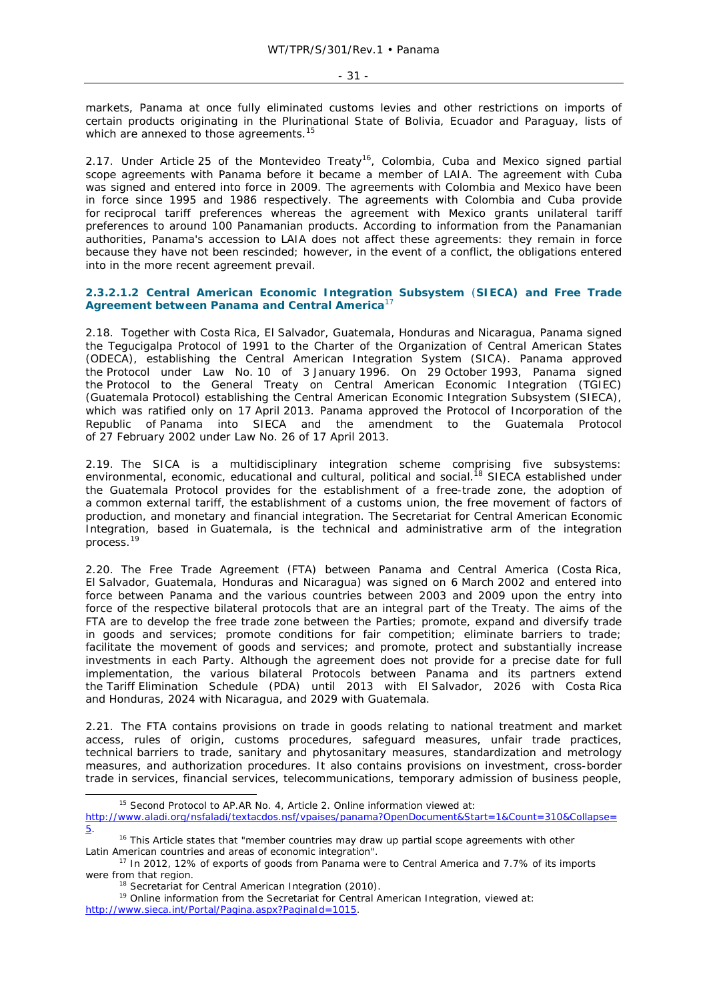markets, Panama at once fully eliminated customs levies and other restrictions on imports of certain products originating in the Plurinational State of Bolivia, Ecuador and Paraguay, lists of which are annexed to those agreements.<sup>15</sup>

2.17. Under Article 25 of the Montevideo Treaty<sup>16</sup>, Colombia, Cuba and Mexico signed partial scope agreements with Panama before it became a member of LAIA. The agreement with Cuba was signed and entered into force in 2009. The agreements with Colombia and Mexico have been in force since 1995 and 1986 respectively. The agreements with Colombia and Cuba provide for reciprocal tariff preferences whereas the agreement with Mexico grants unilateral tariff preferences to around 100 Panamanian products. According to information from the Panamanian authorities, Panama's accession to LAIA does not affect these agreements: they remain in force because they have not been rescinded; however, in the event of a conflict, the obligations entered into in the more recent agreement prevail.

## **2.3.2.1.2 Central American Economic Integration Subsystem** (**SIECA) and Free Trade Agreement between Panama and Central America**<sup>17</sup>

2.18. Together with Costa Rica, El Salvador, Guatemala, Honduras and Nicaragua, Panama signed the Tegucigalpa Protocol of 1991 to the Charter of the Organization of Central American States (ODECA), establishing the Central American Integration System (SICA). Panama approved the Protocol under Law No. 10 of 3 January 1996. On 29 October 1993, Panama signed the Protocol to the General Treaty on Central American Economic Integration (TGIEC) (Guatemala Protocol) establishing the Central American Economic Integration Subsystem (SIECA), which was ratified only on 17 April 2013. Panama approved the Protocol of Incorporation of the Republic of Panama into SIECA and the amendment to the Guatemala Protocol of 27 February 2002 under Law No. 26 of 17 April 2013.

2.19. The SICA is a multidisciplinary integration scheme comprising five subsystems: environmental, economic, educational and cultural, political and social.<sup>18</sup> SIECA established under the Guatemala Protocol provides for the establishment of a free-trade zone, the adoption of a common external tariff, the establishment of a customs union, the free movement of factors of production, and monetary and financial integration. The Secretariat for Central American Economic Integration, based in Guatemala, is the technical and administrative arm of the integration process.<sup>19</sup>

2.20. The Free Trade Agreement (FTA) between Panama and Central America (Costa Rica, El Salvador, Guatemala, Honduras and Nicaragua) was signed on 6 March 2002 and entered into force between Panama and the various countries between 2003 and 2009 upon the entry into force of the respective bilateral protocols that are an integral part of the Treaty. The aims of the FTA are to develop the free trade zone between the Parties; promote, expand and diversify trade in goods and services; promote conditions for fair competition; eliminate barriers to trade; facilitate the movement of goods and services; and promote, protect and substantially increase investments in each Party. Although the agreement does not provide for a precise date for full implementation, the various bilateral Protocols between Panama and its partners extend the Tariff Elimination Schedule (PDA) until 2013 with El Salvador, 2026 with Costa Rica and Honduras, 2024 with Nicaragua, and 2029 with Guatemala.

2.21. The FTA contains provisions on trade in goods relating to national treatment and market access, rules of origin, customs procedures, safeguard measures, unfair trade practices, technical barriers to trade, sanitary and phytosanitary measures, standardization and metrology measures, and authorization procedures. It also contains provisions on investment, cross-border trade in services, financial services, telecommunications, temporary admission of business people,

<sup>&</sup>lt;sup>15</sup> Second Protocol to AP.AR No. 4, Article 2. Online information viewed at:

http://www.aladi.org/nsfaladi/textacdos.nsf/vpaises/panama?OpenDocument&Start=1&Count=310&Collapse=

<sup>5. 16</sup> This Article states that "member countries may draw up partial scope agreements with other Latin American countries and areas of economic integration".<br><sup>17</sup> In 2012, 12% of exports of goods from Panama were to Central America and 7.7% of its imports

were from that region.<br><sup>18</sup> Secretariat for Central American Integration (2010).<br><sup>19</sup> Online information from the Secretariat for Central American Integration, viewed at:

http://www.sieca.int/Portal/Pagina.aspx?PaginaId=1015.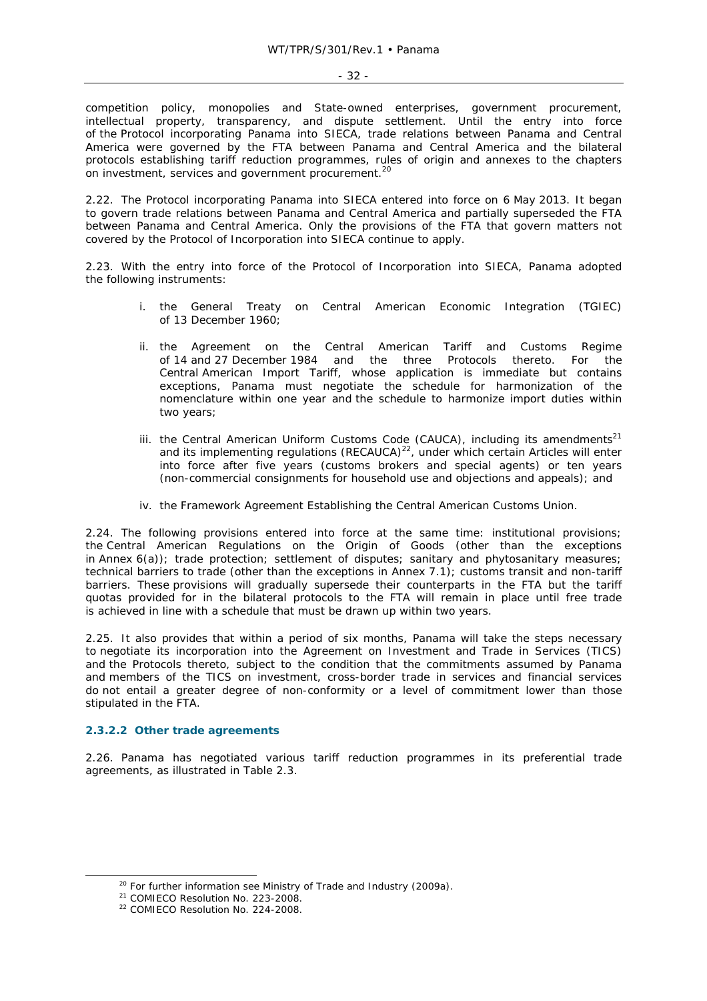competition policy, monopolies and State-owned enterprises, government procurement, intellectual property, transparency, and dispute settlement. Until the entry into force of the Protocol incorporating Panama into SIECA, trade relations between Panama and Central America were governed by the FTA between Panama and Central America and the bilateral protocols establishing tariff reduction programmes, rules of origin and annexes to the chapters on investment, services and government procurement.<sup>20</sup>

2.22. The Protocol incorporating Panama into SIECA entered into force on 6 May 2013. It began to govern trade relations between Panama and Central America and partially superseded the FTA between Panama and Central America. Only the provisions of the FTA that govern matters not covered by the Protocol of Incorporation into SIECA continue to apply.

2.23. With the entry into force of the Protocol of Incorporation into SIECA, Panama adopted the following instruments:

- i. the General Treaty on Central American Economic Integration (TGIEC) of 13 December 1960;
- ii. the Agreement on the Central American Tariff and Customs Regime of 14 and 27 December 1984 and the three Protocols thereto. For the Central American Import Tariff, whose application is immediate but contains exceptions, Panama must negotiate the schedule for harmonization of the nomenclature within one year and the schedule to harmonize import duties within two years;
- iii. the Central American Uniform Customs Code (CAUCA), including its amendments<sup>21</sup> and its implementing regulations  $(RECAUCA)^{22}$ , under which certain Articles will enter into force after five years (customs brokers and special agents) or ten years (non-commercial consignments for household use and objections and appeals); and
- iv. the Framework Agreement Establishing the Central American Customs Union.

2.24. The following provisions entered into force at the same time: institutional provisions; the Central American Regulations on the Origin of Goods (other than the exceptions in Annex 6(a)); trade protection; settlement of disputes; sanitary and phytosanitary measures; technical barriers to trade (other than the exceptions in Annex 7.1); customs transit and non-tariff barriers. These provisions will gradually supersede their counterparts in the FTA but the tariff quotas provided for in the bilateral protocols to the FTA will remain in place until free trade is achieved in line with a schedule that must be drawn up within two years.

2.25. It also provides that within a period of six months, Panama will take the steps necessary to negotiate its incorporation into the Agreement on Investment and Trade in Services (TICS) and the Protocols thereto, subject to the condition that the commitments assumed by Panama and members of the TICS on investment, cross-border trade in services and financial services do not entail a greater degree of non-conformity or a level of commitment lower than those stipulated in the FTA.

## **2.3.2.2 Other trade agreements**

2.26. Panama has negotiated various tariff reduction programmes in its preferential trade agreements, as illustrated in Table 2.3.

<sup>&</sup>lt;sup>20</sup> For further information see Ministry of Trade and Industry (2009a).<br><sup>21</sup> COMIECO Resolution No. 223-2008.<br><sup>22</sup> COMIECO Resolution No. 224-2008.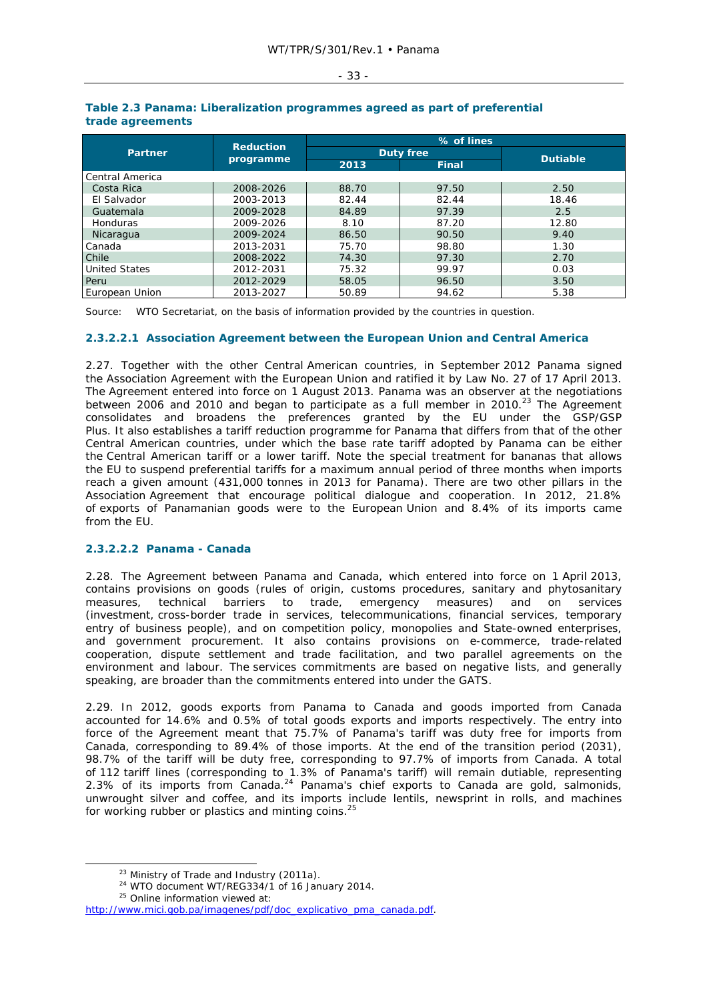#### - 33 -

| <b>Partner</b>       | <b>Reduction</b><br>programme | % of lines       |              |                 |
|----------------------|-------------------------------|------------------|--------------|-----------------|
|                      |                               | <b>Duty free</b> |              |                 |
|                      |                               | 2013             | <b>Final</b> | <b>Dutiable</b> |
| Central America      |                               |                  |              |                 |
| Costa Rica           | 2008-2026                     | 88.70            | 97.50        | 2.50            |
| El Salvador          | 2003-2013                     | 82.44            | 82.44        | 18.46           |
| Guatemala            | 2009-2028                     | 84.89            | 97.39        | 2.5             |
| Honduras             | 2009-2026                     | 8.10             | 87.20        | 12.80           |
| Nicaragua            | 2009-2024                     | 86.50            | 90.50        | 9.40            |
| Canada               | 2013-2031                     | 75.70            | 98.80        | 1.30            |
| Chile                | 2008-2022                     | 74.30            | 97.30        | 2.70            |
| <b>United States</b> | 2012-2031                     | 75.32            | 99.97        | 0.03            |
| Peru                 | 2012-2029                     | 58.05            | 96.50        | 3.50            |
| European Union       | 2013-2027                     | 50.89            | 94.62        | 5.38            |

#### **Table 2.3 Panama: Liberalization programmes agreed as part of preferential trade agreements**

Source: WTO Secretariat, on the basis of information provided by the countries in question.

## **2.3.2.2.1 Association Agreement between the European Union and Central America**

2.27. Together with the other Central American countries, in September 2012 Panama signed the Association Agreement with the European Union and ratified it by Law No. 27 of 17 April 2013. The Agreement entered into force on 1 August 2013. Panama was an observer at the negotiations between 2006 and 2010 and began to participate as a full member in 2010.<sup>23</sup> The Agreement consolidates and broadens the preferences granted by the EU under the GSP/GSP Plus. It also establishes a tariff reduction programme for Panama that differs from that of the other Central American countries, under which the base rate tariff adopted by Panama can be either the Central American tariff or a lower tariff. Note the special treatment for bananas that allows the EU to suspend preferential tariffs for a maximum annual period of three months when imports reach a given amount (431,000 tonnes in 2013 for Panama). There are two other pillars in the Association Agreement that encourage political dialogue and cooperation. In 2012, 21.8% of exports of Panamanian goods were to the European Union and 8.4% of its imports came from the EU.

## **2.3.2.2.2 Panama - Canada**

2.28. The Agreement between Panama and Canada, which entered into force on 1 April 2013, contains provisions on goods (rules of origin, customs procedures, sanitary and phytosanitary measures, technical barriers to trade, emergency measures) and on services (investment, cross-border trade in services, telecommunications, financial services, temporary entry of business people), and on competition policy, monopolies and State-owned enterprises, and government procurement. It also contains provisions on e-commerce, trade-related cooperation, dispute settlement and trade facilitation, and two parallel agreements on the environment and labour. The services commitments are based on negative lists, and generally speaking, are broader than the commitments entered into under the GATS.

2.29. In 2012, goods exports from Panama to Canada and goods imported from Canada accounted for 14.6% and 0.5% of total goods exports and imports respectively. The entry into force of the Agreement meant that 75.7% of Panama's tariff was duty free for imports from Canada, corresponding to 89.4% of those imports. At the end of the transition period (2031), 98.7% of the tariff will be duty free, corresponding to 97.7% of imports from Canada. A total of 112 tariff lines (corresponding to 1.3% of Panama's tariff) will remain dutiable, representing 2.3% of its imports from Canada. $^{24}$  Panama's chief exports to Canada are gold, salmonids, unwrought silver and coffee, and its imports include lentils, newsprint in rolls, and machines for working rubber or plastics and minting coins.<sup>25</sup>

<sup>&</sup>lt;sup>23</sup> Ministry of Trade and Industry (2011a).<br><sup>24</sup> WTO document WT/REG334/1 of 16 January 2014.<br><sup>25</sup> Online information viewed at:

http://www.mici.gob.pa/imagenes/pdf/doc\_explicativo\_pma\_canada.pdf.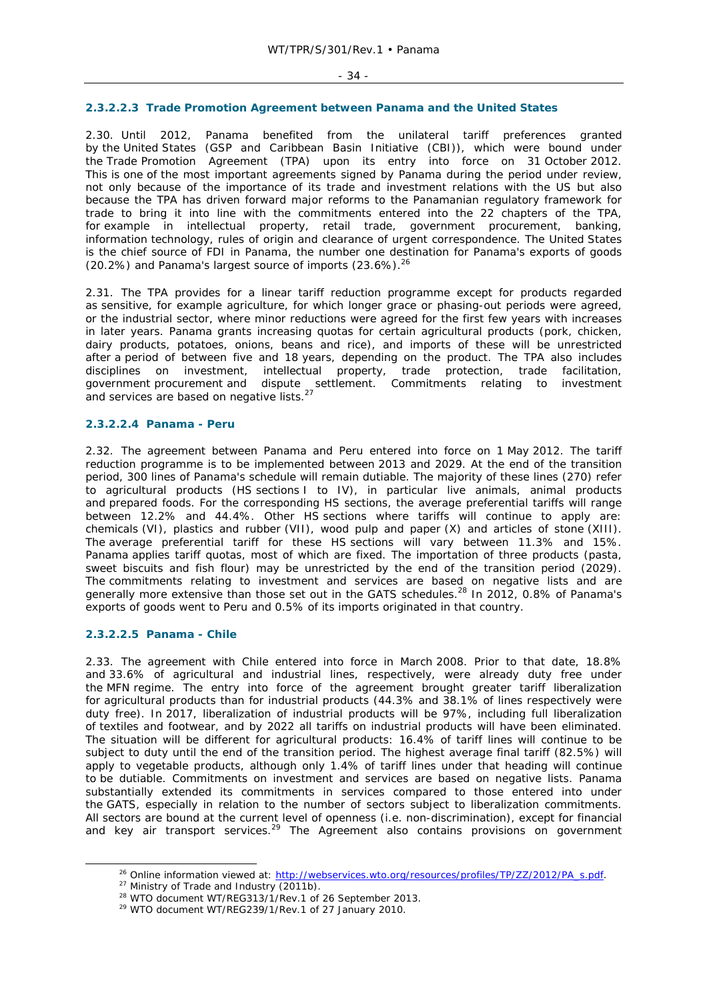## **2.3.2.2.3 Trade Promotion Agreement between Panama and the United States**

2.30. Until 2012, Panama benefited from the unilateral tariff preferences granted by the United States (GSP and Caribbean Basin Initiative (CBI)), which were bound under the Trade Promotion Agreement (TPA) upon its entry into force on 31 October 2012. This is one of the most important agreements signed by Panama during the period under review, not only because of the importance of its trade and investment relations with the US but also because the TPA has driven forward major reforms to the Panamanian regulatory framework for trade to bring it into line with the commitments entered into the 22 chapters of the TPA, for example in intellectual property, retail trade, government procurement, banking, information technology, rules of origin and clearance of urgent correspondence. The United States is the chief source of FDI in Panama, the number one destination for Panama's exports of goods (20.2%) and Panama's largest source of imports  $(23.6\%)$ .<sup>26</sup>

2.31. The TPA provides for a linear tariff reduction programme except for products regarded as sensitive, for example agriculture, for which longer grace or phasing-out periods were agreed, or the industrial sector, where minor reductions were agreed for the first few years with increases in later years. Panama grants increasing quotas for certain agricultural products (pork, chicken, dairy products, potatoes, onions, beans and rice), and imports of these will be unrestricted after a period of between five and 18 years, depending on the product. The TPA also includes disciplines on investment, intellectual property, trade protection, trade facilitation, government procurement and dispute settlement. Commitments relating to investment and services are based on negative lists.<sup>27</sup>

## **2.3.2.2.4 Panama - Peru**

2.32. The agreement between Panama and Peru entered into force on 1 May 2012. The tariff reduction programme is to be implemented between 2013 and 2029. At the end of the transition period, 300 lines of Panama's schedule will remain dutiable. The majority of these lines (270) refer to agricultural products (HS sections I to IV), in particular live animals, animal products and prepared foods. For the corresponding HS sections, the average preferential tariffs will range between 12.2% and 44.4%. Other HS sections where tariffs will continue to apply are: chemicals (VI), plastics and rubber (VII), wood pulp and paper (X) and articles of stone (XIII). The average preferential tariff for these HS sections will vary between 11.3% and 15%. Panama applies tariff quotas, most of which are fixed. The importation of three products (pasta, sweet biscuits and fish flour) may be unrestricted by the end of the transition period (2029). The commitments relating to investment and services are based on negative lists and are generally more extensive than those set out in the GATS schedules.28 In 2012, 0.8% of Panama's exports of goods went to Peru and 0.5% of its imports originated in that country.

## **2.3.2.2.5 Panama - Chile**

2.33. The agreement with Chile entered into force in March 2008. Prior to that date, 18.8% and 33.6% of agricultural and industrial lines, respectively, were already duty free under the MFN regime. The entry into force of the agreement brought greater tariff liberalization for agricultural products than for industrial products (44.3% and 38.1% of lines respectively were duty free). In 2017, liberalization of industrial products will be 97%, including full liberalization of textiles and footwear, and by 2022 all tariffs on industrial products will have been eliminated. The situation will be different for agricultural products: 16.4% of tariff lines will continue to be subject to duty until the end of the transition period. The highest average final tariff (82.5%) will apply to vegetable products, although only 1.4% of tariff lines under that heading will continue to be dutiable. Commitments on investment and services are based on negative lists. Panama substantially extended its commitments in services compared to those entered into under the GATS, especially in relation to the number of sectors subject to liberalization commitments. All sectors are bound at the current level of openness (i.e. non-discrimination), except for financial and key air transport services.<sup>29</sup> The Agreement also contains provisions on government

<sup>&</sup>lt;sup>26</sup> Online information viewed at:  $\frac{http://webservices.wto.org/resources/profiles/TP/ZZ/2012/PA\_s.pdf}{p^2}$ .<br>
<sup>27</sup> Ministry of Trade and Industry (2011b).<br>
<sup>28</sup> WTO document WT/REG313/1/Rev.1 of 26 September 2013.<br>
<sup>29</sup> WTO document WT/REG239/1/Rev.1 of 27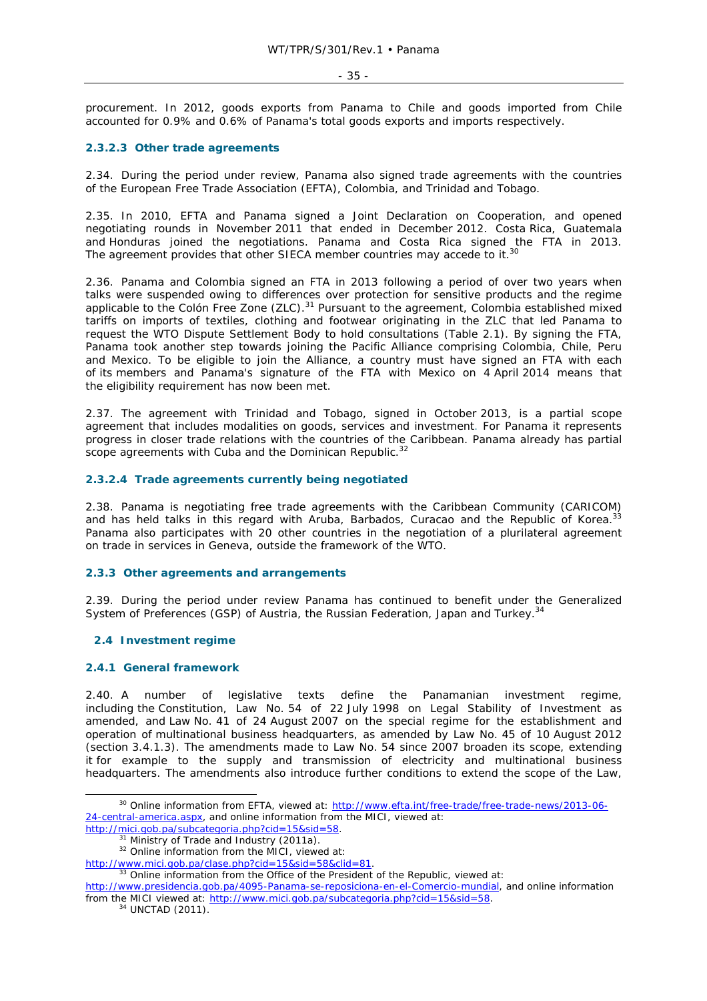#### - 35 -

procurement. In 2012, goods exports from Panama to Chile and goods imported from Chile accounted for 0.9% and 0.6% of Panama's total goods exports and imports respectively.

## **2.3.2.3 Other trade agreements**

2.34. During the period under review, Panama also signed trade agreements with the countries of the European Free Trade Association (EFTA), Colombia, and Trinidad and Tobago.

2.35. In 2010, EFTA and Panama signed a Joint Declaration on Cooperation, and opened negotiating rounds in November 2011 that ended in December 2012. Costa Rica, Guatemala and Honduras joined the negotiations. Panama and Costa Rica signed the FTA in 2013. The agreement provides that other SIECA member countries may accede to it.<sup>30</sup>

2.36. Panama and Colombia signed an FTA in 2013 following a period of over two years when talks were suspended owing to differences over protection for sensitive products and the regime applicable to the Colón Free Zone (ZLC).<sup>31</sup> Pursuant to the agreement, Colombia established mixed tariffs on imports of textiles, clothing and footwear originating in the ZLC that led Panama to request the WTO Dispute Settlement Body to hold consultations (Table 2.1). By signing the FTA, Panama took another step towards joining the Pacific Alliance comprising Colombia, Chile, Peru and Mexico. To be eligible to join the Alliance, a country must have signed an FTA with each of its members and Panama's signature of the FTA with Mexico on 4 April 2014 means that the eligibility requirement has now been met.

2.37. The agreement with Trinidad and Tobago, signed in October 2013, is a partial scope agreement that includes modalities on goods, services and investment. For Panama it represents progress in closer trade relations with the countries of the Caribbean. Panama already has partial scope agreements with Cuba and the Dominican Republic.<sup>32</sup>

## **2.3.2.4 Trade agreements currently being negotiated**

2.38. Panama is negotiating free trade agreements with the Caribbean Community (CARICOM) and has held talks in this regard with Aruba, Barbados, Curacao and the Republic of Korea.<sup>33</sup> Panama also participates with 20 other countries in the negotiation of a plurilateral agreement on trade in services in Geneva, outside the framework of the WTO.

## **2.3.3 Other agreements and arrangements**

2.39. During the period under review Panama has continued to benefit under the Generalized System of Preferences (GSP) of Austria, the Russian Federation, Japan and Turkey.<sup>34</sup>

## **2.4 Investment regime**

## **2.4.1 General framework**

2.40. A number of legislative texts define the Panamanian investment regime, including the Constitution, Law No. 54 of 22 July 1998 on Legal Stability of Investment as amended, and Law No. 41 of 24 August 2007 on the special regime for the establishment and operation of multinational business headquarters, as amended by Law No. 45 of 10 August 2012 (section 3.4.1.3). The amendments made to Law No. 54 since 2007 broaden its scope, extending it for example to the supply and transmission of electricity and multinational business headquarters. The amendments also introduce further conditions to extend the scope of the Law,

<sup>&</sup>lt;sup>30</sup> Online information from EFTA, viewed at: http://www.efta.int/free-trade/free-trade-news/2013-06-24-central-america.aspx, and online information from the MICI, viewed at:

http://mici.gob.pa/subcategoria.php?cid=15&sid=58.<br>3<sup>1</sup> Ministry of Trade and Industry (2011a). <sup>32</sup> Online information from the MICI, viewed at:

http://www.mici.gob.pa/clase.php?cid=15&sid=58&clid=81.<br><sup>33</sup> Online information from the Office of the President of the Republic, viewed at:

http://www.presidencia.gob.pa/4095-Panama-se-reposiciona-en-el-Comercio-mundial, and online information from the MICI viewed at: http://www.mici.gob.pa/subcategoria.php?cid=15&sid=58. <sup>34</sup> UNCTAD (2011).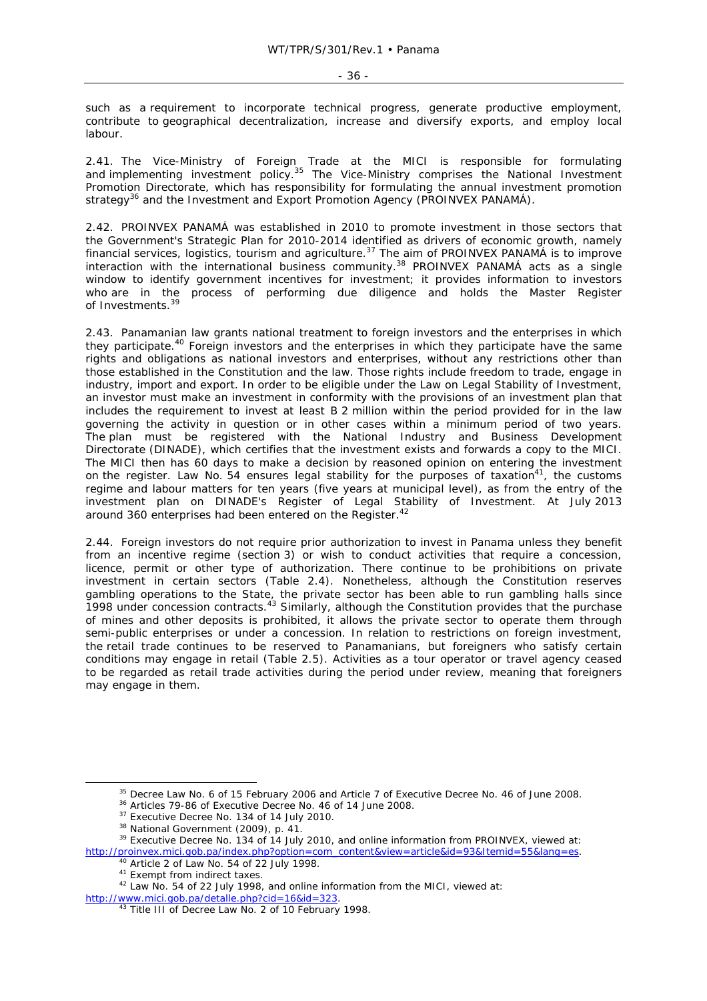- 36 -

such as a requirement to incorporate technical progress, generate productive employment, contribute to geographical decentralization, increase and diversify exports, and employ local labour.

2.41. The Vice-Ministry of Foreign Trade at the MICI is responsible for formulating and implementing investment policy.<sup>35</sup> The Vice-Ministry comprises the National Investment Promotion Directorate, which has responsibility for formulating the annual investment promotion strategy<sup>36</sup> and the Investment and Export Promotion Agency (PROINVEX PANAMÁ).

2.42. PROINVEX PANAMÁ was established in 2010 to promote investment in those sectors that the Government's Strategic Plan for 2010-2014 identified as drivers of economic growth, namely financial services, logistics, tourism and agriculture.<sup>37</sup> The aim of PROINVEX PANAMÁ is to improve interaction with the international business community.<sup>38</sup> PROINVEX PANAMÁ acts as a single window to identify government incentives for investment; it provides information to investors who are in the process of performing due diligence and holds the Master Register of Investments.<sup>39</sup>

2.43. Panamanian law grants national treatment to foreign investors and the enterprises in which they participate.40 Foreign investors and the enterprises in which they participate have the same rights and obligations as national investors and enterprises, without any restrictions other than those established in the Constitution and the law. Those rights include freedom to trade, engage in industry, import and export. In order to be eligible under the Law on Legal Stability of Investment, an investor must make an investment in conformity with the provisions of an investment plan that includes the requirement to invest at least B 2 million within the period provided for in the law governing the activity in question or in other cases within a minimum period of two years. The plan must be registered with the National Industry and Business Development Directorate (DINADE), which certifies that the investment exists and forwards a copy to the MICI. The MICI then has 60 days to make a decision by reasoned opinion on entering the investment on the register. Law No.  $54$  ensures legal stability for the purposes of taxation<sup>41</sup>, the customs regime and labour matters for ten years (five years at municipal level), as from the entry of the investment plan on DINADE's Register of Legal Stability of Investment. At July 2013 around 360 enterprises had been entered on the Register.<sup>42</sup>

2.44. Foreign investors do not require prior authorization to invest in Panama unless they benefit from an incentive regime (section 3) or wish to conduct activities that require a concession, licence, permit or other type of authorization. There continue to be prohibitions on private investment in certain sectors (Table 2.4). Nonetheless, although the Constitution reserves gambling operations to the State, the private sector has been able to run gambling halls since 1998 under concession contracts.<sup>43</sup> Similarly, although the Constitution provides that the purchase of mines and other deposits is prohibited, it allows the private sector to operate them through semi-public enterprises or under a concession. In relation to restrictions on foreign investment, the retail trade continues to be reserved to Panamanians, but foreigners who satisfy certain conditions may engage in retail (Table 2.5). Activities as a tour operator or travel agency ceased to be regarded as retail trade activities during the period under review, meaning that foreigners may engage in them.

<sup>&</sup>lt;sup>35</sup> Decree Law No. 6 of 15 February 2006 and Article 7 of Executive Decree No. 46 of June 2008.<br><sup>36</sup> Articles 79-86 of Executive Decree No. 46 of 14 June 2008.<br><sup>37</sup> Executive Decree No. 134 of 14 July 2010.<br><sup>38</sup> National

http://proinvex.mici.gob.pa/index.php?option=com\_content&view=article&id=93&Itemid=55&lang=es.<br><sup>40</sup> Article 2 of Law No. 54 of 22 July 1998.<br><sup>41</sup> Exempt from indirect taxes.<br><sup>42</sup> Law No. 54 of 22 July 1998, and online info

http://www.mici.gob.pa/detalle.php?cid=16&id=323.<br><sup>43</sup> Title III of Decree Law No. 2 of 10 February 1998.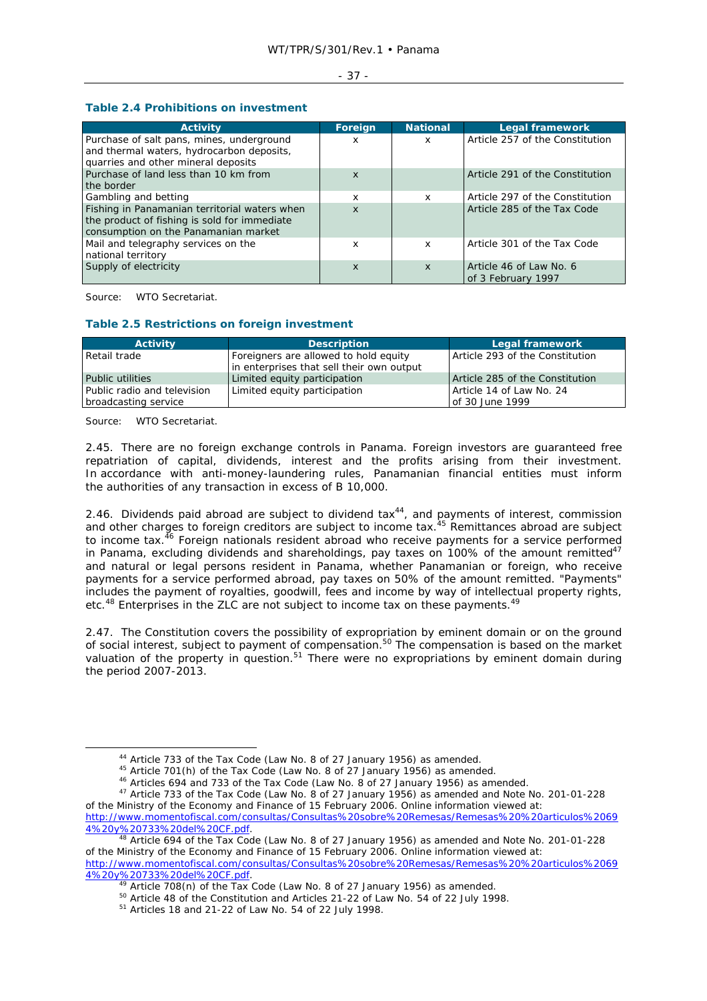#### - 37 -

# **Table 2.4 Prohibitions on investment**

| <b>Activity</b>                                                                                                                       | Foreign                   | <b>National</b> | <b>Legal framework</b>                        |
|---------------------------------------------------------------------------------------------------------------------------------------|---------------------------|-----------------|-----------------------------------------------|
| Purchase of salt pans, mines, underground<br>and thermal waters, hydrocarbon deposits,<br>quarries and other mineral deposits         | x                         | X               | Article 257 of the Constitution               |
| Purchase of land less than 10 km from<br>the border                                                                                   | $\boldsymbol{\mathsf{x}}$ |                 | Article 291 of the Constitution               |
| Gambling and betting                                                                                                                  | x                         | x               | Article 297 of the Constitution               |
| Fishing in Panamanian territorial waters when<br>the product of fishing is sold for immediate<br>consumption on the Panamanian market | $\boldsymbol{\mathsf{x}}$ |                 | Article 285 of the Tax Code                   |
| Mail and telegraphy services on the<br>national territory                                                                             | x                         | x               | Article 301 of the Tax Code                   |
| Supply of electricity                                                                                                                 | X                         | X               | Article 46 of Law No. 6<br>of 3 February 1997 |

Source: WTO Secretariat.

# **Table 2.5 Restrictions on foreign investment**

| <b>Activity</b>             | <b>Description</b>                        | <b>Legal framework</b>          |
|-----------------------------|-------------------------------------------|---------------------------------|
| Retail trade                | Foreigners are allowed to hold equity     | Article 293 of the Constitution |
|                             | in enterprises that sell their own output |                                 |
| Public utilities            | Limited equity participation              | Article 285 of the Constitution |
| Public radio and television | Limited equity participation              | Article 14 of Law No. 24        |
| broadcasting service        |                                           | of 30 June 1999                 |

Source: WTO Secretariat.

2.45. There are no foreign exchange controls in Panama. Foreign investors are guaranteed free repatriation of capital, dividends, interest and the profits arising from their investment. In accordance with anti-money-laundering rules, Panamanian financial entities must inform the authorities of any transaction in excess of B 10,000.

2.46. Dividends paid abroad are subject to dividend  $\text{tax}^{44}$ , and payments of interest, commission and other charges to foreign creditors are subject to income tax.<sup>45</sup> Remittances abroad are subject to income tax.<sup>46</sup> Foreign nationals resident abroad who receive payments for a service performed in Panama, excluding dividends and shareholdings, pay taxes on 100% of the amount remitted<sup>47</sup> and natural or legal persons resident in Panama, whether Panamanian or foreign, who receive payments for a service performed abroad, pay taxes on 50% of the amount remitted. "Payments" includes the payment of royalties, goodwill, fees and income by way of intellectual property rights, etc.<sup>48</sup> Enterprises in the ZLC are not subject to income tax on these payments.<sup>49</sup>

2.47. The Constitution covers the possibility of expropriation by eminent domain or on the ground of social interest, subject to payment of compensation.<sup>50</sup> The compensation is based on the market valuation of the property in question.<sup>51</sup> There were no expropriations by eminent domain during the period 2007-2013.

<sup>&</sup>lt;sup>44</sup> Article 733 of the Tax Code (Law No. 8 of 27 January 1956) as amended.<br><sup>45</sup> Article 701(h) of the Tax Code (Law No. 8 of 27 January 1956) as amended.<br><sup>46</sup> Articles 694 and 733 of the Tax Code (Law No. 8 of 27 January

of the Ministry of the Economy and Finance of 15 February 2006. Online information viewed at: http://www.momentofiscal.com/consultas/Consultas%20sobre%20Remesas/Remesas%20%20articulos%2069 4%20y%20733%20del%20CF.pdf. 48 Article 694 of the Tax Code (Law No. 8 of 27 January 1956) as amended and Note No. 201-01-228

of the Ministry of the Economy and Finance of 15 February 2006. Online information viewed at: http://www.momentofiscal.com/consultas/Consultas%20sobre%20Remesas/Remesas%20%20articulos%2069

 $\frac{4\%20y\%20733\%20del\%20CF.pdf}{49}$  Article 708(n) of the Tax Code (Law No. 8 of 27 January 1956) as amended.<br><sup>50</sup> Article 48 of the Constitution and Articles 21-22 of Law No. 54 of 22 July 1998.<br><sup>51</sup> Articles 18 and 21-22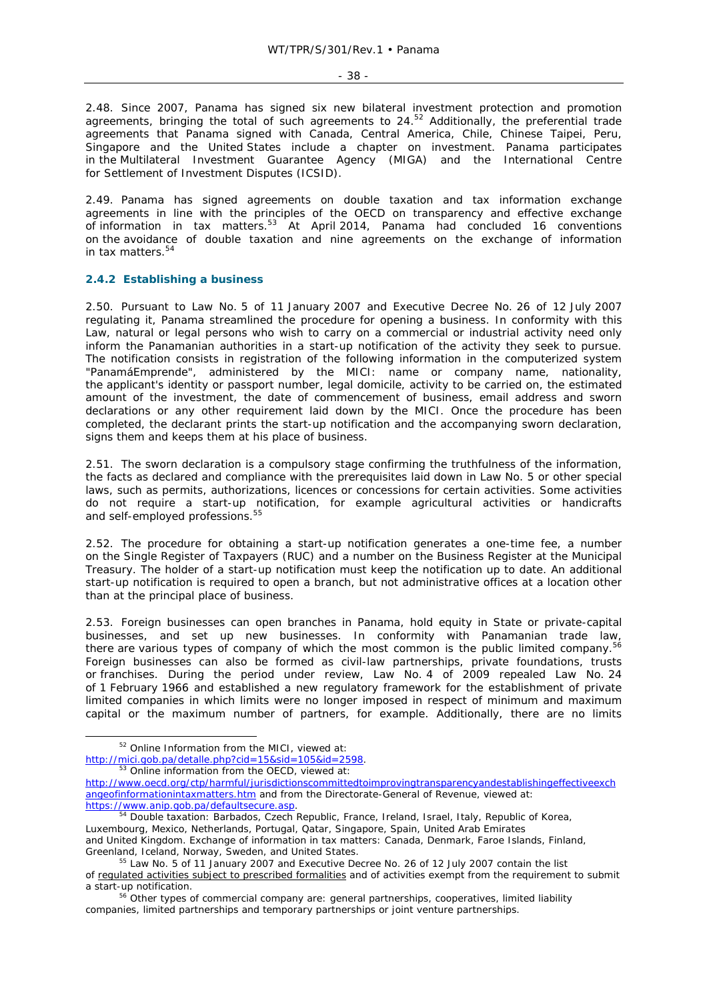- 38 -

2.48. Since 2007, Panama has signed six new bilateral investment protection and promotion agreements, bringing the total of such agreements to 24.<sup>52</sup> Additionally, the preferential trade agreements that Panama signed with Canada, Central America, Chile, Chinese Taipei, Peru, Singapore and the United States include a chapter on investment. Panama participates in the Multilateral Investment Guarantee Agency (MIGA) and the International Centre for Settlement of Investment Disputes (ICSID).

2.49. Panama has signed agreements on double taxation and tax information exchange agreements in line with the principles of the OECD on transparency and effective exchange of information in tax matters.<sup>53</sup> At April 2014, Panama had concluded 16 conventions on the avoidance of double taxation and nine agreements on the exchange of information in tax matters.<sup>54</sup>

## **2.4.2 Establishing a business**

2.50. Pursuant to Law No. 5 of 11 January 2007 and Executive Decree No. 26 of 12 July 2007 regulating it, Panama streamlined the procedure for opening a business. In conformity with this Law, natural or legal persons who wish to carry on a commercial or industrial activity need only inform the Panamanian authorities in a start-up notification of the activity they seek to pursue. The notification consists in registration of the following information in the computerized system "PanamáEmprende", administered by the MICI: name or company name, nationality, the applicant's identity or passport number, legal domicile, activity to be carried on, the estimated amount of the investment, the date of commencement of business, email address and sworn declarations or any other requirement laid down by the MICI. Once the procedure has been completed, the declarant prints the start-up notification and the accompanying sworn declaration, signs them and keeps them at his place of business.

2.51. The sworn declaration is a compulsory stage confirming the truthfulness of the information, the facts as declared and compliance with the prerequisites laid down in Law No. 5 or other special laws, such as permits, authorizations, licences or concessions for certain activities. Some activities do not require a start-up notification, for example agricultural activities or handicrafts and self-employed professions.<sup>55</sup>

2.52. The procedure for obtaining a start-up notification generates a one-time fee, a number on the Single Register of Taxpayers (RUC) and a number on the Business Register at the Municipal Treasury. The holder of a start-up notification must keep the notification up to date. An additional start-up notification is required to open a branch, but not administrative offices at a location other than at the principal place of business.

2.53. Foreign businesses can open branches in Panama, hold equity in State or private-capital businesses, and set up new businesses. In conformity with Panamanian trade law, there are various types of company of which the most common is the public limited company.<sup>56</sup> Foreign businesses can also be formed as civil-law partnerships, private foundations, trusts or franchises. During the period under review, Law No. 4 of 2009 repealed Law No. 24 of 1 February 1966 and established a new regulatory framework for the establishment of private limited companies in which limits were no longer imposed in respect of minimum and maximum capital or the maximum number of partners, for example. Additionally, there are no limits

 <sup>52</sup> Online Information from the MICI, viewed at: http://mici.gob.pa/detalle.php?cid=15&sid=105&id=2598.<br><sup>53</sup> Online information from the OECD, viewed at:

http://www.oecd.org/ctp/harmful/jurisdictionscommittedtoimprovingtransparencyandestablishingeffectiveexch angeofinformationintaxmatters.htm and from the Directorate-General of Revenue, viewed at: https://www.anip.gob.pa/defaultsecure.asp.<br><sup>54</sup> Double taxation: Barbados, Czech Republic, France, Ireland, Israel, Italy, Republic of Korea,

Luxembourg, Mexico, Netherlands, Portugal, Qatar, Singapore, Spain, United Arab Emirates and United Kingdom. Exchange of information in tax matters: Canada, Denmark, Faroe Islands, Finland,

Greenland, Iceland, Norway, Sweden, and United States.<br><sup>55</sup> Law No. 5 of 11 January 2007 and Executive Decree No. 26 of 12 July 2007 contain the list of regulated activities subject to prescribed formalities and of activities exempt from the requirement to submit a start-up notification.<br><sup>56</sup> Other types of commercial company are: general partnerships, cooperatives, limited liability

companies, limited partnerships and temporary partnerships or joint venture partnerships.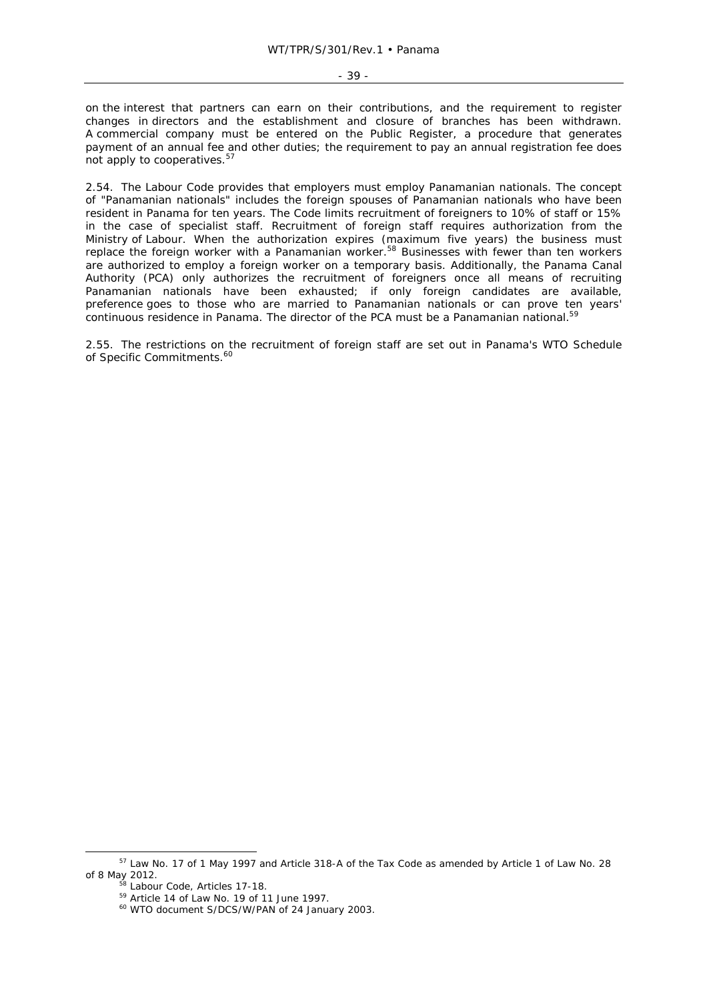on the interest that partners can earn on their contributions, and the requirement to register changes in directors and the establishment and closure of branches has been withdrawn. A commercial company must be entered on the Public Register, a procedure that generates payment of an annual fee and other duties; the requirement to pay an annual registration fee does not apply to cooperatives.<sup>57</sup>

2.54. The Labour Code provides that employers must employ Panamanian nationals. The concept of "Panamanian nationals" includes the foreign spouses of Panamanian nationals who have been resident in Panama for ten years. The Code limits recruitment of foreigners to 10% of staff or 15% in the case of specialist staff. Recruitment of foreign staff requires authorization from the Ministry of Labour. When the authorization expires (maximum five years) the business must replace the foreign worker with a Panamanian worker.<sup>58</sup> Businesses with fewer than ten workers are authorized to employ a foreign worker on a temporary basis. Additionally, the Panama Canal Authority (PCA) only authorizes the recruitment of foreigners once all means of recruiting Panamanian nationals have been exhausted; if only foreign candidates are available, preference goes to those who are married to Panamanian nationals or can prove ten years' continuous residence in Panama. The director of the PCA must be a Panamanian national.<sup>59</sup>

2.55. The restrictions on the recruitment of foreign staff are set out in Panama's WTO Schedule of Specific Commitments.<sup>60</sup>

 <sup>57</sup> Law No. 17 of 1 May 1997 and Article 318-A of the Tax Code as amended by Article 1 of Law No. 28 of 8 May 2012.<br><sup>58</sup> Labour Code, Articles 17-18.<br><sup>59</sup> Article 14 of Law No. 19 of 11 June 1997.<br><sup>60</sup> WTO document S/DCS/W/PAN of 24 January 2003.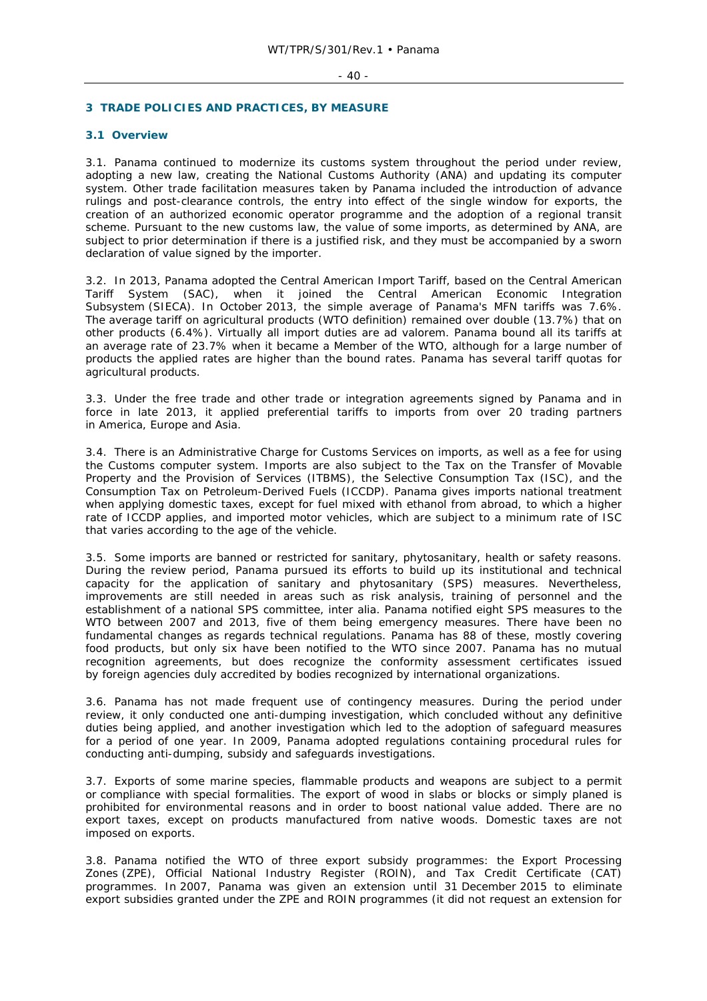#### $-40 -$

# **3 TRADE POLICIES AND PRACTICES, BY MEASURE**

# **3.1 Overview**

3.1. Panama continued to modernize its customs system throughout the period under review, adopting a new law, creating the National Customs Authority (ANA) and updating its computer system. Other trade facilitation measures taken by Panama included the introduction of advance rulings and post-clearance controls, the entry into effect of the single window for exports, the creation of an authorized economic operator programme and the adoption of a regional transit scheme. Pursuant to the new customs law, the value of some imports, as determined by ANA, are subject to prior determination if there is a justified risk, and they must be accompanied by a sworn declaration of value signed by the importer.

3.2. In 2013, Panama adopted the Central American Import Tariff, based on the Central American Tariff System (SAC), when it joined the Central American Economic Integration Subsystem (SIECA). In October 2013, the simple average of Panama's MFN tariffs was 7.6%. The average tariff on agricultural products (WTO definition) remained over double (13.7%) that on other products (6.4%). Virtually all import duties are *ad valorem.* Panama bound all its tariffs at an average rate of 23.7% when it became a Member of the WTO, although for a large number of products the applied rates are higher than the bound rates. Panama has several tariff quotas for agricultural products.

3.3. Under the free trade and other trade or integration agreements signed by Panama and in force in late 2013, it applied preferential tariffs to imports from over 20 trading partners in America, Europe and Asia.

3.4. There is an Administrative Charge for Customs Services on imports, as well as a fee for using the Customs computer system. Imports are also subject to the Tax on the Transfer of Movable Property and the Provision of Services (ITBMS), the Selective Consumption Tax (ISC), and the Consumption Tax on Petroleum-Derived Fuels (ICCDP). Panama gives imports national treatment when applying domestic taxes, except for fuel mixed with ethanol from abroad, to which a higher rate of ICCDP applies, and imported motor vehicles, which are subject to a minimum rate of ISC that varies according to the age of the vehicle.

3.5. Some imports are banned or restricted for sanitary, phytosanitary, health or safety reasons. During the review period, Panama pursued its efforts to build up its institutional and technical capacity for the application of sanitary and phytosanitary (SPS) measures. Nevertheless, improvements are still needed in areas such as risk analysis, training of personnel and the establishment of a national SPS committee, *inter alia.* Panama notified eight SPS measures to the WTO between 2007 and 2013, five of them being emergency measures. There have been no fundamental changes as regards technical regulations. Panama has 88 of these, mostly covering food products, but only six have been notified to the WTO since 2007. Panama has no mutual recognition agreements, but does recognize the conformity assessment certificates issued by foreign agencies duly accredited by bodies recognized by international organizations.

3.6. Panama has not made frequent use of contingency measures. During the period under review, it only conducted one anti-dumping investigation, which concluded without any definitive duties being applied, and another investigation which led to the adoption of safeguard measures for a period of one year. In 2009, Panama adopted regulations containing procedural rules for conducting anti-dumping, subsidy and safeguards investigations.

3.7. Exports of some marine species, flammable products and weapons are subject to a permit or compliance with special formalities. The export of wood in slabs or blocks or simply planed is prohibited for environmental reasons and in order to boost national value added. There are no export taxes, except on products manufactured from native woods. Domestic taxes are not imposed on exports.

3.8. Panama notified the WTO of three export subsidy programmes: the Export Processing Zones (ZPE), Official National Industry Register (ROIN), and Tax Credit Certificate (CAT) programmes. In 2007, Panama was given an extension until 31 December 2015 to eliminate export subsidies granted under the ZPE and ROIN programmes (it did not request an extension for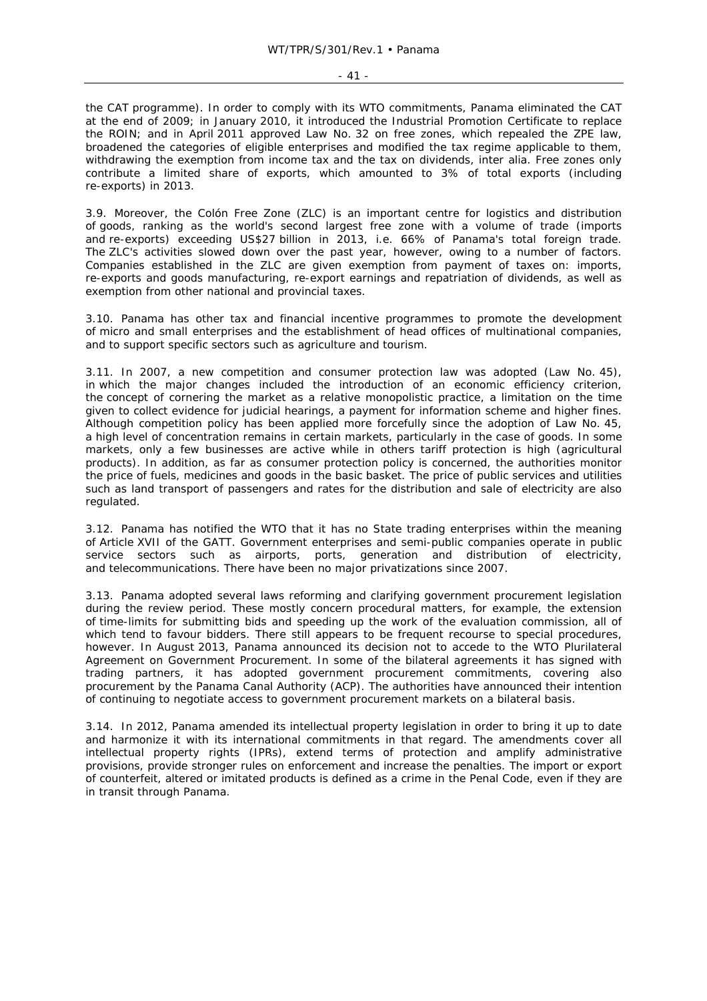#### - 41 -

the CAT programme). In order to comply with its WTO commitments, Panama eliminated the CAT at the end of 2009; in January 2010, it introduced the Industrial Promotion Certificate to replace the ROIN; and in April 2011 approved Law No. 32 on free zones, which repealed the ZPE law, broadened the categories of eligible enterprises and modified the tax regime applicable to them, withdrawing the exemption from income tax and the tax on dividends, *inter alia.* Free zones only contribute a limited share of exports, which amounted to 3% of total exports (including re-exports) in 2013.

3.9. Moreover, the Colón Free Zone (ZLC) is an important centre for logistics and distribution of goods, ranking as the world's second largest free zone with a volume of trade (imports and re-exports) exceeding US\$27 billion in 2013, i.e. 66% of Panama's total foreign trade. The ZLC's activities slowed down over the past year, however, owing to a number of factors. Companies established in the ZLC are given exemption from payment of taxes on: imports, re-exports and goods manufacturing, re-export earnings and repatriation of dividends, as well as exemption from other national and provincial taxes.

3.10. Panama has other tax and financial incentive programmes to promote the development of micro and small enterprises and the establishment of head offices of multinational companies, and to support specific sectors such as agriculture and tourism.

3.11. In 2007, a new competition and consumer protection law was adopted (Law No. 45), in which the major changes included the introduction of an economic efficiency criterion, the concept of cornering the market as a relative monopolistic practice, a limitation on the time given to collect evidence for judicial hearings, a payment for information scheme and higher fines. Although competition policy has been applied more forcefully since the adoption of Law No. 45, a high level of concentration remains in certain markets, particularly in the case of goods. In some markets, only a few businesses are active while in others tariff protection is high (agricultural products). In addition, as far as consumer protection policy is concerned, the authorities monitor the price of fuels, medicines and goods in the basic basket. The price of public services and utilities such as land transport of passengers and rates for the distribution and sale of electricity are also regulated.

3.12. Panama has notified the WTO that it has no State trading enterprises within the meaning of Article XVII of the GATT. Government enterprises and semi-public companies operate in public service sectors such as airports, ports, generation and distribution of electricity, and telecommunications. There have been no major privatizations since 2007.

3.13. Panama adopted several laws reforming and clarifying government procurement legislation during the review period. These mostly concern procedural matters, for example, the extension of time-limits for submitting bids and speeding up the work of the evaluation commission, all of which tend to favour bidders. There still appears to be frequent recourse to special procedures, however. In August 2013, Panama announced its decision not to accede to the WTO Plurilateral Agreement on Government Procurement. In some of the bilateral agreements it has signed with trading partners, it has adopted government procurement commitments, covering also procurement by the Panama Canal Authority (ACP). The authorities have announced their intention of continuing to negotiate access to government procurement markets on a bilateral basis.

3.14. In 2012, Panama amended its intellectual property legislation in order to bring it up to date and harmonize it with its international commitments in that regard. The amendments cover all intellectual property rights (IPRs), extend terms of protection and amplify administrative provisions, provide stronger rules on enforcement and increase the penalties. The import or export of counterfeit, altered or imitated products is defined as a crime in the Penal Code, even if they are in transit through Panama.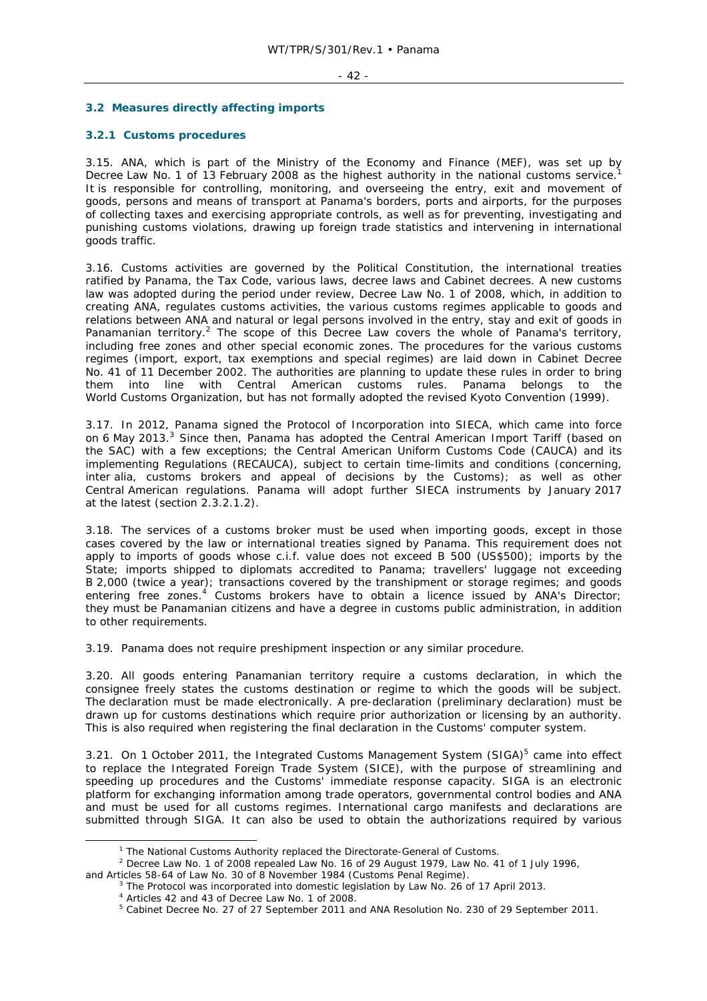#### $-42 -$

# **3.2 Measures directly affecting imports**

# **3.2.1 Customs procedures**

3.15. ANA, which is part of the Ministry of the Economy and Finance (MEF), was set up by Decree Law No. 1 of 13 February 2008 as the highest authority in the national customs service.<sup>1</sup> It is responsible for controlling, monitoring, and overseeing the entry, exit and movement of goods, persons and means of transport at Panama's borders, ports and airports, for the purposes of collecting taxes and exercising appropriate controls, as well as for preventing, investigating and punishing customs violations, drawing up foreign trade statistics and intervening in international goods traffic.

3.16. Customs activities are governed by the Political Constitution, the international treaties ratified by Panama, the Tax Code, various laws, decree laws and Cabinet decrees. A new customs law was adopted during the period under review, Decree Law No. 1 of 2008, which, in addition to creating ANA, regulates customs activities, the various customs regimes applicable to goods and relations between ANA and natural or legal persons involved in the entry, stay and exit of goods in Panamanian territory.<sup>2</sup> The scope of this Decree Law covers the whole of Panama's territory, including free zones and other special economic zones. The procedures for the various customs regimes (import, export, tax exemptions and special regimes) are laid down in Cabinet Decree No. 41 of 11 December 2002. The authorities are planning to update these rules in order to bring them into line with Central American customs rules. Panama belongs to the World Customs Organization, but has not formally adopted the revised Kyoto Convention (1999).

3.17. In 2012, Panama signed the Protocol of Incorporation into SIECA, which came into force on 6 May 2013.<sup>3</sup> Since then, Panama has adopted the Central American Import Tariff (based on the SAC) with a few exceptions; the Central American Uniform Customs Code (CAUCA) and its implementing Regulations (RECAUCA), subject to certain time-limits and conditions (concerning, *inter alia,* customs brokers and appeal of decisions by the Customs); as well as other Central American regulations. Panama will adopt further SIECA instruments by January 2017 at the latest (section 2.3.2.1.2).

3.18. The services of a customs broker must be used when importing goods, except in those cases covered by the law or international treaties signed by Panama. This requirement does not apply to imports of goods whose c.i.f. value does not exceed B 500 (US\$500); imports by the State; imports shipped to diplomats accredited to Panama; travellers' luggage not exceeding B 2,000 (twice a year); transactions covered by the transhipment or storage regimes; and goods entering free zones.<sup>4</sup> Customs brokers have to obtain a licence issued by ANA's Director; they must be Panamanian citizens and have a degree in customs public administration, in addition to other requirements.

3.19. Panama does not require preshipment inspection or any similar procedure.

3.20. All goods entering Panamanian territory require a customs declaration, in which the consignee freely states the customs destination or regime to which the goods will be subject. The declaration must be made electronically. A pre-declaration (preliminary declaration) must be drawn up for customs destinations which require prior authorization or licensing by an authority. This is also required when registering the final declaration in the Customs' computer system.

3.21. On 1 October 2011, the Integrated Customs Management System (SIGA)<sup>5</sup> came into effect to replace the Integrated Foreign Trade System (SICE), with the purpose of streamlining and speeding up procedures and the Customs' immediate response capacity. SIGA is an electronic platform for exchanging information among trade operators, governmental control bodies and ANA and must be used for all customs regimes. International cargo manifests and declarations are submitted through SIGA. It can also be used to obtain the authorizations required by various

 $\frac{1}{1}$  $1$  The National Customs Authority replaced the Directorate-General of Customs.

 $2$  Decree Law No. 1 of 2008 repealed Law No. 16 of 29 August 1979, Law No. 41 of 1 July 1996,

and Articles 58-64 of Law No. 30 of 8 November 1984 (Customs Penal Regime). 3

 $3$  The Protocol was incorporated into domestic legislation by Law No. 26 of 17 April 2013.

<sup>4</sup> Articles 42 and 43 of Decree Law No. 1 of 2008.

<sup>&</sup>lt;sup>5</sup> Cabinet Decree No. 27 of 27 September 2011 and ANA Resolution No. 230 of 29 September 2011.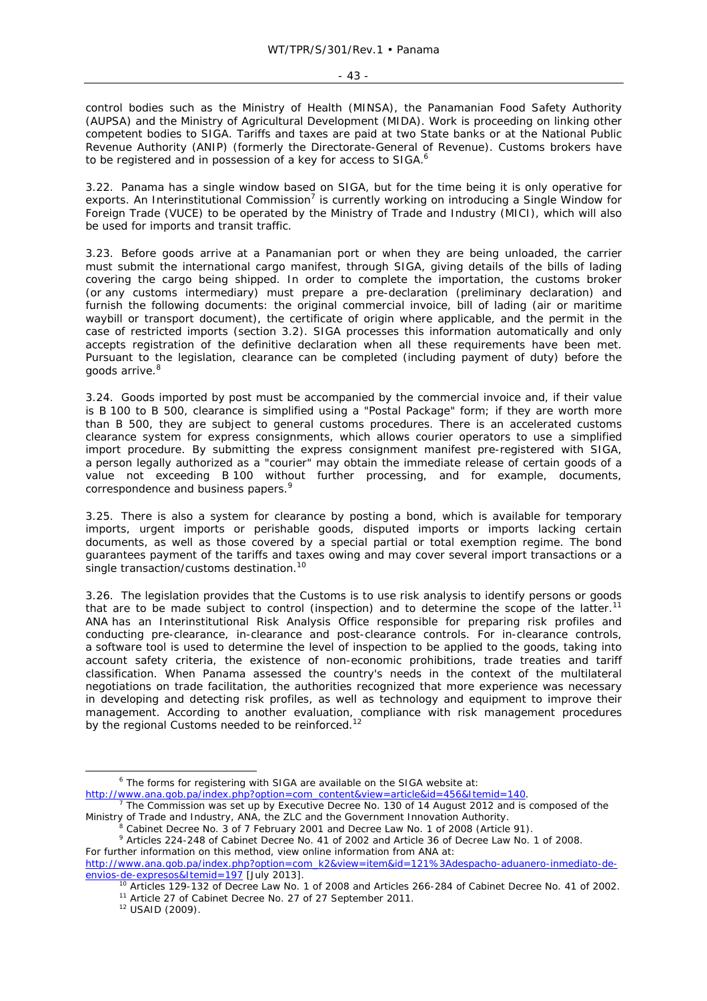control bodies such as the Ministry of Health (MINSA), the Panamanian Food Safety Authority (AUPSA) and the Ministry of Agricultural Development (MIDA). Work is proceeding on linking other competent bodies to SIGA. Tariffs and taxes are paid at two State banks or at the National Public Revenue Authority (ANIP) (formerly the Directorate-General of Revenue). Customs brokers have to be registered and in possession of a key for access to SIGA.<sup>6</sup>

3.22. Panama has a single window based on SIGA, but for the time being it is only operative for exports. An Interinstitutional Commission<sup>7</sup> is currently working on introducing a Single Window for Foreign Trade (VUCE) to be operated by the Ministry of Trade and Industry (MICI), which will also be used for imports and transit traffic.

3.23. Before goods arrive at a Panamanian port or when they are being unloaded, the carrier must submit the international cargo manifest, through SIGA, giving details of the bills of lading covering the cargo being shipped. In order to complete the importation, the customs broker (or any customs intermediary) must prepare a pre-declaration (preliminary declaration) and furnish the following documents: the original commercial invoice, bill of lading (air or maritime waybill or transport document), the certificate of origin where applicable, and the permit in the case of restricted imports (section 3.2). SIGA processes this information automatically and only accepts registration of the definitive declaration when all these requirements have been met. Pursuant to the legislation, clearance can be completed (including payment of duty) before the goods arrive.<sup>8</sup>

3.24. Goods imported by post must be accompanied by the commercial invoice and, if their value is B 100 to B 500, clearance is simplified using a "Postal Package" form; if they are worth more than B 500, they are subject to general customs procedures. There is an accelerated customs clearance system for express consignments, which allows courier operators to use a simplified import procedure. By submitting the express consignment manifest pre-registered with SIGA, a person legally authorized as a "courier" may obtain the immediate release of certain goods of a value not exceeding B 100 without further processing, and for example, documents, correspondence and business papers.<sup>9</sup>

3.25. There is also a system for clearance by posting a bond, which is available for temporary imports, urgent imports or perishable goods, disputed imports or imports lacking certain documents, as well as those covered by a special partial or total exemption regime. The bond guarantees payment of the tariffs and taxes owing and may cover several import transactions or a single transaction/customs destination.<sup>10</sup>

3.26. The legislation provides that the Customs is to use risk analysis to identify persons or goods that are to be made subject to control (inspection) and to determine the scope of the latter.<sup>11</sup> ANA has an Interinstitutional Risk Analysis Office responsible for preparing risk profiles and conducting pre-clearance, in-clearance and post-clearance controls. For in-clearance controls, a software tool is used to determine the level of inspection to be applied to the goods, taking into account safety criteria, the existence of non-economic prohibitions, trade treaties and tariff classification. When Panama assessed the country's needs in the context of the multilateral negotiations on trade facilitation, the authorities recognized that more experience was necessary in developing and detecting risk profiles, as well as technology and equipment to improve their management. According to another evaluation, compliance with risk management procedures by the regional Customs needed to be reinforced.<sup>12</sup>

- $\overline{\phantom{0}}$  $6$  The forms for registering with SIGA are available on the SIGA website at: http://www.ana.gob.pa/index.php?option=com\_content&view=article&id=456&Itemid=140.
- The Commission was set up by Executive Decree No. 130 of 14 August 2012 and is composed of the Ministry of Trade and Industry, ANA, the ZLC and the Government Innovation Authority. 8
	- Cabinet Decree No. 3 of 7 February 2001 and Decree Law No. 1 of 2008 (Article 91).

<sup>&</sup>lt;sup>9</sup> Articles 224-248 of Cabinet Decree No. 41 of 2002 and Article 36 of Decree Law No. 1 of 2008. For further information on this method, view online information from ANA at: http://www.ana.gob.pa/index.php?option=com\_k2&view=item&id=121%3Adespacho-aduanero-inmediato-de-

envios-de-expresos&Itemid=197 [July 2013].<br><sup>10</sup> Articles 129-132 of Decree Law No. 1 of 2008 and Articles 266-284 of Cabinet Decree No. 41 of 2002.<br><sup>11</sup> Article 27 of Cabinet Decree No. 27 of 27 September 2011.<br><sup>12</sup> USAID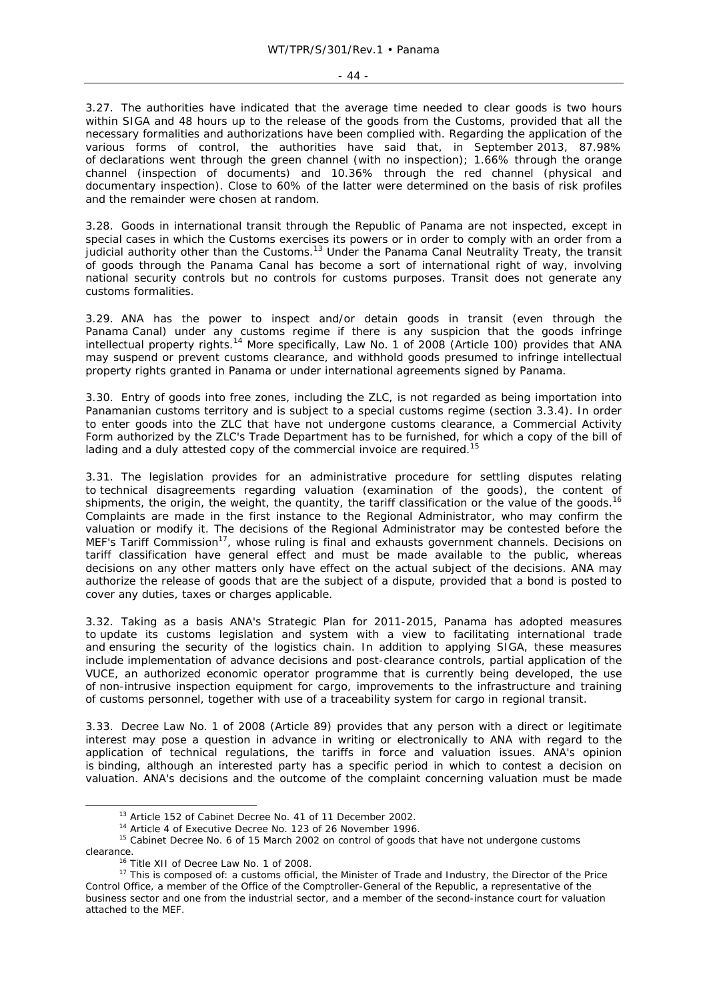#### $- 44 -$

3.27. The authorities have indicated that the average time needed to clear goods is two hours within SIGA and 48 hours up to the release of the goods from the Customs, provided that all the necessary formalities and authorizations have been complied with. Regarding the application of the various forms of control, the authorities have said that, in September 2013, 87.98% of declarations went through the green channel (with no inspection); 1.66% through the orange channel (inspection of documents) and 10.36% through the red channel (physical and documentary inspection). Close to 60% of the latter were determined on the basis of risk profiles and the remainder were chosen at random.

3.28. Goods in international transit through the Republic of Panama are not inspected, except in special cases in which the Customs exercises its powers or in order to comply with an order from a judicial authority other than the Customs.<sup>13</sup> Under the Panama Canal Neutrality Treaty, the transit of goods through the Panama Canal has become a sort of international right of way, involving national security controls but no controls for customs purposes. Transit does not generate any customs formalities.

3.29. ANA has the power to inspect and/or detain goods in transit (even through the Panama Canal) under any customs regime if there is any suspicion that the goods infringe intellectual property rights.14 More specifically, Law No. 1 of 2008 (Article 100) provides that ANA may suspend or prevent customs clearance, and withhold goods presumed to infringe intellectual property rights granted in Panama or under international agreements signed by Panama.

3.30. Entry of goods into free zones, including the ZLC, is not regarded as being importation into Panamanian customs territory and is subject to a special customs regime (section 3.3.4). In order to enter goods into the ZLC that have not undergone customs clearance, a Commercial Activity Form authorized by the ZLC's Trade Department has to be furnished, for which a copy of the bill of lading and a duly attested copy of the commercial invoice are required.<sup>15</sup>

3.31. The legislation provides for an administrative procedure for settling disputes relating to technical disagreements regarding valuation (examination of the goods), the content of shipments, the origin, the weight, the quantity, the tariff classification or the value of the goods.<sup>16</sup> Complaints are made in the first instance to the Regional Administrator, who may confirm the valuation or modify it. The decisions of the Regional Administrator may be contested before the MEF's Tariff Commission<sup>17</sup>, whose ruling is final and exhausts government channels. Decisions on tariff classification have general effect and must be made available to the public, whereas decisions on any other matters only have effect on the actual subject of the decisions. ANA may authorize the release of goods that are the subject of a dispute, provided that a bond is posted to cover any duties, taxes or charges applicable.

3.32. Taking as a basis ANA's Strategic Plan for 2011-2015, Panama has adopted measures to update its customs legislation and system with a view to facilitating international trade and ensuring the security of the logistics chain. In addition to applying SIGA, these measures include implementation of advance decisions and post-clearance controls, partial application of the VUCE, an authorized economic operator programme that is currently being developed, the use of non-intrusive inspection equipment for cargo, improvements to the infrastructure and training of customs personnel, together with use of a traceability system for cargo in regional transit.

3.33. Decree Law No. 1 of 2008 (Article 89) provides that any person with a direct or legitimate interest may pose a question in advance in writing or electronically to ANA with regard to the application of technical regulations, the tariffs in force and valuation issues. ANA's opinion is binding, although an interested party has a specific period in which to contest a decision on valuation. ANA's decisions and the outcome of the complaint concerning valuation must be made

<sup>13</sup> Article 152 of Cabinet Decree No. 41 of 11 December 2002.<br><sup>14</sup> Article 4 of Executive Decree No. 123 of 26 November 1996.<br><sup>15</sup> Cabinet Decree No. 6 of 15 March 2002 on control of goods that have not undergone customs clearance.<br><sup>16</sup> Title XII of Decree Law No. 1 of 2008.<br><sup>17</sup> This is composed of: a customs official, the Minister of Trade and Industry, the Director of the Price

Control Office, a member of the Office of the Comptroller-General of the Republic, a representative of the business sector and one from the industrial sector, and a member of the second-instance court for valuation attached to the MEF.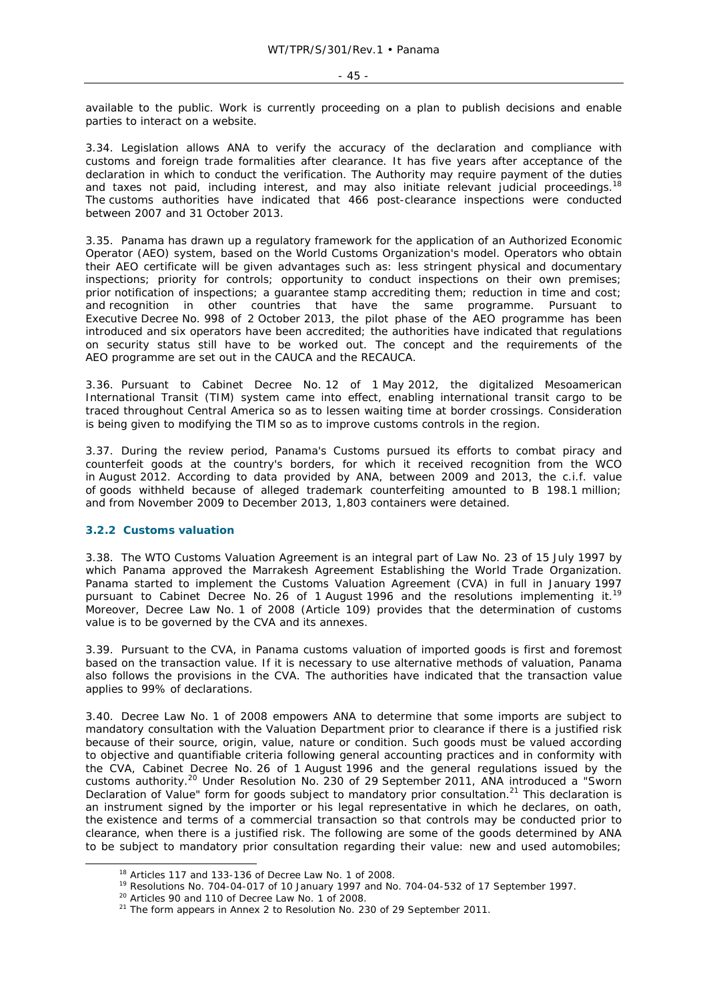available to the public. Work is currently proceeding on a plan to publish decisions and enable parties to interact on a website.

3.34. Legislation allows ANA to verify the accuracy of the declaration and compliance with customs and foreign trade formalities after clearance. It has five years after acceptance of the declaration in which to conduct the verification. The Authority may require payment of the duties and taxes not paid, including interest, and may also initiate relevant judicial proceedings.<sup>18</sup> The customs authorities have indicated that 466 post-clearance inspections were conducted between 2007 and 31 October 2013.

3.35. Panama has drawn up a regulatory framework for the application of an Authorized Economic Operator (AEO) system, based on the World Customs Organization's model. Operators who obtain their AEO certificate will be given advantages such as: less stringent physical and documentary inspections; priority for controls; opportunity to conduct inspections on their own premises; prior notification of inspections; a guarantee stamp accrediting them; reduction in time and cost; and recognition in other countries that have the same programme. Pursuant to Executive Decree No. 998 of 2 October 2013, the pilot phase of the AEO programme has been introduced and six operators have been accredited; the authorities have indicated that regulations on security status still have to be worked out. The concept and the requirements of the AEO programme are set out in the CAUCA and the RECAUCA.

3.36. Pursuant to Cabinet Decree No. 12 of 1 May 2012, the digitalized Mesoamerican International Transit (TIM) system came into effect, enabling international transit cargo to be traced throughout Central America so as to lessen waiting time at border crossings. Consideration is being given to modifying the TIM so as to improve customs controls in the region.

3.37. During the review period, Panama's Customs pursued its efforts to combat piracy and counterfeit goods at the country's borders, for which it received recognition from the WCO in August 2012. According to data provided by ANA, between 2009 and 2013, the c.i.f. value of goods withheld because of alleged trademark counterfeiting amounted to B 198.1 million; and from November 2009 to December 2013, 1,803 containers were detained.

#### **3.2.2 Customs valuation**

3.38. The WTO Customs Valuation Agreement is an integral part of Law No. 23 of 15 July 1997 by which Panama approved the Marrakesh Agreement Establishing the World Trade Organization. Panama started to implement the Customs Valuation Agreement (CVA) in full in January 1997 pursuant to Cabinet Decree No. 26 of 1 August 1996 and the resolutions implementing it.<sup>19</sup> Moreover, Decree Law No. 1 of 2008 (Article 109) provides that the determination of customs value is to be governed by the CVA and its annexes.

3.39. Pursuant to the CVA, in Panama customs valuation of imported goods is first and foremost based on the transaction value. If it is necessary to use alternative methods of valuation, Panama also follows the provisions in the CVA. The authorities have indicated that the transaction value applies to 99% of declarations.

3.40. Decree Law No. 1 of 2008 empowers ANA to determine that some imports are subject to mandatory consultation with the Valuation Department prior to clearance if there is a justified risk because of their source, origin, value, nature or condition. Such goods must be valued according to objective and quantifiable criteria following general accounting practices and in conformity with the CVA, Cabinet Decree No. 26 of 1 August 1996 and the general regulations issued by the customs authority.<sup>20</sup> Under Resolution No. 230 of 29 September 2011, ANA introduced a "Sworn Declaration of Value" form for goods subject to mandatory prior consultation.<sup>21</sup> This declaration is an instrument signed by the importer or his legal representative in which he declares, on oath, the existence and terms of a commercial transaction so that controls may be conducted prior to clearance, when there is a justified risk. The following are some of the goods determined by ANA to be subject to mandatory prior consultation regarding their value: new and used automobiles;

<sup>&</sup>lt;sup>18</sup> Articles 117 and 133-136 of Decree Law No. 1 of 2008.<br><sup>19</sup> Resolutions No. 704-04-017 of 10 January 1997 and No. 704-04-532 of 17 September 1997.<br><sup>20</sup> Articles 90 and 110 of Decree Law No. 1 of 2008.<br><sup>21</sup> The form ap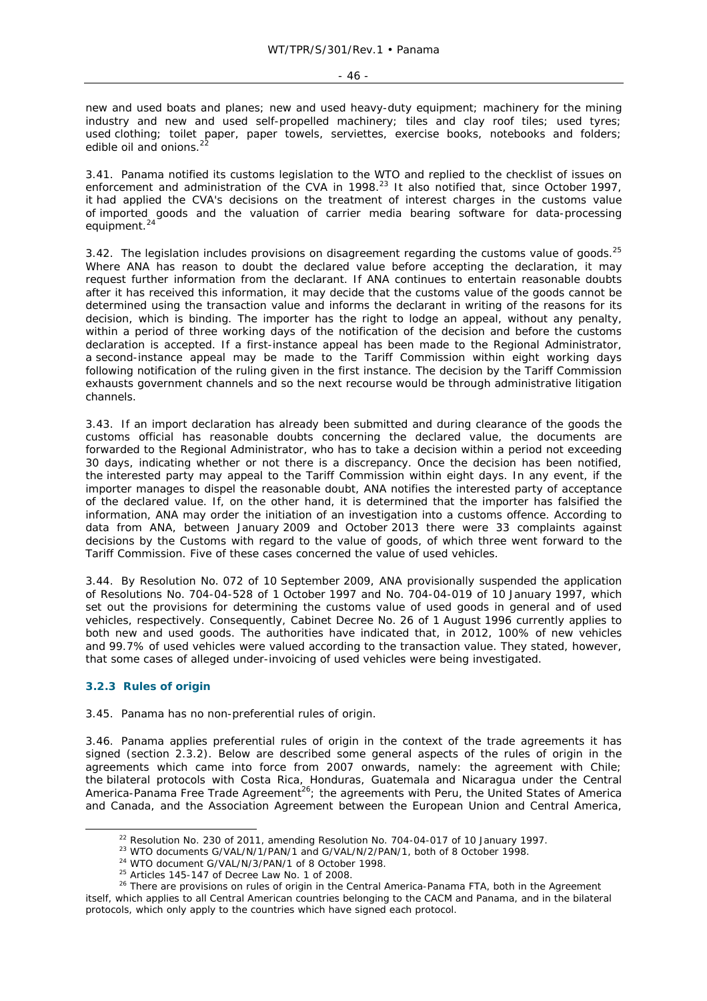new and used boats and planes; new and used heavy-duty equipment; machinery for the mining industry and new and used self-propelled machinery; tiles and clay roof tiles; used tyres; used clothing; toilet paper, paper towels, serviettes, exercise books, notebooks and folders; edible oil and onions.

3.41. Panama notified its customs legislation to the WTO and replied to the checklist of issues on enforcement and administration of the CVA in 1998.<sup>23</sup> It also notified that, since October 1997, it had applied the CVA's decisions on the treatment of interest charges in the customs value of imported goods and the valuation of carrier media bearing software for data-processing equipment.<sup>24</sup>

3.42. The legislation includes provisions on disagreement regarding the customs value of goods. $^{25}$ Where ANA has reason to doubt the declared value before accepting the declaration, it may request further information from the declarant. If ANA continues to entertain reasonable doubts after it has received this information, it may decide that the customs value of the goods cannot be determined using the transaction value and informs the declarant in writing of the reasons for its decision, which is binding. The importer has the right to lodge an appeal, without any penalty, within a period of three working days of the notification of the decision and before the customs declaration is accepted. If a first-instance appeal has been made to the Regional Administrator, a second-instance appeal may be made to the Tariff Commission within eight working days following notification of the ruling given in the first instance. The decision by the Tariff Commission exhausts government channels and so the next recourse would be through administrative litigation channels.

3.43. If an import declaration has already been submitted and during clearance of the goods the customs official has reasonable doubts concerning the declared value, the documents are forwarded to the Regional Administrator, who has to take a decision within a period not exceeding 30 days, indicating whether or not there is a discrepancy. Once the decision has been notified, the interested party may appeal to the Tariff Commission within eight days. In any event, if the importer manages to dispel the reasonable doubt, ANA notifies the interested party of acceptance of the declared value. If, on the other hand, it is determined that the importer has falsified the information, ANA may order the initiation of an investigation into a customs offence. According to data from ANA, between January 2009 and October 2013 there were 33 complaints against decisions by the Customs with regard to the value of goods, of which three went forward to the Tariff Commission. Five of these cases concerned the value of used vehicles.

3.44. By Resolution No. 072 of 10 September 2009, ANA provisionally suspended the application of Resolutions No. 704-04-528 of 1 October 1997 and No. 704-04-019 of 10 January 1997, which set out the provisions for determining the customs value of used goods in general and of used vehicles, respectively. Consequently, Cabinet Decree No. 26 of 1 August 1996 currently applies to both new and used goods. The authorities have indicated that, in 2012, 100% of new vehicles and 99.7% of used vehicles were valued according to the transaction value. They stated, however, that some cases of alleged under-invoicing of used vehicles were being investigated.

# **3.2.3 Rules of origin**

3.45. Panama has no non-preferential rules of origin.

3.46. Panama applies preferential rules of origin in the context of the trade agreements it has signed (section 2.3.2). Below are described some general aspects of the rules of origin in the agreements which came into force from 2007 onwards, namely: the agreement with Chile; the bilateral protocols with Costa Rica, Honduras, Guatemala and Nicaragua under the Central America-Panama Free Trade Agreement<sup>26</sup>; the agreements with Peru, the United States of America and Canada, and the Association Agreement between the European Union and Central America,

<sup>&</sup>lt;sup>22</sup> Resolution No. 230 of 2011, amending Resolution No. 704-04-017 of 10 January 1997.<br><sup>23</sup> WTO documents G/VAL/N/1/PAN/1 and G/VAL/N/2/PAN/1, both of 8 October 1998.<br><sup>24</sup> WTO document G/VAL/N/3/PAN/1 of 8 October 1998.<br> itself, which applies to all Central American countries belonging to the CACM and Panama, and in the bilateral protocols, which only apply to the countries which have signed each protocol.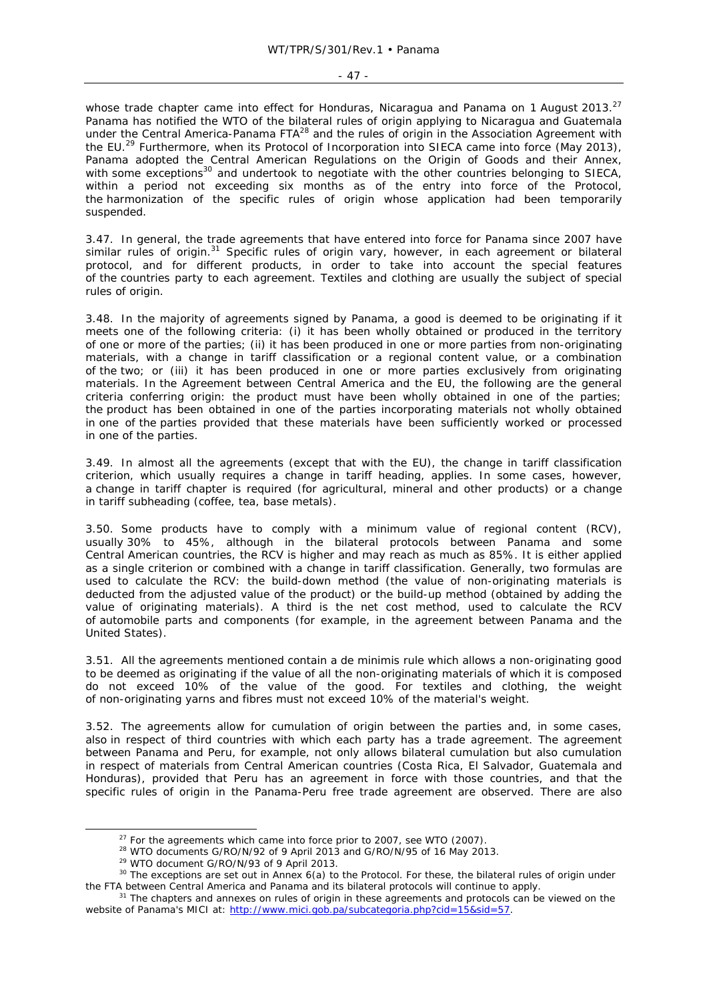#### $-47 -$

whose trade chapter came into effect for Honduras, Nicaragua and Panama on 1 August 2013.<sup>27</sup> Panama has notified the WTO of the bilateral rules of origin applying to Nicaragua and Guatemala under the Central America-Panama FTA<sup>28</sup> and the rules of origin in the Association Agreement with the EU.<sup>29</sup> Furthermore, when its Protocol of Incorporation into SIECA came into force (May 2013), Panama adopted the Central American Regulations on the Origin of Goods and their Annex, with some exceptions<sup>30</sup> and undertook to negotiate with the other countries belonging to SIECA, within a period not exceeding six months as of the entry into force of the Protocol, the harmonization of the specific rules of origin whose application had been temporarily suspended.

3.47. In general, the trade agreements that have entered into force for Panama since 2007 have similar rules of origin.<sup>31</sup> Specific rules of origin vary, however, in each agreement or bilateral protocol, and for different products, in order to take into account the special features of the countries party to each agreement. Textiles and clothing are usually the subject of special rules of origin.

3.48. In the majority of agreements signed by Panama, a good is deemed to be originating if it meets one of the following criteria: (i) it has been wholly obtained or produced in the territory of one or more of the parties; (ii) it has been produced in one or more parties from non-originating materials, with a change in tariff classification or a regional content value, or a combination of the two; or (iii) it has been produced in one or more parties exclusively from originating materials. In the Agreement between Central America and the EU, the following are the general criteria conferring origin: the product must have been wholly obtained in one of the parties; the product has been obtained in one of the parties incorporating materials not wholly obtained in one of the parties provided that these materials have been sufficiently worked or processed in one of the parties.

3.49. In almost all the agreements (except that with the EU), the change in tariff classification criterion, which usually requires a change in tariff heading, applies. In some cases, however, a change in tariff chapter is required (for agricultural, mineral and other products) or a change in tariff subheading (coffee, tea, base metals).

3.50. Some products have to comply with a minimum value of regional content (RCV), usually 30% to 45%, although in the bilateral protocols between Panama and some Central American countries, the RCV is higher and may reach as much as 85%. It is either applied as a single criterion or combined with a change in tariff classification. Generally, two formulas are used to calculate the RCV: the build-down method (the value of non-originating materials is deducted from the adjusted value of the product) or the build-up method (obtained by adding the value of originating materials). A third is the net cost method, used to calculate the RCV of automobile parts and components (for example, in the agreement between Panama and the United States).

3.51. All the agreements mentioned contain a *de minimis* rule which allows a non-originating good to be deemed as originating if the value of all the non-originating materials of which it is composed do not exceed 10% of the value of the good. For textiles and clothing, the weight of non-originating yarns and fibres must not exceed 10% of the material's weight.

3.52. The agreements allow for cumulation of origin between the parties and, in some cases, also in respect of third countries with which each party has a trade agreement. The agreement between Panama and Peru, for example, not only allows bilateral cumulation but also cumulation in respect of materials from Central American countries (Costa Rica, El Salvador, Guatemala and Honduras), provided that Peru has an agreement in force with those countries, and that the specific rules of origin in the Panama-Peru free trade agreement are observed. There are also

<sup>&</sup>lt;sup>27</sup> For the agreements which came into force prior to 2007, see WTO (2007).<br><sup>28</sup> WTO documents G/RO/N/92 of 9 April 2013 and G/RO/N/95 of 16 May 2013.<br><sup>29</sup> WTO document G/RO/N/93 of 9 April 2013.<br><sup>30</sup> The exceptions are the FTA between Central America and Panama and its bilateral protocols will continue to apply.<br><sup>31</sup> The chapters and annexes on rules of origin in these agreements and protocols can be viewed on the

website of Panama's MICI at: http://www.mici.gob.pa/subcategoria.php?cid=15&sid=57.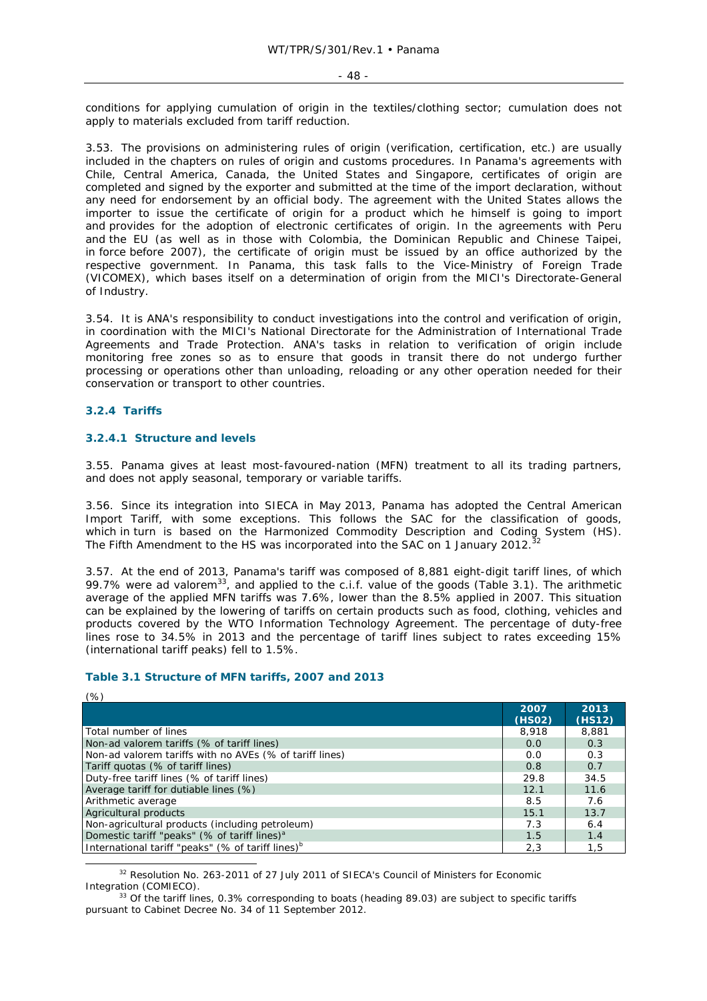conditions for applying cumulation of origin in the textiles/clothing sector; cumulation does not apply to materials excluded from tariff reduction.

3.53. The provisions on administering rules of origin (verification, certification, etc.) are usually included in the chapters on rules of origin and customs procedures. In Panama's agreements with Chile, Central America, Canada, the United States and Singapore, certificates of origin are completed and signed by the exporter and submitted at the time of the import declaration, without any need for endorsement by an official body. The agreement with the United States allows the importer to issue the certificate of origin for a product which he himself is going to import and provides for the adoption of electronic certificates of origin. In the agreements with Peru and the EU (as well as in those with Colombia, the Dominican Republic and Chinese Taipei, in force before 2007), the certificate of origin must be issued by an office authorized by the respective government. In Panama, this task falls to the Vice-Ministry of Foreign Trade (VICOMEX), which bases itself on a determination of origin from the MICI's Directorate-General of Industry.

3.54. It is ANA's responsibility to conduct investigations into the control and verification of origin, in coordination with the MICI's National Directorate for the Administration of International Trade Agreements and Trade Protection. ANA's tasks in relation to verification of origin include monitoring free zones so as to ensure that goods in transit there do not undergo further processing or operations other than unloading, reloading or any other operation needed for their conservation or transport to other countries.

# **3.2.4 Tariffs**

## **3.2.4.1 Structure and levels**

3.55. Panama gives at least most-favoured-nation (MFN) treatment to all its trading partners, and does not apply seasonal, temporary or variable tariffs.

3.56. Since its integration into SIECA in May 2013, Panama has adopted the Central American Import Tariff, with some exceptions. This follows the SAC for the classification of goods, which in turn is based on the Harmonized Commodity Description and Coding System (HS). The Fifth Amendment to the HS was incorporated into the SAC on 1 January 2012.

3.57. At the end of 2013, Panama's tariff was composed of 8,881 eight-digit tariff lines, of which 99.7% were *ad valorem*<sup>33</sup>, and applied to the c.i.f. value of the goods (Table 3.1). The arithmetic average of the applied MFN tariffs was 7.6%, lower than the 8.5% applied in 2007. This situation can be explained by the lowering of tariffs on certain products such as food, clothing, vehicles and products covered by the WTO Information Technology Agreement. The percentage of duty-free lines rose to 34.5% in 2013 and the percentage of tariff lines subject to rates exceeding 15% (international tariff peaks) fell to 1.5%.

#### **Table 3.1 Structure of MFN tariffs, 2007 and 2013**

| $(\%)$                                                        |        |        |
|---------------------------------------------------------------|--------|--------|
|                                                               | 2007   | 2013   |
|                                                               | (HSO2) | (HS12) |
| Total number of lines                                         | 8,918  | 8,881  |
| Non-ad valorem tariffs (% of tariff lines)                    | 0.0    | 0.3    |
| Non-ad valorem tariffs with no AVEs (% of tariff lines)       | 0.0    | 0.3    |
| Tariff quotas (% of tariff lines)                             | 0.8    | 0.7    |
| Duty-free tariff lines (% of tariff lines)                    | 29.8   | 34.5   |
| Average tariff for dutiable lines (%)                         | 12.1   | 11.6   |
| Arithmetic average                                            | 8.5    | 7.6    |
| Agricultural products                                         | 15.1   | 13.7   |
| Non-agricultural products (including petroleum)               | 7.3    | 6.4    |
| Domestic tariff "peaks" (% of tariff lines) <sup>a</sup>      | 1.5    | 1.4    |
| International tariff "peaks" (% of tariff lines) <sup>b</sup> | 2,3    | 1,5    |

<sup>32</sup> Resolution No. 263-2011 of 27 July 2011 of SIECA's Council of Ministers for Economic Integration (COMIECO).<br><sup>33</sup> Of the tariff lines, 0.3% corresponding to boats (heading 89.03) are subject to specific tariffs

pursuant to Cabinet Decree No. 34 of 11 September 2012.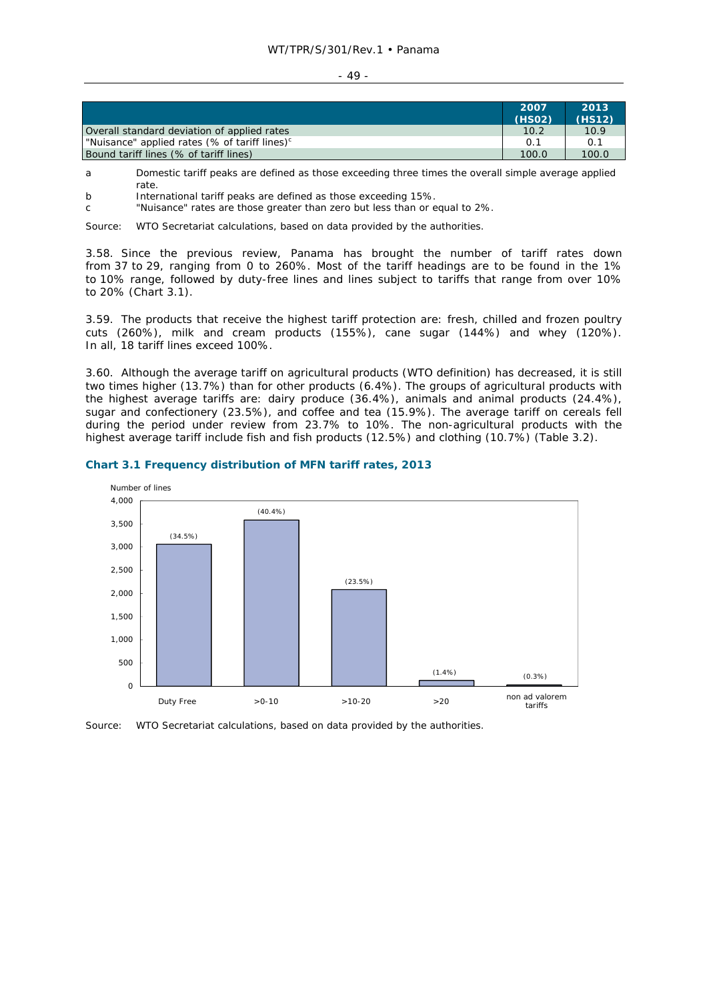#### $-49 -$

|                                                           | 2007<br>(HSO2) | 2013<br>(HS12) |
|-----------------------------------------------------------|----------------|----------------|
| Overall standard deviation of applied rates               | 10.2           | 10.9           |
| "Nuisance" applied rates (% of tariff lines) <sup>c</sup> | 0.1            | 0.1            |
| Bound tariff lines (% of tariff lines)                    | 100.0          | 100.0          |

- a Domestic tariff peaks are defined as those exceeding three times the overall simple average applied rate.
- b International tariff peaks are defined as those exceeding 15%.
- c "Nuisance" rates are those greater than zero but less than or equal to 2%.

Source: WTO Secretariat calculations, based on data provided by the authorities.

3.58. Since the previous review, Panama has brought the number of tariff rates down from 37 to 29, ranging from 0 to 260%. Most of the tariff headings are to be found in the 1% to 10% range, followed by duty-free lines and lines subject to tariffs that range from over 10% to 20% (Chart 3.1).

3.59. The products that receive the highest tariff protection are: fresh, chilled and frozen poultry cuts (260%), milk and cream products (155%), cane sugar (144%) and whey (120%). In all, 18 tariff lines exceed 100%.

3.60. Although the average tariff on agricultural products (WTO definition) has decreased, it is still two times higher (13.7%) than for other products (6.4%). The groups of agricultural products with the highest average tariffs are: dairy produce (36.4%), animals and animal products (24.4%), sugar and confectionery (23.5%), and coffee and tea (15.9%). The average tariff on cereals fell during the period under review from 23.7% to 10%. The non-agricultural products with the highest average tariff include fish and fish products (12.5%) and clothing (10.7%) (Table 3.2).



# **Chart 3.1 Frequency distribution of MFN tariff rates, 2013**

Source: WTO Secretariat calculations, based on data provided by the authorities.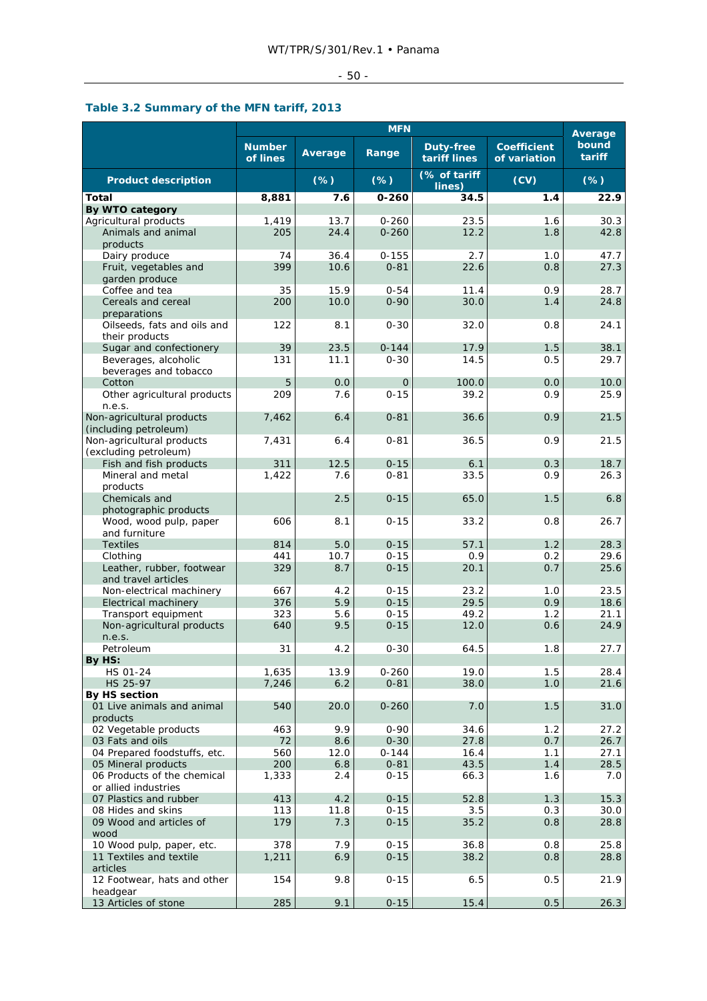# $-50$  -

# **Table 3.2 Summary of the MFN tariff, 2013**

|                                                    | <b>MFN</b>                |            |                      |                           | Average                            |                 |
|----------------------------------------------------|---------------------------|------------|----------------------|---------------------------|------------------------------------|-----------------|
|                                                    | <b>Number</b><br>of lines | Average    | Range                | Duty-free<br>tariff lines | <b>Coefficient</b><br>of variation | bound<br>tariff |
| <b>Product description</b>                         |                           | $(\%)$     | $(\%)$               | (% of tariff<br>lines)    | (CV)                               | $(\%)$          |
| Total                                              | 8,881                     | 7.6        | $0 - 260$            | 34.5                      | 1.4                                | 22.9            |
| By WTO category                                    |                           |            |                      |                           |                                    |                 |
| Agricultural products                              | 1,419                     | 13.7       | $0 - 260$            | 23.5                      | 1.6                                | 30.3            |
| Animals and animal<br>products                     | 205                       | 24.4       | $0 - 260$            | 12.2                      | 1.8                                | 42.8            |
| Dairy produce                                      | 74                        | 36.4       | $0 - 155$            | 2.7                       | 1.0                                | 47.7            |
| Fruit, vegetables and                              | 399                       | 10.6       | $0 - 81$             | 22.6                      | 0.8                                | 27.3            |
| garden produce                                     |                           |            |                      |                           |                                    |                 |
| Coffee and tea                                     | 35                        | 15.9       | $0 - 54$             | 11.4                      | 0.9                                | 28.7            |
| Cereals and cereal                                 | 200                       | 10.0       | $0 - 90$             | 30.0                      | 1.4                                | 24.8            |
| preparations                                       | 122                       | 8.1        | $0 - 30$             | 32.0                      | 0.8                                | 24.1            |
| Oilseeds, fats and oils and<br>their products      |                           |            |                      |                           |                                    |                 |
| Sugar and confectionery                            | 39                        | 23.5       | $0 - 144$            | 17.9                      | 1.5                                | 38.1            |
| Beverages, alcoholic                               | 131                       | 11.1       | $0 - 30$             | 14.5                      | 0.5                                | 29.7            |
| beverages and tobacco                              |                           |            |                      |                           |                                    |                 |
| Cotton                                             | 5                         | 0.0        | $\mathbf{O}$         | 100.0                     | 0.0                                | 10.0            |
| Other agricultural products                        | 209                       | 7.6        | $0 - 15$             | 39.2                      | 0.9                                | 25.9            |
| n.e.s.                                             |                           |            |                      |                           |                                    |                 |
| Non-agricultural products<br>(including petroleum) | 7,462                     | 6.4        | $0 - 81$             | 36.6                      | 0.9                                | 21.5            |
| Non-agricultural products                          | 7,431                     | 6.4        | $0 - 81$             | 36.5                      | 0.9                                | 21.5            |
| (excluding petroleum)                              |                           |            |                      |                           |                                    |                 |
| Fish and fish products                             | 311                       | 12.5       | $0 - 15$             | 6.1                       | 0.3                                | 18.7            |
| Mineral and metal                                  | 1,422                     | 7.6        | $0 - 81$             | 33.5                      | 0.9                                | 26.3            |
| products                                           |                           |            |                      |                           |                                    |                 |
| Chemicals and                                      |                           | 2.5        | $0 - 15$             | 65.0                      | 1.5                                | 6.8             |
| photographic products                              |                           |            |                      |                           |                                    |                 |
| Wood, wood pulp, paper<br>and furniture            | 606                       | 8.1        | $0 - 15$             | 33.2                      | 0.8                                | 26.7            |
| <b>Textiles</b>                                    | 814                       | 5.0        | $0 - 15$             | 57.1                      | 1.2                                | 28.3            |
| Clothing                                           | 441                       | 10.7       | $0 - 15$             | 0.9                       | 0.2                                | 29.6            |
| Leather, rubber, footwear                          | 329                       | 8.7        | $0 - 15$             | 20.1                      | 0.7                                | 25.6            |
| and travel articles                                |                           |            |                      |                           |                                    |                 |
| Non-electrical machinery                           | 667                       | 4.2        | $0 - 15$             | 23.2                      | 1.0                                | 23.5            |
| <b>Electrical machinery</b>                        | 376                       | 5.9        | $0 - 15$             | 29.5                      | 0.9                                | 18.6            |
| Transport equipment                                | 323                       | 5.6<br>9.5 | $0 - 15$<br>$0 - 15$ | 49.2                      | 1.2                                | 21.1<br>24.9    |
| Non-agricultural products<br>n.e.s.                | 640                       |            |                      | 12.0                      | 0.6                                |                 |
| Petroleum                                          | 31                        | 4.2        | $0 - 30$             | 64.5                      | 1.8                                | 27.7            |
| By HS:                                             |                           |            |                      |                           |                                    |                 |
| HS 01-24                                           | 1,635                     | 13.9       | $0 - 260$            | 19.0                      | 1.5                                | 28.4            |
| HS 25-97                                           | 7,246                     | 6.2        | $0 - 81$             | 38.0                      | 1.0                                | 21.6            |
| By HS section                                      |                           |            |                      |                           |                                    |                 |
| 01 Live animals and animal                         | 540                       | 20.0       | $0 - 260$            | 7.0                       | 1.5                                | 31.0            |
| products<br>02 Vegetable products                  | 463                       | 9.9        | $0 - 90$             | 34.6                      | 1.2                                | 27.2            |
| 03 Fats and oils                                   | 72                        | 8.6        | $0 - 30$             | 27.8                      | 0.7                                | 26.7            |
| 04 Prepared foodstuffs, etc.                       | 560                       | 12.0       | $0 - 144$            | 16.4                      | 1.1                                | 27.1            |
| 05 Mineral products                                | 200                       | 6.8        | $0 - 81$             | 43.5                      | 1.4                                | 28.5            |
| 06 Products of the chemical                        | 1,333                     | 2.4        | $0 - 15$             | 66.3                      | 1.6                                | 7.0             |
| or allied industries                               |                           |            |                      |                           |                                    |                 |
| 07 Plastics and rubber                             | 413                       | 4.2        | $0 - 15$             | 52.8                      | 1.3                                | 15.3            |
| 08 Hides and skins                                 | 113<br>179                | 11.8       | $0 - 15$             | 3.5                       | 0.3                                | 30.0            |
| 09 Wood and articles of<br>wood                    |                           | 7.3        | $0 - 15$             | 35.2                      | 0.8                                | 28.8            |
| 10 Wood pulp, paper, etc.                          | 378                       | 7.9        | $0 - 15$             | 36.8                      | 0.8                                | 25.8            |
| 11 Textiles and textile                            | 1,211                     | 6.9        | $0 - 15$             | 38.2                      | 0.8                                | 28.8            |
| articles                                           |                           |            |                      |                           |                                    |                 |
| 12 Footwear, hats and other                        | 154                       | 9.8        | $0 - 15$             | 6.5                       | 0.5                                | 21.9            |
| headgear<br>13 Articles of stone                   | 285                       | 9.1        | $0 - 15$             | 15.4                      | 0.5                                | 26.3            |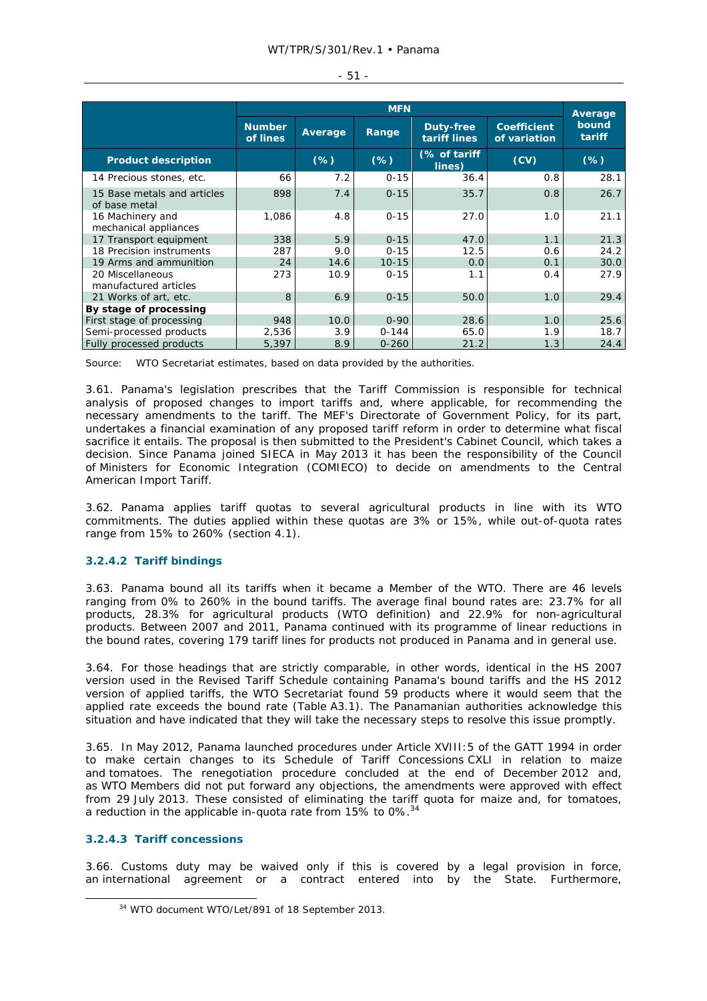|                                              |                           | <b>MFN</b> |           |                           |                                    |                 |
|----------------------------------------------|---------------------------|------------|-----------|---------------------------|------------------------------------|-----------------|
|                                              | <b>Number</b><br>of lines | Average    | Range     | Duty-free<br>tariff lines | <b>Coefficient</b><br>of variation | bound<br>tariff |
| <b>Product description</b>                   |                           | (%)        | $(\%)$    | (% of tariff<br>lines)    | (CV)                               | $(\%)$          |
| 14 Precious stones, etc.                     | 66                        | 7.2        | $0 - 15$  | 36.4                      | 0.8                                | 28.1            |
| 15 Base metals and articles<br>of base metal | 898                       | 7.4        | $0 - 15$  | 35.7                      | 0.8                                | 26.7            |
| 16 Machinery and<br>mechanical appliances    | 1,086                     | 4.8        | $0 - 15$  | 27.0                      | 1.0                                | 21.1            |
| 17 Transport equipment                       | 338                       | 5.9        | $0 - 15$  | 47.0                      | 1.1                                | 21.3            |
| 18 Precision instruments                     | 287                       | 9.0        | $0 - 15$  | 12.5                      | 0.6                                | 24.2            |
| 19 Arms and ammunition                       | 24                        | 14.6       | $10 - 15$ | 0.0                       | 0.1                                | 30.0            |
| 20 Miscellaneous<br>manufactured articles    | 273                       | 10.9       | $0 - 15$  | 1.1                       | 0.4                                | 27.9            |
| 21 Works of art, etc.                        | 8                         | 6.9        | $0 - 15$  | 50.0                      | 1.0                                | 29.4            |
| By stage of processing                       |                           |            |           |                           |                                    |                 |
| First stage of processing                    | 948                       | 10.0       | $0 - 90$  | 28.6                      | 1.0                                | 25.6            |
| Semi-processed products                      | 2,536                     | 3.9        | $0 - 144$ | 65.0                      | 1.9                                | 18.7            |
| Fully processed products                     | 5,397                     | 8.9        | $0 - 260$ | 21.2                      | 1.3                                | 24.4            |

- 51 -

Source: WTO Secretariat estimates, based on data provided by the authorities.

3.61. Panama's legislation prescribes that the Tariff Commission is responsible for technical analysis of proposed changes to import tariffs and, where applicable, for recommending the necessary amendments to the tariff. The MEF's Directorate of Government Policy, for its part, undertakes a financial examination of any proposed tariff reform in order to determine what fiscal sacrifice it entails. The proposal is then submitted to the President's Cabinet Council, which takes a decision. Since Panama joined SIECA in May 2013 it has been the responsibility of the Council of Ministers for Economic Integration (COMIECO) to decide on amendments to the Central American Import Tariff.

3.62. Panama applies tariff quotas to several agricultural products in line with its WTO commitments. The duties applied within these quotas are 3% or 15%, while out-of-quota rates range from 15% to 260% (section 4.1).

# **3.2.4.2 Tariff bindings**

3.63. Panama bound all its tariffs when it became a Member of the WTO. There are 46 levels ranging from 0% to 260% in the bound tariffs. The average final bound rates are: 23.7% for all products, 28.3% for agricultural products (WTO definition) and 22.9% for non-agricultural products. Between 2007 and 2011, Panama continued with its programme of linear reductions in the bound rates, covering 179 tariff lines for products not produced in Panama and in general use.

3.64. For those headings that are strictly comparable, in other words, identical in the HS 2007 version used in the Revised Tariff Schedule containing Panama's bound tariffs and the HS 2012 version of applied tariffs, the WTO Secretariat found 59 products where it would seem that the applied rate exceeds the bound rate (Table A3.1). The Panamanian authorities acknowledge this situation and have indicated that they will take the necessary steps to resolve this issue promptly.

3.65. In May 2012, Panama launched procedures under Article XVIII:5 of the GATT 1994 in order to make certain changes to its Schedule of Tariff Concessions CXLI in relation to maize and tomatoes. The renegotiation procedure concluded at the end of December 2012 and, as WTO Members did not put forward any objections, the amendments were approved with effect from 29 July 2013. These consisted of eliminating the tariff quota for maize and, for tomatoes, a reduction in the applicable in-quota rate from 15% to 0%.<sup>34</sup>

# **3.2.4.3 Tariff concessions**

3.66. Customs duty may be waived only if this is covered by a legal provision in force, an international agreement or a contract entered into by the State. Furthermore,

 <sup>34</sup> WTO document WTO/Let/891 of 18 September 2013.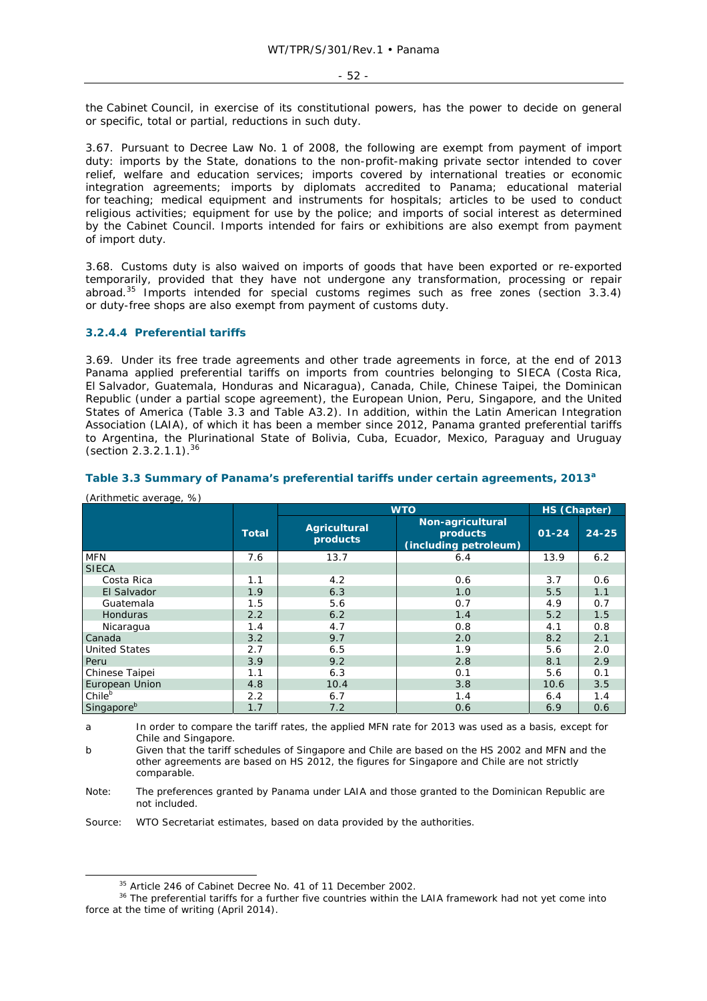the Cabinet Council, in exercise of its constitutional powers, has the power to decide on general or specific, total or partial, reductions in such duty.

3.67. Pursuant to Decree Law No. 1 of 2008, the following are exempt from payment of import duty: imports by the State, donations to the non-profit-making private sector intended to cover relief, welfare and education services; imports covered by international treaties or economic integration agreements; imports by diplomats accredited to Panama; educational material for teaching; medical equipment and instruments for hospitals; articles to be used to conduct religious activities; equipment for use by the police; and imports of social interest as determined by the Cabinet Council. Imports intended for fairs or exhibitions are also exempt from payment of import duty.

3.68. Customs duty is also waived on imports of goods that have been exported or re-exported temporarily, provided that they have not undergone any transformation, processing or repair abroad.35 Imports intended for special customs regimes such as free zones (section 3.3.4) or duty-free shops are also exempt from payment of customs duty.

## **3.2.4.4 Preferential tariffs**

(Arithmetic average, %)

3.69. Under its free trade agreements and other trade agreements in force, at the end of 2013 Panama applied preferential tariffs on imports from countries belonging to SIECA (Costa Rica, El Salvador, Guatemala, Honduras and Nicaragua), Canada, Chile, Chinese Taipei, the Dominican Republic (under a partial scope agreement), the European Union, Peru, Singapore, and the United States of America (Table 3.3 and Table A3.2). In addition, within the Latin American Integration Association (LAIA), of which it has been a member since 2012, Panama granted preferential tariffs to Argentina, the Plurinational State of Bolivia, Cuba, Ecuador, Mexico, Paraguay and Uruguay (section 2.3.2.1.1).<sup>36</sup>

| $\sqrt{2}$           |              | <b>WTO</b>               |                                                       | HS (Chapter) |           |
|----------------------|--------------|--------------------------|-------------------------------------------------------|--------------|-----------|
|                      | <b>Total</b> | Agricultural<br>products | Non-agricultural<br>products<br>(including petroleum) | $01 - 24$    | $24 - 25$ |
| <b>MFN</b>           | 7.6          | 13.7                     | 6.4                                                   | 13.9         | 6.2       |
| <b>SIECA</b>         |              |                          |                                                       |              |           |
| Costa Rica           | 1.1          | 4.2                      | 0.6                                                   | 3.7          | 0.6       |
| El Salvador          | 1.9          | 6.3                      | 1.0                                                   | 5.5          | 1.1       |
| Guatemala            | 1.5          | 5.6                      | 0.7                                                   | 4.9          | 0.7       |
| <b>Honduras</b>      | 2.2          | 6.2                      | 1.4                                                   | 5.2          | 1.5       |
| Nicaragua            | 1.4          | 4.7                      | 0.8                                                   | 4.1          | 0.8       |
| Canada               | 3.2          | 9.7                      | 2.0                                                   | 8.2          | 2.1       |
| <b>United States</b> | 2.7          | 6.5                      | 1.9                                                   | 5.6          | 2.0       |
| Peru                 | 3.9          | 9.2                      | 2.8                                                   | 8.1          | 2.9       |
| Chinese Taipei       | 1.1          | 6.3                      | 0.1                                                   | 5.6          | 0.1       |
| European Union       | 4.8          | 10.4                     | 3.8                                                   | 10.6         | 3.5       |
| Chileb               | 2.2          | 6.7                      | 1.4                                                   | 6.4          | 1.4       |
| Singaporeb           | 1.7          | 7.2                      | 0.6                                                   | 6.9          | 0.6       |

# **Table 3.3 Summary of Panama's preferential tariffs under certain agreements, 2013<sup>a</sup>**

a In order to compare the tariff rates, the applied MFN rate for 2013 was used as a basis, except for Chile and Singapore.

b Given that the tariff schedules of Singapore and Chile are based on the HS 2002 and MFN and the other agreements are based on HS 2012, the figures for Singapore and Chile are not strictly comparable.

Note: The preferences granted by Panama under LAIA and those granted to the Dominican Republic are not included.

Source: WTO Secretariat estimates, based on data provided by the authorities.

 $35$  Article 246 of Cabinet Decree No. 41 of 11 December 2002.<br> $36$  The preferential tariffs for a further five countries within the LAIA framework had not yet come into force at the time of writing (April 2014).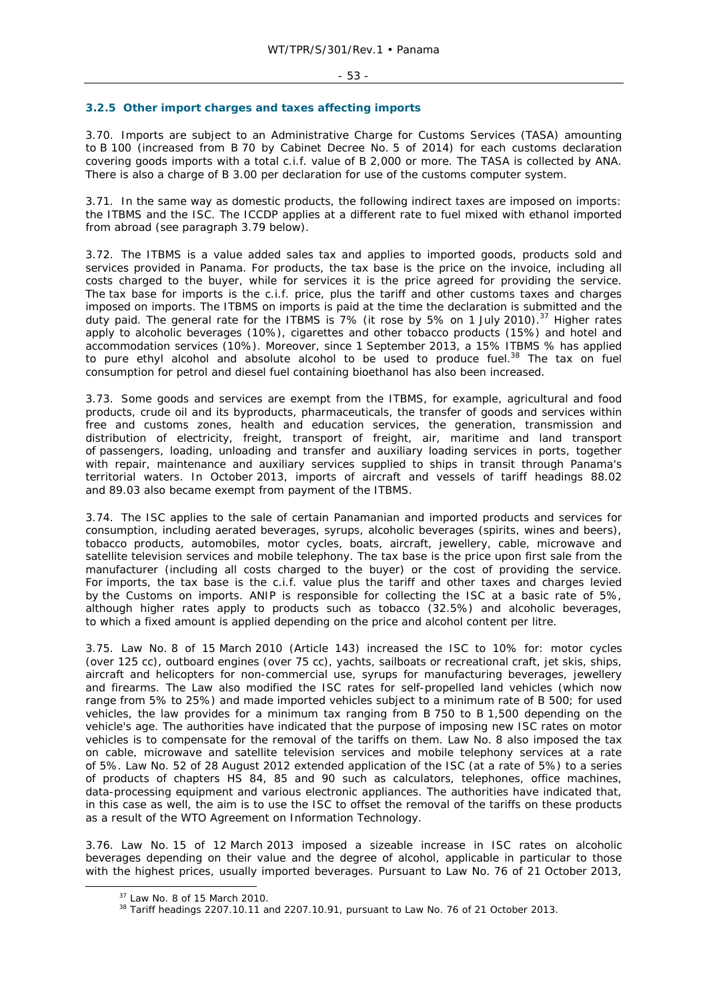#### **3.2.5 Other import charges and taxes affecting imports**

3.70. Imports are subject to an Administrative Charge for Customs Services (TASA) amounting to B 100 (increased from B 70 by Cabinet Decree No. 5 of 2014) for each customs declaration covering goods imports with a total c.i.f. value of B 2,000 or more. The TASA is collected by ANA. There is also a charge of B 3.00 per declaration for use of the customs computer system.

3.71. In the same way as domestic products, the following indirect taxes are imposed on imports: the ITBMS and the ISC. The ICCDP applies at a different rate to fuel mixed with ethanol imported from abroad (see paragraph 3.79 below).

3.72. The ITBMS is a value added sales tax and applies to imported goods, products sold and services provided in Panama. For products, the tax base is the price on the invoice, including all costs charged to the buyer, while for services it is the price agreed for providing the service. The tax base for imports is the c.i.f. price, plus the tariff and other customs taxes and charges imposed on imports. The ITBMS on imports is paid at the time the declaration is submitted and the duty paid. The general rate for the ITBMS is 7% (it rose by 5% on 1 July 2010).<sup>37</sup> Higher rates apply to alcoholic beverages (10%), cigarettes and other tobacco products (15%) and hotel and accommodation services (10%). Moreover, since 1 September 2013, a 15% ITBMS % has applied to pure ethyl alcohol and absolute alcohol to be used to produce fuel.<sup>38</sup> The tax on fuel consumption for petrol and diesel fuel containing bioethanol has also been increased.

3.73. Some goods and services are exempt from the ITBMS, for example, agricultural and food products, crude oil and its byproducts, pharmaceuticals, the transfer of goods and services within free and customs zones, health and education services, the generation, transmission and distribution of electricity, freight, transport of freight, air, maritime and land transport of passengers, loading, unloading and transfer and auxiliary loading services in ports, together with repair, maintenance and auxiliary services supplied to ships in transit through Panama's territorial waters. In October 2013, imports of aircraft and vessels of tariff headings 88.02 and 89.03 also became exempt from payment of the ITBMS.

3.74. The ISC applies to the sale of certain Panamanian and imported products and services for consumption, including aerated beverages, syrups, alcoholic beverages (spirits, wines and beers), tobacco products, automobiles, motor cycles, boats, aircraft, jewellery, cable, microwave and satellite television services and mobile telephony. The tax base is the price upon first sale from the manufacturer (including all costs charged to the buyer) or the cost of providing the service. For imports, the tax base is the c.i.f. value plus the tariff and other taxes and charges levied by the Customs on imports. ANIP is responsible for collecting the ISC at a basic rate of 5%, although higher rates apply to products such as tobacco (32.5%) and alcoholic beverages, to which a fixed amount is applied depending on the price and alcohol content per litre.

3.75. Law No. 8 of 15 March 2010 (Article 143) increased the ISC to 10% for: motor cycles (over 125 cc), outboard engines (over 75 cc), yachts, sailboats or recreational craft, jet skis, ships, aircraft and helicopters for non-commercial use, syrups for manufacturing beverages, jewellery and firearms. The Law also modified the ISC rates for self-propelled land vehicles (which now range from 5% to 25%) and made imported vehicles subject to a minimum rate of B 500; for used vehicles, the law provides for a minimum tax ranging from B 750 to B 1,500 depending on the vehicle's age. The authorities have indicated that the purpose of imposing new ISC rates on motor vehicles is to compensate for the removal of the tariffs on them. Law No. 8 also imposed the tax on cable, microwave and satellite television services and mobile telephony services at a rate of 5%. Law No. 52 of 28 August 2012 extended application of the ISC (at a rate of 5%) to a series of products of chapters HS 84, 85 and 90 such as calculators, telephones, office machines, data-processing equipment and various electronic appliances. The authorities have indicated that, in this case as well, the aim is to use the ISC to offset the removal of the tariffs on these products as a result of the WTO Agreement on Information Technology.

3.76. Law No. 15 of 12 March 2013 imposed a sizeable increase in ISC rates on alcoholic beverages depending on their value and the degree of alcohol, applicable in particular to those with the highest prices, usually imported beverages. Pursuant to Law No. 76 of 21 October 2013,

 $37$  Law No. 8 of 15 March 2010.<br> $38$  Tariff headings 2207.10.11 and 2207.10.91, pursuant to Law No. 76 of 21 October 2013.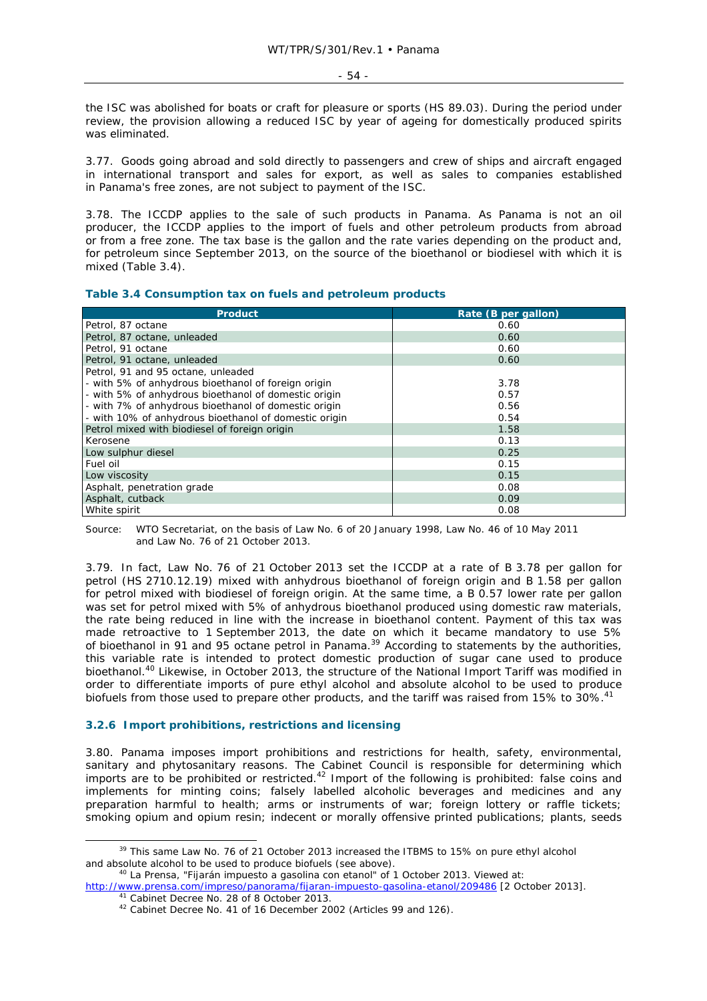$-54 -$ 

the ISC was abolished for boats or craft for pleasure or sports (HS 89.03). During the period under review, the provision allowing a reduced ISC by year of ageing for domestically produced spirits was eliminated.

3.77. Goods going abroad and sold directly to passengers and crew of ships and aircraft engaged in international transport and sales for export, as well as sales to companies established in Panama's free zones, are not subject to payment of the ISC.

3.78. The ICCDP applies to the sale of such products in Panama. As Panama is not an oil producer, the ICCDP applies to the import of fuels and other petroleum products from abroad or from a free zone. The tax base is the gallon and the rate varies depending on the product and, for petroleum since September 2013, on the source of the bioethanol or biodiesel with which it is mixed (Table 3.4).

# **Table 3.4 Consumption tax on fuels and petroleum products**

| <b>Product</b>                                        | Rate (B per gallon) |
|-------------------------------------------------------|---------------------|
| Petrol, 87 octane                                     | 0.60                |
| Petrol, 87 octane, unleaded                           | 0.60                |
| Petrol, 91 octane                                     | 0.60                |
| Petrol, 91 octane, unleaded                           | 0.60                |
| Petrol, 91 and 95 octane, unleaded                    |                     |
| - with 5% of anhydrous bioethanol of foreign origin   | 3.78                |
| - with 5% of anhydrous bioethanol of domestic origin  | 0.57                |
| - with 7% of anhydrous bioethanol of domestic origin  | 0.56                |
| - with 10% of anhydrous bioethanol of domestic origin | 0.54                |
| Petrol mixed with biodiesel of foreign origin         | 1.58                |
| Kerosene                                              | 0.13                |
| Low sulphur diesel                                    | 0.25                |
| Fuel oil                                              | 0.15                |
| Low viscosity                                         | 0.15                |
| Asphalt, penetration grade                            | 0.08                |
| Asphalt, cutback                                      | 0.09                |
| White spirit                                          | 0.08                |

Source: WTO Secretariat, on the basis of Law No. 6 of 20 January 1998, Law No. 46 of 10 May 2011 and Law No. 76 of 21 October 2013.

3.79. In fact, Law No. 76 of 21 October 2013 set the ICCDP at a rate of B 3.78 per gallon for petrol (HS 2710.12.19) mixed with anhydrous bioethanol of foreign origin and B 1.58 per gallon for petrol mixed with biodiesel of foreign origin. At the same time, a B 0.57 lower rate per gallon was set for petrol mixed with 5% of anhydrous bioethanol produced using domestic raw materials, the rate being reduced in line with the increase in bioethanol content. Payment of this tax was made retroactive to 1 September 2013, the date on which it became mandatory to use 5% of bioethanol in 91 and 95 octane petrol in Panama.<sup>39</sup> According to statements by the authorities, this variable rate is intended to protect domestic production of sugar cane used to produce bioethanol.<sup>40</sup> Likewise, in October 2013, the structure of the National Import Tariff was modified in order to differentiate imports of pure ethyl alcohol and absolute alcohol to be used to produce biofuels from those used to prepare other products, and the tariff was raised from 15% to 30%.<sup>41</sup>

# **3.2.6 Import prohibitions, restrictions and licensing**

3.80. Panama imposes import prohibitions and restrictions for health, safety, environmental, sanitary and phytosanitary reasons. The Cabinet Council is responsible for determining which imports are to be prohibited or restricted.42 Import of the following is prohibited: false coins and implements for minting coins; falsely labelled alcoholic beverages and medicines and any preparation harmful to health; arms or instruments of war; foreign lottery or raffle tickets; smoking opium and opium resin; indecent or morally offensive printed publications; plants, seeds

<sup>&</sup>lt;sup>39</sup> This same Law No. 76 of 21 October 2013 increased the ITBMS to 15% on pure ethyl alcohol and absolute alcohol to be used to produce biofuels (see above). 40 *La Prensa*, "Fijarán impuesto a gasolina con etanol" of 1 October 2013. Viewed at:

http://www.prensa.com/impreso/panorama/fijaran-impuesto-gasolina-etanol/209486 [2 October 2013].<br><sup>41</sup> Cabinet Decree No. 28 of 8 October 2013.<br><sup>42</sup> Cabinet Decree No. 41 of 16 December 2002 (Articles 99 and 126).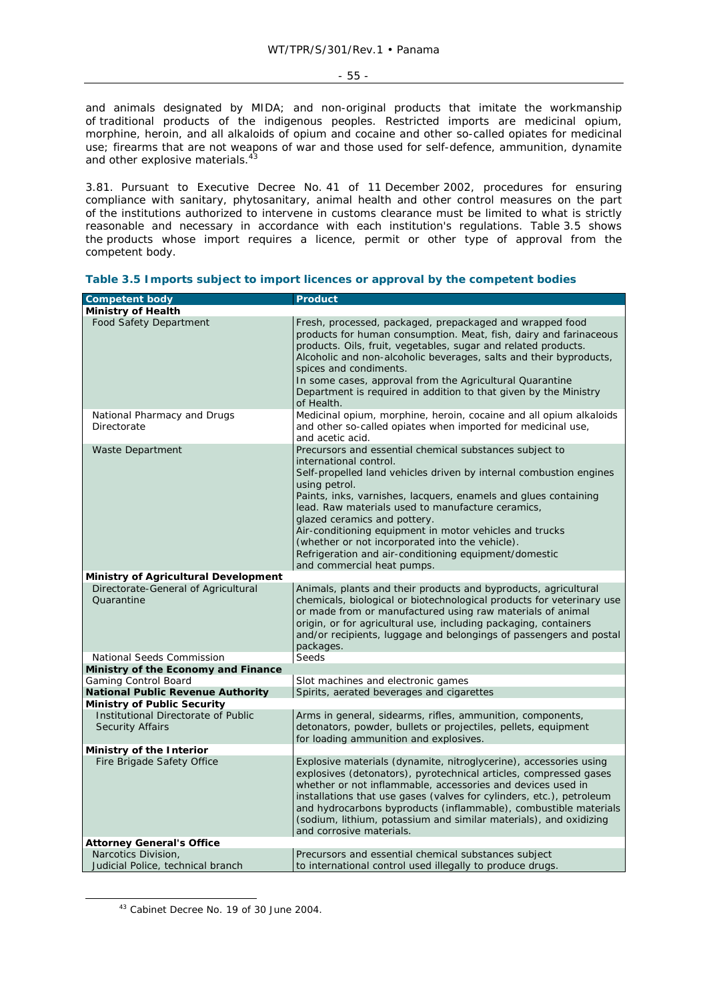- 55 -

and animals designated by MIDA; and non-original products that imitate the workmanship of traditional products of the indigenous peoples. Restricted imports are medicinal opium, morphine, heroin, and all alkaloids of opium and cocaine and other so-called opiates for medicinal use; firearms that are not weapons of war and those used for self-defence, ammunition, dynamite and other explosive materials.<sup>43</sup>

3.81. Pursuant to Executive Decree No. 41 of 11 December 2002, procedures for ensuring compliance with sanitary, phytosanitary, animal health and other control measures on the part of the institutions authorized to intervene in customs clearance must be limited to what is strictly reasonable and necessary in accordance with each institution's regulations. Table 3.5 shows the products whose import requires a licence, permit or other type of approval from the competent body.

| <b>Competent body</b>                                          | <b>Product</b>                                                                                                                                                                                                                                                                                                                                                                                                                                                                                                                        |
|----------------------------------------------------------------|---------------------------------------------------------------------------------------------------------------------------------------------------------------------------------------------------------------------------------------------------------------------------------------------------------------------------------------------------------------------------------------------------------------------------------------------------------------------------------------------------------------------------------------|
| <b>Ministry of Health</b>                                      |                                                                                                                                                                                                                                                                                                                                                                                                                                                                                                                                       |
| <b>Food Safety Department</b>                                  | Fresh, processed, packaged, prepackaged and wrapped food<br>products for human consumption. Meat, fish, dairy and farinaceous<br>products. Oils, fruit, vegetables, sugar and related products.<br>Alcoholic and non-alcoholic beverages, salts and their byproducts,<br>spices and condiments.<br>In some cases, approval from the Agricultural Quarantine<br>Department is required in addition to that given by the Ministry<br>of Health.                                                                                         |
| National Pharmacy and Drugs<br>Directorate                     | Medicinal opium, morphine, heroin, cocaine and all opium alkaloids<br>and other so-called opiates when imported for medicinal use,<br>and acetic acid.                                                                                                                                                                                                                                                                                                                                                                                |
| <b>Waste Department</b>                                        | Precursors and essential chemical substances subject to<br>international control.<br>Self-propelled land vehicles driven by internal combustion engines<br>using petrol.<br>Paints, inks, varnishes, lacquers, enamels and glues containing<br>lead. Raw materials used to manufacture ceramics,<br>glazed ceramics and pottery.<br>Air-conditioning equipment in motor vehicles and trucks<br>(whether or not incorporated into the vehicle).<br>Refrigeration and air-conditioning equipment/domestic<br>and commercial heat pumps. |
| <b>Ministry of Agricultural Development</b>                    |                                                                                                                                                                                                                                                                                                                                                                                                                                                                                                                                       |
| Directorate-General of Agricultural<br><b>Ouarantine</b>       | Animals, plants and their products and byproducts, agricultural<br>chemicals, biological or biotechnological products for veterinary use<br>or made from or manufactured using raw materials of animal<br>origin, or for agricultural use, including packaging, containers<br>and/or recipients, luggage and belongings of passengers and postal<br>packages.                                                                                                                                                                         |
| National Seeds Commission                                      | Seeds                                                                                                                                                                                                                                                                                                                                                                                                                                                                                                                                 |
| Ministry of the Economy and Finance                            |                                                                                                                                                                                                                                                                                                                                                                                                                                                                                                                                       |
| Gaming Control Board                                           | Slot machines and electronic games                                                                                                                                                                                                                                                                                                                                                                                                                                                                                                    |
| <b>National Public Revenue Authority</b>                       | Spirits, aerated beverages and cigarettes                                                                                                                                                                                                                                                                                                                                                                                                                                                                                             |
| <b>Ministry of Public Security</b>                             |                                                                                                                                                                                                                                                                                                                                                                                                                                                                                                                                       |
| Institutional Directorate of Public<br><b>Security Affairs</b> | Arms in general, sidearms, rifles, ammunition, components,<br>detonators, powder, bullets or projectiles, pellets, equipment<br>for loading ammunition and explosives.                                                                                                                                                                                                                                                                                                                                                                |
| Ministry of the Interior                                       |                                                                                                                                                                                                                                                                                                                                                                                                                                                                                                                                       |
| Fire Brigade Safety Office                                     | Explosive materials (dynamite, nitroglycerine), accessories using<br>explosives (detonators), pyrotechnical articles, compressed gases<br>whether or not inflammable, accessories and devices used in<br>installations that use gases (valves for cylinders, etc.), petroleum<br>and hydrocarbons byproducts (inflammable), combustible materials<br>(sodium, lithium, potassium and similar materials), and oxidizing<br>and corrosive materials.                                                                                    |
| <b>Attorney General's Office</b>                               |                                                                                                                                                                                                                                                                                                                                                                                                                                                                                                                                       |
| Narcotics Division,<br>Judicial Police, technical branch       | Precursors and essential chemical substances subject<br>to international control used illegally to produce drugs.                                                                                                                                                                                                                                                                                                                                                                                                                     |

|  | Table 3.5 Imports subject to import licences or approval by the competent bodies |  |  |
|--|----------------------------------------------------------------------------------|--|--|
|  |                                                                                  |  |  |

 <sup>43</sup> Cabinet Decree No. 19 of 30 June 2004.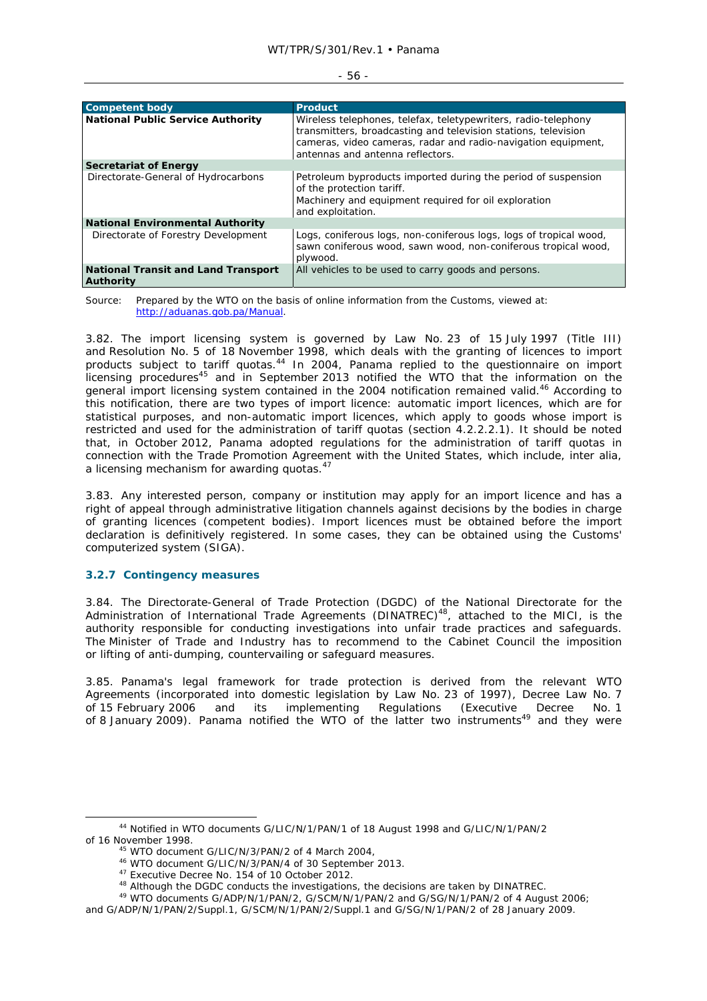|  | I<br>٠<br>×<br>٦<br>$\sim$<br>$\sim$ |  |
|--|--------------------------------------|--|
|--|--------------------------------------|--|

| <b>Competent body</b>                                   | <b>Product</b>                                                                                                                                                                                                                        |
|---------------------------------------------------------|---------------------------------------------------------------------------------------------------------------------------------------------------------------------------------------------------------------------------------------|
| <b>National Public Service Authority</b>                | Wireless telephones, telefax, teletypewriters, radio-telephony<br>transmitters, broadcasting and television stations, television<br>cameras, video cameras, radar and radio-navigation equipment,<br>antennas and antenna reflectors. |
| Secretariat of Energy                                   |                                                                                                                                                                                                                                       |
| Directorate-General of Hydrocarbons                     | Petroleum byproducts imported during the period of suspension<br>of the protection tariff.<br>Machinery and equipment required for oil exploration<br>and exploitation.                                                               |
| National Environmental Authority                        |                                                                                                                                                                                                                                       |
| Directorate of Forestry Development                     | Logs, coniferous logs, non-coniferous logs, logs of tropical wood,<br>sawn coniferous wood, sawn wood, non-coniferous tropical wood,<br>plywood.                                                                                      |
| National Transit and Land Transport<br><b>Authority</b> | All vehicles to be used to carry goods and persons.                                                                                                                                                                                   |

Source: Prepared by the WTO on the basis of online information from the Customs, viewed at: http://aduanas.gob.pa/Manual.

3.82. The import licensing system is governed by Law No. 23 of 15 July 1997 (Title III) and Resolution No. 5 of 18 November 1998, which deals with the granting of licences to import products subject to tariff quotas.<sup>44</sup> In 2004, Panama replied to the questionnaire on import licensing procedures<sup>45</sup> and in September 2013 notified the WTO that the information on the general import licensing system contained in the 2004 notification remained valid.<sup>46</sup> According to this notification, there are two types of import licence: automatic import licences, which are for statistical purposes, and non-automatic import licences, which apply to goods whose import is restricted and used for the administration of tariff quotas (section 4.2.2.2.1). It should be noted that, in October 2012, Panama adopted regulations for the administration of tariff quotas in connection with the Trade Promotion Agreement with the United States, which include, *inter alia,*  a licensing mechanism for awarding quotas.<sup>47</sup>

3.83. Any interested person, company or institution may apply for an import licence and has a right of appeal through administrative litigation channels against decisions by the bodies in charge of granting licences (competent bodies). Import licences must be obtained before the import declaration is definitively registered. In some cases, they can be obtained using the Customs' computerized system (SIGA).

#### **3.2.7 Contingency measures**

3.84. The Directorate-General of Trade Protection (DGDC) of the National Directorate for the Administration of International Trade Agreements (DINATREC)<sup>48</sup>, attached to the MICI, is the authority responsible for conducting investigations into unfair trade practices and safeguards. The Minister of Trade and Industry has to recommend to the Cabinet Council the imposition or lifting of anti-dumping, countervailing or safeguard measures.

3.85. Panama's legal framework for trade protection is derived from the relevant WTO Agreements (incorporated into domestic legislation by Law No. 23 of 1997), Decree Law No. 7 of 15 February 2006 and its implementing Regulations (Executive Decree No. 1 of 8 January 2009). Panama notified the WTO of the latter two instruments<sup>49</sup> and they were

 <sup>44</sup> Notified in WTO documents G/LIC/N/1/PAN/1 of 18 August 1998 and G/LIC/N/1/PAN/2 of 16 November 1998.<br>
<sup>45</sup> WTO document G/LIC/N/3/PAN/2 of 4 March 2004,<br>
<sup>46</sup> WTO document G/LIC/N/3/PAN/4 of 30 September 2013.<br>
<sup>47</sup> Executive Decree No. 154 of 10 October 2012.<br>
<sup>48</sup> Although the DGDC conducts the inve

and G/ADP/N/1/PAN/2/Suppl.1, G/SCM/N/1/PAN/2/Suppl.1 and G/SG/N/1/PAN/2 of 28 January 2009.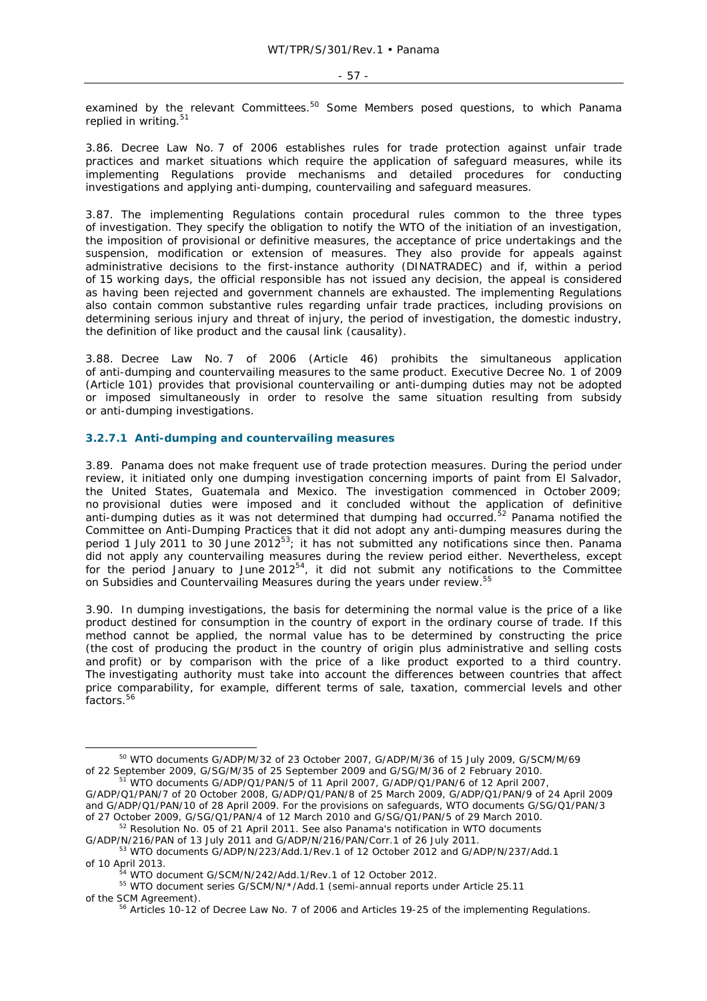examined by the relevant Committees.<sup>50</sup> Some Members posed questions, to which Panama replied in writing.<sup>51</sup>

3.86. Decree Law No. 7 of 2006 establishes rules for trade protection against unfair trade practices and market situations which require the application of safeguard measures, while its implementing Regulations provide mechanisms and detailed procedures for conducting investigations and applying anti-dumping, countervailing and safeguard measures.

3.87. The implementing Regulations contain procedural rules common to the three types of investigation. They specify the obligation to notify the WTO of the initiation of an investigation, the imposition of provisional or definitive measures, the acceptance of price undertakings and the suspension, modification or extension of measures. They also provide for appeals against administrative decisions to the first-instance authority (DINATRADEC) and if, within a period of 15 working days, the official responsible has not issued any decision, the appeal is considered as having been rejected and government channels are exhausted. The implementing Regulations also contain common substantive rules regarding unfair trade practices, including provisions on determining serious injury and threat of injury, the period of investigation, the domestic industry, the definition of like product and the causal link (causality).

3.88. Decree Law No. 7 of 2006 (Article 46) prohibits the simultaneous application of anti-dumping and countervailing measures to the same product. Executive Decree No. 1 of 2009 (Article 101) provides that provisional countervailing or anti-dumping duties may not be adopted or imposed simultaneously in order to resolve the same situation resulting from subsidy or anti-dumping investigations.

# **3.2.7.1 Anti-dumping and countervailing measures**

3.89. Panama does not make frequent use of trade protection measures. During the period under review, it initiated only one dumping investigation concerning imports of paint from El Salvador, the United States, Guatemala and Mexico. The investigation commenced in October 2009; no provisional duties were imposed and it concluded without the application of definitive anti-dumping duties as it was not determined that dumping had occurred.<sup>52</sup> Panama notified the Committee on Anti-Dumping Practices that it did not adopt any anti-dumping measures during the period 1 July 2011 to 30 June 2012<sup>53</sup>; it has not submitted any notifications since then. Panama did not apply any countervailing measures during the review period either. Nevertheless, except for the period January to June  $2012^{54}$ , it did not submit any notifications to the Committee on Subsidies and Countervailing Measures during the years under review.<sup>55</sup>

3.90. In dumping investigations, the basis for determining the normal value is the price of a like product destined for consumption in the country of export in the ordinary course of trade. If this method cannot be applied, the normal value has to be determined by constructing the price (the cost of producing the product in the country of origin plus administrative and selling costs and profit) or by comparison with the price of a like product exported to a third country. The investigating authority must take into account the differences between countries that affect price comparability, for example, different terms of sale, taxation, commercial levels and other factors.<sup>56</sup>

 <sup>50</sup> WTO documents G/ADP/M/32 of 23 October 2007, G/ADP/M/36 of 15 July 2009, G/SCM/M/69 of 22 September 2009, G/SG/M/35 of 25 September 2009 and G/SG/M/36 of 2 February 2010. 51 WTO documents G/ADP/Q1/PAN/5 of 11 April 2007, G/ADP/Q1/PAN/6 of 12 April 2007,

G/ADP/Q1/PAN/7 of 20 October 2008, G/ADP/Q1/PAN/8 of 25 March 2009, G/ADP/Q1/PAN/9 of 24 April 2009 and G/ADP/Q1/PAN/10 of 28 April 2009. For the provisions on safeguards, WTO documents G/SG/Q1/PAN/3 of 27 October 2009, G/SG/Q1/PAN/4 of 12 March 2010 and G/SG/Q1/PAN/5 of 29 March 2010.<br><sup>52</sup> Resolution No. 05 of 21 April 2011. See also Panama's notification in WTO documents

G/ADP/N/216/PAN of 13 July 2011 and G/ADP/N/216/PAN/Corr.1 of 26 July 2011.<br><sup>53</sup> WTO documents G/ADP/N/223/Add.1/Rev.1 of 12 October 2012 and G/ADP/N/237/Add.1 of 10 April 2013.<br><sup>54</sup> WTO document G/SCM/N/242/Add.1/Rev.1 of 12 October 2012.<br><sup>55</sup> WTO document series G/SCM/N/\*/Add.1 (semi-annual reports under Article 25.11

of the SCM Agreement).<br><sup>56</sup> Articles 10-12 of Decree Law No. 7 of 2006 and Articles 19-25 of the implementing Regulations.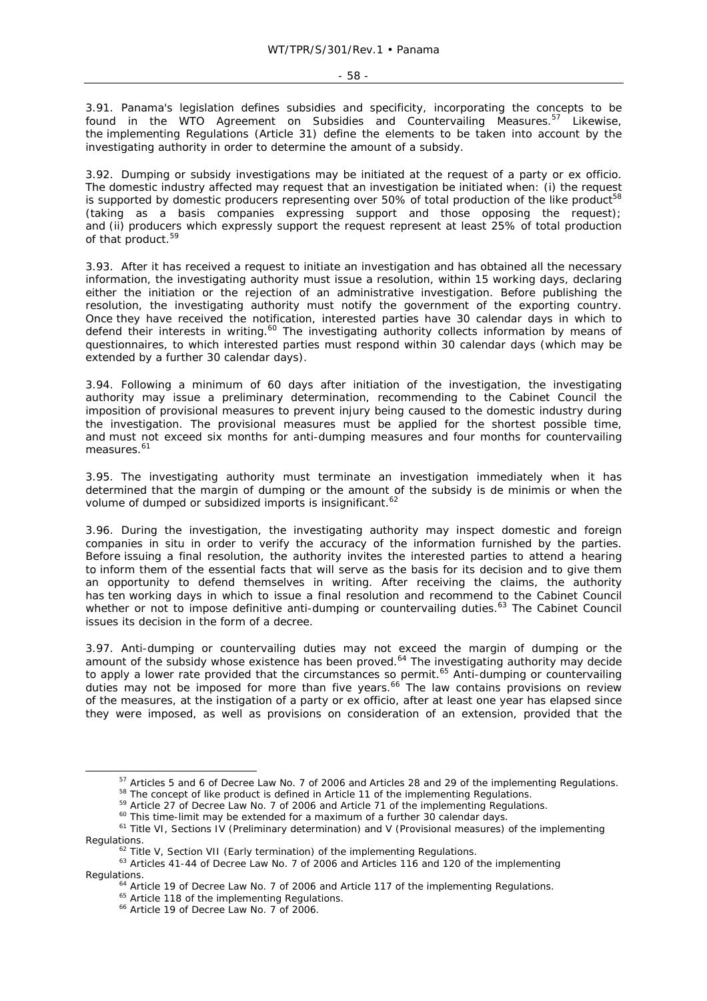3.91. Panama's legislation defines subsidies and specificity, incorporating the concepts to be found in the WTO Agreement on Subsidies and Countervailing Measures.<sup>57</sup> Likewise, the implementing Regulations (Article 31) define the elements to be taken into account by the investigating authority in order to determine the amount of a subsidy.

3.92. Dumping or subsidy investigations may be initiated at the request of a party or ex officio. The domestic industry affected may request that an investigation be initiated when: (i) the request is supported by domestic producers representing over  $50\%$  of total production of the like product<sup>58</sup> (taking as a basis companies expressing support and those opposing the request); and (ii) producers which expressly support the request represent at least 25% of total production of that product.<sup>59</sup>

3.93. After it has received a request to initiate an investigation and has obtained all the necessary information, the investigating authority must issue a resolution, within 15 working days, declaring either the initiation or the rejection of an administrative investigation. Before publishing the resolution, the investigating authority must notify the government of the exporting country. Once they have received the notification, interested parties have 30 calendar days in which to defend their interests in writing.<sup>60</sup> The investigating authority collects information by means of questionnaires, to which interested parties must respond within 30 calendar days (which may be extended by a further 30 calendar days).

3.94. Following a minimum of 60 days after initiation of the investigation, the investigating authority may issue a preliminary determination, recommending to the Cabinet Council the imposition of provisional measures to prevent injury being caused to the domestic industry during the investigation. The provisional measures must be applied for the shortest possible time, and must not exceed six months for anti-dumping measures and four months for countervailing measures.<sup>61</sup>

3.95. The investigating authority must terminate an investigation immediately when it has determined that the margin of dumping or the amount of the subsidy is *de minimis* or when the volume of dumped or subsidized imports is insignificant.<sup>62</sup>

3.96. During the investigation, the investigating authority may inspect domestic and foreign companies *in situ* in order to verify the accuracy of the information furnished by the parties. Before issuing a final resolution, the authority invites the interested parties to attend a hearing to inform them of the essential facts that will serve as the basis for its decision and to give them an opportunity to defend themselves in writing. After receiving the claims, the authority has ten working days in which to issue a final resolution and recommend to the Cabinet Council whether or not to impose definitive anti-dumping or countervailing duties.<sup>63</sup> The Cabinet Council issues its decision in the form of a decree.

3.97. Anti-dumping or countervailing duties may not exceed the margin of dumping or the amount of the subsidy whose existence has been proved.<sup>64</sup> The investigating authority may decide to apply a lower rate provided that the circumstances so permit.<sup>65</sup> Anti-dumping or countervailing duties may not be imposed for more than five years.<sup>66</sup> The law contains provisions on review of the measures, at the instigation of a party or ex officio, after at least one year has elapsed since they were imposed, as well as provisions on consideration of an extension, provided that the

<sup>&</sup>lt;sup>57</sup> Articles 5 and 6 of Decree Law No. 7 of 2006 and Articles 28 and 29 of the implementing Regulations.<br><sup>58</sup> The concept of like product is defined in Article 11 of the implementing Regulations.<br><sup>59</sup> Article 27 of Decre

Regulations.<br><sup>62</sup> Title V, Section VII (Early termination) of the implementing Regulations.<br><sup>63</sup> Articles 41-44 of Decree Law No. 7 of 2006 and Articles 116 and 120 of the implementing

Regulations.<br><sup>64</sup> Article 19 of Decree Law No. 7 of 2006 and Article 117 of the implementing Regulations.<br><sup>65</sup> Article 118 of the implementing Regulations.<br><sup>66</sup> Article 19 of Decree Law No. 7 of 2006.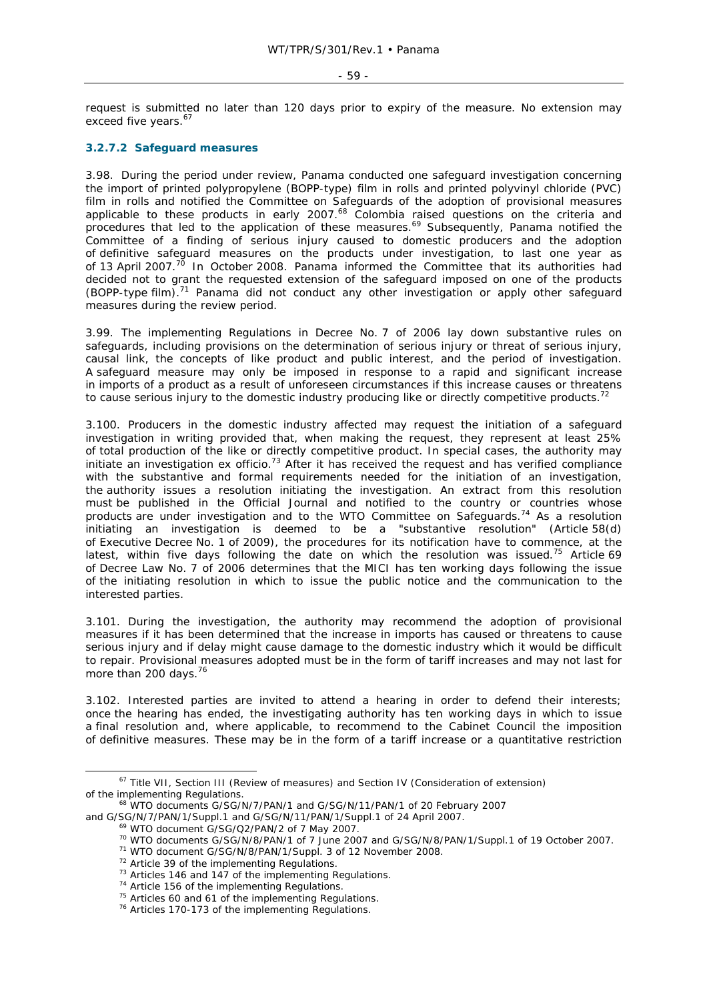#### $-59 -$

request is submitted no later than 120 days prior to expiry of the measure. No extension may exceed five years.<sup>67</sup>

# **3.2.7.2 Safeguard measures**

3.98. During the period under review, Panama conducted one safeguard investigation concerning the import of printed polypropylene (BOPP-type) film in rolls and printed polyvinyl chloride (PVC) film in rolls and notified the Committee on Safeguards of the adoption of provisional measures applicable to these products in early 2007. $^{68}$  Colombia raised questions on the criteria and procedures that led to the application of these measures.<sup>69</sup> Subsequently, Panama notified the Committee of a finding of serious injury caused to domestic producers and the adoption of definitive safeguard measures on the products under investigation, to last one year as of 13 April 2007.<sup>70</sup> In October 2008. Panama informed the Committee that its authorities had decided not to grant the requested extension of the safeguard imposed on one of the products  $(BOPP-type film)<sup>71</sup>$  Panama did not conduct any other investigation or apply other safeguard measures during the review period.

3.99. The implementing Regulations in Decree No. 7 of 2006 lay down substantive rules on safeguards, including provisions on the determination of serious injury or threat of serious injury, causal link, the concepts of like product and public interest, and the period of investigation. A safeguard measure may only be imposed in response to a rapid and significant increase in imports of a product as a result of unforeseen circumstances if this increase causes or threatens to cause serious injury to the domestic industry producing like or directly competitive products.<sup>72</sup>

3.100. Producers in the domestic industry affected may request the initiation of a safeguard investigation in writing provided that, when making the request, they represent at least 25% of total production of the like or directly competitive product. In special cases, the authority may initiate an investigation ex officio.<sup>73</sup> After it has received the request and has verified compliance with the substantive and formal requirements needed for the initiation of an investigation, the authority issues a resolution initiating the investigation. An extract from this resolution must be published in the Official Journal and notified to the country or countries whose products are under investigation and to the WTO Committee on Safeguards.<sup>74</sup> As a resolution initiating an investigation is deemed to be a "substantive resolution" (Article 58(d) of Executive Decree No. 1 of 2009), the procedures for its notification have to commence, at the latest, within five days following the date on which the resolution was issued.<sup>75</sup> Article 69 of Decree Law No. 7 of 2006 determines that the MICI has ten working days following the issue of the initiating resolution in which to issue the public notice and the communication to the interested parties.

3.101. During the investigation, the authority may recommend the adoption of provisional measures if it has been determined that the increase in imports has caused or threatens to cause serious injury and if delay might cause damage to the domestic industry which it would be difficult to repair. Provisional measures adopted must be in the form of tariff increases and may not last for more than 200 days.<sup>76</sup>

3.102. Interested parties are invited to attend a hearing in order to defend their interests; once the hearing has ended, the investigating authority has ten working days in which to issue a final resolution and, where applicable, to recommend to the Cabinet Council the imposition of definitive measures. These may be in the form of a tariff increase or a quantitative restriction

<sup>&</sup>lt;sup>67</sup> Title VII, Section III (Review of measures) and Section IV (Consideration of extension) of the implementing Regulations.<br><sup>68</sup> WTO documents G/SG/N/7/PAN/1 and G/SG/N/11/PAN/1 of 20 February 2007

and G/SG/N/7/PAN/1/Suppl.1 and G/SG/N/11/PAN/1/Suppl.1 of 24 April 2007.<br>
<sup>69</sup> WTO document G/SG/Q2/PAN/2 of 7 May 2007.<br>
<sup>70</sup> WTO documents G/SG/N/8/PAN/1 of 7 June 2007 and G/SG/N/8/PAN/1/Suppl.1 of 19 October 2007.<br>
<sup>7</sup>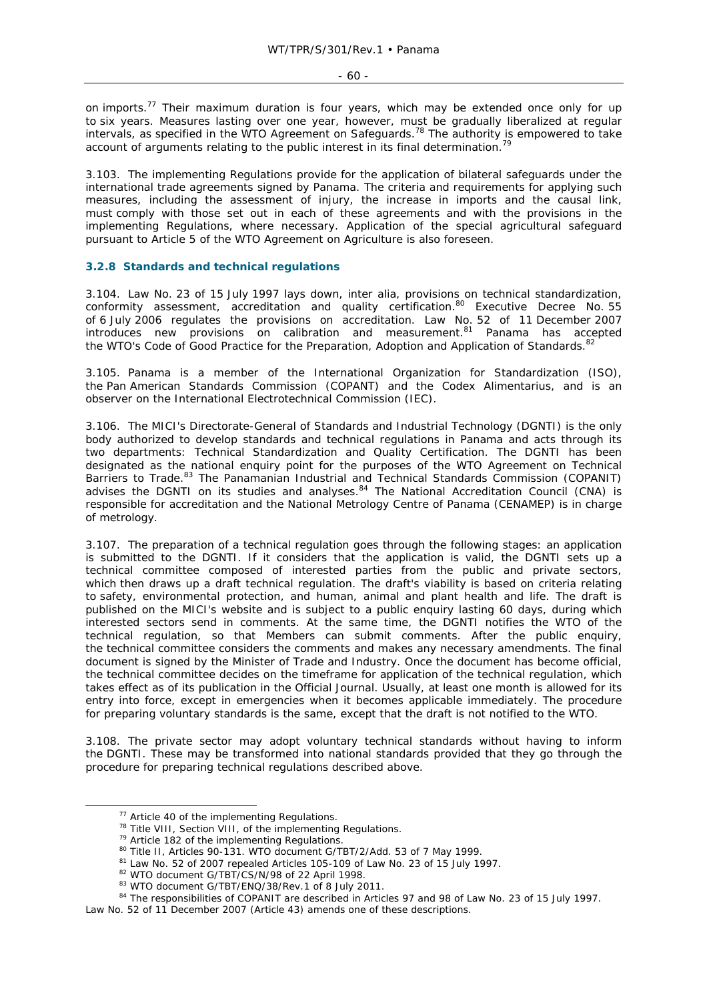on imports.<sup>77</sup> Their maximum duration is four years, which may be extended once only for up to six years. Measures lasting over one year, however, must be gradually liberalized at regular intervals, as specified in the WTO Agreement on Safeguards.<sup>78</sup> The authority is empowered to take account of arguments relating to the public interest in its final determination.<sup>7</sup>

3.103. The implementing Regulations provide for the application of bilateral safeguards under the international trade agreements signed by Panama. The criteria and requirements for applying such measures, including the assessment of injury, the increase in imports and the causal link, must comply with those set out in each of these agreements and with the provisions in the implementing Regulations, where necessary. Application of the special agricultural safeguard pursuant to Article 5 of the WTO Agreement on Agriculture is also foreseen.

#### **3.2.8 Standards and technical regulations**

3.104. Law No. 23 of 15 July 1997 lays down, *inter alia,* provisions on technical standardization, conformity assessment, accreditation and quality certification.<sup>80</sup> Executive Decree No. 55 of 6 July 2006 regulates the provisions on accreditation. Law No. 52 of 11 December 2007 introduces new provisions on calibration and measurement.<sup>81</sup> Panama has accepted the WTO's Code of Good Practice for the Preparation, Adoption and Application of Standards.<sup>82</sup>

3.105. Panama is a member of the International Organization for Standardization (ISO), the Pan American Standards Commission (COPANT) and the Codex Alimentarius, and is an observer on the International Electrotechnical Commission (IEC).

3.106. The MICI's Directorate-General of Standards and Industrial Technology (DGNTI) is the only body authorized to develop standards and technical regulations in Panama and acts through its two departments: Technical Standardization and Quality Certification. The DGNTI has been designated as the national enquiry point for the purposes of the WTO Agreement on Technical Barriers to Trade.<sup>83</sup> The Panamanian Industrial and Technical Standards Commission (COPANIT) advises the DGNTI on its studies and analyses. $84$  The National Accreditation Council (CNA) is responsible for accreditation and the National Metrology Centre of Panama (CENAMEP) is in charge of metrology.

3.107. The preparation of a technical regulation goes through the following stages: an application is submitted to the DGNTI. If it considers that the application is valid, the DGNTI sets up a technical committee composed of interested parties from the public and private sectors, which then draws up a draft technical regulation. The draft's viability is based on criteria relating to safety, environmental protection, and human, animal and plant health and life. The draft is published on the MICI's website and is subject to a public enquiry lasting 60 days, during which interested sectors send in comments. At the same time, the DGNTI notifies the WTO of the technical regulation, so that Members can submit comments. After the public enquiry, the technical committee considers the comments and makes any necessary amendments. The final document is signed by the Minister of Trade and Industry. Once the document has become official, the technical committee decides on the timeframe for application of the technical regulation, which takes effect as of its publication in the Official Journal. Usually, at least one month is allowed for its entry into force, except in emergencies when it becomes applicable immediately. The procedure for preparing voluntary standards is the same, except that the draft is not notified to the WTO.

3.108. The private sector may adopt voluntary technical standards without having to inform the DGNTI. These may be transformed into national standards provided that they go through the procedure for preparing technical regulations described above.

<sup>&</sup>lt;sup>77</sup> Article 40 of the implementing Regulations.<br><sup>78</sup> Title VIII, Section VIII, of the implementing Regulations.<br><sup>79</sup> Article 182 of the implementing Regulations.<br><sup>80</sup> Title II, Articles 90-131. WTO document G/TBT/2/Add.

Law No. 52 of 11 December 2007 (Article 43) amends one of these descriptions.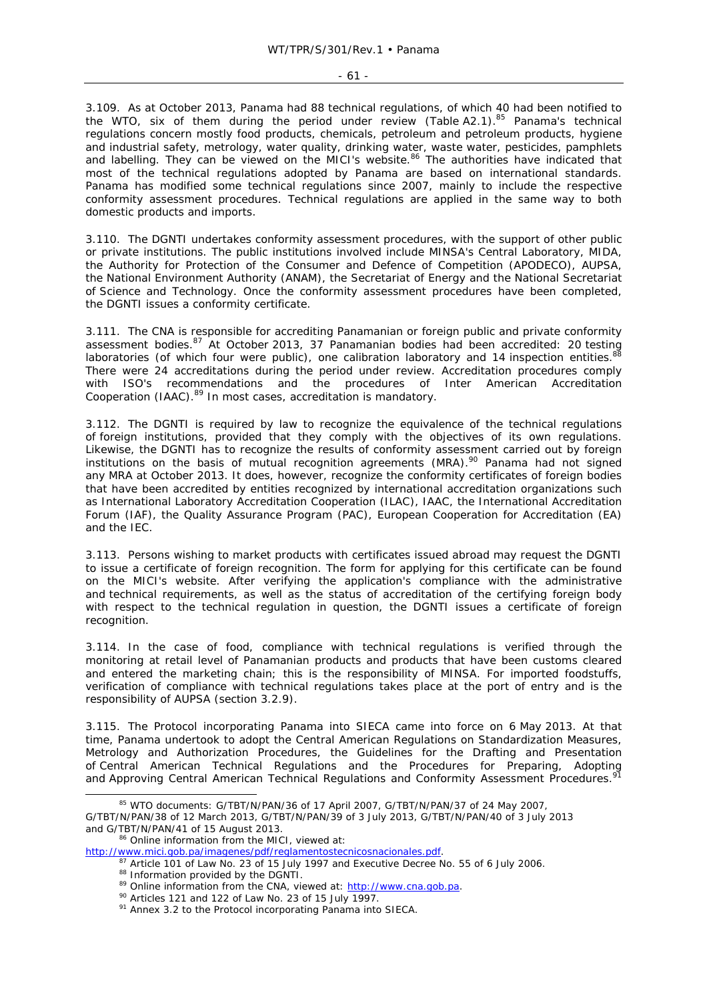3.109. As at October 2013, Panama had 88 technical regulations, of which 40 had been notified to the WTO, six of them during the period under review (Table A2.1). $85$  Panama's technical regulations concern mostly food products, chemicals, petroleum and petroleum products, hygiene and industrial safety, metrology, water quality, drinking water, waste water, pesticides, pamphlets and labelling. They can be viewed on the MICI's website.<sup>86</sup> The authorities have indicated that most of the technical regulations adopted by Panama are based on international standards. Panama has modified some technical regulations since 2007, mainly to include the respective conformity assessment procedures. Technical regulations are applied in the same way to both domestic products and imports.

3.110. The DGNTI undertakes conformity assessment procedures, with the support of other public or private institutions. The public institutions involved include MINSA's Central Laboratory, MIDA, the Authority for Protection of the Consumer and Defence of Competition (APODECO), AUPSA, the National Environment Authority (ANAM), the Secretariat of Energy and the National Secretariat of Science and Technology. Once the conformity assessment procedures have been completed, the DGNTI issues a conformity certificate.

3.111. The CNA is responsible for accrediting Panamanian or foreign public and private conformity assessment bodies.<sup>87</sup> At October 2013, 37 Panamanian bodies had been accredited: 20 testing laboratories (of which four were public), one calibration laboratory and 14 inspection entities.<sup>88</sup> There were 24 accreditations during the period under review. Accreditation procedures comply with ISO's recommendations and the procedures of Inter American Accreditation Cooperation (IAAC).<sup>89</sup> In most cases, accreditation is mandatory.

3.112. The DGNTI is required by law to recognize the equivalence of the technical regulations of foreign institutions, provided that they comply with the objectives of its own regulations. Likewise, the DGNTI has to recognize the results of conformity assessment carried out by foreign institutions on the basis of mutual recognition agreements (MRA).<sup>90</sup> Panama had not signed any MRA at October 2013. It does, however, recognize the conformity certificates of foreign bodies that have been accredited by entities recognized by international accreditation organizations such as International Laboratory Accreditation Cooperation (ILAC), IAAC, the International Accreditation Forum (IAF), the Quality Assurance Program (PAC), European Cooperation for Accreditation (EA) and the IEC.

3.113. Persons wishing to market products with certificates issued abroad may request the DGNTI to issue a certificate of foreign recognition. The form for applying for this certificate can be found on the MICI's website. After verifying the application's compliance with the administrative and technical requirements, as well as the status of accreditation of the certifying foreign body with respect to the technical regulation in question, the DGNTI issues a certificate of foreign recognition.

3.114. In the case of food, compliance with technical regulations is verified through the monitoring at retail level of Panamanian products and products that have been customs cleared and entered the marketing chain; this is the responsibility of MINSA. For imported foodstuffs, verification of compliance with technical regulations takes place at the port of entry and is the responsibility of AUPSA (section 3.2.9).

3.115. The Protocol incorporating Panama into SIECA came into force on 6 May 2013. At that time, Panama undertook to adopt the Central American Regulations on Standardization Measures, Metrology and Authorization Procedures, the Guidelines for the Drafting and Presentation of Central American Technical Regulations and the Procedures for Preparing, Adopting and Approving Central American Technical Regulations and Conformity Assessment Procedures.<sup>91</sup>

<sup>85</sup> WTO documents: G/TBT/N/PAN/36 of 17 April 2007, G/TBT/N/PAN/37 of 24 May 2007, G/TBT/N/PAN/38 of 12 March 2013, G/TBT/N/PAN/39 of 3 July 2013, G/TBT/N/PAN/40 of 3 July 2013 and G/TBT/N/PAN/41 of 15 August 2013.<br><sup>86</sup> Online information from the MICI, viewed at:<br>http://www.mici.gob.pa/imagenes/pdf/reglamentostecnicosnacionales.pdf.

<sup>&</sup>lt;sup>87</sup> Article 101 of Law No. 23 of 15 July 1997 and Executive Decree No. 55 of 6 July 2006.<br><sup>88</sup> Information provided by the DGNTI.<br><sup>89</sup> Online information from the CNA, viewed at:  $\frac{http://www.cna.gov.pa}{http://www.cna.gov.pa}$ .<br><sup>90</sup> Articles 12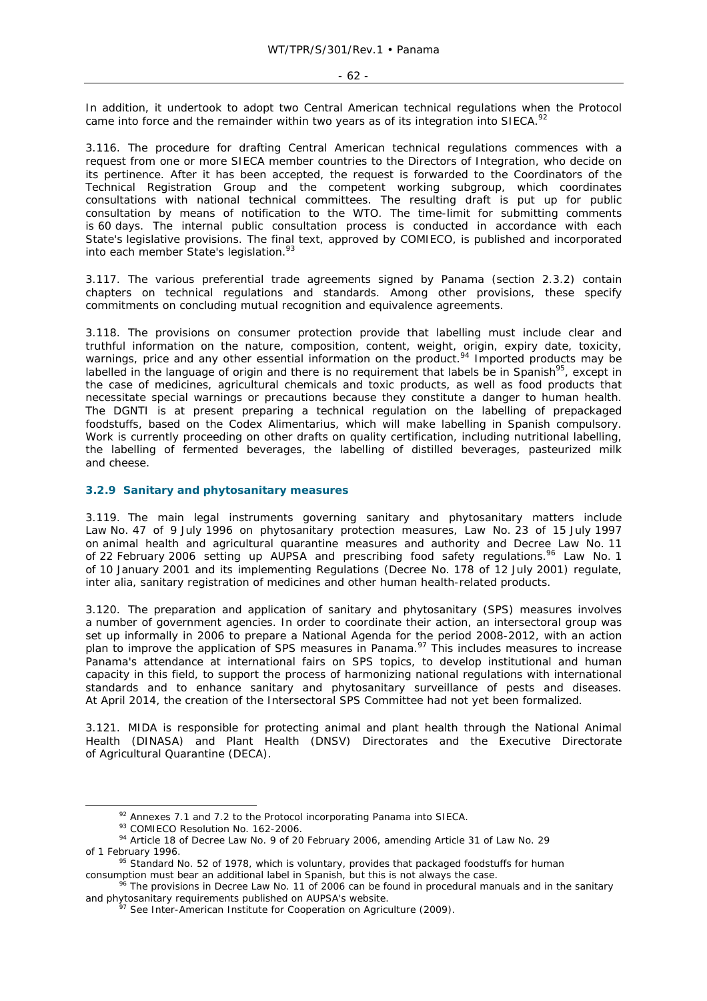In addition, it undertook to adopt two Central American technical regulations when the Protocol came into force and the remainder within two years as of its integration into SIECA.<sup>92</sup>

3.116. The procedure for drafting Central American technical regulations commences with a request from one or more SIECA member countries to the Directors of Integration, who decide on its pertinence. After it has been accepted, the request is forwarded to the Coordinators of the Technical Registration Group and the competent working subgroup, which coordinates consultations with national technical committees. The resulting draft is put up for public consultation by means of notification to the WTO. The time-limit for submitting comments is 60 days. The internal public consultation process is conducted in accordance with each State's legislative provisions. The final text, approved by COMIECO, is published and incorporated into each member State's legislation.<sup>93</sup>

3.117. The various preferential trade agreements signed by Panama (section 2.3.2) contain chapters on technical regulations and standards. Among other provisions, these specify commitments on concluding mutual recognition and equivalence agreements.

3.118. The provisions on consumer protection provide that labelling must include clear and truthful information on the nature, composition, content, weight, origin, expiry date, toxicity, warnings, price and any other essential information on the product.<sup>94</sup> Imported products may be labelled in the language of origin and there is no requirement that labels be in Spanish<sup>95</sup>, except in the case of medicines, agricultural chemicals and toxic products, as well as food products that necessitate special warnings or precautions because they constitute a danger to human health. The DGNTI is at present preparing a technical regulation on the labelling of prepackaged foodstuffs, based on the Codex Alimentarius, which will make labelling in Spanish compulsory. Work is currently proceeding on other drafts on quality certification, including nutritional labelling, the labelling of fermented beverages, the labelling of distilled beverages, pasteurized milk and cheese.

## **3.2.9 Sanitary and phytosanitary measures**

3.119. The main legal instruments governing sanitary and phytosanitary matters include Law No. 47 of 9 July 1996 on phytosanitary protection measures, Law No. 23 of 15 July 1997 on animal health and agricultural quarantine measures and authority and Decree Law No. 11 of 22 February 2006 setting up AUPSA and prescribing food safety regulations.<sup>96</sup> Law No. 1 of 10 January 2001 and its implementing Regulations (Decree No. 178 of 12 July 2001) regulate, *inter alia,* sanitary registration of medicines and other human health-related products.

3.120. The preparation and application of sanitary and phytosanitary (SPS) measures involves a number of government agencies. In order to coordinate their action, an intersectoral group was set up informally in 2006 to prepare a National Agenda for the period 2008-2012, with an action plan to improve the application of SPS measures in Panama.<sup>97</sup> This includes measures to increase Panama's attendance at international fairs on SPS topics, to develop institutional and human capacity in this field, to support the process of harmonizing national regulations with international standards and to enhance sanitary and phytosanitary surveillance of pests and diseases. At April 2014, the creation of the Intersectoral SPS Committee had not yet been formalized.

3.121. MIDA is responsible for protecting animal and plant health through the National Animal Health (DINASA) and Plant Health (DNSV) Directorates and the Executive Directorate of Agricultural Quarantine (DECA).

<sup>&</sup>lt;sup>92</sup> Annexes 7.1 and 7.2 to the Protocol incorporating Panama into SIECA.<br><sup>93</sup> COMIECO Resolution No. 162-2006.<br><sup>94</sup> Article 18 of Decree Law No. 9 of 20 February 2006, amending Article 31 of Law No. 29<br>of 1 February 1996

<sup>&</sup>lt;sup>95</sup> Standard No. 52 of 1978, which is voluntary, provides that packaged foodstuffs for human consumption must bear an additional label in Spanish, but this is not always the case.<br><sup>96</sup> The provisions in Decree Law No. 11 of 2006 can be found in procedural manuals and in the sanitary

and phytosanitary requirements published on AUPSA's website.<br><sup>97</sup> See Inter-American Institute for Cooperation on Agriculture (2009).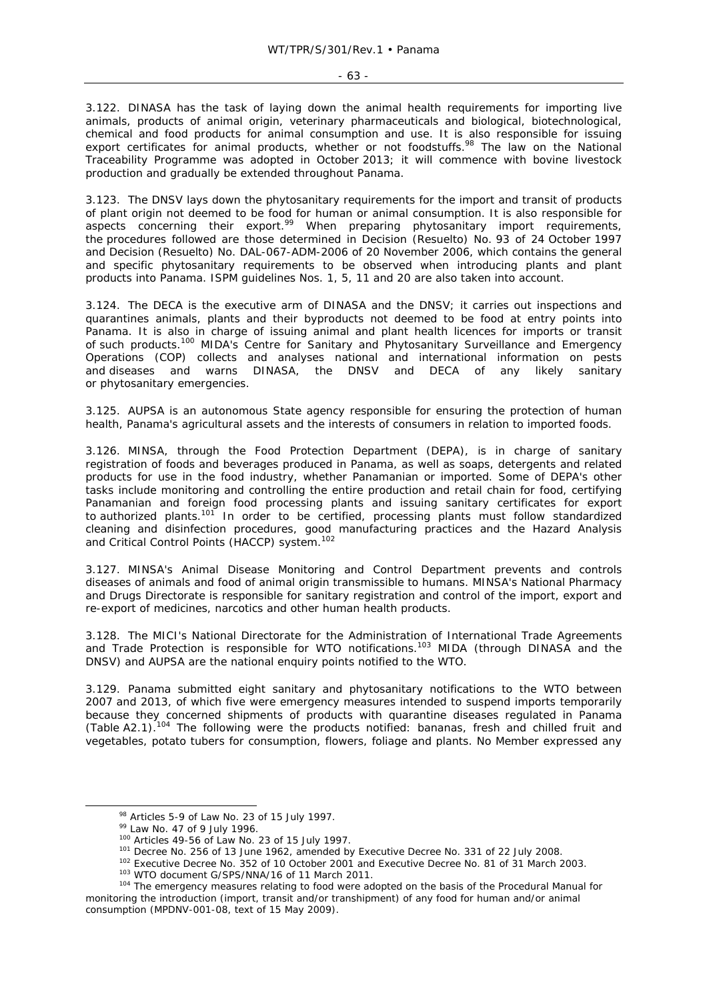3.122. DINASA has the task of laying down the animal health requirements for importing live animals, products of animal origin, veterinary pharmaceuticals and biological, biotechnological, chemical and food products for animal consumption and use. It is also responsible for issuing export certificates for animal products, whether or not foodstuffs.98 The law on the National Traceability Programme was adopted in October 2013; it will commence with bovine livestock production and gradually be extended throughout Panama.

3.123. The DNSV lays down the phytosanitary requirements for the import and transit of products of plant origin not deemed to be food for human or animal consumption. It is also responsible for aspects concerning their export.<sup>99</sup> When preparing phytosanitary import requirements, the procedures followed are those determined in Decision *(Resuelto)* No. 93 of 24 October 1997 and Decision *(Resuelto)* No. DAL-067-ADM-2006 of 20 November 2006, which contains the general and specific phytosanitary requirements to be observed when introducing plants and plant products into Panama. ISPM guidelines Nos. 1, 5, 11 and 20 are also taken into account.

3.124. The DECA is the executive arm of DINASA and the DNSV; it carries out inspections and quarantines animals, plants and their byproducts not deemed to be food at entry points into Panama. It is also in charge of issuing animal and plant health licences for imports or transit of such products.<sup>100</sup> MIDA's Centre for Sanitary and Phytosanitary Surveillance and Emergency Operations (COP) collects and analyses national and international information on pests and diseases and warns DINASA, the DNSV and DECA of any likely sanitary or phytosanitary emergencies.

3.125. AUPSA is an autonomous State agency responsible for ensuring the protection of human health, Panama's agricultural assets and the interests of consumers in relation to imported foods.

3.126. MINSA, through the Food Protection Department (DEPA), is in charge of sanitary registration of foods and beverages produced in Panama, as well as soaps, detergents and related products for use in the food industry, whether Panamanian or imported. Some of DEPA's other tasks include monitoring and controlling the entire production and retail chain for food, certifying Panamanian and foreign food processing plants and issuing sanitary certificates for export to authorized plants.<sup>101</sup> In order to be certified, processing plants must follow standardized cleaning and disinfection procedures, good manufacturing practices and the Hazard Analysis and Critical Control Points (HACCP) system.<sup>102</sup>

3.127. MINSA's Animal Disease Monitoring and Control Department prevents and controls diseases of animals and food of animal origin transmissible to humans. MINSA's National Pharmacy and Drugs Directorate is responsible for sanitary registration and control of the import, export and re-export of medicines, narcotics and other human health products.

3.128. The MICI's National Directorate for the Administration of International Trade Agreements and Trade Protection is responsible for WTO notifications.<sup>103</sup> MIDA (through DINASA and the DNSV) and AUPSA are the national enquiry points notified to the WTO.

3.129. Panama submitted eight sanitary and phytosanitary notifications to the WTO between 2007 and 2013, of which five were emergency measures intended to suspend imports temporarily because they concerned shipments of products with quarantine diseases regulated in Panama (Table A2.1).104 The following were the products notified: bananas, fresh and chilled fruit and vegetables, potato tubers for consumption, flowers, foliage and plants. No Member expressed any

<sup>&</sup>lt;sup>98</sup> Articles 5-9 of Law No. 23 of 15 July 1997.<br><sup>99</sup> Law No. 47 of 9 July 1996.<br><sup>100</sup> Articles 49-56 of Law No. 23 of 15 July 1997.<br><sup>101</sup> Decree No. 256 of 13 June 1962, amended by Executive Decree No. 331 of 22 July 200

monitoring the introduction (import, transit and/or transhipment) of any food for human and/or animal consumption (MPDNV-001-08, text of 15 May 2009).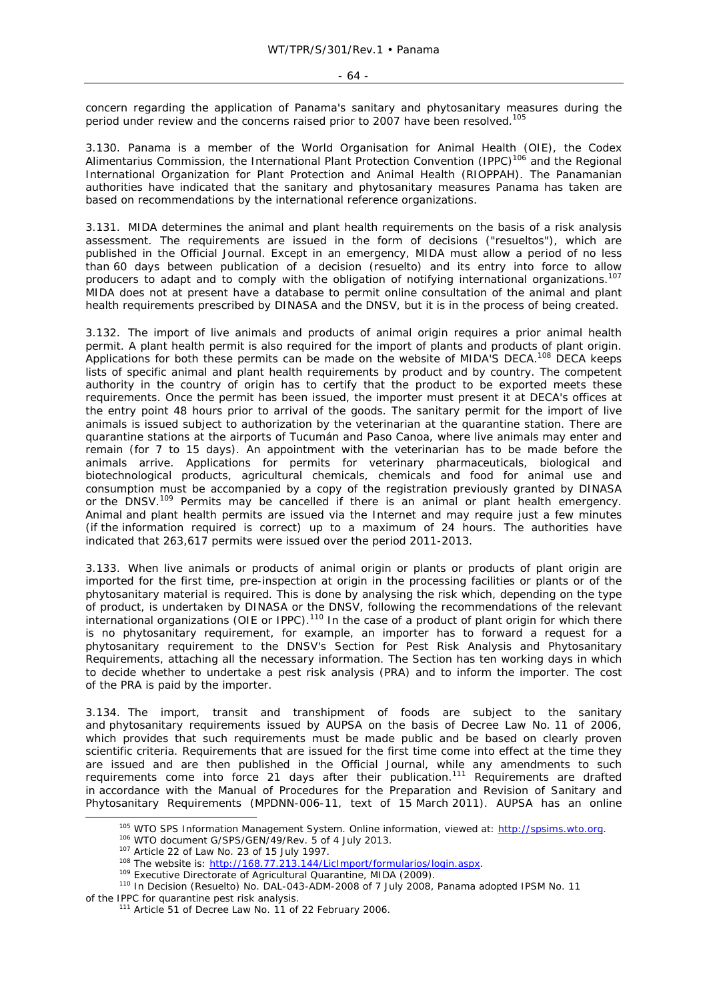concern regarding the application of Panama's sanitary and phytosanitary measures during the period under review and the concerns raised prior to 2007 have been resolved.105

3.130. Panama is a member of the World Organisation for Animal Health (OIE), the Codex Alimentarius Commission, the International Plant Protection Convention (IPPC)<sup>106</sup> and the Regional International Organization for Plant Protection and Animal Health (RIOPPAH). The Panamanian authorities have indicated that the sanitary and phytosanitary measures Panama has taken are based on recommendations by the international reference organizations.

3.131. MIDA determines the animal and plant health requirements on the basis of a risk analysis assessment. The requirements are issued in the form of decisions ("*resueltos*"), which are published in the Official Journal. Except in an emergency, MIDA must allow a period of no less than 60 days between publication of a decision *(resuelto)* and its entry into force to allow producers to adapt and to comply with the obligation of notifying international organizations.<sup>107</sup> MIDA does not at present have a database to permit online consultation of the animal and plant health requirements prescribed by DINASA and the DNSV, but it is in the process of being created.

3.132. The import of live animals and products of animal origin requires a prior animal health permit. A plant health permit is also required for the import of plants and products of plant origin. Applications for both these permits can be made on the website of MIDA'S DECA.<sup>108</sup> DECA keeps lists of specific animal and plant health requirements by product and by country. The competent authority in the country of origin has to certify that the product to be exported meets these requirements. Once the permit has been issued, the importer must present it at DECA's offices at the entry point 48 hours prior to arrival of the goods. The sanitary permit for the import of live animals is issued subject to authorization by the veterinarian at the quarantine station. There are quarantine stations at the airports of Tucumán and Paso Canoa, where live animals may enter and remain (for 7 to 15 days). An appointment with the veterinarian has to be made before the animals arrive. Applications for permits for veterinary pharmaceuticals, biological and biotechnological products, agricultural chemicals, chemicals and food for animal use and consumption must be accompanied by a copy of the registration previously granted by DINASA or the DNSV.<sup>109</sup> Permits may be cancelled if there is an animal or plant health emergency. Animal and plant health permits are issued via the Internet and may require just a few minutes (if the information required is correct) up to a maximum of 24 hours. The authorities have indicated that 263,617 permits were issued over the period 2011-2013.

3.133. When live animals or products of animal origin or plants or products of plant origin are imported for the first time, pre-inspection at origin in the processing facilities or plants or of the phytosanitary material is required. This is done by analysing the risk which, depending on the type of product, is undertaken by DINASA or the DNSV, following the recommendations of the relevant international organizations (OIE or IPPC).110 In the case of a product of plant origin for which there is no phytosanitary requirement, for example, an importer has to forward a request for a phytosanitary requirement to the DNSV's Section for Pest Risk Analysis and Phytosanitary Requirements, attaching all the necessary information. The Section has ten working days in which to decide whether to undertake a pest risk analysis (PRA) and to inform the importer. The cost of the PRA is paid by the importer.

3.134. The import, transit and transhipment of foods are subject to the sanitary and phytosanitary requirements issued by AUPSA on the basis of Decree Law No. 11 of 2006, which provides that such requirements must be made public and be based on clearly proven scientific criteria. Requirements that are issued for the first time come into effect at the time they are issued and are then published in the Official Journal, while any amendments to such requirements come into force 21 days after their publication.<sup>111</sup> Requirements are drafted in accordance with the Manual of Procedures for the Preparation and Revision of Sanitary and Phytosanitary Requirements (MPDNN-006-11, text of 15 March 2011). AUPSA has an online

<sup>&</sup>lt;sup>105</sup> WTO SPS Information Management System. Online information, viewed at:  $\frac{http://spsims.wto.org.}{http://spsims.wto.org.}$ <br><sup>106</sup> WTO document G/SPS/GEN/49/Rev. 5 of 4 July 2013.<br><sup>107</sup> Article 22 of Law No. 23 of 15 July 1997.<br><sup>108</sup> The websit

of the IPPC for quarantine pest risk analysis.<br><sup>111</sup> Article 51 of Decree Law No. 11 of 22 February 2006.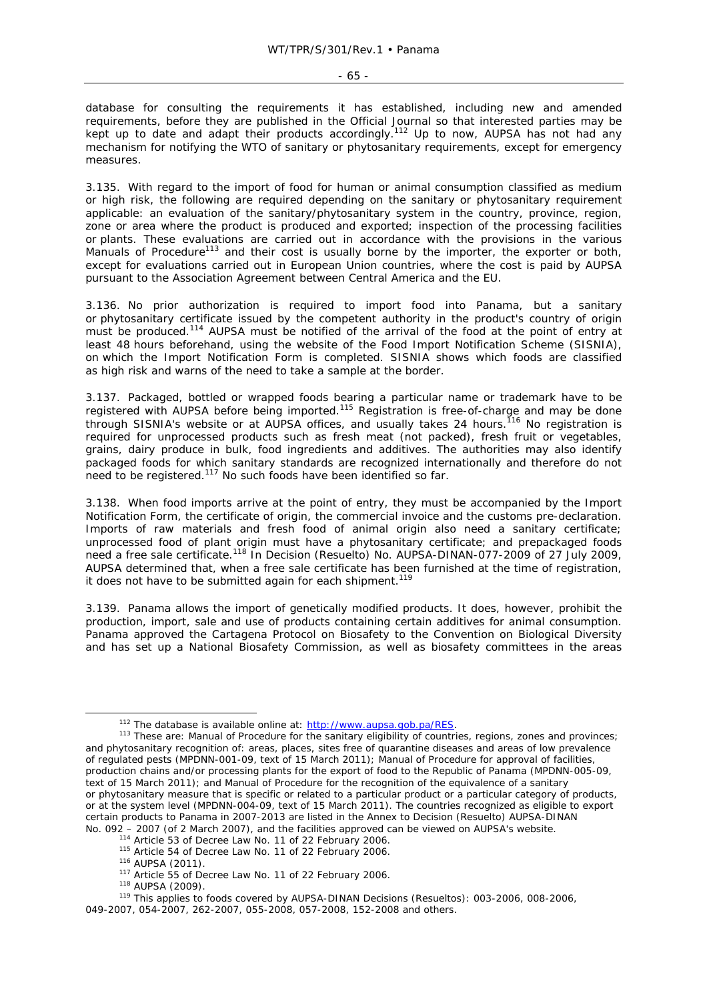database for consulting the requirements it has established, including new and amended requirements, before they are published in the Official Journal so that interested parties may be kept up to date and adapt their products accordingly.<sup>112</sup> Up to now, AUPSA has not had any mechanism for notifying the WTO of sanitary or phytosanitary requirements, except for emergency measures.

3.135. With regard to the import of food for human or animal consumption classified as medium or high risk, the following are required depending on the sanitary or phytosanitary requirement applicable: an evaluation of the sanitary/phytosanitary system in the country, province, region, zone or area where the product is produced and exported; inspection of the processing facilities or plants. These evaluations are carried out in accordance with the provisions in the various Manuals of Procedure<sup>113</sup> and their cost is usually borne by the importer, the exporter or both, except for evaluations carried out in European Union countries, where the cost is paid by AUPSA pursuant to the Association Agreement between Central America and the EU.

3.136. No prior authorization is required to import food into Panama, but a sanitary or phytosanitary certificate issued by the competent authority in the product's country of origin must be produced.<sup>114</sup> AUPSA must be notified of the arrival of the food at the point of entry at least 48 hours beforehand, using the website of the Food Import Notification Scheme (SISNIA), on which the Import Notification Form is completed. SISNIA shows which foods are classified as high risk and warns of the need to take a sample at the border.

3.137. Packaged, bottled or wrapped foods bearing a particular name or trademark have to be registered with AUPSA before being imported.115 Registration is free-of-charge and may be done through SISNIA's website or at AUPSA offices, and usually takes 24 hours.<sup>116</sup> No registration is required for unprocessed products such as fresh meat (not packed), fresh fruit or vegetables, grains, dairy produce in bulk, food ingredients and additives. The authorities may also identify packaged foods for which sanitary standards are recognized internationally and therefore do not  $\overline{\phantom{a}}$  heed to be registered.<sup>117</sup> No such foods have been identified so far.

3.138. When food imports arrive at the point of entry, they must be accompanied by the Import Notification Form, the certificate of origin, the commercial invoice and the customs pre-declaration. Imports of raw materials and fresh food of animal origin also need a sanitary certificate; unprocessed food of plant origin must have a phytosanitary certificate; and prepackaged foods need a free sale certificate.118 In Decision *(Resuelto)* No. AUPSA-DINAN-077-2009 of 27 July 2009, AUPSA determined that, when a free sale certificate has been furnished at the time of registration, it does not have to be submitted again for each shipment.<sup>119</sup>

3.139. Panama allows the import of genetically modified products. It does, however, prohibit the production, import, sale and use of products containing certain additives for animal consumption. Panama approved the Cartagena Protocol on Biosafety to the Convention on Biological Diversity and has set up a National Biosafety Commission, as well as biosafety committees in the areas

<sup>&</sup>lt;sup>112</sup> The database is available online at: http://www.aupsa.gob.pa/RES.<br><sup>113</sup> These are: Manual of Procedure for the sanitary eligibility of countries, regions, zones and provinces; and phytosanitary recognition of: areas, places, sites free of quarantine diseases and areas of low prevalence of regulated pests (MPDNN-001-09, text of 15 March 2011); Manual of Procedure for approval of facilities, production chains and/or processing plants for the export of food to the Republic of Panama (MPDNN-005-09, text of 15 March 2011); and Manual of Procedure for the recognition of the equivalence of a sanitary or phytosanitary measure that is specific or related to a particular product or a particular category of products, or at the system level (MPDNN-004-09, text of 15 March 2011). The countries recognized as eligible to export certain products to Panama in 2007-2013 are listed in the Annex to Decision *(Resuelto)* AUPSA-DINAN No. 092 – 2007 (of 2 March 2007), and the facilities approved can be viewed on AUPSA's website.<br>
<sup>114</sup> Article 53 of Decree Law No. 11 of 22 February 2006.<br>
<sup>115</sup> Article 54 of Decree Law No. 11 of 22 February 2006.<br>
<sup>116</sup>

<sup>049-2007, 054-2007, 262-2007, 055-2008, 057-2008, 152-2008</sup> and others.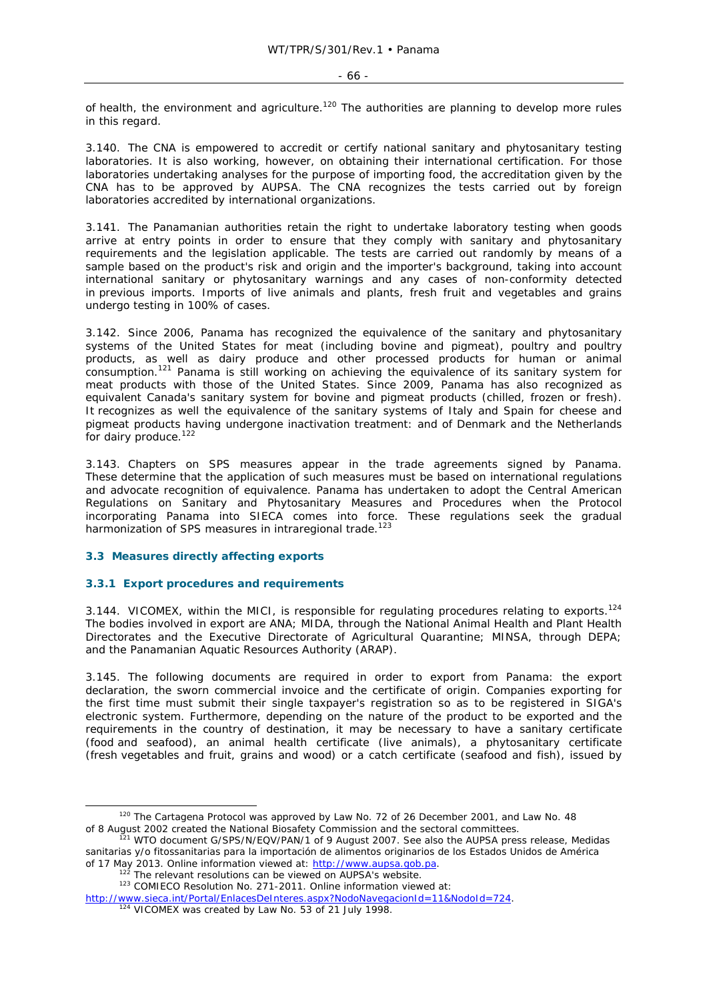#### - 66 -

of health, the environment and agriculture.<sup>120</sup> The authorities are planning to develop more rules in this regard.

3.140. The CNA is empowered to accredit or certify national sanitary and phytosanitary testing laboratories. It is also working, however, on obtaining their international certification. For those laboratories undertaking analyses for the purpose of importing food, the accreditation given by the CNA has to be approved by AUPSA. The CNA recognizes the tests carried out by foreign laboratories accredited by international organizations.

3.141. The Panamanian authorities retain the right to undertake laboratory testing when goods arrive at entry points in order to ensure that they comply with sanitary and phytosanitary requirements and the legislation applicable. The tests are carried out randomly by means of a sample based on the product's risk and origin and the importer's background, taking into account international sanitary or phytosanitary warnings and any cases of non-conformity detected in previous imports. Imports of live animals and plants, fresh fruit and vegetables and grains undergo testing in 100% of cases.

3.142. Since 2006, Panama has recognized the equivalence of the sanitary and phytosanitary systems of the United States for meat (including bovine and pigmeat), poultry and poultry products, as well as dairy produce and other processed products for human or animal consumption.<sup>121</sup> Panama is still working on achieving the equivalence of its sanitary system for meat products with those of the United States. Since 2009, Panama has also recognized as equivalent Canada's sanitary system for bovine and pigmeat products (chilled, frozen or fresh). It recognizes as well the equivalence of the sanitary systems of Italy and Spain for cheese and pigmeat products having undergone inactivation treatment: and of Denmark and the Netherlands for dairy produce.<sup>122</sup>

3.143. Chapters on SPS measures appear in the trade agreements signed by Panama. These determine that the application of such measures must be based on international regulations and advocate recognition of equivalence. Panama has undertaken to adopt the Central American Regulations on Sanitary and Phytosanitary Measures and Procedures when the Protocol incorporating Panama into SIECA comes into force. These regulations seek the gradual harmonization of SPS measures in intraregional trade.<sup>123</sup>

# **3.3 Measures directly affecting exports**

#### **3.3.1 Export procedures and requirements**

3.144. VICOMEX, within the MICI, is responsible for regulating procedures relating to exports.<sup>124</sup> The bodies involved in export are ANA; MIDA, through the National Animal Health and Plant Health Directorates and the Executive Directorate of Agricultural Quarantine; MINSA, through DEPA; and the Panamanian Aquatic Resources Authority (ARAP).

3.145. The following documents are required in order to export from Panama: the export declaration, the sworn commercial invoice and the certificate of origin. Companies exporting for the first time must submit their single taxpayer's registration so as to be registered in SIGA's electronic system. Furthermore, depending on the nature of the product to be exported and the requirements in the country of destination, it may be necessary to have a sanitary certificate (food and seafood), an animal health certificate (live animals), a phytosanitary certificate (fresh vegetables and fruit, grains and wood) or a catch certificate (seafood and fish), issued by

<sup>&</sup>lt;sup>120</sup> The Cartagena Protocol was approved by Law No. 72 of 26 December 2001, and Law No. 48<br>of 8 August 2002 created the National Biosafety Commission and the sectoral committees.

of 8 August 2002 created the National Biosafety Commission and the sectoral committees. 121 WTO document G/SPS/N/EQV/PAN/1 of 9 August 2007. See also the AUPSA press release, *Medidas sanitarias y/o fitossanitarias para la importación de alimentos originarios de los Estados Unidos de América*

<sup>&</sup>lt;sup>122</sup> The relevant resolutions can be viewed on AUPSA's website.<br><sup>123</sup> COMIECO Resolution No. 271-2011. Online information viewed at:

http://www.sieca.int/Portal/EnlacesDeInteres.aspx?NodoNavegacionId=11&NodoId=724.<br><sup>124</sup> VICOMEX was created by Law No. 53 of 21 July 1998.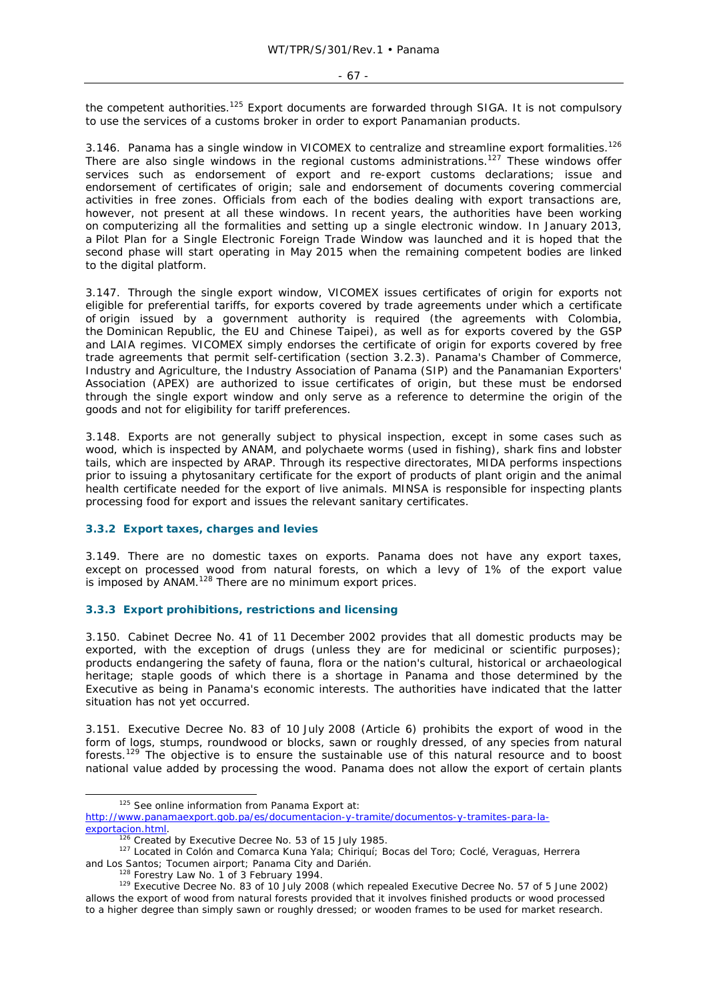the competent authorities.<sup>125</sup> Export documents are forwarded through SIGA. It is not compulsory to use the services of a customs broker in order to export Panamanian products.

3.146. Panama has a single window in VICOMEX to centralize and streamline export formalities.<sup>126</sup> There are also single windows in the regional customs administrations.<sup>127</sup> These windows offer services such as endorsement of export and re-export customs declarations; issue and endorsement of certificates of origin; sale and endorsement of documents covering commercial activities in free zones. Officials from each of the bodies dealing with export transactions are, however, not present at all these windows. In recent years, the authorities have been working on computerizing all the formalities and setting up a single electronic window. In January 2013, a Pilot Plan for a Single Electronic Foreign Trade Window was launched and it is hoped that the second phase will start operating in May 2015 when the remaining competent bodies are linked to the digital platform.

3.147. Through the single export window, VICOMEX issues certificates of origin for exports not eligible for preferential tariffs, for exports covered by trade agreements under which a certificate of origin issued by a government authority is required (the agreements with Colombia, the Dominican Republic, the EU and Chinese Taipei), as well as for exports covered by the GSP and LAIA regimes. VICOMEX simply endorses the certificate of origin for exports covered by free trade agreements that permit self-certification (section 3.2.3). Panama's Chamber of Commerce, Industry and Agriculture, the Industry Association of Panama (SIP) and the Panamanian Exporters' Association (APEX) are authorized to issue certificates of origin, but these must be endorsed through the single export window and only serve as a reference to determine the origin of the goods and not for eligibility for tariff preferences.

3.148. Exports are not generally subject to physical inspection, except in some cases such as wood, which is inspected by ANAM, and polychaete worms (used in fishing), shark fins and lobster tails, which are inspected by ARAP. Through its respective directorates, MIDA performs inspections prior to issuing a phytosanitary certificate for the export of products of plant origin and the animal health certificate needed for the export of live animals. MINSA is responsible for inspecting plants processing food for export and issues the relevant sanitary certificates.

#### **3.3.2 Export taxes, charges and levies**

3.149. There are no domestic taxes on exports. Panama does not have any export taxes, except on processed wood from natural forests, on which a levy of 1% of the export value is imposed by ANAM.128 There are no minimum export prices.

# **3.3.3 Export prohibitions, restrictions and licensing**

3.150. Cabinet Decree No. 41 of 11 December 2002 provides that all domestic products may be exported, with the exception of drugs (unless they are for medicinal or scientific purposes); products endangering the safety of fauna, flora or the nation's cultural, historical or archaeological heritage; staple goods of which there is a shortage in Panama and those determined by the Executive as being in Panama's economic interests. The authorities have indicated that the latter situation has not yet occurred.

3.151. Executive Decree No. 83 of 10 July 2008 (Article 6) prohibits the export of wood in the form of logs, stumps, roundwood or blocks, sawn or roughly dressed, of any species from natural forests.<sup>129</sup> The objective is to ensure the sustainable use of this natural resource and to boost national value added by processing the wood. Panama does not allow the export of certain plants

 <sup>125</sup> See online information from *Panama Export* at: http://www.panamaexport.gob.pa/es/documentacion-y-tramite/documentos-y-tramites-para-la-

exportacion.html.<br>
<sup>126</sup> Created by Executive Decree No. 53 of 15 July 1985.<br>
<sup>127</sup> Located in Colón and Comarca Kuna Yala; Chiriquí; Bocas del Toro; Coclé, Veraguas, Herrera

and Los Santos; Tocumen airport; Panama City and Darién.<br><sup>128</sup> Forestry Law No. 1 of 3 February 1994.<br><sup>129</sup> Executive Decree No. 83 of 10 July 2008 (which repealed Executive Decree No. 57 of 5 June 2002) allows the export of wood from natural forests provided that it involves finished products or wood processed to a higher degree than simply sawn or roughly dressed; or wooden frames to be used for market research.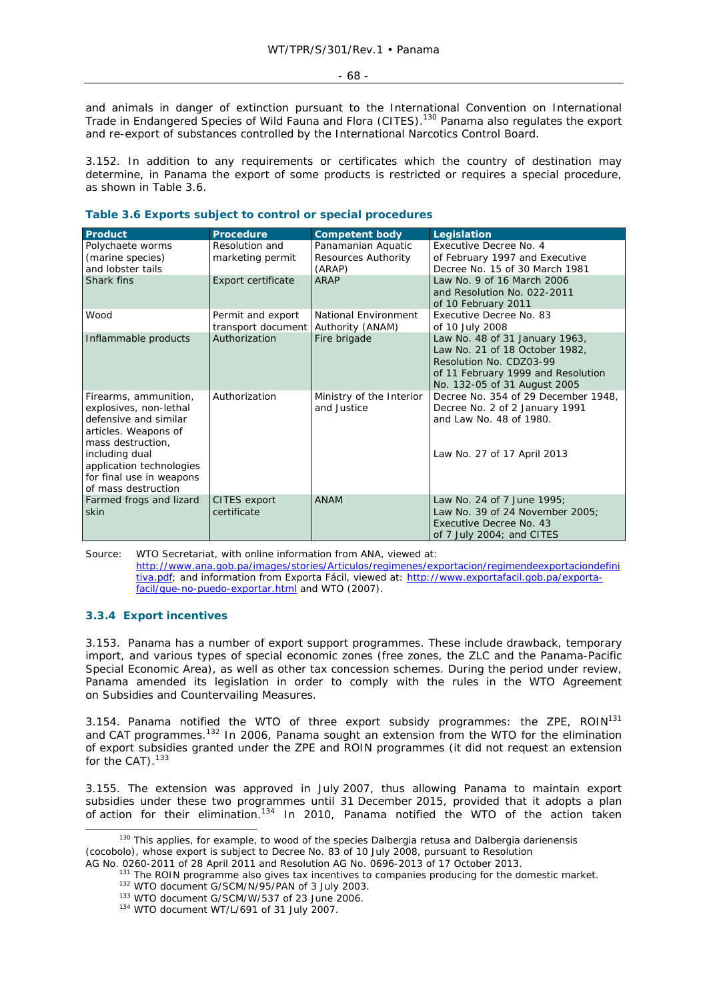and animals in danger of extinction pursuant to the International Convention on International Trade in Endangered Species of Wild Fauna and Flora (CITES).<sup>130</sup> Panama also regulates the export and re-export of substances controlled by the International Narcotics Control Board.

3.152. In addition to any requirements or certificates which the country of destination may determine, in Panama the export of some products is restricted or requires a special procedure, as shown in Table 3.6.

| <b>Product</b>                                                                                                                                                                                                         | Procedure                               | <b>Competent body</b>                               | Legislation                                                                                                                                                       |
|------------------------------------------------------------------------------------------------------------------------------------------------------------------------------------------------------------------------|-----------------------------------------|-----------------------------------------------------|-------------------------------------------------------------------------------------------------------------------------------------------------------------------|
| Polychaete worms<br>(marine species)<br>and lobster tails                                                                                                                                                              | Resolution and<br>marketing permit      | Panamanian Aquatic<br>Resources Authority<br>(ARAP) | Executive Decree No. 4<br>of February 1997 and Executive<br>Decree No. 15 of 30 March 1981                                                                        |
| Shark fins                                                                                                                                                                                                             | Export certificate                      | ARAP                                                | Law No. 9 of 16 March 2006<br>and Resolution No. 022-2011<br>of 10 February 2011                                                                                  |
| Wood                                                                                                                                                                                                                   | Permit and export<br>transport document | National Environment<br>Authority (ANAM)            | Executive Decree No. 83<br>of 10 July 2008                                                                                                                        |
| Inflammable products                                                                                                                                                                                                   | Authorization                           | Fire brigade                                        | Law No. 48 of 31 January 1963,<br>Law No. 21 of 18 October 1982,<br>Resolution No. CDZ03-99<br>of 11 February 1999 and Resolution<br>No. 132-05 of 31 August 2005 |
| Firearms, ammunition,<br>explosives, non-lethal<br>defensive and similar<br>articles. Weapons of<br>mass destruction.<br>including dual<br>application technologies<br>for final use in weapons<br>of mass destruction | Authorization                           | Ministry of the Interior<br>and Justice             | Decree No. 354 of 29 December 1948,<br>Decree No. 2 of 2 January 1991<br>and Law No. 48 of 1980.<br>Law No. 27 of 17 April 2013                                   |
| Farmed frogs and lizard<br>skin                                                                                                                                                                                        | CITES export<br>certificate             | <b>ANAM</b>                                         | Law No. 24 of 7 June 1995:<br>Law No. 39 of 24 November 2005;<br>Executive Decree No. 43<br>of 7 July 2004; and CITES                                             |

# **Table 3.6 Exports subject to control or special procedures**

Source: WTO Secretariat, with online information from ANA, viewed at: http://www.ana.gob.pa/images/stories/Articulos/regimenes/exportacion/regimendeexportaciondefini tiva.pdf; and information from *Exporta Fácil*, viewed at: http://www.exportafacil.gob.pa/exportafacil/que-no-puedo-exportar.html and WTO (2007).

#### **3.3.4 Export incentives**

3.153. Panama has a number of export support programmes. These include drawback, temporary import, and various types of special economic zones (free zones, the ZLC and the Panama-Pacific Special Economic Area), as well as other tax concession schemes. During the period under review, Panama amended its legislation in order to comply with the rules in the WTO Agreement on Subsidies and Countervailing Measures.

3.154. Panama notified the WTO of three export subsidy programmes: the ZPE,  $ROIN^{131}$ and CAT programmes.<sup>132</sup> In 2006, Panama sought an extension from the WTO for the elimination of export subsidies granted under the ZPE and ROIN programmes (it did not request an extension for the CAT).<sup>133</sup>

3.155. The extension was approved in July 2007, thus allowing Panama to maintain export subsidies under these two programmes until 31 December 2015, provided that it adopts a plan of action for their elimination.134 In 2010, Panama notified the WTO of the action taken

 <sup>130</sup> This applies, for example, to wood of the species *Dalbergia retusa* and *Dalbergia darienensis* (cocobolo), whose export is subject to Decree No. 83 of 10 July 2008, pursuant to Resolution

AG No. 0260-2011 of 28 April 2011 and Resolution AG No. 0696-2013 of 17 October 2013.<br><sup>131</sup> The ROIN programme also gives tax incentives to companies producing for the domestic market.<br><sup>132</sup> WTO document G/SCM/N/95/PAN of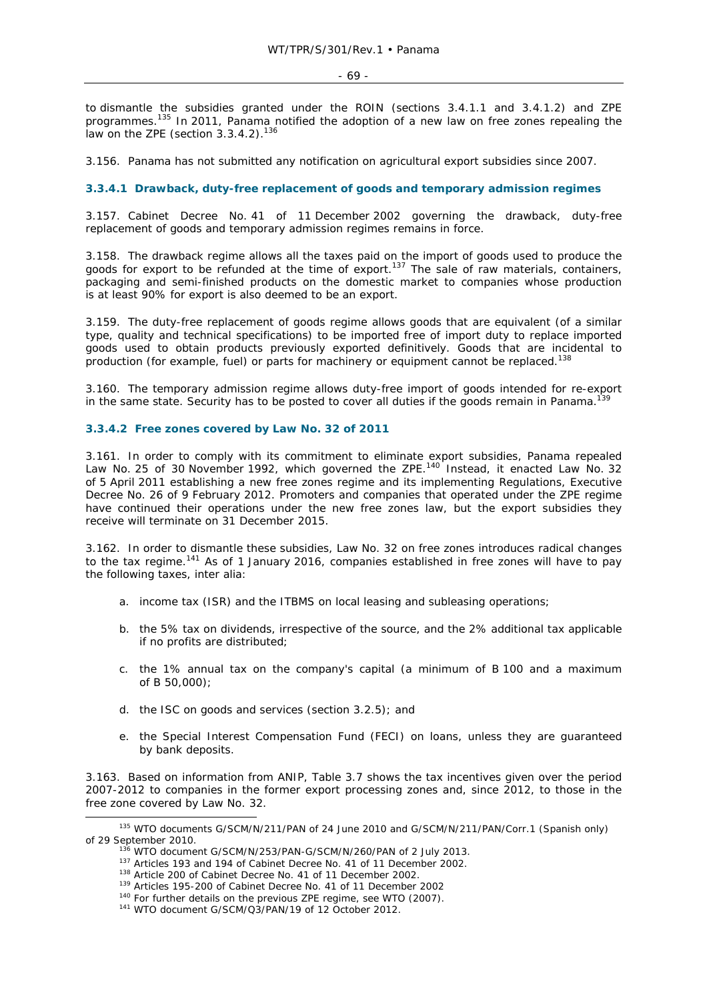- 69 -

to dismantle the subsidies granted under the ROIN (sections 3.4.1.1 and 3.4.1.2) and ZPE programmes.<sup>135</sup> In 2011, Panama notified the adoption of a new law on free zones repealing the law on the ZPE (section 3.3.4.2).<sup>136</sup>

3.156. Panama has not submitted any notification on agricultural export subsidies since 2007.

# **3.3.4.1 Drawback, duty-free replacement of goods and temporary admission regimes**

3.157. Cabinet Decree No. 41 of 11 December 2002 governing the drawback, duty-free replacement of goods and temporary admission regimes remains in force.

3.158. The drawback regime allows all the taxes paid on the import of goods used to produce the goods for export to be refunded at the time of export.<sup>137</sup> The sale of raw materials, containers, packaging and semi-finished products on the domestic market to companies whose production is at least 90% for export is also deemed to be an export.

3.159. The duty-free replacement of goods regime allows goods that are equivalent (of a similar type, quality and technical specifications) to be imported free of import duty to replace imported goods used to obtain products previously exported definitively. Goods that are incidental to production (for example, fuel) or parts for machinery or equipment cannot be replaced.<sup>138</sup>

3.160. The temporary admission regime allows duty-free import of goods intended for re-export in the same state. Security has to be posted to cover all duties if the goods remain in Panama.<sup>139</sup>

# **3.3.4.2 Free zones covered by Law No. 32 of 2011**

3.161. In order to comply with its commitment to eliminate export subsidies, Panama repealed Law No. 25 of 30 November 1992, which governed the ZPE.<sup>140</sup> Instead, it enacted Law No. 32 of 5 April 2011 establishing a new free zones regime and its implementing Regulations, Executive Decree No. 26 of 9 February 2012. Promoters and companies that operated under the ZPE regime have continued their operations under the new free zones law, but the export subsidies they receive will terminate on 31 December 2015.

3.162. In order to dismantle these subsidies, Law No. 32 on free zones introduces radical changes to the tax regime.<sup>141</sup> As of 1 January 2016, companies established in free zones will have to pay the following taxes, *inter alia*:

- a. income tax (ISR) and the ITBMS on local leasing and subleasing operations;
- b. the 5% tax on dividends, irrespective of the source, and the 2% additional tax applicable if no profits are distributed;
- c. the 1% annual tax on the company's capital (a minimum of B 100 and a maximum of B 50,000);
- d. the ISC on goods and services (section 3.2.5); and
- e. the Special Interest Compensation Fund (FECI) on loans, unless they are guaranteed by bank deposits.

3.163. Based on information from ANIP, Table 3.7 shows the tax incentives given over the period 2007-2012 to companies in the former export processing zones and, since 2012, to those in the free zone covered by Law No. 32.

<sup>&</sup>lt;sup>135</sup> WTO documents G/SCM/N/211/PAN of 24 June 2010 and G/SCM/N/211/PAN/Corr.1 (Spanish only) % of 29 September 2010.<br>  $^{136}$  WTO document G/SCM/N/253/PAN-G/SCM/N/260/PAN of 2 July 2013.<br>  $^{136}$  WTO document G/SCM/N/253/PAN-G/SCM/N/260/PAN of 2 July 2013.<br>  $^{137}$  Articles 193 and 194 of Cabinet Decree No. 41 of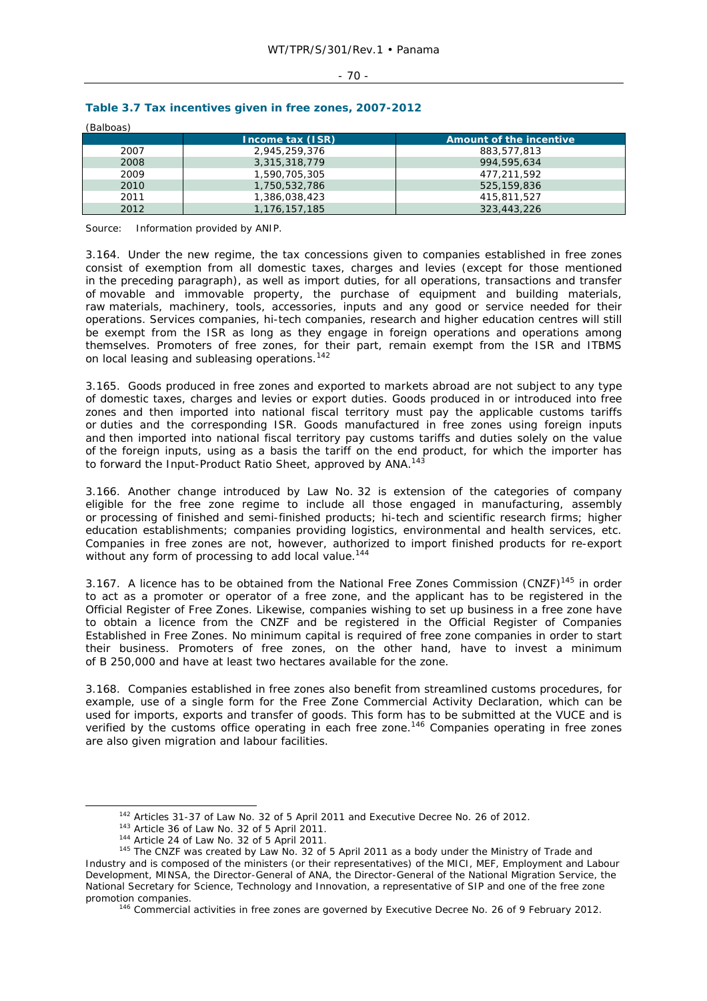#### $-70 -$

| (Balboas) |                  |                         |  |  |  |
|-----------|------------------|-------------------------|--|--|--|
|           | Income tax (ISR) | Amount of the incentive |  |  |  |
| 2007      | 2,945,259,376    | 883,577,813             |  |  |  |
| 2008      | 3,315,318,779    | 994.595.634             |  |  |  |
| 2009      | 1,590,705,305    | 477.211.592             |  |  |  |
| 2010      | 1,750,532,786    | 525,159,836             |  |  |  |
| 2011      | 1,386,038,423    | 415.811.527             |  |  |  |
| 2012      | 1,176,157,185    | 323,443,226             |  |  |  |

# **Table 3.7 Tax incentives given in free zones, 2007-2012**

Source: Information provided by ANIP.

3.164. Under the new regime, the tax concessions given to companies established in free zones consist of exemption from all domestic taxes, charges and levies (except for those mentioned in the preceding paragraph), as well as import duties, for all operations, transactions and transfer of movable and immovable property, the purchase of equipment and building materials, raw materials, machinery, tools, accessories, inputs and any good or service needed for their operations. Services companies, hi-tech companies, research and higher education centres will still be exempt from the ISR as long as they engage in foreign operations and operations among themselves. Promoters of free zones, for their part, remain exempt from the ISR and ITBMS on local leasing and subleasing operations.<sup>142</sup>

3.165. Goods produced in free zones and exported to markets abroad are not subject to any type of domestic taxes, charges and levies or export duties. Goods produced in or introduced into free zones and then imported into national fiscal territory must pay the applicable customs tariffs or duties and the corresponding ISR. Goods manufactured in free zones using foreign inputs and then imported into national fiscal territory pay customs tariffs and duties solely on the value of the foreign inputs, using as a basis the tariff on the end product, for which the importer has to forward the Input-Product Ratio Sheet, approved by ANA.<sup>143</sup>

3.166. Another change introduced by Law No. 32 is extension of the categories of company eligible for the free zone regime to include all those engaged in manufacturing, assembly or processing of finished and semi-finished products; hi-tech and scientific research firms; higher education establishments; companies providing logistics, environmental and health services, etc. Companies in free zones are not, however, authorized to import finished products for re-export without any form of processing to add local value.<sup>144</sup>

3.167. A licence has to be obtained from the National Free Zones Commission (CNZF)<sup>145</sup> in order to act as a promoter or operator of a free zone, and the applicant has to be registered in the Official Register of Free Zones. Likewise, companies wishing to set up business in a free zone have to obtain a licence from the CNZF and be registered in the Official Register of Companies Established in Free Zones. No minimum capital is required of free zone companies in order to start their business. Promoters of free zones, on the other hand, have to invest a minimum of B 250,000 and have at least two hectares available for the zone.

3.168. Companies established in free zones also benefit from streamlined customs procedures, for example, use of a single form for the Free Zone Commercial Activity Declaration, which can be used for imports, exports and transfer of goods. This form has to be submitted at the VUCE and is verified by the customs office operating in each free zone.146 Companies operating in free zones are also given migration and labour facilities.

<sup>&</sup>lt;sup>142</sup> Articles 31-37 of Law No. 32 of 5 April 2011 and Executive Decree No. 26 of 2012.<br><sup>143</sup> Article 36 of Law No. 32 of 5 April 2011.<br><sup>144</sup> Article 24 of Law No. 32 of 5 April 2011.<br><sup>145</sup> The CNZF was created by Law No. Industry and is composed of the ministers (or their representatives) of the MICI, MEF, Employment and Labour Development, MINSA, the Director-General of ANA, the Director-General of the National Migration Service, the National Secretary for Science, Technology and Innovation, a representative of SIP and one of the free zone promotion companies.<br><sup>146</sup> Commercial activities in free zones are governed by Executive Decree No. 26 of 9 February 2012.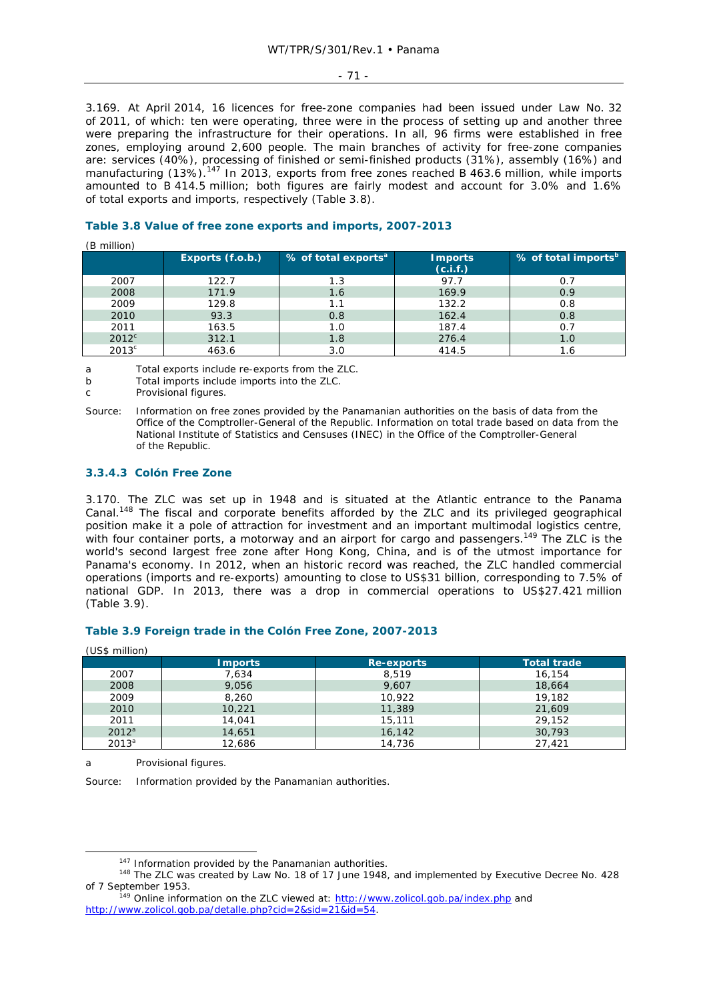#### - 71 -

3.169. At April 2014, 16 licences for free-zone companies had been issued under Law No. 32 of 2011, of which: ten were operating, three were in the process of setting up and another three were preparing the infrastructure for their operations. In all, 96 firms were established in free zones, employing around 2,600 people. The main branches of activity for free-zone companies are: services (40%), processing of finished or semi-finished products (31%), assembly (16%) and manufacturing (13%).<sup>147</sup> In 2013, exports from free zones reached B 463.6 million, while imports amounted to B 414.5 million; both figures are fairly modest and account for 3.0% and 1.6% of total exports and imports, respectively (Table 3.8).

# **Table 3.8 Value of free zone exports and imports, 2007-2013**

#### (B million)

|                | Exports (f.o.b.) | % of total exports <sup>a</sup> | <b>Imports</b><br>(c.i.f.) | $\frac{1}{2}$ % of total imports <sup>b</sup> |
|----------------|------------------|---------------------------------|----------------------------|-----------------------------------------------|
| 2007           | 122.7            | 1.3                             | 97.7                       | 0.7                                           |
| 2008           | 171.9            | 1.6                             | 169.9                      | 0.9                                           |
| 2009           | 129.8            | 1.1                             | 132.2                      | 0.8                                           |
| 2010           | 93.3             | 0.8                             | 162.4                      | 0.8                                           |
| 2011           | 163.5            | 1.0                             | 187.4                      | 0.7                                           |
| $2012^c$       | 312.1            | 1.8                             | 276.4                      | 1.0                                           |
| $2013^{\circ}$ | 463.6            | 3.0                             | 414.5                      | 1.6                                           |

a Total exports include re-exports from the ZLC.

b Total imports include imports into the ZLC.

c Provisional figures.

Source: Information on free zones provided by the Panamanian authorities on the basis of data from the Office of the Comptroller-General of the Republic. Information on total trade based on data from the National Institute of Statistics and Censuses (INEC) in the Office of the Comptroller-General of the Republic.

#### **3.3.4.3 Colón Free Zone**

3.170. The ZLC was set up in 1948 and is situated at the Atlantic entrance to the Panama Canal.148 The fiscal and corporate benefits afforded by the ZLC and its privileged geographical position make it a pole of attraction for investment and an important multimodal logistics centre, with four container ports, a motorway and an airport for cargo and passengers.<sup>149</sup> The ZLC is the world's second largest free zone after Hong Kong, China, and is of the utmost importance for Panama's economy. In 2012, when an historic record was reached, the ZLC handled commercial operations (imports and re-exports) amounting to close to US\$31 billion, corresponding to 7.5% of national GDP. In 2013, there was a drop in commercial operations to US\$27.421 million (Table 3.9).

## **Table 3.9 Foreign trade in the Colón Free Zone, 2007-2013**

| (US\$ million) |                |            |                    |  |  |  |  |
|----------------|----------------|------------|--------------------|--|--|--|--|
|                | <b>Imports</b> | Re-exports | <b>Total trade</b> |  |  |  |  |
| 2007           | 7,634          | 8,519      | 16,154             |  |  |  |  |
| 2008           | 9,056          | 9,607      | 18,664             |  |  |  |  |
| 2009           | 8,260          | 10.922     | 19,182             |  |  |  |  |
| 2010           | 10,221         | 11,389     | 21,609             |  |  |  |  |
| 2011           | 14,041         | 15,111     | 29,152             |  |  |  |  |
| $2012^a$       | 14,651         | 16,142     | 30,793             |  |  |  |  |
| $2013^a$       | 12,686         | 14,736     | 27.421             |  |  |  |  |

a Provisional figures.

Source: Information provided by the Panamanian authorities.

<sup>&</sup>lt;sup>147</sup> Information provided by the Panamanian authorities.<br><sup>148</sup> The ZLC was created by Law No. 18 of 17 June 1948, and implemented by Executive Decree No. 428 of 7 September 1953. 149 Online information on the ZLC viewed at: http://www.zolicol.gob.pa/index.php and

http://www.zolicol.gob.pa/detalle.php?cid=2&sid=21&id=54.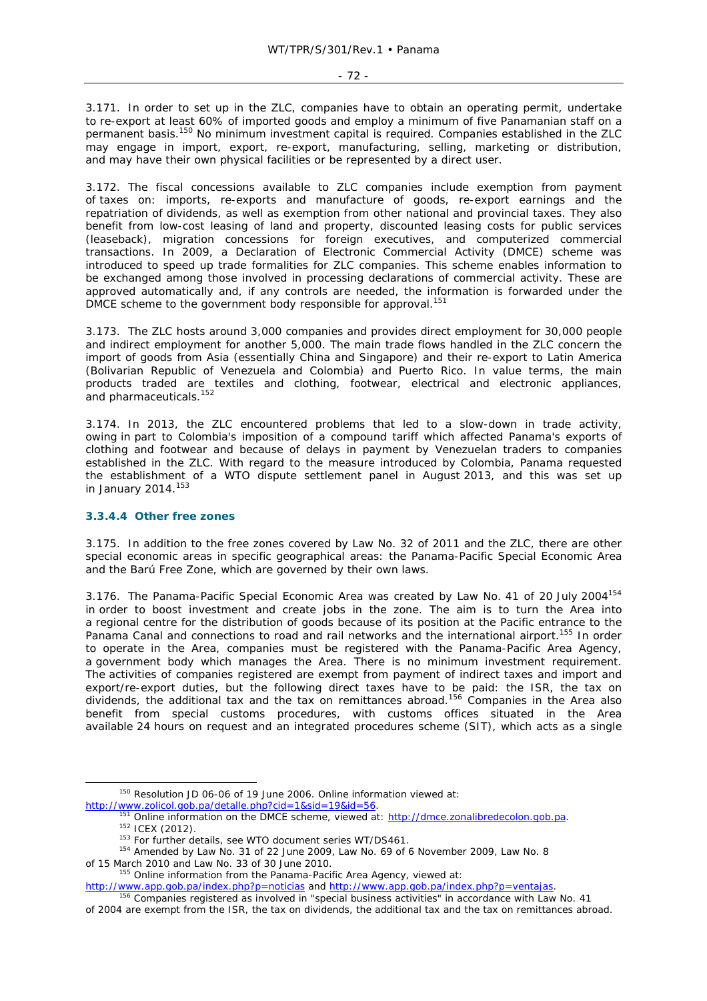3.171. In order to set up in the ZLC, companies have to obtain an operating permit, undertake to re-export at least 60% of imported goods and employ a minimum of five Panamanian staff on a permanent basis.150 No minimum investment capital is required. Companies established in the ZLC may engage in import, export, re-export, manufacturing, selling, marketing or distribution, and may have their own physical facilities or be represented by a direct user.

3.172. The fiscal concessions available to ZLC companies include exemption from payment of taxes on: imports, re-exports and manufacture of goods, re-export earnings and the repatriation of dividends, as well as exemption from other national and provincial taxes. They also benefit from low-cost leasing of land and property, discounted leasing costs for public services (leaseback), migration concessions for foreign executives, and computerized commercial transactions. In 2009, a Declaration of Electronic Commercial Activity (DMCE) scheme was introduced to speed up trade formalities for ZLC companies. This scheme enables information to be exchanged among those involved in processing declarations of commercial activity. These are approved automatically and, if any controls are needed, the information is forwarded under the DMCE scheme to the government body responsible for approval.<sup>151</sup>

3.173. The ZLC hosts around 3,000 companies and provides direct employment for 30,000 people and indirect employment for another 5,000. The main trade flows handled in the ZLC concern the import of goods from Asia (essentially China and Singapore) and their re-export to Latin America (Bolivarian Republic of Venezuela and Colombia) and Puerto Rico. In value terms, the main products traded are textiles and clothing, footwear, electrical and electronic appliances, and pharmaceuticals.<sup>152</sup>

3.174. In 2013, the ZLC encountered problems that led to a slow-down in trade activity, owing in part to Colombia's imposition of a compound tariff which affected Panama's exports of clothing and footwear and because of delays in payment by Venezuelan traders to companies established in the ZLC. With regard to the measure introduced by Colombia, Panama requested the establishment of a WTO dispute settlement panel in August 2013, and this was set up in January 2014.<sup>153</sup>

## **3.3.4.4 Other free zones**

3.175. In addition to the free zones covered by Law No. 32 of 2011 and the ZLC, there are other special economic areas in specific geographical areas: the Panama-Pacific Special Economic Area and the Barú Free Zone, which are governed by their own laws.

3.176. The Panama-Pacific Special Economic Area was created by Law No. 41 of 20 July 2004<sup>154</sup> in order to boost investment and create jobs in the zone. The aim is to turn the Area into a regional centre for the distribution of goods because of its position at the Pacific entrance to the Panama Canal and connections to road and rail networks and the international airport.<sup>155</sup> In order to operate in the Area, companies must be registered with the Panama-Pacific Area Agency, a government body which manages the Area. There is no minimum investment requirement. The activities of companies registered are exempt from payment of indirect taxes and import and export/re-export duties, but the following direct taxes have to be paid: the ISR, the tax on dividends, the additional tax and the tax on remittances abroad.156 Companies in the Area also benefit from special customs procedures, with customs offices situated in the Area available 24 hours on request and an integrated procedures scheme (SIT), which acts as a single

 <sup>150</sup> Resolution JD 06-06 of 19 June 2006. Online information viewed at:

http://www.zolicol.gob.pa/detalle.php?cid=1&sid=19&id=56.<br>
<sup>151</sup> Online information on the DMCE scheme, viewed at: http://dmce.zonalibredecolon.gob.pa.<br>
<sup>152</sup> ICEX (2012).<br>
<sup>153</sup> For further details, see WTO document seri

of 15 March 2010 and Law No. 33 of 30 June 2010.<br><sup>155</sup> Online information from the Panama-Pacific Area Agency, viewed at:

http://www.app.gob.pa/index.php?p=noticias and http://www.app.gob.pa/index.php?p=ventajas.<br><sup>156</sup> Companies registered as involved in "special business activities" in accordance with Law No. 41

of 2004 are exempt from the ISR, the tax on dividends, the additional tax and the tax on remittances abroad.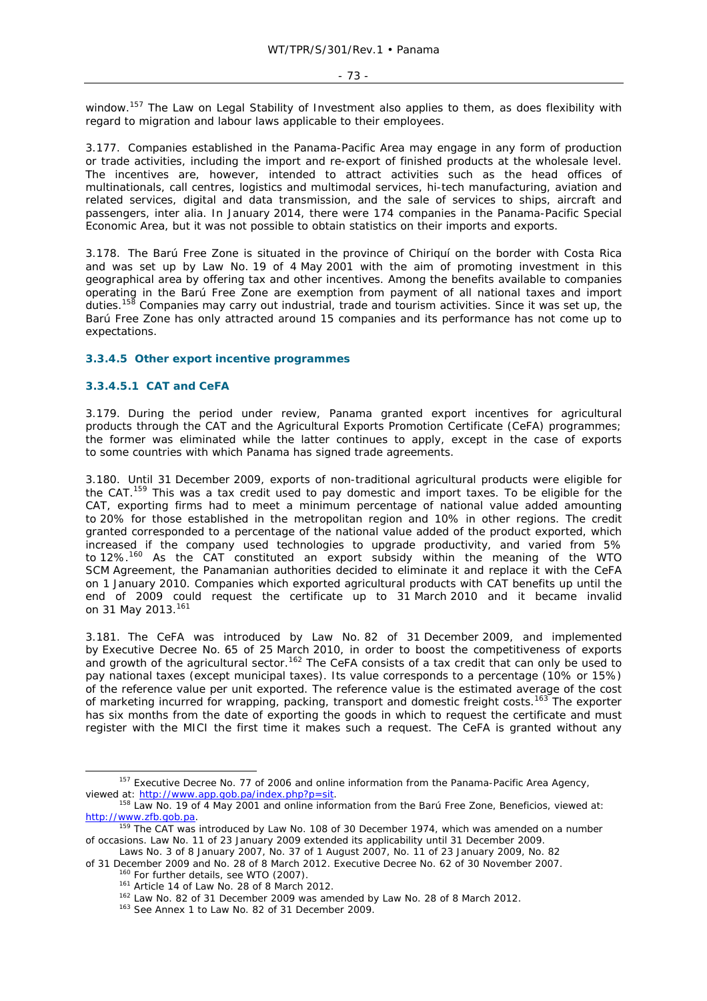window.<sup>157</sup> The Law on Legal Stability of Investment also applies to them, as does flexibility with regard to migration and labour laws applicable to their employees.

3.177. Companies established in the Panama-Pacific Area may engage in any form of production or trade activities, including the import and re-export of finished products at the wholesale level. The incentives are, however, intended to attract activities such as the head offices of multinationals, call centres, logistics and multimodal services, hi-tech manufacturing, aviation and related services, digital and data transmission, and the sale of services to ships, aircraft and passengers, *inter alia*. In January 2014, there were 174 companies in the Panama-Pacific Special Economic Area, but it was not possible to obtain statistics on their imports and exports.

3.178. The Barú Free Zone is situated in the province of Chiriquí on the border with Costa Rica and was set up by Law No. 19 of 4 May 2001 with the aim of promoting investment in this geographical area by offering tax and other incentives. Among the benefits available to companies operating in the Barú Free Zone are exemption from payment of all national taxes and import duties.<sup>158</sup> Companies may carry out industrial, trade and tourism activities. Since it was set up, the Barú Free Zone has only attracted around 15 companies and its performance has not come up to expectations.

# **3.3.4.5 Other export incentive programmes**

# **3.3.4.5.1 CAT and CeFA**

3.179. During the period under review, Panama granted export incentives for agricultural products through the CAT and the Agricultural Exports Promotion Certificate (CeFA) programmes; the former was eliminated while the latter continues to apply, except in the case of exports to some countries with which Panama has signed trade agreements.

3.180. Until 31 December 2009, exports of non-traditional agricultural products were eligible for the CAT.<sup>159</sup> This was a tax credit used to pay domestic and import taxes. To be eligible for the CAT, exporting firms had to meet a minimum percentage of national value added amounting to 20% for those established in the metropolitan region and 10% in other regions. The credit granted corresponded to a percentage of the national value added of the product exported, which increased if the company used technologies to upgrade productivity, and varied from 5% to 12%.<sup>160</sup> As the CAT constituted an export subsidy within the meaning of the WTO SCM Agreement, the Panamanian authorities decided to eliminate it and replace it with the CeFA on 1 January 2010. Companies which exported agricultural products with CAT benefits up until the end of 2009 could request the certificate up to 31 March 2010 and it became invalid on 31 May 2013.<sup>161</sup>

3.181. The CeFA was introduced by Law No. 82 of 31 December 2009, and implemented by Executive Decree No. 65 of 25 March 2010, in order to boost the competitiveness of exports and growth of the agricultural sector.<sup>162</sup> The CeFA consists of a tax credit that can only be used to pay national taxes (except municipal taxes). Its value corresponds to a percentage (10% or 15%) of the reference value per unit exported. The reference value is the estimated average of the cost of marketing incurred for wrapping, packing, transport and domestic freight costs.<sup>163</sup> The exporter has six months from the date of exporting the goods in which to request the certificate and must register with the MICI the first time it makes such a request. The CeFA is granted without any

<sup>&</sup>lt;sup>157</sup> Executive Decree No. 77 of 2006 and online information from the Panama-Pacific Area Agency, viewed at: http://www.app.gob.pa/index.php?p=sit.<br><sup>158</sup> Law No. 19 of 4 May 2001 and online information from the Barú Free Zone, *Beneficios*, viewed at:

http://www.zfb.gob.pa.<br><sup>159</sup> The CAT was introduced by Law No. 108 of 30 December 1974, which was amended on a number

of occasions. Law No. 11 of 23 January 2009 extended its applicability until 31 December 2009.

Laws No. 3 of 8 January 2007, No. 37 of 1 August 2007, No. 11 of 23 January 2009, No. 82 of 31 December 2009 and No. 28 of 8 March 2012. Executive Decree No. 62 of 30 November 2007.<br><sup>160</sup> For further details, see WTO (2007).<br><sup>161</sup> Article 14 of Law No. 28 of 8 March 2012.<br><sup>162</sup> Law No. 82 of 31 December 2009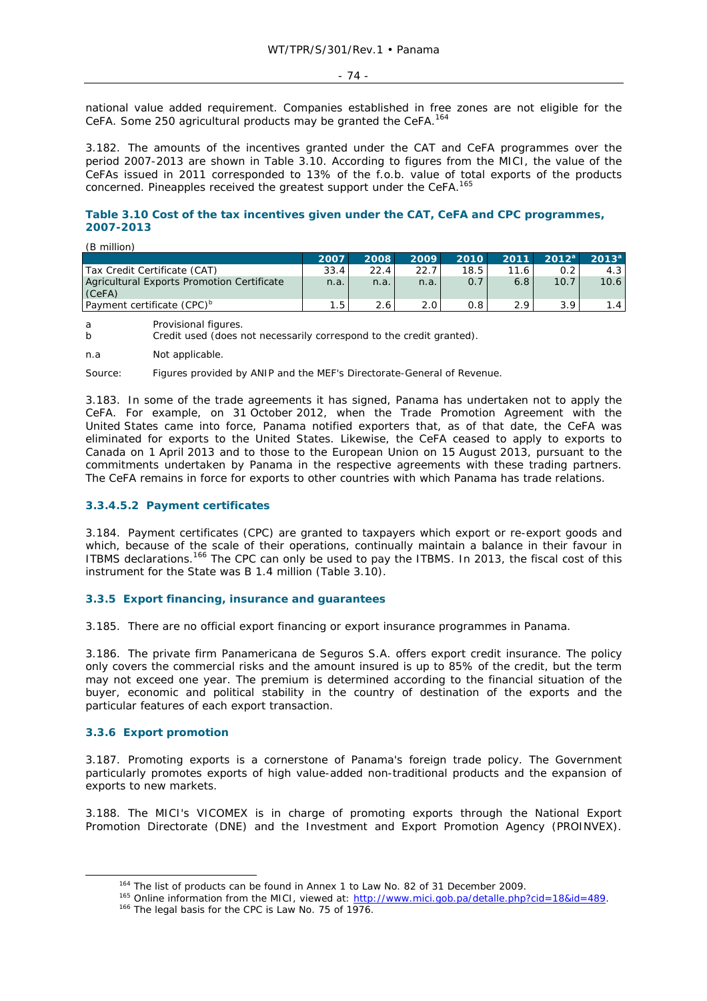$-74$  -

national value added requirement. Companies established in free zones are not eligible for the CeFA. Some 250 agricultural products may be granted the CeFA.164

3.182. The amounts of the incentives granted under the CAT and CeFA programmes over the period 2007-2013 are shown in Table 3.10. According to figures from the MICI, the value of the CeFAs issued in 2011 corresponded to 13% of the f.o.b. value of total exports of the products concerned. Pineapples received the greatest support under the CeFA.<sup>165</sup>

# **Table 3.10 Cost of the tax incentives given under the CAT, CeFA and CPC programmes, 2007-2013**

| (B million)                                |      |      |      |      |      |          |                   |
|--------------------------------------------|------|------|------|------|------|----------|-------------------|
|                                            | 2007 | 2008 | 2009 | 2010 | 2011 | $2012^a$ | 2013 <sup>a</sup> |
| Tax Credit Certificate (CAT)               | 33.4 | 22.4 | 22.7 | 18.5 | 11.6 |          | 4.3               |
| Agricultural Exports Promotion Certificate | n.a. | n.a. | n.a. | 0.7  | 6.8  | 10.7     | 10.6              |
| (CeFA)                                     |      |      |      |      |      |          |                   |
| Payment certificate (CPC) <sup>b</sup>     |      |      | 2.0  | 0.8  |      |          | 1.4               |

a Provisional figures.

n.a Not applicable.

Source: Figures provided by ANIP and the MEF's Directorate-General of Revenue.

3.183. In some of the trade agreements it has signed, Panama has undertaken not to apply the CeFA. For example, on 31 October 2012, when the Trade Promotion Agreement with the United States came into force, Panama notified exporters that, as of that date, the CeFA was eliminated for exports to the United States. Likewise, the CeFA ceased to apply to exports to Canada on 1 April 2013 and to those to the European Union on 15 August 2013, pursuant to the commitments undertaken by Panama in the respective agreements with these trading partners. The CeFA remains in force for exports to other countries with which Panama has trade relations.

# **3.3.4.5.2 Payment certificates**

3.184. Payment certificates (CPC) are granted to taxpayers which export or re-export goods and which, because of the scale of their operations, continually maintain a balance in their favour in ITBMS declarations.<sup>166</sup> The CPC can only be used to pay the ITBMS. In 2013, the fiscal cost of this instrument for the State was B 1.4 million (Table 3.10).

### **3.3.5 Export financing, insurance and guarantees**

3.185. There are no official export financing or export insurance programmes in Panama.

3.186. The private firm Panamericana de Seguros S.A. offers export credit insurance. The policy only covers the commercial risks and the amount insured is up to 85% of the credit, but the term may not exceed one year. The premium is determined according to the financial situation of the buyer, economic and political stability in the country of destination of the exports and the particular features of each export transaction.

### **3.3.6 Export promotion**

3.187. Promoting exports is a cornerstone of Panama's foreign trade policy. The Government particularly promotes exports of high value-added non-traditional products and the expansion of exports to new markets.

3.188. The MICI's VICOMEX is in charge of promoting exports through the National Export Promotion Directorate (DNE) and the Investment and Export Promotion Agency (PROINVEX).

b Credit used (does not necessarily correspond to the credit granted).

<sup>&</sup>lt;sup>164</sup> The list of products can be found in Annex 1 to Law No. 82 of 31 December 2009.<br><sup>165</sup> Online information from the MICI, viewed at:  $\frac{http://www.mici.gov.pa/detalle.php?cid=18&id=489}{166}$ .<br><sup>166</sup> The legal basis for the CPC is Law No. 75 o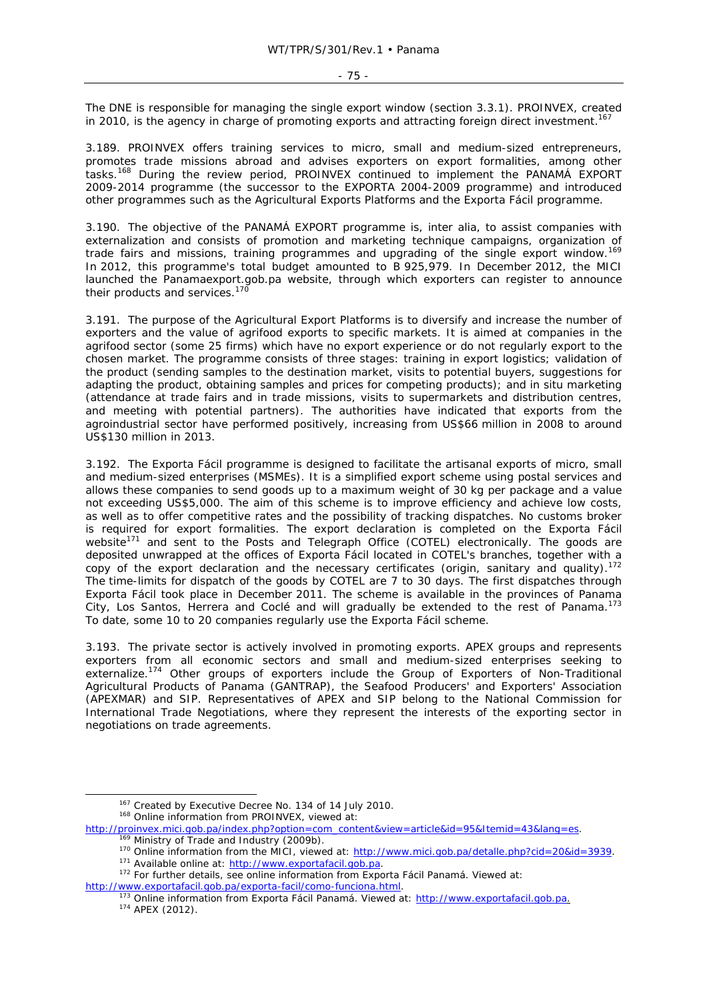The DNE is responsible for managing the single export window (section 3.3.1). PROINVEX, created in 2010, is the agency in charge of promoting exports and attracting foreign direct investment.<sup>167</sup>

3.189. PROINVEX offers training services to micro, small and medium-sized entrepreneurs, promotes trade missions abroad and advises exporters on export formalities, among other tasks.168 During the review period, PROINVEX continued to implement the PANAMÁ EXPORT 2009-2014 programme (the successor to the EXPORTA 2004-2009 programme) and introduced other programmes such as the Agricultural Exports Platforms and the Exporta Fácil programme.

3.190. The objective of the PANAMÁ EXPORT programme is, *inter alia*, to assist companies with externalization and consists of promotion and marketing technique campaigns, organization of trade fairs and missions, training programmes and upgrading of the single export window.169 In 2012, this programme's total budget amounted to B 925, 979. In December 2012, the MICI launched the Panamaexport.gob.pa website, through which exporters can register to announce their products and services.<sup>170</sup>

3.191. The purpose of the Agricultural Export Platforms is to diversify and increase the number of exporters and the value of agrifood exports to specific markets. It is aimed at companies in the agrifood sector (some 25 firms) which have no export experience or do not regularly export to the chosen market. The programme consists of three stages: training in export logistics; validation of the product (sending samples to the destination market, visits to potential buyers, suggestions for adapting the product, obtaining samples and prices for competing products); and *in situ* marketing (attendance at trade fairs and in trade missions, visits to supermarkets and distribution centres, and meeting with potential partners). The authorities have indicated that exports from the agroindustrial sector have performed positively, increasing from US\$66 million in 2008 to around US\$130 million in 2013.

3.192. The Exporta Fácil programme is designed to facilitate the artisanal exports of micro, small and medium-sized enterprises (MSMEs). It is a simplified export scheme using postal services and allows these companies to send goods up to a maximum weight of 30 kg per package and a value not exceeding US\$5,000. The aim of this scheme is to improve efficiency and achieve low costs, as well as to offer competitive rates and the possibility of tracking dispatches. No customs broker is required for export formalities. The export declaration is completed on the Exporta Fácil website $171$  and sent to the Posts and Telegraph Office (COTEL) electronically. The goods are deposited unwrapped at the offices of Exporta Fácil located in COTEL's branches, together with a copy of the export declaration and the necessary certificates (origin, sanitary and quality).<sup>172</sup> The time-limits for dispatch of the goods by COTEL are 7 to 30 days. The first dispatches through Exporta Fácil took place in December 2011. The scheme is available in the provinces of Panama City, Los Santos, Herrera and Coclé and will gradually be extended to the rest of Panama.173 To date, some 10 to 20 companies regularly use the Exporta Fácil scheme.

3.193. The private sector is actively involved in promoting exports. APEX groups and represents exporters from all economic sectors and small and medium-sized enterprises seeking to externalize.<sup>174</sup> Other groups of exporters include the Group of Exporters of Non-Traditional Agricultural Products of Panama (GANTRAP), the Seafood Producers' and Exporters' Association (APEXMAR) and SIP. Representatives of APEX and SIP belong to the National Commission for International Trade Negotiations, where they represent the interests of the exporting sector in negotiations on trade agreements.

- <sup>167</sup> Created by Executive Decree No. 134 of 14 July 2010.<br><sup>168</sup> Online information from PROINVEX, viewed at:
- http://proinvex.mici.gob.pa/index.php?option=com\_content&view=article&id=95&Itemid=43&lang=es.<br>
<sup>169</sup> Ministry of Trade and Industry (2009b).<br>
<sup>170</sup> Online information from the MICI, viewed at: <u>http://www.mici.gob.pa/deta</u>

http://www.exportafacil.gob.pa/exporta-facil/como-funciona.html.<br><sup>173</sup> Online information from Exporta Fácil Panamá. Viewed at: <u>http://www.exportafacil.gob.pa.</u><br><sup>174</sup> APEX (2012).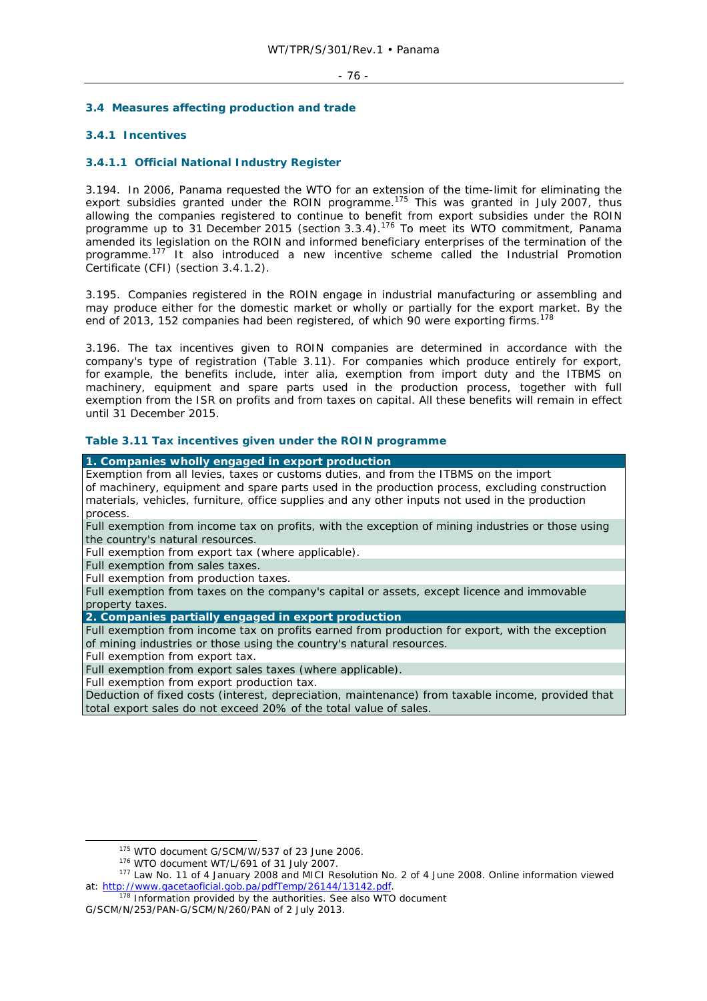### - 76 -

# **3.4 Measures affecting production and trade**

# **3.4.1 Incentives**

# **3.4.1.1 Official National Industry Register**

3.194. In 2006, Panama requested the WTO for an extension of the time-limit for eliminating the export subsidies granted under the ROIN programme.<sup>175</sup> This was granted in July 2007, thus allowing the companies registered to continue to benefit from export subsidies under the ROIN programme up to 31 December 2015 (section 3.3.4).176 To meet its WTO commitment, Panama amended its legislation on the ROIN and informed beneficiary enterprises of the termination of the programme.177 It also introduced a new incentive scheme called the Industrial Promotion Certificate (CFI) (section 3.4.1.2).

3.195. Companies registered in the ROIN engage in industrial manufacturing or assembling and may produce either for the domestic market or wholly or partially for the export market. By the end of 2013, 152 companies had been registered, of which 90 were exporting firms.<sup>178</sup>

3.196. The tax incentives given to ROIN companies are determined in accordance with the company's type of registration (Table 3.11). For companies which produce entirely for export, for example, the benefits include, *inter alia,* exemption from import duty and the ITBMS on machinery, equipment and spare parts used in the production process, together with full exemption from the ISR on profits and from taxes on capital. All these benefits will remain in effect until 31 December 2015.

# **Table 3.11 Tax incentives given under the ROIN programme**

**1. Companies wholly engaged in export production**  Exemption from all levies, taxes or customs duties, and from the ITBMS on the import of machinery, equipment and spare parts used in the production process, excluding construction materials, vehicles, furniture, office supplies and any other inputs not used in the production process.

Full exemption from income tax on profits, with the exception of mining industries or those using the country's natural resources.

Full exemption from export tax (where applicable).

Full exemption from sales taxes.

Full exemption from production taxes.

Full exemption from taxes on the company's capital or assets, except licence and immovable property taxes.

# **2. Companies partially engaged in export production**

Full exemption from income tax on profits earned from production for export, with the exception of mining industries or those using the country's natural resources.

Full exemption from export tax.

Full exemption from export sales taxes (where applicable).

Full exemption from export production tax.

Deduction of fixed costs (interest, depreciation, maintenance) from taxable income, provided that total export sales do not exceed 20% of the total value of sales.

<sup>&</sup>lt;sup>175</sup> WTO document G/SCM/W/537 of 23 June 2006.<br><sup>176</sup> WTO document WT/L/691 of 31 July 2007.<br><sup>177</sup> Law No. 11 of 4 January 2008 and MICI Resolution No. 2 of 4 June 2008. Online information viewed at: http://www.gacetaoficial.gob.pa/pdfTemp/26144/131222.pdf.<br>178 Information provided by the authorities. See also WTO document

G/SCM/N/253/PAN-G/SCM/N/260/PAN of 2 July 2013.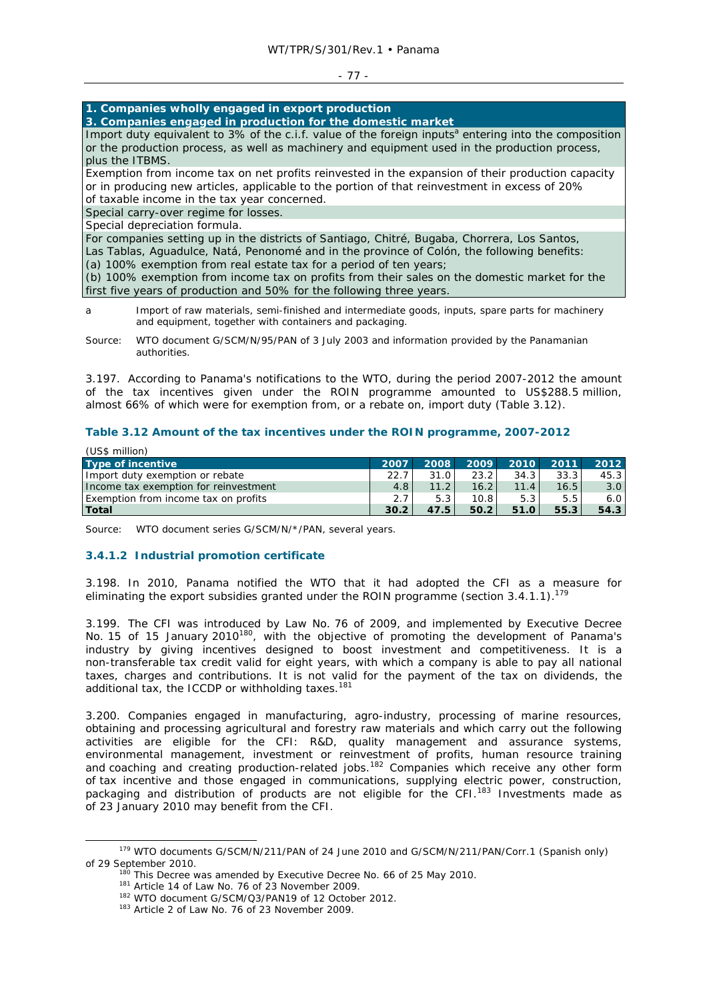### - 77 -

# **1. Companies wholly engaged in export production**

**3. Companies engaged in production for the domestic market** 

Import duty equivalent to 3% of the c.i.f. value of the foreign inputs<sup>a</sup> entering into the composition or the production process, as well as machinery and equipment used in the production process, plus the ITBMS.

Exemption from income tax on net profits reinvested in the expansion of their production capacity or in producing new articles, applicable to the portion of that reinvestment in excess of 20% of taxable income in the tax year concerned.

Special carry-over regime for losses.

Special depreciation formula.

For companies setting up in the districts of Santiago, Chitré, Bugaba, Chorrera, Los Santos,

Las Tablas, Aguadulce, Natá, Penonomé and in the province of Colón, the following benefits: (a) 100% exemption from real estate tax for a period of ten years;

(b) 100% exemption from income tax on profits from their sales on the domestic market for the first five years of production and 50% for the following three years.

a Import of raw materials, semi-finished and intermediate goods, inputs, spare parts for machinery and equipment, together with containers and packaging.

Source: WTO document G/SCM/N/95/PAN of 3 July 2003 and information provided by the Panamanian authorities.

3.197. According to Panama's notifications to the WTO, during the period 2007-2012 the amount of the tax incentives given under the ROIN programme amounted to US\$288.5 million, almost 66% of which were for exemption from, or a rebate on, import duty (Table 3.12).

## **Table 3.12 Amount of the tax incentives under the ROIN programme, 2007-2012**

| (US\$ million)                        |      |       |      |      |      |      |
|---------------------------------------|------|-------|------|------|------|------|
| Type of incentive                     | 2007 | 2008  | 2009 | 2010 | 2011 | 2012 |
| Import duty exemption or rebate       | 22.7 | 31.0  | 23.2 | 34.3 | 33.3 | 45.3 |
| Income tax exemption for reinvestment | 4.8  | 11.2  | 16.2 | 11.4 | 16.5 | 3.0  |
| Exemption from income tax on profits  | 2.7  | 5.3   | 10.8 | 5.3  | 5.5  | 6.0  |
| <b>Total</b>                          | 30.2 | 47.5' | 50.2 | 51.0 | 55.3 | 54.3 |

Source: WTO document series G/SCM/N/\*/PAN, several years.

# **3.4.1.2 Industrial promotion certificate**

3.198. In 2010, Panama notified the WTO that it had adopted the CFI as a measure for eliminating the export subsidies granted under the ROIN programme (section 3.4.1.1).<sup>174</sup>

3.199. The CFI was introduced by Law No. 76 of 2009, and implemented by Executive Decree No. 15 of 15 January 2010<sup>180</sup>, with the objective of promoting the development of Panama's industry by giving incentives designed to boost investment and competitiveness. It is a non-transferable tax credit valid for eight years, with which a company is able to pay all national taxes, charges and contributions. It is not valid for the payment of the tax on dividends, the additional tax, the ICCDP or withholding taxes.<sup>181</sup>

3.200. Companies engaged in manufacturing, agro-industry, processing of marine resources, obtaining and processing agricultural and forestry raw materials and which carry out the following activities are eligible for the CFI: R&D, quality management and assurance systems, environmental management, investment or reinvestment of profits, human resource training and coaching and creating production-related jobs.182 Companies which receive any other form of tax incentive and those engaged in communications, supplying electric power, construction, packaging and distribution of products are not eligible for the CFI.<sup>183</sup> Investments made as of 23 January 2010 may benefit from the CFI.

 <sup>179</sup> WTO documents G/SCM/N/211/PAN of 24 June 2010 and G/SCM/N/211/PAN/Corr.1 (Spanish only) % of 29 September 2010.<br>  $^{180}$  This Decree was amended by Executive Decree No. 66 of 25 May 2010.<br>  $^{181}$  Article 14 of Law No. 76 of 23 November 2009.<br>  $^{182}$  WTO document G/SCM/Q3/PAN19 of 12 October 2012.<br>  $^{182}$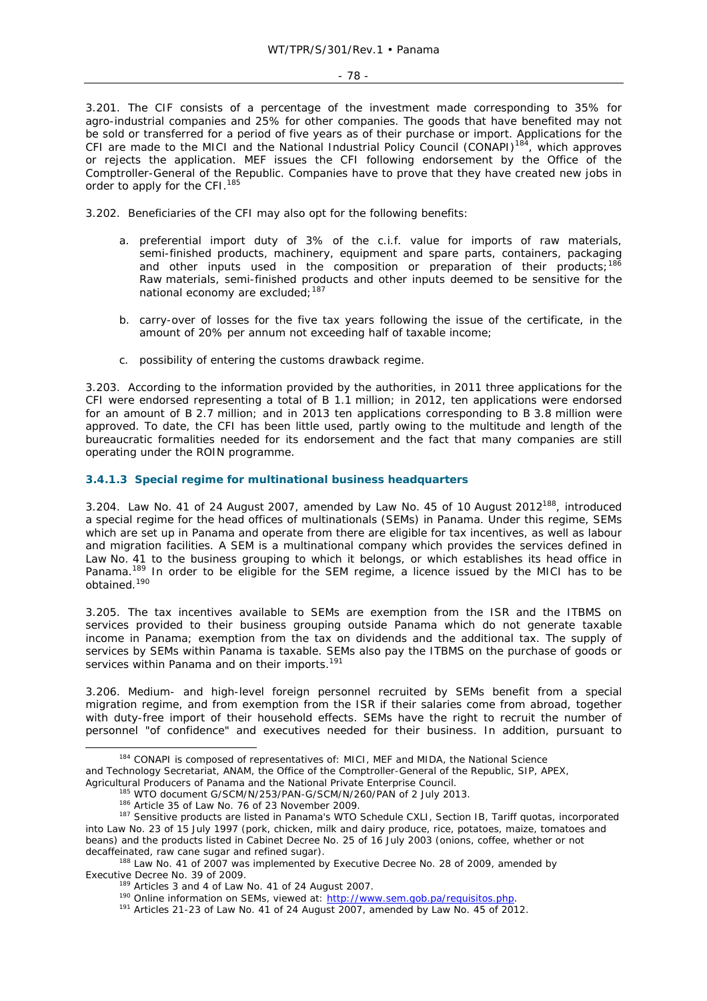3.201. The CIF consists of a percentage of the investment made corresponding to 35% for agro-industrial companies and 25% for other companies. The goods that have benefited may not be sold or transferred for a period of five years as of their purchase or import. Applications for the CFI are made to the MICI and the National Industrial Policy Council (CONAPI)<sup>184</sup>, which approves or rejects the application. MEF issues the CFI following endorsement by the Office of the Comptroller-General of the Republic. Companies have to prove that they have created new jobs in order to apply for the CFI.<sup>185</sup>

3.202. Beneficiaries of the CFI may also opt for the following benefits:

- a. preferential import duty of 3% of the c.i.f. value for imports of raw materials, semi-finished products, machinery, equipment and spare parts, containers, packaging and other inputs used in the composition or preparation of their products;<sup>186</sup> Raw materials, semi-finished products and other inputs deemed to be sensitive for the national economy are excluded; 187
- b. carry-over of losses for the five tax years following the issue of the certificate, in the amount of 20% per annum not exceeding half of taxable income;
- c. possibility of entering the customs drawback regime.

3.203. According to the information provided by the authorities, in 2011 three applications for the CFI were endorsed representing a total of B 1.1 million; in 2012, ten applications were endorsed for an amount of B 2.7 million; and in 2013 ten applications corresponding to B 3.8 million were approved. To date, the CFI has been little used, partly owing to the multitude and length of the bureaucratic formalities needed for its endorsement and the fact that many companies are still operating under the ROIN programme.

## **3.4.1.3 Special regime for multinational business headquarters**

3.204. Law No. 41 of 24 August 2007, amended by Law No. 45 of 10 August 2012<sup>188</sup>, introduced a special regime for the head offices of multinationals (SEMs) in Panama. Under this regime, SEMs which are set up in Panama and operate from there are eligible for tax incentives, as well as labour and migration facilities. A SEM is a multinational company which provides the services defined in Law No. 41 to the business grouping to which it belongs, or which establishes its head office in Panama.<sup>189</sup> In order to be eligible for the SEM regime, a licence issued by the MICI has to be obtained.<sup>190</sup>

3.205. The tax incentives available to SEMs are exemption from the ISR and the ITBMS on services provided to their business grouping outside Panama which do not generate taxable income in Panama; exemption from the tax on dividends and the additional tax. The supply of services by SEMs within Panama is taxable. SEMs also pay the ITBMS on the purchase of goods or services within Panama and on their imports.<sup>191</sup>

3.206. Medium- and high-level foreign personnel recruited by SEMs benefit from a special migration regime, and from exemption from the ISR if their salaries come from abroad, together with duty-free import of their household effects. SEMs have the right to recruit the number of personnel "of confidence" and executives needed for their business. In addition, pursuant to

and Technology Secretariat, ANAM, the Office of the Comptroller-General of the Republic, SIP, APEX,

<sup>184</sup> CONAPI is composed of representatives of: MICI, MEF and MIDA, the National Science

Agricultural Producers of Panama and the National Private Enterprise Council.<br>
<sup>185</sup> WTO document G/SCM/N/253/PAN-G/SCM/N/260/PAN of 2 July 2013.<br>
<sup>186</sup> Article 35 of Law No. 76 of 23 November 2009.<br>
<sup>187</sup> Sensitive produc into Law No. 23 of 15 July 1997 (pork, chicken, milk and dairy produce, rice, potatoes, maize, tomatoes and beans) and the products listed in Cabinet Decree No. 25 of 16 July 2003 (onions, coffee, whether or not decaffeinated, raw cane sugar and refined sugar).<br><sup>188</sup> Law No. 41 of 2007 was implemented by Executive Decree No. 28 of 2009, amended by

Executive Decree No. 39 of 2009.<br><sup>189</sup> Articles 3 and 4 of Law No. 41 of 24 August 2007.<br><sup>190</sup> Online information on SEMs, viewed at: http://www.sem.gob.pa/requisitos.php.<br><sup>191</sup> Articles 21-23 of Law No. 41 of 24 August 20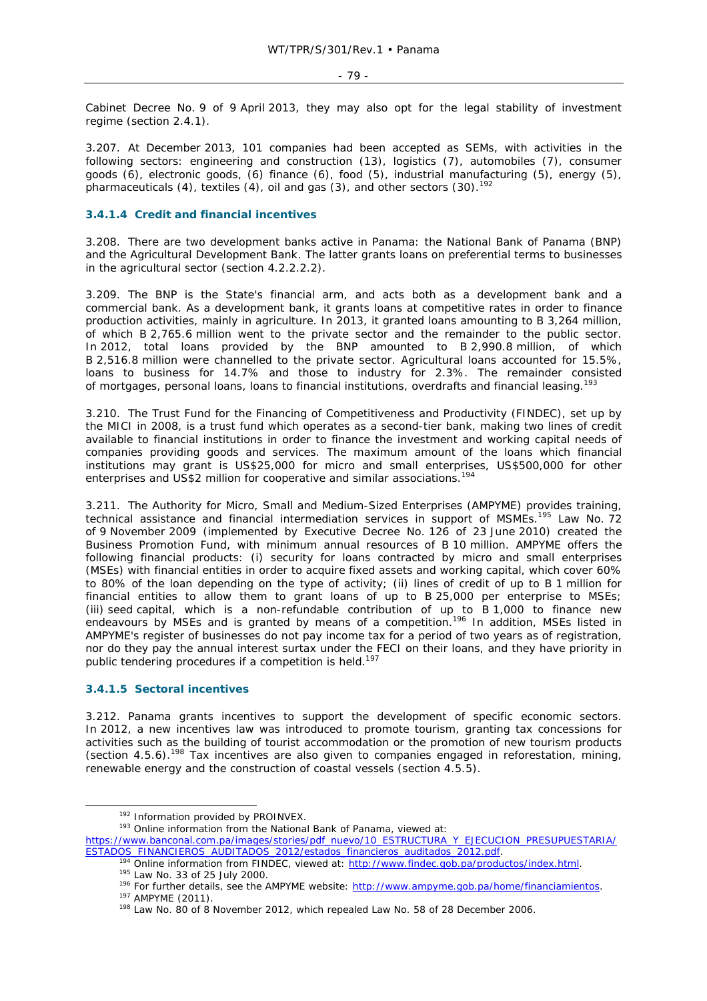Cabinet Decree No. 9 of 9 April 2013, they may also opt for the legal stability of investment regime (section 2.4.1).

3.207. At December 2013, 101 companies had been accepted as SEMs, with activities in the following sectors: engineering and construction (13), logistics (7), automobiles (7), consumer goods (6), electronic goods, (6) finance (6), food (5), industrial manufacturing (5), energy (5), pharmaceuticals (4), textiles (4), oil and gas (3), and other sectors (30).<sup>192</sup>

# **3.4.1.4 Credit and financial incentives**

3.208. There are two development banks active in Panama: the National Bank of Panama (BNP) and the Agricultural Development Bank. The latter grants loans on preferential terms to businesses in the agricultural sector (section 4.2.2.2.2).

3.209. The BNP is the State's financial arm, and acts both as a development bank and a commercial bank. As a development bank, it grants loans at competitive rates in order to finance production activities, mainly in agriculture. In 2013, it granted loans amounting to B 3,264 million, of which B 2,765.6 million went to the private sector and the remainder to the public sector. In 2012, total loans provided by the BNP amounted to B 2,990.8 million, of which B 2,516.8 million were channelled to the private sector. Agricultural loans accounted for 15.5%, loans to business for 14.7% and those to industry for 2.3%. The remainder consisted of mortgages, personal loans, loans to financial institutions, overdrafts and financial leasing.<sup>193</sup>

3.210. The Trust Fund for the Financing of Competitiveness and Productivity (FINDEC), set up by the MICI in 2008, is a trust fund which operates as a second-tier bank, making two lines of credit available to financial institutions in order to finance the investment and working capital needs of companies providing goods and services. The maximum amount of the loans which financial institutions may grant is US\$25,000 for micro and small enterprises, US\$500,000 for other enterprises and US\$2 million for cooperative and similar associations.<sup>194</sup>

3.211. The Authority for Micro, Small and Medium-Sized Enterprises (AMPYME) provides training, technical assistance and financial intermediation services in support of MSMEs.195 Law No. 72 of 9 November 2009 (implemented by Executive Decree No. 126 of 23 June 2010) created the Business Promotion Fund, with minimum annual resources of B 10 million. AMPYME offers the following financial products: (i) security for loans contracted by micro and small enterprises (MSEs) with financial entities in order to acquire fixed assets and working capital, which cover 60% to 80% of the loan depending on the type of activity; (ii) lines of credit of up to B 1 million for financial entities to allow them to grant loans of up to B 25,000 per enterprise to MSEs; (iii) seed capital, which is a non-refundable contribution of up to B 1,000 to finance new endeavours by MSEs and is granted by means of a competition.<sup>196</sup> In addition, MSEs listed in AMPYME's register of businesses do not pay income tax for a period of two years as of registration, nor do they pay the annual interest surtax under the FECI on their loans, and they have priority in public tendering procedures if a competition is held.<sup>197</sup>

# **3.4.1.5 Sectoral incentives**

3.212. Panama grants incentives to support the development of specific economic sectors. In 2012, a new incentives law was introduced to promote tourism, granting tax concessions for activities such as the building of tourist accommodation or the promotion of new tourism products (section 4.5.6).198 Tax incentives are also given to companies engaged in reforestation, mining, renewable energy and the construction of coastal vessels (section 4.5.5).

 $192$  Information provided by PROINVEX.<br> $193$  Online information from the National Bank of Panama, viewed at:

<sup>194</sup> Online information from FINDEC, viewed at: http://www.findec.gob.pa/productos/index.html.<br><sup>195</sup> Law No. 33 of 25 July 2000.<br><sup>196</sup> For further details, see the AMPYME website: http://www.ampyme.gob.pa/home/financiamie

https://www.banconal.com.pa/images/stories/pdf\_nuevo/10\_ESTRUCTURA\_Y\_EJECUCION\_PRESUPUESTARIA/<br>ESTADOS\_FINANCIEROS\_AUDITADOS\_2012/estados\_financieros\_auditados\_2012.pdf.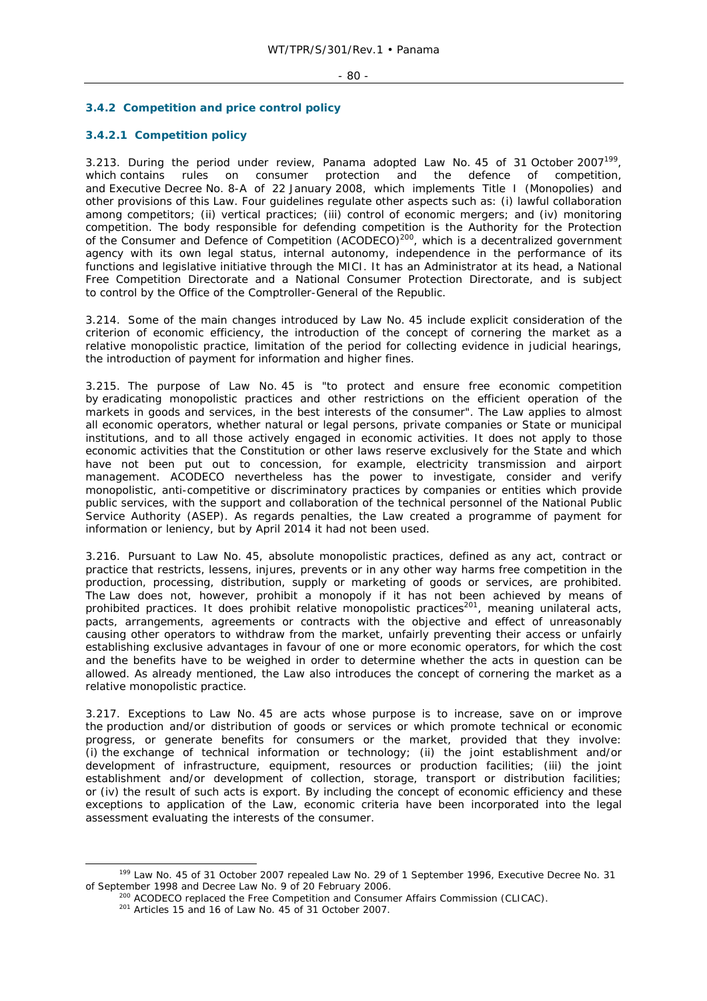### $- 80 -$

# **3.4.2 Competition and price control policy**

# **3.4.2.1 Competition policy**

3.213. During the period under review, Panama adopted Law No. 45 of 31 October 2007<sup>199</sup>, which contains rules on consumer protection and the defence of competition, and Executive Decree No. 8-A of 22 January 2008, which implements Title I (Monopolies) and other provisions of this Law. Four guidelines regulate other aspects such as: (i) lawful collaboration among competitors; (ii) vertical practices; (iii) control of economic mergers; and (iv) monitoring competition. The body responsible for defending competition is the Authority for the Protection of the Consumer and Defence of Competition (ACODECO)<sup>200</sup>, which is a decentralized government agency with its own legal status, internal autonomy, independence in the performance of its functions and legislative initiative through the MICI. It has an Administrator at its head, a National Free Competition Directorate and a National Consumer Protection Directorate, and is subject to control by the Office of the Comptroller-General of the Republic.

3.214. Some of the main changes introduced by Law No. 45 include explicit consideration of the criterion of economic efficiency, the introduction of the concept of cornering the market as a relative monopolistic practice, limitation of the period for collecting evidence in judicial hearings, the introduction of payment for information and higher fines.

3.215. The purpose of Law No. 45 is "to protect and ensure free economic competition by eradicating monopolistic practices and other restrictions on the efficient operation of the markets in goods and services, in the best interests of the consumer". The Law applies to almost all economic operators, whether natural or legal persons, private companies or State or municipal institutions, and to all those actively engaged in economic activities. It does not apply to those economic activities that the Constitution or other laws reserve exclusively for the State and which have not been put out to concession, for example, electricity transmission and airport management. ACODECO nevertheless has the power to investigate, consider and verify monopolistic, anti-competitive or discriminatory practices by companies or entities which provide public services, with the support and collaboration of the technical personnel of the National Public Service Authority (ASEP). As regards penalties, the Law created a programme of payment for information or leniency, but by April 2014 it had not been used.

3.216. Pursuant to Law No. 45, absolute monopolistic practices, defined as any act, contract or practice that restricts, lessens, injures, prevents or in any other way harms free competition in the production, processing, distribution, supply or marketing of goods or services, are prohibited. The Law does not, however, prohibit a monopoly if it has not been achieved by means of prohibited practices. It does prohibit relative monopolistic practices<sup>201</sup>, meaning unilateral acts, pacts, arrangements, agreements or contracts with the objective and effect of unreasonably causing other operators to withdraw from the market, unfairly preventing their access or unfairly establishing exclusive advantages in favour of one or more economic operators, for which the cost and the benefits have to be weighed in order to determine whether the acts in question can be allowed. As already mentioned, the Law also introduces the concept of cornering the market as a relative monopolistic practice.

3.217. Exceptions to Law No. 45 are acts whose purpose is to increase, save on or improve the production and/or distribution of goods or services or which promote technical or economic progress, or generate benefits for consumers or the market, provided that they involve: (i) the exchange of technical information or technology; (ii) the joint establishment and/or development of infrastructure, equipment, resources or production facilities; (iii) the joint establishment and/or development of collection, storage, transport or distribution facilities; or (iv) the result of such acts is export. By including the concept of economic efficiency and these exceptions to application of the Law, economic criteria have been incorporated into the legal assessment evaluating the interests of the consumer.

 <sup>199</sup> Law No. 45 of 31 October 2007 repealed Law No. 29 of 1 September 1996, Executive Decree No. 31 of September 1998 and Decree Law No. 9 of 20 February 2006.<br><sup>200</sup> ACODECO replaced the Free Competition and Consumer Affairs Commission (CLICAC).<br><sup>201</sup> Articles 15 and 16 of Law No. 45 of 31 October 2007.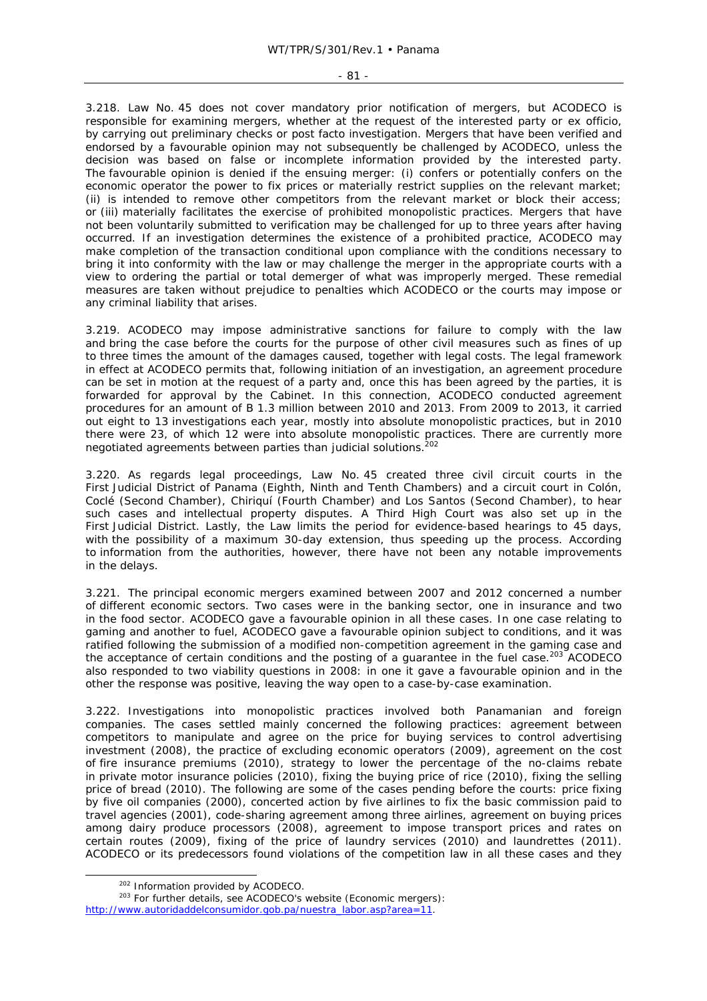#### - 81 -

3.218. Law No. 45 does not cover mandatory prior notification of mergers, but ACODECO is responsible for examining mergers, whether at the request of the interested party or ex officio, by carrying out preliminary checks or post facto investigation. Mergers that have been verified and endorsed by a favourable opinion may not subsequently be challenged by ACODECO, unless the decision was based on false or incomplete information provided by the interested party. The favourable opinion is denied if the ensuing merger: (i) confers or potentially confers on the economic operator the power to fix prices or materially restrict supplies on the relevant market; (ii) is intended to remove other competitors from the relevant market or block their access; or (iii) materially facilitates the exercise of prohibited monopolistic practices. Mergers that have not been voluntarily submitted to verification may be challenged for up to three years after having occurred. If an investigation determines the existence of a prohibited practice, ACODECO may make completion of the transaction conditional upon compliance with the conditions necessary to bring it into conformity with the law or may challenge the merger in the appropriate courts with a view to ordering the partial or total demerger of what was improperly merged. These remedial measures are taken without prejudice to penalties which ACODECO or the courts may impose or any criminal liability that arises.

3.219. ACODECO may impose administrative sanctions for failure to comply with the law and bring the case before the courts for the purpose of other civil measures such as fines of up to three times the amount of the damages caused, together with legal costs. The legal framework in effect at ACODECO permits that, following initiation of an investigation, an agreement procedure can be set in motion at the request of a party and, once this has been agreed by the parties, it is forwarded for approval by the Cabinet. In this connection, ACODECO conducted agreement procedures for an amount of B 1.3 million between 2010 and 2013. From 2009 to 2013, it carried out eight to 13 investigations each year, mostly into absolute monopolistic practices, but in 2010 there were 23, of which 12 were into absolute monopolistic practices. There are currently more negotiated agreements between parties than judicial solutions.<sup>202</sup>

3.220. As regards legal proceedings, Law No. 45 created three civil circuit courts in the First Judicial District of Panama (Eighth, Ninth and Tenth Chambers) and a circuit court in Colón, Coclé (Second Chamber), Chiriquí (Fourth Chamber) and Los Santos (Second Chamber), to hear such cases and intellectual property disputes. A Third High Court was also set up in the First Judicial District. Lastly, the Law limits the period for evidence-based hearings to 45 days, with the possibility of a maximum 30-day extension, thus speeding up the process. According to information from the authorities, however, there have not been any notable improvements in the delays.

3.221. The principal economic mergers examined between 2007 and 2012 concerned a number of different economic sectors. Two cases were in the banking sector, one in insurance and two in the food sector. ACODECO gave a favourable opinion in all these cases. In one case relating to gaming and another to fuel, ACODECO gave a favourable opinion subject to conditions, and it was ratified following the submission of a modified non-competition agreement in the gaming case and the acceptance of certain conditions and the posting of a guarantee in the fuel case.<sup>203</sup> ACODECO also responded to two viability questions in 2008: in one it gave a favourable opinion and in the other the response was positive, leaving the way open to a case-by-case examination.

3.222. Investigations into monopolistic practices involved both Panamanian and foreign companies. The cases settled mainly concerned the following practices: agreement between competitors to manipulate and agree on the price for buying services to control advertising investment (2008), the practice of excluding economic operators (2009), agreement on the cost of fire insurance premiums (2010), strategy to lower the percentage of the no-claims rebate in private motor insurance policies (2010), fixing the buying price of rice (2010), fixing the selling price of bread (2010). The following are some of the cases pending before the courts: price fixing by five oil companies (2000), concerted action by five airlines to fix the basic commission paid to travel agencies (2001), code-sharing agreement among three airlines, agreement on buying prices among dairy produce processors (2008), agreement to impose transport prices and rates on certain routes (2009), fixing of the price of laundry services (2010) and laundrettes (2011). ACODECO or its predecessors found violations of the competition law in all these cases and they

 $202$  Information provided by ACODECO.<br> $203$  For further details, see ACODECO's website (Economic mergers): http://www.autoridaddelconsumidor.gob.pa/nuestra\_labor.asp?area=11.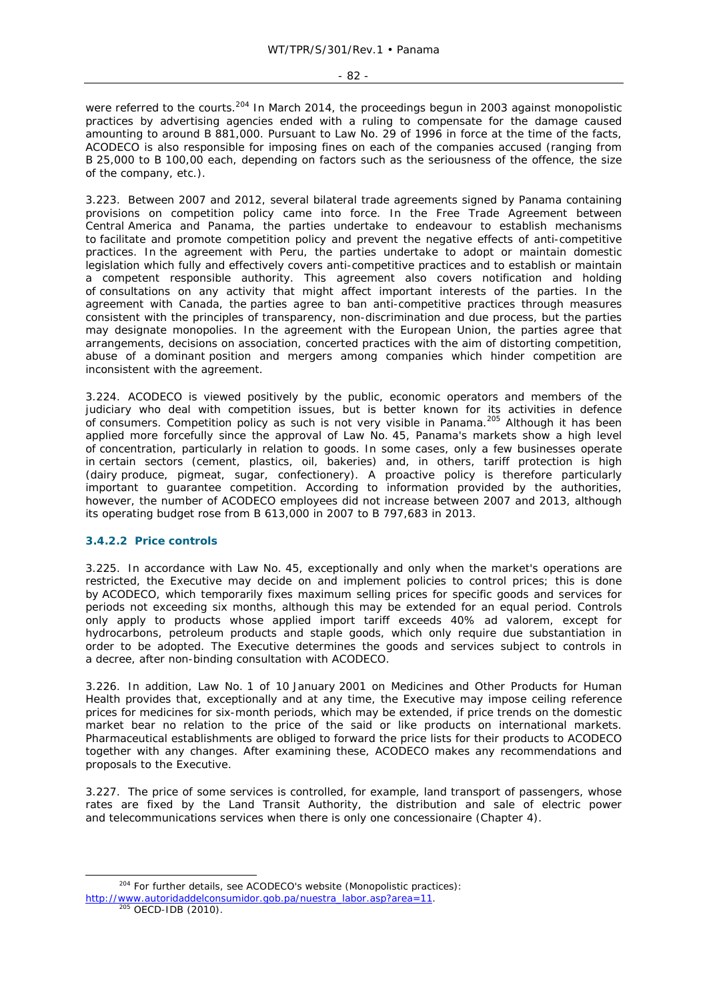were referred to the courts.<sup>204</sup> In March 2014, the proceedings begun in 2003 against monopolistic practices by advertising agencies ended with a ruling to compensate for the damage caused amounting to around B 881,000. Pursuant to Law No. 29 of 1996 in force at the time of the facts, ACODECO is also responsible for imposing fines on each of the companies accused (ranging from B 25,000 to B 100,00 each, depending on factors such as the seriousness of the offence, the size of the company, etc.).

3.223. Between 2007 and 2012, several bilateral trade agreements signed by Panama containing provisions on competition policy came into force. In the Free Trade Agreement between Central America and Panama, the parties undertake to endeavour to establish mechanisms to facilitate and promote competition policy and prevent the negative effects of anti-competitive practices. In the agreement with Peru, the parties undertake to adopt or maintain domestic legislation which fully and effectively covers anti-competitive practices and to establish or maintain a competent responsible authority. This agreement also covers notification and holding of consultations on any activity that might affect important interests of the parties. In the agreement with Canada, the parties agree to ban anti-competitive practices through measures consistent with the principles of transparency, non-discrimination and due process, but the parties may designate monopolies. In the agreement with the European Union, the parties agree that arrangements, decisions on association, concerted practices with the aim of distorting competition, abuse of a dominant position and mergers among companies which hinder competition are inconsistent with the agreement.

3.224. ACODECO is viewed positively by the public, economic operators and members of the judiciary who deal with competition issues, but is better known for its activities in defence of consumers. Competition policy as such is not very visible in Panama.205 Although it has been applied more forcefully since the approval of Law No. 45, Panama's markets show a high level of concentration, particularly in relation to goods. In some cases, only a few businesses operate in certain sectors (cement, plastics, oil, bakeries) and, in others, tariff protection is high (dairy produce, pigmeat, sugar, confectionery). A proactive policy is therefore particularly important to guarantee competition. According to information provided by the authorities, however, the number of ACODECO employees did not increase between 2007 and 2013, although its operating budget rose from B 613,000 in 2007 to B 797,683 in 2013.

# **3.4.2.2 Price controls**

3.225. In accordance with Law No. 45, exceptionally and only when the market's operations are restricted, the Executive may decide on and implement policies to control prices; this is done by ACODECO, which temporarily fixes maximum selling prices for specific goods and services for periods not exceeding six months, although this may be extended for an equal period. Controls only apply to products whose applied import tariff exceeds 40% *ad valorem*, except for hydrocarbons, petroleum products and staple goods, which only require due substantiation in order to be adopted. The Executive determines the goods and services subject to controls in a decree, after non-binding consultation with ACODECO.

3.226. In addition, Law No. 1 of 10 January 2001 on Medicines and Other Products for Human Health provides that, exceptionally and at any time, the Executive may impose ceiling reference prices for medicines for six-month periods, which may be extended, if price trends on the domestic market bear no relation to the price of the said or like products on international markets. Pharmaceutical establishments are obliged to forward the price lists for their products to ACODECO together with any changes. After examining these, ACODECO makes any recommendations and proposals to the Executive.

3.227. The price of some services is controlled, for example, land transport of passengers, whose rates are fixed by the Land Transit Authority, the distribution and sale of electric power and telecommunications services when there is only one concessionaire (Chapter 4).

<sup>&</sup>lt;sup>204</sup> For further details, see ACODECO's website (Monopolistic practices): http://www.autoridaddelconsumidor.gob.pa/nuestra\_labor.asp?area=11.<br><sup>205</sup> OECD-IDB (2010).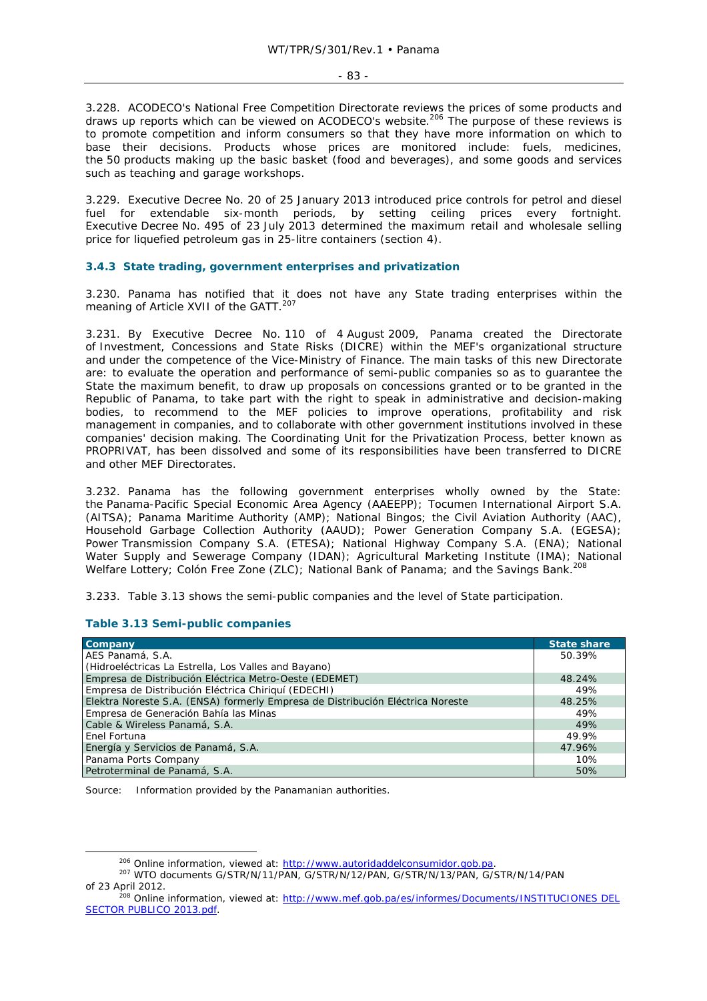3.228. ACODECO's National Free Competition Directorate reviews the prices of some products and draws up reports which can be viewed on ACODECO's website.<sup>206</sup> The purpose of these reviews is to promote competition and inform consumers so that they have more information on which to base their decisions. Products whose prices are monitored include: fuels, medicines, the 50 products making up the basic basket (food and beverages), and some goods and services such as teaching and garage workshops.

3.229. Executive Decree No. 20 of 25 January 2013 introduced price controls for petrol and diesel fuel for extendable six-month periods, by setting ceiling prices every fortnight. Executive Decree No. 495 of 23 July 2013 determined the maximum retail and wholesale selling price for liquefied petroleum gas in 25-litre containers (section 4).

### **3.4.3 State trading, government enterprises and privatization**

3.230. Panama has notified that it does not have any State trading enterprises within the meaning of Article XVII of the GATT.<sup>207</sup>

3.231. By Executive Decree No. 110 of 4 August 2009, Panama created the Directorate of Investment, Concessions and State Risks (DICRE) within the MEF's organizational structure and under the competence of the Vice-Ministry of Finance. The main tasks of this new Directorate are: to evaluate the operation and performance of semi-public companies so as to guarantee the State the maximum benefit, to draw up proposals on concessions granted or to be granted in the Republic of Panama, to take part with the right to speak in administrative and decision-making bodies, to recommend to the MEF policies to improve operations, profitability and risk management in companies, and to collaborate with other government institutions involved in these companies' decision making. The Coordinating Unit for the Privatization Process, better known as PROPRIVAT, has been dissolved and some of its responsibilities have been transferred to DICRE and other MEF Directorates.

3.232. Panama has the following government enterprises wholly owned by the State: the Panama-Pacific Special Economic Area Agency (AAEEPP); Tocumen International Airport S.A. (AITSA); Panama Maritime Authority (AMP); National Bingos; the Civil Aviation Authority (AAC), Household Garbage Collection Authority (AAUD); Power Generation Company S.A. (EGESA); Power Transmission Company S.A. (ETESA); National Highway Company S.A. (ENA); National Water Supply and Sewerage Company (IDAN); Agricultural Marketing Institute (IMA); National Welfare Lottery; Colón Free Zone (ZLC); National Bank of Panama; and the Savings Bank.<sup>208</sup>

3.233. Table 3.13 shows the semi-public companies and the level of State participation.

# **Table 3.13 Semi-public companies**

| <b>Company</b>                                                                 | <b>State share</b> |
|--------------------------------------------------------------------------------|--------------------|
| AES Panamá, S.A.                                                               | 50.39%             |
| (Hidroeléctricas La Estrella, Los Valles and Bayano)                           |                    |
| Empresa de Distribución Eléctrica Metro-Oeste (EDEMET)                         | 48.24%             |
| Empresa de Distribución Eléctrica Chiriquí (EDECHI)                            | 49%                |
| Elektra Noreste S.A. (ENSA) formerly Empresa de Distribución Eléctrica Noreste | 48.25%             |
| Empresa de Generación Bahía las Minas                                          | 49%                |
| Cable & Wireless Panamá, S.A.                                                  | 49%                |
| Enel Fortuna                                                                   | 49.9%              |
| Energía y Servicios de Panamá, S.A.                                            | 47.96%             |
| Panama Ports Company                                                           | 10%                |
| Petroterminal de Panamá, S.A.                                                  | 50%                |

Source: Information provided by the Panamanian authorities.

<sup>&</sup>lt;sup>206</sup> Online information, viewed at: http://www.autoridaddelconsumidor.gob.pa.<br><sup>207</sup> WTO documents G/STR/N/11/PAN, G/STR/N/12/PAN, G/STR/N/13/PAN, G/STR/N/14/PAN of 23 April 2012.<br><sup>208</sup> Online information, viewed at: http://www.mef.gob.pa/es/informes/Documents/INSTITUCIONES DEL

SECTOR PUBLICO 2013.pdf.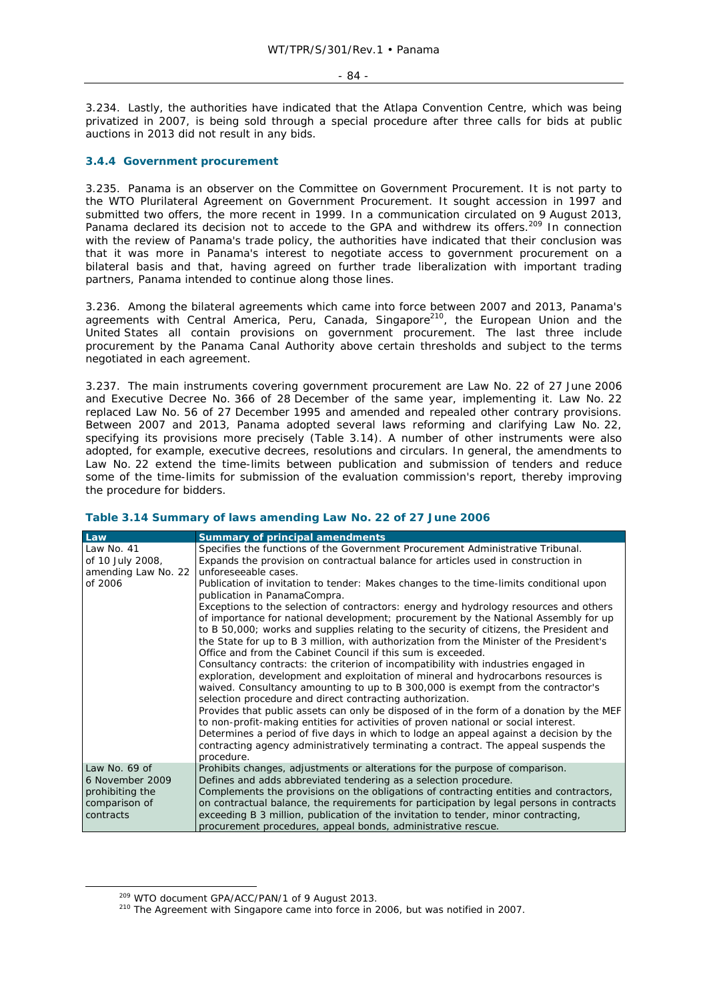#### - 84 -

3.234. Lastly, the authorities have indicated that the Atlapa Convention Centre, which was being privatized in 2007, is being sold through a special procedure after three calls for bids at public auctions in 2013 did not result in any bids.

## **3.4.4 Government procurement**

3.235. Panama is an observer on the Committee on Government Procurement. It is not party to the WTO Plurilateral Agreement on Government Procurement. It sought accession in 1997 and submitted two offers, the more recent in 1999. In a communication circulated on 9 August 2013, Panama declared its decision not to accede to the GPA and withdrew its offers.<sup>209</sup> In connection with the review of Panama's trade policy, the authorities have indicated that their conclusion was that it was more in Panama's interest to negotiate access to government procurement on a bilateral basis and that, having agreed on further trade liberalization with important trading partners, Panama intended to continue along those lines.

3.236. Among the bilateral agreements which came into force between 2007 and 2013, Panama's agreements with Central America, Peru, Canada, Singapore<sup>210</sup>, the European Union and the United States all contain provisions on government procurement. The last three include procurement by the Panama Canal Authority above certain thresholds and subject to the terms negotiated in each agreement.

3.237. The main instruments covering government procurement are Law No. 22 of 27 June 2006 and Executive Decree No. 366 of 28 December of the same year, implementing it. Law No. 22 replaced Law No. 56 of 27 December 1995 and amended and repealed other contrary provisions. Between 2007 and 2013, Panama adopted several laws reforming and clarifying Law No. 22, specifying its provisions more precisely (Table 3.14). A number of other instruments were also adopted, for example, executive decrees, resolutions and circulars. In general, the amendments to Law No. 22 extend the time-limits between publication and submission of tenders and reduce some of the time-limits for submission of the evaluation commission's report, thereby improving the procedure for bidders.

## **Table 3.14 Summary of laws amending Law No. 22 of 27 June 2006**

| Law                 | <b>Summary of principal amendments</b>                                                                                                                                          |
|---------------------|---------------------------------------------------------------------------------------------------------------------------------------------------------------------------------|
| Law No. 41          | Specifies the functions of the Government Procurement Administrative Tribunal.                                                                                                  |
| of 10 July 2008,    | Expands the provision on contractual balance for articles used in construction in                                                                                               |
| amending Law No. 22 | unforeseeable cases.                                                                                                                                                            |
| of 2006             | Publication of invitation to tender: Makes changes to the time-limits conditional upon                                                                                          |
|                     | publication in PanamaCompra.                                                                                                                                                    |
|                     | Exceptions to the selection of contractors: energy and hydrology resources and others                                                                                           |
|                     | of importance for national development; procurement by the National Assembly for up                                                                                             |
|                     | to B 50,000; works and supplies relating to the security of citizens, the President and                                                                                         |
|                     | the State for up to B 3 million, with authorization from the Minister of the President's                                                                                        |
|                     | Office and from the Cabinet Council if this sum is exceeded.                                                                                                                    |
|                     | Consultancy contracts: the criterion of incompatibility with industries engaged in                                                                                              |
|                     | exploration, development and exploitation of mineral and hydrocarbons resources is                                                                                              |
|                     | waived. Consultancy amounting to up to B 300,000 is exempt from the contractor's                                                                                                |
|                     | selection procedure and direct contracting authorization.                                                                                                                       |
|                     | Provides that public assets can only be disposed of in the form of a donation by the MEF<br>to non-profit-making entities for activities of proven national or social interest. |
|                     | Determines a period of five days in which to lodge an appeal against a decision by the                                                                                          |
|                     | contracting agency administratively terminating a contract. The appeal suspends the                                                                                             |
|                     | procedure.                                                                                                                                                                      |
| Law No. 69 of       | Prohibits changes, adjustments or alterations for the purpose of comparison.                                                                                                    |
| 6 November 2009     | Defines and adds abbreviated tendering as a selection procedure.                                                                                                                |
| prohibiting the     | Complements the provisions on the obligations of contracting entities and contractors,                                                                                          |
| comparison of       | on contractual balance, the requirements for participation by legal persons in contracts                                                                                        |
| contracts           | exceeding B 3 million, publication of the invitation to tender, minor contracting,                                                                                              |
|                     | procurement procedures, appeal bonds, administrative rescue.                                                                                                                    |

<sup>&</sup>lt;sup>209</sup> WTO document GPA/ACC/PAN/1 of 9 August 2013.<br><sup>210</sup> The Agreement with Singapore came into force in 2006, but was notified in 2007.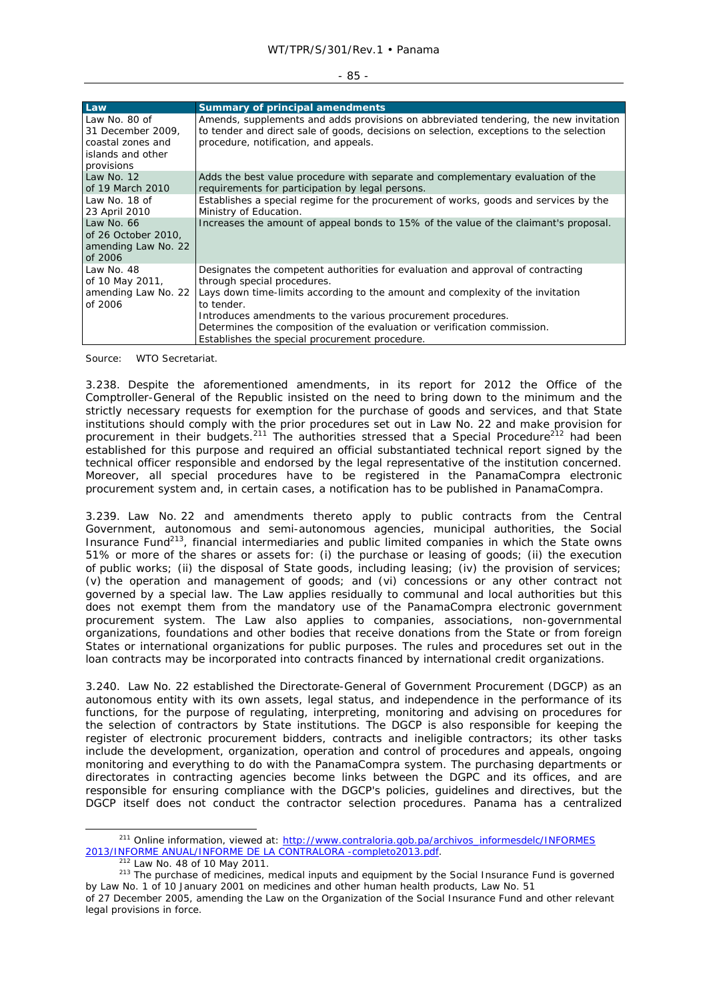| .,<br>$\sim$ |  |
|--------------|--|
|              |  |

| Law                                                                                        | <b>Summary of principal amendments</b>                                                                                                                                                                                   |
|--------------------------------------------------------------------------------------------|--------------------------------------------------------------------------------------------------------------------------------------------------------------------------------------------------------------------------|
| Law No. 80 of<br>31 December 2009,<br>coastal zones and<br>islands and other<br>provisions | Amends, supplements and adds provisions on abbreviated tendering, the new invitation<br>to tender and direct sale of goods, decisions on selection, exceptions to the selection<br>procedure, notification, and appeals. |
| Law No. $12$<br>of 19 March 2010                                                           | Adds the best value procedure with separate and complementary evaluation of the<br>requirements for participation by legal persons.                                                                                      |
| Law No. 18 of<br>23 April 2010                                                             | Establishes a special regime for the procurement of works, goods and services by the<br>Ministry of Education.                                                                                                           |
| Law No. 66<br>of 26 October 2010,<br>amending Law No. 22<br>of 2006                        | Increases the amount of appeal bonds to 15% of the value of the claimant's proposal.                                                                                                                                     |
| Law No. 48<br>of 10 May 2011,<br>amending Law No. 22<br>of 2006                            | Designates the competent authorities for evaluation and approval of contracting<br>through special procedures.<br>Lays down time-limits according to the amount and complexity of the invitation<br>to tender.           |
|                                                                                            | Introduces amendments to the various procurement procedures.<br>Determines the composition of the evaluation or verification commission.<br>Establishes the special procurement procedure.                               |

Source: WTO Secretariat.

3.238. Despite the aforementioned amendments, in its report for 2012 the Office of the Comptroller-General of the Republic insisted on the need to bring down to the minimum and the strictly necessary requests for exemption for the purchase of goods and services, and that State institutions should comply with the prior procedures set out in Law No. 22 and make provision for procurement in their budgets.<sup>211</sup> The authorities stressed that a Special Procedure<sup>212</sup> had been established for this purpose and required an official substantiated technical report signed by the technical officer responsible and endorsed by the legal representative of the institution concerned. Moreover, all special procedures have to be registered in the PanamaCompra electronic procurement system and, in certain cases, a notification has to be published in PanamaCompra.

3.239. Law No. 22 and amendments thereto apply to public contracts from the Central Government, autonomous and semi-autonomous agencies, municipal authorities, the Social Insurance Fund<sup>213</sup>, financial intermediaries and public limited companies in which the State owns 51% or more of the shares or assets for: (i) the purchase or leasing of goods; (ii) the execution of public works; (ii) the disposal of State goods, including leasing; (iv) the provision of services; (v) the operation and management of goods; and (vi) concessions or any other contract not governed by a special law. The Law applies residually to communal and local authorities but this does not exempt them from the mandatory use of the PanamaCompra electronic government procurement system. The Law also applies to companies, associations, non-governmental organizations, foundations and other bodies that receive donations from the State or from foreign States or international organizations for public purposes. The rules and procedures set out in the loan contracts may be incorporated into contracts financed by international credit organizations.

3.240. Law No. 22 established the Directorate-General of Government Procurement (DGCP) as an autonomous entity with its own assets, legal status, and independence in the performance of its functions, for the purpose of regulating, interpreting, monitoring and advising on procedures for the selection of contractors by State institutions. The DGCP is also responsible for keeping the register of electronic procurement bidders, contracts and ineligible contractors; its other tasks include the development, organization, operation and control of procedures and appeals, ongoing monitoring and everything to do with the PanamaCompra system. The purchasing departments or directorates in contracting agencies become links between the DGPC and its offices, and are responsible for ensuring compliance with the DGCP's policies, guidelines and directives, but the DGCP itself does not conduct the contractor selection procedures. Panama has a centralized

<sup>&</sup>lt;sup>211</sup> Online information, viewed at: http://www.contraloria.gob.pa/archivos\_informesdelc/INFORMES<br>2013/INFORME ANUAL/INFORME DE LA CONTRALORA -completo2013.pdf.

<sup>&</sup>lt;sup>212</sup> Law No. 48 of 10 May 2011.<br><sup>213</sup> The purchase of medicines, medical inputs and equipment by the Social Insurance Fund is governed by Law No. 1 of 10 January 2001 on medicines and other human health products, Law No. 51 of 27 December 2005, amending the Law on the Organization of the Social Insurance Fund and other relevant

legal provisions in force.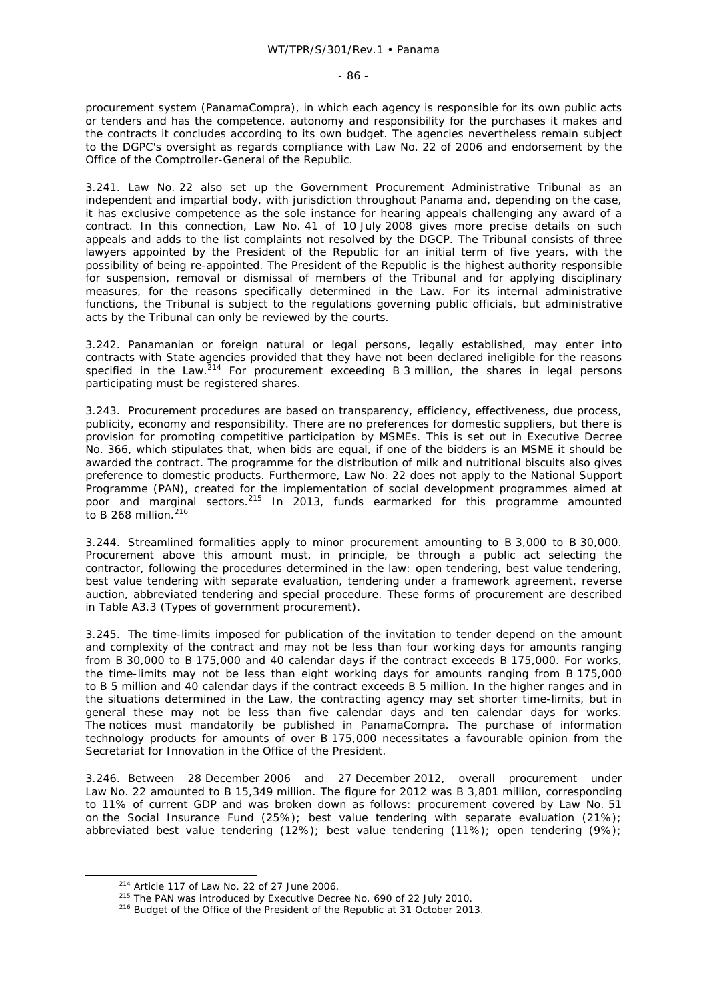procurement system (PanamaCompra), in which each agency is responsible for its own public acts or tenders and has the competence, autonomy and responsibility for the purchases it makes and the contracts it concludes according to its own budget. The agencies nevertheless remain subject to the DGPC's oversight as regards compliance with Law No. 22 of 2006 and endorsement by the Office of the Comptroller-General of the Republic.

3.241. Law No. 22 also set up the Government Procurement Administrative Tribunal as an independent and impartial body, with jurisdiction throughout Panama and, depending on the case, it has exclusive competence as the sole instance for hearing appeals challenging any award of a contract. In this connection, Law No. 41 of 10 July 2008 gives more precise details on such appeals and adds to the list complaints not resolved by the DGCP. The Tribunal consists of three lawyers appointed by the President of the Republic for an initial term of five years, with the possibility of being re-appointed. The President of the Republic is the highest authority responsible for suspension, removal or dismissal of members of the Tribunal and for applying disciplinary measures, for the reasons specifically determined in the Law. For its internal administrative functions, the Tribunal is subject to the regulations governing public officials, but administrative acts by the Tribunal can only be reviewed by the courts.

3.242. Panamanian or foreign natural or legal persons, legally established, may enter into contracts with State agencies provided that they have not been declared ineligible for the reasons specified in the Law.<sup>214</sup> For procurement exceeding B 3 million, the shares in legal persons participating must be registered shares.

3.243. Procurement procedures are based on transparency, efficiency, effectiveness, due process, publicity, economy and responsibility. There are no preferences for domestic suppliers, but there is provision for promoting competitive participation by MSMEs. This is set out in Executive Decree No. 366, which stipulates that, when bids are equal, if one of the bidders is an MSME it should be awarded the contract. The programme for the distribution of milk and nutritional biscuits also gives preference to domestic products. Furthermore, Law No. 22 does not apply to the National Support Programme (PAN), created for the implementation of social development programmes aimed at poor and marginal sectors.<sup>215</sup> In 2013, funds earmarked for this programme amounted to B 268 million. $216$ 

3.244. Streamlined formalities apply to minor procurement amounting to B 3,000 to B 30,000. Procurement above this amount must, in principle, be through a public act selecting the contractor, following the procedures determined in the law: open tendering, best value tendering, best value tendering with separate evaluation, tendering under a framework agreement, reverse auction, abbreviated tendering and special procedure. These forms of procurement are described in Table A3.3 (Types of government procurement).

3.245. The time-limits imposed for publication of the invitation to tender depend on the amount and complexity of the contract and may not be less than four working days for amounts ranging from B 30,000 to B 175,000 and 40 calendar days if the contract exceeds B 175,000. For works, the time-limits may not be less than eight working days for amounts ranging from B 175,000 to B 5 million and 40 calendar days if the contract exceeds B 5 million. In the higher ranges and in the situations determined in the Law, the contracting agency may set shorter time-limits, but in general these may not be less than five calendar days and ten calendar days for works. The notices must mandatorily be published in PanamaCompra. The purchase of information technology products for amounts of over B 175,000 necessitates a favourable opinion from the Secretariat for Innovation in the Office of the President.

3.246. Between 28 December 2006 and 27 December 2012, overall procurement under Law No. 22 amounted to B 15,349 million. The figure for 2012 was B 3,801 million, corresponding to 11% of current GDP and was broken down as follows: procurement covered by Law No. 51 on the Social Insurance Fund (25%); best value tendering with separate evaluation (21%); abbreviated best value tendering (12%); best value tendering (11%); open tendering (9%);

<sup>&</sup>lt;sup>214</sup> Article 117 of Law No. 22 of 27 June 2006.<br><sup>215</sup> The PAN was introduced by Executive Decree No. 690 of 22 July 2010.<br><sup>216</sup> Budget of the Office of the President of the Republic at 31 October 2013.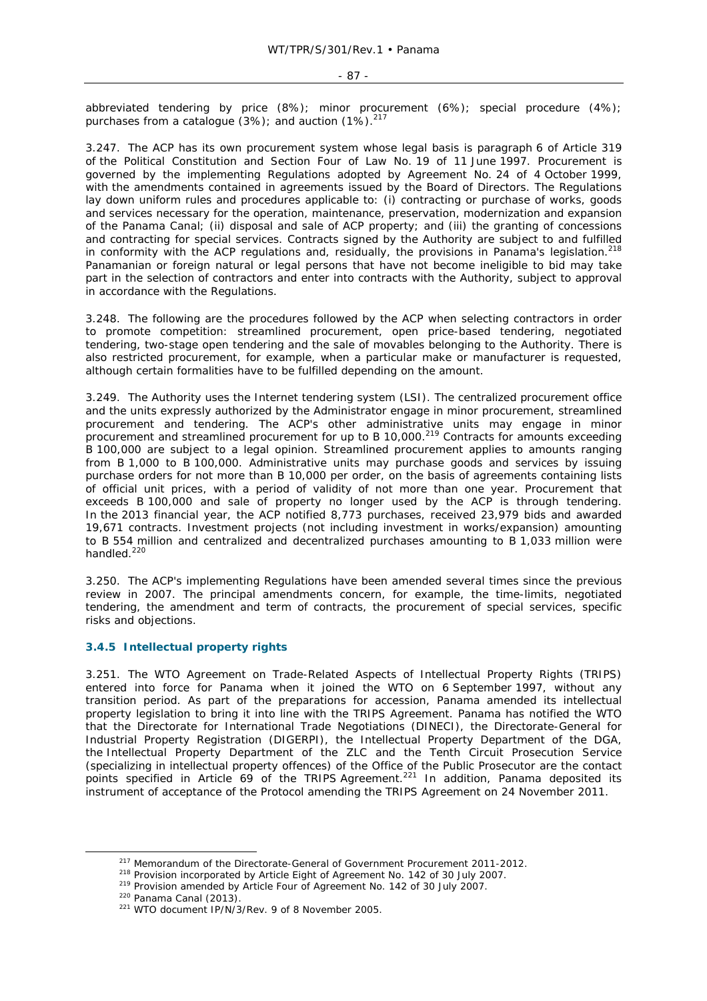abbreviated tendering by price (8%); minor procurement (6%); special procedure (4%); purchases from a catalogue  $(3%)$ ; and auction  $(1%)$ .<sup>217</sup>

3.247. The ACP has its own procurement system whose legal basis is paragraph 6 of Article 319 of the Political Constitution and Section Four of Law No. 19 of 11 June 1997. Procurement is governed by the implementing Regulations adopted by Agreement No. 24 of 4 October 1999, with the amendments contained in agreements issued by the Board of Directors. The Regulations lay down uniform rules and procedures applicable to: (i) contracting or purchase of works, goods and services necessary for the operation, maintenance, preservation, modernization and expansion of the Panama Canal; (ii) disposal and sale of ACP property; and (iii) the granting of concessions and contracting for special services. Contracts signed by the Authority are subject to and fulfilled in conformity with the ACP regulations and, residually, the provisions in Panama's legislation.<sup>218</sup> Panamanian or foreign natural or legal persons that have not become ineligible to bid may take part in the selection of contractors and enter into contracts with the Authority, subject to approval in accordance with the Regulations.

3.248. The following are the procedures followed by the ACP when selecting contractors in order to promote competition: streamlined procurement, open price-based tendering, negotiated tendering, two-stage open tendering and the sale of movables belonging to the Authority. There is also restricted procurement, for example, when a particular make or manufacturer is requested, although certain formalities have to be fulfilled depending on the amount.

3.249. The Authority uses the Internet tendering system (LSI). The centralized procurement office and the units expressly authorized by the Administrator engage in minor procurement, streamlined procurement and tendering. The ACP's other administrative units may engage in minor procurement and streamlined procurement for up to B 10,000.219 Contracts for amounts exceeding B 100,000 are subject to a legal opinion. Streamlined procurement applies to amounts ranging from B 1,000 to B 100,000. Administrative units may purchase goods and services by issuing purchase orders for not more than B 10,000 per order, on the basis of agreements containing lists of official unit prices, with a period of validity of not more than one year. Procurement that exceeds B 100,000 and sale of property no longer used by the ACP is through tendering. In the 2013 financial year, the ACP notified 8,773 purchases, received 23,979 bids and awarded 19,671 contracts. Investment projects (not including investment in works/expansion) amounting to B 554 million and centralized and decentralized purchases amounting to B 1,033 million were handled.<sup>220</sup>

3.250. The ACP's implementing Regulations have been amended several times since the previous review in 2007. The principal amendments concern, for example, the time-limits, negotiated tendering, the amendment and term of contracts, the procurement of special services, specific risks and objections.

# **3.4.5 Intellectual property rights**

3.251. The WTO Agreement on Trade-Related Aspects of Intellectual Property Rights (TRIPS) entered into force for Panama when it joined the WTO on 6 September 1997, without any transition period. As part of the preparations for accession, Panama amended its intellectual property legislation to bring it into line with the TRIPS Agreement. Panama has notified the WTO that the Directorate for International Trade Negotiations (DINECI), the Directorate-General for Industrial Property Registration (DIGERPI), the Intellectual Property Department of the DGA, the Intellectual Property Department of the ZLC and the Tenth Circuit Prosecution Service (specializing in intellectual property offences) of the Office of the Public Prosecutor are the contact points specified in Article 69 of the TRIPS Agreement.<sup>221</sup> In addition, Panama deposited its instrument of acceptance of the Protocol amending the TRIPS Agreement on 24 November 2011.

<sup>&</sup>lt;sup>217</sup> Memorandum of the Directorate-General of Government Procurement 2011-2012.<br><sup>218</sup> Provision incorporated by Article Eight of Agreement No. 142 of 30 July 2007.<br><sup>219</sup> Provision amended by Article Four of Agreement No.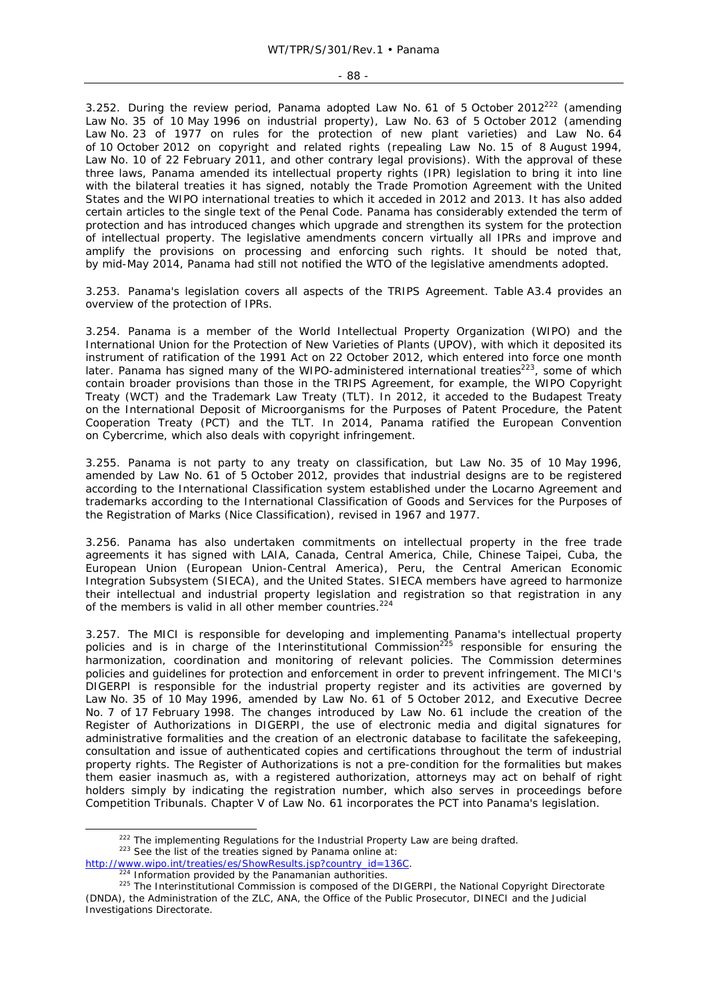3.252. During the review period, Panama adopted Law No. 61 of 5 October 2012<sup>222</sup> (amending Law No. 35 of 10 May 1996 on industrial property), Law No. 63 of 5 October 2012 (amending Law No. 23 of 1977 on rules for the protection of new plant varieties) and Law No. 64 of 10 October 2012 on copyright and related rights (repealing Law No. 15 of 8 August 1994, Law No. 10 of 22 February 2011, and other contrary legal provisions). With the approval of these three laws, Panama amended its intellectual property rights (IPR) legislation to bring it into line with the bilateral treaties it has signed, notably the Trade Promotion Agreement with the United States and the WIPO international treaties to which it acceded in 2012 and 2013. It has also added certain articles to the single text of the Penal Code. Panama has considerably extended the term of protection and has introduced changes which upgrade and strengthen its system for the protection of intellectual property. The legislative amendments concern virtually all IPRs and improve and amplify the provisions on processing and enforcing such rights. It should be noted that, by mid-May 2014, Panama had still not notified the WTO of the legislative amendments adopted.

3.253. Panama's legislation covers all aspects of the TRIPS Agreement. Table A3.4 provides an overview of the protection of IPRs.

3.254. Panama is a member of the World Intellectual Property Organization (WIPO) and the International Union for the Protection of New Varieties of Plants (UPOV), with which it deposited its instrument of ratification of the 1991 Act on 22 October 2012, which entered into force one month later. Panama has signed many of the WIPO-administered international treaties $223$ , some of which contain broader provisions than those in the TRIPS Agreement, for example, the WIPO Copyright Treaty (WCT) and the Trademark Law Treaty (TLT). In 2012, it acceded to the Budapest Treaty on the International Deposit of Microorganisms for the Purposes of Patent Procedure, the Patent Cooperation Treaty (PCT) and the TLT. In 2014, Panama ratified the European Convention on Cybercrime, which also deals with copyright infringement.

3.255. Panama is not party to any treaty on classification, but Law No. 35 of 10 May 1996, amended by Law No. 61 of 5 October 2012, provides that industrial designs are to be registered according to the International Classification system established under the Locarno Agreement and trademarks according to the International Classification of Goods and Services for the Purposes of the Registration of Marks (Nice Classification), revised in 1967 and 1977.

3.256. Panama has also undertaken commitments on intellectual property in the free trade agreements it has signed with LAIA, Canada, Central America, Chile, Chinese Taipei, Cuba, the European Union (European Union-Central America), Peru, the Central American Economic Integration Subsystem (SIECA), and the United States. SIECA members have agreed to harmonize their intellectual and industrial property legislation and registration so that registration in any of the members is valid in all other member countries.224

3.257. The MICI is responsible for developing and implementing Panama's intellectual property policies and is in charge of the Interinstitutional Commission<sup>225</sup> responsible for ensuring the harmonization, coordination and monitoring of relevant policies. The Commission determines policies and guidelines for protection and enforcement in order to prevent infringement. The MICI's DIGERPI is responsible for the industrial property register and its activities are governed by Law No. 35 of 10 May 1996, amended by Law No. 61 of 5 October 2012, and Executive Decree No. 7 of 17 February 1998. The changes introduced by Law No. 61 include the creation of the Register of Authorizations in DIGERPI, the use of electronic media and digital signatures for administrative formalities and the creation of an electronic database to facilitate the safekeeping, consultation and issue of authenticated copies and certifications throughout the term of industrial property rights. The Register of Authorizations is not a pre-condition for the formalities but makes them easier inasmuch as, with a registered authorization, attorneys may act on behalf of right holders simply by indicating the registration number, which also serves in proceedings before Competition Tribunals. Chapter V of Law No. 61 incorporates the PCT into Panama's legislation.

<sup>&</sup>lt;sup>222</sup> The implementing Regulations for the Industrial Property Law are being drafted.  $223$  See the list of the treaties signed by Panama online at:

http://www.wipo.int/treaties/es/ShowResults.jsp?country\_id=136C.<br><sup>224</sup> Information provided by the Panamanian authorities.<br><sup>225</sup> The Interinstitutional Commission is composed of the DIGERPI, the National Copyright Director (DNDA), the Administration of the ZLC, ANA, the Office of the Public Prosecutor, DINECI and the Judicial Investigations Directorate.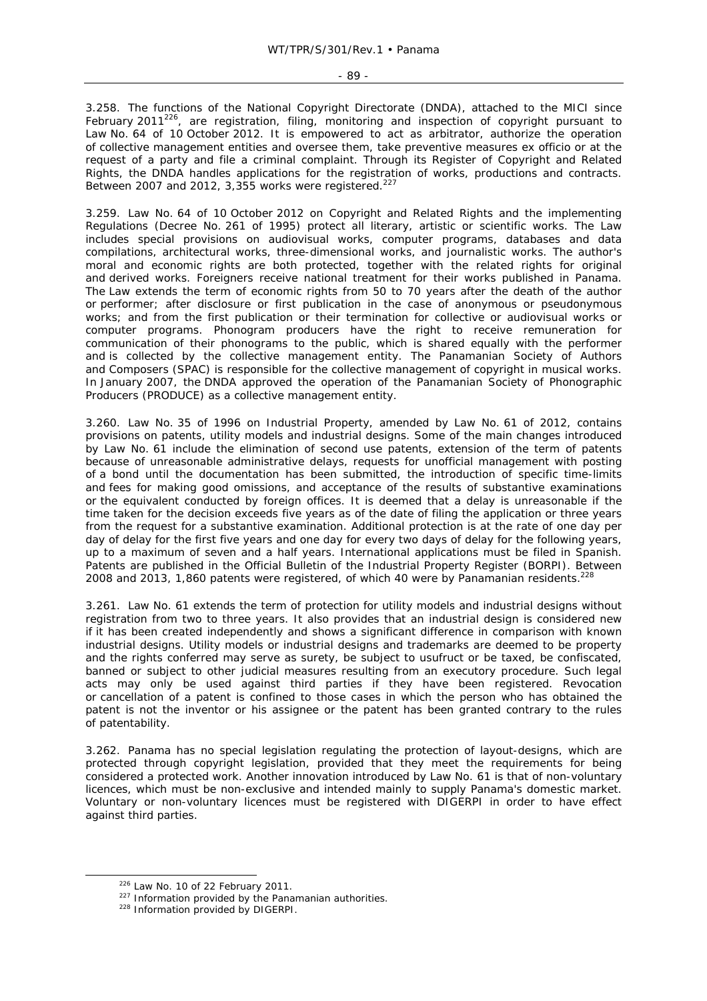3.258. The functions of the National Copyright Directorate (DNDA), attached to the MICI since February 2011<sup>226</sup>, are registration, filing, monitoring and inspection of copyright pursuant to Law No. 64 of 10 October 2012. It is empowered to act as arbitrator, authorize the operation of collective management entities and oversee them, take preventive measures ex officio or at the request of a party and file a criminal complaint. Through its Register of Copyright and Related Rights, the DNDA handles applications for the registration of works, productions and contracts. Between 2007 and 2012, 3,355 works were registered.<sup>227</sup>

3.259. Law No. 64 of 10 October 2012 on Copyright and Related Rights and the implementing Regulations (Decree No. 261 of 1995) protect all literary, artistic or scientific works. The Law includes special provisions on audiovisual works, computer programs, databases and data compilations, architectural works, three-dimensional works, and journalistic works. The author's moral and economic rights are both protected, together with the related rights for original and derived works. Foreigners receive national treatment for their works published in Panama. The Law extends the term of economic rights from 50 to 70 years after the death of the author or performer; after disclosure or first publication in the case of anonymous or pseudonymous works; and from the first publication or their termination for collective or audiovisual works or computer programs. Phonogram producers have the right to receive remuneration for communication of their phonograms to the public, which is shared equally with the performer and is collected by the collective management entity. The Panamanian Society of Authors and Composers (SPAC) is responsible for the collective management of copyright in musical works. In January 2007, the DNDA approved the operation of the Panamanian Society of Phonographic Producers (PRODUCE) as a collective management entity.

3.260. Law No. 35 of 1996 on Industrial Property, amended by Law No. 61 of 2012, contains provisions on patents, utility models and industrial designs. Some of the main changes introduced by Law No. 61 include the elimination of second use patents, extension of the term of patents because of unreasonable administrative delays, requests for unofficial management with posting of a bond until the documentation has been submitted, the introduction of specific time-limits and fees for making good omissions, and acceptance of the results of substantive examinations or the equivalent conducted by foreign offices. It is deemed that a delay is unreasonable if the time taken for the decision exceeds five years as of the date of filing the application or three years from the request for a substantive examination. Additional protection is at the rate of one day per day of delay for the first five years and one day for every two days of delay for the following years, up to a maximum of seven and a half years. International applications must be filed in Spanish. Patents are published in the Official Bulletin of the Industrial Property Register (BORPI). Between 2008 and 2013, 1,860 patents were registered, of which 40 were by Panamanian residents.<sup>228</sup>

3.261. Law No. 61 extends the term of protection for utility models and industrial designs without registration from two to three years. It also provides that an industrial design is considered new if it has been created independently and shows a significant difference in comparison with known industrial designs. Utility models or industrial designs and trademarks are deemed to be property and the rights conferred may serve as surety, be subject to usufruct or be taxed, be confiscated, banned or subject to other judicial measures resulting from an executory procedure. Such legal acts may only be used against third parties if they have been registered. Revocation or cancellation of a patent is confined to those cases in which the person who has obtained the patent is not the inventor or his assignee or the patent has been granted contrary to the rules of patentability.

3.262. Panama has no special legislation regulating the protection of layout-designs, which are protected through copyright legislation, provided that they meet the requirements for being considered a protected work. Another innovation introduced by Law No. 61 is that of non-voluntary licences, which must be non-exclusive and intended mainly to supply Panama's domestic market. Voluntary or non-voluntary licences must be registered with DIGERPI in order to have effect against third parties.

<sup>&</sup>lt;sup>226</sup> Law No. 10 of 22 February 2011.<br><sup>227</sup> Information provided by the Panamanian authorities.<br><sup>228</sup> Information provided by DIGERPI.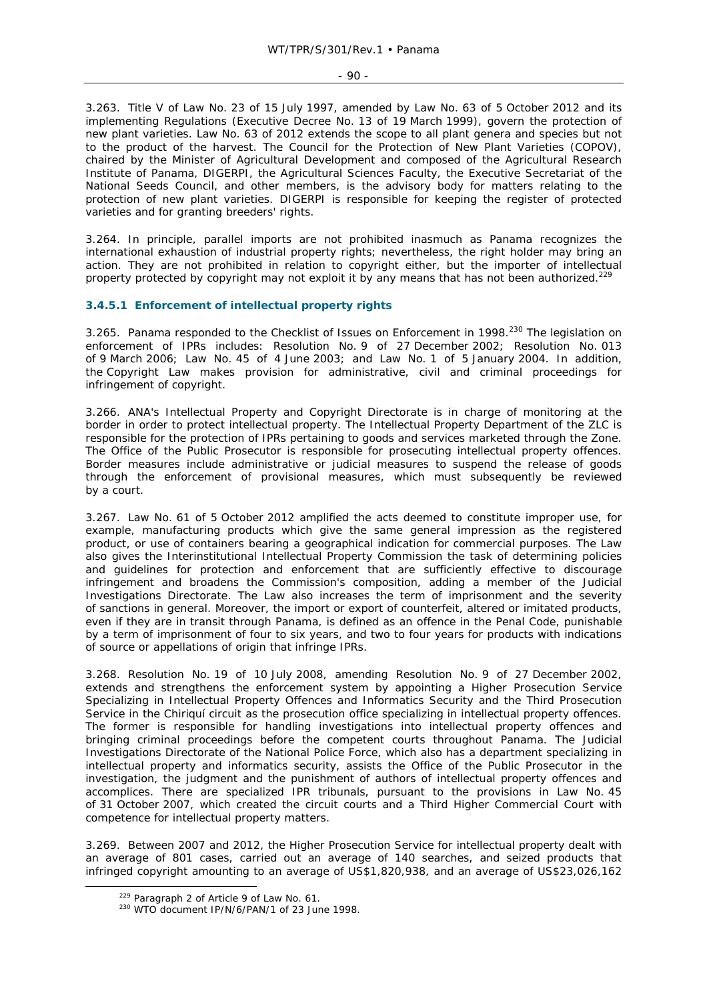3.263. Title V of Law No. 23 of 15 July 1997, amended by Law No. 63 of 5 October 2012 and its implementing Regulations (Executive Decree No. 13 of 19 March 1999), govern the protection of new plant varieties. Law No. 63 of 2012 extends the scope to all plant genera and species but not to the product of the harvest. The Council for the Protection of New Plant Varieties (COPOV), chaired by the Minister of Agricultural Development and composed of the Agricultural Research Institute of Panama, DIGERPI, the Agricultural Sciences Faculty, the Executive Secretariat of the National Seeds Council, and other members, is the advisory body for matters relating to the protection of new plant varieties. DIGERPI is responsible for keeping the register of protected varieties and for granting breeders' rights.

3.264. In principle, parallel imports are not prohibited inasmuch as Panama recognizes the international exhaustion of industrial property rights; nevertheless, the right holder may bring an action. They are not prohibited in relation to copyright either, but the importer of intellectual property protected by copyright may not exploit it by any means that has not been authorized.<sup>229</sup>

## **3.4.5.1 Enforcement of intellectual property rights**

3.265. Panama responded to the Checklist of Issues on Enforcement in 1998.<sup>230</sup> The legislation on enforcement of IPRs includes: Resolution No. 9 of 27 December 2002; Resolution No. 013 of 9 March 2006; Law No. 45 of 4 June 2003; and Law No. 1 of 5 January 2004. In addition, the Copyright Law makes provision for administrative, civil and criminal proceedings for infringement of copyright.

3.266. ANA's Intellectual Property and Copyright Directorate is in charge of monitoring at the border in order to protect intellectual property. The Intellectual Property Department of the ZLC is responsible for the protection of IPRs pertaining to goods and services marketed through the Zone. The Office of the Public Prosecutor is responsible for prosecuting intellectual property offences. Border measures include administrative or judicial measures to suspend the release of goods through the enforcement of provisional measures, which must subsequently be reviewed by a court.

3.267. Law No. 61 of 5 October 2012 amplified the acts deemed to constitute improper use, for example, manufacturing products which give the same general impression as the registered product, or use of containers bearing a geographical indication for commercial purposes. The Law also gives the Interinstitutional Intellectual Property Commission the task of determining policies and guidelines for protection and enforcement that are sufficiently effective to discourage infringement and broadens the Commission's composition, adding a member of the Judicial Investigations Directorate. The Law also increases the term of imprisonment and the severity of sanctions in general. Moreover, the import or export of counterfeit, altered or imitated products, even if they are in transit through Panama, is defined as an offence in the Penal Code, punishable by a term of imprisonment of four to six years, and two to four years for products with indications of source or appellations of origin that infringe IPRs.

3.268. Resolution No. 19 of 10 July 2008, amending Resolution No. 9 of 27 December 2002, extends and strengthens the enforcement system by appointing a Higher Prosecution Service Specializing in Intellectual Property Offences and Informatics Security and the Third Prosecution Service in the Chiriquí circuit as the prosecution office specializing in intellectual property offences. The former is responsible for handling investigations into intellectual property offences and bringing criminal proceedings before the competent courts throughout Panama. The Judicial Investigations Directorate of the National Police Force, which also has a department specializing in intellectual property and informatics security, assists the Office of the Public Prosecutor in the investigation, the judgment and the punishment of authors of intellectual property offences and accomplices. There are specialized IPR tribunals, pursuant to the provisions in Law No. 45 of 31 October 2007, which created the circuit courts and a Third Higher Commercial Court with competence for intellectual property matters.

3.269. Between 2007 and 2012, the Higher Prosecution Service for intellectual property dealt with an average of 801 cases, carried out an average of 140 searches, and seized products that infringed copyright amounting to an average of US\$1,820,938, and an average of US\$23,026,162

<sup>&</sup>lt;sup>229</sup> Paragraph 2 of Article 9 of Law No. 61.<br><sup>230</sup> WTO document IP/N/6/PAN/1 of 23 June 1998.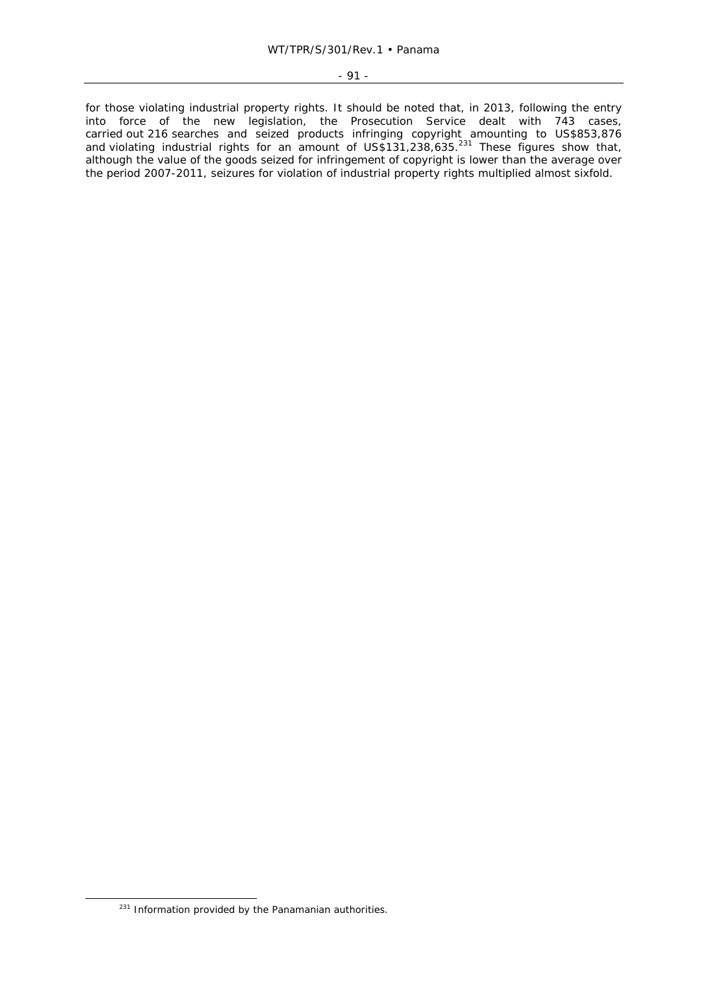for those violating industrial property rights. It should be noted that, in 2013, following the entry into force of the new legislation, the Prosecution Service dealt with 743 cases, carried out 216 searches and seized products infringing copyright amounting to US\$853,876 and violating industrial rights for an amount of US\$131,238,635.<sup>231</sup> These figures show that, although the value of the goods seized for infringement of copyright is lower than the average over the period 2007-2011, seizures for violation of industrial property rights multiplied almost sixfold.

<sup>&</sup>lt;sup>231</sup> Information provided by the Panamanian authorities.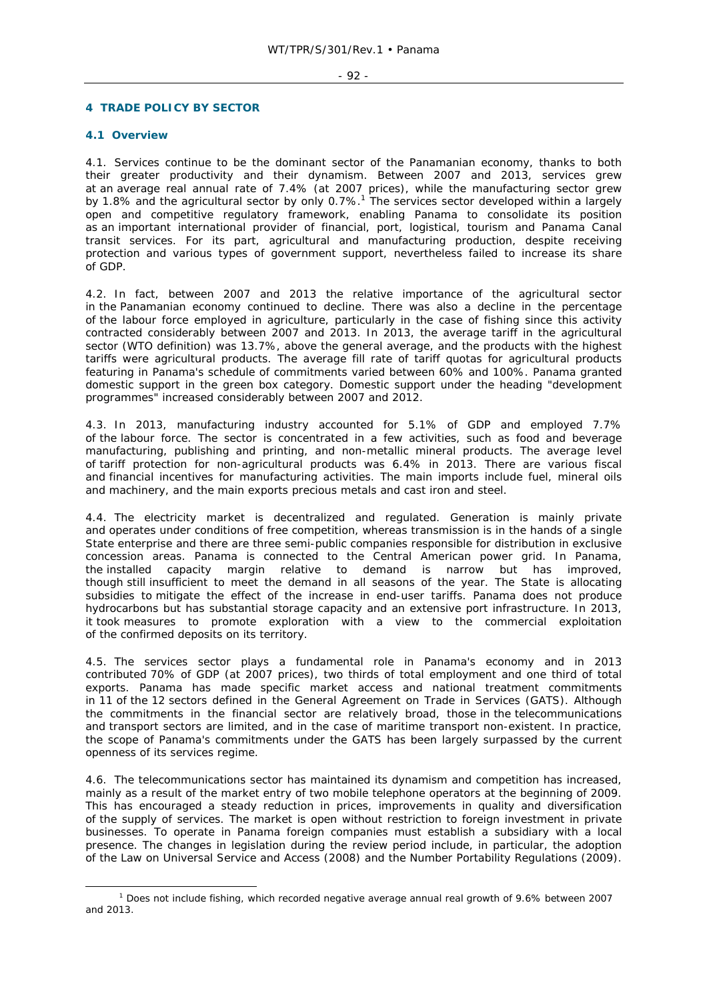### - 92 -

### **4 TRADE POLICY BY SECTOR**

# **4.1 Overview**

4.1. Services continue to be the dominant sector of the Panamanian economy, thanks to both their greater productivity and their dynamism. Between 2007 and 2013, services grew at an average real annual rate of 7.4% (at 2007 prices), while the manufacturing sector grew by 1.8% and the agricultural sector by only 0.7%.<sup>1</sup> The services sector developed within a largely open and competitive regulatory framework, enabling Panama to consolidate its position as an important international provider of financial, port, logistical, tourism and Panama Canal transit services. For its part, agricultural and manufacturing production, despite receiving protection and various types of government support, nevertheless failed to increase its share of GDP.

4.2. In fact, between 2007 and 2013 the relative importance of the agricultural sector in the Panamanian economy continued to decline. There was also a decline in the percentage of the labour force employed in agriculture, particularly in the case of fishing since this activity contracted considerably between 2007 and 2013. In 2013, the average tariff in the agricultural sector (WTO definition) was 13.7%, above the general average, and the products with the highest tariffs were agricultural products. The average fill rate of tariff quotas for agricultural products featuring in Panama's schedule of commitments varied between 60% and 100%. Panama granted domestic support in the green box category. Domestic support under the heading "development programmes" increased considerably between 2007 and 2012.

4.3. In 2013, manufacturing industry accounted for 5.1% of GDP and employed 7.7% of the labour force. The sector is concentrated in a few activities, such as food and beverage manufacturing, publishing and printing, and non-metallic mineral products. The average level of tariff protection for non-agricultural products was 6.4% in 2013. There are various fiscal and financial incentives for manufacturing activities. The main imports include fuel, mineral oils and machinery, and the main exports precious metals and cast iron and steel.

4.4. The electricity market is decentralized and regulated. Generation is mainly private and operates under conditions of free competition, whereas transmission is in the hands of a single State enterprise and there are three semi-public companies responsible for distribution in exclusive concession areas. Panama is connected to the Central American power grid. In Panama, the installed capacity margin relative to demand is narrow but has improved, though still insufficient to meet the demand in all seasons of the year. The State is allocating subsidies to mitigate the effect of the increase in end-user tariffs. Panama does not produce hydrocarbons but has substantial storage capacity and an extensive port infrastructure. In 2013, it took measures to promote exploration with a view to the commercial exploitation of the confirmed deposits on its territory.

4.5. The services sector plays a fundamental role in Panama's economy and in 2013 contributed 70% of GDP (at 2007 prices), two thirds of total employment and one third of total exports. Panama has made specific market access and national treatment commitments in 11 of the 12 sectors defined in the General Agreement on Trade in Services (GATS). Although the commitments in the financial sector are relatively broad, those in the telecommunications and transport sectors are limited, and in the case of maritime transport non-existent. In practice, the scope of Panama's commitments under the GATS has been largely surpassed by the current openness of its services regime.

4.6. The telecommunications sector has maintained its dynamism and competition has increased, mainly as a result of the market entry of two mobile telephone operators at the beginning of 2009. This has encouraged a steady reduction in prices, improvements in quality and diversification of the supply of services. The market is open without restriction to foreign investment in private businesses. To operate in Panama foreign companies must establish a subsidiary with a local presence. The changes in legislation during the review period include, in particular, the adoption of the Law on Universal Service and Access (2008) and the Number Portability Regulations (2009).

 $\frac{1}{1}$ <sup>1</sup> Does not include fishing, which recorded negative average annual real growth of 9.6% between 2007 and 2013.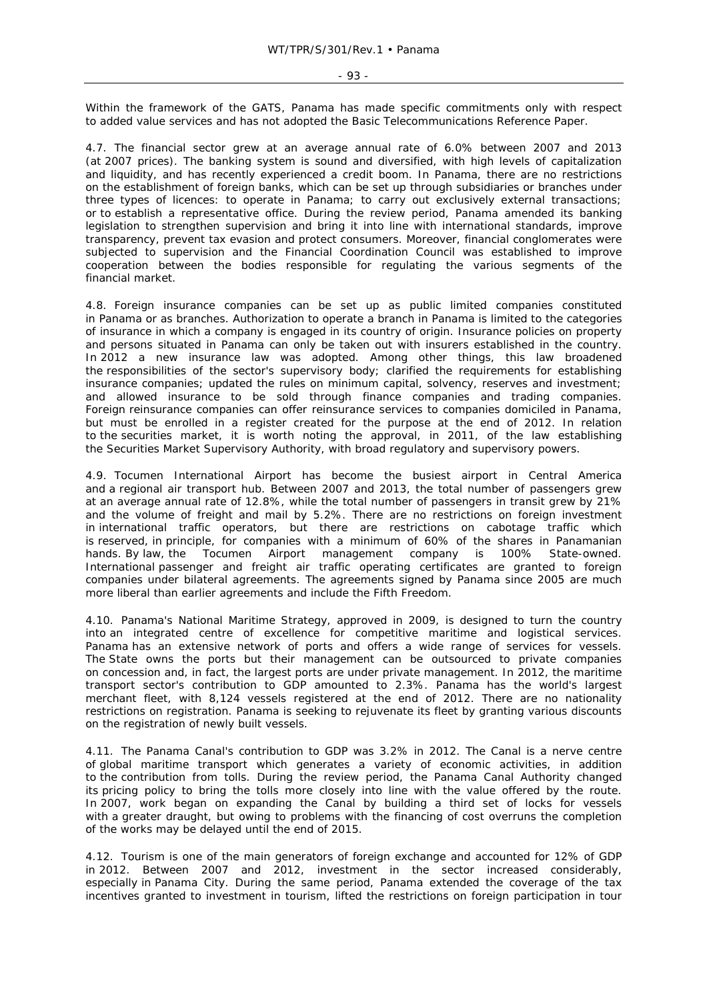Within the framework of the GATS, Panama has made specific commitments only with respect to added value services and has not adopted the Basic Telecommunications Reference Paper.

4.7. The financial sector grew at an average annual rate of 6.0% between 2007 and 2013 (at 2007 prices). The banking system is sound and diversified, with high levels of capitalization and liquidity, and has recently experienced a credit boom. In Panama, there are no restrictions on the establishment of foreign banks, which can be set up through subsidiaries or branches under three types of licences: to operate in Panama; to carry out exclusively external transactions; or to establish a representative office. During the review period, Panama amended its banking legislation to strengthen supervision and bring it into line with international standards, improve transparency, prevent tax evasion and protect consumers. Moreover, financial conglomerates were subjected to supervision and the Financial Coordination Council was established to improve cooperation between the bodies responsible for regulating the various segments of the financial market.

4.8. Foreign insurance companies can be set up as public limited companies constituted in Panama or as branches. Authorization to operate a branch in Panama is limited to the categories of insurance in which a company is engaged in its country of origin. Insurance policies on property and persons situated in Panama can only be taken out with insurers established in the country. In 2012 a new insurance law was adopted. Among other things, this law broadened the responsibilities of the sector's supervisory body; clarified the requirements for establishing insurance companies; updated the rules on minimum capital, solvency, reserves and investment; and allowed insurance to be sold through finance companies and trading companies. Foreign reinsurance companies can offer reinsurance services to companies domiciled in Panama, but must be enrolled in a register created for the purpose at the end of 2012. In relation to the securities market, it is worth noting the approval, in 2011, of the law establishing the Securities Market Supervisory Authority, with broad regulatory and supervisory powers.

4.9. Tocumen International Airport has become the busiest airport in Central America and a regional air transport hub. Between 2007 and 2013, the total number of passengers grew at an average annual rate of 12.8%, while the total number of passengers in transit grew by 21% and the volume of freight and mail by 5.2%. There are no restrictions on foreign investment in international traffic operators, but there are restrictions on cabotage traffic which is reserved, in principle, for companies with a minimum of 60% of the shares in Panamanian hands. By law, the Tocumen Airport management company is 100% State-owned. International passenger and freight air traffic operating certificates are granted to foreign companies under bilateral agreements. The agreements signed by Panama since 2005 are much more liberal than earlier agreements and include the Fifth Freedom.

4.10. Panama's National Maritime Strategy, approved in 2009, is designed to turn the country into an integrated centre of excellence for competitive maritime and logistical services. Panama has an extensive network of ports and offers a wide range of services for vessels. The State owns the ports but their management can be outsourced to private companies on concession and, in fact, the largest ports are under private management. In 2012, the maritime transport sector's contribution to GDP amounted to 2.3%. Panama has the world's largest merchant fleet, with 8,124 vessels registered at the end of 2012. There are no nationality restrictions on registration. Panama is seeking to rejuvenate its fleet by granting various discounts on the registration of newly built vessels.

4.11. The Panama Canal's contribution to GDP was 3.2% in 2012. The Canal is a nerve centre of global maritime transport which generates a variety of economic activities, in addition to the contribution from tolls. During the review period, the Panama Canal Authority changed its pricing policy to bring the tolls more closely into line with the value offered by the route. In 2007, work began on expanding the Canal by building a third set of locks for vessels with a greater draught, but owing to problems with the financing of cost overruns the completion of the works may be delayed until the end of 2015.

4.12. Tourism is one of the main generators of foreign exchange and accounted for 12% of GDP in 2012. Between 2007 and 2012, investment in the sector increased considerably, especially in Panama City. During the same period, Panama extended the coverage of the tax incentives granted to investment in tourism, lifted the restrictions on foreign participation in tour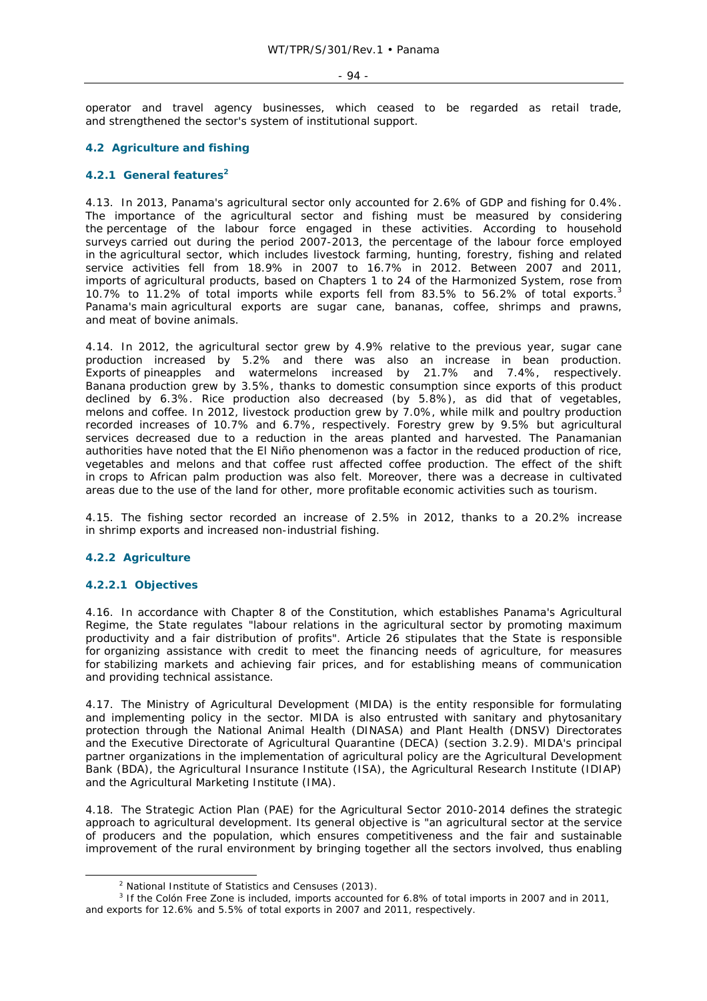#### - 94 -

operator and travel agency businesses, which ceased to be regarded as retail trade, and strengthened the sector's system of institutional support.

## **4.2 Agriculture and fishing**

# **4.2.1 General features2**

4.13. In 2013, Panama's agricultural sector only accounted for 2.6% of GDP and fishing for 0.4%. The importance of the agricultural sector and fishing must be measured by considering the percentage of the labour force engaged in these activities. According to household surveys carried out during the period 2007-2013, the percentage of the labour force employed in the agricultural sector, which includes livestock farming, hunting, forestry, fishing and related service activities fell from 18.9% in 2007 to 16.7% in 2012. Between 2007 and 2011, imports of agricultural products, based on Chapters 1 to 24 of the Harmonized System, rose from 10.7% to 11.2% of total imports while exports fell from 83.5% to 56.2% of total exports.<sup>3</sup> Panama's main agricultural exports are sugar cane, bananas, coffee, shrimps and prawns, and meat of bovine animals.

4.14. In 2012, the agricultural sector grew by 4.9% relative to the previous year, sugar cane production increased by 5.2% and there was also an increase in bean production. Exports of pineapples and watermelons increased by 21.7% and 7.4%, respectively. Banana production grew by 3.5%, thanks to domestic consumption since exports of this product declined by 6.3%. Rice production also decreased (by 5.8%), as did that of vegetables, melons and coffee. In 2012, livestock production grew by 7.0%, while milk and poultry production recorded increases of 10.7% and 6.7%, respectively. Forestry grew by 9.5% but agricultural services decreased due to a reduction in the areas planted and harvested. The Panamanian authorities have noted that the *El Niño* phenomenon was a factor in the reduced production of rice, vegetables and melons and that coffee rust affected coffee production. The effect of the shift in crops to African palm production was also felt. Moreover, there was a decrease in cultivated areas due to the use of the land for other, more profitable economic activities such as tourism.

4.15. The fishing sector recorded an increase of 2.5% in 2012, thanks to a 20.2% increase in shrimp exports and increased non-industrial fishing.

### **4.2.2 Agriculture**

### **4.2.2.1 Objectives**

4.16. In accordance with Chapter 8 of the Constitution, which establishes Panama's Agricultural Regime, the State regulates "labour relations in the agricultural sector by promoting maximum productivity and a fair distribution of profits". Article 26 stipulates that the State is responsible for organizing assistance with credit to meet the financing needs of agriculture, for measures for stabilizing markets and achieving fair prices, and for establishing means of communication and providing technical assistance.

4.17. The Ministry of Agricultural Development (MIDA) is the entity responsible for formulating and implementing policy in the sector. MIDA is also entrusted with sanitary and phytosanitary protection through the National Animal Health (DINASA) and Plant Health (DNSV) Directorates and the Executive Directorate of Agricultural Quarantine (DECA) (section 3.2.9). MIDA's principal partner organizations in the implementation of agricultural policy are the Agricultural Development Bank (BDA), the Agricultural Insurance Institute (ISA), the Agricultural Research Institute (IDIAP) and the Agricultural Marketing Institute (IMA).

4.18. The Strategic Action Plan (PAE) for the Agricultural Sector 2010-2014 defines the strategic approach to agricultural development. Its general objective is "an agricultural sector at the service of producers and the population, which ensures competitiveness and the fair and sustainable improvement of the rural environment by bringing together all the sectors involved, thus enabling

 $\frac{1}{2}$ <sup>2</sup> National Institute of Statistics and Censuses (2013).

<sup>3</sup> If the Colón Free Zone is included, imports accounted for 6.8% of total imports in 2007 and in 2011, and exports for 12.6% and 5.5% of total exports in 2007 and 2011, respectively.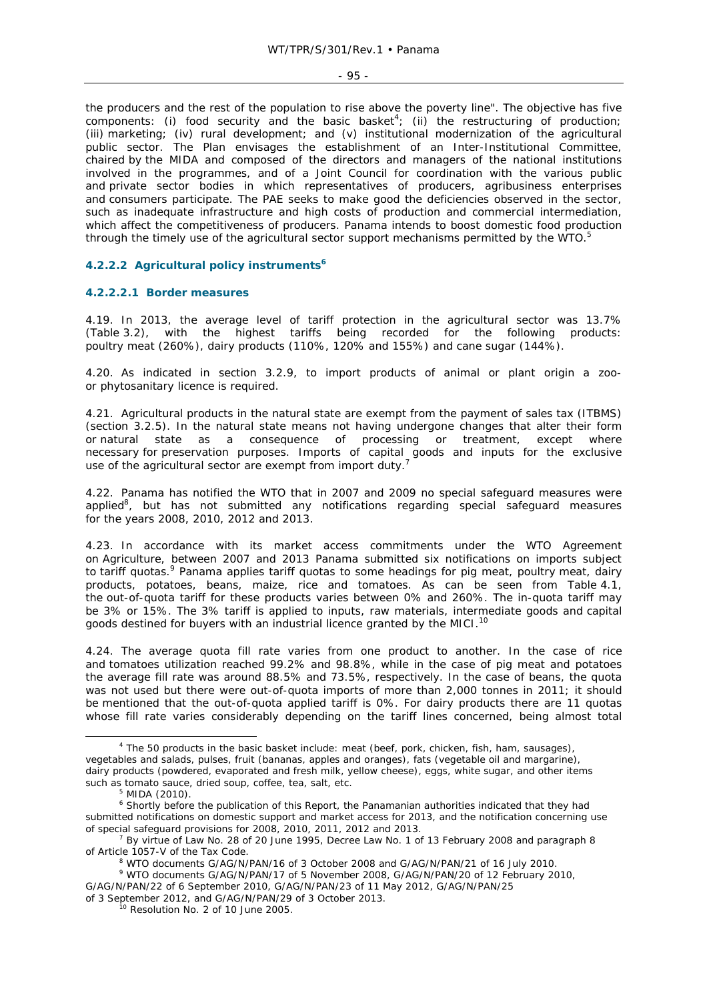- 95 -

the producers and the rest of the population to rise above the poverty line". The objective has five components: (i) food security and the basic basket<sup>4</sup>; (ii) the restructuring of production; (iii) marketing; (iv) rural development; and (v) institutional modernization of the agricultural public sector. The Plan envisages the establishment of an Inter-Institutional Committee, chaired by the MIDA and composed of the directors and managers of the national institutions involved in the programmes, and of a Joint Council for coordination with the various public and private sector bodies in which representatives of producers, agribusiness enterprises and consumers participate. The PAE seeks to make good the deficiencies observed in the sector, such as inadequate infrastructure and high costs of production and commercial intermediation, which affect the competitiveness of producers. Panama intends to boost domestic food production through the timely use of the agricultural sector support mechanisms permitted by the WTO. $5$ 

# **4.2.2.2 Agricultural policy instruments6**

### **4.2.2.2.1 Border measures**

4.19. In 2013, the average level of tariff protection in the agricultural sector was 13.7% (Table 3.2), with the highest tariffs being recorded for the following products: poultry meat (260%), dairy products (110%, 120% and 155%) and cane sugar (144%).

4.20. As indicated in section 3.2.9, to import products of animal or plant origin a zooor phytosanitary licence is required.

4.21. Agricultural products in the natural state are exempt from the payment of sales tax (ITBMS) (section 3.2.5). In the natural state means not having undergone changes that alter their form or natural state as a consequence of processing or treatment, except where necessary for preservation purposes. Imports of capital goods and inputs for the exclusive use of the agricultural sector are exempt from import duty.<sup>7</sup>

4.22. Panama has notified the WTO that in 2007 and 2009 no special safeguard measures were applied<sup>8</sup>, but has not submitted any notifications regarding special safeguard measures for the years 2008, 2010, 2012 and 2013.

4.23. In accordance with its market access commitments under the WTO Agreement on Agriculture, between 2007 and 2013 Panama submitted six notifications on imports subject to tariff quotas.<sup>9</sup> Panama applies tariff quotas to some headings for pig meat, poultry meat, dairy products, potatoes, beans, maize, rice and tomatoes. As can be seen from Table 4.1, the out-of-quota tariff for these products varies between 0% and 260%. The in-quota tariff may be 3% or 15%. The 3% tariff is applied to inputs, raw materials, intermediate goods and capital goods destined for buyers with an industrial licence granted by the MICI.<sup>10</sup>

4.24. The average quota fill rate varies from one product to another. In the case of rice and tomatoes utilization reached 99.2% and 98.8%, while in the case of pig meat and potatoes the average fill rate was around 88.5% and 73.5%, respectively. In the case of beans, the quota was not used but there were out-of-quota imports of more than 2,000 tonnes in 2011; it should be mentioned that the out-of-quota applied tariff is 0%. For dairy products there are 11 quotas whose fill rate varies considerably depending on the tariff lines concerned, being almost total

 $\frac{1}{4}$ <sup>4</sup> The 50 products in the basic basket include: meat (beef, pork, chicken, fish, ham, sausages), vegetables and salads, pulses, fruit (bananas, apples and oranges), fats (vegetable oil and margarine), dairy products (powdered, evaporated and fresh milk, yellow cheese), eggs, white sugar, and other items such as tomato sauce, dried soup, coffee, tea, salt, etc.

MIDA (2010).

<sup>&</sup>lt;sup>6</sup> Shortly before the publication of this Report, the Panamanian authorities indicated that they had submitted notifications on domestic support and market access for 2013, and the notification concerning use of special safeguard provisions for 2008, 2010, 2011, 2012 and 2013. 7

By virtue of Law No. 28 of 20 June 1995, Decree Law No. 1 of 13 February 2008 and paragraph 8 of Article 1057-V of the Tax Code.

WTO documents G/AG/N/PAN/16 of 3 October 2008 and G/AG/N/PAN/21 of 16 July 2010.

<sup>9</sup> WTO documents G/AG/N/PAN/17 of 5 November 2008, G/AG/N/PAN/20 of 12 February 2010, G/AG/N/PAN/22 of 6 September 2010, G/AG/N/PAN/23 of 11 May 2012, G/AG/N/PAN/25

of 3 September 2012, and G/AG/N/PAN/29 of 3 October 2013.<br><sup>10</sup> Resolution No. 2 of 10 June 2005.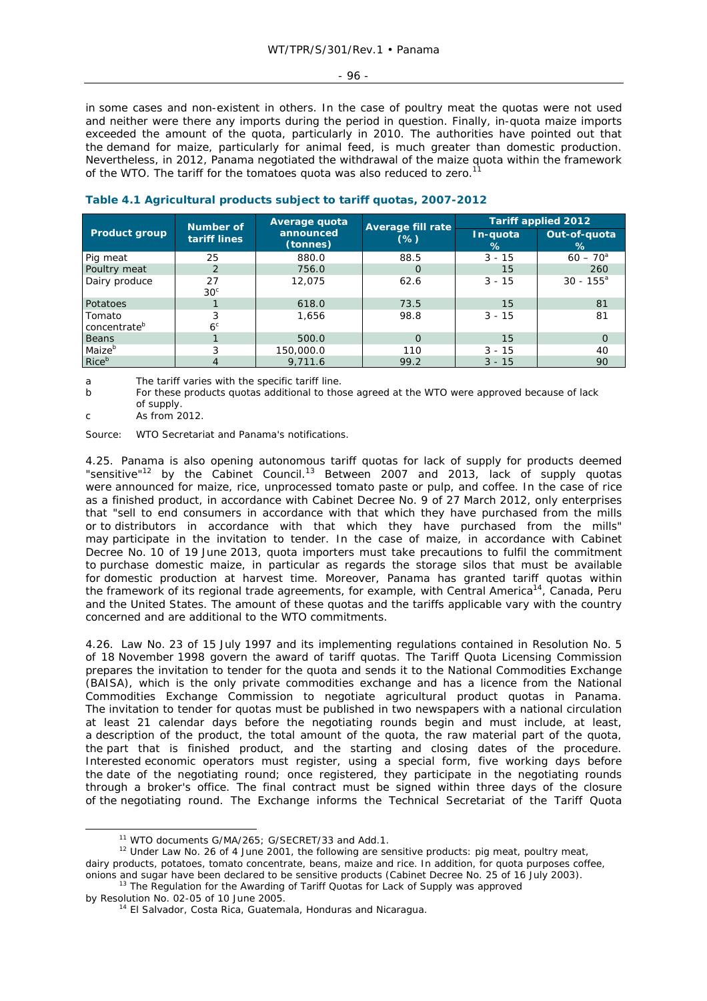### - 96 -

in some cases and non-existent in others. In the case of poultry meat the quotas were not used and neither were there any imports during the period in question. Finally, in-quota maize imports exceeded the amount of the quota, particularly in 2010. The authorities have pointed out that the demand for maize, particularly for animal feed, is much greater than domestic production. Nevertheless, in 2012, Panama negotiated the withdrawal of the maize quota within the framework of the WTO. The tariff for the tomatoes quota was also reduced to zero.

|                                    | Number of             | Average quota         |                                    | <b>Tariff applied 2012</b> |                   |  |
|------------------------------------|-----------------------|-----------------------|------------------------------------|----------------------------|-------------------|--|
| <b>Product group</b>               | tariff lines          | announced<br>(tonnes) | <b>Average fill rate</b><br>$(\%)$ | In-quota<br>℅              | Out-of-quota<br>% |  |
| Pig meat                           | 25                    | 880.0                 | 88.5                               | $3 - 15$                   | $60 - 70^{\circ}$ |  |
| Poultry meat                       | 2                     | 756.0                 | $\Omega$                           | 15                         | 260               |  |
| Dairy produce                      | 27<br>30 <sup>c</sup> | 12,075                | 62.6                               | $3 - 15$                   | $30 - 155^a$      |  |
| Potatoes                           |                       | 618.0                 | 73.5                               | 15                         | 81                |  |
| Tomato<br>concentrate <sup>b</sup> | 3<br>6 <sup>c</sup>   | 1.656                 | 98.8                               | $3 - 15$                   | 81                |  |
| <b>Beans</b>                       |                       | 500.0                 | O                                  | 15                         | O                 |  |
| Maize <sup>b</sup>                 | 3                     | 150,000.0             | 110                                | $3 - 15$                   | 40                |  |
| Riceb                              |                       | 9,711.6               | 99.2                               | $3 - 15$                   | 90                |  |

# **Table 4.1 Agricultural products subject to tariff quotas, 2007-2012**

a The tariff varies with the specific tariff line.

b For these products quotas additional to those agreed at the WTO were approved because of lack of supply.

 $c \qquad \qquad \text{As from } 2012.$ 

Source: WTO Secretariat and Panama's notifications.

4.25. Panama is also opening autonomous tariff quotas for lack of supply for products deemed "sensitive"<sup>12</sup> by the Cabinet Council.<sup>13</sup> Between 2007 and 2013, lack of supply quotas were announced for maize, rice, unprocessed tomato paste or pulp, and coffee. In the case of rice as a finished product, in accordance with Cabinet Decree No. 9 of 27 March 2012, only enterprises that "sell to end consumers in accordance with that which they have purchased from the mills or to distributors in accordance with that which they have purchased from the mills" may participate in the invitation to tender. In the case of maize, in accordance with Cabinet Decree No. 10 of 19 June 2013, quota importers must take precautions to fulfil the commitment to purchase domestic maize, in particular as regards the storage silos that must be available for domestic production at harvest time. Moreover, Panama has granted tariff quotas within the framework of its regional trade agreements, for example, with Central America<sup>14</sup>, Canada, Peru and the United States. The amount of these quotas and the tariffs applicable vary with the country concerned and are additional to the WTO commitments.

4.26. Law No. 23 of 15 July 1997 and its implementing regulations contained in Resolution No. 5 of 18 November 1998 govern the award of tariff quotas. The Tariff Quota Licensing Commission prepares the invitation to tender for the quota and sends it to the National Commodities Exchange (BAISA), which is the only private commodities exchange and has a licence from the National Commodities Exchange Commission to negotiate agricultural product quotas in Panama. The invitation to tender for quotas must be published in two newspapers with a national circulation at least 21 calendar days before the negotiating rounds begin and must include, at least, a description of the product, the total amount of the quota, the raw material part of the quota, the part that is finished product, and the starting and closing dates of the procedure. Interested economic operators must register, using a special form, five working days before the date of the negotiating round; once registered, they participate in the negotiating rounds through a broker's office. The final contract must be signed within three days of the closure of the negotiating round. The Exchange informs the Technical Secretariat of the Tariff Quota

<sup>&</sup>lt;sup>11</sup> WTO documents G/MA/265; G/SECRET/33 and Add.1.<br><sup>12</sup> Under Law No. 26 of 4 June 2001, the following are sensitive products: pig meat, poultry meat, dairy products, potatoes, tomato concentrate, beans, maize and rice. In addition, for quota purposes coffee, onions and sugar have been declared to be sensitive products (Cabinet Decree No. 25 of 16 July 2003). 13 The Regulation for the Awarding of Tariff Quotas for Lack of Supply was approved

by Resolution No. 02-05 of 10 June 2005.<br><sup>14</sup> El Salvador, Costa Rica, Guatemala, Honduras and Nicaragua.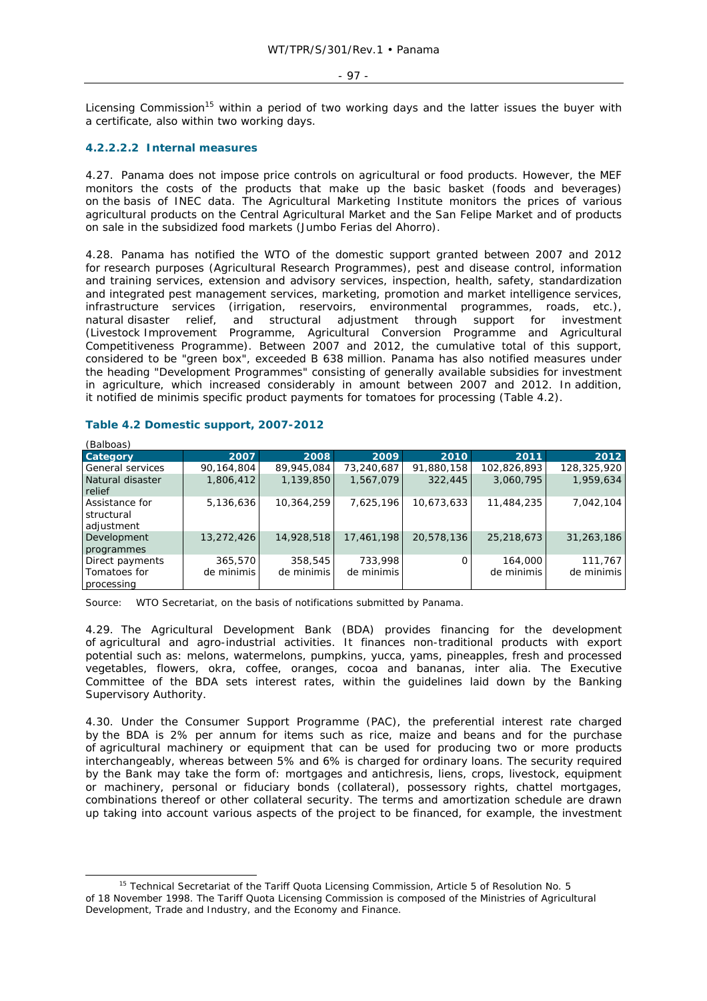#### - 97 -

Licensing Commission<sup>15</sup> within a period of two working days and the latter issues the buyer with a certificate, also within two working days.

# **4.2.2.2.2 Internal measures**

4.27. Panama does not impose price controls on agricultural or food products. However, the MEF monitors the costs of the products that make up the basic basket (foods and beverages) on the basis of INEC data. The Agricultural Marketing Institute monitors the prices of various agricultural products on the Central Agricultural Market and the San Felipe Market and of products on sale in the subsidized food markets (*Jumbo Ferias del Ahorro*).

4.28. Panama has notified the WTO of the domestic support granted between 2007 and 2012 for research purposes (Agricultural Research Programmes), pest and disease control, information and training services, extension and advisory services, inspection, health, safety, standardization and integrated pest management services, marketing, promotion and market intelligence services, infrastructure services (irrigation, reservoirs, environmental programmes, roads, etc.), natural disaster relief, and structural adjustment through support for investment (Livestock Improvement Programme, Agricultural Conversion Programme and Agricultural Competitiveness Programme). Between 2007 and 2012, the cumulative total of this support, considered to be "green box", exceeded B 638 million. Panama has also notified measures under the heading "Development Programmes" consisting of generally available subsidies for investment in agriculture, which increased considerably in amount between 2007 and 2012. In addition, it notified *de minimis* specific product payments for tomatoes for processing (Table 4.2).

| (Balboas)                                     |                       |                       |                       |            |                       |                       |
|-----------------------------------------------|-----------------------|-----------------------|-----------------------|------------|-----------------------|-----------------------|
| Category                                      | 2007                  | 2008                  | 2009                  | 2010       | 2011                  | 2012                  |
| <b>General services</b>                       | 90,164,804            | 89,945,084            | 73,240,687            | 91,880,158 | 102,826,893           | 128,325,920           |
| Natural disaster<br>relief                    | 1,806,412             | 1,139,850             | 1,567,079             | 322,445    | 3,060,795             | 1,959,634             |
| Assistance for<br>structural<br>adjustment    | 5,136,636             | 10,364,259            | 7,625,196             | 10,673,633 | 11,484,235            | 7,042,104             |
| Development<br>programmes                     | 13,272,426            | 14,928,518            | 17,461,198            | 20,578,136 | 25,218,673            | 31,263,186            |
| Direct payments<br>Tomatoes for<br>processing | 365,570<br>de minimis | 358,545<br>de minimis | 733,998<br>de minimis | O          | 164,000<br>de minimis | 111,767<br>de minimis |

### **Table 4.2 Domestic support, 2007-2012**

Source: WTO Secretariat, on the basis of notifications submitted by Panama.

4.29. The Agricultural Development Bank (BDA) provides financing for the development of agricultural and agro-industrial activities. It finances non-traditional products with export potential such as: melons, watermelons, pumpkins, yucca, yams, pineapples, fresh and processed vegetables, flowers, okra, coffee, oranges, cocoa and bananas, *inter alia*. The Executive Committee of the BDA sets interest rates, within the guidelines laid down by the Banking Supervisory Authority.

4.30. Under the Consumer Support Programme (PAC), the preferential interest rate charged by the BDA is 2% per annum for items such as rice, maize and beans and for the purchase of agricultural machinery or equipment that can be used for producing two or more products interchangeably, whereas between 5% and 6% is charged for ordinary loans. The security required by the Bank may take the form of: mortgages and antichresis, liens, crops, livestock, equipment or machinery, personal or fiduciary bonds (collateral), possessory rights, chattel mortgages, combinations thereof or other collateral security. The terms and amortization schedule are drawn up taking into account various aspects of the project to be financed, for example, the investment

<sup>&</sup>lt;sup>15</sup> Technical Secretariat of the Tariff Quota Licensing Commission, Article 5 of Resolution No. 5 of 18 November 1998. The Tariff Quota Licensing Commission is composed of the Ministries of Agricultural Development, Trade and Industry, and the Economy and Finance.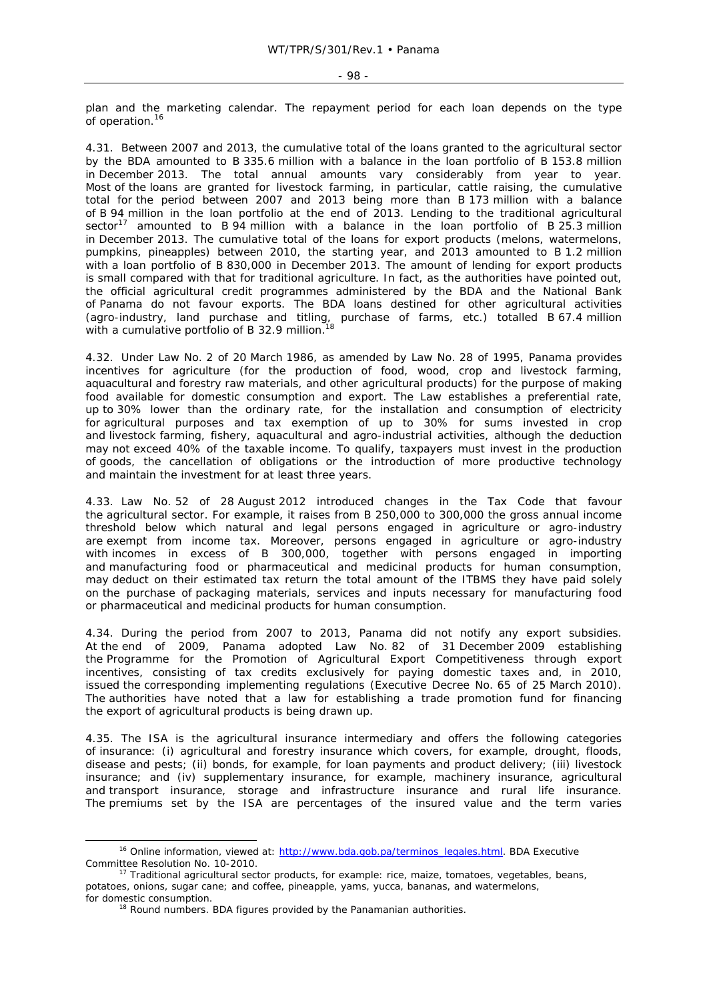plan and the marketing calendar. The repayment period for each loan depends on the type of operation.<sup>16</sup>

4.31. Between 2007 and 2013, the cumulative total of the loans granted to the agricultural sector by the BDA amounted to B 335.6 million with a balance in the loan portfolio of B 153.8 million in December 2013. The total annual amounts vary considerably from year to year. Most of the loans are granted for livestock farming, in particular, cattle raising, the cumulative total for the period between 2007 and 2013 being more than B 173 million with a balance of B 94 million in the loan portfolio at the end of 2013. Lending to the traditional agricultural sector<sup>17</sup> amounted to B 94 million with a balance in the loan portfolio of B 25.3 million in December 2013. The cumulative total of the loans for export products (melons, watermelons, pumpkins, pineapples) between 2010, the starting year, and 2013 amounted to B 1.2 million with a loan portfolio of B 830,000 in December 2013. The amount of lending for export products is small compared with that for traditional agriculture. In fact, as the authorities have pointed out, the official agricultural credit programmes administered by the BDA and the National Bank of Panama do not favour exports. The BDA loans destined for other agricultural activities (agro-industry, land purchase and titling, purchase of farms, etc.) totalled B 67.4 million with a cumulative portfolio of B 32.9 million.<sup>18</sup>

4.32. Under Law No. 2 of 20 March 1986, as amended by Law No. 28 of 1995, Panama provides incentives for agriculture (for the production of food, wood, crop and livestock farming, aquacultural and forestry raw materials, and other agricultural products) for the purpose of making food available for domestic consumption and export. The Law establishes a preferential rate, up to 30% lower than the ordinary rate, for the installation and consumption of electricity for agricultural purposes and tax exemption of up to 30% for sums invested in crop and livestock farming, fishery, aquacultural and agro-industrial activities, although the deduction may not exceed 40% of the taxable income. To qualify, taxpayers must invest in the production of goods, the cancellation of obligations or the introduction of more productive technology and maintain the investment for at least three years.

4.33. Law No. 52 of 28 August 2012 introduced changes in the Tax Code that favour the agricultural sector. For example, it raises from B 250,000 to 300,000 the gross annual income threshold below which natural and legal persons engaged in agriculture or agro-industry are exempt from income tax. Moreover, persons engaged in agriculture or agro-industry with incomes in excess of B 300,000, together with persons engaged in importing and manufacturing food or pharmaceutical and medicinal products for human consumption, may deduct on their estimated tax return the total amount of the ITBMS they have paid solely on the purchase of packaging materials, services and inputs necessary for manufacturing food or pharmaceutical and medicinal products for human consumption.

4.34. During the period from 2007 to 2013, Panama did not notify any export subsidies. At the end of 2009, Panama adopted Law No. 82 of 31 December 2009 establishing the Programme for the Promotion of Agricultural Export Competitiveness through export incentives, consisting of tax credits exclusively for paying domestic taxes and, in 2010, issued the corresponding implementing regulations (Executive Decree No. 65 of 25 March 2010). The authorities have noted that a law for establishing a trade promotion fund for financing the export of agricultural products is being drawn up.

4.35. The ISA is the agricultural insurance intermediary and offers the following categories of insurance: (i) agricultural and forestry insurance which covers, for example, drought, floods, disease and pests; (ii) bonds, for example, for loan payments and product delivery; (iii) livestock insurance; and (iv) supplementary insurance, for example, machinery insurance, agricultural and transport insurance, storage and infrastructure insurance and rural life insurance. The premiums set by the ISA are percentages of the insured value and the term varies

potatoes, onions, sugar cane; and coffee, pineapple, yams, yucca, bananas, and watermelons, for domestic consumption.<br><sup>18</sup> Round numbers. BDA figures provided by the Panamanian authorities.

<sup>&</sup>lt;sup>16</sup> Online information, viewed at: http://www.bda.gob.pa/terminos\_legales.html. BDA Executive Committee Resolution No. 10-2010.<br><sup>17</sup> Traditional agricultural sector products, for example: rice, maize, tomatoes, vegetables, beans,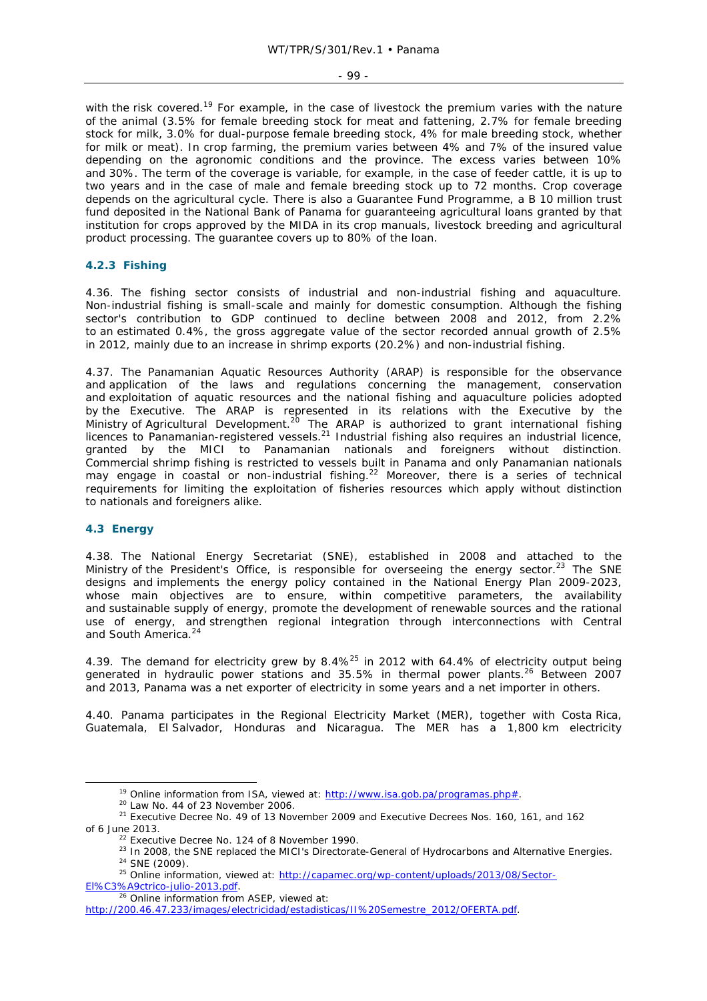### - 99 -

with the risk covered.<sup>19</sup> For example, in the case of livestock the premium varies with the nature of the animal (3.5% for female breeding stock for meat and fattening, 2.7% for female breeding stock for milk, 3.0% for dual-purpose female breeding stock, 4% for male breeding stock, whether for milk or meat). In crop farming, the premium varies between 4% and 7% of the insured value depending on the agronomic conditions and the province. The excess varies between 10% and 30%. The term of the coverage is variable, for example, in the case of feeder cattle, it is up to two years and in the case of male and female breeding stock up to 72 months. Crop coverage depends on the agricultural cycle. There is also a Guarantee Fund Programme, a B 10 million trust fund deposited in the National Bank of Panama for guaranteeing agricultural loans granted by that institution for crops approved by the MIDA in its crop manuals, livestock breeding and agricultural product processing. The guarantee covers up to 80% of the loan.

# **4.2.3 Fishing**

4.36. The fishing sector consists of industrial and non-industrial fishing and aquaculture. Non-industrial fishing is small-scale and mainly for domestic consumption. Although the fishing sector's contribution to GDP continued to decline between 2008 and 2012, from 2.2% to an estimated 0.4%, the gross aggregate value of the sector recorded annual growth of 2.5% in 2012, mainly due to an increase in shrimp exports (20.2%) and non-industrial fishing.

4.37. The Panamanian Aquatic Resources Authority (ARAP) is responsible for the observance and application of the laws and regulations concerning the management, conservation and exploitation of aquatic resources and the national fishing and aquaculture policies adopted by the Executive. The ARAP is represented in its relations with the Executive by the Ministry of Agricultural Development.<sup>20</sup> The ARAP is authorized to grant international fishing licences to Panamanian-registered vessels.21 Industrial fishing also requires an industrial licence, granted by the MICI to Panamanian nationals and foreigners without distinction. Commercial shrimp fishing is restricted to vessels built in Panama and only Panamanian nationals may engage in coastal or non-industrial fishing.<sup>22</sup> Moreover, there is a series of technical requirements for limiting the exploitation of fisheries resources which apply without distinction to nationals and foreigners alike.

### **4.3 Energy**

4.38. The National Energy Secretariat (SNE), established in 2008 and attached to the Ministry of the President's Office, is responsible for overseeing the energy sector.<sup>23</sup> The SNE designs and implements the energy policy contained in the National Energy Plan 2009-2023, whose main objectives are to ensure, within competitive parameters, the availability and sustainable supply of energy, promote the development of renewable sources and the rational use of energy, and strengthen regional integration through interconnections with Central and South America.<sup>24</sup>

4.39. The demand for electricity grew by 8.4%<sup>25</sup> in 2012 with 64.4% of electricity output being generated in hydraulic power stations and 35.5% in thermal power plants.<sup>26</sup> Between 2007 and 2013, Panama was a net exporter of electricity in some years and a net importer in others.

4.40. Panama participates in the Regional Electricity Market (MER), together with Costa Rica, Guatemala, El Salvador, Honduras and Nicaragua. The MER has a 1,800 km electricity

<sup>&</sup>lt;sup>19</sup> Online information from ISA, viewed at:  $\frac{http://www.isa.gov.pa/programs.php#}{20}$ <br>
<sup>20</sup> Law No. 44 of 23 November 2006.<br>
<sup>21</sup> Executive Decree No. 49 of 13 November 2009 and Executive Decrees Nos. 160, 161, and 162

of 6 June 2013.<br><sup>22</sup> Executive Decree No. 124 of 8 November 1990.<br><sup>23</sup> In 2008, the SNE replaced the MICI's Directorate-General of Hydrocarbons and Alternative Energies.<br><sup>24</sup> SNE (2009).<br><sup>25</sup> Online information, viewed at:

El%C3%A9ctrico-julio-2013.pdf.<br><sup>26</sup> Online information from ASEP, viewed at:

http://200.46.47.233/images/electricidad/estadisticas/II%20Semestre\_2012/OFERTA.pdf.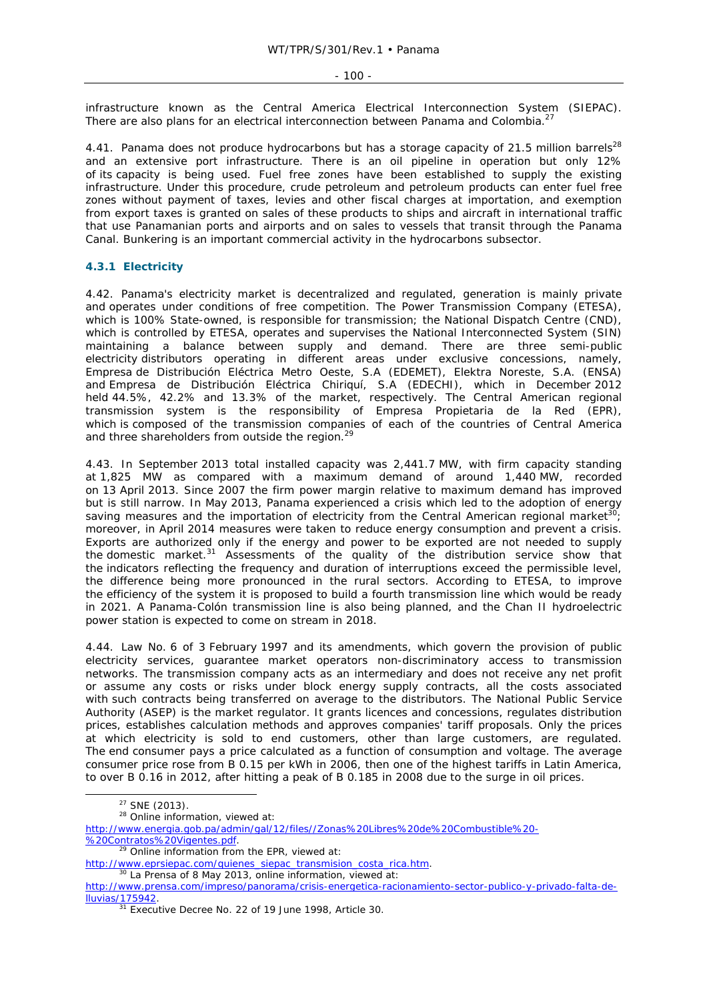infrastructure known as the Central America Electrical Interconnection System (SIEPAC). There are also plans for an electrical interconnection between Panama and Colombia.<sup>27</sup>

4.41. Panama does not produce hydrocarbons but has a storage capacity of 21.5 million barrels<sup>28</sup> and an extensive port infrastructure. There is an oil pipeline in operation but only 12% of its capacity is being used. Fuel free zones have been established to supply the existing infrastructure. Under this procedure, crude petroleum and petroleum products can enter fuel free zones without payment of taxes, levies and other fiscal charges at importation, and exemption from export taxes is granted on sales of these products to ships and aircraft in international traffic that use Panamanian ports and airports and on sales to vessels that transit through the Panama Canal. Bunkering is an important commercial activity in the hydrocarbons subsector.

## **4.3.1 Electricity**

4.42. Panama's electricity market is decentralized and regulated, generation is mainly private and operates under conditions of free competition. The Power Transmission Company (ETESA), which is 100% State-owned, is responsible for transmission; the National Dispatch Centre (CND), which is controlled by ETESA, operates and supervises the National Interconnected System (SIN) maintaining a balance between supply and demand. There are three semi-public electricity distributors operating in different areas under exclusive concessions, namely, Empresa de Distribución Eléctrica Metro Oeste, S.A (EDEMET), Elektra Noreste, S.A. (ENSA) and Empresa de Distribución Eléctrica Chiriquí, S.A (EDECHI), which in December 2012 held 44.5%, 42.2% and 13.3% of the market, respectively. The Central American regional transmission system is the responsibility of Empresa Propietaria de la Red (EPR), which is composed of the transmission companies of each of the countries of Central America and three shareholders from outside the region.<sup>29</sup>

4.43. In September 2013 total installed capacity was 2,441.7 MW, with firm capacity standing at 1,825 MW as compared with a maximum demand of around 1,440 MW, recorded on 13 April 2013. Since 2007 the firm power margin relative to maximum demand has improved but is still narrow. In May 2013, Panama experienced a crisis which led to the adoption of energy saving measures and the importation of electricity from the Central American regional market<sup>30</sup> moreover, in April 2014 measures were taken to reduce energy consumption and prevent a crisis. Exports are authorized only if the energy and power to be exported are not needed to supply the domestic market.31 Assessments of the quality of the distribution service show that the indicators reflecting the frequency and duration of interruptions exceed the permissible level, the difference being more pronounced in the rural sectors. According to ETESA, to improve the efficiency of the system it is proposed to build a fourth transmission line which would be ready in 2021. A Panama-Colón transmission line is also being planned, and the Chan II hydroelectric power station is expected to come on stream in 2018.

4.44. Law No. 6 of 3 February 1997 and its amendments, which govern the provision of public electricity services, guarantee market operators non-discriminatory access to transmission networks. The transmission company acts as an intermediary and does not receive any net profit or assume any costs or risks under block energy supply contracts, all the costs associated with such contracts being transferred on average to the distributors. The National Public Service Authority (ASEP) is the market regulator. It grants licences and concessions, regulates distribution prices, establishes calculation methods and approves companies' tariff proposals. Only the prices at which electricity is sold to end customers, other than large customers, are regulated. The end consumer pays a price calculated as a function of consumption and voltage. The average consumer price rose from B 0.15 per kWh in 2006, then one of the highest tariffs in Latin America, to over B 0.16 in 2012, after hitting a peak of B 0.185 in 2008 due to the surge in oil prices.

 $27$  SNE (2013).<br><sup>28</sup> Online information, viewed at:

http://www.energia.gob.pa/admin/gal/12/files//Zonas%20Libres%20de%20Combustible%20-

<sup>%20</sup>Contratos%20Vigentes.pdf.<br><sup>29</sup> Online information from the EPR, viewed at:

http://www.eprsiepac.com/quienes\_siepac\_transmision\_costa\_rica.htm. 30 *La Prensa* of 8 May 2013, online information, viewed at:

http://www.prensa.com/impreso/panorama/crisis-energetica-racionamiento-sector-publico-y-privado-falta-de-

 $31$  Executive Decree No. 22 of 19 June 1998, Article 30.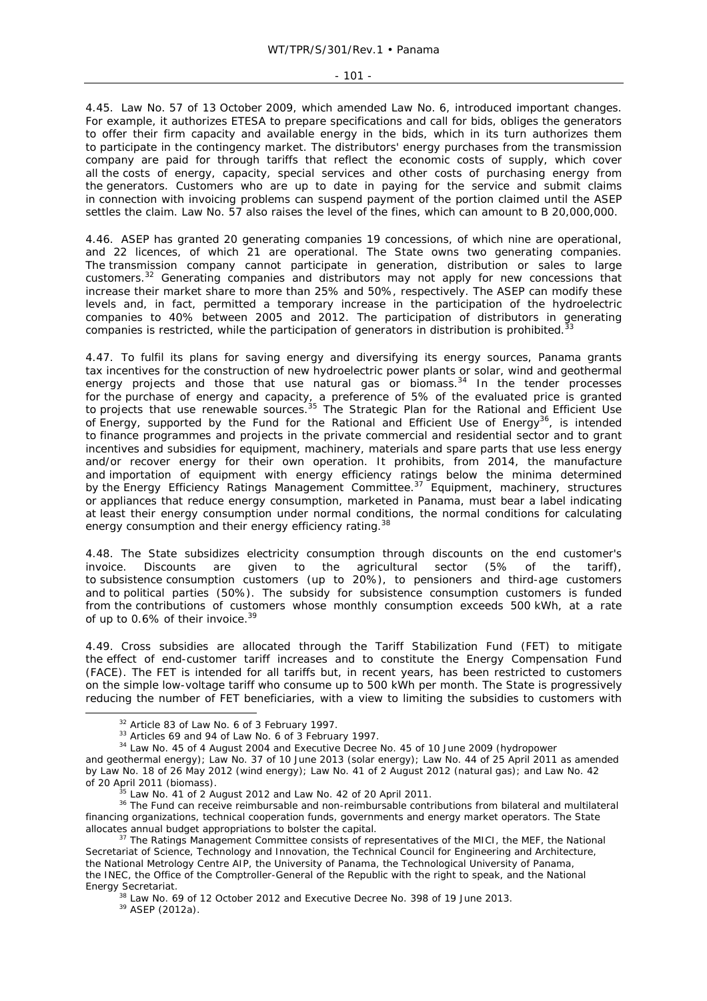#### - 101 -

4.45. Law No. 57 of 13 October 2009, which amended Law No. 6, introduced important changes. For example, it authorizes ETESA to prepare specifications and call for bids, obliges the generators to offer their firm capacity and available energy in the bids, which in its turn authorizes them to participate in the contingency market. The distributors' energy purchases from the transmission company are paid for through tariffs that reflect the economic costs of supply, which cover all the costs of energy, capacity, special services and other costs of purchasing energy from the generators. Customers who are up to date in paying for the service and submit claims in connection with invoicing problems can suspend payment of the portion claimed until the ASEP settles the claim. Law No. 57 also raises the level of the fines, which can amount to B 20,000,000.

4.46. ASEP has granted 20 generating companies 19 concessions, of which nine are operational, and 22 licences, of which 21 are operational. The State owns two generating companies. The transmission company cannot participate in generation, distribution or sales to large customers.32 Generating companies and distributors may not apply for new concessions that increase their market share to more than 25% and 50%, respectively. The ASEP can modify these levels and, in fact, permitted a temporary increase in the participation of the hydroelectric companies to 40% between 2005 and 2012. The participation of distributors in generating companies is restricted, while the participation of generators in distribution is prohibited.<sup>33</sup>

4.47. To fulfil its plans for saving energy and diversifying its energy sources, Panama grants tax incentives for the construction of new hydroelectric power plants or solar, wind and geothermal energy projects and those that use natural gas or biomass.<sup>34</sup> In the tender processes for the purchase of energy and capacity, a preference of 5% of the evaluated price is granted to projects that use renewable sources.<sup>35</sup> The Strategic Plan for the Rational and Efficient Use of Energy, supported by the Fund for the Rational and Efficient Use of Energy<sup>36</sup>, is intended to finance programmes and projects in the private commercial and residential sector and to grant incentives and subsidies for equipment, machinery, materials and spare parts that use less energy and/or recover energy for their own operation. It prohibits, from 2014, the manufacture and importation of equipment with energy efficiency ratings below the minima determined by the Energy Efficiency Ratings Management Committee.<sup>37</sup> Equipment, machinery, structures or appliances that reduce energy consumption, marketed in Panama, must bear a label indicating at least their energy consumption under normal conditions, the normal conditions for calculating energy consumption and their energy efficiency rating.<sup>38</sup>

4.48. The State subsidizes electricity consumption through discounts on the end customer's invoice. Discounts are given to the agricultural sector (5% of the tariff), to subsistence consumption customers (up to 20%), to pensioners and third-age customers and to political parties (50%). The subsidy for subsistence consumption customers is funded from the contributions of customers whose monthly consumption exceeds 500 kWh, at a rate of up to 0.6% of their invoice.<sup>39</sup>

4.49. Cross subsidies are allocated through the Tariff Stabilization Fund (FET) to mitigate the effect of end-customer tariff increases and to constitute the Energy Compensation Fund (FACE). The FET is intended for all tariffs but, in recent years, has been restricted to customers on the simple low-voltage tariff who consume up to 500 kWh per month. The State is progressively reducing the number of FET beneficiaries, with a view to limiting the subsidies to customers with

<sup>&</sup>lt;sup>32</sup> Article 83 of Law No. 6 of 3 February 1997.<br><sup>33</sup> Articles 69 and 94 of Law No. 6 of 3 February 1997.<br><sup>34</sup> Law No. 45 of 4 August 2004 and Executive Decree No. 45 of 10 June 2009 (hydropower

and geothermal energy); Law No. 37 of 10 June 2013 (solar energy); Law No. 44 of 25 April 2011 as amended by Law No. 18 of 26 May 2012 (wind energy); Law No. 41 of 2 August 2012 (natural gas); and Law No. 42 of 20 April 2011 (biomass).

 $\frac{35}{10}$  Law No. 41 of 2 August 2012 and Law No. 42 of 20 April 2011.<br> $\frac{36}{10}$  The Fund can receive reimbursable and non-reimbursable contributions from bilateral and multilateral financing organizations, technical cooperation funds, governments and energy market operators. The State<br>allocates annual budget appropriations to bolster the capital.<br><sup>37</sup> The Patings Management Cammittee assaids of resum

The Ratings Management Committee consists of representatives of the MICI, the MEF, the National Secretariat of Science, Technology and Innovation, the Technical Council for Engineering and Architecture, the National Metrology Centre AIP, the University of Panama, the Technological University of Panama, the INEC, the Office of the Comptroller-General of the Republic with the right to speak, and the National Energy Secretariat.<br><sup>38</sup> Law No. 69 of 12 October 2012 and Executive Decree No. 398 of 19 June 2013.<br><sup>39</sup> ASEP (2012a).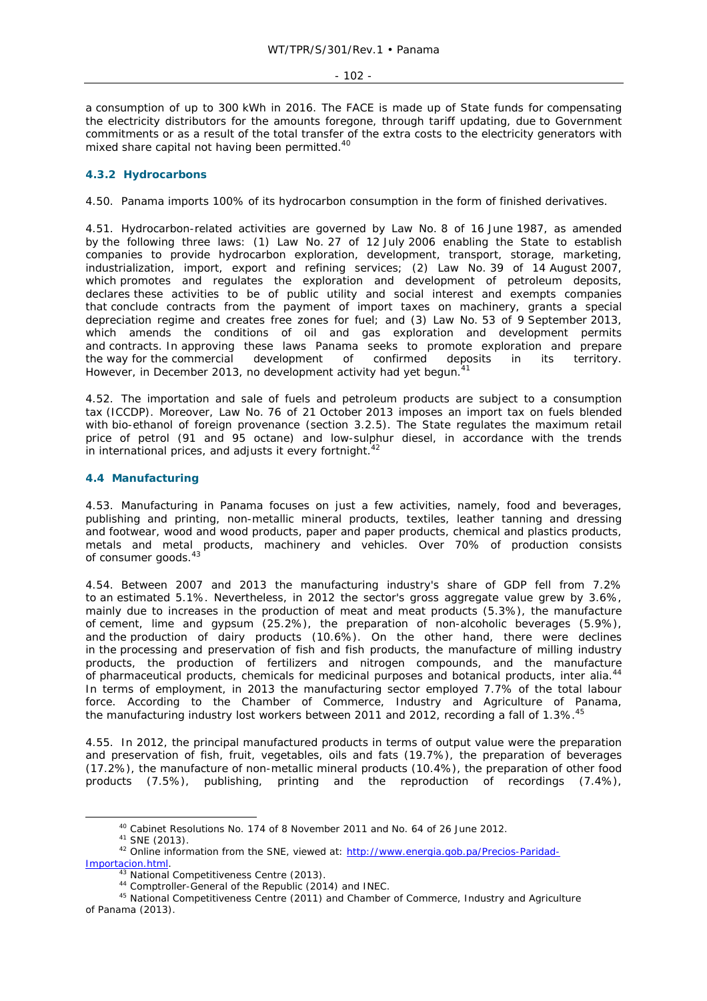a consumption of up to 300 kWh in 2016. The FACE is made up of State funds for compensating the electricity distributors for the amounts foregone, through tariff updating, due to Government commitments or as a result of the total transfer of the extra costs to the electricity generators with mixed share capital not having been permitted.<sup>40</sup>

# **4.3.2 Hydrocarbons**

4.50. Panama imports 100% of its hydrocarbon consumption in the form of finished derivatives.

4.51. Hydrocarbon-related activities are governed by Law No. 8 of 16 June 1987, as amended by the following three laws: (1) Law No. 27 of 12 July 2006 enabling the State to establish companies to provide hydrocarbon exploration, development, transport, storage, marketing, industrialization, import, export and refining services; (2) Law No. 39 of 14 August 2007, which promotes and regulates the exploration and development of petroleum deposits, declares these activities to be of public utility and social interest and exempts companies that conclude contracts from the payment of import taxes on machinery, grants a special depreciation regime and creates free zones for fuel; and (3) Law No. 53 of 9 September 2013, which amends the conditions of oil and gas exploration and development permits and contracts. In approving these laws Panama seeks to promote exploration and prepare the way for the commercial development of confirmed deposits in its territory. However, in December 2013, no development activity had yet begun.<sup>41</sup>

4.52. The importation and sale of fuels and petroleum products are subject to a consumption tax (ICCDP). Moreover, Law No. 76 of 21 October 2013 imposes an import tax on fuels blended with bio-ethanol of foreign provenance (section 3.2.5). The State regulates the maximum retail price of petrol (91 and 95 octane) and low-sulphur diesel, in accordance with the trends in international prices, and adjusts it every fortnight. $42$ 

## **4.4 Manufacturing**

4.53. Manufacturing in Panama focuses on just a few activities, namely, food and beverages, publishing and printing, non-metallic mineral products, textiles, leather tanning and dressing and footwear, wood and wood products, paper and paper products, chemical and plastics products, metals and metal products, machinery and vehicles. Over 70% of production consists of consumer goods.<sup>43</sup>

4.54. Between 2007 and 2013 the manufacturing industry's share of GDP fell from 7.2% to an estimated 5.1%. Nevertheless, in 2012 the sector's gross aggregate value grew by 3.6%, mainly due to increases in the production of meat and meat products (5.3%), the manufacture of cement, lime and gypsum (25.2%), the preparation of non-alcoholic beverages (5.9%), and the production of dairy products (10.6%). On the other hand, there were declines in the processing and preservation of fish and fish products, the manufacture of milling industry products, the production of fertilizers and nitrogen compounds, and the manufacture of pharmaceutical products, chemicals for medicinal purposes and botanical products, *inter alia.*<sup>44</sup> In terms of employment, in 2013 the manufacturing sector employed 7.7% of the total labour force. According to the Chamber of Commerce, Industry and Agriculture of Panama, the manufacturing industry lost workers between 2011 and 2012, recording a fall of 1.3%.<sup>45</sup>

4.55. In 2012, the principal manufactured products in terms of output value were the preparation and preservation of fish, fruit, vegetables, oils and fats (19.7%), the preparation of beverages (17.2%), the manufacture of non-metallic mineral products (10.4%), the preparation of other food products (7.5%), publishing, printing and the reproduction of recordings (7.4%),

<sup>40</sup> Cabinet Resolutions No. 174 of 8 November 2011 and No. 64 of 26 June 2012.<br>41 SNE (2013).<br>42 Online information from the SNE, viewed at: http://www.energia.gob.pa/Precios-Paridad-<br>Importacion.html.

<sup>&</sup>lt;sup>43</sup> National Competitiveness Centre (2013).  $144$  Comptroller-General of the Republic (2014) and INEC.  $45$  National Competitiveness Centre (2011) and Chamber of Commerce, Industry and Agriculture of Panama (2013).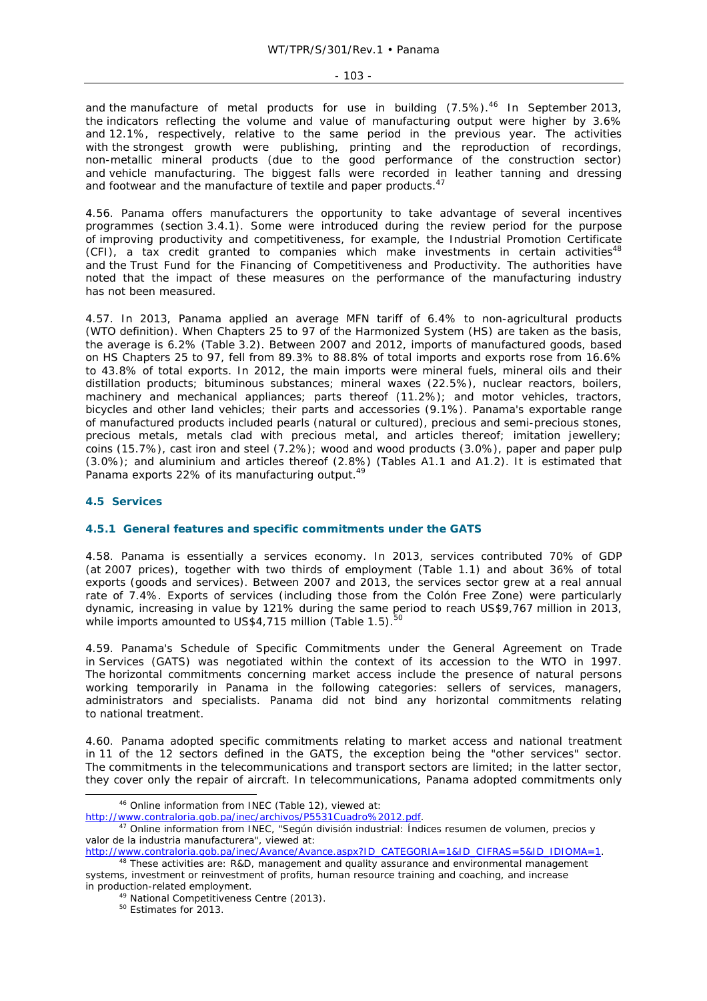and the manufacture of metal products for use in building  $(7.5\%)$ .<sup>46</sup> In September 2013, the indicators reflecting the volume and value of manufacturing output were higher by 3.6% and 12.1%, respectively, relative to the same period in the previous year. The activities with the strongest growth were publishing, printing and the reproduction of recordings, non-metallic mineral products (due to the good performance of the construction sector) and vehicle manufacturing. The biggest falls were recorded in leather tanning and dressing and footwear and the manufacture of textile and paper products.<sup>47</sup>

4.56. Panama offers manufacturers the opportunity to take advantage of several incentives programmes (section 3.4.1). Some were introduced during the review period for the purpose of improving productivity and competitiveness, for example, the Industrial Promotion Certificate (CFI), a tax credit granted to companies which make investments in certain activities<sup>48</sup> and the Trust Fund for the Financing of Competitiveness and Productivity. The authorities have noted that the impact of these measures on the performance of the manufacturing industry has not been measured.

4.57. In 2013, Panama applied an average MFN tariff of 6.4% to non-agricultural products (WTO definition). When Chapters 25 to 97 of the Harmonized System (HS) are taken as the basis, the average is 6.2% (Table 3.2). Between 2007 and 2012, imports of manufactured goods, based on HS Chapters 25 to 97, fell from 89.3% to 88.8% of total imports and exports rose from 16.6% to 43.8% of total exports. In 2012, the main imports were mineral fuels, mineral oils and their distillation products; bituminous substances; mineral waxes (22.5%), nuclear reactors, boilers, machinery and mechanical appliances; parts thereof (11.2%); and motor vehicles, tractors, bicycles and other land vehicles; their parts and accessories (9.1%). Panama's exportable range of manufactured products included pearls (natural or cultured), precious and semi-precious stones, precious metals, metals clad with precious metal, and articles thereof; imitation jewellery; coins (15.7%), cast iron and steel (7.2%); wood and wood products (3.0%), paper and paper pulp (3.0%); and aluminium and articles thereof (2.8%) (Tables A1.1 and A1.2). It is estimated that Panama exports 22% of its manufacturing output.<sup>49</sup>

## **4.5 Services**

## **4.5.1 General features and specific commitments under the GATS**

4.58. Panama is essentially a services economy. In 2013, services contributed 70% of GDP (at 2007 prices), together with two thirds of employment (Table 1.1) and about 36% of total exports (goods and services). Between 2007 and 2013, the services sector grew at a real annual rate of 7.4%. Exports of services (including those from the Colón Free Zone) were particularly dynamic, increasing in value by 121% during the same period to reach US\$9,767 million in 2013, while imports amounted to  $US\$ 4,715 million (Table 1.5).

4.59. Panama's Schedule of Specific Commitments under the General Agreement on Trade in Services (GATS) was negotiated within the context of its accession to the WTO in 1997. The horizontal commitments concerning market access include the presence of natural persons working temporarily in Panama in the following categories: sellers of services, managers, administrators and specialists. Panama did not bind any horizontal commitments relating to national treatment.

4.60. Panama adopted specific commitments relating to market access and national treatment in 11 of the 12 sectors defined in the GATS, the exception being the "other services" sector. The commitments in the telecommunications and transport sectors are limited; in the latter sector, they cover only the repair of aircraft. In telecommunications, Panama adopted commitments only

 <sup>46</sup> Online information from INEC (Table 12), viewed at:

http://www.contraloria.gob.pa/inec/archivos/P5531Cuadro%2012.pdf. 47 Online information from INEC, "*Según división industrial: Índices resumen de volumen, precios y valor de la industria manufacturera*", viewed at:

http://www.contraloria.gob.pa/inec/Avance/Avance.aspx?ID\_CATEGORIA=1&ID\_CIFRAS=5&ID\_IDIOMA=1.<br><sup>48</sup> These activities are: R&D, management and quality assurance and environmental management

systems, investment or reinvestment of profits, human resource training and coaching, and increase

in production-related employment.<br>
<sup>49</sup> National Competitiveness Centre (2013).<br>
<sup>50</sup> Estimates for 2013.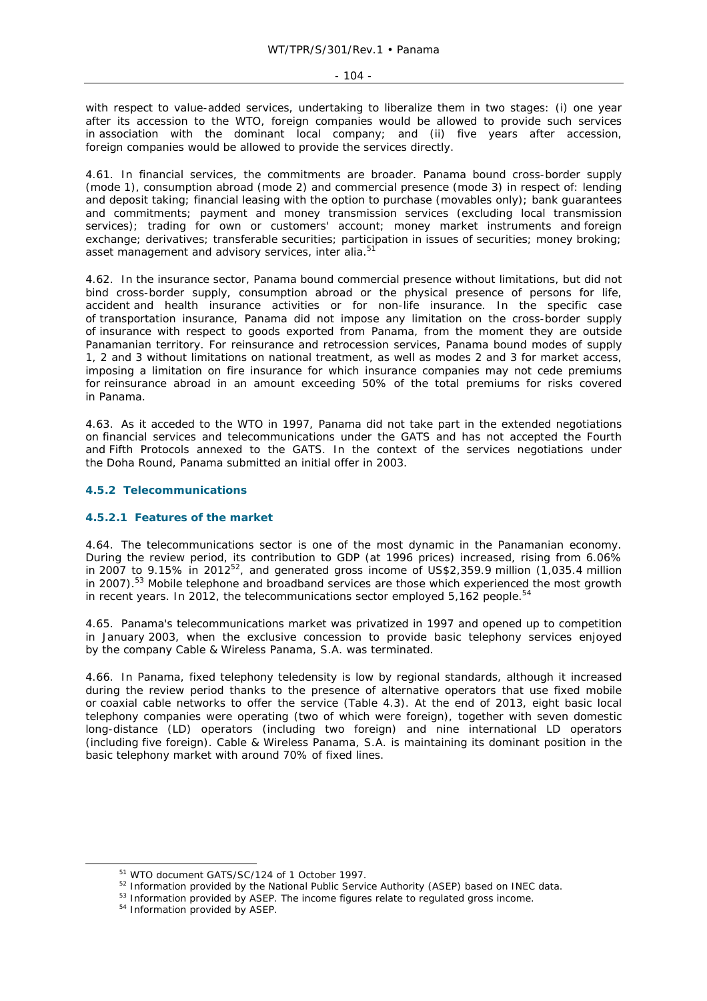$-104 -$ 

with respect to value-added services, undertaking to liberalize them in two stages: (i) one year after its accession to the WTO, foreign companies would be allowed to provide such services in association with the dominant local company; and (ii) five years after accession, foreign companies would be allowed to provide the services directly.

4.61. In financial services, the commitments are broader. Panama bound cross-border supply (mode 1), consumption abroad (mode 2) and commercial presence (mode 3) in respect of: lending and deposit taking; financial leasing with the option to purchase (movables only); bank guarantees and commitments; payment and money transmission services (excluding local transmission services); trading for own or customers' account; money market instruments and foreign exchange; derivatives; transferable securities; participation in issues of securities; money broking; asset management and advisory services, *inter alia.*<sup>51</sup>

4.62. In the insurance sector, Panama bound commercial presence without limitations, but did not bind cross-border supply, consumption abroad or the physical presence of persons for life, accident and health insurance activities or for non-life insurance. In the specific case of transportation insurance, Panama did not impose any limitation on the cross-border supply of insurance with respect to goods exported from Panama, from the moment they are outside Panamanian territory. For reinsurance and retrocession services, Panama bound modes of supply 1, 2 and 3 without limitations on national treatment, as well as modes 2 and 3 for market access, imposing a limitation on fire insurance for which insurance companies may not cede premiums for reinsurance abroad in an amount exceeding 50% of the total premiums for risks covered in Panama.

4.63. As it acceded to the WTO in 1997, Panama did not take part in the extended negotiations on financial services and telecommunications under the GATS and has not accepted the Fourth and Fifth Protocols annexed to the GATS. In the context of the services negotiations under the Doha Round, Panama submitted an initial offer in 2003.

## **4.5.2 Telecommunications**

### **4.5.2.1 Features of the market**

4.64. The telecommunications sector is one of the most dynamic in the Panamanian economy. During the review period, its contribution to GDP (at 1996 prices) increased, rising from 6.06% in 2007 to 9.15% in 201252, and generated gross income of US\$2,359.9 million (1,035.4 million in 2007).<sup>53</sup> Mobile telephone and broadband services are those which experienced the most growth in recent years. In 2012, the telecommunications sector employed  $5.162$  people.<sup>54</sup>

4.65. Panama's telecommunications market was privatized in 1997 and opened up to competition in January 2003, when the exclusive concession to provide basic telephony services enjoyed by the company Cable & Wireless Panama, S.A. was terminated.

4.66. In Panama, fixed telephony teledensity is low by regional standards, although it increased during the review period thanks to the presence of alternative operators that use fixed mobile or coaxial cable networks to offer the service (Table 4.3). At the end of 2013, eight basic local telephony companies were operating (two of which were foreign), together with seven domestic long-distance (LD) operators (including two foreign) and nine international LD operators (including five foreign). Cable & Wireless Panama, S.A. is maintaining its dominant position in the basic telephony market with around 70% of fixed lines.

<sup>&</sup>lt;sup>51</sup> WTO document GATS/SC/124 of 1 October 1997.<br><sup>52</sup> Information provided by the National Public Service Authority (ASEP) based on INEC data.<br><sup>53</sup> Information provided by ASEP. The income figures relate to regulated gros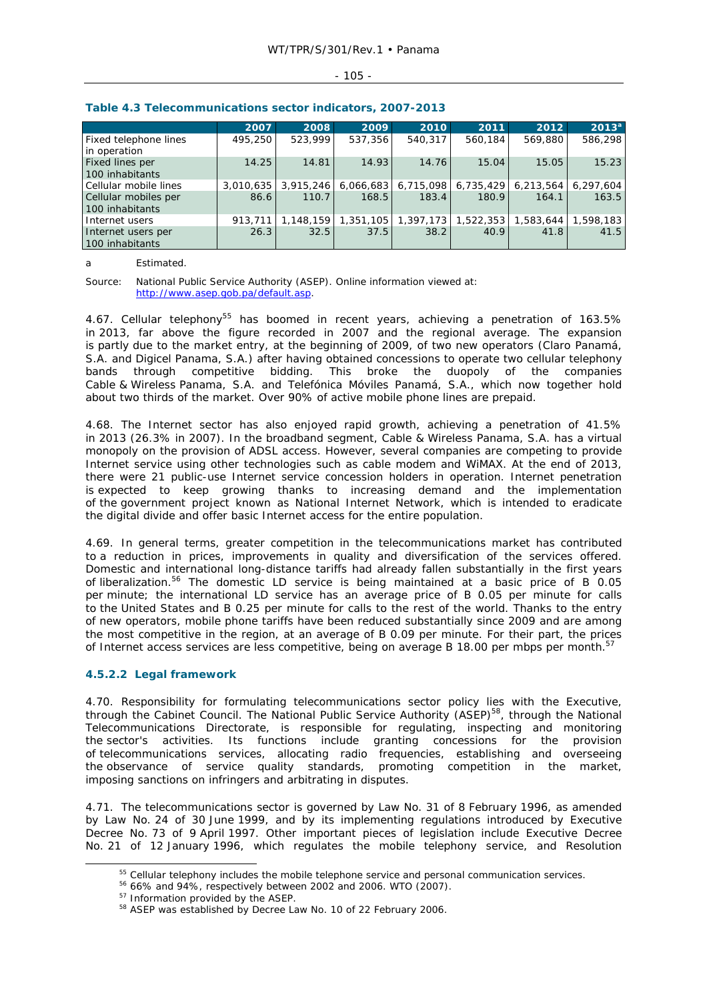### $-105 -$

|                                         | 2007      | 2008      | 2009      | 2010                | 2011      | 2012      | $2013^a$  |
|-----------------------------------------|-----------|-----------|-----------|---------------------|-----------|-----------|-----------|
| Fixed telephone lines<br>in operation   | 495,250   | 523,999   | 537,356   | 540.317             | 560,184   | 569,880   | 586,298   |
| Fixed lines per<br>100 inhabitants      | 14.25     | 14.81     | 14.93     | 14.76               | 15.04     | 15.05     | 15.23     |
| Cellular mobile lines                   | 3.010.635 | 3,915,246 |           | 6,066,683 6,715,098 | 6,735,429 | 6,213,564 | 6,297,604 |
| Cellular mobiles per<br>100 inhabitants | 86.6      | 110.7     | 168.5     | 183.4               | 180.9     | 164.1     | 163.5     |
| I Internet users                        | 913,711   | 1.148.159 | 1,351,105 | 1,397,173 1,522,353 |           | 1,583,644 | 1,598,183 |
| Internet users per<br>100 inhabitants   | 26.3      | 32.5      | 37.5      | 38.2                | 40.9      | 41.8      | 41.5      |

### **Table 4.3 Telecommunications sector indicators, 2007-2013**

a Estimated.

Source: National Public Service Authority (ASEP). Online information viewed at: http://www.asep.gob.pa/default.asp.

4.67. Cellular telephony<sup>55</sup> has boomed in recent years, achieving a penetration of 163.5% in 2013, far above the figure recorded in 2007 and the regional average. The expansion is partly due to the market entry, at the beginning of 2009, of two new operators (Claro Panamá, S.A. and Digicel Panama, S.A.) after having obtained concessions to operate two cellular telephony bands through competitive bidding. This broke the duopoly of the companies Cable & Wireless Panama, S.A. and Telefónica Móviles Panamá, S.A., which now together hold about two thirds of the market. Over 90% of active mobile phone lines are prepaid.

4.68. The Internet sector has also enjoyed rapid growth, achieving a penetration of 41.5% in 2013 (26.3% in 2007). In the broadband segment, Cable & Wireless Panama, S.A. has a virtual monopoly on the provision of ADSL access. However, several companies are competing to provide Internet service using other technologies such as cable modem and WiMAX. At the end of 2013, there were 21 public-use Internet service concession holders in operation. Internet penetration is expected to keep growing thanks to increasing demand and the implementation of the government project known as National Internet Network, which is intended to eradicate the digital divide and offer basic Internet access for the entire population.

4.69. In general terms, greater competition in the telecommunications market has contributed to a reduction in prices, improvements in quality and diversification of the services offered. Domestic and international long-distance tariffs had already fallen substantially in the first years of liberalization.<sup>56</sup> The domestic LD service is being maintained at a basic price of B 0.05 per minute; the international LD service has an average price of B 0.05 per minute for calls to the United States and B 0.25 per minute for calls to the rest of the world. Thanks to the entry of new operators, mobile phone tariffs have been reduced substantially since 2009 and are among the most competitive in the region, at an average of B 0.09 per minute. For their part, the prices of Internet access services are less competitive, being on average B 18.00 per mbps per month.<sup>5</sup>

# **4.5.2.2 Legal framework**

4.70. Responsibility for formulating telecommunications sector policy lies with the Executive, through the Cabinet Council. The National Public Service Authority (ASEP)<sup>58</sup>, through the National Telecommunications Directorate, is responsible for regulating, inspecting and monitoring the sector's activities. Its functions include granting concessions for the provision of telecommunications services, allocating radio frequencies, establishing and overseeing the observance of service quality standards, promoting competition in the market, imposing sanctions on infringers and arbitrating in disputes.

4.71. The telecommunications sector is governed by Law No. 31 of 8 February 1996, as amended by Law No. 24 of 30 June 1999, and by its implementing regulations introduced by Executive Decree No. 73 of 9 April 1997. Other important pieces of legislation include Executive Decree No. 21 of 12 January 1996, which regulates the mobile telephony service, and Resolution

<sup>&</sup>lt;sup>55</sup> Cellular telephony includes the mobile telephone service and personal communication services.<br><sup>56</sup> 66% and 94%, respectively between 2002 and 2006. WTO (2007).<br><sup>57</sup> Information provided by the ASEP.<br><sup>58</sup> ASEP was est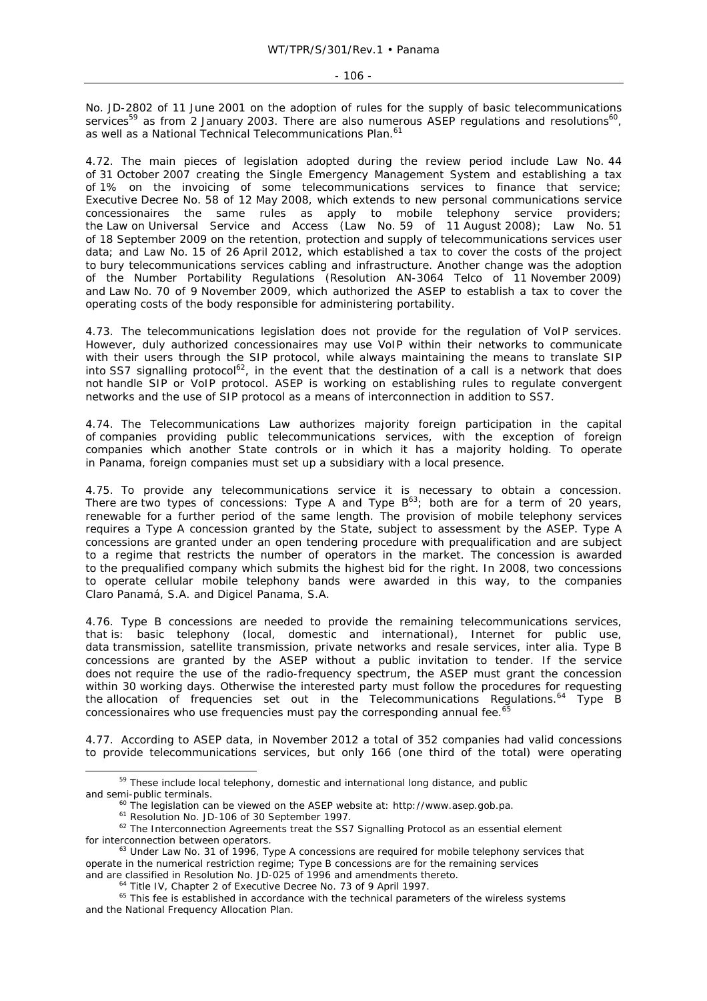No. JD-2802 of 11 June 2001 on the adoption of rules for the supply of basic telecommunications services<sup>59</sup> as from 2 January 2003. There are also numerous ASEP regulations and resolutions<sup>60</sup>, as well as a National Technical Telecommunications Plan.<sup>61</sup>

4.72. The main pieces of legislation adopted during the review period include Law No. 44 of 31 October 2007 creating the Single Emergency Management System and establishing a tax of 1% on the invoicing of some telecommunications services to finance that service; Executive Decree No. 58 of 12 May 2008, which extends to new personal communications service concessionaires the same rules as apply to mobile telephony service providers; the Law on Universal Service and Access (Law No. 59 of 11 August 2008); Law No. 51 of 18 September 2009 on the retention, protection and supply of telecommunications services user data; and Law No. 15 of 26 April 2012, which established a tax to cover the costs of the project to bury telecommunications services cabling and infrastructure. Another change was the adoption of the Number Portability Regulations (Resolution AN-3064 Telco of 11 November 2009) and Law No. 70 of 9 November 2009, which authorized the ASEP to establish a tax to cover the operating costs of the body responsible for administering portability.

4.73. The telecommunications legislation does not provide for the regulation of VoIP services. However, duly authorized concessionaires may use VoIP within their networks to communicate with their users through the SIP protocol, while always maintaining the means to translate SIP into SS7 signalling protocol<sup>62</sup>, in the event that the destination of a call is a network that does not handle SIP or VoIP protocol. ASEP is working on establishing rules to regulate convergent networks and the use of SIP protocol as a means of interconnection in addition to SS7.

4.74. The Telecommunications Law authorizes majority foreign participation in the capital of companies providing public telecommunications services, with the exception of foreign companies which another State controls or in which it has a majority holding. To operate in Panama, foreign companies must set up a subsidiary with a local presence.

4.75. To provide any telecommunications service it is necessary to obtain a concession. There are two types of concessions: Type A and Type B<sup>63</sup>; both are for a term of 20 years, renewable for a further period of the same length. The provision of mobile telephony services requires a Type A concession granted by the State, subject to assessment by the ASEP. Type A concessions are granted under an open tendering procedure with prequalification and are subject to a regime that restricts the number of operators in the market. The concession is awarded to the prequalified company which submits the highest bid for the right. In 2008, two concessions to operate cellular mobile telephony bands were awarded in this way, to the companies Claro Panamá, S.A. and Digicel Panama, S.A.

4.76. Type B concessions are needed to provide the remaining telecommunications services, that is: basic telephony (local, domestic and international), Internet for public use, data transmission, satellite transmission, private networks and resale services, *inter alia*. Type B concessions are granted by the ASEP without a public invitation to tender. If the service does not require the use of the radio-frequency spectrum, the ASEP must grant the concession within 30 working days. Otherwise the interested party must follow the procedures for requesting the allocation of frequencies set out in the Telecommunications Regulations.64 Type B concessionaires who use frequencies must pay the corresponding annual fee.<sup>65</sup>

4.77. According to ASEP data, in November 2012 a total of 352 companies had valid concessions to provide telecommunications services, but only 166 (one third of the total) were operating

<sup>&</sup>lt;sup>59</sup> These include local telephony, domestic and international long distance, and public and semi-public terminals.<br>
<sup>60</sup> The legislation can be viewed on the ASEP website at: http://www.asep.gob.pa.<br>
<sup>61</sup> Resolution No. JD-106 of 30 September 1997.<br>
<sup>62</sup> The Interconnection Agreements treat the SS7 Signallin

for interconnection between operators.<br><sup>63</sup> Under Law No. 31 of 1996, Type A concessions are required for mobile telephony services that

operate in the numerical restriction regime; Type B concessions are for the remaining services

and are classified in Resolution No. JD-025 of 1996 and amendments thereto.<br><sup>64</sup> Title IV, Chapter 2 of Executive Decree No. 73 of 9 April 1997.<br><sup>65</sup> This fee is established in accordance with the technical parameters of t and the National Frequency Allocation Plan.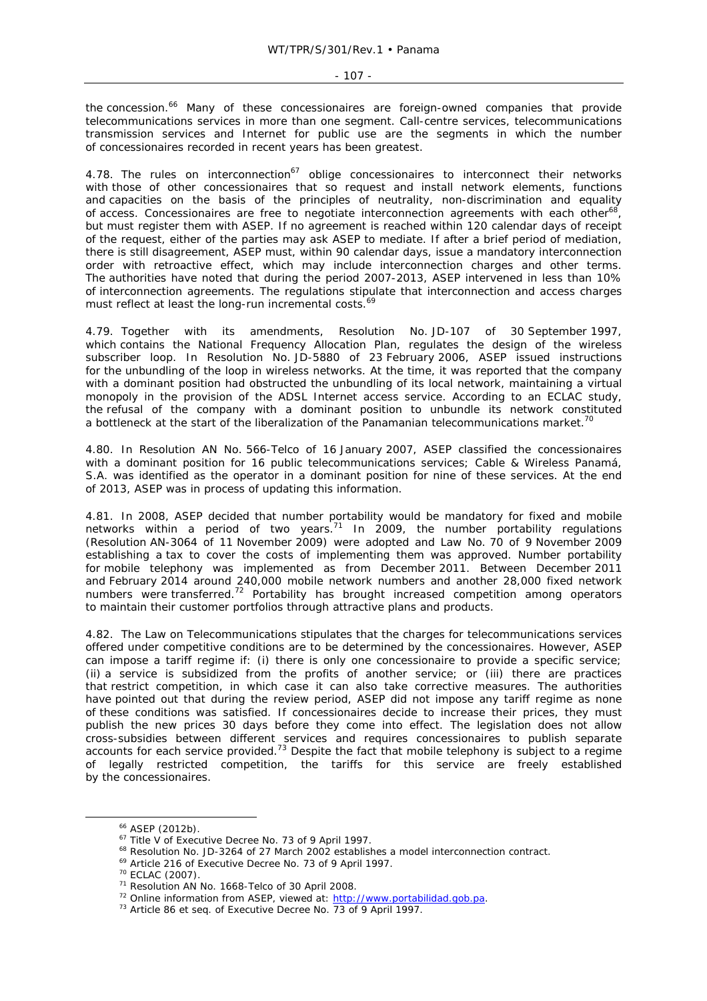the concession.<sup>66</sup> Many of these concessionaires are foreign-owned companies that provide telecommunications services in more than one segment. Call-centre services, telecommunications transmission services and Internet for public use are the segments in which the number of concessionaires recorded in recent years has been greatest.

4.78. The rules on interconnection $67$  oblige concessionaires to interconnect their networks with those of other concessionaires that so request and install network elements, functions and capacities on the basis of the principles of neutrality, non-discrimination and equality of access. Concessionaires are free to negotiate interconnection agreements with each other<sup>68</sup> but must register them with ASEP. If no agreement is reached within 120 calendar days of receipt of the request, either of the parties may ask ASEP to mediate. If after a brief period of mediation, there is still disagreement, ASEP must, within 90 calendar days, issue a mandatory interconnection order with retroactive effect, which may include interconnection charges and other terms. The authorities have noted that during the period 2007-2013, ASEP intervened in less than 10% of interconnection agreements. The regulations stipulate that interconnection and access charges must reflect at least the long-run incremental costs.<sup>69</sup>

4.79. Together with its amendments, Resolution No. JD-107 of 30 September 1997, which contains the National Frequency Allocation Plan, regulates the design of the wireless subscriber loop. In Resolution No. JD-5880 of 23 February 2006, ASEP issued instructions for the unbundling of the loop in wireless networks. At the time, it was reported that the company with a dominant position had obstructed the unbundling of its local network, maintaining a virtual monopoly in the provision of the ADSL Internet access service. According to an ECLAC study, the refusal of the company with a dominant position to unbundle its network constituted a bottleneck at the start of the liberalization of the Panamanian telecommunications market.<sup>70</sup>

4.80. In Resolution AN No. 566-Telco of 16 January 2007, ASEP classified the concessionaires with a dominant position for 16 public telecommunications services; Cable & Wireless Panamá, S.A. was identified as the operator in a dominant position for nine of these services. At the end of 2013, ASEP was in process of updating this information.

4.81. In 2008, ASEP decided that number portability would be mandatory for fixed and mobile networks within a period of two years. $71$  In 2009, the number portability regulations (Resolution AN-3064 of 11 November 2009) were adopted and Law No. 70 of 9 November 2009 establishing a tax to cover the costs of implementing them was approved. Number portability for mobile telephony was implemented as from December 2011. Between December 2011 and February 2014 around 240,000 mobile network numbers and another 28,000 fixed network numbers were transferred.<sup>72</sup> Portability has brought increased competition among operators to maintain their customer portfolios through attractive plans and products.

4.82. The Law on Telecommunications stipulates that the charges for telecommunications services offered under competitive conditions are to be determined by the concessionaires. However, ASEP can impose a tariff regime if: (i) there is only one concessionaire to provide a specific service; (ii) a service is subsidized from the profits of another service; or (iii) there are practices that restrict competition, in which case it can also take corrective measures. The authorities have pointed out that during the review period, ASEP did not impose any tariff regime as none of these conditions was satisfied. If concessionaires decide to increase their prices, they must publish the new prices 30 days before they come into effect. The legislation does not allow cross-subsidies between different services and requires concessionaires to publish separate accounts for each service provided.73 Despite the fact that mobile telephony is subject to a regime of legally restricted competition, the tariffs for this service are freely established by the concessionaires.

<sup>&</sup>lt;sup>66</sup> ASEP (2012b).<br>
<sup>67</sup> Title V of Executive Decree No. 73 of 9 April 1997.<br>
<sup>68</sup> Resolution No. JD-3264 of 27 March 2002 establishes a model interconnection contract.<br>
<sup>69</sup> Article 216 of Executive Decree No. 73 of 9 Ap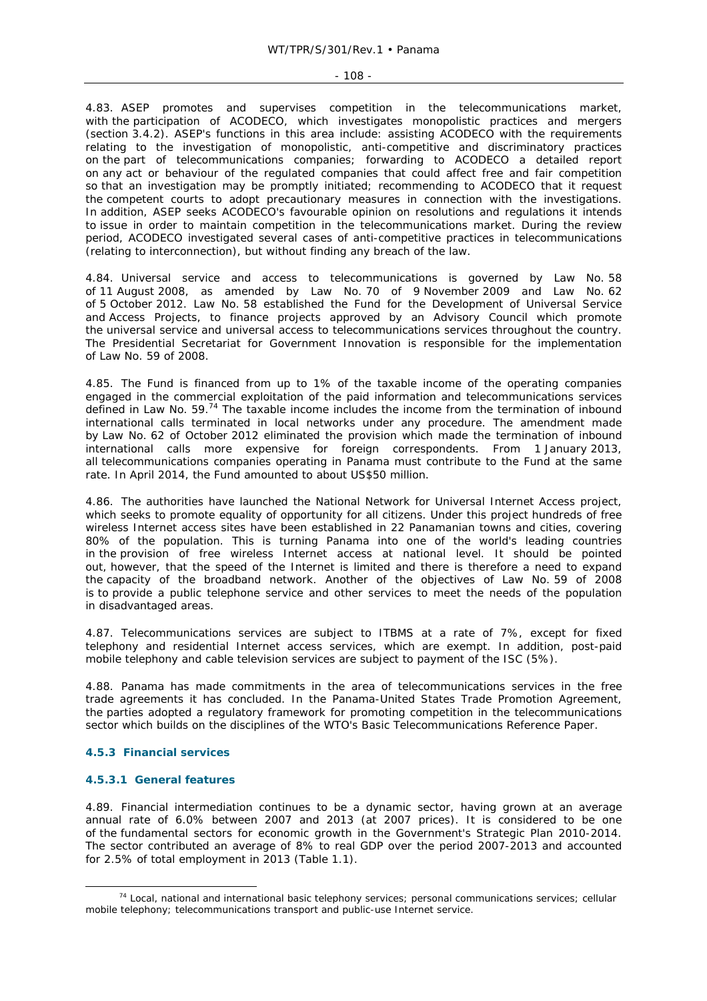#### $-108 -$

4.83. ASEP promotes and supervises competition in the telecommunications market, with the participation of ACODECO, which investigates monopolistic practices and mergers (section 3.4.2). ASEP's functions in this area include: assisting ACODECO with the requirements relating to the investigation of monopolistic, anti-competitive and discriminatory practices on the part of telecommunications companies; forwarding to ACODECO a detailed report on any act or behaviour of the regulated companies that could affect free and fair competition so that an investigation may be promptly initiated; recommending to ACODECO that it request the competent courts to adopt precautionary measures in connection with the investigations. In addition, ASEP seeks ACODECO's favourable opinion on resolutions and regulations it intends to issue in order to maintain competition in the telecommunications market. During the review period, ACODECO investigated several cases of anti-competitive practices in telecommunications (relating to interconnection), but without finding any breach of the law.

4.84. Universal service and access to telecommunications is governed by Law No. 58 of 11 August 2008, as amended by Law No. 70 of 9 November 2009 and Law No. 62 of 5 October 2012. Law No. 58 established the Fund for the Development of Universal Service and Access Projects, to finance projects approved by an Advisory Council which promote the universal service and universal access to telecommunications services throughout the country. The Presidential Secretariat for Government Innovation is responsible for the implementation of Law No. 59 of 2008.

4.85. The Fund is financed from up to 1% of the taxable income of the operating companies engaged in the commercial exploitation of the paid information and telecommunications services defined in Law No. 59.<sup>74</sup> The taxable income includes the income from the termination of inbound international calls terminated in local networks under any procedure. The amendment made by Law No. 62 of October 2012 eliminated the provision which made the termination of inbound international calls more expensive for foreign correspondents. From 1 January 2013, all telecommunications companies operating in Panama must contribute to the Fund at the same rate. In April 2014, the Fund amounted to about US\$50 million.

4.86. The authorities have launched the National Network for Universal Internet Access project, which seeks to promote equality of opportunity for all citizens. Under this project hundreds of free wireless Internet access sites have been established in 22 Panamanian towns and cities, covering 80% of the population. This is turning Panama into one of the world's leading countries in the provision of free wireless Internet access at national level. It should be pointed out, however, that the speed of the Internet is limited and there is therefore a need to expand the capacity of the broadband network. Another of the objectives of Law No. 59 of 2008 is to provide a public telephone service and other services to meet the needs of the population in disadvantaged areas.

4.87. Telecommunications services are subject to ITBMS at a rate of 7%, except for fixed telephony and residential Internet access services, which are exempt. In addition, post-paid mobile telephony and cable television services are subject to payment of the ISC (5%).

4.88. Panama has made commitments in the area of telecommunications services in the free trade agreements it has concluded. In the Panama-United States Trade Promotion Agreement, the parties adopted a regulatory framework for promoting competition in the telecommunications sector which builds on the disciplines of the WTO's Basic Telecommunications Reference Paper.

### **4.5.3 Financial services**

### **4.5.3.1 General features**

4.89. Financial intermediation continues to be a dynamic sector, having grown at an average annual rate of 6.0% between 2007 and 2013 (at 2007 prices). It is considered to be one of the fundamental sectors for economic growth in the Government's Strategic Plan 2010-2014. The sector contributed an average of 8% to real GDP over the period 2007-2013 and accounted for 2.5% of total employment in 2013 (Table 1.1).

 <sup>74</sup> Local, national and international basic telephony services; personal communications services; cellular mobile telephony; telecommunications transport and public-use Internet service.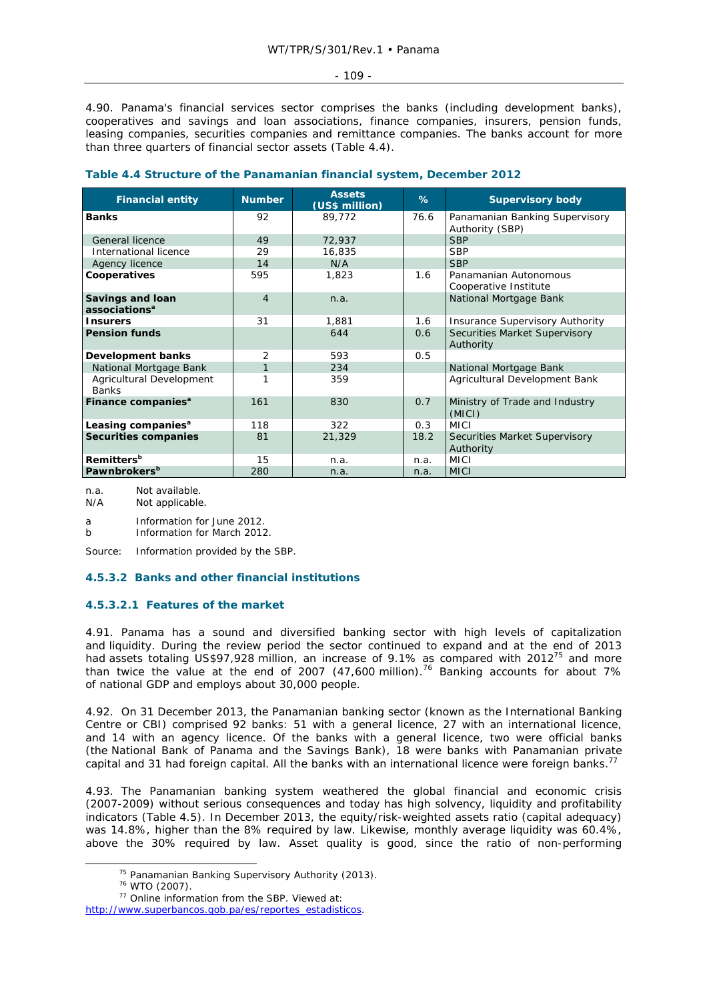4.90. Panama's financial services sector comprises the banks (including development banks), cooperatives and savings and loan associations, finance companies, insurers, pension funds, leasing companies, securities companies and remittance companies. The banks account for more than three quarters of financial sector assets (Table 4.4).

| <b>Financial entity</b>                       | <b>Number</b>  | <b>Assets</b><br>(US\$ million) | %    | <b>Supervisory body</b>                           |
|-----------------------------------------------|----------------|---------------------------------|------|---------------------------------------------------|
| <b>Banks</b>                                  | 92             | 89,772                          | 76.6 | Panamanian Banking Supervisory<br>Authority (SBP) |
| General licence                               | 49             | 72,937                          |      | <b>SBP</b>                                        |
| International licence                         | 29             | 16,835                          |      | <b>SBP</b>                                        |
| Agency licence                                | 14             | N/A                             |      | <b>SBP</b>                                        |
| Cooperatives                                  | 595            | 1,823                           | 1.6  | Panamanian Autonomous<br>Cooperative Institute    |
| Savings and loan<br>associations <sup>a</sup> | $\overline{4}$ | n.a.                            |      | National Mortgage Bank                            |
| <b>Insurers</b>                               | 31             | 1,881                           | 1.6  | <b>Insurance Supervisory Authority</b>            |
| <b>Pension funds</b>                          |                | 644                             | 0.6  | Securities Market Supervisory<br>Authority        |
| Development banks                             | 2              | 593                             | 0.5  |                                                   |
| National Mortgage Bank                        |                | 234                             |      | National Mortgage Bank                            |
| Agricultural Development<br><b>Banks</b>      |                | 359                             |      | Agricultural Development Bank                     |
| Finance companies <sup>a</sup>                | 161            | 830                             | 0.7  | Ministry of Trade and Industry<br>(MICI)          |
| Leasing companies <sup>a</sup>                | 118            | 322                             | 0.3  | <b>MICI</b>                                       |
| <b>Securities companies</b>                   | 81             | 21,329                          | 18.2 | Securities Market Supervisory<br>Authority        |
| <b>Remitters</b> <sup>b</sup>                 | 15             | n.a.                            | n.a. | <b>MICI</b>                                       |
| Pawnbrokers <sup>b</sup>                      | 280            | n.a.                            | n.a. | <b>MICI</b>                                       |

## **Table 4.4 Structure of the Panamanian financial system, December 2012**

n.a. Not available.

N/A Not applicable.

a Information for June 2012.

b Information for March 2012.

Source: Information provided by the SBP.

# **4.5.3.2 Banks and other financial institutions**

# **4.5.3.2.1 Features of the market**

4.91. Panama has a sound and diversified banking sector with high levels of capitalization and liquidity. During the review period the sector continued to expand and at the end of 2013 had assets totaling US\$97,928 million, an increase of 9.1% as compared with 2012<sup>75</sup> and more than twice the value at the end of 2007 (47,600 million).<sup>76</sup> Banking accounts for about 7% of national GDP and employs about 30,000 people.

4.92. On 31 December 2013, the Panamanian banking sector (known as the International Banking Centre or CBI) comprised 92 banks: 51 with a general licence, 27 with an international licence, and 14 with an agency licence. Of the banks with a general licence, two were official banks (the National Bank of Panama and the Savings Bank), 18 were banks with Panamanian private capital and 31 had foreign capital. All the banks with an international licence were foreign banks.<sup>77</sup>

4.93. The Panamanian banking system weathered the global financial and economic crisis (2007-2009) without serious consequences and today has high solvency, liquidity and profitability indicators (Table 4.5). In December 2013, the equity/risk-weighted assets ratio (capital adequacy) was 14.8%, higher than the 8% required by law. Likewise, monthly average liquidity was 60.4%, above the 30% required by law. Asset quality is good, since the ratio of non-performing

<sup>&</sup>lt;sup>75</sup> Panamanian Banking Supervisory Authority (2013).<br><sup>76</sup> WTO (2007).<br><sup>77</sup> Online information from the SBP. Viewed at:

http://www.superbancos.gob.pa/es/reportes\_estadisticos.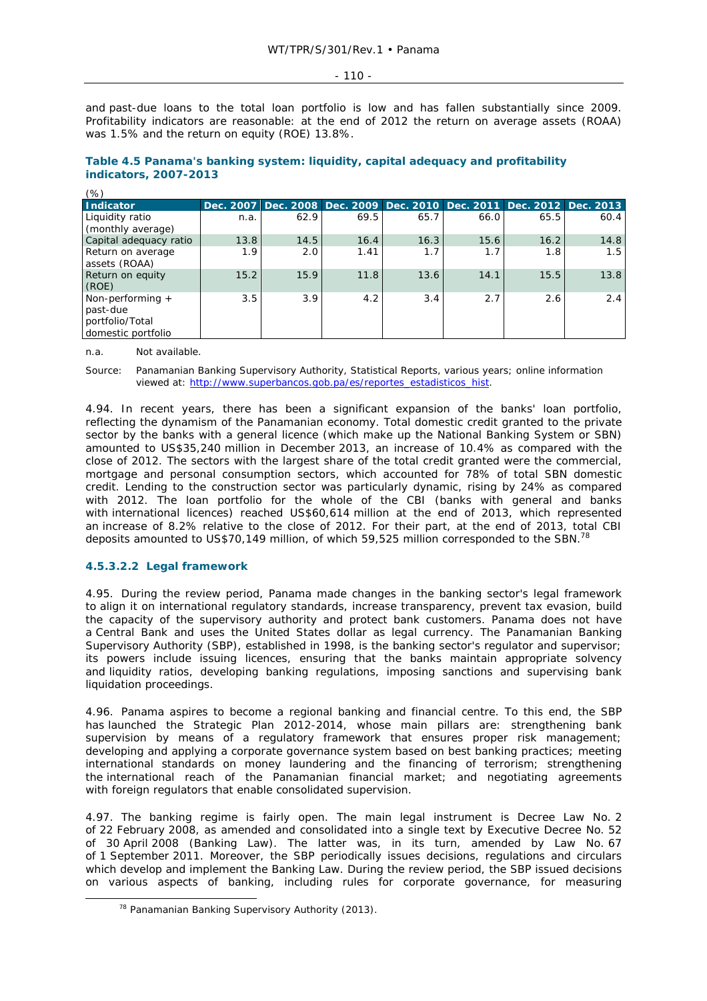- 110 -

and past-due loans to the total loan portfolio is low and has fallen substantially since 2009. Profitability indicators are reasonable: at the end of 2012 the return on average assets (ROAA) was 1.5% and the return on equity (ROE) 13.8%.

| (%)                                                                     |           |                                                             |      |      |      |      |      |
|-------------------------------------------------------------------------|-----------|-------------------------------------------------------------|------|------|------|------|------|
| <b>Indicator</b>                                                        | Dec. 2007 | Dec. 2008 Dec. 2009 Dec. 2010 Dec. 2011 Dec. 2012 Dec. 2013 |      |      |      |      |      |
| Liquidity ratio<br>(monthly average)                                    | n.a.      | 62.9                                                        | 69.5 | 65.7 | 66.0 | 65.5 | 60.4 |
| Capital adequacy ratio                                                  | 13.8      | 14.5                                                        | 16.4 | 16.3 | 15.6 | 16.2 | 14.8 |
| Return on average<br>assets (ROAA)                                      | 1.9       | 2.0                                                         | 1.41 | 1.7  | 1.7  | 1.8  | 1.5  |
| Return on equity<br>(ROE)                                               | 15.2      | 15.9                                                        | 11.8 | 13.6 | 14.1 | 15.5 | 13.8 |
| Non-performing $+$<br>past-due<br>portfolio/Total<br>domestic portfolio | 3.5       | 3.9                                                         | 4.2  | 3.4  | 2.7  | 2.6  | 2.4  |

# **Table 4.5 Panama's banking system: liquidity, capital adequacy and profitability indicators, 2007-2013**

n.a. Not available.

 $\ldots$ 

Source: Panamanian Banking Supervisory Authority, Statistical Reports, various years; online information viewed at: http://www.superbancos.gob.pa/es/reportes\_estadisticos\_hist.

4.94. In recent years, there has been a significant expansion of the banks' loan portfolio, reflecting the dynamism of the Panamanian economy. Total domestic credit granted to the private sector by the banks with a general licence (which make up the National Banking System or SBN) amounted to US\$35,240 million in December 2013, an increase of 10.4% as compared with the close of 2012. The sectors with the largest share of the total credit granted were the commercial, mortgage and personal consumption sectors, which accounted for 78% of total SBN domestic credit. Lending to the construction sector was particularly dynamic, rising by 24% as compared with 2012. The loan portfolio for the whole of the CBI (banks with general and banks with international licences) reached US\$60,614 million at the end of 2013, which represented an increase of 8.2% relative to the close of 2012. For their part, at the end of 2013, total CBI deposits amounted to US\$70,149 million, of which 59,525 million corresponded to the SBN.<sup>78</sup>

# **4.5.3.2.2 Legal framework**

4.95. During the review period, Panama made changes in the banking sector's legal framework to align it on international regulatory standards, increase transparency, prevent tax evasion, build the capacity of the supervisory authority and protect bank customers. Panama does not have a Central Bank and uses the United States dollar as legal currency. The Panamanian Banking Supervisory Authority (SBP), established in 1998, is the banking sector's regulator and supervisor; its powers include issuing licences, ensuring that the banks maintain appropriate solvency and liquidity ratios, developing banking regulations, imposing sanctions and supervising bank liquidation proceedings.

4.96. Panama aspires to become a regional banking and financial centre. To this end, the SBP has launched the Strategic Plan 2012-2014, whose main pillars are: strengthening bank supervision by means of a regulatory framework that ensures proper risk management; developing and applying a corporate governance system based on best banking practices; meeting international standards on money laundering and the financing of terrorism; strengthening the international reach of the Panamanian financial market; and negotiating agreements with foreign regulators that enable consolidated supervision.

4.97. The banking regime is fairly open. The main legal instrument is Decree Law No. 2 of 22 February 2008, as amended and consolidated into a single text by Executive Decree No. 52 of 30 April 2008 (Banking Law). The latter was, in its turn, amended by Law No. 67 of 1 September 2011. Moreover, the SBP periodically issues decisions, regulations and circulars which develop and implement the Banking Law. During the review period, the SBP issued decisions on various aspects of banking, including rules for corporate governance, for measuring

<sup>&</sup>lt;sup>78</sup> Panamanian Banking Supervisory Authority (2013).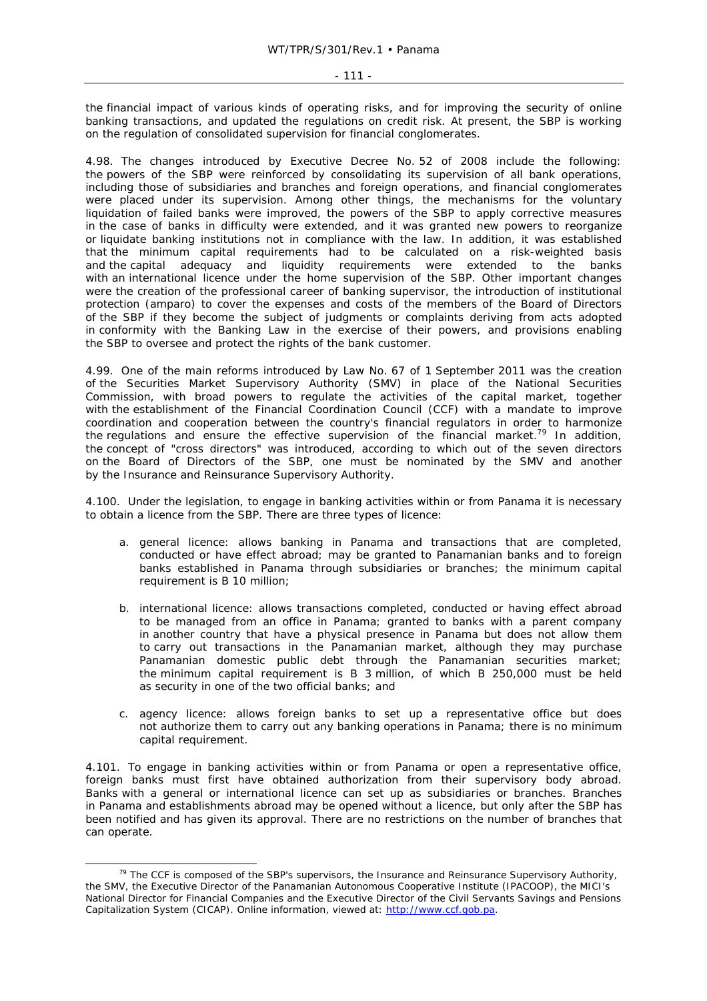the financial impact of various kinds of operating risks, and for improving the security of online banking transactions, and updated the regulations on credit risk. At present, the SBP is working on the regulation of consolidated supervision for financial conglomerates.

4.98. The changes introduced by Executive Decree No. 52 of 2008 include the following: the powers of the SBP were reinforced by consolidating its supervision of all bank operations, including those of subsidiaries and branches and foreign operations, and financial conglomerates were placed under its supervision. Among other things, the mechanisms for the voluntary liquidation of failed banks were improved, the powers of the SBP to apply corrective measures in the case of banks in difficulty were extended, and it was granted new powers to reorganize or liquidate banking institutions not in compliance with the law. In addition, it was established that the minimum capital requirements had to be calculated on a risk-weighted basis and the capital adequacy and liquidity requirements were extended to the banks with an international licence under the home supervision of the SBP. Other important changes were the creation of the professional career of banking supervisor, the introduction of institutional protection (*amparo*) to cover the expenses and costs of the members of the Board of Directors of the SBP if they become the subject of judgments or complaints deriving from acts adopted in conformity with the Banking Law in the exercise of their powers, and provisions enabling the SBP to oversee and protect the rights of the bank customer.

4.99. One of the main reforms introduced by Law No. 67 of 1 September 2011 was the creation of the Securities Market Supervisory Authority (SMV) in place of the National Securities Commission, with broad powers to regulate the activities of the capital market, together with the establishment of the Financial Coordination Council (CCF) with a mandate to improve coordination and cooperation between the country's financial regulators in order to harmonize the regulations and ensure the effective supervision of the financial market.<sup>79</sup> In addition, the concept of "cross directors" was introduced, according to which out of the seven directors on the Board of Directors of the SBP, one must be nominated by the SMV and another by the Insurance and Reinsurance Supervisory Authority.

4.100. Under the legislation, to engage in banking activities within or from Panama it is necessary to obtain a licence from the SBP. There are three types of licence:

- a. general licence: allows banking in Panama and transactions that are completed, conducted or have effect abroad; may be granted to Panamanian banks and to foreign banks established in Panama through subsidiaries or branches; the minimum capital requirement is B 10 million;
- b. international licence: allows transactions completed, conducted or having effect abroad to be managed from an office in Panama; granted to banks with a parent company in another country that have a physical presence in Panama but does not allow them to carry out transactions in the Panamanian market, although they may purchase Panamanian domestic public debt through the Panamanian securities market; the minimum capital requirement is B 3 million, of which B 250,000 must be held as security in one of the two official banks; and
- c. agency licence: allows foreign banks to set up a representative office but does not authorize them to carry out any banking operations in Panama; there is no minimum capital requirement.

4.101. To engage in banking activities within or from Panama or open a representative office, foreign banks must first have obtained authorization from their supervisory body abroad. Banks with a general or international licence can set up as subsidiaries or branches. Branches in Panama and establishments abroad may be opened without a licence, but only after the SBP has been notified and has given its approval. There are no restrictions on the number of branches that can operate.

 $79$  The CCF is composed of the SBP's supervisors, the Insurance and Reinsurance Supervisory Authority, the SMV, the Executive Director of the Panamanian Autonomous Cooperative Institute (IPACOOP), the MICI's National Director for Financial Companies and the Executive Director of the Civil Servants Savings and Pensions Capitalization System (CICAP). Online information, viewed at: http://www.ccf.gob.pa.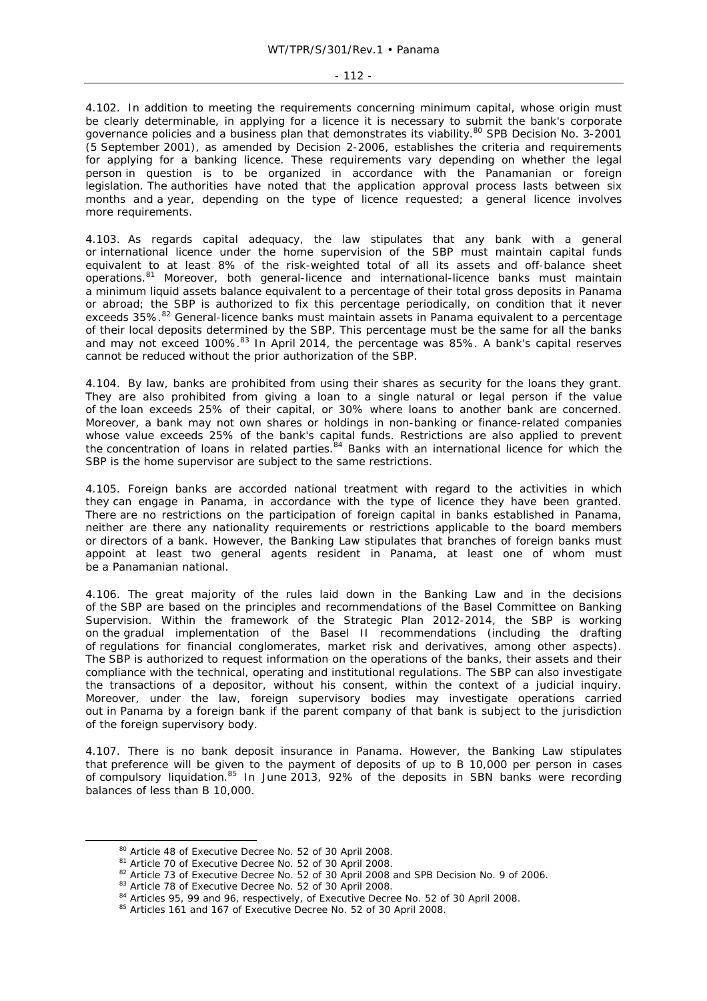#### - 112 -

4.102. In addition to meeting the requirements concerning minimum capital, whose origin must be clearly determinable, in applying for a licence it is necessary to submit the bank's corporate governance policies and a business plan that demonstrates its viability.<sup>80</sup> SPB Decision No. 3-2001 (5 September 2001), as amended by Decision 2-2006, establishes the criteria and requirements for applying for a banking licence. These requirements vary depending on whether the legal person in question is to be organized in accordance with the Panamanian or foreign legislation. The authorities have noted that the application approval process lasts between six months and a year, depending on the type of licence requested; a general licence involves more requirements.

4.103. As regards capital adequacy, the law stipulates that any bank with a general or international licence under the home supervision of the SBP must maintain capital funds equivalent to at least 8% of the risk-weighted total of all its assets and off-balance sheet operations.<sup>81</sup> Moreover, both general-licence and international-licence banks must maintain a minimum liquid assets balance equivalent to a percentage of their total gross deposits in Panama or abroad; the SBP is authorized to fix this percentage periodically, on condition that it never exceeds 35%.<sup>82</sup> General-licence banks must maintain assets in Panama equivalent to a percentage of their local deposits determined by the SBP. This percentage must be the same for all the banks and may not exceed 100%.<sup>83</sup> In April 2014, the percentage was 85%. A bank's capital reserves cannot be reduced without the prior authorization of the SBP.

4.104. By law, banks are prohibited from using their shares as security for the loans they grant. They are also prohibited from giving a loan to a single natural or legal person if the value of the loan exceeds 25% of their capital, or 30% where loans to another bank are concerned. Moreover, a bank may not own shares or holdings in non-banking or finance-related companies whose value exceeds 25% of the bank's capital funds. Restrictions are also applied to prevent the concentration of loans in related parties.<sup>84</sup> Banks with an international licence for which the SBP is the home supervisor are subject to the same restrictions.

4.105. Foreign banks are accorded national treatment with regard to the activities in which they can engage in Panama, in accordance with the type of licence they have been granted. There are no restrictions on the participation of foreign capital in banks established in Panama, neither are there any nationality requirements or restrictions applicable to the board members or directors of a bank. However, the Banking Law stipulates that branches of foreign banks must appoint at least two general agents resident in Panama, at least one of whom must be a Panamanian national.

4.106. The great majority of the rules laid down in the Banking Law and in the decisions of the SBP are based on the principles and recommendations of the Basel Committee on Banking Supervision. Within the framework of the Strategic Plan 2012-2014, the SBP is working on the gradual implementation of the Basel II recommendations (including the drafting of regulations for financial conglomerates, market risk and derivatives, among other aspects). The SBP is authorized to request information on the operations of the banks, their assets and their compliance with the technical, operating and institutional regulations. The SBP can also investigate the transactions of a depositor, without his consent, within the context of a judicial inquiry. Moreover, under the law, foreign supervisory bodies may investigate operations carried out in Panama by a foreign bank if the parent company of that bank is subject to the jurisdiction of the foreign supervisory body.

4.107. There is no bank deposit insurance in Panama. However, the Banking Law stipulates that preference will be given to the payment of deposits of up to B 10,000 per person in cases of compulsory liquidation.85 In June 2013, 92% of the deposits in SBN banks were recording balances of less than B 10,000.

<sup>&</sup>lt;sup>80</sup> Article 48 of Executive Decree No. 52 of 30 April 2008.<br><sup>81</sup> Article 70 of Executive Decree No. 52 of 30 April 2008.<br><sup>82</sup> Article 73 of Executive Decree No. 52 of 30 April 2008 and SPB Decision No. 9 of 2006.<br><sup>83</sup> Ar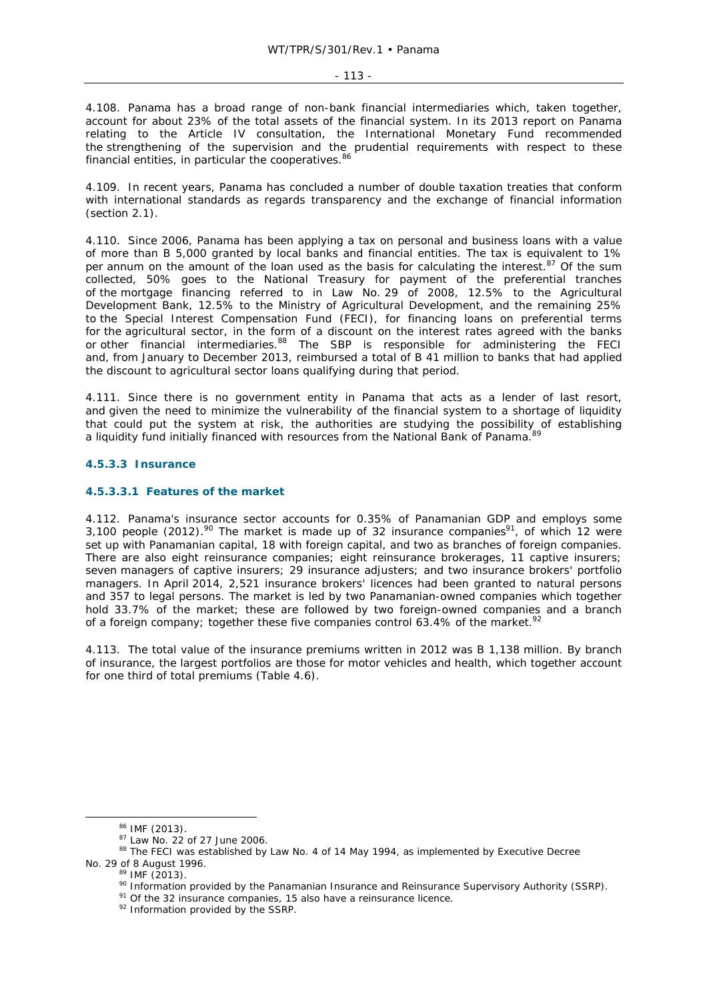4.108. Panama has a broad range of non-bank financial intermediaries which, taken together, account for about 23% of the total assets of the financial system. In its 2013 report on Panama relating to the Article IV consultation, the International Monetary Fund recommended the strengthening of the supervision and the prudential requirements with respect to these financial entities, in particular the cooperatives.<sup>86</sup>

4.109. In recent years, Panama has concluded a number of double taxation treaties that conform with international standards as regards transparency and the exchange of financial information (section 2.1).

4.110. Since 2006, Panama has been applying a tax on personal and business loans with a value of more than B 5,000 granted by local banks and financial entities. The tax is equivalent to 1% per annum on the amount of the loan used as the basis for calculating the interest.<sup>87</sup> Of the sum collected, 50% goes to the National Treasury for payment of the preferential tranches of the mortgage financing referred to in Law No. 29 of 2008, 12.5% to the Agricultural Development Bank, 12.5% to the Ministry of Agricultural Development, and the remaining 25% to the Special Interest Compensation Fund (FECI), for financing loans on preferential terms for the agricultural sector, in the form of a discount on the interest rates agreed with the banks or other financial intermediaries.<sup>88</sup> The SBP is responsible for administering the FECI and, from January to December 2013, reimbursed a total of B 41 million to banks that had applied the discount to agricultural sector loans qualifying during that period.

4.111. Since there is no government entity in Panama that acts as a lender of last resort, and given the need to minimize the vulnerability of the financial system to a shortage of liquidity that could put the system at risk, the authorities are studying the possibility of establishing a liquidity fund initially financed with resources from the National Bank of Panama.

# **4.5.3.3 Insurance**

### **4.5.3.3.1 Features of the market**

4.112. Panama's insurance sector accounts for 0.35% of Panamanian GDP and employs some 3,100 people (2012).<sup>90</sup> The market is made up of 32 insurance companies<sup>91</sup>, of which 12 were set up with Panamanian capital, 18 with foreign capital, and two as branches of foreign companies. There are also eight reinsurance companies; eight reinsurance brokerages, 11 captive insurers; seven managers of captive insurers; 29 insurance adjusters; and two insurance brokers' portfolio managers. In April 2014, 2,521 insurance brokers' licences had been granted to natural persons and 357 to legal persons. The market is led by two Panamanian-owned companies which together hold 33.7% of the market; these are followed by two foreign-owned companies and a branch of a foreign company; together these five companies control 63.4% of the market.<sup>92</sup>

4.113. The total value of the insurance premiums written in 2012 was B 1,138 million. By branch of insurance, the largest portfolios are those for motor vehicles and health, which together account for one third of total premiums (Table 4.6).

 $86$  IMF (2013).<br> $87$  Law No. 22 of 27 June 2006.<br> $88$  The FECI was established by Law No. 4 of 14 May 1994, as implemented by Executive Decree No. 29 of 8 August 1996.<br><sup>89</sup> IMF (2013).<br><sup>90</sup> Information provided by the Panamanian Insurance and Reinsurance Supervisory Authority (SSRP).<br><sup>91</sup> Of the 32 insurance companies, 15 also have a reinsurance licence.<br><sup>92</sup> Inf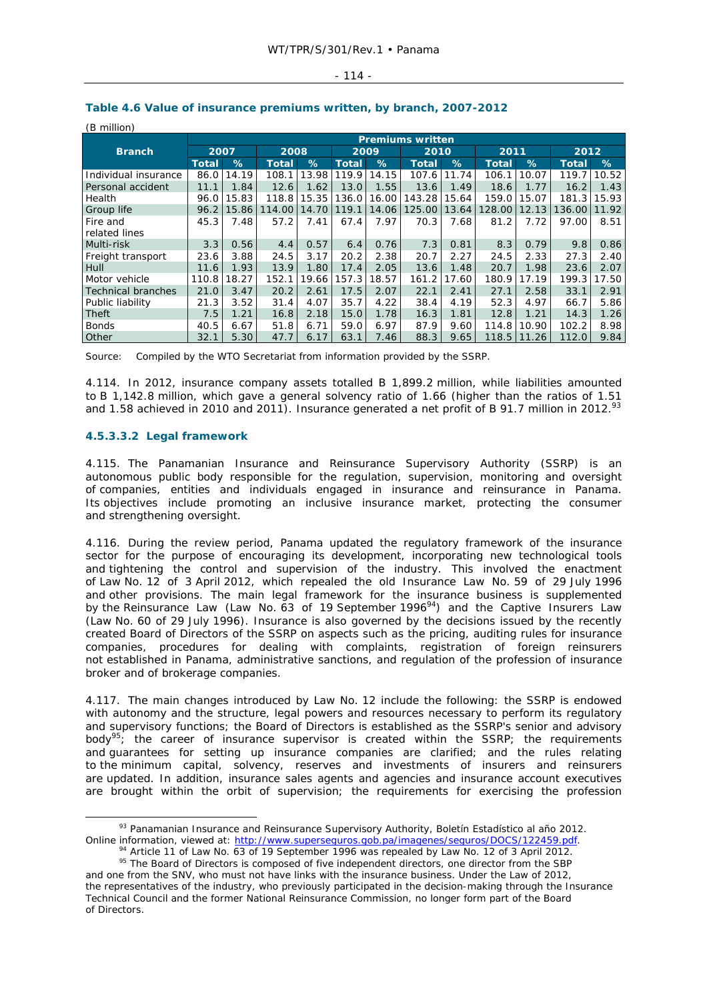### $-114-$

| (B million)          |              |       |              |       |              |       |                         |       |              |       |              |       |  |
|----------------------|--------------|-------|--------------|-------|--------------|-------|-------------------------|-------|--------------|-------|--------------|-------|--|
|                      |              |       |              |       |              |       | <b>Premiums written</b> |       |              |       |              |       |  |
| <b>Branch</b>        | 2007         |       | 2008         |       |              | 2009  |                         | 2010  |              | 2011  |              | 2012  |  |
|                      | <b>Total</b> | %     | <b>Total</b> | $\%$  | <b>Total</b> | %     | <b>Total</b>            | %     | <b>Total</b> | %     | <b>Total</b> | $\%$  |  |
| Individual insurance | 86.0         | 14.19 | 108.1        | 13.98 | 119.9        | 14.15 | 107.6                   | 11.74 | 106.1        | 10.07 | 119.7        | 10.52 |  |
| Personal accident    | 11.1         | 1.84  | 12.6         | 1.62  | 13.0         | 1.55  | 13.6                    | 1.49  | 18.6         | 1.77  | 16.2         | 1.43  |  |
| Health               | 96.0         | 15.83 | 118.8        | 15.35 | 136.0        | 16.00 | 143.28                  | 15.64 | 159.0        | 15.07 | 181.3        | 15.93 |  |
| <b>Group life</b>    | 96.2         | 15.86 | 114.00       | 14.70 | 119.1        | 14.06 | 125.00                  | 13.64 | 128.00       | 12.13 | 136.00       | 11.92 |  |
| Fire and             | 45.3         | 7.48  | 57.2         | 7.41  | 67.4         | 7.97  | 70.3                    | 7.68  | 81.2         | 7.72  | 97.00        | 8.51  |  |
| related lines        |              |       |              |       |              |       |                         |       |              |       |              |       |  |
| Multi-risk           | 3.3          | 0.56  | 4.4          | 0.57  | 6.4          | 0.76  | 7.3                     | 0.81  | 8.3          | 0.79  | 9.8          | 0.86  |  |
| Freight transport    | 23.6         | 3.88  | 24.5         | 3.17  | 20.2         | 2.38  | 20.7                    | 2.27  | 24.5         | 2.33  | 27.3         | 2.40  |  |
| Hull                 | 11.6         | 1.93  | 13.9         | 1.80  | 17.4         | 2.05  | 13.6                    | 1.48  | 20.7         | 1.98  | 23.6         | 2.07  |  |
| Motor vehicle        | 110.8        | 18.27 | 152.1        | 19.66 | 157.3        | 18.57 | 161.2                   | 17.60 | 180.9        | 17.19 | 199.3        | 17.50 |  |
| Technical branches   | 21.0         | 3.47  | 20.2         | 2.61  | 17.5         | 2.07  | 22.1                    | 2.41  | 27.1         | 2.58  | 33.1         | 2.91  |  |
| Public liability     | 21.3         | 3.52  | 31.4         | 4.07  | 35.7         | 4.22  | 38.4                    | 4.19  | 52.3         | 4.97  | 66.7         | 5.86  |  |
| Theft                | 7.5          | 1.21  | 16.8         | 2.18  | 15.0         | 1.78  | 16.3                    | 1.81  | 12.8         | 1.21  | 14.3         | 1.26  |  |
| Bonds                | 40.5         | 6.67  | 51.8         | 6.71  | 59.0         | 6.97  | 87.9                    | 9.60  | 114.8        | 10.90 | 102.2        | 8.98  |  |
| <b>Other</b>         | 32.1         | 5.30  | 47.7         | 6.17  | 63.1         | 7.46  | 88.3                    | 9.65  | 118.5        | 11.26 | 112.0        | 9.84  |  |

# **Table 4.6 Value of insurance premiums written, by branch, 2007-2012**

Source: Compiled by the WTO Secretariat from information provided by the SSRP.

4.114. In 2012, insurance company assets totalled B 1,899.2 million, while liabilities amounted to B 1,142.8 million, which gave a general solvency ratio of 1.66 (higher than the ratios of 1.51 and 1.58 achieved in 2010 and 2011). Insurance generated a net profit of B 91.7 million in 2012.<sup>93</sup>

# **4.5.3.3.2 Legal framework**

4.115. The Panamanian Insurance and Reinsurance Supervisory Authority (SSRP) is an autonomous public body responsible for the regulation, supervision, monitoring and oversight of companies, entities and individuals engaged in insurance and reinsurance in Panama. Its objectives include promoting an inclusive insurance market, protecting the consumer and strengthening oversight.

4.116. During the review period, Panama updated the regulatory framework of the insurance sector for the purpose of encouraging its development, incorporating new technological tools and tightening the control and supervision of the industry. This involved the enactment of Law No. 12 of 3 April 2012, which repealed the old Insurance Law No. 59 of 29 July 1996 and other provisions. The main legal framework for the insurance business is supplemented by the Reinsurance Law (Law No. 63 of 19 September 1996 $94$ ) and the Captive Insurers Law (Law No. 60 of 29 July 1996). Insurance is also governed by the decisions issued by the recently created Board of Directors of the SSRP on aspects such as the pricing, auditing rules for insurance companies, procedures for dealing with complaints, registration of foreign reinsurers not established in Panama, administrative sanctions, and regulation of the profession of insurance broker and of brokerage companies.

4.117. The main changes introduced by Law No. 12 include the following: the SSRP is endowed with autonomy and the structure, legal powers and resources necessary to perform its regulatory and supervisory functions; the Board of Directors is established as the SSRP's senior and advisory body<sup>95</sup>; the career of insurance supervisor is created within the SSRP; the requirements and guarantees for setting up insurance companies are clarified; and the rules relating to the minimum capital, solvency, reserves and investments of insurers and reinsurers are updated. In addition, insurance sales agents and agencies and insurance account executives are brought within the orbit of supervision; the requirements for exercising the profession

 <sup>93</sup> Panamanian Insurance and Reinsurance Supervisory Authority, *Boletín Estadístico al año 2012*. Online information, viewed at: http://www.superseguros.gob.pa/imagenes/seguros/DOCS/122459.pdf.<br><sup>94</sup> Article 11 of Law No. 63 of 19 September 1996 was repealed by Law No. 12 of 3 April 2012.<br><sup>95</sup> The Board of Directors is

and one from the SNV, who must not have links with the insurance business. Under the Law of 2012, the representatives of the industry, who previously participated in the decision-making through the Insurance Technical Council and the former National Reinsurance Commission, no longer form part of the Board of Directors.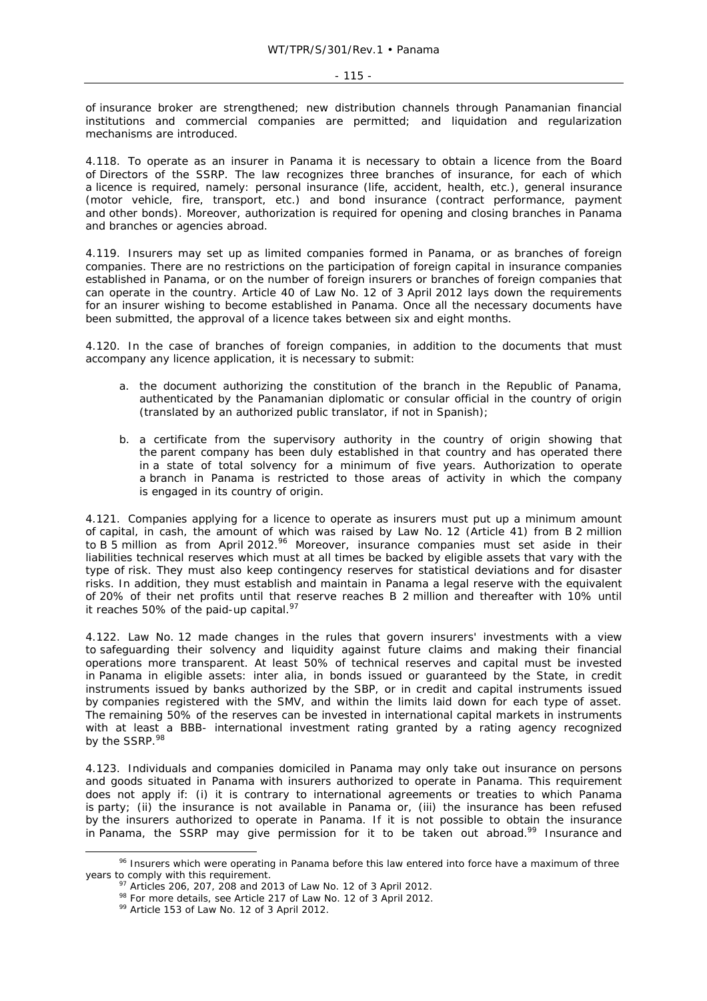of insurance broker are strengthened; new distribution channels through Panamanian financial institutions and commercial companies are permitted; and liquidation and regularization mechanisms are introduced.

4.118. To operate as an insurer in Panama it is necessary to obtain a licence from the Board of Directors of the SSRP. The law recognizes three branches of insurance, for each of which a licence is required, namely: personal insurance (life, accident, health, etc.), general insurance (motor vehicle, fire, transport, etc.) and bond insurance (contract performance, payment and other bonds). Moreover, authorization is required for opening and closing branches in Panama and branches or agencies abroad.

4.119. Insurers may set up as limited companies formed in Panama, or as branches of foreign companies. There are no restrictions on the participation of foreign capital in insurance companies established in Panama, or on the number of foreign insurers or branches of foreign companies that can operate in the country. Article 40 of Law No. 12 of 3 April 2012 lays down the requirements for an insurer wishing to become established in Panama. Once all the necessary documents have been submitted, the approval of a licence takes between six and eight months.

4.120. In the case of branches of foreign companies, in addition to the documents that must accompany any licence application, it is necessary to submit:

- a. the document authorizing the constitution of the branch in the Republic of Panama, authenticated by the Panamanian diplomatic or consular official in the country of origin (translated by an authorized public translator, if not in Spanish);
- b. a certificate from the supervisory authority in the country of origin showing that the parent company has been duly established in that country and has operated there in a state of total solvency for a minimum of five years. Authorization to operate a branch in Panama is restricted to those areas of activity in which the company is engaged in its country of origin.

4.121. Companies applying for a licence to operate as insurers must put up a minimum amount of capital, in cash, the amount of which was raised by Law No. 12 (Article 41) from B 2 million to B 5 million as from April 2012.<sup>96</sup> Moreover, insurance companies must set aside in their liabilities technical reserves which must at all times be backed by eligible assets that vary with the type of risk. They must also keep contingency reserves for statistical deviations and for disaster risks. In addition, they must establish and maintain in Panama a legal reserve with the equivalent of 20% of their net profits until that reserve reaches B 2 million and thereafter with 10% until it reaches 50% of the paid-up capital. $97$ 

4.122. Law No. 12 made changes in the rules that govern insurers' investments with a view to safeguarding their solvency and liquidity against future claims and making their financial operations more transparent. At least 50% of technical reserves and capital must be invested in Panama in eligible assets: *inter alia*, in bonds issued or guaranteed by the State, in credit instruments issued by banks authorized by the SBP, or in credit and capital instruments issued by companies registered with the SMV, and within the limits laid down for each type of asset. The remaining 50% of the reserves can be invested in international capital markets in instruments with at least a BBB- international investment rating granted by a rating agency recognized by the SSRP.<sup>98</sup>

4.123. Individuals and companies domiciled in Panama may only take out insurance on persons and goods situated in Panama with insurers authorized to operate in Panama. This requirement does not apply if: (i) it is contrary to international agreements or treaties to which Panama is party; (ii) the insurance is not available in Panama or, (iii) the insurance has been refused by the insurers authorized to operate in Panama. If it is not possible to obtain the insurance in Panama, the SSRP may give permission for it to be taken out abroad.<sup>99</sup> Insurance and

<sup>&</sup>lt;sup>96</sup> Insurers which were operating in Panama before this law entered into force have a maximum of three years to comply with this requirement.<br><sup>97</sup> Articles 206, 207, 208 and 2013 of Law No. 12 of 3 April 2012.<br><sup>98</sup> For more details, see Article 217 of Law No. 12 of 3 April 2012.<br><sup>99</sup> Article 153 of Law No. 12 of 3 April 201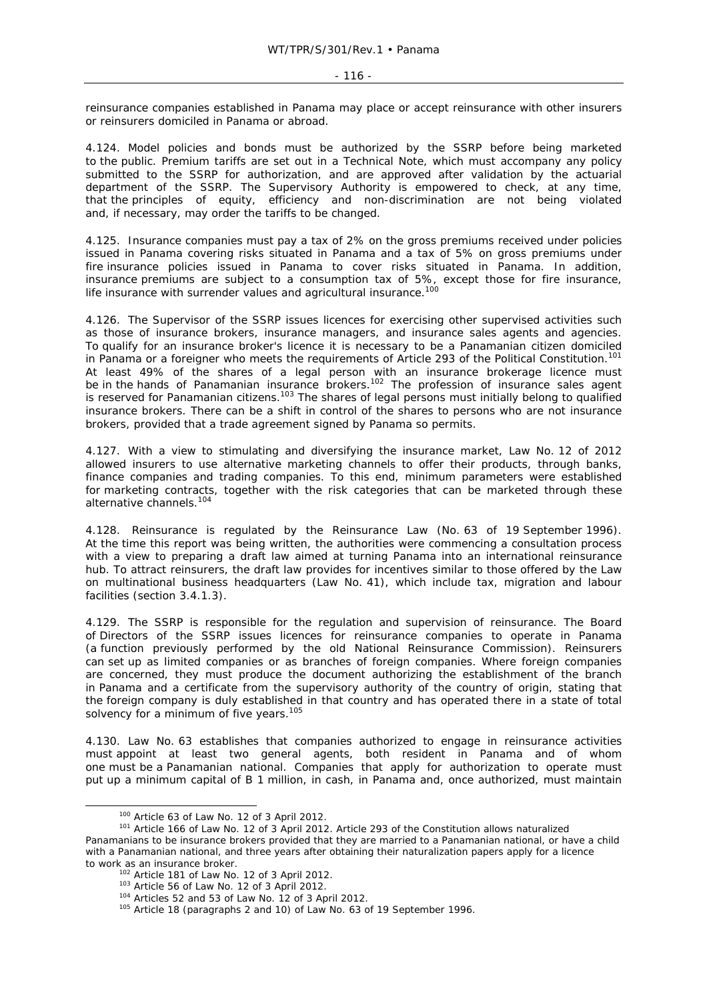reinsurance companies established in Panama may place or accept reinsurance with other insurers or reinsurers domiciled in Panama or abroad.

4.124. Model policies and bonds must be authorized by the SSRP before being marketed to the public. Premium tariffs are set out in a Technical Note, which must accompany any policy submitted to the SSRP for authorization, and are approved after validation by the actuarial department of the SSRP. The Supervisory Authority is empowered to check, at any time, that the principles of equity, efficiency and non-discrimination are not being violated and, if necessary, may order the tariffs to be changed.

4.125. Insurance companies must pay a tax of 2% on the gross premiums received under policies issued in Panama covering risks situated in Panama and a tax of 5% on gross premiums under fire insurance policies issued in Panama to cover risks situated in Panama. In addition, insurance premiums are subject to a consumption tax of 5%, except those for fire insurance, life insurance with surrender values and agricultural insurance.<sup>100</sup>

4.126. The Supervisor of the SSRP issues licences for exercising other supervised activities such as those of insurance brokers, insurance managers, and insurance sales agents and agencies. To qualify for an insurance broker's licence it is necessary to be a Panamanian citizen domiciled in Panama or a foreigner who meets the requirements of Article 293 of the Political Constitution.<sup>101</sup> At least 49% of the shares of a legal person with an insurance brokerage licence must be in the hands of Panamanian insurance brokers.<sup>102</sup> The profession of insurance sales agent is reserved for Panamanian citizens.<sup>103</sup> The shares of legal persons must initially belong to qualified insurance brokers. There can be a shift in control of the shares to persons who are not insurance brokers, provided that a trade agreement signed by Panama so permits.

4.127. With a view to stimulating and diversifying the insurance market, Law No. 12 of 2012 allowed insurers to use alternative marketing channels to offer their products, through banks, finance companies and trading companies. To this end, minimum parameters were established for marketing contracts, together with the risk categories that can be marketed through these alternative channels.<sup>104</sup>

4.128. Reinsurance is regulated by the Reinsurance Law (No. 63 of 19 September 1996). At the time this report was being written, the authorities were commencing a consultation process with a view to preparing a draft law aimed at turning Panama into an international reinsurance hub. To attract reinsurers, the draft law provides for incentives similar to those offered by the Law on multinational business headquarters (Law No. 41), which include tax, migration and labour facilities (section 3.4.1.3).

4.129. The SSRP is responsible for the regulation and supervision of reinsurance. The Board of Directors of the SSRP issues licences for reinsurance companies to operate in Panama (a function previously performed by the old National Reinsurance Commission). Reinsurers can set up as limited companies or as branches of foreign companies. Where foreign companies are concerned, they must produce the document authorizing the establishment of the branch in Panama and a certificate from the supervisory authority of the country of origin, stating that the foreign company is duly established in that country and has operated there in a state of total solvency for a minimum of five years.<sup>105</sup>

4.130. Law No. 63 establishes that companies authorized to engage in reinsurance activities must appoint at least two general agents, both resident in Panama and of whom one must be a Panamanian national. Companies that apply for authorization to operate must put up a minimum capital of B 1 million, in cash, in Panama and, once authorized, must maintain

<sup>&</sup>lt;sup>100</sup> Article 63 of Law No. 12 of 3 April 2012.<br><sup>101</sup> Article 166 of Law No. 12 of 3 April 2012. Article 293 of the Constitution allows naturalized Panamanians to be insurance brokers provided that they are married to a Panamanian national, or have a child with a Panamanian national, and three years after obtaining their naturalization papers apply for a licence to work as an insurance broker.<br>
<sup>102</sup> Article 181 of Law No. 12 of 3 April 2012.<br>
<sup>103</sup> Article 56 of Law No. 12 of 3 April 2012.<br>
<sup>104</sup> Articles 52 and 53 of Law No. 12 of 3 April 2012.<br>
<sup>105</sup> Article 18 (paragraphs 2 a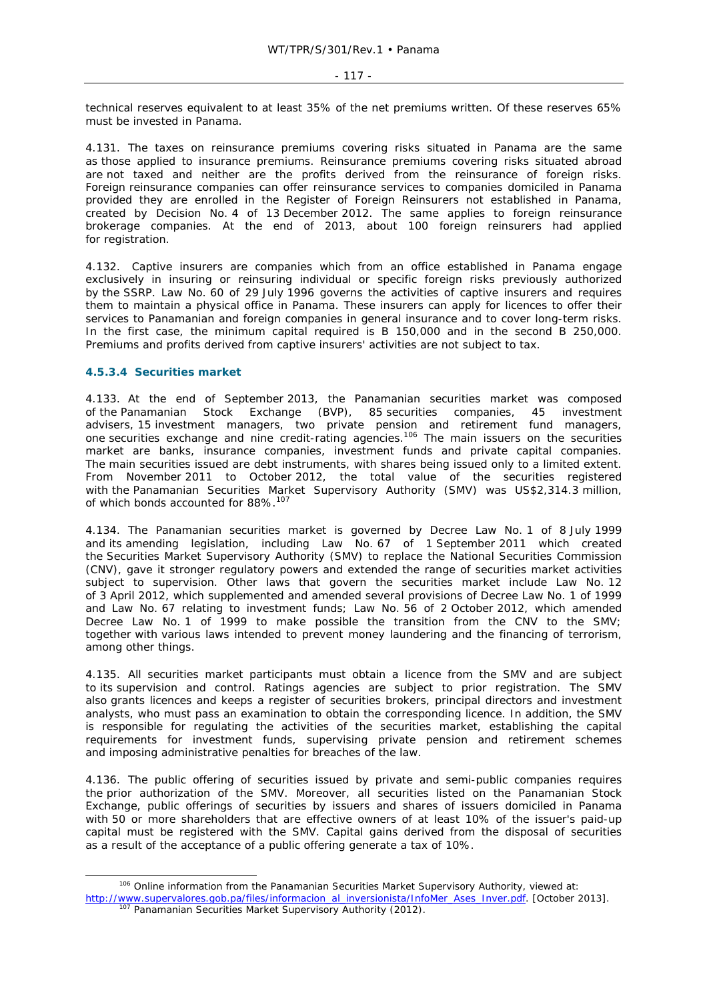technical reserves equivalent to at least 35% of the net premiums written. Of these reserves 65% must be invested in Panama.

4.131. The taxes on reinsurance premiums covering risks situated in Panama are the same as those applied to insurance premiums. Reinsurance premiums covering risks situated abroad are not taxed and neither are the profits derived from the reinsurance of foreign risks. Foreign reinsurance companies can offer reinsurance services to companies domiciled in Panama provided they are enrolled in the Register of Foreign Reinsurers not established in Panama, created by Decision No. 4 of 13 December 2012. The same applies to foreign reinsurance brokerage companies. At the end of 2013, about 100 foreign reinsurers had applied for registration.

4.132. Captive insurers are companies which from an office established in Panama engage exclusively in insuring or reinsuring individual or specific foreign risks previously authorized by the SSRP. Law No. 60 of 29 July 1996 governs the activities of captive insurers and requires them to maintain a physical office in Panama. These insurers can apply for licences to offer their services to Panamanian and foreign companies in general insurance and to cover long-term risks. In the first case, the minimum capital required is B 150,000 and in the second B 250,000. Premiums and profits derived from captive insurers' activities are not subject to tax.

# **4.5.3.4 Securities market**

4.133. At the end of September 2013, the Panamanian securities market was composed of the Panamanian Stock Exchange (BVP), 85 securities companies, 45 investment advisers, 15 investment managers, two private pension and retirement fund managers, one securities exchange and nine credit-rating agencies.<sup>106</sup> The main issuers on the securities market are banks, insurance companies, investment funds and private capital companies. The main securities issued are debt instruments, with shares being issued only to a limited extent. From November 2011 to October 2012, the total value of the securities registered with the Panamanian Securities Market Supervisory Authority (SMV) was US\$2,314.3 million, of which bonds accounted for 88%.<sup>107</sup>

4.134. The Panamanian securities market is governed by Decree Law No. 1 of 8 July 1999 and its amending legislation, including Law No. 67 of 1 September 2011 which created the Securities Market Supervisory Authority (SMV) to replace the National Securities Commission (CNV), gave it stronger regulatory powers and extended the range of securities market activities subject to supervision. Other laws that govern the securities market include Law No. 12 of 3 April 2012, which supplemented and amended several provisions of Decree Law No. 1 of 1999 and Law No. 67 relating to investment funds; Law No. 56 of 2 October 2012, which amended Decree Law No. 1 of 1999 to make possible the transition from the CNV to the SMV; together with various laws intended to prevent money laundering and the financing of terrorism, among other things.

4.135. All securities market participants must obtain a licence from the SMV and are subject to its supervision and control. Ratings agencies are subject to prior registration. The SMV also grants licences and keeps a register of securities brokers, principal directors and investment analysts, who must pass an examination to obtain the corresponding licence. In addition, the SMV is responsible for regulating the activities of the securities market, establishing the capital requirements for investment funds, supervising private pension and retirement schemes and imposing administrative penalties for breaches of the law.

4.136. The public offering of securities issued by private and semi-public companies requires the prior authorization of the SMV. Moreover, all securities listed on the Panamanian Stock Exchange, public offerings of securities by issuers and shares of issuers domiciled in Panama with 50 or more shareholders that are effective owners of at least 10% of the issuer's paid-up capital must be registered with the SMV. Capital gains derived from the disposal of securities as a result of the acceptance of a public offering generate a tax of 10%.

<sup>&</sup>lt;sup>106</sup> Online information from the Panamanian Securities Market Supervisory Authority, viewed at: http://www.supervalores.gob.pa/files/informacion\_al\_inversionista/InfoMer\_Ases\_Inver.pdf. [October 2013].<br><sup>107</sup> Panamanian Securities Market Supervisory Authority (2012).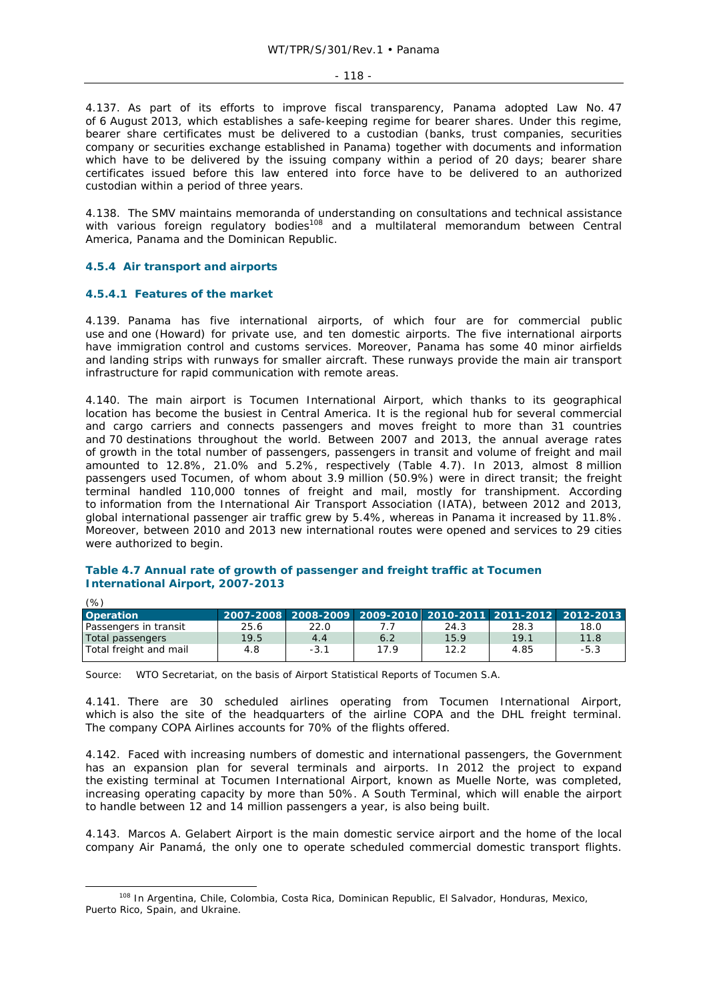#### $-118 -$

4.137. As part of its efforts to improve fiscal transparency, Panama adopted Law No. 47 of 6 August 2013, which establishes a safe-keeping regime for bearer shares. Under this regime, bearer share certificates must be delivered to a custodian (banks, trust companies, securities company or securities exchange established in Panama) together with documents and information which have to be delivered by the issuing company within a period of 20 days; bearer share certificates issued before this law entered into force have to be delivered to an authorized custodian within a period of three years.

4.138. The SMV maintains memoranda of understanding on consultations and technical assistance with various foreign regulatory bodies<sup>108</sup> and a multilateral memorandum between Central America, Panama and the Dominican Republic.

### **4.5.4 Air transport and airports**

# **4.5.4.1 Features of the market**

 $(0/)$ 

4.139. Panama has five international airports, of which four are for commercial public use and one (Howard) for private use, and ten domestic airports. The five international airports have immigration control and customs services. Moreover, Panama has some 40 minor airfields and landing strips with runways for smaller aircraft. These runways provide the main air transport infrastructure for rapid communication with remote areas.

4.140. The main airport is Tocumen International Airport, which thanks to its geographical location has become the busiest in Central America. It is the regional hub for several commercial and cargo carriers and connects passengers and moves freight to more than 31 countries and 70 destinations throughout the world. Between 2007 and 2013, the annual average rates of growth in the total number of passengers, passengers in transit and volume of freight and mail amounted to 12.8%, 21.0% and 5.2%, respectively (Table 4.7). In 2013, almost 8 million passengers used Tocumen, of whom about 3.9 million (50.9%) were in direct transit; the freight terminal handled 110,000 tonnes of freight and mail, mostly for transhipment. According to information from the International Air Transport Association (IATA), between 2012 and 2013, global international passenger air traffic grew by 5.4%, whereas in Panama it increased by 11.8%. Moreover, between 2010 and 2013 new international routes were opened and services to 29 cities were authorized to begin.

# **Table 4.7 Annual rate of growth of passenger and freight traffic at Tocumen International Airport, 2007-2013**

| <b>Operation</b>       |      |        |      |      |      | 2007-2008 2008-2009 2009-2010 2010-2011 2011-2012 2012-2013 |
|------------------------|------|--------|------|------|------|-------------------------------------------------------------|
| Passengers in transit  | 25.6 | 22.0   |      | 24.3 | 28.3 | 18.0                                                        |
| Total passengers       | 19.5 | 4.4    | 6.2  | 15.9 | 19.1 | 11.8                                                        |
| Total freight and mail | 4.8  | $-3.1$ | 17.9 | 12.2 | 4.85 | $-5.3$                                                      |

Source: WTO Secretariat, on the basis of Airport Statistical Reports of Tocumen S.A.

4.141. There are 30 scheduled airlines operating from Tocumen International Airport, which is also the site of the headquarters of the airline COPA and the DHL freight terminal. The company COPA Airlines accounts for 70% of the flights offered.

4.142. Faced with increasing numbers of domestic and international passengers, the Government has an expansion plan for several terminals and airports. In 2012 the project to expand the existing terminal at Tocumen International Airport, known as Muelle Norte, was completed, increasing operating capacity by more than 50%. A South Terminal, which will enable the airport to handle between 12 and 14 million passengers a year, is also being built.

4.143. Marcos A. Gelabert Airport is the main domestic service airport and the home of the local company Air Panamá, the only one to operate scheduled commercial domestic transport flights.

 <sup>108</sup> In Argentina, Chile, Colombia, Costa Rica, Dominican Republic, El Salvador, Honduras, Mexico, Puerto Rico, Spain, and Ukraine.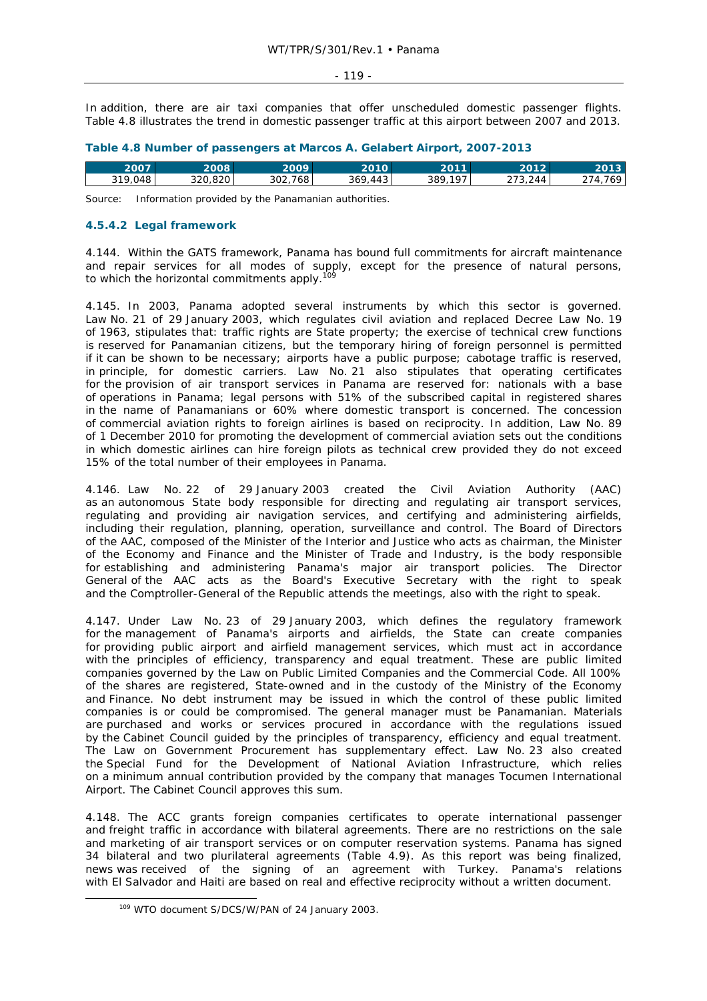In addition, there are air taxi companies that offer unscheduled domestic passenger flights. Table 4.8 illustrates the trend in domestic passenger traffic at this airport between 2007 and 2013.

|  | Table 4.8 Number of passengers at Marcos A. Gelabert Airport, 2007-2013 |  |  |
|--|-------------------------------------------------------------------------|--|--|
|--|-------------------------------------------------------------------------|--|--|

| 107<br>768 L<br>ົດດາ<br>$\Lambda \Lambda$<br>244<br>,,, | 2007    | 2008    | 2009 | 2010      | <b>0011</b> | 2012            | 2013.        |
|---------------------------------------------------------|---------|---------|------|-----------|-------------|-----------------|--------------|
|                                                         | 319,048 | 320.820 | 30Z  | 369<br>᠇୰ | 389         | ، پ<br><u>.</u> | $\sim$<br>69 |

Source: Information provided by the Panamanian authorities.

### **4.5.4.2 Legal framework**

4.144. Within the GATS framework, Panama has bound full commitments for aircraft maintenance and repair services for all modes of supply, except for the presence of natural persons, to which the horizontal commitments apply.<sup>109</sup>

4.145. In 2003, Panama adopted several instruments by which this sector is governed. Law No. 21 of 29 January 2003, which regulates civil aviation and replaced Decree Law No. 19 of 1963, stipulates that: traffic rights are State property; the exercise of technical crew functions is reserved for Panamanian citizens, but the temporary hiring of foreign personnel is permitted if it can be shown to be necessary; airports have a public purpose; cabotage traffic is reserved, in principle, for domestic carriers. Law No. 21 also stipulates that operating certificates for the provision of air transport services in Panama are reserved for: nationals with a base of operations in Panama; legal persons with 51% of the subscribed capital in registered shares in the name of Panamanians or 60% where domestic transport is concerned. The concession of commercial aviation rights to foreign airlines is based on reciprocity. In addition, Law No. 89 of 1 December 2010 for promoting the development of commercial aviation sets out the conditions in which domestic airlines can hire foreign pilots as technical crew provided they do not exceed 15% of the total number of their employees in Panama.

4.146. Law No. 22 of 29 January 2003 created the Civil Aviation Authority (AAC) as an autonomous State body responsible for directing and regulating air transport services, regulating and providing air navigation services, and certifying and administering airfields, including their regulation, planning, operation, surveillance and control. The Board of Directors of the AAC, composed of the Minister of the Interior and Justice who acts as chairman, the Minister of the Economy and Finance and the Minister of Trade and Industry, is the body responsible for establishing and administering Panama's major air transport policies. The Director General of the AAC acts as the Board's Executive Secretary with the right to speak and the Comptroller-General of the Republic attends the meetings, also with the right to speak.

4.147. Under Law No. 23 of 29 January 2003, which defines the regulatory framework for the management of Panama's airports and airfields, the State can create companies for providing public airport and airfield management services, which must act in accordance with the principles of efficiency, transparency and equal treatment. These are public limited companies governed by the Law on Public Limited Companies and the Commercial Code. All 100% of the shares are registered, State-owned and in the custody of the Ministry of the Economy and Finance. No debt instrument may be issued in which the control of these public limited companies is or could be compromised. The general manager must be Panamanian. Materials are purchased and works or services procured in accordance with the regulations issued by the Cabinet Council guided by the principles of transparency, efficiency and equal treatment. The Law on Government Procurement has supplementary effect. Law No. 23 also created the Special Fund for the Development of National Aviation Infrastructure, which relies on a minimum annual contribution provided by the company that manages Tocumen International Airport. The Cabinet Council approves this sum.

4.148. The ACC grants foreign companies certificates to operate international passenger and freight traffic in accordance with bilateral agreements. There are no restrictions on the sale and marketing of air transport services or on computer reservation systems. Panama has signed 34 bilateral and two plurilateral agreements (Table 4.9). As this report was being finalized, news was received of the signing of an agreement with Turkey. Panama's relations with El Salvador and Haiti are based on real and effective reciprocity without a written document.

 <sup>109</sup> WTO document S/DCS/W/PAN of 24 January 2003.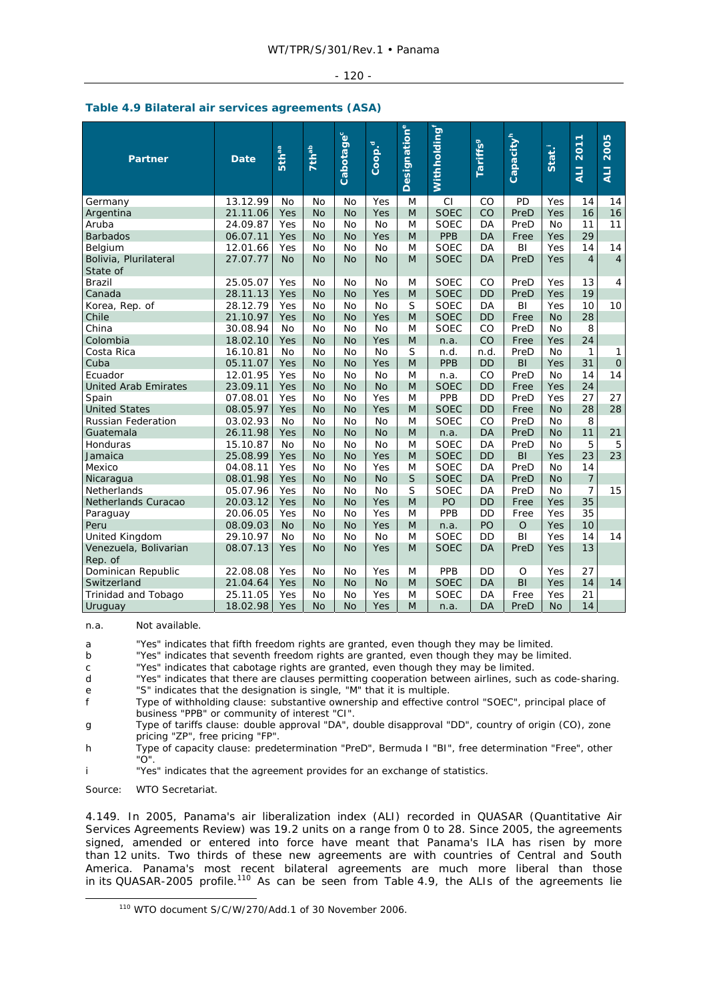#### - 120 -

|  |  |  |  | Table 4.9 Bilateral air services agreements (ASA) |  |
|--|--|--|--|---------------------------------------------------|--|
|--|--|--|--|---------------------------------------------------|--|

| <b>Partner</b>                    | <b>Date</b> | <b>Sthaa</b> | <b>7th<sup>ab</sup></b> | Cabotage <sup>c</sup> | Coop. <sup>d</sup> | <b>Designation</b> e | Withholding <sup>"</sup> | <b>Tariffs</b> <sup>9</sup> | Capacity <sup>h</sup> | Stat.     | 2011<br>$\overline{4}$ | 2005<br>$\overline{4}$ |
|-----------------------------------|-------------|--------------|-------------------------|-----------------------|--------------------|----------------------|--------------------------|-----------------------------|-----------------------|-----------|------------------------|------------------------|
| Germany                           | 13.12.99    | No           | No                      | <b>No</b>             | Yes                | M                    | CI                       | CO                          | PD                    | Yes       | 14                     | 14                     |
| Argentina                         | 21.11.06    | Yes          | <b>No</b>               | <b>No</b>             | Yes                | M                    | <b>SOEC</b>              | CO                          | PreD                  | Yes       | 16                     | 16                     |
| Aruba                             | 24.09.87    | Yes          | No                      | <b>No</b>             | No                 | M                    | <b>SOEC</b>              | DA                          | PreD                  | No        | 11                     | 11                     |
| <b>Barbados</b>                   | 06.07.11    | Yes          | <b>No</b>               | <b>No</b>             | Yes                | M                    | <b>PPB</b>               | DA                          | Free                  | Yes       | 29                     |                        |
| Belgium                           | 12.01.66    | Yes          | No                      | <b>No</b>             | No                 | M                    | <b>SOEC</b>              | DA                          | BI                    | Yes       | 14                     | 14                     |
| Bolivia, Plurilateral<br>State of | 27.07.77    | <b>No</b>    | <b>No</b>               | <b>No</b>             | <b>No</b>          | M                    | <b>SOEC</b>              | DA                          | PreD                  | Yes       | $\overline{4}$         | $\overline{4}$         |
| <b>Brazil</b>                     | 25.05.07    | Yes          | <b>No</b>               | <b>No</b>             | <b>No</b>          | M                    | <b>SOEC</b>              | CO                          | PreD                  | Yes       | 13                     | $\overline{4}$         |
| Canada                            | 28.11.13    | Yes          | <b>No</b>               | <b>No</b>             | Yes                | M                    | <b>SOEC</b>              | <b>DD</b>                   | PreD                  | Yes       | 19                     |                        |
| Korea, Rep. of                    | 28.12.79    | Yes          | No                      | No                    | <b>No</b>          | S                    | <b>SOEC</b>              | DA                          | BI                    | Yes       | 10                     | 10                     |
| Chile                             | 21.10.97    | Yes          | <b>No</b>               | <b>No</b>             | Yes                | M                    | <b>SOEC</b>              | <b>DD</b>                   | Free                  | <b>No</b> | 28                     |                        |
| China                             | 30.08.94    | No           | No                      | No                    | No                 | M                    | <b>SOEC</b>              | CO                          | PreD                  | No        | 8                      |                        |
| Colombia                          | 18.02.10    | Yes          | <b>No</b>               | <b>No</b>             | Yes                | M                    | n.a.                     | CO                          | Free                  | Yes       | 24                     |                        |
| Costa Rica                        | 16.10.81    | <b>No</b>    | <b>No</b>               | <b>No</b>             | <b>No</b>          | S                    | n.d.                     | n.d.                        | PreD                  | No        | 1                      | 1                      |
| Cuba                              | 05.11.07    | Yes          | <b>No</b>               | <b>No</b>             | Yes                | M                    | <b>PPB</b>               | <b>DD</b>                   | BI                    | Yes       | 31                     | $\Omega$               |
| Ecuador                           | 12.01.95    | Yes          | <b>No</b>               | <b>No</b>             | <b>No</b>          | M                    | n.a.                     | CO                          | PreD                  | <b>No</b> | 14                     | 14                     |
| <b>United Arab Emirates</b>       | 23.09.11    | Yes          | <b>No</b>               | <b>No</b>             | <b>No</b>          | M                    | <b>SOEC</b>              | <b>DD</b>                   | Free                  | Yes       | 24                     |                        |
| Spain                             | 07.08.01    | Yes          | <b>No</b>               | <b>No</b>             | Yes                | M                    | PPB                      | DD                          | PreD                  | Yes       | 27                     | 27                     |
| <b>United States</b>              | 08.05.97    | Yes          | <b>No</b>               | <b>No</b>             | Yes                | M                    | <b>SOEC</b>              | <b>DD</b>                   | Free                  | <b>No</b> | 28                     | 28                     |
| <b>Russian Federation</b>         | 03.02.93    | No           | No                      | No                    | No                 | M                    | <b>SOEC</b>              | CO                          | PreD                  | No        | 8                      |                        |
| Guatemala                         | 26.11.98    | Yes          | <b>No</b>               | <b>No</b>             | <b>No</b>          | M                    | n.a.                     | DA                          | PreD                  | <b>No</b> | 11                     | 21                     |
| Honduras                          | 15.10.87    | <b>No</b>    | Nο                      | <b>No</b>             | <b>No</b>          | M                    | <b>SOEC</b>              | DA                          | PreD                  | No        | 5                      | 5                      |
| Jamaica                           | 25.08.99    | Yes          | <b>No</b>               | <b>No</b>             | Yes                | M                    | <b>SOEC</b>              | DD                          | BI                    | Yes       | 23                     | 23                     |
| Mexico                            | 04.08.11    | Yes          | <b>No</b>               | <b>No</b>             | Yes                | M                    | <b>SOEC</b>              | DA                          | PreD                  | <b>No</b> | 14                     |                        |
| Nicaragua                         | 08.01.98    | Yes          | <b>No</b>               | <b>No</b>             | <b>No</b>          | S                    | <b>SOEC</b>              | <b>DA</b>                   | PreD                  | <b>No</b> | $\overline{7}$         |                        |
| Netherlands                       | 05.07.96    | Yes          | No                      | No                    | <b>No</b>          | S                    | <b>SOEC</b>              | DA                          | PreD                  | <b>No</b> | 7                      | 15                     |
| Netherlands Curacao               | 20.03.12    | Yes          | No                      | <b>No</b>             | Yes                | M                    | PO                       | <b>DD</b>                   | Free                  | Yes       | 35                     |                        |
| Paraguay                          | 20.06.05    | Yes          | No                      | No                    | Yes                | M                    | PPB                      | <b>DD</b>                   | Free                  | Yes       | 35                     |                        |
| Peru                              | 08.09.03    | <b>No</b>    | <b>No</b>               | <b>No</b>             | Yes                | M                    | n.a.                     | PO                          | $\circ$               | Yes       | 10                     |                        |
| United Kingdom                    | 29.10.97    | <b>No</b>    | No                      | <b>No</b>             | <b>No</b>          | M                    | <b>SOEC</b>              | DD                          | BI                    | Yes       | 14                     | 14                     |
| Venezuela, Bolivarian<br>Rep. of  | 08.07.13    | Yes          | No                      | <b>No</b>             | Yes                | M                    | <b>SOEC</b>              | DA                          | PreD                  | Yes       | 13                     |                        |
| Dominican Republic                | 22.08.08    | Yes          | No                      | No                    | Yes                | M                    | PPB                      | DD                          | O                     | Yes       | 27                     |                        |
| Switzerland                       | 21.04.64    | Yes          | <b>No</b>               | <b>No</b>             | <b>No</b>          | M                    | <b>SOEC</b>              | DA                          | BI                    | Yes       | 14                     | 14                     |
| Trinidad and Tobago               | 25.11.05    | Yes          | No                      | No                    | Yes                | M                    | <b>SOEC</b>              | DA                          | Free                  | Yes       | 21                     |                        |
| Uruguay                           | 18.02.98    | Yes          | <b>No</b>               | <b>No</b>             | Yes                | M                    | n.a.                     | DA                          | PreD                  | <b>No</b> | 14                     |                        |

n.a. Not available.

a "Yes" indicates that fifth freedom rights are granted, even though they may be limited.

b "Yes" indicates that seventh freedom rights are granted, even though they may be limited.

c "Yes" indicates that cabotage rights are granted, even though they may be limited.

d "Yes" indicates that there are clauses permitting cooperation between airlines, such as code-sharing. e "S" indicates that the designation is single, "M" that it is multiple.<br>
F Type of withholding clause: substantive ownership and effective c

f Type of withholding clause: substantive ownership and effective control "SOEC", principal place of business "PPB" or community of interest "CI".

g Type of tariffs clause: double approval "DA", double disapproval "DD", country of origin (CO), zone pricing "ZP", free pricing "FP".

h Type of capacity clause: predetermination "PreD", Bermuda I "BI", free determination "Free", other "O".

i "Yes" indicates that the agreement provides for an exchange of statistics.

Source: WTO Secretariat.

4.149. In 2005, Panama's air liberalization index (ALI) recorded in QUASAR (Quantitative Air Services Agreements Review) was 19.2 units on a range from 0 to 28. Since 2005, the agreements signed, amended or entered into force have meant that Panama's ILA has risen by more than 12 units. Two thirds of these new agreements are with countries of Central and South America. Panama's most recent bilateral agreements are much more liberal than those in its QUASAR-2005 profile.<sup>110</sup> As can be seen from Table 4.9, the ALIs of the agreements lie

 <sup>110</sup> WTO document S/C/W/270/Add.1 of 30 November 2006.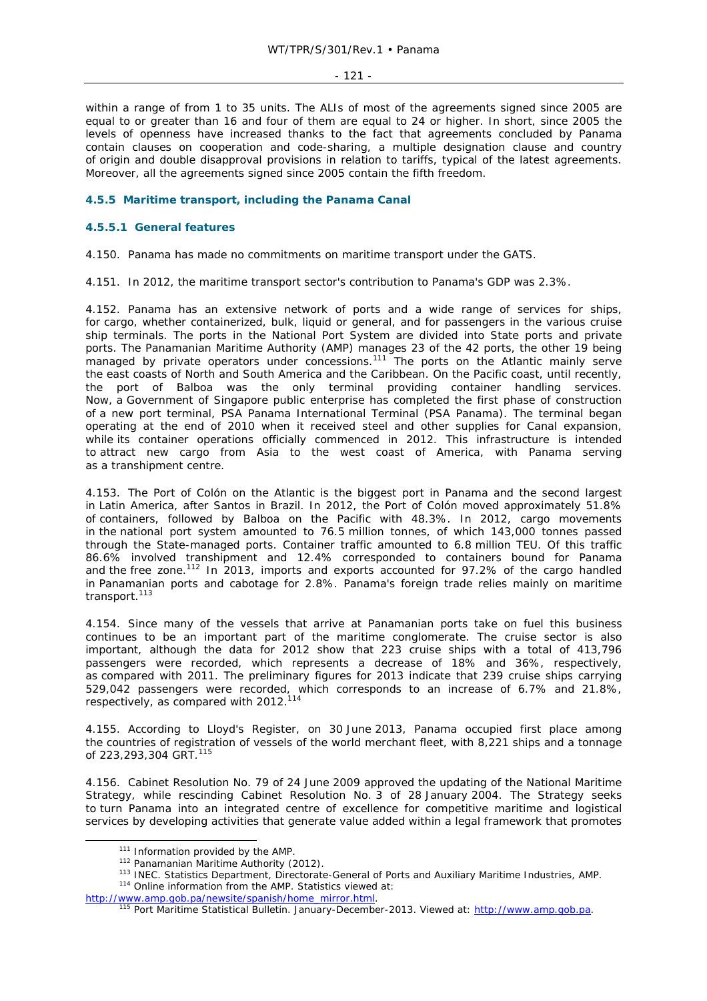- 121 -

within a range of from 1 to 35 units. The ALIs of most of the agreements signed since 2005 are equal to or greater than 16 and four of them are equal to 24 or higher. In short, since 2005 the levels of openness have increased thanks to the fact that agreements concluded by Panama contain clauses on cooperation and code-sharing, a multiple designation clause and country of origin and double disapproval provisions in relation to tariffs, typical of the latest agreements. Moreover, all the agreements signed since 2005 contain the fifth freedom.

# **4.5.5 Maritime transport, including the Panama Canal**

## **4.5.5.1 General features**

4.150. Panama has made no commitments on maritime transport under the GATS.

4.151. In 2012, the maritime transport sector's contribution to Panama's GDP was 2.3%.

4.152. Panama has an extensive network of ports and a wide range of services for ships, for cargo, whether containerized, bulk, liquid or general, and for passengers in the various cruise ship terminals. The ports in the National Port System are divided into State ports and private ports. The Panamanian Maritime Authority (AMP) manages 23 of the 42 ports, the other 19 being managed by private operators under concessions.<sup>111</sup> The ports on the Atlantic mainly serve the east coasts of North and South America and the Caribbean. On the Pacific coast, until recently, the port of Balboa was the only terminal providing container handling services. Now, a Government of Singapore public enterprise has completed the first phase of construction of a new port terminal, PSA Panama International Terminal (PSA Panama). The terminal began operating at the end of 2010 when it received steel and other supplies for Canal expansion, while its container operations officially commenced in 2012. This infrastructure is intended to attract new cargo from Asia to the west coast of America, with Panama serving as a transhipment centre.

4.153. The Port of Colón on the Atlantic is the biggest port in Panama and the second largest in Latin America, after Santos in Brazil. In 2012, the Port of Colón moved approximately 51.8% of containers, followed by Balboa on the Pacific with 48.3%. In 2012, cargo movements in the national port system amounted to 76.5 million tonnes, of which 143,000 tonnes passed through the State-managed ports. Container traffic amounted to 6.8 million TEU. Of this traffic 86.6% involved transhipment and 12.4% corresponded to containers bound for Panama and the free zone.112 In 2013, imports and exports accounted for 97.2% of the cargo handled in Panamanian ports and cabotage for 2.8%. Panama's foreign trade relies mainly on maritime transport.<sup>113</sup>

4.154. Since many of the vessels that arrive at Panamanian ports take on fuel this business continues to be an important part of the maritime conglomerate. The cruise sector is also important, although the data for 2012 show that 223 cruise ships with a total of 413,796 passengers were recorded, which represents a decrease of 18% and 36%, respectively, as compared with 2011. The preliminary figures for 2013 indicate that 239 cruise ships carrying 529,042 passengers were recorded, which corresponds to an increase of 6.7% and 21.8%, respectively, as compared with 2012.<sup>114</sup>

4.155. According to *Lloyd's Register*, on 30 June 2013, Panama occupied first place among the countries of registration of vessels of the world merchant fleet, with 8,221 ships and a tonnage of 223,293,304 GRT.<sup>115</sup>

4.156. Cabinet Resolution No. 79 of 24 June 2009 approved the updating of the National Maritime Strategy, while rescinding Cabinet Resolution No. 3 of 28 January 2004. The Strategy seeks to turn Panama into an integrated centre of excellence for competitive maritime and logistical services by developing activities that generate value added within a legal framework that promotes

<sup>&</sup>lt;sup>111</sup> Information provided by the AMP.<br><sup>112</sup> Panamanian Maritime Authority (2012).<br><sup>113</sup> INEC. Statistics Department, Directorate-General of Ports and Auxiliary Maritime Industries, AMP.<br><sup>114</sup> Online information from the A

http://www.amp.gob.pa/newsite/spanish/home\_mirror.html. 115 Port Maritime Statistical Bulletin. January-December-2013. Viewed at: http://www.amp.gob.pa.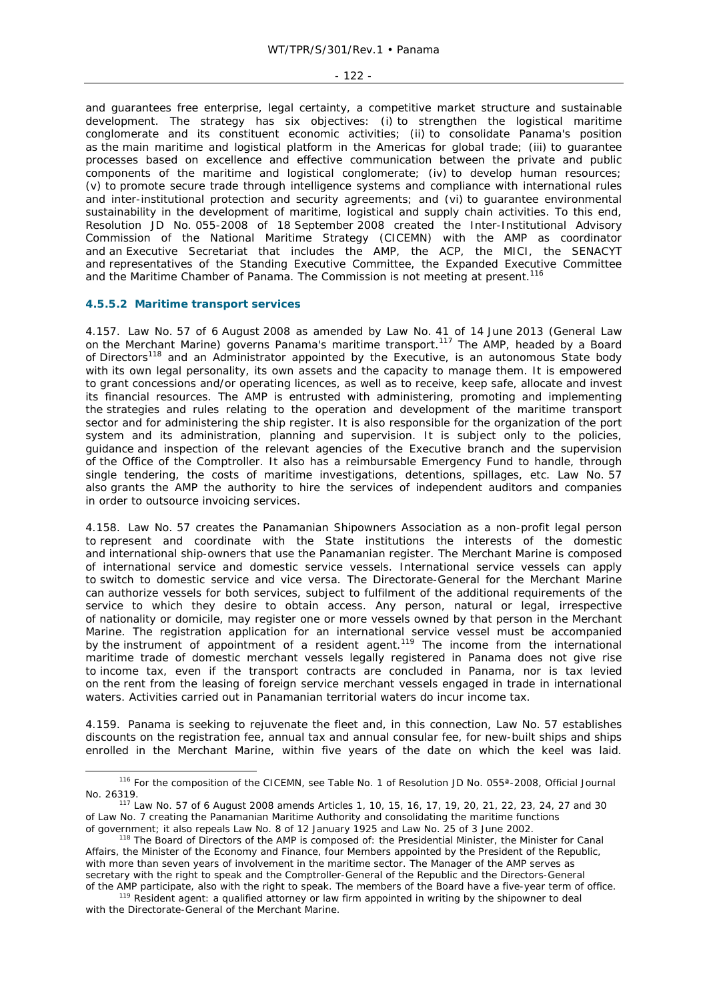#### - 122 -

and guarantees free enterprise, legal certainty, a competitive market structure and sustainable development. The strategy has six objectives: (i) to strengthen the logistical maritime conglomerate and its constituent economic activities; (ii) to consolidate Panama's position as the main maritime and logistical platform in the Americas for global trade; (iii) to guarantee processes based on excellence and effective communication between the private and public components of the maritime and logistical conglomerate; (iv) to develop human resources; (v) to promote secure trade through intelligence systems and compliance with international rules and inter-institutional protection and security agreements; and (vi) to guarantee environmental sustainability in the development of maritime, logistical and supply chain activities. To this end, Resolution JD No. 055-2008 of 18 September 2008 created the Inter-Institutional Advisory Commission of the National Maritime Strategy (CICEMN) with the AMP as coordinator and an Executive Secretariat that includes the AMP, the ACP, the MICI, the SENACYT and representatives of the Standing Executive Committee, the Expanded Executive Committee and the Maritime Chamber of Panama. The Commission is not meeting at present.<sup>116</sup>

# **4.5.5.2 Maritime transport services**

4.157. Law No. 57 of 6 August 2008 as amended by Law No. 41 of 14 June 2013 (General Law on the Merchant Marine) governs Panama's maritime transport.<sup>117</sup> The AMP, headed by a Board of Directors<sup>118</sup> and an Administrator appointed by the Executive, is an autonomous State body with its own legal personality, its own assets and the capacity to manage them. It is empowered to grant concessions and/or operating licences, as well as to receive, keep safe, allocate and invest its financial resources. The AMP is entrusted with administering, promoting and implementing the strategies and rules relating to the operation and development of the maritime transport sector and for administering the ship register. It is also responsible for the organization of the port system and its administration, planning and supervision. It is subject only to the policies, guidance and inspection of the relevant agencies of the Executive branch and the supervision of the Office of the Comptroller. It also has a reimbursable Emergency Fund to handle, through single tendering, the costs of maritime investigations, detentions, spillages, etc. Law No. 57 also grants the AMP the authority to hire the services of independent auditors and companies in order to outsource invoicing services.

4.158. Law No. 57 creates the Panamanian Shipowners Association as a non-profit legal person to represent and coordinate with the State institutions the interests of the domestic and international ship-owners that use the Panamanian register. The Merchant Marine is composed of international service and domestic service vessels. International service vessels can apply to switch to domestic service and vice versa. The Directorate-General for the Merchant Marine can authorize vessels for both services, subject to fulfilment of the additional requirements of the service to which they desire to obtain access. Any person, natural or legal, irrespective of nationality or domicile, may register one or more vessels owned by that person in the Merchant Marine. The registration application for an international service vessel must be accompanied by the instrument of appointment of a resident agent.<sup>119</sup> The income from the international maritime trade of domestic merchant vessels legally registered in Panama does not give rise to income tax, even if the transport contracts are concluded in Panama, nor is tax levied on the rent from the leasing of foreign service merchant vessels engaged in trade in international waters. Activities carried out in Panamanian territorial waters do incur income tax.

4.159. Panama is seeking to rejuvenate the fleet and, in this connection, Law No. 57 establishes discounts on the registration fee, annual tax and annual consular fee, for new-built ships and ships enrolled in the Merchant Marine, within five years of the date on which the keel was laid.

<sup>116</sup> For the composition of the CICEMN, see Table No. 1 of Resolution JD No. 055<sup>a</sup>-2008, Official Journal No. 26319. 117 Law No. 57 of 6 August 2008 amends Articles 1, 10, 15, 16, 17, 19, 20, 21, 22, 23, 24, 27 and 30

of Law No. 7 creating the Panamanian Maritime Authority and consolidating the maritime functions of government; it also repeals Law No. 8 of 12 January 1925 and Law No. 25 of 3 June 2002.

it also repeals and dependent of the AMP is composed of: the Presidential Minister, the Minister for Canal Affairs, the Minister of the Economy and Finance, four Members appointed by the President of the Republic, with more than seven years of involvement in the maritime sector. The Manager of the AMP serves as secretary with the right to speak and the Comptroller-General of the Republic and the Directors-General of the AMP participate, also with the right to speak. The members of the Board have a five-year term of office.<br><sup>119</sup> Resident agent: a qualified attorney or law firm appointed in writing by the shipowner to deal

with the Directorate-General of the Merchant Marine.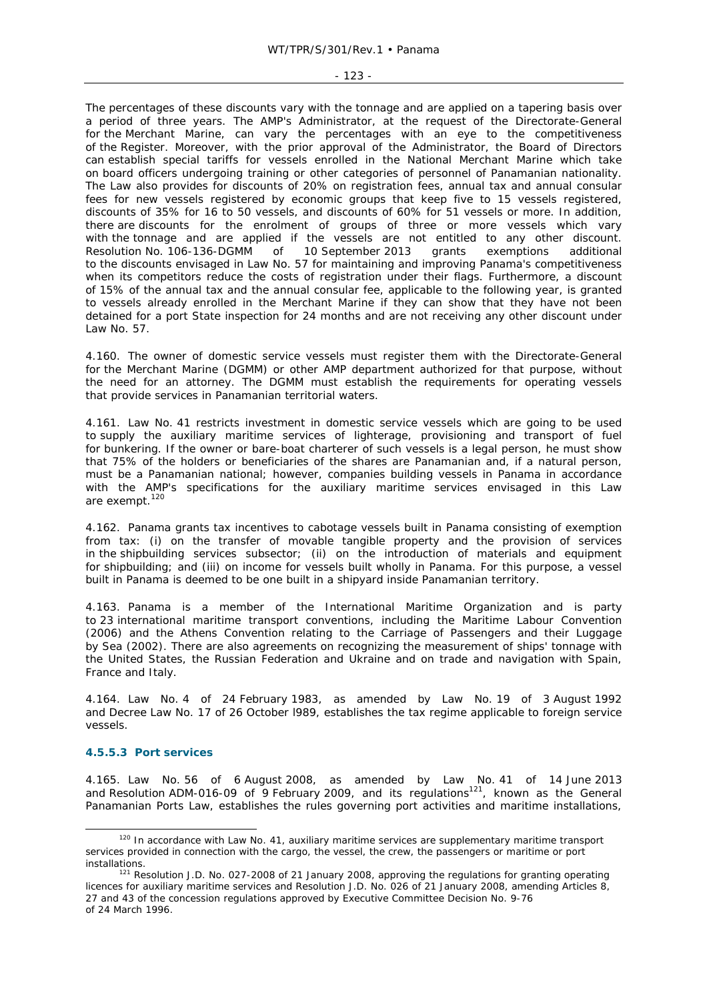#### - 123 -

The percentages of these discounts vary with the tonnage and are applied on a tapering basis over a period of three years. The AMP's Administrator, at the request of the Directorate-General for the Merchant Marine, can vary the percentages with an eye to the competitiveness of the Register. Moreover, with the prior approval of the Administrator, the Board of Directors can establish special tariffs for vessels enrolled in the National Merchant Marine which take on board officers undergoing training or other categories of personnel of Panamanian nationality. The Law also provides for discounts of 20% on registration fees, annual tax and annual consular fees for new vessels registered by economic groups that keep five to 15 vessels registered, discounts of 35% for 16 to 50 vessels, and discounts of 60% for 51 vessels or more. In addition, there are discounts for the enrolment of groups of three or more vessels which vary with the tonnage and are applied if the vessels are not entitled to any other discount.<br>Resolution No. 106-136-DGMM of 10 September 2013 grants exemptions additional Resolution No. 106-136-DGMM of 10 September 2013 grants exemptions additional to the discounts envisaged in Law No. 57 for maintaining and improving Panama's competitiveness when its competitors reduce the costs of registration under their flags. Furthermore, a discount of 15% of the annual tax and the annual consular fee, applicable to the following year, is granted to vessels already enrolled in the Merchant Marine if they can show that they have not been detained for a port State inspection for 24 months and are not receiving any other discount under Law No. 57.

4.160. The owner of domestic service vessels must register them with the Directorate-General for the Merchant Marine (DGMM) or other AMP department authorized for that purpose, without the need for an attorney. The DGMM must establish the requirements for operating vessels that provide services in Panamanian territorial waters.

4.161. Law No. 41 restricts investment in domestic service vessels which are going to be used to supply the auxiliary maritime services of lighterage, provisioning and transport of fuel for bunkering. If the owner or bare-boat charterer of such vessels is a legal person, he must show that 75% of the holders or beneficiaries of the shares are Panamanian and, if a natural person, must be a Panamanian national; however, companies building vessels in Panama in accordance with the AMP's specifications for the auxiliary maritime services envisaged in this Law are exempt.<sup>120</sup>

4.162. Panama grants tax incentives to cabotage vessels built in Panama consisting of exemption from tax: (i) on the transfer of movable tangible property and the provision of services in the shipbuilding services subsector; (ii) on the introduction of materials and equipment for shipbuilding; and (iii) on income for vessels built wholly in Panama. For this purpose, a vessel built in Panama is deemed to be one built in a shipyard inside Panamanian territory.

4.163. Panama is a member of the International Maritime Organization and is party to 23 international maritime transport conventions, including the Maritime Labour Convention (2006) and the Athens Convention relating to the Carriage of Passengers and their Luggage by Sea (2002). There are also agreements on recognizing the measurement of ships' tonnage with the United States, the Russian Federation and Ukraine and on trade and navigation with Spain, France and Italy.

4.164. Law No. 4 of 24 February 1983, as amended by Law No. 19 of 3 August 1992 and Decree Law No. 17 of 26 October l989, establishes the tax regime applicable to foreign service vessels.

# **4.5.5.3 Port services**

4.165. Law No. 56 of 6 August 2008, as amended by Law No. 41 of 14 June 2013 and Resolution ADM-016-09 of 9 February 2009, and its regulations<sup>121</sup>, known as the General Panamanian Ports Law, establishes the rules governing port activities and maritime installations,

<sup>&</sup>lt;sup>120</sup> In accordance with Law No. 41, auxiliary maritime services are supplementary maritime transport services provided in connection with the cargo, the vessel, the crew, the passengers or maritime or port installations.<br><sup>121</sup> Resolution J.D. No. 027-2008 of 21 January 2008, approving the regulations for granting operating

licences for auxiliary maritime services and Resolution J.D. No. 026 of 21 January 2008, amending Articles 8, 27 and 43 of the concession regulations approved by Executive Committee Decision No. 9-76 of 24 March 1996.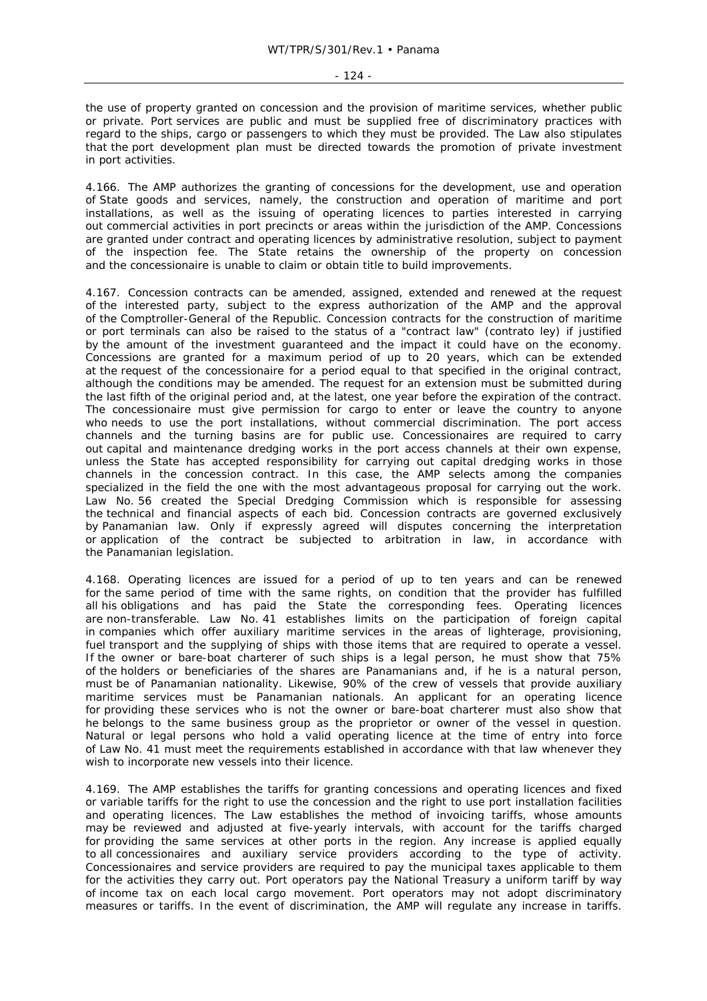the use of property granted on concession and the provision of maritime services, whether public or private. Port services are public and must be supplied free of discriminatory practices with regard to the ships, cargo or passengers to which they must be provided. The Law also stipulates that the port development plan must be directed towards the promotion of private investment in port activities.

4.166. The AMP authorizes the granting of concessions for the development, use and operation of State goods and services, namely, the construction and operation of maritime and port installations, as well as the issuing of operating licences to parties interested in carrying out commercial activities in port precincts or areas within the jurisdiction of the AMP. Concessions are granted under contract and operating licences by administrative resolution, subject to payment of the inspection fee. The State retains the ownership of the property on concession and the concessionaire is unable to claim or obtain title to build improvements.

4.167. Concession contracts can be amended, assigned, extended and renewed at the request of the interested party, subject to the express authorization of the AMP and the approval of the Comptroller-General of the Republic. Concession contracts for the construction of maritime or port terminals can also be raised to the status of a "contract law" (*contrato ley*) if justified by the amount of the investment guaranteed and the impact it could have on the economy. Concessions are granted for a maximum period of up to 20 years, which can be extended at the request of the concessionaire for a period equal to that specified in the original contract, although the conditions may be amended. The request for an extension must be submitted during the last fifth of the original period and, at the latest, one year before the expiration of the contract. The concessionaire must give permission for cargo to enter or leave the country to anyone who needs to use the port installations, without commercial discrimination. The port access channels and the turning basins are for public use. Concessionaires are required to carry out capital and maintenance dredging works in the port access channels at their own expense, unless the State has accepted responsibility for carrying out capital dredging works in those channels in the concession contract. In this case, the AMP selects among the companies specialized in the field the one with the most advantageous proposal for carrying out the work. Law No. 56 created the Special Dredging Commission which is responsible for assessing the technical and financial aspects of each bid. Concession contracts are governed exclusively by Panamanian law. Only if expressly agreed will disputes concerning the interpretation or application of the contract be subjected to arbitration in law, in accordance with the Panamanian legislation.

4.168. Operating licences are issued for a period of up to ten years and can be renewed for the same period of time with the same rights, on condition that the provider has fulfilled all his obligations and has paid the State the corresponding fees. Operating licences are non-transferable. Law No. 41 establishes limits on the participation of foreign capital in companies which offer auxiliary maritime services in the areas of lighterage, provisioning, fuel transport and the supplying of ships with those items that are required to operate a vessel. If the owner or bare-boat charterer of such ships is a legal person, he must show that 75% of the holders or beneficiaries of the shares are Panamanians and, if he is a natural person, must be of Panamanian nationality. Likewise, 90% of the crew of vessels that provide auxiliary maritime services must be Panamanian nationals. An applicant for an operating licence for providing these services who is not the owner or bare-boat charterer must also show that he belongs to the same business group as the proprietor or owner of the vessel in question. Natural or legal persons who hold a valid operating licence at the time of entry into force of Law No. 41 must meet the requirements established in accordance with that law whenever they wish to incorporate new vessels into their licence.

4.169. The AMP establishes the tariffs for granting concessions and operating licences and fixed or variable tariffs for the right to use the concession and the right to use port installation facilities and operating licences. The Law establishes the method of invoicing tariffs, whose amounts may be reviewed and adjusted at five-yearly intervals, with account for the tariffs charged for providing the same services at other ports in the region. Any increase is applied equally to all concessionaires and auxiliary service providers according to the type of activity. Concessionaires and service providers are required to pay the municipal taxes applicable to them for the activities they carry out. Port operators pay the National Treasury a uniform tariff by way of income tax on each local cargo movement. Port operators may not adopt discriminatory measures or tariffs. In the event of discrimination, the AMP will regulate any increase in tariffs.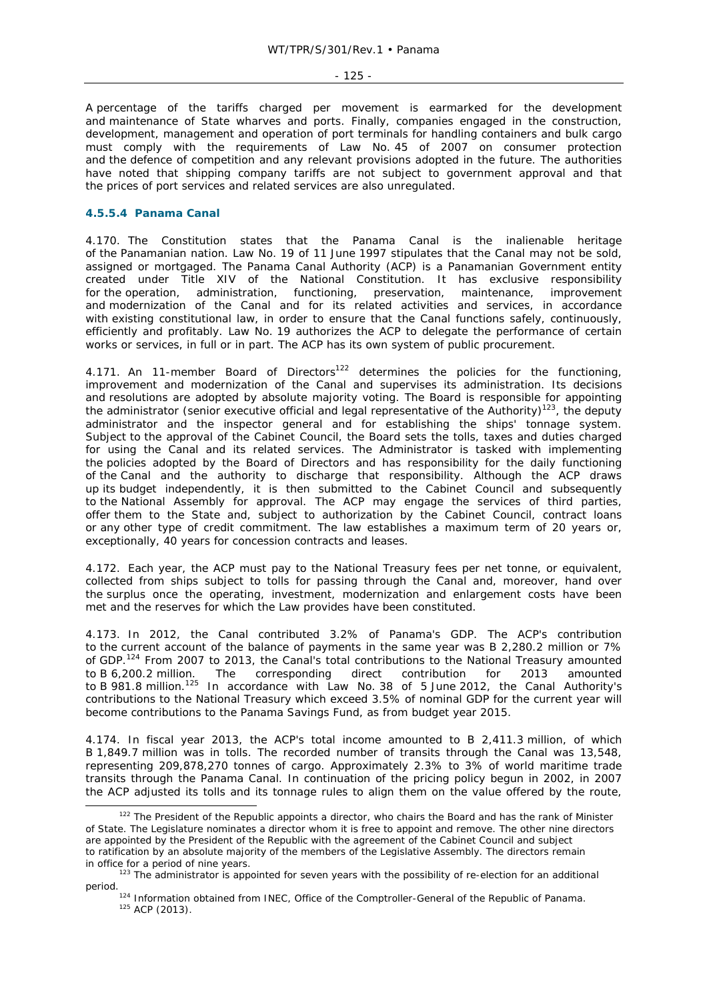- 125 -

A percentage of the tariffs charged per movement is earmarked for the development and maintenance of State wharves and ports. Finally, companies engaged in the construction, development, management and operation of port terminals for handling containers and bulk cargo must comply with the requirements of Law No. 45 of 2007 on consumer protection and the defence of competition and any relevant provisions adopted in the future. The authorities have noted that shipping company tariffs are not subject to government approval and that the prices of port services and related services are also unregulated.

## **4.5.5.4 Panama Canal**

4.170. The Constitution states that the Panama Canal is the inalienable heritage of the Panamanian nation. Law No. 19 of 11 June 1997 stipulates that the Canal may not be sold, assigned or mortgaged. The Panama Canal Authority (ACP) is a Panamanian Government entity created under Title XIV of the National Constitution. It has exclusive responsibility for the operation, administration, functioning, preservation, maintenance, improvement and modernization of the Canal and for its related activities and services, in accordance with existing constitutional law, in order to ensure that the Canal functions safely, continuously, efficiently and profitably. Law No. 19 authorizes the ACP to delegate the performance of certain works or services, in full or in part. The ACP has its own system of public procurement.

4.171. An 11-member Board of Directors<sup>122</sup> determines the policies for the functioning, improvement and modernization of the Canal and supervises its administration. Its decisions and resolutions are adopted by absolute majority voting. The Board is responsible for appointing the administrator (senior executive official and legal representative of the Authority)<sup>123</sup>, the deputy administrator and the inspector general and for establishing the ships' tonnage system. Subject to the approval of the Cabinet Council, the Board sets the tolls, taxes and duties charged for using the Canal and its related services. The Administrator is tasked with implementing the policies adopted by the Board of Directors and has responsibility for the daily functioning of the Canal and the authority to discharge that responsibility. Although the ACP draws up its budget independently, it is then submitted to the Cabinet Council and subsequently to the National Assembly for approval. The ACP may engage the services of third parties, offer them to the State and, subject to authorization by the Cabinet Council, contract loans or any other type of credit commitment. The law establishes a maximum term of 20 years or, exceptionally, 40 years for concession contracts and leases.

4.172. Each year, the ACP must pay to the National Treasury fees per net tonne, or equivalent, collected from ships subject to tolls for passing through the Canal and, moreover, hand over the surplus once the operating, investment, modernization and enlargement costs have been met and the reserves for which the Law provides have been constituted.

4.173. In 2012, the Canal contributed 3.2% of Panama's GDP. The ACP's contribution to the current account of the balance of payments in the same year was B 2,280.2 million or 7% of GDP.<sup>124</sup> From 2007 to 2013, the Canal's total contributions to the National Treasury amounted to B 6,200.2 million. The corresponding direct contribution for 2013 amounted to B 981.8 million.<sup>125</sup> In accordance with Law No. 38 of 5 June 2012, the Canal Authority's contributions to the National Treasury which exceed 3.5% of nominal GDP for the current year will become contributions to the Panama Savings Fund, as from budget year 2015.

4.174. In fiscal year 2013, the ACP's total income amounted to B 2,411.3 million, of which B 1,849.7 million was in tolls. The recorded number of transits through the Canal was 13,548, representing 209,878,270 tonnes of cargo. Approximately 2.3% to 3% of world maritime trade transits through the Panama Canal. In continuation of the pricing policy begun in 2002, in 2007 the ACP adjusted its tolls and its tonnage rules to align them on the value offered by the route,

<sup>&</sup>lt;sup>122</sup> The President of the Republic appoints a director, who chairs the Board and has the rank of Minister of State. The Legislature nominates a director whom it is free to appoint and remove. The other nine directors are appointed by the President of the Republic with the agreement of the Cabinet Council and subject to ratification by an absolute majority of the members of the Legislative Assembly. The directors remain in office for a period of nine years.<br><sup>123</sup> The administrator is appointed for seven years with the possibility of re-election for an additional

period. 124 Information obtained from INEC, Office of the Comptroller-General of the Republic of Panama.<br>125 ACP (2013).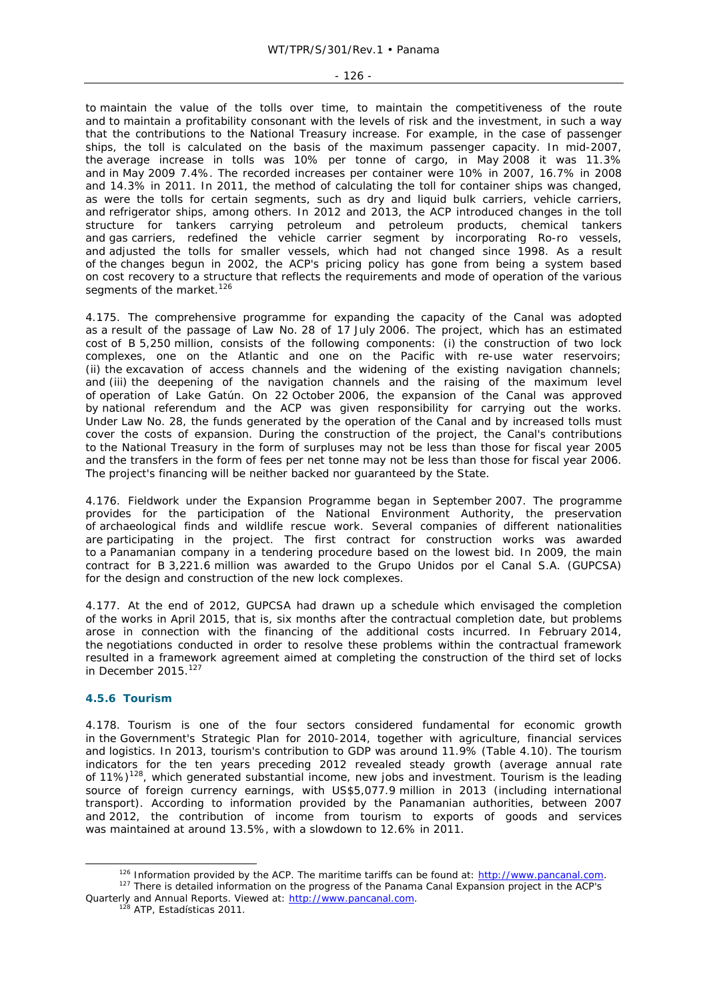#### - 126 -

to maintain the value of the tolls over time, to maintain the competitiveness of the route and to maintain a profitability consonant with the levels of risk and the investment, in such a way that the contributions to the National Treasury increase. For example, in the case of passenger ships, the toll is calculated on the basis of the maximum passenger capacity. In mid-2007, the average increase in tolls was 10% per tonne of cargo, in May 2008 it was 11.3% and in May 2009 7.4%. The recorded increases per container were 10% in 2007, 16.7% in 2008 and 14.3% in 2011. In 2011, the method of calculating the toll for container ships was changed, as were the tolls for certain segments, such as dry and liquid bulk carriers, vehicle carriers, and refrigerator ships, among others. In 2012 and 2013, the ACP introduced changes in the toll structure for tankers carrying petroleum and petroleum products, chemical tankers and gas carriers, redefined the vehicle carrier segment by incorporating Ro-ro vessels, and adjusted the tolls for smaller vessels, which had not changed since 1998. As a result of the changes begun in 2002, the ACP's pricing policy has gone from being a system based on cost recovery to a structure that reflects the requirements and mode of operation of the various segments of the market.<sup>126</sup>

4.175. The comprehensive programme for expanding the capacity of the Canal was adopted as a result of the passage of Law No. 28 of 17 July 2006. The project, which has an estimated cost of B 5,250 million, consists of the following components: (i) the construction of two lock complexes, one on the Atlantic and one on the Pacific with re-use water reservoirs; (ii) the excavation of access channels and the widening of the existing navigation channels; and (iii) the deepening of the navigation channels and the raising of the maximum level of operation of Lake Gatún. On 22 October 2006, the expansion of the Canal was approved by national referendum and the ACP was given responsibility for carrying out the works. Under Law No. 28, the funds generated by the operation of the Canal and by increased tolls must cover the costs of expansion. During the construction of the project, the Canal's contributions to the National Treasury in the form of surpluses may not be less than those for fiscal year 2005 and the transfers in the form of fees per net tonne may not be less than those for fiscal year 2006. The project's financing will be neither backed nor guaranteed by the State.

4.176. Fieldwork under the Expansion Programme began in September 2007. The programme provides for the participation of the National Environment Authority, the preservation of archaeological finds and wildlife rescue work. Several companies of different nationalities are participating in the project. The first contract for construction works was awarded to a Panamanian company in a tendering procedure based on the lowest bid. In 2009, the main contract for B 3,221.6 million was awarded to the Grupo Unidos por el Canal S.A. (GUPCSA) for the design and construction of the new lock complexes.

4.177. At the end of 2012, GUPCSA had drawn up a schedule which envisaged the completion of the works in April 2015, that is, six months after the contractual completion date, but problems arose in connection with the financing of the additional costs incurred. In February 2014, the negotiations conducted in order to resolve these problems within the contractual framework resulted in a framework agreement aimed at completing the construction of the third set of locks in December 2015.<sup>127</sup>

# **4.5.6 Tourism**

4.178. Tourism is one of the four sectors considered fundamental for economic growth in the Government's Strategic Plan for 2010-2014, together with agriculture, financial services and logistics. In 2013, tourism's contribution to GDP was around 11.9% (Table 4.10). The tourism indicators for the ten years preceding 2012 revealed steady growth (average annual rate of 11%)128, which generated substantial income, new jobs and investment. Tourism is the leading source of foreign currency earnings, with US\$5,077.9 million in 2013 (including international transport). According to information provided by the Panamanian authorities, between 2007 and 2012, the contribution of income from tourism to exports of goods and services was maintained at around 13.5%, with a slowdown to 12.6% in 2011.

<sup>&</sup>lt;sup>126</sup> Information provided by the ACP. The maritime tariffs can be found at:  $\frac{http://www.pancanal.com}{http://www.pancanal.com}$ .<br><sup>127</sup> There is detailed information on the progress of the Panama Canal Expansion project in the ACP's

Quarterly and Annual Reports. Viewed at: http://www.pancanal.com. 128 ATP, Estadísticas 2011.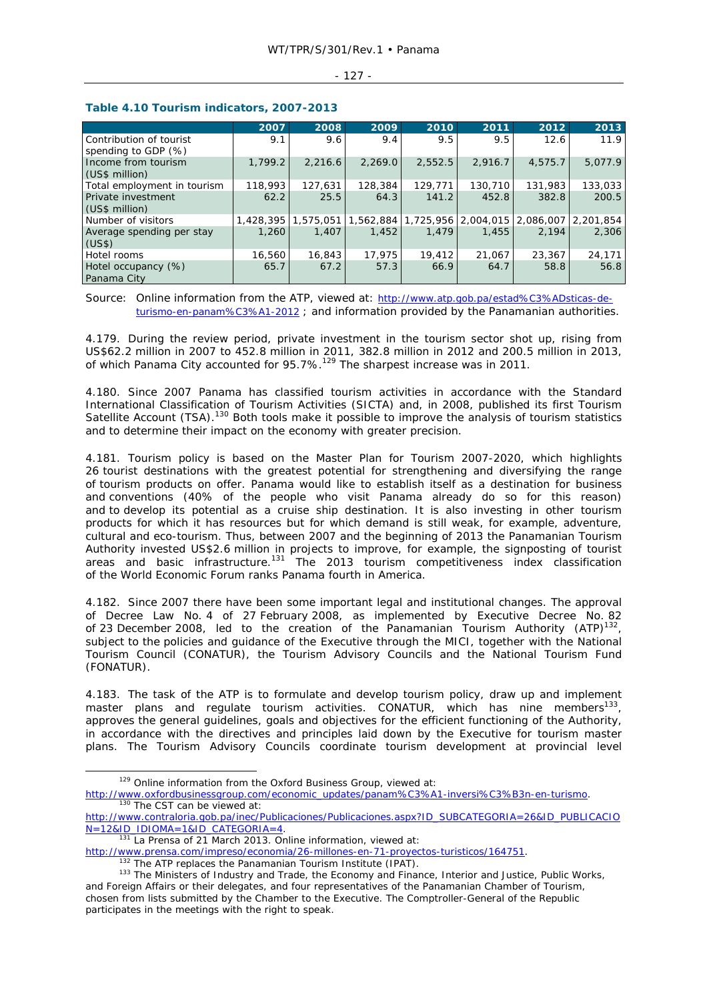#### - 127 -

|                             | 2007      | 2008      | 2009      | 2010    | 2011                | 2012    | 2013                  |
|-----------------------------|-----------|-----------|-----------|---------|---------------------|---------|-----------------------|
| Contribution of tourist     | 9.1       | 9.6       | 9.4       | 9.5     | 9.5                 | 12.6    | 11.9                  |
| spending to GDP (%)         |           |           |           |         |                     |         |                       |
| Income from tourism         | 1,799.2   | 2.216.6   | 2.269.0   | 2.552.5 | 2.916.7             | 4,575.7 | 5,077.9               |
| (US\$ million)              |           |           |           |         |                     |         |                       |
| Total employment in tourism | 118,993   | 127,631   | 128,384   | 129,771 | 130,710             | 131,983 | 133,033               |
| Private investment          | 62.2      | 25.5      | 64.3      | 141.2   | 452.8               | 382.8   | 200.5                 |
| (US\$ million)              |           |           |           |         |                     |         |                       |
| Number of visitors          | 1,428,395 | 1,575,051 | 1,562,884 |         | 1,725,956 2,004,015 |         | 2,086,007   2,201,854 |
| Average spending per stay   | 1,260     | 1.407     | 1,452     | 1.479   | 1,455               | 2.194   | 2,306                 |
| (US\$)                      |           |           |           |         |                     |         |                       |
| Hotel rooms                 | 16,560    | 16,843    | 17.975    | 19,412  | 21,067              | 23,367  | 24,171                |
| Hotel occupancy (%)         | 65.7      | 67.2      | 57.3      | 66.9    | 64.7                | 58.8    | 56.8                  |
| Panama City                 |           |           |           |         |                     |         |                       |

## **Table 4.10 Tourism indicators, 2007-2013**

Source: Online information from the ATP, viewed at: http://www.atp.gob.pa/estad%C3%ADsticas-deturismo-en-panam%C3%A1-2012 ; and information provided by the Panamanian authorities.

4.179. During the review period, private investment in the tourism sector shot up, rising from US\$62.2 million in 2007 to 452.8 million in 2011, 382.8 million in 2012 and 200.5 million in 2013, of which Panama City accounted for  $95.7\%$ .<sup>129</sup> The sharpest increase was in 2011.

4.180. Since 2007 Panama has classified tourism activities in accordance with the Standard International Classification of Tourism Activities (SICTA) and, in 2008, published its first Tourism Satellite Account (TSA).<sup>130</sup> Both tools make it possible to improve the analysis of tourism statistics and to determine their impact on the economy with greater precision.

4.181. Tourism policy is based on the Master Plan for Tourism 2007-2020, which highlights 26 tourist destinations with the greatest potential for strengthening and diversifying the range of tourism products on offer. Panama would like to establish itself as a destination for business and conventions (40% of the people who visit Panama already do so for this reason) and to develop its potential as a cruise ship destination. It is also investing in other tourism products for which it has resources but for which demand is still weak, for example, adventure, cultural and eco-tourism. Thus, between 2007 and the beginning of 2013 the Panamanian Tourism Authority invested US\$2.6 million in projects to improve, for example, the signposting of tourist areas and basic infrastructure.<sup>131</sup> The 2013 tourism competitiveness index classification of the World Economic Forum ranks Panama fourth in America.

4.182. Since 2007 there have been some important legal and institutional changes. The approval of Decree Law No. 4 of 27 February 2008, as implemented by Executive Decree No. 82 of 23 December 2008, led to the creation of the Panamanian Tourism Authority (ATP)<sup>132</sup>, subject to the policies and guidance of the Executive through the MICI, together with the National Tourism Council (CONATUR), the Tourism Advisory Councils and the National Tourism Fund (FONATUR).

4.183. The task of the ATP is to formulate and develop tourism policy, draw up and implement master plans and regulate tourism activities. CONATUR, which has nine members<sup>133</sup>, approves the general guidelines, goals and objectives for the efficient functioning of the Authority, in accordance with the directives and principles laid down by the Executive for tourism master plans. The Tourism Advisory Councils coordinate tourism development at provincial level

 <sup>129</sup> Online information from the *Oxford Business Group,* viewed at:

http://www.oxfordbusinessgroup.com/economic\_updates/panam%C3%A1-inversi%C3%B3n-en-turismo.<br><sup>130</sup> The CST can be viewed at:

http://www.contraloria.gob.pa/inec/Publicaciones/Publicaciones.aspx?ID\_SUBCATEGORIA=26&ID\_PUBLICACIO<br>N=12&ID\_IDIOMA=1&ID\_CATEGORIA=4.

N=12&IDIOMA: 18IDMA: 18ID\_0.131 *La Prensa* of 21 March 2013. Online information, viewed at:<br>http://www.prensa.com/impreso/economia/26-millones-en-71-proyectos-turisticos/164751.

 $132$  The ATP replaces the Panamanian Tourism Institute (IPAT).<br> $133$  The Ministers of Industry and Trade, the Economy and Finance, Interior and Justice, Public Works, and Foreign Affairs or their delegates, and four representatives of the Panamanian Chamber of Tourism, chosen from lists submitted by the Chamber to the Executive. The Comptroller-General of the Republic participates in the meetings with the right to speak.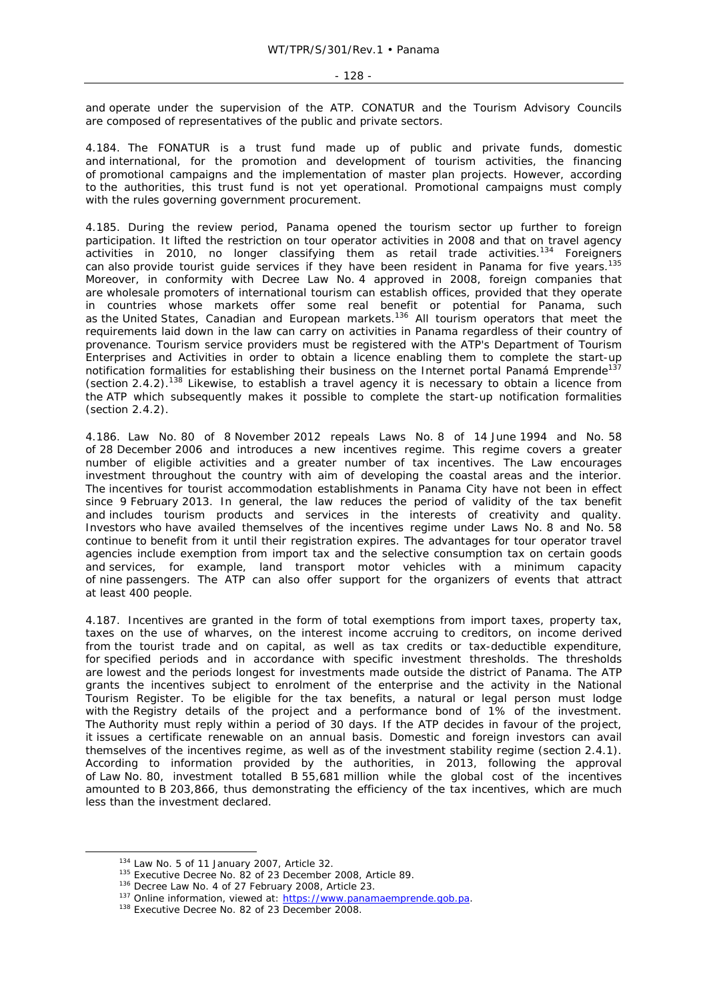#### - 128 -

and operate under the supervision of the ATP. CONATUR and the Tourism Advisory Councils are composed of representatives of the public and private sectors.

4.184. The FONATUR is a trust fund made up of public and private funds, domestic and international, for the promotion and development of tourism activities, the financing of promotional campaigns and the implementation of master plan projects. However, according to the authorities, this trust fund is not yet operational. Promotional campaigns must comply with the rules governing government procurement.

4.185. During the review period, Panama opened the tourism sector up further to foreign participation. It lifted the restriction on tour operator activities in 2008 and that on travel agency activities in 2010, no longer classifying them as retail trade activities.<sup>134</sup> Foreigners can also provide tourist quide services if they have been resident in Panama for five years.<sup>135</sup> Moreover, in conformity with Decree Law No. 4 approved in 2008, foreign companies that are wholesale promoters of international tourism can establish offices, provided that they operate in countries whose markets offer some real benefit or potential for Panama, such as the United States, Canadian and European markets.<sup>136</sup> All tourism operators that meet the requirements laid down in the law can carry on activities in Panama regardless of their country of provenance. Tourism service providers must be registered with the ATP's Department of Tourism Enterprises and Activities in order to obtain a licence enabling them to complete the start-up notification formalities for establishing their business on the Internet portal Panamá Emprende<sup>137</sup> (section 2.4.2).138 Likewise, to establish a travel agency it is necessary to obtain a licence from the ATP which subsequently makes it possible to complete the start-up notification formalities (section 2.4.2).

4.186. Law No. 80 of 8 November 2012 repeals Laws No. 8 of 14 June 1994 and No. 58 of 28 December 2006 and introduces a new incentives regime. This regime covers a greater number of eligible activities and a greater number of tax incentives. The Law encourages investment throughout the country with aim of developing the coastal areas and the interior. The incentives for tourist accommodation establishments in Panama City have not been in effect since 9 February 2013. In general, the law reduces the period of validity of the tax benefit and includes tourism products and services in the interests of creativity and quality. Investors who have availed themselves of the incentives regime under Laws No. 8 and No. 58 continue to benefit from it until their registration expires. The advantages for tour operator travel agencies include exemption from import tax and the selective consumption tax on certain goods and services, for example, land transport motor vehicles with a minimum capacity of nine passengers. The ATP can also offer support for the organizers of events that attract at least 400 people.

4.187. Incentives are granted in the form of total exemptions from import taxes, property tax, taxes on the use of wharves, on the interest income accruing to creditors, on income derived from the tourist trade and on capital, as well as tax credits or tax-deductible expenditure, for specified periods and in accordance with specific investment thresholds. The thresholds are lowest and the periods longest for investments made outside the district of Panama. The ATP grants the incentives subject to enrolment of the enterprise and the activity in the National Tourism Register. To be eligible for the tax benefits, a natural or legal person must lodge with the Registry details of the project and a performance bond of 1% of the investment. The Authority must reply within a period of 30 days. If the ATP decides in favour of the project, it issues a certificate renewable on an annual basis. Domestic and foreign investors can avail themselves of the incentives regime, as well as of the investment stability regime (section 2.4.1). According to information provided by the authorities, in 2013, following the approval of Law No. 80, investment totalled B 55,681 million while the global cost of the incentives amounted to B 203,866, thus demonstrating the efficiency of the tax incentives, which are much less than the investment declared.

<sup>&</sup>lt;sup>134</sup> Law No. 5 of 11 January 2007, Article 32.<br><sup>135</sup> Executive Decree No. 82 of 23 December 2008, Article 89.<br><sup>136</sup> Decree Law No. 4 of 27 February 2008, Article 23.<br><sup>137</sup> Online information, viewed at: <u>https://www.pana</u>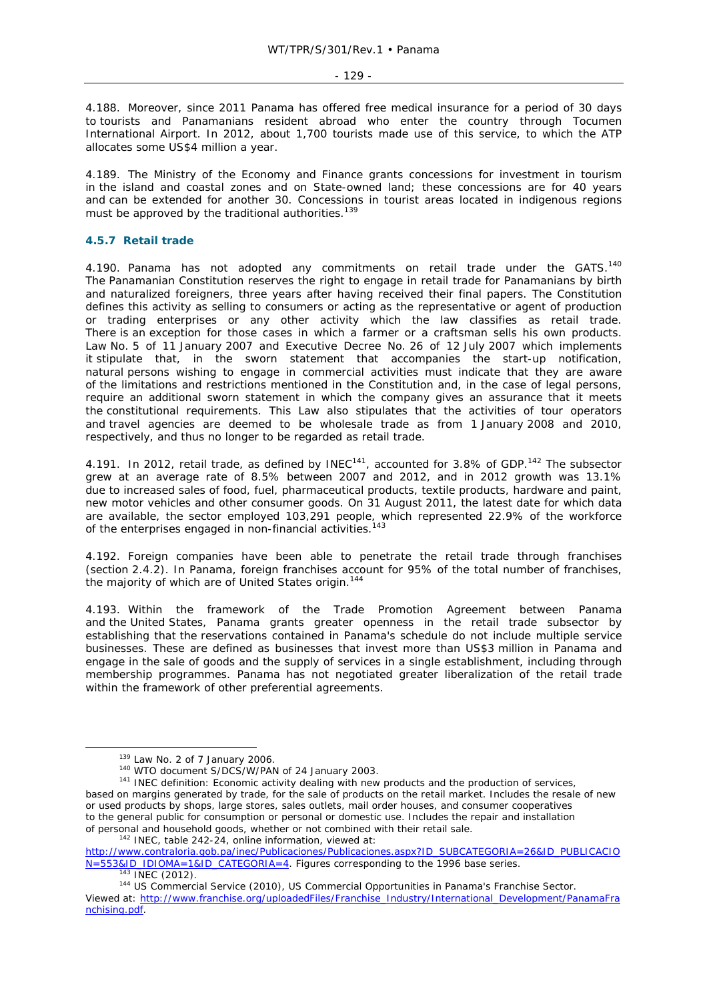4.188. Moreover, since 2011 Panama has offered free medical insurance for a period of 30 days to tourists and Panamanians resident abroad who enter the country through Tocumen International Airport. In 2012, about 1,700 tourists made use of this service, to which the ATP allocates some US\$4 million a year.

4.189. The Ministry of the Economy and Finance grants concessions for investment in tourism in the island and coastal zones and on State-owned land; these concessions are for 40 years and can be extended for another 30. Concessions in tourist areas located in indigenous regions must be approved by the traditional authorities.<sup>139</sup>

## **4.5.7 Retail trade**

4.190. Panama has not adopted any commitments on retail trade under the GATS.<sup>140</sup> The Panamanian Constitution reserves the right to engage in retail trade for Panamanians by birth and naturalized foreigners, three years after having received their final papers. The Constitution defines this activity as selling to consumers or acting as the representative or agent of production or trading enterprises or any other activity which the law classifies as retail trade. There is an exception for those cases in which a farmer or a craftsman sells his own products. Law No. 5 of 11 January 2007 and Executive Decree No. 26 of 12 July 2007 which implements it stipulate that, in the sworn statement that accompanies the start-up notification, natural persons wishing to engage in commercial activities must indicate that they are aware of the limitations and restrictions mentioned in the Constitution and, in the case of legal persons, require an additional sworn statement in which the company gives an assurance that it meets the constitutional requirements. This Law also stipulates that the activities of tour operators and travel agencies are deemed to be wholesale trade as from 1 January 2008 and 2010, respectively, and thus no longer to be regarded as retail trade.

4.191. In 2012, retail trade, as defined by INEC<sup>141</sup>, accounted for 3.8% of GDP.<sup>142</sup> The subsector grew at an average rate of 8.5% between 2007 and 2012, and in 2012 growth was 13.1% due to increased sales of food, fuel, pharmaceutical products, textile products, hardware and paint, new motor vehicles and other consumer goods. On 31 August 2011, the latest date for which data are available, the sector employed 103,291 people, which represented 22.9% of the workforce of the enterprises engaged in non-financial activities.<sup>143</sup>

4.192. Foreign companies have been able to penetrate the retail trade through franchises (section 2.4.2). In Panama, foreign franchises account for 95% of the total number of franchises, the majority of which are of United States origin.<sup>144</sup>

4.193. Within the framework of the Trade Promotion Agreement between Panama and the United States, Panama grants greater openness in the retail trade subsector by establishing that the reservations contained in Panama's schedule do not include multiple service businesses. These are defined as businesses that invest more than US\$3 million in Panama and engage in the sale of goods and the supply of services in a single establishment, including through membership programmes. Panama has not negotiated greater liberalization of the retail trade within the framework of other preferential agreements.

http://www.contraloria.gob.pa/inec/Publicaciones/Publicaciones.aspx?ID\_SUBCATEGORIA=26&ID\_PUBLICACIO<br>N=553&ID\_IDIOMA=1&ID\_CATEGORIA=4. Figures corresponding to the 1996 base series.

<sup>&</sup>lt;sup>139</sup> Law No. 2 of 7 January 2006.<br><sup>140</sup> WTO document S/DCS/W/PAN of 24 January 2003.<br><sup>141</sup> INEC definition: Economic activity dealing with new products and the production of services, based on margins generated by trade, for the sale of products on the retail market. Includes the resale of new or used products by shops, large stores, sales outlets, mail order houses, and consumer cooperatives to the general public for consumption or personal or domestic use. Includes the repair and installation of personal and household goods, whether or not combined with their retail sale. 142 INEC, table 242-24, online information, viewed at:

<sup>&</sup>lt;sup>143</sup> INEC (2012).<br><sup>144</sup> US Commercial Service (2010), *US Commercial Opportunities in Panama's Franchise Sector*. Viewed at: http://www.franchise.org/uploadedFiles/Franchise\_Industry/International\_Development/PanamaFra nchising.pdf.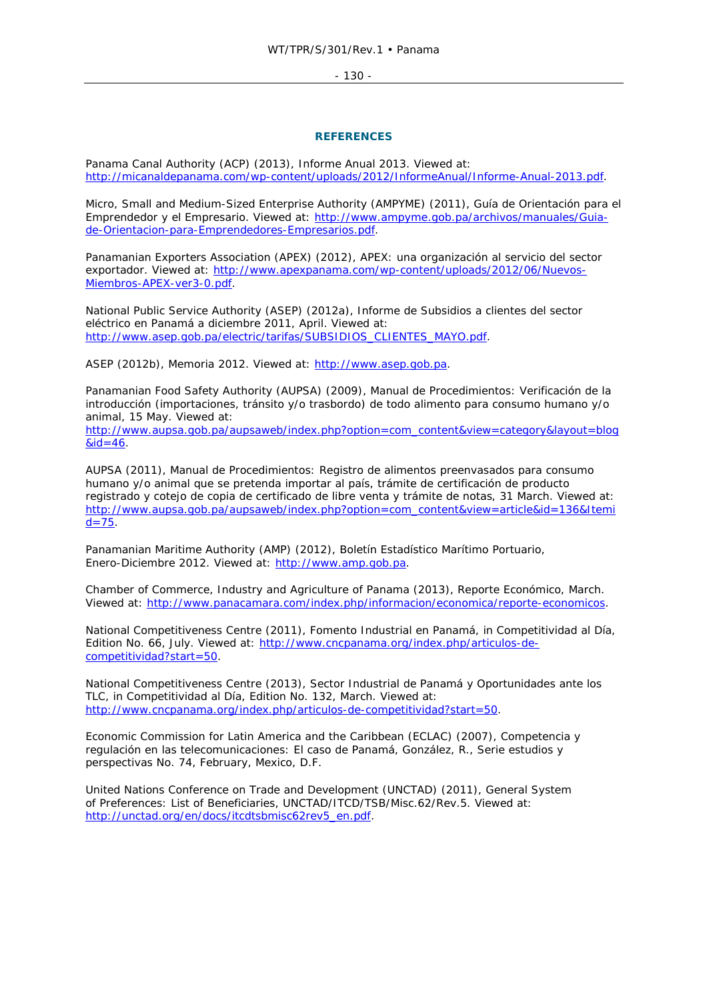- 130 -

### **REFERENCES**

Panama Canal Authority (ACP) (2013), *Informe Anual 2013*. Viewed at: http://micanaldepanama.com/wp-content/uploads/2012/InformeAnual/Informe-Anual-2013.pdf.

Micro, Small and Medium-Sized Enterprise Authority (AMPYME) (2011), *Guía de Orientación para el Emprendedor y el Empresario*. Viewed at: http://www.ampyme.gob.pa/archivos/manuales/Guiade-Orientacion-para-Emprendedores-Empresarios.pdf.

Panamanian Exporters Association (APEX) (2012), *APEX: una organización al servicio del sector exportador*. Viewed at: http://www.apexpanama.com/wp-content/uploads/2012/06/Nuevos-Miembros-APEX-ver3-0.pdf.

National Public Service Authority (ASEP) (2012a), *Informe de Subsidios a clientes del sector eléctrico en Panamá a diciembre 2011*, April. Viewed at: http://www.asep.gob.pa/electric/tarifas/SUBSIDIOS\_CLIENTES\_MAYO.pdf.

ASEP (2012b), *Memoria 2012*. Viewed at: http://www.asep.gob.pa.

Panamanian Food Safety Authority (AUPSA) (2009), *Manual de Procedimientos: Verificación de la introducción (importaciones, tránsito y/o trasbordo) de todo alimento para consumo humano y/o animal*, 15 May. Viewed at:

http://www.aupsa.gob.pa/aupsaweb/index.php?option=com\_content&view=category&layout=blog  $&id=46.$ 

AUPSA (2011), *Manual de Procedimientos: Registro de alimentos preenvasados para consumo humano y/o animal que se pretenda importar al país, trámite de certificación de producto registrado y cotejo de copia de certificado de libre venta y trámite de notas*, 31 March. Viewed at: http://www.aupsa.gob.pa/aupsaweb/index.php?option=com\_content&view=article&id=136&Itemi  $d=75$ .

Panamanian Maritime Authority (AMP) (2012), *Boletín Estadístico Marítimo Portuario, Enero-Diciembre 2012*. Viewed at: http://www.amp.gob.pa.

Chamber of Commerce, Industry and Agriculture of Panama (2013), *Reporte Económico*, March. Viewed at: http://www.panacamara.com/index.php/informacion/economica/reporte-economicos.

National Competitiveness Centre (2011), *Fomento Industrial en Panamá*, in *Competitividad al Día*, Edition No. 66, July. Viewed at: http://www.cncpanama.org/index.php/articulos-decompetitividad?start=50.

National Competitiveness Centre (2013), *Sector Industrial de Panamá y Oportunidades ante los TLC*, in *Competitividad al Día*, Edition No. 132, March. Viewed at: http://www.cncpanama.org/index.php/articulos-de-competitividad?start=50.

Economic Commission for Latin America and the Caribbean (ECLAC) (2007), *Competencia y regulación en las telecomunicaciones: El caso de Panamá, González, R*., *Serie estudios y perspectivas No. 74*, February, Mexico, D.F.

United Nations Conference on Trade and Development (UNCTAD) (2011), *General System of Preferences: List of Beneficiaries, UNCTAD/ITCD/TSB/Misc.62/Rev.5*. Viewed at: http://unctad.org/en/docs/itcdtsbmisc62rev5\_en.pdf.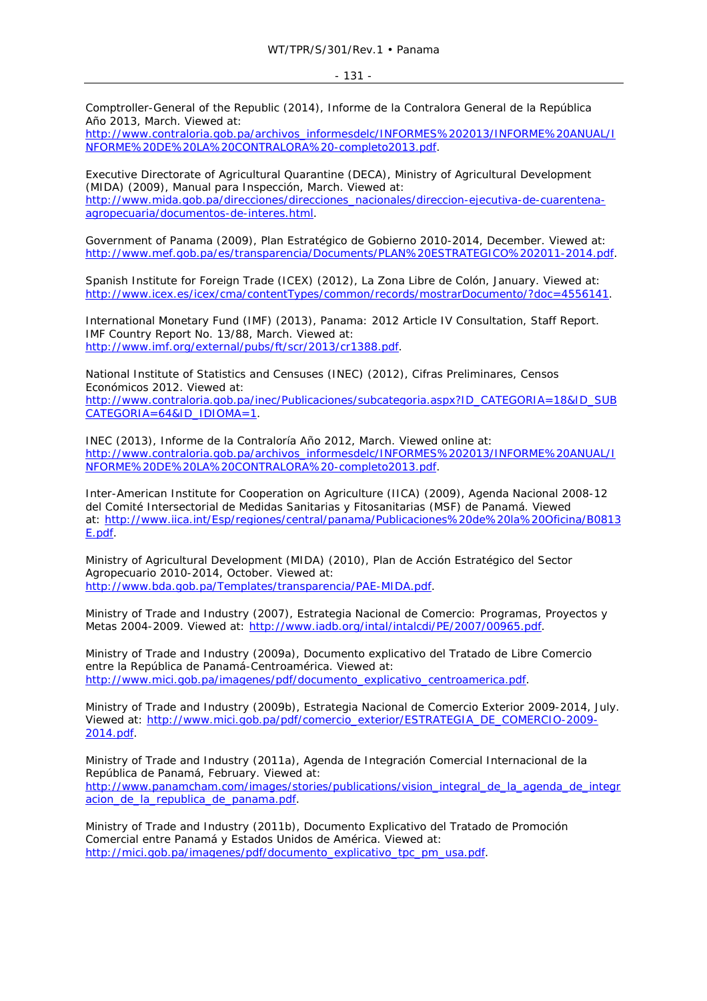Comptroller-General of the Republic (2014), *Informe de la Contralora General de la República Año 2013*, March. Viewed at:

http://www.contraloria.gob.pa/archivos\_informesdelc/INFORMES%202013/INFORME%20ANUAL/I NFORME%20DE%20LA%20CONTRALORA%20-completo2013.pdf.

Executive Directorate of Agricultural Quarantine (DECA), Ministry of Agricultural Development (MIDA) (2009), *Manual para Inspección*, March. Viewed at: http://www.mida.gob.pa/direcciones/direcciones\_nacionales/direccion-ejecutiva-de-cuarentenaagropecuaria/documentos-de-interes.html.

Government of Panama (2009), *Plan Estratégico de Gobierno 2010-2014*, December. Viewed at: http://www.mef.gob.pa/es/transparencia/Documents/PLAN%20ESTRATEGICO%202011-2014.pdf.

Spanish Institute for Foreign Trade (ICEX) (2012), *La Zona Libre de Colón*, January. Viewed at: http://www.icex.es/icex/cma/contentTypes/common/records/mostrarDocumento/?doc=4556141.

International Monetary Fund (IMF) (2013), *Panama: 2012 Article IV Consultation, Staff Report*. IMF Country Report No. 13/88, March. Viewed at: http://www.imf.org/external/pubs/ft/scr/2013/cr1388.pdf.

National Institute of Statistics and Censuses (INEC) (2012), *Cifras Preliminares, Censos Económicos 2012*. Viewed at: http://www.contraloria.gob.pa/inec/Publicaciones/subcategoria.aspx?ID\_CATEGORIA=18&ID\_SUB CATEGORIA=64&ID\_IDIOMA=1.

INEC (2013), *Informe de la Contraloría Año 2012*, March. Viewed online at: http://www.contraloria.gob.pa/archivos\_informesdelc/INFORMES%202013/INFORME%20ANUAL/I NFORME%20DE%20LA%20CONTRALORA%20-completo2013.pdf.

Inter-American Institute for Cooperation on Agriculture (IICA) (2009), *Agenda Nacional 2008-12 del Comité Intersectorial de Medidas Sanitarias y Fitosanitarias (MSF) de Panamá*. Viewed at: http://www.iica.int/Esp/regiones/central/panama/Publicaciones%20de%20la%20Oficina/B0813 E.pdf.

Ministry of Agricultural Development (MIDA) (2010), *Plan de Acción Estratégico del Sector Agropecuario 2010-2014*, October. Viewed at: http://www.bda.gob.pa/Templates/transparencia/PAE-MIDA.pdf.

Ministry of Trade and Industry (2007), *Estrategia Nacional de Comercio: Programas, Proyectos y Metas 2004-2009*. Viewed at: http://www.iadb.org/intal/intalcdi/PE/2007/00965.pdf.

Ministry of Trade and Industry (2009a), *Documento explicativo del Tratado de Libre Comercio entre la República de Panamá-Centroamérica*. Viewed at: http://www.mici.gob.pa/imagenes/pdf/documento\_explicativo\_centroamerica.pdf.

Ministry of Trade and Industry (2009b), *Estrategia Nacional de Comercio Exterior 2009-2014*, July. Viewed at: http://www.mici.gob.pa/pdf/comercio\_exterior/ESTRATEGIA\_DE\_COMERCIO-2009- 2014.pdf.

Ministry of Trade and Industry (2011a), *Agenda de Integración Comercial Internacional de la República de Panamá*, February. Viewed at: http://www.panamcham.com/images/stories/publications/vision\_integral\_de\_la\_agenda\_de\_integr acion\_de\_la\_republica\_de\_panama.pdf.

Ministry of Trade and Industry (2011b), *Documento Explicativo del Tratado de Promoción Comercial entre Panamá y Estados Unidos de América*. Viewed at: http://mici.gob.pa/imagenes/pdf/documento\_explicativo\_tpc\_pm\_usa.pdf.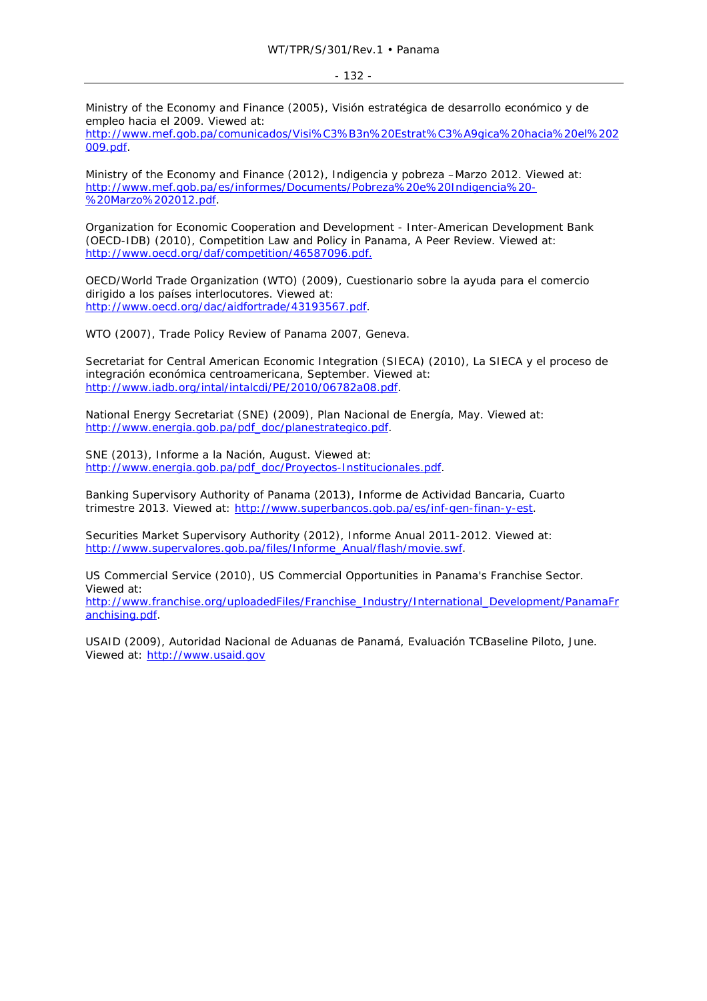Ministry of the Economy and Finance (2005), *Visión estratégica de desarrollo económico y de empleo hacia el 2009*. Viewed at:

http://www.mef.gob.pa/comunicados/Visi%C3%B3n%20Estrat%C3%A9gica%20hacia%20el%202 009.pdf.

Ministry of the Economy and Finance (2012), *Indigencia y pobreza –Marzo 2012*. Viewed at: http://www.mef.gob.pa/es/informes/Documents/Pobreza%20e%20Indigencia%20- %20Marzo%202012.pdf.

Organization for Economic Cooperation and Development - Inter-American Development Bank (OECD-IDB) (2010), *Competition Law and Policy in Panama, A Peer Review*. Viewed at: http://www.oecd.org/daf/competition/46587096.pdf.

OECD/World Trade Organization (WTO) (2009), *Cuestionario sobre la ayuda para el comercio dirigido a los países interlocutores*. Viewed at: http://www.oecd.org/dac/aidfortrade/43193567.pdf.

WTO (2007), *Trade Policy Review of Panama 2007*, Geneva.

Secretariat for Central American Economic Integration (SIECA) (2010), *La SIECA y el proceso de integración económica centroamericana*, September. Viewed at: http://www.iadb.org/intal/intalcdi/PE/2010/06782a08.pdf.

National Energy Secretariat (SNE) (2009), *Plan Nacional de Energía*, May. Viewed at: http://www.energia.gob.pa/pdf\_doc/planestrategico.pdf.

SNE (2013), *Informe a la Nación,* August. Viewed at: http://www.energia.gob.pa/pdf\_doc/Proyectos-Institucionales.pdf.

Banking Supervisory Authority of Panama (2013), *Informe de Actividad Bancaria, Cuarto trimestre 2013*. Viewed at: http://www.superbancos.gob.pa/es/inf-gen-finan-y-est.

Securities Market Supervisory Authority (2012), *Informe Anual 2011-2012*. Viewed at: http://www.supervalores.gob.pa/files/Informe\_Anual/flash/movie.swf.

US Commercial Service (2010), *US Commercial Opportunities in Panama's Franchise Sector*. Viewed at:

http://www.franchise.org/uploadedFiles/Franchise\_Industry/International\_Development/PanamaFr anchising.pdf.

USAID (2009), *Autoridad Nacional de Aduanas de Panamá, Evaluación TCBaseline Piloto*, June. Viewed at: http://www.usaid.gov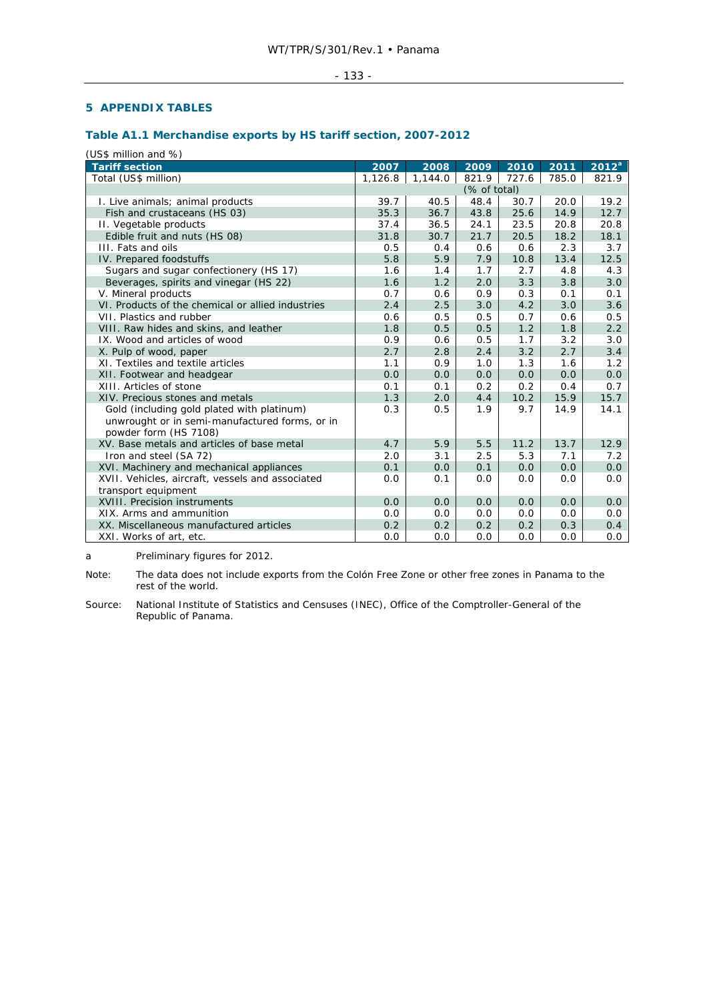### - 133 -

# **5 APPENDIX TABLES**

# **Table A1.1 Merchandise exports by HS tariff section, 2007-2012**

(US\$ million and %)

| <b>Tariff section</b>                                                                                                 | 2007    | 2008    | 2009         | 2010  | 2011  | 2012 <sup>a</sup> |
|-----------------------------------------------------------------------------------------------------------------------|---------|---------|--------------|-------|-------|-------------------|
| Total (US\$ million)                                                                                                  | 1,126.8 | 1,144.0 | 821.9        | 727.6 | 785.0 | 821.9             |
|                                                                                                                       |         |         | (% of total) |       |       |                   |
| I. Live animals; animal products                                                                                      | 39.7    | 40.5    | 48.4         | 30.7  | 20.0  | 19.2              |
| Fish and crustaceans (HS 03)                                                                                          | 35.3    | 36.7    | 43.8         | 25.6  | 14.9  | 12.7              |
| II. Vegetable products                                                                                                | 37.4    | 36.5    | 24.1         | 23.5  | 20.8  | 20.8              |
| Edible fruit and nuts (HS 08)                                                                                         | 31.8    | 30.7    | 21.7         | 20.5  | 18.2  | 18.1              |
| III. Fats and oils                                                                                                    | 0.5     | 0.4     | 0.6          | 0.6   | 2.3   | 3.7               |
| IV. Prepared foodstuffs                                                                                               | 5.8     | 5.9     | 7.9          | 10.8  | 13.4  | 12.5              |
| Sugars and sugar confectionery (HS 17)                                                                                | 1.6     | 1.4     | 1.7          | 2.7   | 4.8   | 4.3               |
| Beverages, spirits and vinegar (HS 22)                                                                                | 1.6     | 1.2     | 2.0          | 3.3   | 3.8   | 3.0               |
| V. Mineral products                                                                                                   | 0.7     | 0.6     | 0.9          | 0.3   | 0.1   | 0.1               |
| VI. Products of the chemical or allied industries                                                                     | 2.4     | 2.5     | 3.0          | 4.2   | 3.0   | 3.6               |
| VII. Plastics and rubber                                                                                              | 0.6     | 0.5     | 0.5          | 0.7   | 0.6   | 0.5               |
| VIII. Raw hides and skins, and leather                                                                                | 1.8     | 0.5     | 0.5          | 1.2   | 1.8   | 2.2               |
| IX. Wood and articles of wood                                                                                         | 0.9     | 0.6     | 0.5          | 1.7   | 3.2   | 3.0               |
| X. Pulp of wood, paper                                                                                                | 2.7     | 2.8     | 2.4          | 3.2   | 2.7   | 3.4               |
| XI. Textiles and textile articles                                                                                     | 1.1     | 0.9     | 1.0          | 1.3   | 1.6   | 1.2               |
| XII. Footwear and headgear                                                                                            | 0.0     | 0.0     | 0.0          | 0.0   | 0.0   | 0.0               |
| XIII. Articles of stone                                                                                               | 0.1     | 0.1     | 0.2          | 0.2   | 0.4   | 0.7               |
| XIV. Precious stones and metals                                                                                       | 1.3     | 2.0     | 4.4          | 10.2  | 15.9  | 15.7              |
| Gold (including gold plated with platinum)<br>unwrought or in semi-manufactured forms, or in<br>powder form (HS 7108) | 0.3     | 0.5     | 1.9          | 9.7   | 14.9  | 14.1              |
| XV. Base metals and articles of base metal                                                                            | 4.7     | 5.9     | 5.5          | 11.2  | 13.7  | 12.9              |
| Iron and steel (SA 72)                                                                                                | 2.0     | 3.1     | 2.5          | 5.3   | 7.1   | 7.2               |
| XVI. Machinery and mechanical appliances                                                                              | 0.1     | 0.0     | 0.1          | 0.0   | 0.0   | 0.0               |
| XVII. Vehicles, aircraft, vessels and associated                                                                      | 0.0     | 0.1     | 0.0          | 0.0   | 0.0   | 0.0               |
| transport equipment                                                                                                   |         |         |              |       |       |                   |
| XVIII. Precision instruments                                                                                          | 0.0     | 0.0     | 0.0          | 0.0   | 0.0   | 0.0               |
| XIX. Arms and ammunition                                                                                              | 0.0     | 0.0     | 0.0          | 0.0   | 0.0   | 0.0               |
| XX. Miscellaneous manufactured articles                                                                               | 0.2     | 0.2     | 0.2          | 0.2   | 0.3   | 0.4               |
| XXI. Works of art, etc.                                                                                               | 0.0     | 0.0     | 0.0          | 0.0   | 0.0   | 0.0               |

a Preliminary figures for 2012.

Note: The data does not include exports from the Colón Free Zone or other free zones in Panama to the rest of the world.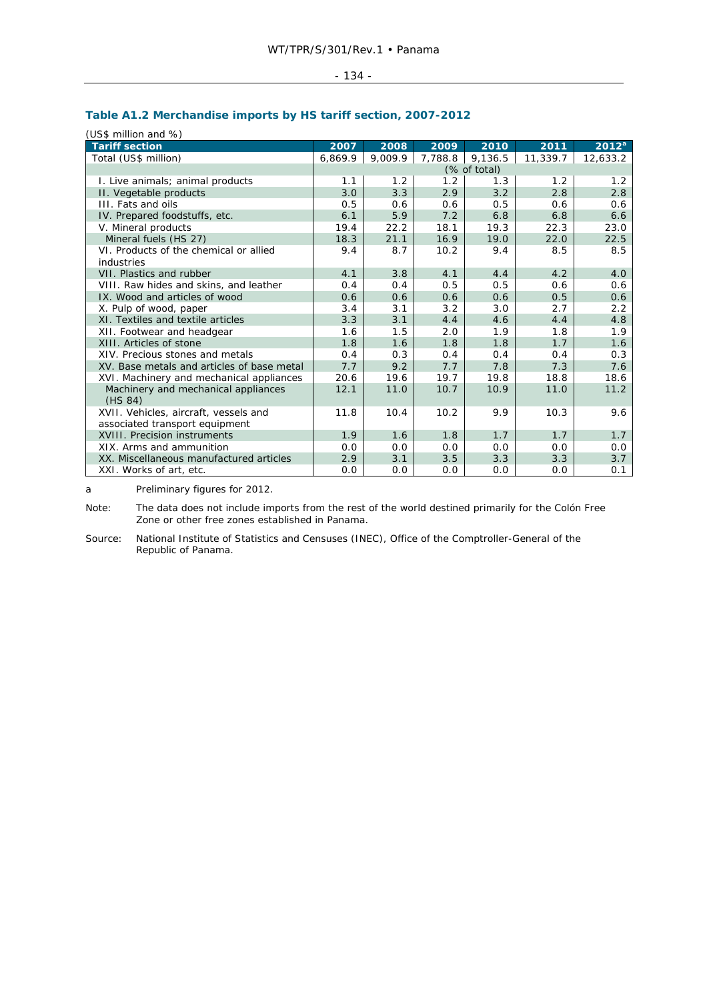| a<br>×<br>۰.<br>× |  |
|-------------------|--|
|-------------------|--|

# **Table A1.2 Merchandise imports by HS tariff section, 2007-2012**

(US\$ million and %)

| <b>Tariff section</b>                      | 2007    | 2008    | 2009    | 2010         | 2011     | $2012^a$ |
|--------------------------------------------|---------|---------|---------|--------------|----------|----------|
| Total (US\$ million)                       | 6,869.9 | 9,009.9 | 7,788.8 | 9,136.5      | 11,339.7 | 12,633.2 |
|                                            |         |         |         | (% of total) |          |          |
| I. Live animals; animal products           | 1.1     | 1.2     | 1.2     | 1.3          | 1.2      | 1.2      |
| II. Vegetable products                     | 3.0     | 3.3     | 2.9     | 3.2          | 2.8      | 2.8      |
| III. Fats and oils                         | 0.5     | 0.6     | 0.6     | 0.5          | 0.6      | 0.6      |
| IV. Prepared foodstuffs, etc.              | 6.1     | 5.9     | 7.2     | 6.8          | 6.8      | 6.6      |
| V. Mineral products                        | 19.4    | 22.2    | 18.1    | 19.3         | 22.3     | 23.0     |
| Mineral fuels (HS 27)                      | 18.3    | 21.1    | 16.9    | 19.0         | 22.0     | 22.5     |
| VI. Products of the chemical or allied     | 9.4     | 8.7     | 10.2    | 9.4          | 8.5      | 8.5      |
| industries                                 |         |         |         |              |          |          |
| VII. Plastics and rubber                   | 4.1     | 3.8     | 4.1     | 4.4          | 4.2      | 4.0      |
| VIII. Raw hides and skins, and leather     | 0.4     | 0.4     | 0.5     | 0.5          | 0.6      | 0.6      |
| IX. Wood and articles of wood              | 0.6     | 0.6     | 0.6     | 0.6          | 0.5      | 0.6      |
| X. Pulp of wood, paper                     | 3.4     | 3.1     | 3.2     | 3.0          | 2.7      | 2.2      |
| XI. Textiles and textile articles          | 3.3     | 3.1     | 4.4     | 4.6          | 4.4      | 4.8      |
| XII. Footwear and headgear                 | 1.6     | 1.5     | 2.0     | 1.9          | 1.8      | 1.9      |
| XIII. Articles of stone                    | 1.8     | 1.6     | 1.8     | 1.8          | 1.7      | 1.6      |
| XIV. Precious stones and metals            | 0.4     | 0.3     | 0.4     | 0.4          | 0.4      | 0.3      |
| XV. Base metals and articles of base metal | 7.7     | 9.2     | 7.7     | 7.8          | 7.3      | 7.6      |
| XVI. Machinery and mechanical appliances   | 20.6    | 19.6    | 19.7    | 19.8         | 18.8     | 18.6     |
| Machinery and mechanical appliances        | 12.1    | 11.0    | 10.7    | 10.9         | 11.0     | 11.2     |
| (HS 84)                                    |         |         |         |              |          |          |
| XVII. Vehicles, aircraft, vessels and      | 11.8    | 10.4    | 10.2    | 9.9          | 10.3     | 9.6      |
| associated transport equipment             |         |         |         |              |          |          |
| XVIII. Precision instruments               | 1.9     | 1.6     | 1.8     | 1.7          | 1.7      | 1.7      |
| XIX. Arms and ammunition                   | 0.0     | 0.0     | 0.0     | 0.0          | 0.0      | 0.0      |
| XX. Miscellaneous manufactured articles    | 2.9     | 3.1     | 3.5     | 3.3          | 3.3      | 3.7      |
| XXI. Works of art, etc.                    | 0.0     | 0.0     | 0.0     | 0.0          | 0.0      | 0.1      |

a Preliminary figures for 2012.

Note: The data does not include imports from the rest of the world destined primarily for the Colón Free Zone or other free zones established in Panama.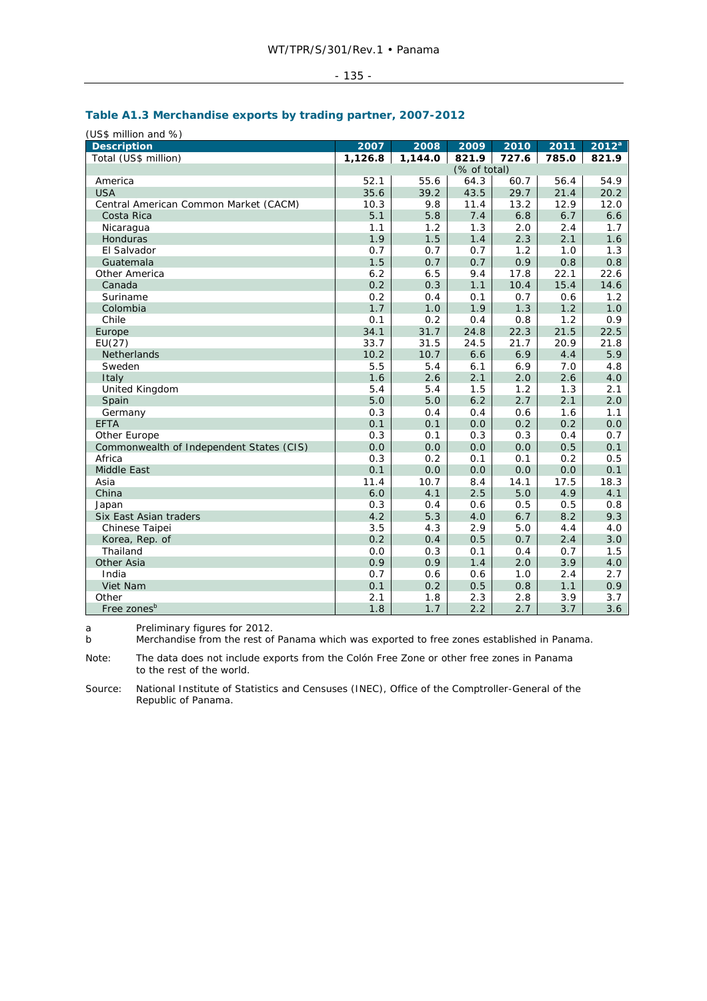|--|

# **Table A1.3 Merchandise exports by trading partner, 2007-2012**

| (US\$ million and %)                     |         |         |              |       |       |                   |
|------------------------------------------|---------|---------|--------------|-------|-------|-------------------|
| <b>Description</b>                       | 2007    | 2008    | 2009         | 2010  | 2011  | 2012 <sup>a</sup> |
| Total (US\$ million)                     | 1,126.8 | 1,144.0 | 821.9        | 727.6 | 785.0 | 821.9             |
|                                          |         |         | (% of total) |       |       |                   |
| America                                  | 52.1    | 55.6    | 64.3         | 60.7  | 56.4  | 54.9              |
| <b>USA</b>                               | 35.6    | 39.2    | 43.5         | 29.7  | 21.4  | 20.2              |
| Central American Common Market (CACM)    | 10.3    | 9.8     | 11.4         | 13.2  | 12.9  | 12.0              |
| Costa Rica                               | 5.1     | 5.8     | 7.4          | 6.8   | 6.7   | 6.6               |
| Nicaragua                                | 1.1     | 1.2     | 1.3          | 2.0   | 2.4   | 1.7               |
| Honduras                                 | 1.9     | 1.5     | 1.4          | 2.3   | 2.1   | 1.6               |
| El Salvador                              | 0.7     | 0.7     | 0.7          | 1.2   | 1.0   | 1.3               |
| Guatemala                                | 1.5     | 0.7     | 0.7          | 0.9   | 0.8   | 0.8               |
| Other America                            | 6.2     | 6.5     | 9.4          | 17.8  | 22.1  | 22.6              |
| Canada                                   | 0.2     | 0.3     | 1.1          | 10.4  | 15.4  | 14.6              |
| Suriname                                 | 0.2     | 0.4     | 0.1          | 0.7   | 0.6   | 1.2               |
| Colombia                                 | 1.7     | 1.0     | 1.9          | 1.3   | 1.2   | 1.0               |
| Chile                                    | 0.1     | 0.2     | 0.4          | 0.8   | 1.2   | 0.9               |
| Europe                                   | 34.1    | 31.7    | 24.8         | 22.3  | 21.5  | 22.5              |
| EU(27)                                   | 33.7    | 31.5    | 24.5         | 21.7  | 20.9  | 21.8              |
| Netherlands                              | 10.2    | 10.7    | 6.6          | 6.9   | 4.4   | 5.9               |
| Sweden                                   | 5.5     | 5.4     | 6.1          | 6.9   | 7.0   | 4.8               |
| Italy                                    | 1.6     | 2.6     | 2.1          | 2.0   | 2.6   | 4.0               |
| United Kingdom                           | 5.4     | 5.4     | 1.5          | 1.2   | 1.3   | 2.1               |
| Spain                                    | 5.0     | 5.0     | 6.2          | 2.7   | 2.1   | 2.0               |
| Germany                                  | 0.3     | 0.4     | 0.4          | 0.6   | 1.6   | 1.1               |
| <b>EFTA</b>                              | 0.1     | 0.1     | 0.0          | 0.2   | 0.2   | 0.0               |
| Other Europe                             | 0.3     | 0.1     | 0.3          | 0.3   | 0.4   | 0.7               |
| Commonwealth of Independent States (CIS) | 0.0     | 0.0     | 0.0          | 0.0   | 0.5   | 0.1               |
| Africa                                   | 0.3     | 0.2     | 0.1          | 0.1   | 0.2   | 0.5               |
| Middle East                              | 0.1     | 0.0     | 0.0          | 0.0   | 0.0   | 0.1               |
| Asia                                     | 11.4    | 10.7    | 8.4          | 14.1  | 17.5  | 18.3              |
| China                                    | 6.0     | 4.1     | 2.5          | 5.0   | 4.9   | 4.1               |
| Japan                                    | 0.3     | 0.4     | 0.6          | 0.5   | 0.5   | 0.8               |
| Six East Asian traders                   | 4.2     | 5.3     | 4.0          | 6.7   | 8.2   | 9.3               |
| Chinese Taipei                           | 3.5     | 4.3     | 2.9          | 5.0   | 4.4   | 4.0               |
| Korea, Rep. of                           | 0.2     | 0.4     | 0.5          | 0.7   | 2.4   | 3.0               |
| Thailand                                 | 0.0     | 0.3     | 0.1          | 0.4   | 0.7   | 1.5               |
| Other Asia                               | 0.9     | 0.9     | 1.4          | 2.0   | 3.9   | 4.0               |
| India                                    | 0.7     | 0.6     | 0.6          | 1.0   | 2.4   | 2.7               |
| Viet Nam                                 | 0.1     | 0.2     | 0.5          | 0.8   | 1.1   | 0.9               |
| Other                                    | 2.1     | 1.8     | 2.3          | 2.8   | 3.9   | 3.7               |
| Free zones <sup>b</sup>                  | 1.8     | 1.7     | 2.2          | 2.7   | 3.7   | 3.6               |

a Preliminary figures for 2012.

b Merchandise from the rest of Panama which was exported to free zones established in Panama.

Note: The data does not include exports from the Colón Free Zone or other free zones in Panama to the rest of the world.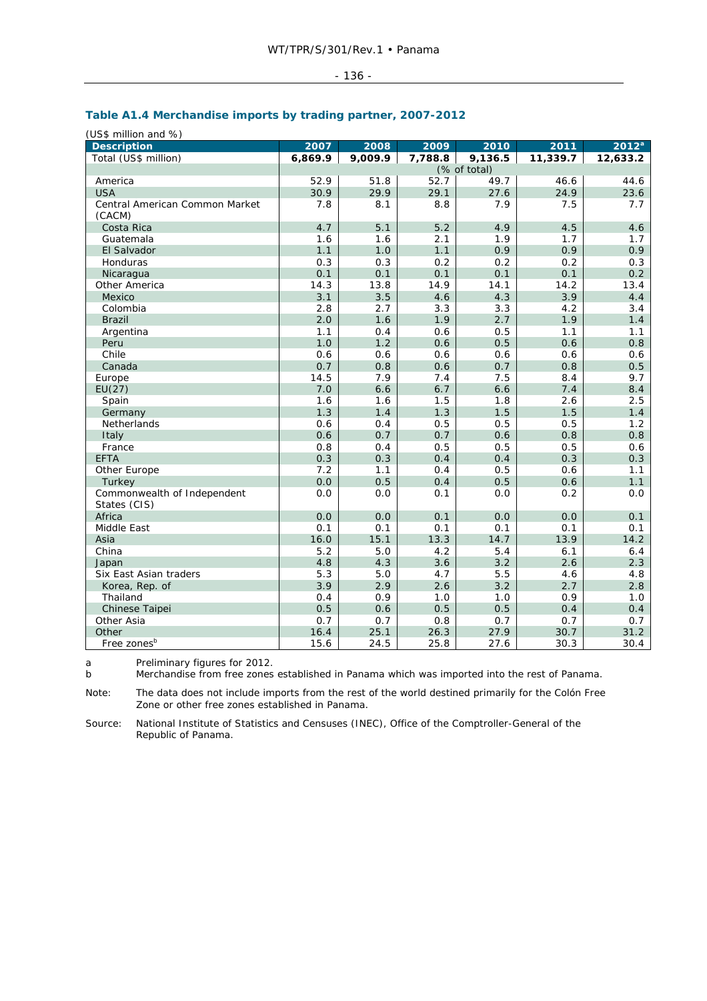#### - 136 -

# **Table A1.4 Merchandise imports by trading partner, 2007-2012**

(US\$ million and %)

| <b>Description</b>             | 2007    | 2008    | 2009    | 2010         | 2011     | $2012^a$ |
|--------------------------------|---------|---------|---------|--------------|----------|----------|
| Total (US\$ million)           | 6,869.9 | 9,009.9 | 7,788.8 | 9,136.5      | 11,339.7 | 12,633.2 |
|                                |         |         |         | (% of total) |          |          |
| America                        | 52.9    | 51.8    | 52.7    | 49.7         | 46.6     | 44.6     |
| <b>USA</b>                     | 30.9    | 29.9    | 29.1    | 27.6         | 24.9     | 23.6     |
| Central American Common Market | 7.8     | 8.1     | 8.8     | 7.9          | 7.5      | 7.7      |
| (CACM)                         |         |         |         |              |          |          |
| Costa Rica                     | 4.7     | 5.1     | 5.2     | 4.9          | 4.5      | 4.6      |
| Guatemala                      | 1.6     | 1.6     | 2.1     | 1.9          | 1.7      | 1.7      |
| El Salvador                    | 1.1     | 1.0     | 1.1     | 0.9          | 0.9      | 0.9      |
| Honduras                       | 0.3     | 0.3     | 0.2     | 0.2          | 0.2      | 0.3      |
| Nicaragua                      | 0.1     | 0.1     | 0.1     | 0.1          | 0.1      | 0.2      |
| Other America                  | 14.3    | 13.8    | 14.9    | 14.1         | 14.2     | 13.4     |
| Mexico                         | 3.1     | 3.5     | 4.6     | 4.3          | 3.9      | 4.4      |
| Colombia                       | 2.8     | 2.7     | 3.3     | 3.3          | 4.2      | 3.4      |
| <b>Brazil</b>                  | 2.0     | 1.6     | 1.9     | 2.7          | 1.9      | 1.4      |
| Argentina                      | 1.1     | 0.4     | 0.6     | 0.5          | 1.1      | 1.1      |
| Peru                           | 1.0     | 1.2     | 0.6     | 0.5          | 0.6      | 0.8      |
| Chile                          | 0.6     | 0.6     | 0.6     | 0.6          | 0.6      | 0.6      |
| Canada                         | 0.7     | 0.8     | 0.6     | 0.7          | 0.8      | 0.5      |
| Europe                         | 14.5    | 7.9     | 7.4     | 7.5          | 8.4      | 9.7      |
| EU(27)                         | 7.0     | 6.6     | 6.7     | 6.6          | 7.4      | 8.4      |
| Spain                          | 1.6     | 1.6     | 1.5     | 1.8          | 2.6      | 2.5      |
| Germany                        | 1.3     | 1.4     | 1.3     | 1.5          | 1.5      | 1.4      |
| Netherlands                    | 0.6     | 0.4     | 0.5     | 0.5          | 0.5      | 1.2      |
| Italy                          | 0.6     | 0.7     | 0.7     | 0.6          | 0.8      | 0.8      |
| France                         | 0.8     | 0.4     | 0.5     | 0.5          | 0.5      | 0.6      |
| <b>EFTA</b>                    | 0.3     | 0.3     | 0.4     | 0.4          | 0.3      | 0.3      |
| Other Europe                   | 7.2     | 1.1     | 0.4     | 0.5          | 0.6      | 1.1      |
| Turkey                         | 0.0     | 0.5     | 0.4     | 0.5          | 0.6      | 1.1      |
| Commonwealth of Independent    | 0.0     | 0.0     | 0.1     | 0.0          | 0.2      | 0.0      |
| States (CIS)                   |         |         |         |              |          |          |
| Africa                         | 0.0     | 0.0     | 0.1     | 0.0          | 0.0      | 0.1      |
| Middle East                    | 0.1     | 0.1     | 0.1     | 0.1          | 0.1      | 0.1      |
| Asia                           | 16.0    | 15.1    | 13.3    | 14.7         | 13.9     | 14.2     |
| China                          | 5.2     | 5.0     | 4.2     | 5.4          | 6.1      | 6.4      |
| Japan                          | 4.8     | 4.3     | 3.6     | 3.2          | 2.6      | 2.3      |
| Six East Asian traders         | 5.3     | 5.0     | 4.7     | 5.5          | 4.6      | 4.8      |
| Korea, Rep. of                 | 3.9     | 2.9     | 2.6     | 3.2          | 2.7      | 2.8      |
| Thailand                       | 0.4     | 0.9     | 1.0     | 1.0          | 0.9      | 1.0      |
| Chinese Taipei                 | 0.5     | 0.6     | 0.5     | 0.5          | 0.4      | 0.4      |
| Other Asia                     | 0.7     | 0.7     | 0.8     | 0.7          | 0.7      | 0.7      |
| Other                          | 16.4    | 25.1    | 26.3    | 27.9         | 30.7     | 31.2     |
| Free zones <sup>b</sup>        | 15.6    | 24.5    | 25.8    | 27.6         | 30.3     | 30.4     |

a Preliminary figures for 2012.<br>b Merchandise from free zones

Merchandise from free zones established in Panama which was imported into the rest of Panama.

Note: The data does not include imports from the rest of the world destined primarily for the Colón Free Zone or other free zones established in Panama.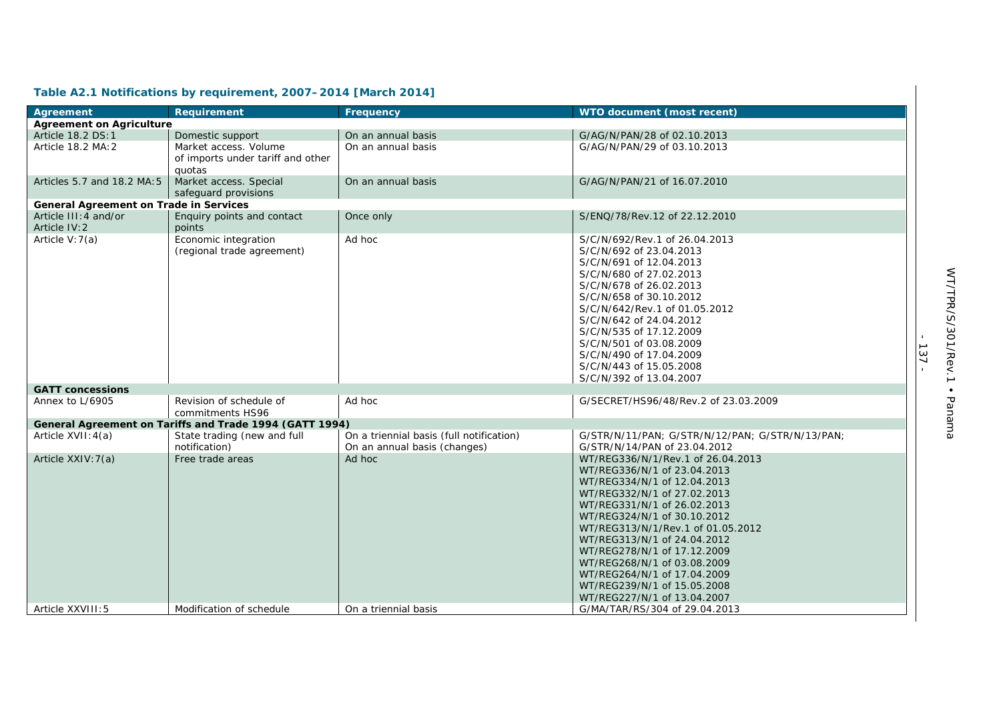| Agreement                                     | Requirement                                                          | Frequency                                                                | WTO document (most recent)                                                                                                                                                                                                                                                                                                                                                                                                  |
|-----------------------------------------------|----------------------------------------------------------------------|--------------------------------------------------------------------------|-----------------------------------------------------------------------------------------------------------------------------------------------------------------------------------------------------------------------------------------------------------------------------------------------------------------------------------------------------------------------------------------------------------------------------|
| <b>Agreement on Agriculture</b>               |                                                                      |                                                                          |                                                                                                                                                                                                                                                                                                                                                                                                                             |
| Article 18.2 DS:1                             | Domestic support                                                     | On an annual basis                                                       | G/AG/N/PAN/28 of 02.10.2013                                                                                                                                                                                                                                                                                                                                                                                                 |
| Article 18.2 MA: 2                            | Market access. Volume<br>of imports under tariff and other<br>quotas | On an annual basis                                                       | G/AG/N/PAN/29 of 03.10.2013                                                                                                                                                                                                                                                                                                                                                                                                 |
| Articles 5.7 and 18.2 MA: 5                   | Market access. Special<br>safequard provisions                       | On an annual basis                                                       | G/AG/N/PAN/21 of 16.07.2010                                                                                                                                                                                                                                                                                                                                                                                                 |
| <b>General Agreement on Trade in Services</b> |                                                                      |                                                                          |                                                                                                                                                                                                                                                                                                                                                                                                                             |
| Article III: 4 and/or<br>Article IV: 2        | Enquiry points and contact<br>points                                 | Once only                                                                | S/ENQ/78/Rev.12 of 22.12.2010                                                                                                                                                                                                                                                                                                                                                                                               |
| Article $V:7(a)$                              | Economic integration<br>(regional trade agreement)                   | Ad hoc                                                                   | S/C/N/692/Rev.1 of 26.04.2013<br>S/C/N/692 of 23.04.2013<br>S/C/N/691 of 12.04.2013<br>S/C/N/680 of 27.02.2013<br>S/C/N/678 of 26.02.2013<br>S/C/N/658 of 30.10.2012<br>S/C/N/642/Rev.1 of 01.05.2012<br>S/C/N/642 of 24.04.2012<br>S/C/N/535 of 17.12.2009<br>S/C/N/501 of 03.08.2009<br>S/C/N/490 of 17.04.2009<br>S/C/N/443 of 15.05.2008<br>S/C/N/392 of 13.04.2007                                                     |
| <b>GATT concessions</b>                       |                                                                      |                                                                          |                                                                                                                                                                                                                                                                                                                                                                                                                             |
| Annex to L/6905                               | Revision of schedule of<br>commitments HS96                          | Ad hoc                                                                   | G/SECRET/HS96/48/Rev.2 of 23.03.2009                                                                                                                                                                                                                                                                                                                                                                                        |
|                                               | General Agreement on Tariffs and Trade 1994 (GATT 1994)              |                                                                          |                                                                                                                                                                                                                                                                                                                                                                                                                             |
| Article XVII: 4(a)                            | State trading (new and full<br>notification)                         | On a triennial basis (full notification)<br>On an annual basis (changes) | G/STR/N/11/PAN; G/STR/N/12/PAN; G/STR/N/13/PAN;<br>G/STR/N/14/PAN of 23.04.2012                                                                                                                                                                                                                                                                                                                                             |
| Article XXIV: 7(a)                            | Free trade areas                                                     | Ad hoc                                                                   | WT/REG336/N/1/Rev.1 of 26.04.2013<br>WT/REG336/N/1 of 23.04.2013<br>WT/REG334/N/1 of 12.04.2013<br>WT/REG332/N/1 of 27.02.2013<br>WT/REG331/N/1 of 26.02.2013<br>WT/REG324/N/1 of 30.10.2012<br>WT/REG313/N/1/Rev.1 of 01.05.2012<br>WT/REG313/N/1 of 24.04.2012<br>WT/REG278/N/1 of 17.12.2009<br>WT/REG268/N/1 of 03.08.2009<br>WT/REG264/N/1 of 17.04.2009<br>WT/REG239/N/1 of 15.05.2008<br>WT/REG227/N/1 of 13.04.2007 |
| Article XXVIII: 5                             | Modification of schedule                                             | On a triennial basis                                                     | G/MA/TAR/RS/304 of 29.04.2013                                                                                                                                                                                                                                                                                                                                                                                               |

# **Table A2.1 Notifications by requirement, 2007–2014 [March 2014]**

- 137 -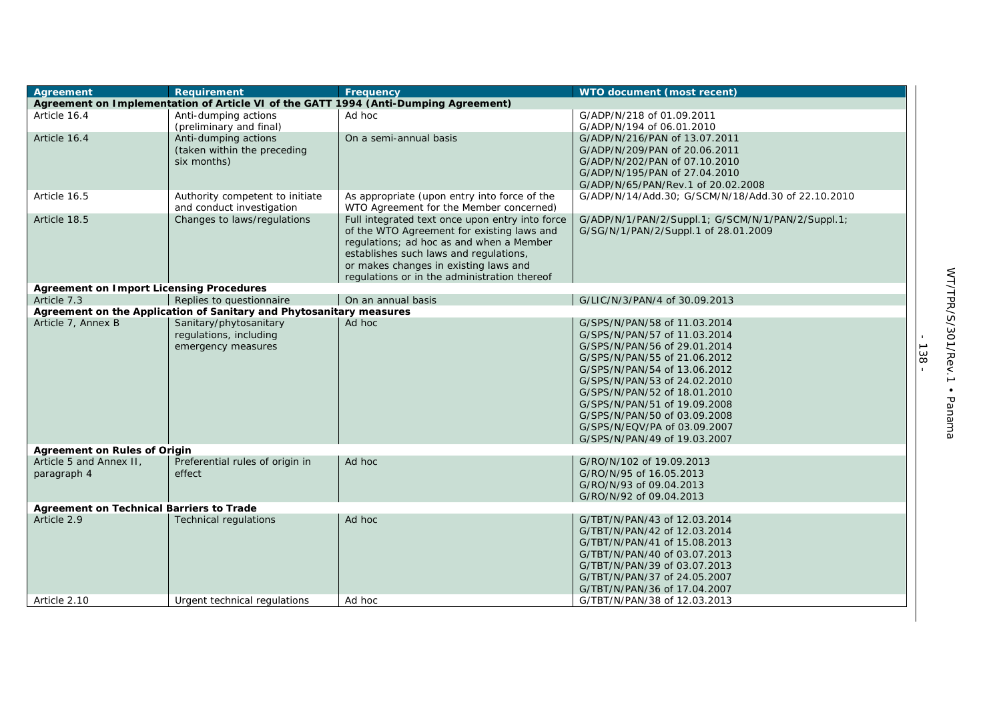| Agreement                                       | Requirement                                                         | Frequency                                                                               | WTO document (most recent)                         |
|-------------------------------------------------|---------------------------------------------------------------------|-----------------------------------------------------------------------------------------|----------------------------------------------------|
|                                                 |                                                                     | Agreement on Implementation of Article VI of the GATT 1994 (Anti-Dumping Agreement)     |                                                    |
| Article 16.4                                    | Anti-dumping actions                                                | Ad hoc                                                                                  | G/ADP/N/218 of 01.09.2011                          |
|                                                 | (preliminary and final)                                             |                                                                                         | G/ADP/N/194 of 06.01.2010                          |
| Article 16.4                                    | Anti-dumping actions                                                | On a semi-annual basis                                                                  | G/ADP/N/216/PAN of 13.07.2011                      |
|                                                 | (taken within the preceding                                         |                                                                                         | G/ADP/N/209/PAN of 20.06.2011                      |
|                                                 | six months)                                                         |                                                                                         | G/ADP/N/202/PAN of 07.10.2010                      |
|                                                 |                                                                     |                                                                                         | G/ADP/N/195/PAN of 27.04.2010                      |
|                                                 |                                                                     |                                                                                         | G/ADP/N/65/PAN/Rev.1 of 20.02.2008                 |
| Article 16.5                                    | Authority competent to initiate<br>and conduct investigation        | As appropriate (upon entry into force of the<br>WTO Agreement for the Member concerned) | G/ADP/N/14/Add.30; G/SCM/N/18/Add.30 of 22.10.2010 |
| Article 18.5                                    | Changes to laws/regulations                                         | Full integrated text once upon entry into force                                         | G/ADP/N/1/PAN/2/Suppl.1; G/SCM/N/1/PAN/2/Suppl.1;  |
|                                                 |                                                                     | of the WTO Agreement for existing laws and                                              | G/SG/N/1/PAN/2/Suppl.1 of 28.01.2009               |
|                                                 |                                                                     | regulations; ad hoc as and when a Member                                                |                                                    |
|                                                 |                                                                     | establishes such laws and regulations,                                                  |                                                    |
|                                                 |                                                                     | or makes changes in existing laws and                                                   |                                                    |
|                                                 |                                                                     | regulations or in the administration thereof                                            |                                                    |
| <b>Agreement on Import Licensing Procedures</b> |                                                                     |                                                                                         |                                                    |
| Article 7.3                                     | Replies to questionnaire                                            | On an annual basis                                                                      | G/LIC/N/3/PAN/4 of 30.09.2013                      |
|                                                 | Agreement on the Application of Sanitary and Phytosanitary measures |                                                                                         |                                                    |
| Article 7, Annex B                              | Sanitary/phytosanitary                                              | Ad hoc                                                                                  | G/SPS/N/PAN/58 of 11.03.2014                       |
|                                                 | regulations, including                                              |                                                                                         | G/SPS/N/PAN/57 of 11.03.2014                       |
|                                                 | emergency measures                                                  |                                                                                         | G/SPS/N/PAN/56 of 29.01.2014                       |
|                                                 |                                                                     |                                                                                         | G/SPS/N/PAN/55 of 21.06.2012                       |
|                                                 |                                                                     |                                                                                         | G/SPS/N/PAN/54 of 13.06.2012                       |
|                                                 |                                                                     |                                                                                         | G/SPS/N/PAN/53 of 24.02.2010                       |
|                                                 |                                                                     |                                                                                         | G/SPS/N/PAN/52 of 18.01.2010                       |
|                                                 |                                                                     |                                                                                         | G/SPS/N/PAN/51 of 19.09.2008                       |
|                                                 |                                                                     |                                                                                         | G/SPS/N/PAN/50 of 03.09.2008                       |
|                                                 |                                                                     |                                                                                         | G/SPS/N/EQV/PA of 03.09.2007                       |
|                                                 |                                                                     |                                                                                         | G/SPS/N/PAN/49 of 19.03.2007                       |
| <b>Agreement on Rules of Origin</b>             |                                                                     |                                                                                         |                                                    |
| Article 5 and Annex II,                         | Preferential rules of origin in                                     | Ad hoc                                                                                  | G/RO/N/102 of 19.09.2013                           |
| paragraph 4                                     | effect                                                              |                                                                                         | G/RO/N/95 of 16.05.2013                            |
|                                                 |                                                                     |                                                                                         | G/RO/N/93 of 09.04.2013                            |
|                                                 |                                                                     |                                                                                         | G/RO/N/92 of 09.04.2013                            |
| Agreement on Technical Barriers to Trade        |                                                                     |                                                                                         |                                                    |
| Article 2.9                                     | <b>Technical regulations</b>                                        | Ad hoc                                                                                  | G/TBT/N/PAN/43 of 12.03.2014                       |
|                                                 |                                                                     |                                                                                         | G/TBT/N/PAN/42 of 12.03.2014                       |
|                                                 |                                                                     |                                                                                         | G/TBT/N/PAN/41 of 15.08.2013                       |
|                                                 |                                                                     |                                                                                         | G/TBT/N/PAN/40 of 03.07.2013                       |
|                                                 |                                                                     |                                                                                         | G/TBT/N/PAN/39 of 03.07.2013                       |
|                                                 |                                                                     |                                                                                         | G/TBT/N/PAN/37 of 24.05.2007                       |
|                                                 |                                                                     |                                                                                         | G/TBT/N/PAN/36 of 17.04.2007                       |
| Article 2.10                                    | Urgent technical regulations                                        | Ad hoc                                                                                  | G/TBT/N/PAN/38 of 12.03.2013                       |
|                                                 |                                                                     |                                                                                         |                                                    |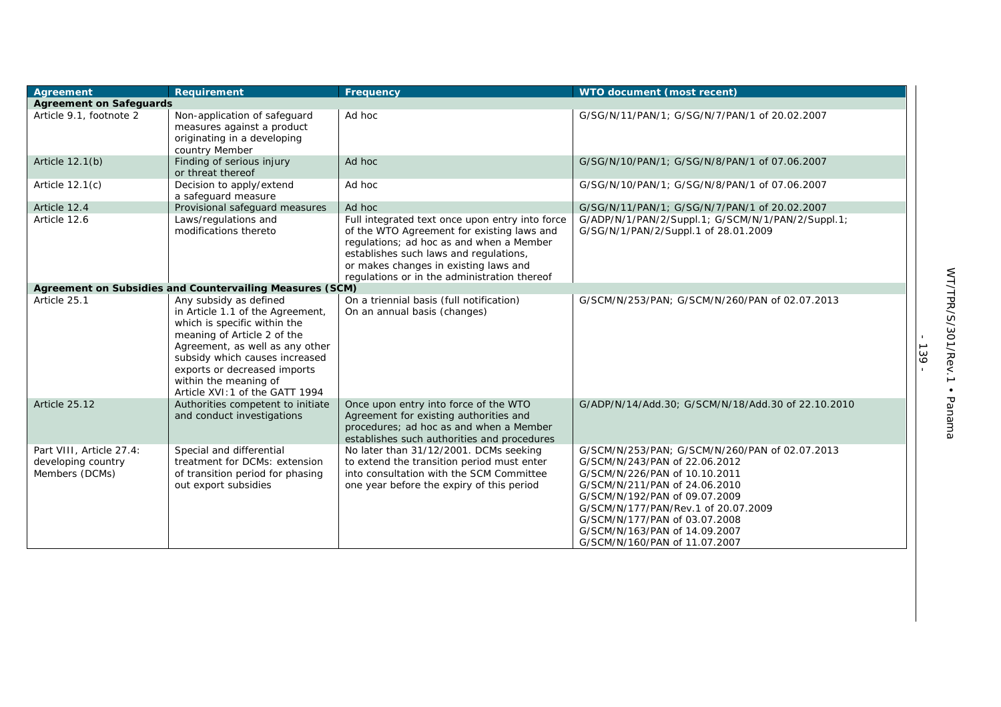| Agreement                                                        | Requirement                                                                                                                                                                                                                                                                                | Frequency                                                                                                                                                                                                                                                                    | WTO document (most recent)                                                                                                                                                                                                                                                                                                   |
|------------------------------------------------------------------|--------------------------------------------------------------------------------------------------------------------------------------------------------------------------------------------------------------------------------------------------------------------------------------------|------------------------------------------------------------------------------------------------------------------------------------------------------------------------------------------------------------------------------------------------------------------------------|------------------------------------------------------------------------------------------------------------------------------------------------------------------------------------------------------------------------------------------------------------------------------------------------------------------------------|
| <b>Agreement on Safeguards</b>                                   |                                                                                                                                                                                                                                                                                            |                                                                                                                                                                                                                                                                              |                                                                                                                                                                                                                                                                                                                              |
| Article 9.1, footnote 2                                          | Non-application of safeguard<br>measures against a product<br>originating in a developing<br>country Member                                                                                                                                                                                | Ad hoc                                                                                                                                                                                                                                                                       | G/SG/N/11/PAN/1; G/SG/N/7/PAN/1 of 20.02.2007                                                                                                                                                                                                                                                                                |
| Article 12.1(b)                                                  | Finding of serious injury<br>or threat thereof                                                                                                                                                                                                                                             | Ad hoc                                                                                                                                                                                                                                                                       | G/SG/N/10/PAN/1; G/SG/N/8/PAN/1 of 07.06.2007                                                                                                                                                                                                                                                                                |
| Article $12.1(c)$                                                | Decision to apply/extend<br>a safeguard measure                                                                                                                                                                                                                                            | Ad hoc                                                                                                                                                                                                                                                                       | G/SG/N/10/PAN/1; G/SG/N/8/PAN/1 of 07.06.2007                                                                                                                                                                                                                                                                                |
| Article 12.4                                                     | Provisional safeguard measures                                                                                                                                                                                                                                                             | Ad hoc                                                                                                                                                                                                                                                                       | G/SG/N/11/PAN/1; G/SG/N/7/PAN/1 of 20.02.2007                                                                                                                                                                                                                                                                                |
| Article 12.6                                                     | Laws/regulations and<br>modifications thereto                                                                                                                                                                                                                                              | Full integrated text once upon entry into force<br>of the WTO Agreement for existing laws and<br>regulations; ad hoc as and when a Member<br>establishes such laws and regulations,<br>or makes changes in existing laws and<br>regulations or in the administration thereof | G/ADP/N/1/PAN/2/Suppl.1; G/SCM/N/1/PAN/2/Suppl.1;<br>G/SG/N/1/PAN/2/Suppl.1 of 28.01.2009                                                                                                                                                                                                                                    |
|                                                                  | Agreement on Subsidies and Countervailing Measures (SCM)                                                                                                                                                                                                                                   |                                                                                                                                                                                                                                                                              |                                                                                                                                                                                                                                                                                                                              |
| Article 25.1                                                     | Any subsidy as defined<br>in Article 1.1 of the Agreement,<br>which is specific within the<br>meaning of Article 2 of the<br>Agreement, as well as any other<br>subsidy which causes increased<br>exports or decreased imports<br>within the meaning of<br>Article XVI: 1 of the GATT 1994 | On a triennial basis (full notification)<br>On an annual basis (changes)                                                                                                                                                                                                     | G/SCM/N/253/PAN; G/SCM/N/260/PAN of 02.07.2013                                                                                                                                                                                                                                                                               |
| Article 25.12                                                    | Authorities competent to initiate<br>and conduct investigations                                                                                                                                                                                                                            | Once upon entry into force of the WTO<br>Agreement for existing authorities and<br>procedures; ad hoc as and when a Member<br>establishes such authorities and procedures                                                                                                    | G/ADP/N/14/Add.30; G/SCM/N/18/Add.30 of 22.10.2010                                                                                                                                                                                                                                                                           |
| Part VIII, Article 27.4:<br>developing country<br>Members (DCMs) | Special and differential<br>treatment for DCMs: extension<br>of transition period for phasing<br>out export subsidies                                                                                                                                                                      | No later than 31/12/2001. DCMs seeking<br>to extend the transition period must enter<br>into consultation with the SCM Committee<br>one year before the expiry of this period                                                                                                | G/SCM/N/253/PAN: G/SCM/N/260/PAN of 02.07.2013<br>G/SCM/N/243/PAN of 22.06.2012<br>G/SCM/N/226/PAN of 10.10.2011<br>G/SCM/N/211/PAN of 24.06.2010<br>G/SCM/N/192/PAN of 09.07.2009<br>G/SCM/N/177/PAN/Rev.1 of 20.07.2009<br>G/SCM/N/177/PAN of 03.07.2008<br>G/SCM/N/163/PAN of 14.09.2007<br>G/SCM/N/160/PAN of 11.07.2007 |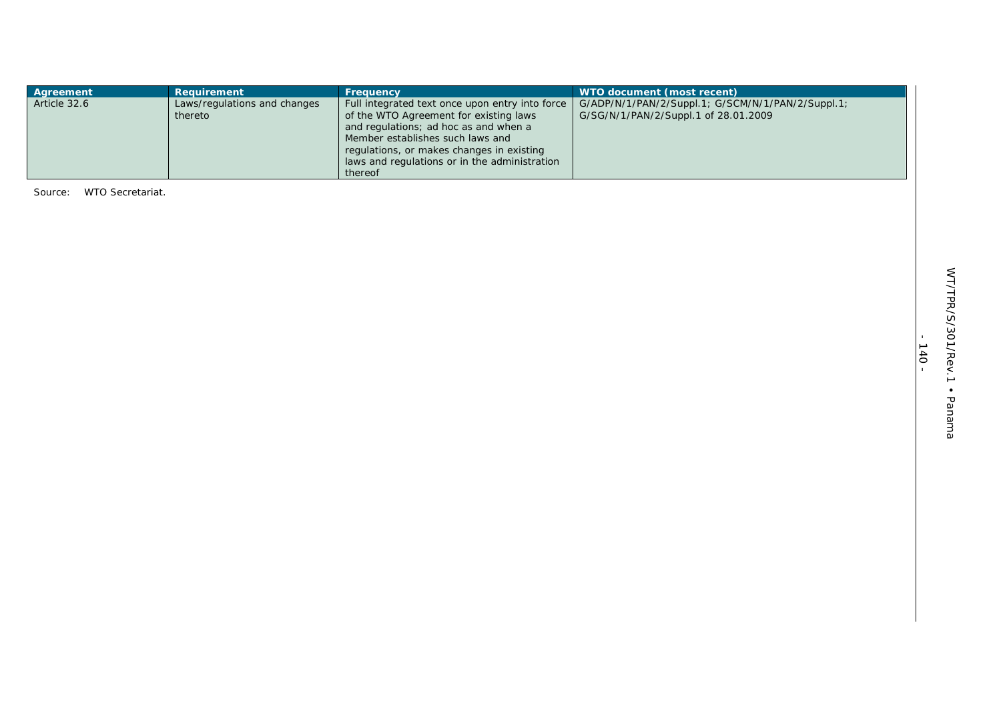| Agreement    | <b>Requirement</b>                      | <b>Frequency</b>                                                                                                                                                       | WTO document (most recent)                                                                |
|--------------|-----------------------------------------|------------------------------------------------------------------------------------------------------------------------------------------------------------------------|-------------------------------------------------------------------------------------------|
| Article 32.6 | Laws/regulations and changes<br>thereto | Full integrated text once upon entry into force<br>of the WTO Agreement for existing laws<br>and regulations; ad hoc as and when a<br>Member establishes such laws and | G/ADP/N/1/PAN/2/Suppl.1; G/SCM/N/1/PAN/2/Suppl.1;<br>G/SG/N/1/PAN/2/Suppl.1 of 28.01.2009 |
|              |                                         | regulations, or makes changes in existing<br>laws and regulations or in the administration<br>thereof                                                                  |                                                                                           |

Source: WTO Secretariat.

- 140 -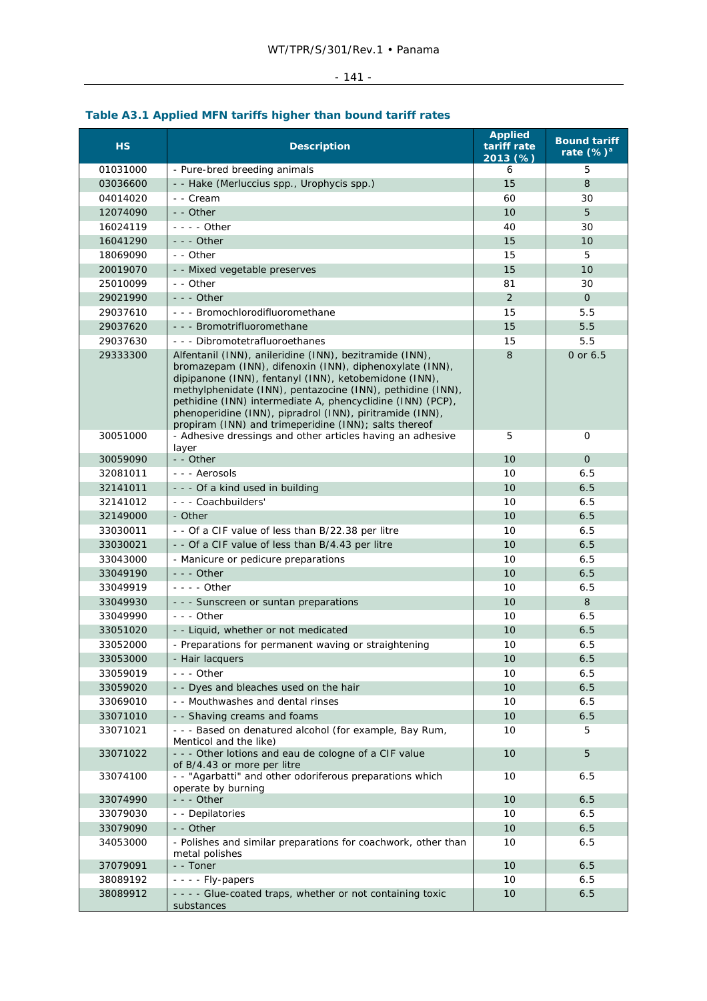#### - 141 -

#### **HS** Description **Applied tariff rate 2013 (%) Bound tariff rate (%)<sup>a</sup>** 01031000 - Pure-bred breeding animals 6 5 03036600 - Hake *(Merluccius spp., Urophycis spp.*) 15 8 04014020 - - Cream 60 30 12074090 - Other 10 - 10 5 16024119 - - - - Other 40 30 16041290 - - - Other 15 10 18069090 - Other 15 5 20019070 - Mixed vegetable preserves 15 15 10 25010099 - Other 81 - 2010 - 2010 - 2020 - 2020 - 2030 - 2030 - 2030 - 2030 - 2040 - 2040 - 2040 - 2040 - 2040 29021990 - - - Other 2 0 29037610 - - - Bromochlorodifluoromethane 15 5.5 29037620 - - - Bromotrifluoromethane 15 15 5.5 29037630 - - - Dibromotetrafluoroethanes 15 15 5.5 29333300 Alfentanil (INN), anileridine (INN), bezitramide (INN), bromazepam (INN), difenoxin (INN), diphenoxylate (INN), dipipanone (INN), fentanyl (INN), ketobemidone (INN), methylphenidate (INN), pentazocine (INN), pethidine (INN), pethidine (INN) intermediate A, phencyclidine (INN) (PCP), phenoperidine (INN), pipradrol (INN), piritramide (INN), propiram (INN) and trimeperidine (INN); salts thereof 8 0 or 6.5 30051000 - Adhesive dressings and other articles having an adhesive layer<br>-- Other 5 0 30059090 - - Other 10 0 32081011 -- Aerosols 6.5  $32141011$   $-$  Of a kind used in building 10 6.5 32141012 - - - Coachbuilders' 10 6.5 32149000 - Other 10 6.5 **10 6.5**  $33030011$   $-$  - Of a CIF value of less than B/22.38 per litre 10 6.5  $33030021$   $\Big|$  - Of a CIF value of less than B/4.43 per litre 10  $\Big|$  10  $\Big|$  6.5 33043000 - Manicure or pedicure preparations 10 6.5 33049190 - - - Other 10 6.5 (10 6.5 Minutes of the United States of the United States of the United States of 33049919 - - - - Other 10 6.5  $33049930$   $\Big|$  - - Sunscreen or suntan preparations  $\Big|$  10  $\Big|$  8 33049990 --- Other 10 6.5  $33051020$  - Liquid, whether or not medicated 10 6.5 33052000 - Preparations for permanent waving or straightening 10 6.5 33053000 - Hair lacquers 10 6.5 33059019 - - - Other 10 6.5  $33059020$   $\Big|$  - Dyes and bleaches used on the hair 10 6.5 33069010 - - Mouthwashes and dental rinses 10 10 6.5 33071010 - Shaving creams and foams 10 6.5 33071021 - - - Based on denatured alcohol (for example, Bay Rum, Menticol and the like) 10 5 33071022 - - - Other lotions and eau de cologne of a CIF value of B/4.43 or more per litre 10 5 33074100 - - "Agarbatti" and other odoriferous preparations which operate by burning 10 6.5 33074990 - - - Other 10 6.5 (10 6.5 Minutes) and the set of the set of the set of the set of the set of the se 33079030 - - Depilatories 10 6.5 33079090 - Other 10 6.5 **10 6.5 10 Feb 2010** - 10 Feb 2010 - 10 Feb 2010 - 10 Feb 2010 - 10 Feb 2010 - 10 Feb 2 34053000 - Polishes and similar preparations for coachwork, other than metal polishes 10 6.5 37079091 - - Toner 10 6.5 38089192 ---- Fly-papers 10 6.5 38089912 - - - - Glue-coated traps, whether or not containing toxic substances 10 6.5

# **Table A3.1 Applied MFN tariffs higher than bound tariff rates**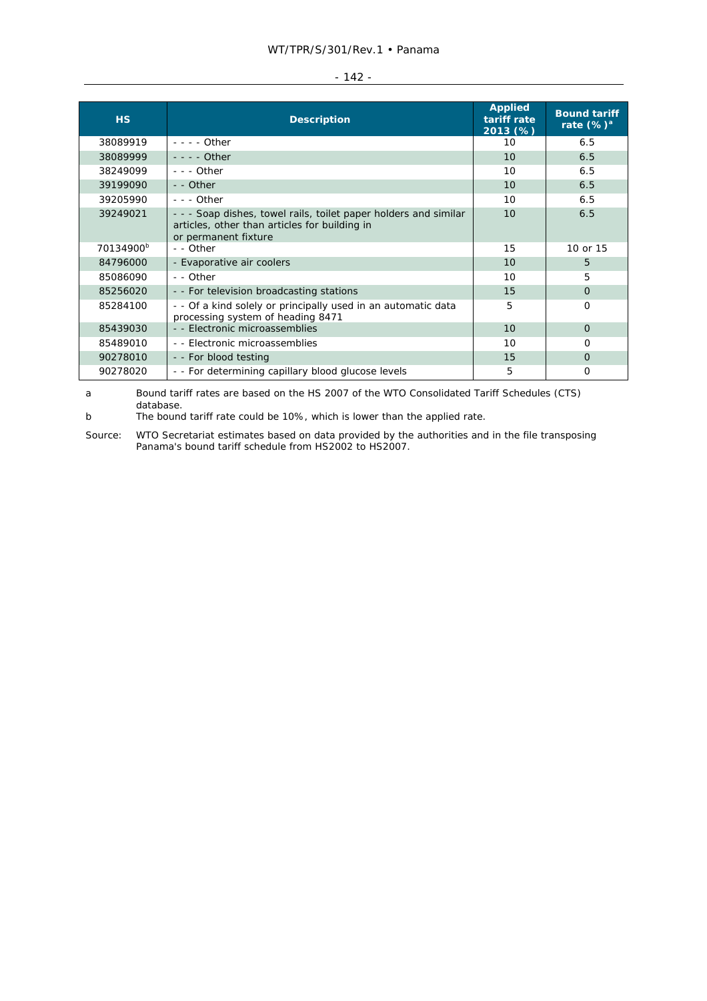|  | × |  |
|--|---|--|
|  |   |  |

| H <sub>S</sub>        | <b>Description</b>                                                                                                                        | <b>Applied</b><br>tariff rate<br>2013 (%) | <b>Bound tariff</b><br>rate $(\%)^a$ |
|-----------------------|-------------------------------------------------------------------------------------------------------------------------------------------|-------------------------------------------|--------------------------------------|
| 38089919              | $- - -$ Other                                                                                                                             | 10                                        | 6.5                                  |
| 38089999              | $- - -$ Other                                                                                                                             | 10                                        | 6.5                                  |
| 38249099              | $- -$ Other                                                                                                                               | 10                                        | 6.5                                  |
| 39199090              | - - Other                                                                                                                                 | 10                                        | 6.5                                  |
| 39205990              | $- -$ - Other                                                                                                                             | 10                                        | 6.5                                  |
| 39249021              | - - - Soap dishes, towel rails, toilet paper holders and similar<br>articles, other than articles for building in<br>or permanent fixture | 10                                        | 6.5                                  |
| 70134900 <sup>b</sup> | - - Other                                                                                                                                 | 15                                        | 10 or 15                             |
| 84796000              | - Evaporative air coolers                                                                                                                 | 10                                        | 5.                                   |
| 85086090              | - - Other                                                                                                                                 | 10                                        | 5                                    |
| 85256020              | - - For television broadcasting stations                                                                                                  | 15                                        | $\Omega$                             |
| 85284100              | - - Of a kind solely or principally used in an automatic data<br>processing system of heading 8471                                        | 5                                         | $\Omega$                             |
| 85439030              | - - Electronic microassemblies                                                                                                            | 10                                        | $\Omega$                             |
| 85489010              | - - Electronic microassemblies                                                                                                            | 10                                        | O                                    |
| 90278010              | - - For blood testing                                                                                                                     | 15                                        | $\Omega$                             |
| 90278020              | - - For determining capillary blood glucose levels                                                                                        | 5                                         | O                                    |

a Bound tariff rates are based on the HS 2007 of the WTO Consolidated Tariff Schedules (CTS) database.

b The bound tariff rate could be 10%, which is lower than the applied rate.

Source: WTO Secretariat estimates based on data provided by the authorities and in the file transposing Panama's bound tariff schedule from HS2002 to HS2007.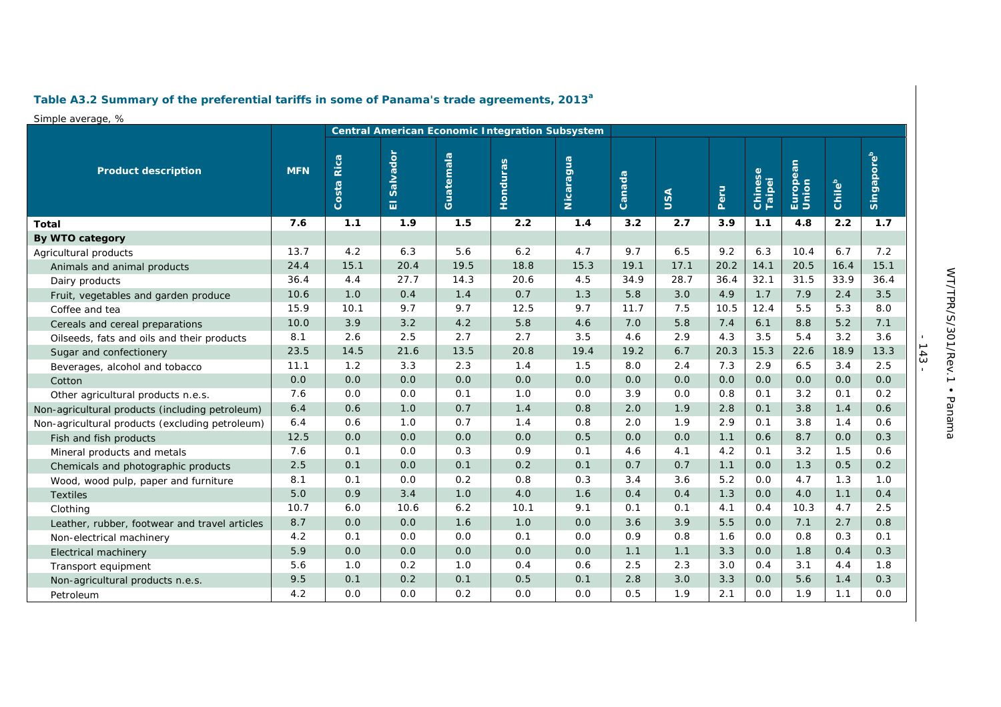# **Table A3.2 Summary of the preferential tariffs in some of Panama's trade agreements, 2013a**

### Simple average, %

|                                                 | <b>Central American Economic Integration Subsystem</b> |            |                                 |           |          |           |        |      |      |                   |                   |        |                        |
|-------------------------------------------------|--------------------------------------------------------|------------|---------------------------------|-----------|----------|-----------|--------|------|------|-------------------|-------------------|--------|------------------------|
| <b>Product description</b>                      | <b>MFN</b>                                             | Costa Rica | Salvador<br>$\overline{\omega}$ | Guatemala | Honduras | Nicaragua | Canada | USA  | Peru | Chinese<br>Taipei | European<br>Union | Chileb | Singapore <sup>b</sup> |
| Total                                           | 7.6                                                    | 1.1        | 1.9                             | 1.5       | 2.2      | 1.4       | 3.2    | 2.7  | 3.9  | 1.1               | 4.8               | 2.2    | 1.7                    |
| By WTO category                                 |                                                        |            |                                 |           |          |           |        |      |      |                   |                   |        |                        |
| Agricultural products                           | 13.7                                                   | 4.2        | 6.3                             | 5.6       | 6.2      | 4.7       | 9.7    | 6.5  | 9.2  | 6.3               | 10.4              | 6.7    | 7.2                    |
| Animals and animal products                     | 24.4                                                   | 15.1       | 20.4                            | 19.5      | 18.8     | 15.3      | 19.1   | 17.1 | 20.2 | 14.1              | 20.5              | 16.4   | 15.1                   |
| Dairy products                                  | 36.4                                                   | 4.4        | 27.7                            | 14.3      | 20.6     | 4.5       | 34.9   | 28.7 | 36.4 | 32.1              | 31.5              | 33.9   | 36.4                   |
| Fruit, vegetables and garden produce            | 10.6                                                   | 1.0        | 0.4                             | 1.4       | 0.7      | 1.3       | 5.8    | 3.0  | 4.9  | 1.7               | 7.9               | 2.4    | 3.5                    |
| Coffee and tea                                  | 15.9                                                   | 10.1       | 9.7                             | 9.7       | 12.5     | 9.7       | 11.7   | 7.5  | 10.5 | 12.4              | 5.5               | 5.3    | 8.0                    |
| Cereals and cereal preparations                 | 10.0                                                   | 3.9        | 3.2                             | 4.2       | 5.8      | 4.6       | 7.0    | 5.8  | 7.4  | 6.1               | 8.8               | 5.2    | 7.1                    |
| Oilseeds, fats and oils and their products      | 8.1                                                    | 2.6        | 2.5                             | 2.7       | 2.7      | 3.5       | 4.6    | 2.9  | 4.3  | 3.5               | 5.4               | 3.2    | 3.6                    |
| Sugar and confectionery                         | 23.5                                                   | 14.5       | 21.6                            | 13.5      | 20.8     | 19.4      | 19.2   | 6.7  | 20.3 | 15.3              | 22.6              | 18.9   | 13.3                   |
| Beverages, alcohol and tobacco                  | 11.1                                                   | 1.2        | 3.3                             | 2.3       | 1.4      | 1.5       | 8.0    | 2.4  | 7.3  | 2.9               | 6.5               | 3.4    | 2.5                    |
| Cotton                                          | 0.0                                                    | 0.0        | 0.0                             | 0.0       | 0.0      | 0.0       | 0.0    | 0.0  | 0.0  | 0.0               | 0.0               | 0.0    | 0.0                    |
| Other agricultural products n.e.s.              | 7.6                                                    | 0.0        | 0.0                             | 0.1       | 1.0      | 0.0       | 3.9    | 0.0  | 0.8  | 0.1               | 3.2               | 0.1    | 0.2                    |
| Non-agricultural products (including petroleum) | 6.4                                                    | 0.6        | 1.0                             | 0.7       | 1.4      | 0.8       | 2.0    | 1.9  | 2.8  | 0.1               | 3.8               | 1.4    | 0.6                    |
| Non-agricultural products (excluding petroleum) | 6.4                                                    | 0.6        | 1.0                             | 0.7       | 1.4      | 0.8       | 2.0    | 1.9  | 2.9  | 0.1               | 3.8               | 1.4    | 0.6                    |
| Fish and fish products                          | 12.5                                                   | 0.0        | 0.0                             | 0.0       | 0.0      | 0.5       | 0.0    | 0.0  | 1.1  | 0.6               | 8.7               | 0.0    | 0.3                    |
| Mineral products and metals                     | 7.6                                                    | 0.1        | 0.0                             | 0.3       | 0.9      | 0.1       | 4.6    | 4.1  | 4.2  | 0.1               | 3.2               | 1.5    | 0.6                    |
| Chemicals and photographic products             | 2.5                                                    | 0.1        | 0.0                             | 0.1       | 0.2      | 0.1       | 0.7    | 0.7  | 1.1  | 0.0               | 1.3               | 0.5    | 0.2                    |
| Wood, wood pulp, paper and furniture            | 8.1                                                    | 0.1        | 0.0                             | 0.2       | 0.8      | 0.3       | 3.4    | 3.6  | 5.2  | 0.0               | 4.7               | 1.3    | 1.0                    |
| <b>Textiles</b>                                 | 5.0                                                    | 0.9        | 3.4                             | 1.0       | 4.0      | 1.6       | 0.4    | 0.4  | 1.3  | 0.0               | 4.0               | 1.1    | 0.4                    |
| Clothing                                        | 10.7                                                   | 6.0        | 10.6                            | 6.2       | 10.1     | 9.1       | 0.1    | 0.1  | 4.1  | O.4               | 10.3              | 4.7    | 2.5                    |
| Leather, rubber, footwear and travel articles   | 8.7                                                    | 0.0        | 0.0                             | 1.6       | 1.0      | 0.0       | 3.6    | 3.9  | 5.5  | 0.0               | 7.1               | 2.7    | 0.8                    |
| Non-electrical machinery                        | 4.2                                                    | 0.1        | 0.0                             | 0.0       | 0.1      | 0.0       | 0.9    | 0.8  | 1.6  | 0.0               | 0.8               | 0.3    | 0.1                    |
| Electrical machinery                            | 5.9                                                    | 0.0        | 0.0                             | 0.0       | 0.0      | 0.0       | 1.1    | 1.1  | 3.3  | 0.0               | 1.8               | 0.4    | 0.3                    |
| Transport equipment                             | 5.6                                                    | 1.0        | 0.2                             | 1.0       | 0.4      | 0.6       | 2.5    | 2.3  | 3.0  | 0.4               | 3.1               | 4.4    | 1.8                    |
| Non-agricultural products n.e.s.                | 9.5                                                    | 0.1        | 0.2                             | 0.1       | 0.5      | 0.1       | 2.8    | 3.0  | 3.3  | 0.0               | 5.6               | 1.4    | 0.3                    |
| Petroleum                                       | 4.2                                                    | 0.0        | 0.0                             | 0.2       | 0.0      | 0.0       | 0.5    | 1.9  | 2.1  | 0.0               | 1.9               | 1.1    | 0.0                    |

- 143 -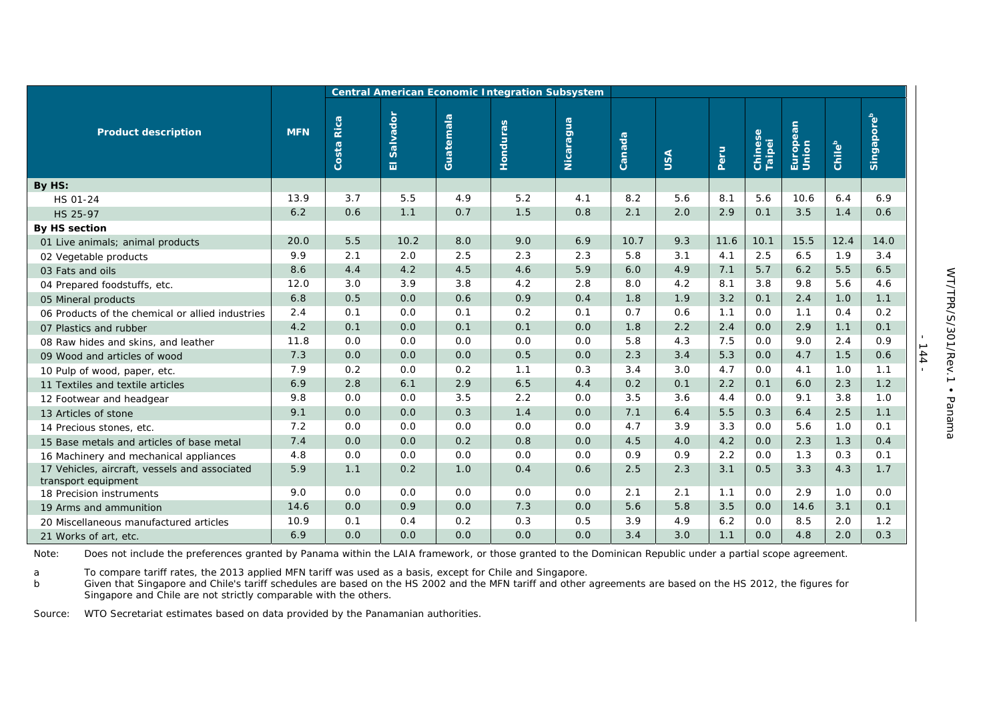|                                                                      | <b>Central American Economic Integration Subsystem</b> |               |               |           |                 |           |        |     |      |                   |                   |        |                        |
|----------------------------------------------------------------------|--------------------------------------------------------|---------------|---------------|-----------|-----------------|-----------|--------|-----|------|-------------------|-------------------|--------|------------------------|
| <b>Product description</b>                                           | <b>MFN</b>                                             | Rica<br>Costa | Salvador<br>司 | Guatemala | <b>Honduras</b> | Nicaragua | Canada | USA | Peru | Chinese<br>Taipei | European<br>Union | Chileb | Singapore <sup>b</sup> |
| By HS:                                                               |                                                        |               |               |           |                 |           |        |     |      |                   |                   |        |                        |
| HS 01-24                                                             | 13.9                                                   | 3.7           | 5.5           | 4.9       | 5.2             | 4.1       | 8.2    | 5.6 | 8.1  | 5.6               | 10.6              | 6.4    | 6.9                    |
| HS 25-97                                                             | 6.2                                                    | 0.6           | 1.1           | 0.7       | 1.5             | 0.8       | 2.1    | 2.0 | 2.9  | 0.1               | 3.5               | 1.4    | 0.6                    |
| <b>By HS section</b>                                                 |                                                        |               |               |           |                 |           |        |     |      |                   |                   |        |                        |
| 01 Live animals; animal products                                     | 20.0                                                   | 5.5           | 10.2          | 8.0       | 9.0             | 6.9       | 10.7   | 9.3 | 11.6 | 10.1              | 15.5              | 12.4   | 14.0                   |
| 02 Vegetable products                                                | 9.9                                                    | 2.1           | 2.0           | 2.5       | 2.3             | 2.3       | 5.8    | 3.1 | 4.1  | 2.5               | 6.5               | 1.9    | 3.4                    |
| 03 Fats and oils                                                     | 8.6                                                    | 4.4           | 4.2           | 4.5       | 4.6             | 5.9       | 6.0    | 4.9 | 7.1  | 5.7               | 6.2               | 5.5    | 6.5                    |
| 04 Prepared foodstuffs, etc.                                         | 12.0                                                   | 3.0           | 3.9           | 3.8       | 4.2             | 2.8       | 8.0    | 4.2 | 8.1  | 3.8               | 9.8               | 5.6    | 4.6                    |
| 05 Mineral products                                                  | 6.8                                                    | 0.5           | 0.0           | 0.6       | 0.9             | 0.4       | 1.8    | 1.9 | 3.2  | 0.1               | 2.4               | 1.0    | 1.1                    |
| 06 Products of the chemical or allied industries                     | 2.4                                                    | 0.1           | 0.0           | 0.1       | 0.2             | 0.1       | 0.7    | 0.6 | 1.1  | 0.0               | 1.1               | 0.4    | 0.2                    |
| 07 Plastics and rubber                                               | 4.2                                                    | 0.1           | 0.0           | 0.1       | 0.1             | 0.0       | 1.8    | 2.2 | 2.4  | 0.0               | 2.9               | 1.1    | 0.1                    |
| 08 Raw hides and skins, and leather                                  | 11.8                                                   | 0.0           | 0.0           | 0.0       | 0.0             | 0.0       | 5.8    | 4.3 | 7.5  | 0.0               | 9.0               | 2.4    | 0.9                    |
| 09 Wood and articles of wood                                         | 7.3                                                    | 0.0           | 0.0           | 0.0       | 0.5             | 0.0       | 2.3    | 3.4 | 5.3  | 0.0               | 4.7               | 1.5    | 0.6                    |
| 10 Pulp of wood, paper, etc.                                         | 7.9                                                    | 0.2           | 0.0           | 0.2       | 1.1             | 0.3       | 3.4    | 3.0 | 4.7  | 0.0               | 4.1               | 1.0    | 1.1                    |
| 11 Textiles and textile articles                                     | 6.9                                                    | 2.8           | 6.1           | 2.9       | 6.5             | 4.4       | 0.2    | 0.1 | 2.2  | 0.1               | 6.0               | 2.3    | 1.2                    |
| 12 Footwear and headgear                                             | 9.8                                                    | 0.0           | 0.0           | 3.5       | 2.2             | 0.0       | 3.5    | 3.6 | 4.4  | 0.0               | 9.1               | 3.8    | 1.0                    |
| 13 Articles of stone                                                 | 9.1                                                    | 0.0           | 0.0           | 0.3       | 1.4             | 0.0       | 7.1    | 6.4 | 5.5  | 0.3               | 6.4               | 2.5    | 1.1                    |
| 14 Precious stones, etc.                                             | 7.2                                                    | 0.0           | 0.0           | 0.0       | 0.0             | 0.0       | 4.7    | 3.9 | 3.3  | 0.0               | 5.6               | 1.0    | 0.1                    |
| 15 Base metals and articles of base metal                            | 7.4                                                    | 0.0           | 0.0           | 0.2       | 0.8             | 0.0       | 4.5    | 4.0 | 4.2  | 0.0               | 2.3               | 1.3    | 0.4                    |
| 16 Machinery and mechanical appliances                               | 4.8                                                    | 0.0           | 0.0           | 0.0       | 0.0             | 0.0       | 0.9    | 0.9 | 2.2  | 0.0               | 1.3               | 0.3    | 0.1                    |
| 17 Vehicles, aircraft, vessels and associated<br>transport equipment | 5.9                                                    | 1.1           | 0.2           | 1.0       | 0.4             | 0.6       | 2.5    | 2.3 | 3.1  | 0.5               | 3.3               | 4.3    | 1.7                    |
| 18 Precision instruments                                             | 9.0                                                    | 0.0           | 0.0           | 0.0       | 0.0             | 0.0       | 2.1    | 2.1 | 1.1  | 0.0               | 2.9               | 1.0    | 0.0                    |
| 19 Arms and ammunition                                               | 14.6                                                   | 0.0           | 0.9           | 0.0       | 7.3             | 0.0       | 5.6    | 5.8 | 3.5  | 0.0               | 14.6              | 3.1    | 0.1                    |
| 20 Miscellaneous manufactured articles                               | 10.9                                                   | 0.1           | O.4           | 0.2       | 0.3             | 0.5       | 3.9    | 4.9 | 6.2  | 0.0               | 8.5               | 2.0    | 1.2                    |
| 21 Works of art, etc.                                                | 6.9                                                    | 0.0           | 0.0           | 0.0       | 0.0             | 0.0       | 3.4    | 3.0 | 1.1  | 0.0               | 4.8               | 2.0    | 0.3                    |

Note: Does not include the preferences granted by Panama within the LAIA framework, or those granted to the Dominican Republic under a partial scope agreement.

a To compare tariff rates, the 2013 applied MFN tariff was used as a basis, except for Chile and Singapore.

b Given that Singapore and Chile's tariff schedules are based on the HS 2002 and the MFN tariff and other agreements are based on the HS 2012, the figures for Singapore and Chile are not strictly comparable with the others.

Source: WTO Secretariat estimates based on data provided by the Panamanian authorities.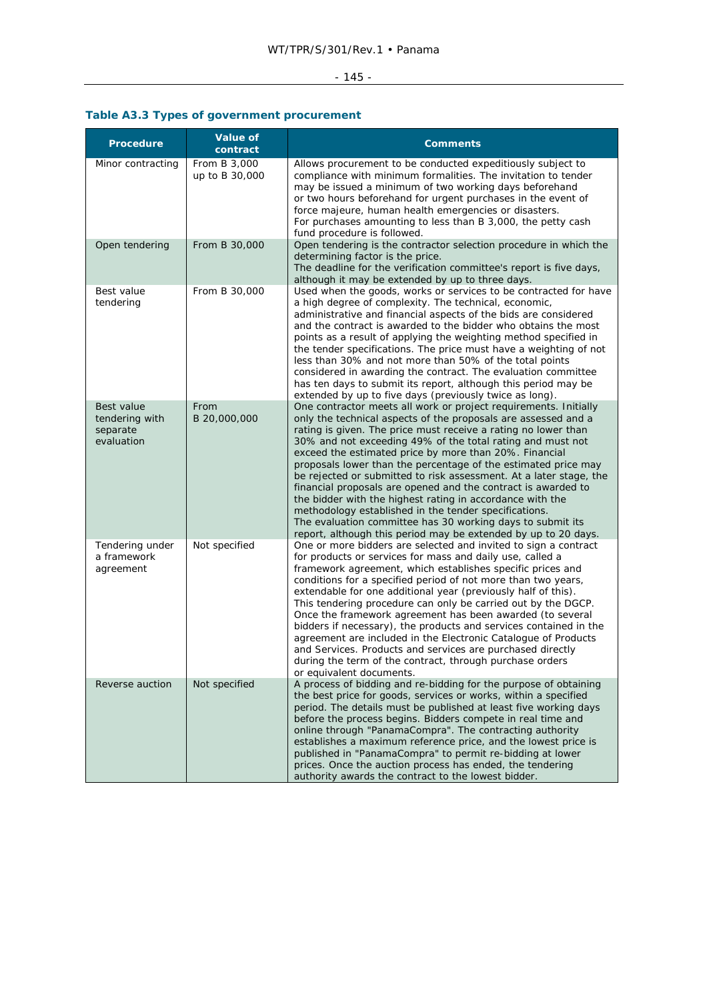## - 145 -

# **Table A3.3 Types of government procurement**

| <b>Procedure</b>                                       | <b>Value of</b><br>contract    | <b>Comments</b>                                                                                                                                                                                                                                                                                                                                                                                                                                                                                                                                                                                                                                                                                                                                                                             |  |
|--------------------------------------------------------|--------------------------------|---------------------------------------------------------------------------------------------------------------------------------------------------------------------------------------------------------------------------------------------------------------------------------------------------------------------------------------------------------------------------------------------------------------------------------------------------------------------------------------------------------------------------------------------------------------------------------------------------------------------------------------------------------------------------------------------------------------------------------------------------------------------------------------------|--|
| Minor contracting                                      | From B 3,000<br>up to B 30,000 | Allows procurement to be conducted expeditiously subject to<br>compliance with minimum formalities. The invitation to tender<br>may be issued a minimum of two working days beforehand<br>or two hours beforehand for urgent purchases in the event of<br>force majeure, human health emergencies or disasters.<br>For purchases amounting to less than B 3,000, the petty cash<br>fund procedure is followed.                                                                                                                                                                                                                                                                                                                                                                              |  |
| Open tendering                                         | From B 30,000                  | Open tendering is the contractor selection procedure in which the<br>determining factor is the price.<br>The deadline for the verification committee's report is five days,<br>although it may be extended by up to three days.                                                                                                                                                                                                                                                                                                                                                                                                                                                                                                                                                             |  |
| Best value<br>tendering                                | From B 30,000                  | Used when the goods, works or services to be contracted for have<br>a high degree of complexity. The technical, economic,<br>administrative and financial aspects of the bids are considered<br>and the contract is awarded to the bidder who obtains the most<br>points as a result of applying the weighting method specified in<br>the tender specifications. The price must have a weighting of not<br>less than 30% and not more than 50% of the total points<br>considered in awarding the contract. The evaluation committee<br>has ten days to submit its report, although this period may be<br>extended by up to five days (previously twice as long).                                                                                                                            |  |
| Best value<br>tendering with<br>separate<br>evaluation | From<br>B 20,000,000           | One contractor meets all work or project requirements. Initially<br>only the technical aspects of the proposals are assessed and a<br>rating is given. The price must receive a rating no lower than<br>30% and not exceeding 49% of the total rating and must not<br>exceed the estimated price by more than 20%. Financial<br>proposals lower than the percentage of the estimated price may<br>be rejected or submitted to risk assessment. At a later stage, the<br>financial proposals are opened and the contract is awarded to<br>the bidder with the highest rating in accordance with the<br>methodology established in the tender specifications.<br>The evaluation committee has 30 working days to submit its<br>report, although this period may be extended by up to 20 days. |  |
| Tendering under<br>a framework<br>agreement            | Not specified                  | One or more bidders are selected and invited to sign a contract<br>for products or services for mass and daily use, called a<br>framework agreement, which establishes specific prices and<br>conditions for a specified period of not more than two years,<br>extendable for one additional year (previously half of this).<br>This tendering procedure can only be carried out by the DGCP.<br>Once the framework agreement has been awarded (to several<br>bidders if necessary), the products and services contained in the<br>agreement are included in the Electronic Catalogue of Products<br>and Services. Products and services are purchased directly<br>during the term of the contract, through purchase orders<br>or equivalent documents.                                     |  |
| Reverse auction                                        | Not specified                  | A process of bidding and re-bidding for the purpose of obtaining<br>the best price for goods, services or works, within a specified<br>period. The details must be published at least five working days<br>before the process begins. Bidders compete in real time and<br>online through "PanamaCompra". The contracting authority<br>establishes a maximum reference price, and the lowest price is<br>published in "PanamaCompra" to permit re-bidding at lower<br>prices. Once the auction process has ended, the tendering<br>authority awards the contract to the lowest bidder.                                                                                                                                                                                                       |  |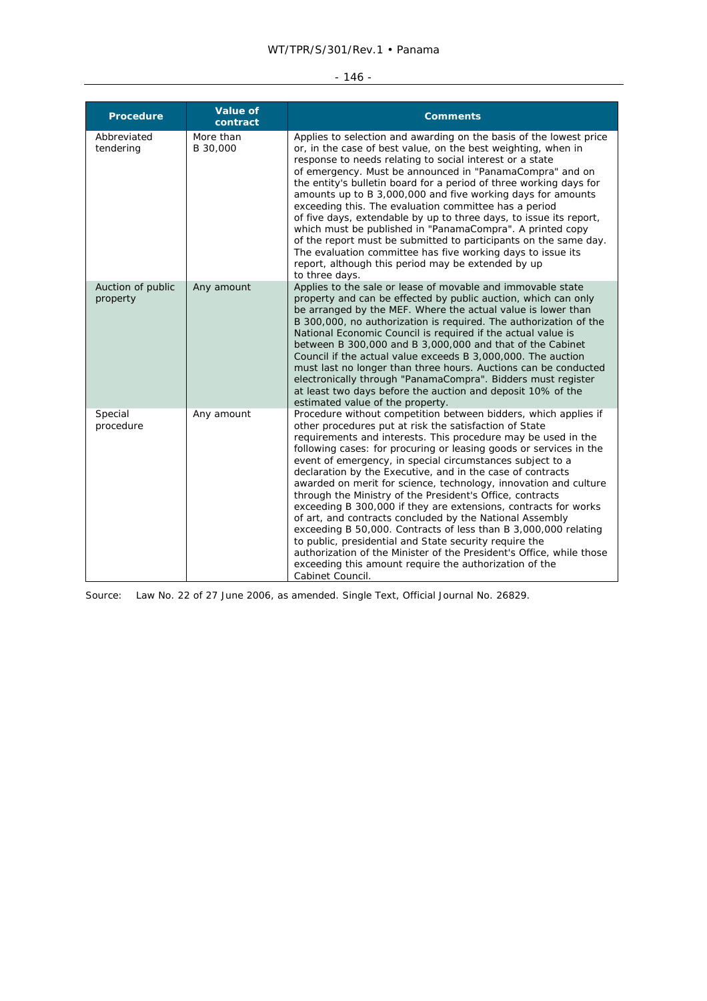## WT/TPR/S/301/Rev.1 • Panama

#### - 146 -

| <b>Procedure</b>              | <b>Value of</b><br>contract | <b>Comments</b>                                                                                                                                                                                                                                                                                                                                                                                                                                                                                                                                                                                                                                                                                                                                                                                                                                                                                                                                |
|-------------------------------|-----------------------------|------------------------------------------------------------------------------------------------------------------------------------------------------------------------------------------------------------------------------------------------------------------------------------------------------------------------------------------------------------------------------------------------------------------------------------------------------------------------------------------------------------------------------------------------------------------------------------------------------------------------------------------------------------------------------------------------------------------------------------------------------------------------------------------------------------------------------------------------------------------------------------------------------------------------------------------------|
| Abbreviated<br>tendering      | More than<br>B 30,000       | Applies to selection and awarding on the basis of the lowest price<br>or, in the case of best value, on the best weighting, when in<br>response to needs relating to social interest or a state<br>of emergency. Must be announced in "PanamaCompra" and on<br>the entity's bulletin board for a period of three working days for<br>amounts up to B 3,000,000 and five working days for amounts<br>exceeding this. The evaluation committee has a period<br>of five days, extendable by up to three days, to issue its report,<br>which must be published in "PanamaCompra". A printed copy<br>of the report must be submitted to participants on the same day.<br>The evaluation committee has five working days to issue its<br>report, although this period may be extended by up<br>to three days.                                                                                                                                        |
| Auction of public<br>property | Any amount                  | Applies to the sale or lease of movable and immovable state<br>property and can be effected by public auction, which can only<br>be arranged by the MEF. Where the actual value is lower than<br>B 300,000, no authorization is required. The authorization of the<br>National Economic Council is required if the actual value is<br>between B 300,000 and B 3,000,000 and that of the Cabinet<br>Council if the actual value exceeds B 3,000,000. The auction<br>must last no longer than three hours. Auctions can be conducted<br>electronically through "PanamaCompra". Bidders must register<br>at least two days before the auction and deposit 10% of the<br>estimated value of the property.                                                                                                                                                                                                                                          |
| Special<br>procedure          | Any amount                  | Procedure without competition between bidders, which applies if<br>other procedures put at risk the satisfaction of State<br>requirements and interests. This procedure may be used in the<br>following cases: for procuring or leasing goods or services in the<br>event of emergency, in special circumstances subject to a<br>declaration by the Executive, and in the case of contracts<br>awarded on merit for science, technology, innovation and culture<br>through the Ministry of the President's Office, contracts<br>exceeding B 300,000 if they are extensions, contracts for works<br>of art, and contracts concluded by the National Assembly<br>exceeding B 50,000. Contracts of less than B 3,000,000 relating<br>to public, presidential and State security require the<br>authorization of the Minister of the President's Office, while those<br>exceeding this amount require the authorization of the<br>Cabinet Council. |

Source: Law No. 22 of 27 June 2006, as amended. Single Text, Official Journal No. 26829.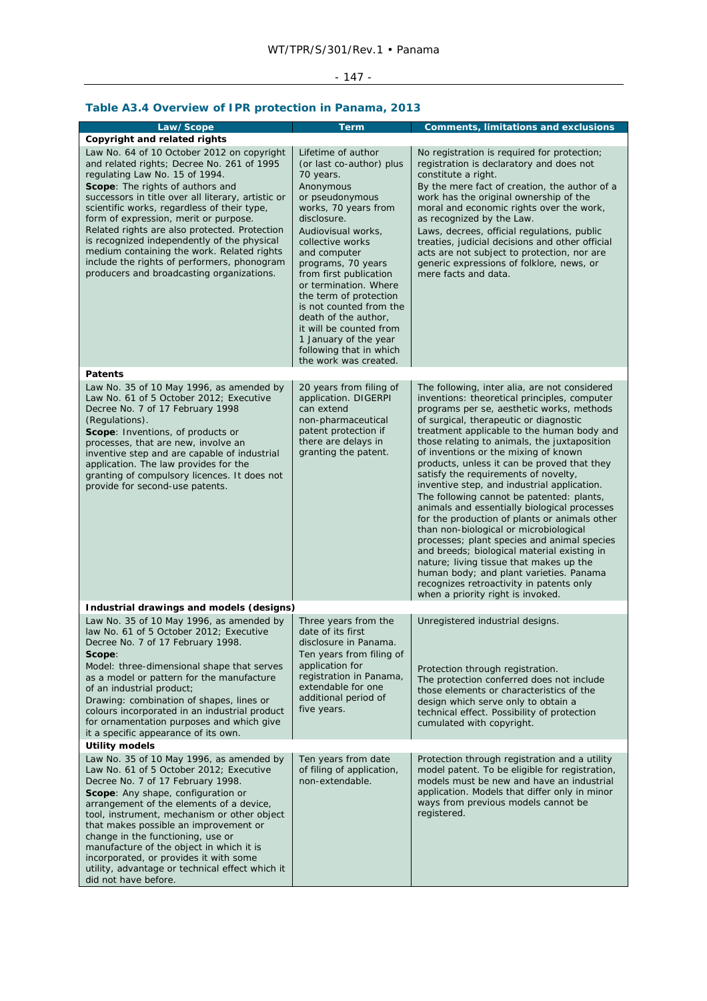# - 147 -

# **Table A3.4 Overview of IPR protection in Panama, 2013**

| Law/Scope                                                                                                                                                                                                                                                                                                                                                                                                                                                                                                                                                     | <b>Term</b>                                                                                                                                                                                                                                                                                                                                                                                                                                                | <b>Comments, limitations and exclusions</b>                                                                                                                                                                                                                                                                                                                                                                                                                                                                                                                                                                                                                                                                                                                                                                                                                                                                                           |  |  |  |
|---------------------------------------------------------------------------------------------------------------------------------------------------------------------------------------------------------------------------------------------------------------------------------------------------------------------------------------------------------------------------------------------------------------------------------------------------------------------------------------------------------------------------------------------------------------|------------------------------------------------------------------------------------------------------------------------------------------------------------------------------------------------------------------------------------------------------------------------------------------------------------------------------------------------------------------------------------------------------------------------------------------------------------|---------------------------------------------------------------------------------------------------------------------------------------------------------------------------------------------------------------------------------------------------------------------------------------------------------------------------------------------------------------------------------------------------------------------------------------------------------------------------------------------------------------------------------------------------------------------------------------------------------------------------------------------------------------------------------------------------------------------------------------------------------------------------------------------------------------------------------------------------------------------------------------------------------------------------------------|--|--|--|
| Copyright and related rights                                                                                                                                                                                                                                                                                                                                                                                                                                                                                                                                  |                                                                                                                                                                                                                                                                                                                                                                                                                                                            |                                                                                                                                                                                                                                                                                                                                                                                                                                                                                                                                                                                                                                                                                                                                                                                                                                                                                                                                       |  |  |  |
| Law No. 64 of 10 October 2012 on copyright<br>and related rights; Decree No. 261 of 1995<br>regulating Law No. 15 of 1994.<br><b>Scope:</b> The rights of authors and<br>successors in title over all literary, artistic or<br>scientific works, regardless of their type,<br>form of expression, merit or purpose.<br>Related rights are also protected. Protection<br>is recognized independently of the physical<br>medium containing the work. Related rights<br>include the rights of performers, phonogram<br>producers and broadcasting organizations. | Lifetime of author<br>(or last co-author) plus<br>70 years.<br>Anonymous<br>or pseudonymous<br>works, 70 years from<br>disclosure.<br>Audiovisual works,<br>collective works<br>and computer<br>programs, 70 years<br>from first publication<br>or termination. Where<br>the term of protection<br>is not counted from the<br>death of the author,<br>it will be counted from<br>1 January of the year<br>following that in which<br>the work was created. | No registration is required for protection;<br>registration is declaratory and does not<br>constitute a right.<br>By the mere fact of creation, the author of a<br>work has the original ownership of the<br>moral and economic rights over the work,<br>as recognized by the Law.<br>Laws, decrees, official regulations, public<br>treaties, judicial decisions and other official<br>acts are not subject to protection, nor are<br>generic expressions of folklore, news, or<br>mere facts and data.                                                                                                                                                                                                                                                                                                                                                                                                                              |  |  |  |
| <b>Patents</b>                                                                                                                                                                                                                                                                                                                                                                                                                                                                                                                                                |                                                                                                                                                                                                                                                                                                                                                                                                                                                            |                                                                                                                                                                                                                                                                                                                                                                                                                                                                                                                                                                                                                                                                                                                                                                                                                                                                                                                                       |  |  |  |
| Law No. 35 of 10 May 1996, as amended by<br>Law No. 61 of 5 October 2012: Executive<br>Decree No. 7 of 17 February 1998<br>(Regulations).<br>Scope: Inventions, of products or<br>processes, that are new, involve an<br>inventive step and are capable of industrial<br>application. The law provides for the<br>granting of compulsory licences. It does not<br>provide for second-use patents.                                                                                                                                                             | 20 years from filing of<br>application. DIGERPI<br>can extend<br>non-pharmaceutical<br>patent protection if<br>there are delays in<br>granting the patent.                                                                                                                                                                                                                                                                                                 | The following, <i>inter alia</i> , are not considered<br>inventions: theoretical principles, computer<br>programs per se, aesthetic works, methods<br>of surgical, therapeutic or diagnostic<br>treatment applicable to the human body and<br>those relating to animals, the juxtaposition<br>of inventions or the mixing of known<br>products, unless it can be proved that they<br>satisfy the requirements of novelty,<br>inventive step, and industrial application.<br>The following cannot be patented: plants,<br>animals and essentially biological processes<br>for the production of plants or animals other<br>than non-biological or microbiological<br>processes; plant species and animal species<br>and breeds; biological material existing in<br>nature; living tissue that makes up the<br>human body; and plant varieties. Panama<br>recognizes retroactivity in patents only<br>when a priority right is invoked. |  |  |  |
| Industrial drawings and models (designs)                                                                                                                                                                                                                                                                                                                                                                                                                                                                                                                      |                                                                                                                                                                                                                                                                                                                                                                                                                                                            |                                                                                                                                                                                                                                                                                                                                                                                                                                                                                                                                                                                                                                                                                                                                                                                                                                                                                                                                       |  |  |  |
| Law No. 35 of 10 May 1996, as amended by<br>law No. 61 of 5 October 2012; Executive<br>Decree No. 7 of 17 February 1998.<br>Scope:<br>Model: three-dimensional shape that serves<br>as a model or pattern for the manufacture<br>of an industrial product;<br>Drawing: combination of shapes, lines or<br>colours incorporated in an industrial product<br>for ornamentation purposes and which give<br>it a specific appearance of its own.                                                                                                                  | Three years from the<br>date of its first<br>disclosure in Panama.<br>Ten years from filing of<br>application for<br>registration in Panama,<br>extendable for one<br>additional period of<br>five years.                                                                                                                                                                                                                                                  | Unregistered industrial designs.<br>Protection through registration.<br>The protection conferred does not include<br>those elements or characteristics of the<br>design which serve only to obtain a<br>technical effect. Possibility of protection<br>cumulated with copyright.                                                                                                                                                                                                                                                                                                                                                                                                                                                                                                                                                                                                                                                      |  |  |  |
| <b>Utility models</b>                                                                                                                                                                                                                                                                                                                                                                                                                                                                                                                                         |                                                                                                                                                                                                                                                                                                                                                                                                                                                            |                                                                                                                                                                                                                                                                                                                                                                                                                                                                                                                                                                                                                                                                                                                                                                                                                                                                                                                                       |  |  |  |
| Law No. 35 of 10 May 1996, as amended by<br>Law No. 61 of 5 October 2012; Executive<br>Decree No. 7 of 17 February 1998.<br><b>Scope:</b> Any shape, configuration or<br>arrangement of the elements of a device,<br>tool, instrument, mechanism or other object<br>that makes possible an improvement or<br>change in the functioning, use or<br>manufacture of the object in which it is<br>incorporated, or provides it with some<br>utility, advantage or technical effect which it<br>did not have before.                                               | Ten years from date<br>of filing of application,<br>non-extendable.                                                                                                                                                                                                                                                                                                                                                                                        | Protection through registration and a utility<br>model patent. To be eligible for registration,<br>models must be new and have an industrial<br>application. Models that differ only in minor<br>ways from previous models cannot be<br>registered.                                                                                                                                                                                                                                                                                                                                                                                                                                                                                                                                                                                                                                                                                   |  |  |  |